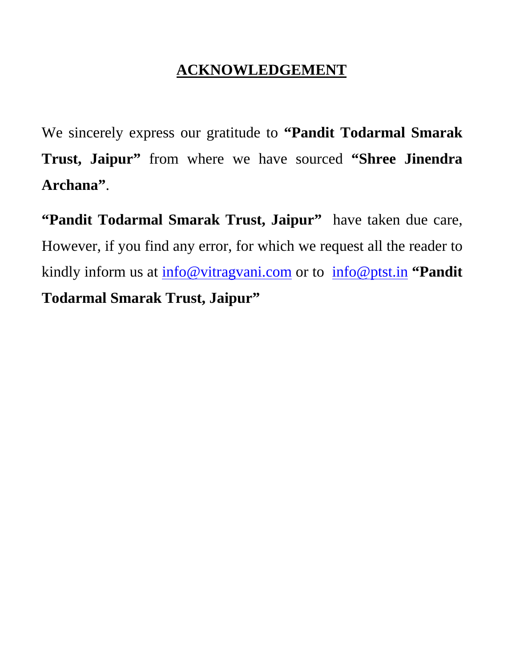## **ACKNOWLEDGEMENT**

We sincerely express our gratitude to **"Pandit Todarmal Smarak Trust, Jaipur"** from where we have sourced **"Shree Jinendra Archana"**.

**"Pandit Todarmal Smarak Trust, Jaipur"** have taken due care, However, if you find any error, for which we request all the reader to kindly inform us at info@vitragvani.com or to info@ptst.in **"Pandit Todarmal Smarak Trust, Jaipur"**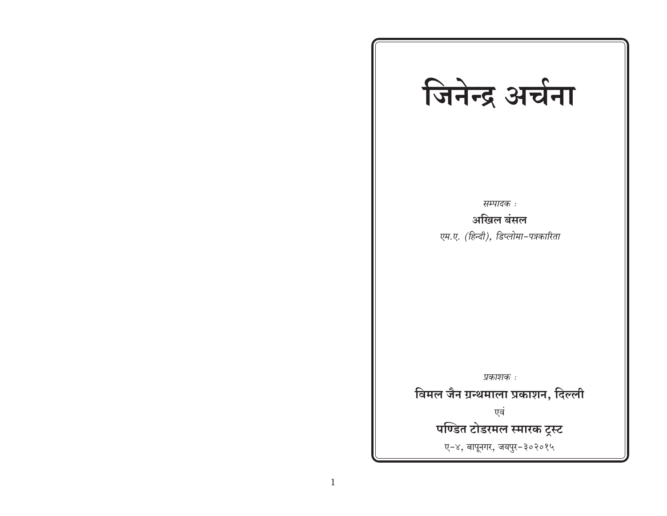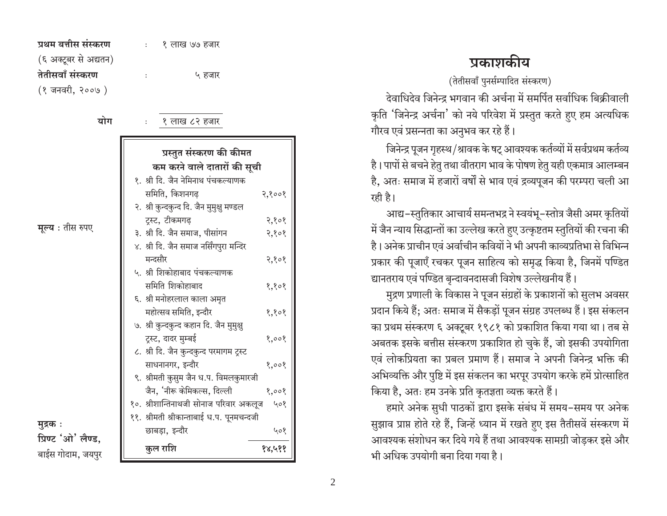| प्रथम बत्तीस संस्करण  | १ लाख ७७ हजार |
|-----------------------|---------------|
| (६ अक्टूबर से अद्यतन) |               |
| तेतीसवाँ संस्करण      | ५ हजार        |
| (१ जनवरी, २००७ )      |               |

योग

१ लाख ८२ हजार

|                    | प्रस्तुत संस्करण की कीमत                      |
|--------------------|-----------------------------------------------|
|                    | कम करने वाले दातारों की सूची                  |
|                    | १. श्री दि. जैन नेमिनाथ पंचकल्याणक            |
|                    | समिति, किशनगढ़<br>२,१००१                      |
|                    | २. श्री कुन्दकुन्द दि. जैन मुमुक्षु मण्डल     |
|                    | ट्रस्ट, टीकमगढ़<br>२,१०१                      |
| मूल्य : तीस रुपए   | ३. श्री दि. जैन समाज, पीसांगन<br>२,१०१        |
|                    | ४. श्री दि. जैन समाज नर्सिंगपुरा मन्दिर       |
|                    | मन्दसौर<br>२,१०१                              |
|                    | ५. श्री शिकोहाबाद पंचकल्याणक                  |
|                    | समिति शिकोहाबाद<br>१,१०१                      |
|                    | ६. श्री मनोहरलाल काला अमृत                    |
|                    | महोत्सव समिति, इन्दौर<br>१,१०१                |
|                    | ७. श्री कुन्दकुन्द कहान दि. जैन मुमुक्षु      |
|                    | ट्रस्ट, दादर मुम्बई<br>8,008                  |
|                    | ८. श्री दि. जैन कुन्दकुन्द परमागम ट्रस्ट      |
|                    | साधनानगर, इन्दौर<br>१,००१                     |
|                    | ९. श्रीमती कुसुम जैन ध.प. विमलकुमारजी         |
|                    | जैन, 'नीरू केमिकल्स, दिल्ली<br>8,008          |
|                    | १०. श्रीशान्तिनाथजी सोनाज परिवार अकलूज<br>५०१ |
| मुद्रक :           | ११. श्रीमती श्रीकान्ताबाई ध.प. पूनमचन्दजी     |
| प्रिण्ट 'ओ' लैण्ड, | छाबड़ा, इन्दौर<br>५०१                         |
| बाईस गोदाम, जयपुर  | कुल राशि<br>१४,५११                            |

## प्रकाशकीय

(तेतीसवाँ पुनर्सम्पादित संस्करण)

देवाधिदेव जिनेन्द्र भगवान की अर्चना में समर्पित सर्वाधिक बिक्रीवाली कृति 'जिनेन्द्र अर्चना' को नये परिवेश में प्रस्तुत करते हुए हम अत्यधिक गौरव एवं प्रसन्नता का अनुभव कर रहे हैं।

जिनेन्द्र पूजन गृहस्थ/श्रावक के षट् आवश्यक कर्तव्यों में सर्वप्रथम कर्तव्य है। पापों से बचने हेतु तथा वीतराग भाव के पोषण हेतु यही एकमात्र आलम्बन है, अतः समाज में हजारों वर्षों से भाव एवं द्रव्यपूजन की परम्परा चली आ रही है।

आद्य-स्तुतिकार आचार्य समन्तभद्र ने स्वयंभू-स्तोत्र जैसी अमर कृतियों में जैन न्याय सिद्धान्तों का उल्लेख करते हुए उत्कृष्टतम स्तुतियों की रचना की है। अनेक प्राचीन एवं अर्वाचीन कवियों ने भी अपनी काव्यप्रतिभा से विभिन्न प्रकार की पूजाएँ रचकर पूजन साहित्य को समृद्ध किया है, जिनमें पण्डित द्यानतराय एवं पण्डित बृन्दावनदासजी विशेष उल्लेखनीय हैं।

मुद्रण प्रणाली के विकास ने पूजन संग्रहों के प्रकाशनों को सुलभ अवसर प्रदान किये हैं; अतः समाज में सैकड़ों पूजन संग्रह उपलब्ध हैं। इस संकलन का प्रथम संस्करण ६ अक्टूबर १९८१ को प्रकाशित किया गया था। तब से अबतक इसके बत्तीस संस्करण प्रकाशित हो चुके हैं, जो इसकी उपयोगिता एवं लोकप्रियता का प्रबल प्रमाण हैं। समाज ने अपनी जिनेन्द्र भक्ति की अभिव्यक्ति और पुष्टि में इस संकलन का भरपूर उपयोग करके हमें प्रोत्साहित किया है, अतः हम उनके प्रति कृतज्ञता व्यक्त करते हैं।

हमारे अनेक सुधी पाठकों द्वारा इसके संबंध में समय–समय पर अनेक सुझाव प्राप्त होते रहे हैं, जिन्हें ध्यान में रखते हुए इस तैतीसवें संस्करण में आवश्यक संशोधन कर दिये गये हैं तथा आवश्यक सामग्री जोडकर इसे और भी अधिक उपयोगी बना दिया गया है।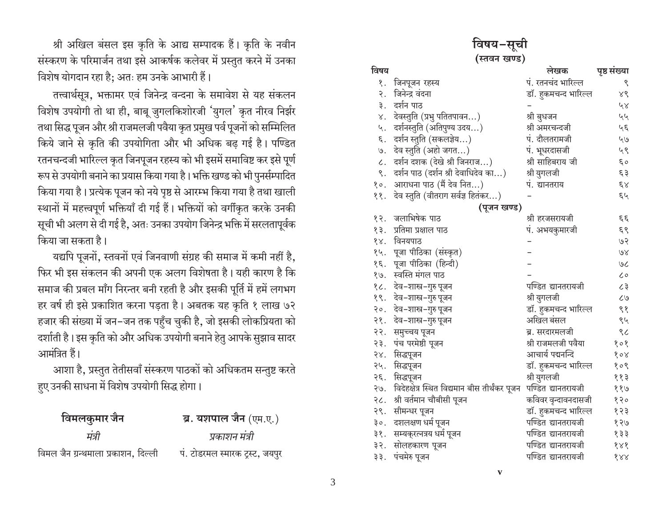श्री अखिल बंसल इस कृति के आद्य सम्पादक हैं। कृति के नवीन संस्करण के परिमार्जन तथा इसे आकर्षक कलेवर में प्रस्तुत करने में उनका विशेष योगदान रहा है: अतः हम उनके आभारी हैं।

तत्त्वार्थसूत्र, भक्तामर एवं जिनेन्द्र वन्दना के समावेश से यह संकलन विशेष उपयोगी तो था ही, बाबू जुगलकिशोरजी 'युगल' कृत नीरव निर्झर तथा सिद्ध पूजन और श्री राजमलजी पवैया कृत प्रमुख पर्व पूजनों को सम्मिलित किये जाने से कृति की उपयोगिता और भी अधिक बढ़ गई है। पण्डित रतनचन्दजी भारिल्ल कृत जिनपूजन रहस्य को भी इसमें समाविष्ट कर इसे पूर्ण रूप से उपयोगी बनाने का प्रयास किया गया है । भक्ति खण्ड को भी पुनर्सम्पादित किया गया है। प्रत्येक पूजन को नये पृष्ठ से आरम्भ किया गया है तथा खाली स्थानों में महत्त्वपूर्ण भक्तियाँ दी गई हैं। भक्तियों को वर्गीकृत करके उनकी सूची भी अलग से दी गई है, अतः उनका उपयोग जिनेन्द्र भक्ति में सरलतापूर्वक किया जा सकता है।

यद्यपि पूजनों, स्तवनों एवं जिनवाणी संग्रह की समाज में कमी नहीं है, फिर भी इस संकलन की अपनी एक अलग विशेषता है। यही कारण है कि समाज की प्रबल माँग निरन्तर बनी रहती है और इसकी पूर्ति में हमें लगभग हर वर्ष ही इसे प्रकाशित करना पड़ता है। अबतक यह कृति १ लाख ७२ हजार की संख्या में जन–जन तक पहुँच चुकी है, जो इसकी लोकप्रियता को दर्शाती है। इस कृति को और अधिक उपयोगी बनाने हेतु आपके सुझाव सादर आमंत्रित हैं।

आशा है, प्रस्तुत तेतीसवाँ संस्करण पाठकों को अधिकतम सन्तुष्ट करते हुए उनकी साधना में विशेष उपयोगी सिद्ध होगा।

| विमलकुमार जैन                       | ब्र. यशपाल जैन (एम.ए.)          |
|-------------------------------------|---------------------------------|
| मंत्री                              | प्रकाशन मंत्री                  |
| विमल जैन ग्रन्थमाला प्रकाशन, दिल्ली | पं. टोडरमल स्मारक ट्रस्ट, जयपुर |

विषय

| ।वषय-सूच।            |                                        |                      |              |
|----------------------|----------------------------------------|----------------------|--------------|
| (स्तवन खण्ड)         |                                        |                      |              |
| विषय                 |                                        | लेखक                 | पृष्ठ संख्या |
| १.                   | जिनपूजन रहस्य                          | पं. रतनचंद भारिल्ल   | ९            |
| २.                   | जिनेन्द्र वंदना                        | डॉ. हुकमचन्द भारिल्ल | X٢           |
|                      | ३. दर्शन पाठ                           |                      | ५४           |
|                      | ४. देवस्तुति (प्रभु पतितपावन)          | श्री बुधजन           | ५५           |
| ५.                   | दर्शनस्तुति (अतिपुण्य उदय)             | श्री अमरचन्दजी       | ५६           |
| $\boldsymbol{\xi}$ . | दर्शन स्तुति (सकलज्ञेय)                | पं. दौलतरामजी        | 49           |
| 9.                   | देव स्तुति (अहो जगत)                   | पं. भूधरदासजी        | ५९           |
|                      | ८. दर्शन दशक (देखे श्री जिनराज)        | श्री साहिबराय जी     | $\xi$ o      |
|                      | ९. दर्शन पाठ (दर्शन श्री देवाधिदेव का) | श्री युगलजी          | ६३           |
|                      | १०. आराधना पाठ (मैं देव नित)           | पं. द्यानतराय        | $\xi\lambda$ |
|                      | ११. देव स्तुति (वीतराग सर्वज्ञ हितंकर) |                      | ६५           |
|                      | (पूजन खण्ड)                            |                      |              |
|                      | १२. जलाभिषेक पाठ                       | श्री हरजसरायजी       | $\xi \xi$    |
|                      | १३. प्रतिमा प्रक्षाल पाठ               | पं. अभयकुमारजी       | ६९           |
|                      | १४. विनयपाठ                            |                      | 50           |
|                      | १५. पूजा पीठिका (संस्कृत)              |                      | $80^{\circ}$ |
|                      | १६. पूजा पीठिका (हिन्दी)               |                      | $\infty$     |
|                      | १७. स्वस्ति मंगल पाठ                   |                      | ८०           |
|                      | १८. देव-शास्त्र-गुरु पूजन              | पण्डित द्यानतरायजी   | ८३           |
|                      | १९. देव-शास्त्र-गुरु पूजन              | श्री युगलजी          | ८७           |
|                      | २०. देव-शास्त्र-गुरु पूजन              | डॉ. हुकमचन्द भारिल्ल | ९१           |
|                      |                                        |                      |              |

| २०. देव-शास्त्र-गुरु पूजन                           | डॉ. हुकमचन्द भारिल्ल | ९१  |
|-----------------------------------------------------|----------------------|-----|
| २१. देव-शास्त्र-गुरु पूजन                           | अखिल बंसल            | ९५  |
| २२. समुच्चय पूजन                                    | ब्र. सरदारमलजी       | ९८  |
| २३. पंच परमेष्ठी पूजन                               | श्री राजमलजी पवैया   | १०१ |
| २४. सिद्धपूजन                                       | आचार्य पद्मनन्दि     | १०४ |
| २५. सिद्धपूजन                                       | डॉ. हुकमचन्द भारिल्ल | १०९ |
| २६. सिद्धपूजन                                       | श्री युगलजी          | ११३ |
| २७.   विदेहक्षेत्र स्थित विद्यमान बीस तीर्थंकर पूजन | पण्डित द्यानतरायजी   | ११७ |
| २८. श्री वर्तमान चौबीसी पूजन                        | कविवर वृन्दावनदासजी  | १२० |
| २९. सीमन्धर पूजन                                    | डॉ. हुकमचन्द भारिल्ल | १२३ |
| ३०. दशलक्षण धर्म पूजन                               | पण्डित द्यानतरायजी   | १२७ |
| ३१. सम्यक्रत्नत्रय धर्म पूजन                        | पण्डित द्यानतरायजी   | १३३ |
| ३२. सोलहकारण पूजन                                   | पण्डित द्यानतरायजी   | 888 |
| ३३. पंचमेरु पुजन                                    | पण्डित द्यानतरायजी   | 888 |

 $\mathbf{V}$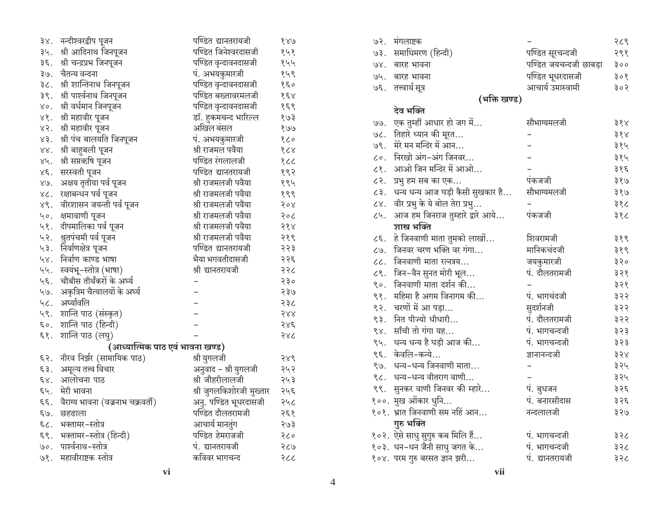| ३४.              | नन्दीश्वरद्वीप पूजन               | पण्डित द्यानतरायजी       | 880                  |
|------------------|-----------------------------------|--------------------------|----------------------|
| ३५.              | श्री आदिनाथ जिनपूजन               | पण्डित जिनेश्वरदासजी     | १५१                  |
| ३६.              | श्री चन्द्रप्रभ जिनपूजन           | पण्डित वृन्दावनदासजी     | १५५                  |
| ३७.              | चैतन्य वन्दना                     | पं. अभयकुमारजी           | १५९                  |
| ३८.              | श्री शान्तिनाथ जिनपूजन            | पण्डित वृन्दावनदासजी     | १६०                  |
| ३९.              | श्री पार्श्वनाथ जिनपूजन           | पण्डित बख्तावरमलजी       | $\delta \xi \lambda$ |
| γο.              | श्री वर्धमान जिनपूजन              | पण्डित वृन्दावनदासजी     | १६९                  |
| $x_{\delta}$ .   | श्री महावीर पूजन                  | डॉ. हुकमचन्द भारिल्ल     | १७३                  |
| 85               | श्री महावीर पूजन                  | अखिल बंसल                | १७७                  |
| $x3$ .           | श्री पंच बालयति जिनपूजन           | पं. अभयकुमारजी           | १८०                  |
| $\times \times$  | श्री बाहुबली पूजन                 | श्री राजमल पवैया         | 808                  |
| $\lambda_f$ .    | श्री सप्तऋषि पूजन                 | पण्डित रंगलालजी          | १८८                  |
| $\chi \xi$ .     | सरस्वती पूजन                      | पण्डित द्यानतरायजी       | १९२                  |
| 89.              | अक्षय तृतीया पर्व पूजन            | श्री राजमलजी पवैया       | १९५                  |
| 8C.              | रक्षाबन्धन पर्व पूजन              | श्री राजमलजी पवैया       | १९९                  |
| 88.              | वीरशासन जयन्ती पर्व पूजन          | श्री राजमलजी पवैया       | 508                  |
| ५०.              | क्षमावाणी प <mark>ू</mark> जन     | श्री राजमलजी पवैया       | २०८                  |
| ५१.              | दीपमालिका पर्व पूजन               | श्री राजमलजी पवैया       | २१४                  |
| ५२.              | श्रुतपंचमी पर्व पूजन              | श्री राजमलजी पवैया       | २१९                  |
| ५३.              | निर्वाणक्षेत्र पूजन               | पण्डित द्यानतरायजी       | २२३                  |
| 48.              | निर्वाण काण्ड भाषा                | भैया भगवतीदासजी          | २२६                  |
| ५५.              | स्वयभू-स्तोत्र (भाषा)             | श्री द्यानतरायजी         | २२८                  |
| ५६.              | चौबीस तीर्थंकरों के अर्घ्य        |                          | २३०                  |
| ५७.              | अकृत्रिम चैत्यालयों के अर्घ्य     |                          | २३७                  |
| 46.              | अर्घ्यावलि                        |                          | २३८                  |
| ५९.              | शान्ति पाठ (संस्कृत)              |                          | 588                  |
| $5^{\circ}$ .    | शान्ति पाठ (हिन्दी)               |                          | २४६                  |
| $\xi$ ?.         | शान्ति पाठ (लघु)                  |                          | २४८                  |
|                  | (आध्यात्मिक पाठ एवं भावना खण्ड)   |                          |                      |
| $\xi$ ?.         | नीरव निर्झर (सामायिक पाठ)         | श्री युगलजी              | २४९                  |
| $\xi$ $\xi$ .    | अमूल्य तत्त्व विचार               | अनुवाद - श्री युगलजी     | २५२                  |
| $\xi \chi$ .     | आलोचना पाठ                        | श्री जौहरीलालजी          | २५३                  |
| $\xi$ ų.         | मेरी भावना                        | श्री जुगलकिशोरजी मुख्तार | २५६                  |
| $\xi \xi$ .      | वैराग्य भावना (वज्रनाभ चक्रवर्ती) | अनु. पण्डित भूधरदासजी    | २५८                  |
| $\xi$ $\theta$ . | छहढाला                            | पण्डित दौलतरामजी         | २६१                  |
| $\epsilon$ c.    | भक्तामर-स्तोत्र                   | आचार्य मानतुंग           | २७३                  |
| $\xi$ ?.         | भक्तामर-स्तोत्र (हिन्दी)          | पण्डित हेमराजजी          | २८०                  |
| $\circ$ .        | पार्श्वनाथ-स्तोत्र                | पं. द्यानतरायजी          | २८७                  |
| 98.              | महावीराष्टक स्तोत्र               | कविवर भागचन्द            | २८८                  |

| 93.             | मंगलाष्टक                        |                        | २८९ |
|-----------------|----------------------------------|------------------------|-----|
| .50             | समाधिमरण (हिन्दी)                | पण्डित सूरचन्दजी       | २९१ |
| 98.             | बारह भावना                       | पण्डित जयचन्दजी छाबड़ा | ३०० |
| 96.             | बारह भावना                       | पण्डित भूधरदासजी       | ३०१ |
| 30              | तत्त्वार्थ सूत्र                 | आचार्य उमास्वामी       | ३०२ |
|                 | (भक्ति खण्ड)                     |                        |     |
|                 | देव भक्ति                        |                        |     |
| ७७.             | एक तुम्हीं आधार हो जग में        | सौभाग्यमलजी            | ३१४ |
| 30.             | तिहारे ध्यान की मूरत             |                        | ३१४ |
| 98.             | मेरे मन मन्दिर में आन            |                        | ३१५ |
| $\zeta \circ$ . | निरखो अंग-अंग जिनवर              |                        | ३१५ |
| ८१.             | आओ जिन मन्दिर में आओ             |                        | ३१६ |
| ८२.             | प्रभु हम सब का एक                | पंकजजी                 | ३१७ |
| $\zeta$ ३.      | धन्य धन्य आज घड़ी कैसी सुखकार है | सौभाग्यमलजी            | ३१७ |
| $\zeta$ .       | वीर प्रभु के ये बोल तेरा प्रभु   |                        | ३१८ |
| ८५.             | आज हम जिनराज तुम्हारे द्वारे आये | पकजजी                  | ३१८ |
|                 | शास्त्र भक्ति                    |                        |     |
| 25              | हे जिनवाणी माता तुमको लाखों      | शिवरामजी               | ३१९ |
| ८७.             | जिनवर चरण भक्ति वर गंगा          | मानिकचंदजी             | ३१९ |
| $\mathcal{U}.$  | जिनवाणी माता रत्नत्रय            | जयकुमारजी              | ३२० |
| 28.             | जिन-वैन सुनत मोरी भूल            | पं. दौलतरामजी          | ३२१ |
| $\zeta \circ$ . | जिनवाणी माता दर्शन की            |                        | ३२१ |
| ९१.             | महिमा है अगम जिनागम की           | पं. भागचंदजी           | ३२२ |
| ९२.             | चरणों में आ पड़ा                 | सुदर्शनजी              | ३२२ |
| ९३.             | नित पीज्यो धीधारी                | पं. दौलतरामजी          | ३२२ |
| $\sqrt{8}$      | साँची तो गंगा यह                 | पं. भागचन्दजी          | ३२३ |
| ९५.             | धन्य धन्य है घड़ी आज की          | पं. भागचन्दजी          | ३२३ |
| ९६.             | केवलि-कन्ये                      | ज्ञानानन्दजी           | ३२४ |
|                 | ९७. धन्य-धन्य जिनवाणी माता       |                        | ३२५ |
| 36.             | धन्य-धन्य वीतराग वाणी            |                        | ३२५ |
| $\zeta$         | सुनकर वाणी जिनवर की म्हारे       | पं. बुधजन              | ३२६ |
|                 | १००. मुख ओंकार धुनि              | पं. बनारसीदास          | ३२६ |
|                 | १०१. भ्रात जिनवाणी सम नहिं आन    | नन्दलालजी              | ३२७ |
|                 | गुरु भक्ति                       |                        |     |
|                 | १०२. ऐसे साधु सुगुरु कब मिलि हैं | पं. भागचन्दजी          | ३२८ |
|                 | १०३. धन-धन जैनी साधु जगत के      | पं. भागचन्दजी          | ३२८ |
|                 | १०४. परम गुरु बरसत ज्ञान झरी     | पं. द्यानतरायजी        | ३२८ |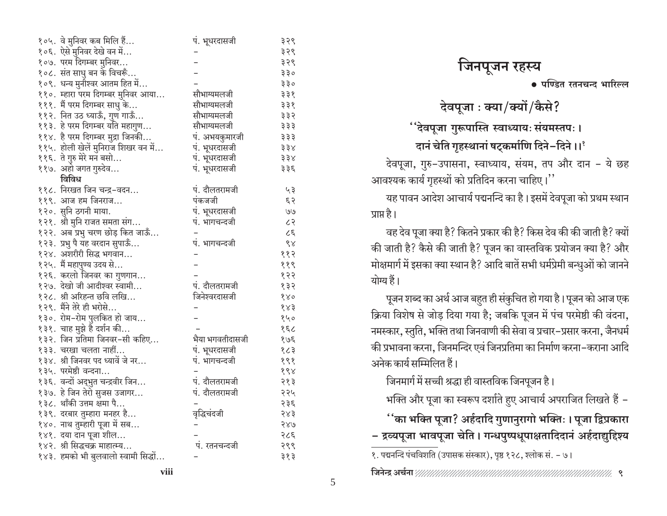| १०५. वे मुनिवर कब मिलि हैं               | पं. भूधरदासजी   | ३२९              |
|------------------------------------------|-----------------|------------------|
| १०६. ऐसे मुनिवर देखे वन में              |                 | ३२९              |
| १०७. परम दिगम्बर मुनिवर                  |                 | ३२९              |
| १०८. संत साधु बन के विचरूँ               |                 | ३३०              |
| १०९. धन्य मुनीश्वर आतम हित में           |                 | ३३०              |
| ११०. म्हारा परम दिगम्बर मुनिवर आया       | सौभाग्यमलजी     | ३३१              |
| १११. मैं परम दिगम्बर साधु के             | सौभाग्यमलजी     | ३३१              |
| ११२. नित उठ ध्याऊँ, गुण गाऊँ             | सौभाग्यमलजी     | ३३२              |
| ११३. हे परम दिगम्बर यति महागुण           | सौभाग्यमलजी     | ३३३              |
| ११४. है परम दिगम्बर मुद्रा जिनकी         | प. अभयकुमारजी   | ३३३              |
| .<br>११५. होली खेलें मुनिराज शिखर वन में | पं. भूधरदासजी   | ३३४              |
| ११६. ते गुरु मेरे मन बसो                 | पं. भूधरदासजी   | ३३४              |
| ११७. अहो जगत गुरुदेव                     | पं. भूधरदासजी   | ३३६              |
| विविध                                    |                 |                  |
| ११८. निरखत जिन चन्द्र-वदन                | पं. दौलतरामजी   | ५३               |
| ११९. आज हम जिनराज                        | पंकजजी          | ६२               |
| १२०. सुनि ठगनी माया.                     | पं. भूधरदासजी   | U                |
| १२१. श्री मुनि राजत समता संग             | पं. भागचन्दजी   | 55               |
| १२२. अब प्रभु चरण छोड़ कित जाऊँ          |                 | 35               |
| १२३. प्रभु पै यह वरदान सुपाऊँ            | पं. भागचन्दजी   | $\delta \lambda$ |
| १२४. अशरीरी सिद्ध भगवान                  |                 | ११२              |
| १२५. मैं महापुण्य उदय से                 |                 | ११९              |
| १२६. करलो जिनवर का गुणगान                |                 | १२२              |
| १२७. देखो जी आदीश्वर स्वामी              | पं. दौलतरामजी   | १३२              |
| १२८. श्री अरिहन्त छवि लखि                | जिनेश्वरदासजी   | 880              |
| १२९. मैंने तेरे ही भरोसे                 |                 | 883              |
| १३०. रोम-रोम पुलकित हो जाय               |                 | १५०              |
| १३१. चाह मुझे है दर्शन की                |                 | 38               |
| १३२. जिन प्रतिमा जिनवर-सी कहिए           | भैया भगवतीदासजी | १७६              |
| १३३. चरखा चलता नाहीं                     | पं. भूधरदासजी   | १८३              |
| १३४. श्री जिनवर पद ध्यावें जे नर         | पं. भागचन्दजी   | १९१              |
| १३५. परमेष्ठी वन्दना                     |                 | 688              |
| १३६. वन्दों अद्भुत चन्द्रवीर जिन         | पं. दौलतरामजी   | २१३              |
| १३७. हे जिन तेरो सुजस उजागर              | पं. दौलतरामजी   | २२५              |
| १३८. थॉंकी उत्तम क्षमा पै                |                 | २३६              |
| १३९. दरबार तुम्हारा मनहर है              | वृद्धिचंदजी     | २४३              |
| १४०. नाथ तुम्हारी पूजा में सब            |                 | २४७              |
| १४१. दया दान पूजा शील                    |                 | २८६              |
| १४२. श्री सिद्धचक्र माहात्म्य            | पं. रतनचन्दजी   | २९९              |
| १४३. हमको भी बुलवालो स्वामी सिद्धों      |                 | ३१३              |

• पण्डित रतनचन्द भारिल्ल

देवपूजा : क्या/क्यों/कैसे?

''देवपूजा गुरूपास्ति स्वाध्यायः संयमस्तपः ।

दानं चेति गृहस्थानां षट्कर्माणि दिने-दिने ।।'

देवपूजा, गुरु-उपासना, स्वाध्याय, संयम, तप और दान - ये छह आवश्यक कार्य गृहस्थों को प्रतिदिन करना चाहिए।''

यह पावन आदेश आचार्य पद्मनन्दि का है। इसमें देवपूजा को प्रथम स्थान प्राप्त है ।

वह देव पूजा क्या है? कितने प्रकार की है? किस देव की की जाती है? क्यों की जाती है? कैसे की जाती है? पूजन का वास्तविक प्रयोजन क्या है? और मोक्षमार्ग में इसका क्या स्थान है? आदि बातें सभी धर्मप्रेमी बन्धुओं को जानने योग्य हैं।

पूजन शब्द का अर्थ आज बहत ही संकुचित हो गया है। पूजन को आज एक क्रिया विशेष से जोड़ दिया गया है; जबकि पूजन में पंच परमेष्ठी की वंदना, नमस्कार, स्तुति, भक्ति तथा जिनवाणी की सेवा व प्रचार-प्रसार करना, जैनधर्म की प्रभावना करना. जिनमन्दिर एवं जिनप्रतिमा का निर्माण करना-कराना आदि अनेक कार्य सम्मिलित हैं।

जिनमार्ग में सच्ची श्रद्धा ही वास्तविक जिनपूजन है।

भक्ति और पूजा का स्वरूप दर्शाते हुए आचार्य अपराजित लिखते हैं -

र्'का भक्ति पूजा? अर्हदादि गुणानुरागो भक्तिः । पूजा द्विप्रकारा – द्रव्यपूजा भावपूजा चेति । गन्धपुष्पधूपाक्षतादिदानं अर्हदाद्युद्दिश्य

१. पद्मनन्दि पंचविशति (उपासक संस्कार), पृष्ठ १२८, श्लोक सं. – ७।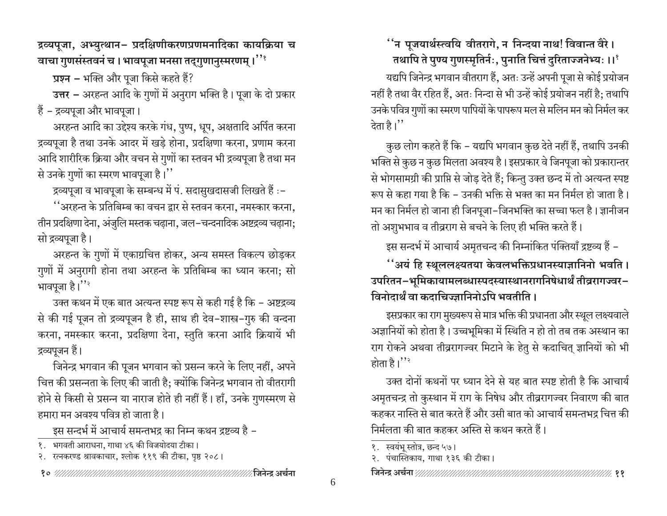द्रव्यपूजा, अभ्युत्थान– प्रदक्षिणीकरणप्रणमनादिका कायक्रिया च वाचा गुणसंस्तवनं च । भावपूजा मनसा तद्गुणानुस्मरणम् ।''

प्रश्न – भक्ति और पूजा किसे कहते हैं?

उत्तर – अरहन्त आदि के गुणों में अनुराग भक्ति है। पूजा के दो प्रकार हैं - द्रव्यपूजा और भावपूजा।

अरहन्त आदि का उद्देश्य करके गंध, पुष्प, धूप, अक्षतादि अर्पित करना द्रव्यपूजा है तथा उनके आदर में खडे होना, प्रदक्षिणा करना, प्रणाम करना आदि शारीरिक क्रिया और वचन से गुणों का स्तवन भी द्रव्यपूजा है तथा मन से उनके गुणों का स्मरण भावपूजा है।''

द्रव्यपूजा व भावपूजा के सम्बन्ध में पं. सदासुखदासजी लिखते हैं :-

''अरहन्त के प्रतिबिम्ब का वचन द्वार से स्तवन करना, नमस्कार करना, तीन प्रदक्षिणा देना, अंजुलि मस्तक चढ़ाना, जल–चन्दनादिक अष्टद्रव्य चढ़ाना; सो द्रव्यपूजा है।

अरहन्त के गुणों में एकाग्रचित्त होकर, अन्य समस्त विकल्प छोड़कर गुणों में अनुरागी होना तथा अरहन्त के प्रतिबिम्ब का ध्यान करना; सो भावपूजा है।''

उक्त कथन में एक बात अत्यन्त स्पष्ट रूप से कही गई है कि – अष्टद्रव्य से की गई पूजन तो द्रव्यपूजन है ही, साथ ही देव-शास्त्र-गुरु की वन्दना करना, नमस्कार करना, प्रदक्षिणा देना, स्तुति करना आदि क्रियायें भी द्रव्यपूजन हैं।

जिनेन्द्र भगवान की पूजन भगवान को प्रसन्न करने के लिए नहीं, अपने चित्त की प्रसन्नता के लिए की जाती है; क्योंकि जिनेन्द्र भगवान तो वीतरागी होने से किसी से प्रसन्न या नाराज होते ही नहीं हैं। हाँ, उनके गुणस्मरण से हमारा मन अवश्य पवित्र हो जाता है।

इस सन्दर्भ में आचार्य समन्तभद्र का निम्न कथन द्रष्टव्य है –

- १. भगवती आराधना, गाथा ४६ की विजयोदया टीका।
- २. रत्नकरण्ड श्रावकाचार, श्लोक ११९ की टीका, पृष्ठ २०८।

र्''न पूजयार्थस्त्वयि वीतरागे, न निन्दया नाथ! विवान्त वैरे। तथापि ते पुण्य गुणस्मृतिर्नः, पुनाति चित्तं दुरिताज्जनेभ्यः ।।'

यद्यपि जिनेन्द्र भगवान वीतराग हैं, अतः उन्हें अपनी पूजा से कोई प्रयोजन नहीं है तथा वैर रहित हैं, अतः निन्दा से भी उन्हें कोई प्रयोजन नहीं है; तथापि उनके पवित्र गुणों का स्मरण पापियों के पापरूप मल से मलिन मन को निर्मल कर देता है।''

कुछ लोग कहते हैं कि - यद्यपि भगवान कुछ देते नहीं हैं, तथापि उनकी भक्ति से कुछ न कुछ मिलता अवश्य है। इसप्रकार वे जिनपूजा को प्रकारान्तर से भोगसामग्री की प्राप्ति से जोड़ देते हैं; किन्तु उक्त छन्द में तो अत्यन्त स्पष्ट रूप से कहा गया है कि – उनकी भक्ति से भक्त का मन निर्मल हो जाता है। मन का निर्मल हो जाना ही जिनपूजा-जिनभक्ति का सच्चा फल है। ज्ञानीजन तो अशुभभाव व तीव्रराग से बचने के लिए ही भक्ति करते हैं।

इस सन्दर्भ में आचार्य अमृतचन्द की निम्नांकित पंक्तियाँ द्रष्टव्य हैं –

''अयं हि स्थूललक्ष्यतया केवलभक्तिप्रधानस्याज्ञानिनो भवति । उपरितन–भूमिकायामलब्धास्पदस्यास्थानरागनिषेधार्थं तीव्ररागज्वर– विनोदार्थं वा कदाचिज्ज्ञानिनोऽपि भवतीति ।

इसप्रकार का राग मुख्यरूप से मात्र भक्ति की प्रधानता और स्थूल लक्ष्यवाले अज्ञानियों को होता है। उच्चभूमिका में स्थिति न हो तो तब तक अस्थान का राग रोकने अथवा तीव्ररागज्वर मिटाने के हेतु से कदाचित् ज्ञानियों को भी होता है। $"$ 

उक्त दोनों कथनों पर ध्यान देने से यह बात स्पष्ट होती है कि आचार्य अमृतचन्द्र तो कुस्थान में राग के निषेध और तीव्ररागज्वर निवारण की बात कहकर नास्ति से बात करते हैं और उसी बात को आचार्य समन्तभद्र चित्त की निर्मलता की बात कहकर अस्ति से कथन करते हैं।

१. स्वयंभू स्तोत्र, छन्द ५७।

२. पंचास्तिकाय, गाथा १३६ की टीका।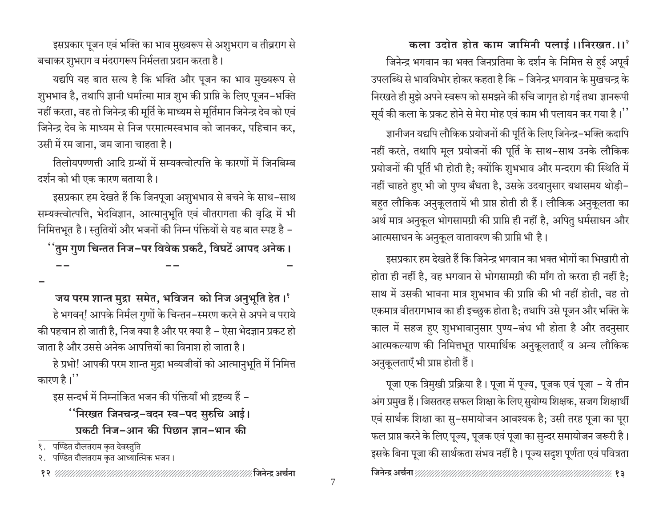कला उदोत होत काम जामिनी पलाई।।निरखत.।।<sup>२</sup> जिनेन्द्र भगवान का भक्त जिनप्रतिमा के दर्शन के निमित्त से हुई अपूर्व उपलब्धि से भावविभोर होकर कहता है कि – जिनेन्द्र भगवान के मुखचन्द्र के निरखते ही मुझे अपने स्वरूप को समझने की रुचि जागृत हो गई तथा ज्ञानरूपी सूर्य की कला के प्रकट होने से मेरा मोह एवं काम भी पलायन कर गया है।''

ज्ञानीजन यद्यपि लौकिक प्रयोजनों की पूर्ति के लिए जिनेन्द्र–भक्ति कदापि नहीं करते, तथापि मूल प्रयोजनों की पूर्ति के साथ-साथ उनके लौकिक प्रयोजनों की पूर्ति भी होती है; क्योंकि शुभभाव और मन्दराग की स्थिति में नहीं चाहते हुए भी जो पुण्य बँधता है, उसके उदयानुसार यथासमय थोड़ी-बहुत लौकिक अनुकूलतायें भी प्राप्त होती ही हैं। लौकिक अनुकूलता का अर्थ मात्र अनुकूल भोगसामग्री की प्राप्ति ही नहीं है, अपितु धर्मसाधन और आत्मसाधन के अनुकूल वातावरण की प्राप्ति भी है।

इसप्रकार हम देखते हैं कि जिनेन्द्र भगवान का भक्त भोगों का भिखारी तो होता ही नहीं है, वह भगवान से भोगसामग्री की माँग तो करता ही नहीं है; साथ में उसकी भावना मात्र शुभभाव की प्राप्ति की भी नहीं होती, वह तो एकमात्र वीतरागभाव का ही इच्छुक होता है; तथापि उसे पूजन और भक्ति के काल में सहज हुए शुभभावानुसार पुण्य-बंध भी होता है और तदनुसार आत्मकल्याण की निमित्तभूत पारमार्थिक अनुकूलताएँ व अन्य लौकिक अनुकूलताएँ भी प्राप्त होती हैं।

पूजा एक त्रिमुखी प्रक्रिया है। पूजा में पूज्य, पूजक एवं पूजा - ये तीन अंग प्रमुख हैं। जिसतरह सफल शिक्षा के लिए सुयोग्य शिक्षक, सजग शिक्षार्थी एवं सार्थक शिक्षा का सु–समायोजन आवश्यक है; उसी तरह पूजा का पूरा फल प्राप्त करने के लिए पूज्य, पूजक एवं पूजा का सुन्दर समायोजन जरूरी है। इसके बिना पूजा की सार्थकता संभव नहीं है। पूज्य सदृश पूर्णता एवं पवित्रता

इसप्रकार पूजन एवं भक्ति का भाव मुख्यरूप से अशुभराग व तीव्रराग से बचाकर शुभराग व मंदरागरूप निर्मलता प्रदान करता है।

यद्यपि यह बात सत्य है कि भक्ति और पूजन का भाव मुख्यरूप से शुभभाव है, तथापि ज्ञानी धर्मात्मा मात्र शुभ की प्राप्ति के लिए पूजन–भक्ति नहीं करता, वह तो जिनेन्द्र की मूर्ति के माध्यम से मूर्तिमान जिनेन्द्र देव को एवं जिनेन्द्र देव के माध्यम से निज परमात्मस्वभाव को जानकर, पहिचान कर, उसी में रम जाना, जम जाना चाहता है।

तिलोयपण्णत्ती आदि ग्रन्थों में सम्यक्त्वोत्पत्ति के कारणों में जिनबिम्ब दर्शन को भी एक कारण बताया है।

इसप्रकार हम देखते हैं कि जिनपूजा अशुभभाव से बचने के साथ-साथ सम्यक्त्वोत्पत्ति, भेदविज्ञान, आत्मानुभूति एवं वीतरागता की वृद्धि में भी निमित्तभूत है। स्तुतियों और भजनों की निम्न पंक्तियों से यह बात स्पष्ट है -''तुम गुण चिन्तत निज-पर विवेक प्रकटै, विघटें आपद अनेक।

जय परम शान्त मुद्रा समेत, भविजन को निज अनुभूति हेत।<sup>१</sup>

हे भगवन्! आपके निर्मल गुणों के चिन्तन-स्मरण करने से अपने व पराये की पहचान हो जाती है, निज क्या है और पर क्या है – ऐसा भेदज्ञान प्रकट हो जाता है और उससे अनेक आपत्तियों का विनाश हो जाता है।

हे प्रभो! आपकी परम शान्त मुद्रा भव्यजीवों को आत्मानुभूति में निमित्त कारण है।''

इस सन्दर्भ में निम्नांकित भजन की पंक्तियाँ भी द्रष्टव्य हैं –

''निरखत जिनचन्द्र−वदन स्व−पद सुरुचि आई। प्रकटी निज-आन की पिछान ज्ञान-भान की

१. पण्डित दौलतराम कृत देवस्तुति

२. पण्डित दौलतराम कृत आध्यात्मिक भजन।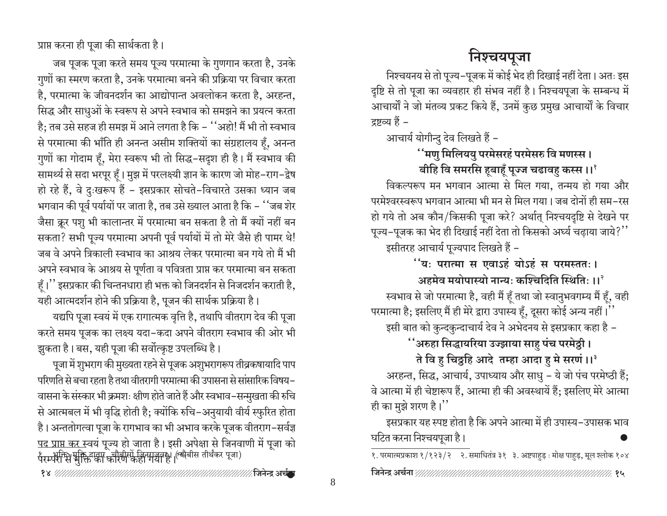प्राप्त करना ही पूजा की सार्थकता है।

जब पूजक पूजा करते समय पूज्य परमात्मा के गुणगान करता है, उनके गुणों का स्मरण करता है, उनके परमात्मा बनने की प्रक्रिया पर विचार करता है, परमात्मा के जीवनदर्शन का आद्योपान्त अवलोकन करता है, अरहन्त, सिद्ध और साधुओं के स्वरूप से अपने स्वभाव को समझने का प्रयत्न करता है: तब उसे सहज ही समझ में आने लगता है कि – ''अहो! मैं भी तो स्वभाव से परमात्मा की भाँति ही अनन्त असीम शक्तियों का संग्रहालय हैं, अनन्त गुणों का गोदाम हँ, मेरा स्वरूप भी तो सिद्ध-सदृश ही है। मैं स्वभाव की सामर्थ्य से सदा भरपूर हूँ। मुझ में परलक्ष्यी ज्ञान के कारण जो मोह–राग–द्वेष हो रहे हैं, वे दुःखरूप हैं - इसप्रकार सोचते-विचारते उसका ध्यान जब भगवान की पूर्व पर्यायों पर जाता है, तब उसे ख्याल आता है कि - ''जब शेर जैसा क्रूर पशु भी कालान्तर में परमात्मा बन सकता है तो मैं क्यों नहीं बन सकता? सभी पूज्य परमात्मा अपनी पूर्व पर्यायों में तो मेरे जैसे ही पामर थे! जब वे अपने त्रिकाली स्वभाव का आश्रय लेकर परमात्मा बन गये तो मैं भी अपने स्वभाव के आश्रय से पूर्णता व पवित्रता प्राप्त कर परमात्मा बन सकता हँ।'' इसप्रकार की चिन्तनधारा ही भक्त को जिनदर्शन से निजदर्शन कराती है, यही आत्मदर्शन होने की प्रक्रिया है, पूजन की सार्थक प्रक्रिया है।

यद्यपि पूजा स्वयं में एक रागात्मक वृत्ति है, तथापि वीतराग देव की पूजा करते समय पूजक का लक्ष्य यदा–कदा अपने वीतराग स्वभाव की ओर भी झुकता है। बस, यही पूजा की सर्वोत्कृष्ट उपलब्धि है।

पूजा में शुभराग की मुख्यता रहने से पूजक अशुभरागरूप तीव्रकषायादि पाप परिणति से बचा रहता है तथा वीतरागी परमात्मा की उपासना से सांसारिक विषय– वासना के संस्कार भी क्रमशः क्षीण होते जाते हैं और स्वभाव-सन्मुखता की रुचि से आत्मबल में भी वृद्धि होती है; क्योंकि रुचि–अनुयायी वीर्य स्फुरित होता है। अन्ततोगत्वा पूजा के रागभाव का भी अभाव करके पूजक वीतराग-सर्वज्ञ पद प्राप्त कर स्वयं पूज्य हो जाता है। इसी अपेक्षा से जिनवाणी में पूजा को पैरम्पैरिमि सुक्तियुक्ता कोरण कहा मञ्चलको (स्वोनास तीर्थंकर पूजा)

# निश्चयपूजा

निश्चयनय से तो पूज्य–पूजक में कोई भेद ही दिखाई नहीं देता। अतः इस दृष्टि से तो पूजा का व्यवहार ही संभव नहीं है। निश्चयपूजा के सम्बन्ध में आचार्यों ने जो मंतव्य प्रकट किये हैं, उनमें कुछ प्रमुख आचार्यों के विचार द्रष्टव्य हैं –

आचार्य योगीन्दु देव लिखते हैं -

### ''मणु मिलिययु परमेसरहं परमेसरु वि मणस्स । बीहि वि समरसि हूबाहूँ पूज्ज चढावहु कस्स ।।<sup>१</sup>

विकल्परूप मन भगवान आत्मा से मिल गया, तन्मय हो गया और परमेश्वरस्वरूप भगवान आत्मा भी मन से मिल गया। जब दोनों ही सम-रस हो गये तो अब कौन/किसकी पूजा करे? अर्थात् निश्चयदृष्टि से देखने पर पूज्य-पूजक का भेद ही दिखाई नहीं देता तो किसको अर्घ्य चढ़ाया जाये?'' इसीतरह आचार्य पूज्यपाद लिखते हैं -

र्''यः परात्मा स एवाऽहं योऽहं स परमस्ततः ।

अहमेव मयोपास्यो नान्यः कश्चिदिति स्थितिः ।। $^3$ 

स्वभाव से जो परमात्मा है, वही मैं हूँ तथा जो स्वानुभवगम्य मैं हूँ, वही

परमात्मा है; इसलिए मैं ही मेरे द्वारा उपास्य हूँ, दूसरा कोई अन्य नहीं।''

इसी बात को कुन्दकुन्दाचार्य देव ने अभेदनय से इसप्रकार कहा है –

**''अरुहा सिद्धायरिया उज्झाया साहु पंच पर**मेठ्ठी ।

ते वि हु चिठ्ठहि आदे तम्हा आदा हु मे सरणं ।।<sup>३</sup>

अरहन्त, सिद्ध, आचार्य, उपाध्याय और साधु - ये जो पंच परमेष्ठी हैं; वे आत्मा में ही चेष्टारूप हैं, आत्मा ही की अवस्थायें हैं; इसलिए मेरे आत्मा ही का मुझे शरण है।''

इसप्रकार यह स्पष्ट होता है कि अपने आत्मा में ही उपास्य-उपासक भाव घटित करना निश्चयपूजा है।

१. परमात्मप्रकाश १/१२३/२ २. समाधितंत्र ३१ ३. अष्टपाहुड़ : मोक्ष पाहुड़, मूल श्लोक १०४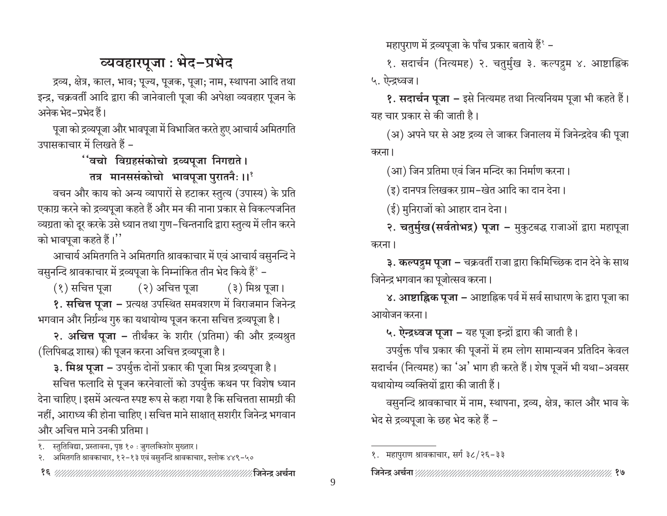# व्यवहारपूजा : भेद-प्रभेद

द्रव्य, क्षेत्र, काल, भाव; पूज्य, पूजक, पूजा; नाम, स्थापना आदि तथा इन्द्र, चक्रवर्ती आदि द्वारा की जानेवाली पूजा की अपेक्षा व्यवहार पूजन के अनेक भेद–प्रभेद हैं।

पूजा को द्रव्यपूजा और भावपूजा में विभाजित करते हुए आचार्य अमितगति उपासकाचार में लिखते हैं –

''वचो विग्रहसंकोचो द्रव्यपूजा निगद्यते ।

तत्र मानससंकोचो भावपूजा पुरातनैः ।।'

वचन और काय को अन्य व्यापारों से हटाकर स्तुत्य (उपास्य) के प्रति एकाग्र करने को द्रव्यपूजा कहते हैं और मन की नाना प्रकार से विकल्पजनित व्यग्रता को दूर करके उसे ध्यान तथा गुण-चिन्तनादि द्वारा स्तुत्य में लीन करने को भावपूजा कहते हैं।''

आचार्य अमितगति ने अमितगति श्रावकाचार में एवं आचार्य वसुनन्दि ने वसुनन्दि श्रावकाचार में द्रव्यपूजा के निम्नांकित तीन भेद किये हैं<sup>?</sup> –

(१) सचित्त पूजा (२) अचित्त पूजा ( ३) मिश्र पूजा।

१. सचित्त पूजा – प्रत्यक्ष उपस्थित समवशरण में विराजमान जिनेन्द्र भगवान और निर्ग्रन्थ गुरु का यथायोग्य पूजन करना सचित्त द्रव्यपूजा है।

२. अचित्त पूजा – तीर्थंकर के शरीर (प्रतिमा) की और द्रव्यश्रुत (लिपिबद्ध शास्त्र) की पूजन करना अचित्त द्रव्यपूजा है।

३. मिश्र पूजा – उपर्युक्त दोनों प्रकार की पूजा मिश्र द्रव्यपूजा है। सचित्त फलादि से पूजन करनेवालों को उपर्युक्त कथन पर विशेष ध्यान देना चाहिए। इसमें अत्यन्त स्पष्ट रूप से कहा गया है कि सचित्तता सामग्री की नहीं, आराध्य की होना चाहिए। सचित्त माने साक्षात् सशरीर जिनेन्द्र भगवान और अचित्त माने उनकी प्रतिमा ।

१. स्तुतिविद्या, प्रस्तावना, पृष्ठ १० : जुगलकिशोर मुख्तार।

महापुराण में द्रव्यपूजा के पाँच प्रकार बताये हैं $^8$  –

१. सदार्चन (नित्यमह) २. चतुर्मुख ३. कल्पद्रुम ४. आष्टाह्निक ५. ऐन्द्रध्वज।

१. सदार्चन पूजा – इसे नित्यमह तथा नित्यनियम पूजा भी कहते हैं। यह चार प्रकार से की जाती है।

(अ) अपने घर से अष्ट द्रव्य ले जाकर जिनालय में जिनेन्द्रदेव की पूजा करना।

(आ) जिन प्रतिमा एवं जिन मन्दिर का निर्माण करना।

(इ) दानपत्र लिखकर ग्राम-खेत आदि का दान देना।

(ई) मुनिराजों को आहार दान देना।

२. चतुर्मुख (सर्वतोभद्र) पूजा - मुकुटबद्ध राजाओं द्वारा महापूजा करना।

३. कल्पद्रम पूजा – चक्रवर्ती राजा द्वारा किमिच्छिक दान देने के साथ जिनेन्द्र भगवान का पूजोत्सव करना।

४. आष्टाह्निक पूजा – आष्टाह्निक पर्व में सर्व साधारण के द्वारा पूजा का आयोजन करना।

५. ऐन्द्रध्वज पूजा – यह पूजा इन्द्रों द्वारा की जाती है।

उपर्युक्त पाँच प्रकार की पूजनों में हम लोग सामान्यजन प्रतिदिन केवल सदार्चन (नित्यमह) का 'अ' भाग ही करते हैं। शेष पूजनें भी यथा-अवसर यथायोग्य व्यक्तियों द्वारा की जाती हैं।

वसुनन्दि श्रावकाचार में नाम, स्थापना, द्रव्य, क्षेत्र, काल और भाव के भेद से द्रव्यपूजा के छह भेद कहे हैं –

२. अमितगति श्रावकाचार, १२-१३ एवं वसुनन्दि श्रावकाचार, श्लोक ४४९-५०

१. महापुराण श्रावकाचार, सर्ग ३८/२६-३३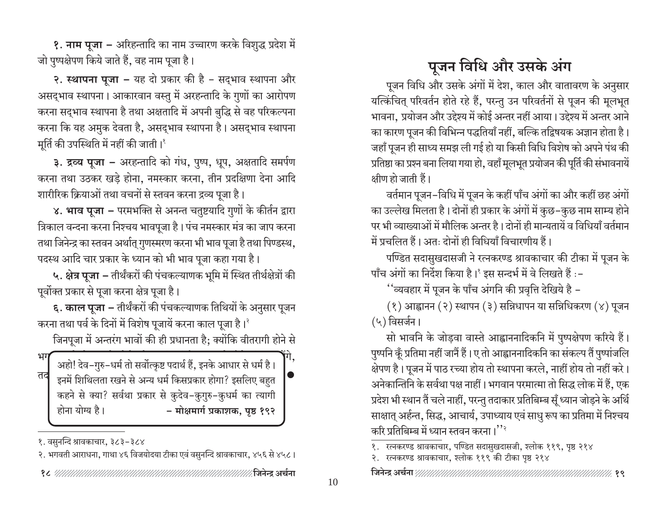<mark>१. नाम पूजा</mark> – अरिहन्तादि का नाम उच्चारण करके विशुद्ध प्रदेश में जो पुष्पक्षेपण किये जाते हैं, वह नाम पूजा है।

२. स्थापना पूजा – यह दो प्रकार की है – सद्भाव स्थापना और असद्भाव स्थापना। आकारवान वस्तु में अरहन्तादि के गुणों का आरोपण करना सद्भाव स्थापना है तथा अक्षतादि में अपनी बुद्धि से वह परिकल्पना करना कि यह अमुक देवता है, असद्भाव स्थापना है। असद्भाव स्थापना मूर्ति की उपस्थिति में नहीं की जाती।<sup>१</sup>

३. द्रव्य पूजा - अरहन्तादि को गंध, पुष्प, धूप, अक्षतादि समर्पण करना तथा उठकर खड़े होना, नमस्कार करना, तीन प्रदक्षिणा देना आदि शारीरिक क्रियाओं तथा वचनों से स्तवन करना द्रव्य पूजा है।

४. भाव पूजा – परमभक्ति से अनन्त चतुष्टयादि गुणों के कीर्तन द्वारा त्रिकाल वन्दना करना निश्चय भावपूजा है। पंच नमस्कार मंत्र का जाप करना तथा जिनेन्द्र का स्तवन अर्थात् गुणस्मरण करना भी भाव पूजा है तथा पिण्डस्थ, पदस्थ आदि चार प्रकार के ध्यान को भी भाव पूजा कहा गया है।

५. क्षेत्र पूजा – तीर्थंकरों की पंचकल्याणक भूमि में स्थित तीर्थक्षेत्रों की पूर्वोक्त प्रकार से पूजा करना क्षेत्र पूजा है।

६. काल पूजा – तीर्थंकरों की पंचकल्याणक तिथियों के अनुसार पूजन करना तथा पर्व के दिनों में विशेष पूजायें करना काल पूजा है।<sup>2</sup>

जिनपूजा में अन्तरंग भावों की ही प्रधानता है; क्योंकि वीतरागी होने से

भग अहो! देव-गुरु-धर्म तो सर्वोत्कृष्ट पदार्थ हैं, इनके आधार से धर्म है। तद इनमें शिथिलता रखने से अन्य धर्म किसप्रकार होगा? इसलिए बहुत कहने से क्या? सर्वथा प्रकार से कुदेव-कुगुरु-कुधर्म का त्यागी होना योग्य है। - मोक्षमार्ग प्रकाशक, पृष्ठ १९२

१. वसुनन्दि श्रावकाचार, ३८३-३८४

# पूजन विधि और उसके अंग

पूजन विधि और उसके अंगों में देश, काल और वातावरण के अनुसार यत्किंचित परिवर्तन होते रहे हैं. परन्तु उन परिवर्तनों से पूजन की मूलभूत भावना, प्रयोजन और उद्देश्य में कोई अन्तर नहीं आया। उद्देश्य में अन्तर आने का कारण पूजन की विभिन्न पद्धतियाँ नहीं, बल्कि तद्विषयक अज्ञान होता है। जहाँ पूजन ही साध्य समझ ली गई हो या किसी विधि विशेष को अपने पंथ की प्रतिष्ठा का प्रश्न बना लिया गया हो, वहाँ मूलभूत प्रयोजन की पूर्ति की संभावनायें क्षीण हो जाती हैं।

वर्तमान पूजन–विधि में पूजन के कहीं पाँच अंगों का और कहीं छह अंगों का उल्लेख मिलता है। दोनों ही प्रकार के अंगों में कुछ–कुछ नाम साम्य होने पर भी व्याख्याओं में मौलिक अन्तर है। दोनों ही मान्यतायें व विधियाँ वर्तमान में प्रचलित हैं। अतः दोनों ही विधियाँ विचारणीय हैं।

पण्डित सदासुखदासजी ने रत्नकरण्ड श्रावकाचार की टीका में पूजन के पाँच अंगों का निर्देश किया है।' इस सन्दर्भ में वे लिखते हैं :-

''व्यवहार में पूजन के पाँच अंगनि की प्रवृत्ति देखिये है –

(१) आह्वानन (२) स्थापन (३) सन्निधापन या सन्निधिकरण (४) पूजन (५) विसर्जन।

सो भावनि के जोड़वा वास्ते आह्वाननादिकनि में पुष्पक्षेपण करिये हैं। पुष्पनि कूँ प्रतिमा नहीं जानैं हैं। ए तो आह्वाननादिकनि का संकल्प तैं पुष्पांजलि क्षेपण है। पूजन में पाठ रच्या होय तो स्थापना करले, नाहीं होय तो नहीं करे। अनेकान्तिनि के सर्वथा पक्ष नाहीं। भगवान परमात्मा तो सिद्ध लोक में हैं, एक प्रदेश भी स्थान तैं चले नाहीं, परन्तु तदाकार प्रतिबिम्ब सूँ ध्यान जोड़ने के अर्थि साक्षात् अर्हन्त, सिद्ध, आचार्य, उपाध्याय एवं साधु रूप का प्रतिमा में निश्चय करि प्रतिबिम्ब में ध्यान स्तवन करना।''<sup>?</sup>

२. रत्नकरण्ड श्रावकाचार, श्लोक ११९ की टीका पृष्ठ २१४

२. भगवती आराधना, गाथा ४६ विजयोदया टीका एवं वसुनन्दि श्रावकाचार, ४५६ से ४५८।

१. रत्नकरण्ड श्रावकाचार, पण्डित सदासुखदासजी, श्लोक ११९, पृष्ठ २१४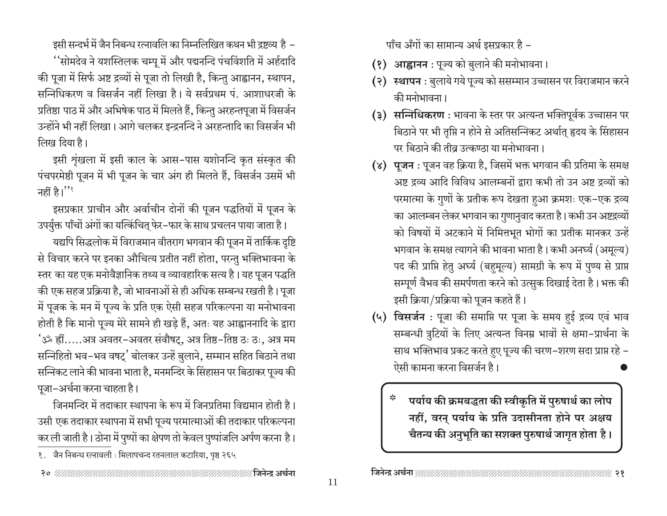इसी सन्दर्भ में जैन निबन्ध रत्नावलि का निम्नलिखित कथन भी द्रष्टव्य है – ''सोमदेव ने यशस्तिलक चम्पू में और पद्मनन्दि पंचविंशति में अर्हदादि की पूजा में सिर्फ अष्ट द्रव्यों से पूजा तो लिखी है, किन्तु आह्वानन, स्थापन, सन्निधिकरण व विसर्जन नहीं लिखा है। ये सर्वप्रथम पं. आशाधरजी के प्रतिष्ठा पाठ में और अभिषेक पाठ में मिलते हैं, किन्तु अरहन्तपूजा में विसर्जन उन्होंने भी नहीं लिखा। आगे चलकर इन्द्रनन्दि ने अरहन्तादि का विसर्जन भी लिख दिया है।

इसी शृंखला में इसी काल के आस-पास यशोनन्दि कृत संस्कृत की पंचपरमेष्ठी पूजन में भी पूजन के चार अंग ही मिलते हैं, विसर्जन उसमें भी नहीं है।''

इसप्रकार प्राचीन और अर्वाचीन दोनों की पूजन पद्धतियों में पूजन के उपर्युक्त पाँचों अंगों का यत्किंचित् फेर-फार के साथ प्रचलन पाया जाता है।

यद्यपि सिद्धलोक में विराजमान वीतराग भगवान की पूजन में तार्किक दृष्टि से विचार करने पर इनका औचित्य प्रतीत नहीं होता, परन्तु भक्तिभावना के स्तर का यह एक मनोवैज्ञानिक तथ्य व व्यावहारिक सत्य है। यह पूजन पद्धति की एक सहज प्रक्रिया है, जो भावनाओं से ही अधिक सम्बन्ध रखती है। पूजा में पूजक के मन में पूज्य के प्रति एक ऐसी सहज परिकल्पना या मनोभावना होती है कि मानो पूज्य मेरे सामने ही खड़े हैं, अतः यह आह्वाननादि के द्वारा 'ॐ ह्रीं.....अत्र अवतर-अवतर संवौषट्, अत्र तिष्ठ-तिष्ठ ठः ठः, अत्र मम सन्निहितो भव–भव वषट्' बोलकर उन्हें बुलाने, सम्मान सहित बिठाने तथा सन्निकट लाने की भावना भाता है, मनमन्दिर के सिंहासन पर बिठाकर पूज्य की पूजा-अर्चना करना चाहता है।

जिनमन्दिर में तदाकार स्थापना के रूप में जिनप्रतिमा विद्यमान होती है। उसी एक तदाकार स्थापना में सभी पूज्य परमात्माओं की तदाकार परिकल्पना कर ली जाती है। ठोना में पुष्पों का क्षेपण तो केवल पुष्पांजलि अर्पण करना है। पाँच अँगों का सामान्य अर्थ इसप्रकार है -

- (१) आह्वानन : पूज्य को बुलाने की मनोभावना।
- (२) स्थापन : बुलाये गये पूज्य को ससम्मान उच्चासन पर विराजमान करने की मनोभावना ।
- (३) सन्निधिकरण : भावना के स्तर पर अत्यन्त भक्तिपूर्वक उच्चासन पर बिठाने पर भी तृप्ति न होने से अतिसन्निकट अर्थात् हृदय के सिंहासन पर बिठाने की तीव्र उत्कण्ठा या मनोभावना ।
- (४) पूजन : पूजन वह क्रिया है, जिसमें भक्त भगवान की प्रतिमा के समक्ष अष्ट द्रव्य आदि विविध आलम्बनों द्वारा कभी तो उन अष्ट द्रव्यों को परमात्मा के गुणों के प्रतीक रूप देखता हुआ क्रमशः एक–एक द्रव्य का आलम्बन लेकर भगवान का गुणानुवाद करता है। कभी उन अष्टद्रव्यों को विषयों में अटकाने में निमित्तभूत भोगों का प्रतीक मानकर उन्हें भगवान के समक्ष त्यागने की भावना भाता है। कभी अनर्घ्य (अमूल्य) पद की प्राप्ति हेतु अर्घ्य (बहुमूल्य) सामग्री के रूप में पुण्य से प्राप्त सम्पूर्ण वैभव की समर्पणता करने को उत्सुक दिखाई देता है। भक्त की इसी क्रिया/प्रक्रिया को पूजन कहते हैं।
- (५) विसर्जन : पूजा की समाप्ति पर पूजा के समय हुई द्रव्य एवं भाव सम्बन्धी त्रुटियों के लिए अत्यन्त विनम्र भावों से क्षमा-प्रार्थना के साथ भक्तिभाव प्रकट करते हुए पूज्य की चरण-शरण सदा प्राप्त रहे -ऐसी कामना करना विसर्जन है।

पर्याय की क्रमबद्धता की स्वीकृति में पुरुषार्थ का लोप नहीं, वरन् पर्याय के प्रति उदासीनता होने पर अक्षय चैतन्य की अनुभूति का सशक्त पुरुषार्थ जागृत होता है।

१. जैन निबन्ध रत्नावली : मिलापचन्द रतनलाल कटारिया, पृष्ठ २६५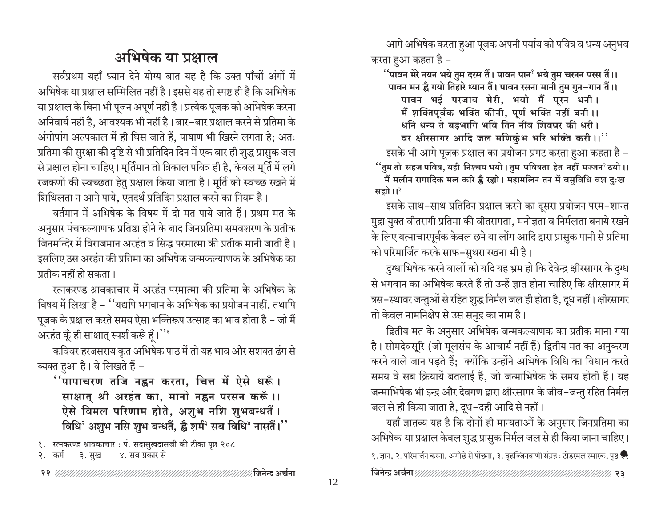आगे अभिषेक करता हुआ पूजक अपनी पर्याय को पवित्र व धन्य अनुभव करता हुआ कहता है –

र्'पावन मेरे नयन भये तुम दरस तैं। पावन पान' भये तुम चरनन परस तैं।। पावन मन ह्वै गयो तिहारे ध्यान तैं। पावन रसना मानी तुम गुन-गान तैं।।

पावन भई परजाय मेरी, भयो मैं पूरन धनी। मैं शक्तिपूर्वक भक्ति कीनी, पूर्ण भक्ति नहीं बनी ।। धनि धन्य ते बड़भागि भवि तिन नींव शिवघर की धरी। वर क्षीरसागर आदि जल मणिकुंभ भरि भक्ति करी।।''

इसके भी आगे पूजक प्रक्षाल का प्रयोजन प्रगट करता हुआ कहता है – <u>ं'तु</u>म तो सहज पवित्र, यही निश्चय भयो । तुम पवित्रता हेत नहीं मज्जन°ठयो ।। मैं मलीन रागादिक मल करि ह्वै रह्यो। महामलिन तन में वसुविधि वश दुःख सह्यो।।<sup>३</sup>

इसके साथ–साथ प्रतिदिन प्रक्षाल करने का दूसरा प्रयोजन परम–शान्त मुद्रा युक्त वीतरागी प्रतिमा की वीतरागता, मनोज्ञता व निर्मलता बनाये रखने के लिए यत्नाचारपूर्वक केवल छने या लोंग आदि द्वारा प्रासुक पानी से प्रतिमा को परिमार्जित करके साफ-सुथरा रखना भी है।

दुग्धाभिषेक करने वालों को यदि यह भ्रम हो कि देवेन्द्र क्षीरसागर के दुग्ध से भगवान का अभिषेक करते हैं तो उन्हें ज्ञात होना चाहिए कि क्षीरसागर में त्रस–स्थावर जन्तुओं से रहित शुद्ध निर्मल जल ही होता है, दूध नहीं। क्षीरसागर तो केवल नामनिक्षेप से उस समुद्र का नाम है।

द्वितीय मत के अनुसार अभिषेक जन्मकल्याणक का प्रतीक माना गया है। सोमदेवसूरि (जो मूलसंघ के आचार्य नहीं हैं) द्वितीय मत का अनुकरण करने वाले जान पड़ते हैं; क्योंकि उन्होंने अभिषेक विधि का विधान करते समय वे सब क्रियायें बतलाई हैं, जो जन्माभिषेक के समय होती हैं। यह जन्माभिषेक भी इन्द्र और देवगण द्वारा क्षीरसागर के जीव–जन्तु रहित निर्मल जल से ही किया जाता है, दूध-दही आदि से नहीं।

यहाँ ज्ञातव्य यह है कि दोनों ही मान्यताओं के अनुसार जिनप्रतिमा का अभिषेक या प्रक्षाल केवल शुद्ध प्रासुक निर्मल जल से ही किया जाना चाहिए। १. ज्ञान, २. परिमार्जन करना, अंगोछे से पोंछना, ३. वृहज्जिनवाणी संग्रह : टोडरमल स्मारक, पृष्ठ **स्रि** 

# अभिषेक या प्रक्षाल

सर्वप्रथम यहाँ ध्यान देने योग्य बात यह है कि उक्त पाँचों अंगों में अभिषेक या प्रक्षाल सम्मिलित नहीं है। इससे यह तो स्पष्ट ही है कि अभिषेक या प्रक्षाल के बिना भी पूजन अपूर्ण नहीं है। प्रत्येक पूजक को अभिषेक करना अनिवार्य नहीं है, आवश्यक भी नहीं है। बार-बार प्रक्षाल करने से प्रतिमा के अंगोपांग अल्पकाल में ही घिस जाते हैं, पाषाण भी खिरने लगता है; अतः प्रतिमा की सुरक्षा की दृष्टि से भी प्रतिदिन दिन में एक बार ही शुद्ध प्रासुक जल से प्रक्षाल होना चाहिए। मूर्तिमान तो त्रिकाल पवित्र ही है. केवल मूर्ति में लगे रजकणों की स्वच्छता हेतु प्रक्षाल किया जाता है। मूर्ति को स्वच्छ रखने में शिथिलता न आने पाये, एतदर्थ प्रतिदिन प्रक्षाल करने का नियम है।

वर्तमान में अभिषेक के विषय में दो मत पाये जाते हैं। प्रथम मत के अनुसार पंचकल्याणक प्रतिष्ठा होने के बाद जिनप्रतिमा समवशरण के प्रतीक जिनमन्दिर में विराजमान अरहंत व सिद्ध परमात्मा की प्रतीक मानी जाती है। इसलिए उस अरहंत की प्रतिमा का अभिषेक जन्मकल्याणक के अभिषेक का प्रतीक नहीं हो सकता।

रत्नकरण्ड श्रावकाचार में अरहंत परमात्मा की प्रतिमा के अभिषेक के विषय में लिखा है – ''यद्यपि भगवान के अभिषेक का प्रयोजन नाहीं, तथापि पूजक के प्रक्षाल करते समय ऐसा भक्तिरूप उत्साह का भाव होता है – जो मैं अरहंत कूँ ही साक्षात् स्पर्श करूँ हूँ।''

कविवर हरजसराय कृत अभिषेक पाठ में तो यह भाव और सशक्त ढंग से व्यक्त हुआ है। वे लिखते हैं -

र्'पापाचरण तजि नह्वन करता, चित्त में ऐसे धरूँ । साक्षात् श्री अरहंत का, मानो नह्वन परसन करूँ।। ऐसे विमल परिणाम होते, अशुभ नशि शुभबन्धतैं। विधि<sup>र</sup> अशुभ नसि शुभ बन्धतैं, ह्वै शर्मं<sup>३</sup> सब विधि<sup>४</sup> नासतैं।''

१. रत्नकरण्ड श्रावकाचार : पं. सदासुखदासजी की टीका पृष्ठ २०८

२. कर्म ३.सुख ४. सब प्रकार से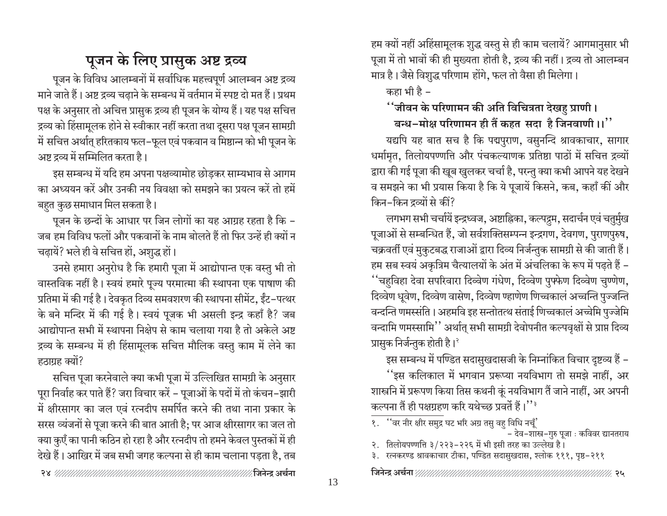# पूजन के लिए प्रासुक अष्ट द्रव्य

पूजन के विविध आलम्बनों में सर्वाधिक महत्त्वपूर्ण आलम्बन अष्ट द्रव्य माने जाते हैं। अष्ट द्रव्य चढाने के सम्बन्ध में वर्तमान में स्पष्ट दो मत हैं। प्रथम पक्ष के अनुसार तो अचित्त प्रासुक द्रव्य ही पूजन के योग्य हैं। यह पक्ष सचित्त द्रव्य को हिंसामूलक होने से स्वीकार नहीं करता तथा दूसरा पक्ष पूजन सामग्री में सचित्त अर्थात् हरितकाय फल-फूल एवं पकवान व मिष्ठान्न को भी पूजन के अष्ट द्रव्य में सम्मिलित करता है।

इस सम्बन्ध में यदि हम अपना पक्षव्यामोह छोड़कर साम्यभाव से आगम का अध्ययन करें और उनकी नय विवक्षा को समझने का प्रयत्न करें तो हमें बहुत कुछ समाधान मिल सकता है।

पूजन के छन्दों के आधार पर जिन लोगों का यह आग्रह रहता है कि – जब हम विविध फलों और पकवानों के नाम बोलते हैं तो फिर उन्हें ही क्यों न चढायें? भले ही वे सचित्त हों, अशुद्ध हों।

उनसे हमारा अनुरोध है कि हमारी पूजा में आद्योपान्त एक वस्तु भी तो वास्तविक नहीं है। स्वयं हमारे पुज्य परमात्मा की स्थापना एक पाषाण की प्रतिमा में की गई है। देवकृत दिव्य समवशरण की स्थापना सीमेंट, ईंट-पत्थर के बने मन्दिर में की गई है। स्वयं पूजक भी असली इन्द्र कहाँ है? जब आद्योपान्त सभी में स्थापना निक्षेप से काम चलाया गया है तो अकेले अष्ट द्रव्य के सम्बन्ध में ही हिंसामूलक सचित्त मौलिक वस्तु काम में लेने का हठाग्रह क्यों?

सचित्त पूजा करनेवाले क्या कभी पूजा में उल्लिखित सामग्री के अनुसार पूरा निर्वाह कर पाते हैं? जरा विचार करें – पूजाओं के पदों में तो कंचन-झारी में क्षीरसागर का जल एवं रत्नदीप समर्पित करने की तथा नाना प्रकार के सरस व्यंजनों से पूजा करने की बात आती है; पर आज क्षीरसागर का जल तो क्या कुएँ का पानी कठिन हो रहा है और रत्नदीप तो हमने केवल पुस्तकों में ही देखे हैं। आखिर में जब सभी जगह कल्पना से ही काम चलाना पड़ता है, तब हम क्यों नहीं अहिंसामूलक शुद्ध वस्तु से ही काम चलायें? आगमानुसार भी पूजा में तो भावों की ही मुख्यता होती है, द्रव्य की नहीं। द्रव्य तो आलम्बन मात्र है। जैसे विशुद्ध परिणाम होंगे, फल तो वैसा ही मिलेगा।

कहा भी है –

#### ''जीवन के परिणामन की अति विचित्रता देखहु प्राणी।

#### बन्ध-मोक्ष परिणामन ही तैं कहत सदा है जिनवाणी।।''

यद्यपि यह बात सच है कि पद्मपुराण, वसुनन्दि श्रावकाचार, सागार धर्मामृत, तिलोयपण्णत्ति और पंचकल्याणक प्रतिष्ठा पाठों में सचित्त द्रव्यों द्वारा की गई पूजा की खूब खुलकर चर्चा है, परन्तु क्या कभी आपने यह देखने व समझने का भी प्रयास किया है कि ये पूजायें किसने, कब, कहाँ कीं और किन-किन द्रव्यों से कीं?

लगभग सभी चर्चायें इन्द्रध्वज, अष्टाह्निका, कल्पद्रम, सदार्चन एवं चतुर्मुख पूजाओं से सम्बन्धित हैं, जो सर्वशक्तिसम्पन्न इन्द्रगण, देवगण, पुराणपुरुष, चक्रवर्ती एवं मुकुटबद्ध राजाओं द्वारा दिव्य निर्जन्तुक सामग्री से की जाती हैं। हम सब स्वयं अकृत्रिम चैत्यालयों के अंत में अंचलिका के रूप में पढ़ते हैं – ''चहुविहा देवा सपरिवारा दिव्वेण गंधेण, दिव्वेण पुफ्फेण दिव्वेण चुण्णेण, दिव्वेण धूवेण, दिव्वेण वासेण, दिव्वेण ण्हाणेण णिच्चकालं अच्चन्ति पुज्जन्ति वन्दन्ति णमस्संति । अहमवि इह सन्तोतत्थ संताई णिच्चकालं अच्चेमि पुज्जेमि वन्दामि णमस्सामि'' अर्थात् सभी सामग्री देवोपनीत कल्पवृक्षों से प्राप्त दिव्य प्रासुक निर्जन्तुक होती है।<sup>2</sup>

इस सम्बन्ध में पण्डित सदासुखदासजी के निम्नांकित विचार दृष्टव्य हैं –

''इस कलिकाल में भगवान प्ररूप्या नयविभाग तो समझे नाहीं, अर शास्त्रनि में प्ररूपण किया तिस कथनी कूं नयविभाग तैं जाने नाहीं, अर अपनी कल्पना तैं ही पक्षग्रहण करि यथेच्छ प्रवर्ते हैं।''

३. रत्नकरण्ड श्रावकाचार टीका, पण्डित सदासुखदास, श्लोक १११, पृष्ठ-२११

१. ''वर नीर क्षीर समुद्र घट भरि अग्र तसु वहु विधि नचूँ' - देव-शास्त्र-गुरु पूजा : कविवर द्यानतराय

२. तिलोयपण्णति ३/२२३-२२६ में भी इसी तरह का उल्लेख है।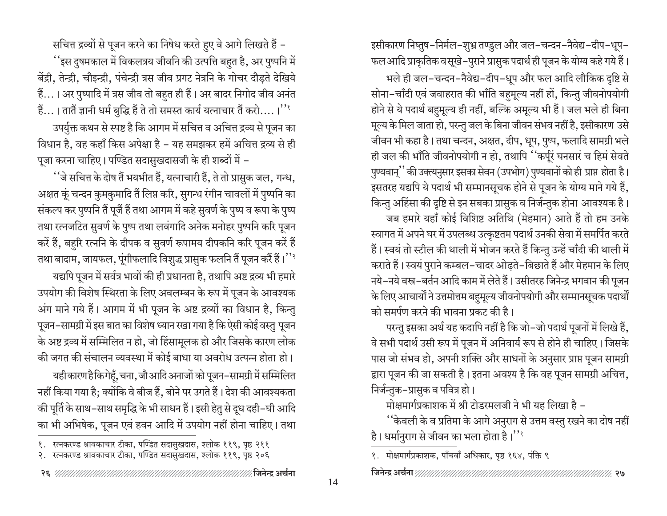इसीकारण निष्तुष-निर्मल-शुभ्र तण्डुल और जल-चन्दन-नैवेद्य-दीप-धूप-फल आदि प्राकृतिक व सूखे-पुराने प्रासुक पदार्थ ही पूजन के योग्य कहे गये हैं।

भले ही जल-चन्दन-नैवेद्य-दीप-धूप और फल आदि लौकिक दृष्टि से सोना-चाँदी एवं जवाहरात की भाँति बहुमूल्य नहीं हों, किन्तु जीवनोपयोगी होने से ये पदार्थ बहुमूल्य ही नहीं, बल्कि अमूल्य भी हैं। जल भले ही बिना मूल्य के मिल जाता हो, परन्तु जल के बिना जीवन संभव नहीं है, इसीकारण उसे जीवन भी कहा है। तथा चन्दन, अक्षत, दीप, धूप, पुष्प, फलादि सामग्री भले ही जल की भाँति जीवनोपयोगी न हो, तथापि ''कर्पूरं घनसारं च हिमं सेवते पुण्यवान्'' की उक्त्यनुसार इसका सेवन (उपभोग) पुण्यवानों को ही प्राप्त होता है। इसतरह यद्यपि ये पदार्थ भी सम्मानसूचक होने से पूजन के योग्य माने गये हैं, किन्तु अहिंसा की दृष्टि से इन सबका प्रासुक व निर्जन्तुक होना आवश्यक है। जब हमारे यहाँ कोई विशिष्ट अतिथि (मेहमान) आते हैं तो हम उनके स्वागत में अपने घर में उपलब्ध उत्कृष्टतम पदार्थ उनकी सेवा में समर्पित करते हैं। स्वयं तो स्टील की थाली में भोजन करते हैं किन्तु उन्हें चाँदी की थाली में कराते हैं। स्वयं पुराने कम्बल-चादर ओढ़ते-बिछाते हैं और मेहमान के लिए नये-नये वस्त्र-बर्तन आदि काम में लेते हैं। उसीतरह जिनेन्द्र भगवान की पूजन के लिए आचार्यों ने उत्तमोत्तम बहुमूल्य जीवनोपयोगी और सम्मानसूचक पदार्थों को समर्पण करने की भावना प्रकट की है।

परन्तु इसका अर्थ यह कदापि नहीं है कि जो–जो पदार्थ पूजनों में लिखे हैं, वे सभी पदार्थ उसी रूप में पूजन में अनिवार्य रूप से होने ही चाहिए। जिसके पास जो संभव हो, अपनी शक्ति और साधनों के अनुसार प्राप्त पूजन सामग्री द्वारा पूजन की जा सकती है। इतना अवश्य है कि वह पूजन सामग्री अचित्त, निर्जन्तुक–प्रासुक व पवित्र हो।

मोक्षमार्गप्रकाशक में श्री टोडरमलजी ने भी यह लिखा है -

''केवली के व प्रतिमा के आगे अनुराग से उत्तम वस्तु रखने का दोष नहीं है। धर्मानुराग से जीवन का भला होता है।''

सचित्त द्रव्यों से पूजन करने का निषेध करते हुए वे आगे लिखते हैं – ''इस दुषमकाल में विकलत्रय जीवनि की उत्पत्ति बहुत है, अर पुष्पनि में बेंद्री, तेन्द्री, चौइन्द्री, पंचेन्द्री त्रस जीव प्रगट नेत्रनि के गोचर दौड़ते देखिये हैं...। अर पुष्पादि में त्रस जीव तो बहुत ही हैं। अर बादर निगोद जीव अनंत हैं...। तातैं ज्ञानी धर्म बुद्धि हैं ते तो समस्त कार्य यत्नाचार तैं करो....।'' उपर्युक्त कथन से स्पष्ट है कि आगम में सचित्त व अचित्त द्रव्य से पूजन का विधान है, वह कहाँ किस अपेक्षा है – यह समझकर हमें अचित्त द्रव्य से ही पूजा करना चाहिए। पण्डित सदासुखदासजी के ही शब्दों में –

''जे सचित्त के दोष तैं भयभीत हैं, यत्नाचारी हैं, ते तो प्रासुक जल, गन्ध, अक्षत कूं चन्दन कुमकुमादि तैं लिप्त करि, सुगन्ध रंगीन चावलों में पुष्पनि का संकल्प कर पुष्पनि तैं पूजैं हैं तथा आगम में कहे सुवर्ण के पुष्प व रूपा के पुष्प तथा रत्नजटित सुवर्ण के पुष्प तथा लवंगादि अनेक मनोहर पुष्पनि करि पूजन करें हैं, बहुरि रत्ननि के दीपक व सुवर्ण रूपामय दीपकनि करि पूजन करें हैं तथा बादाम, जायफल, पूंगीफलादि विशुद्ध प्रासुक फलनि तैं पूजन करैं हैं।''<sup>?</sup>

यद्यपि पूजन में सर्वत्र भावों की ही प्रधानता है, तथापि अष्ट द्रव्य भी हमारे उपयोग की विशेष स्थिरता के लिए अवलम्बन के रूप में पूजन के आवश्यक अंग माने गये हैं। आगम में भी पूजन के अष्ट द्रव्यों का विधान है, किन्तु पूजन–सामग्री में इस बात का विशेष ध्यान रखा गया है कि ऐसी कोई वस्तु पूजन के अष्ट द्रव्य में सम्मिलित न हो, जो हिंसामूलक हो और जिसके कारण लोक की जगत की संचालन व्यवस्था में कोई बाधा या अवरोध उत्पन्न होता हो।

यहीकारण हैकिगेहूँ, चना, जौआदि अनाजों को पूजन–सामग्री में सम्मिलित नहीं किया गया है; क्योंकि वे बीज हैं, बोने पर उगते हैं। देश की आवश्यकता की पूर्ति के साथ–साथ समृद्धि के भी साधन हैं । इसी हेतु से दूध दही–घी आदि का भी अभिषेक, पूजन एवं हवन आदि में उपयोग नहीं होना चाहिए। तथा

१. मोक्षमार्गप्रकाशक, पाँचवाँ अधिकार, पृष्ठ १६४, पंक्ति ९

१. रत्नकरण्ड श्रावकाचार टीका, पण्डित सदासुखदास, श्लोक ११९, पृष्ठ २११

२. रत्नकरण्ड श्रावकाचार टीका, पण्डित सदासुखदास, श्लोक ११९, पृष्ठ २०६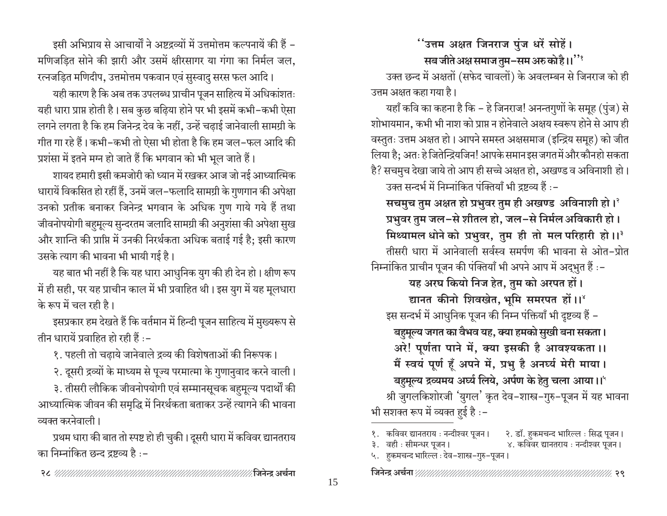इसी अभिप्राय से आचार्यों ने अष्टद्रव्यों में उत्तमोत्तम कल्पनायें की हैं – मणिजड़ित सोने की झारी और उसमें क्षीरसागर या गंगा का निर्मल जल, रत्नजड़ित मणिदीप, उत्तमोत्तम पकवान एवं सुस्वादु सरस फल आदि।

यही कारण है कि अब तक उपलब्ध प्राचीन पूजन साहित्य में अधिकांशतः यही धारा प्राप्त होती है। सब कुछ बढ़िया होने पर भी इसमें कभी-कभी ऐसा लगने लगता है कि हम जिनेन्द्र देव के नहीं, उन्हें चढाई जानेवाली सामग्री के गीत गा रहे हैं। कभी-कभी तो ऐसा भी होता है कि हम जल-फल आदि की प्रशंसा में इतने मग्न हो जाते हैं कि भगवान को भी भूल जाते हैं।

शायद हमारी इसी कमजोरी को ध्यान में रखकर आज जो नई आध्यात्मिक धारायें विकसित हो रहीं हैं, उनमें जल-फलादि सामग्री के गुणगान की अपेक्षा उनको प्रतीक बनाकर जिनेन्द्र भगवान के अधिक गुण गाये गये हैं तथा जीवनोपयोगी बहुमूल्य सुन्दरतम जलादि सामग्री की अनुशंसा की अपेक्षा सुख और शान्ति की प्राप्ति में उनकी निरर्थकता अधिक बताई गई है; इसी कारण उसके त्याग की भावना भी भायी गई है।

यह बात भी नहीं है कि यह धारा आधुनिक युग की ही देन हो। क्षीण रूप में ही सही, पर यह प्राचीन काल में भी प्रवाहित थी। इस युग में यह मूलधारा के रूप में चल रही है।

इसप्रकार हम देखते हैं कि वर्तमान में हिन्दी पूजन साहित्य में मुख्यरूप से तीन धारायें प्रवाहित हो रही हैं :-

१. पहली तो चढाये जानेवाले द्रव्य की विशेषताओं की निरूपक।

२. दूसरी द्रव्यों के माध्यम से पूज्य परमात्मा के गुणानुवाद करने वाली।

३. तीसरी लौकिक जीवनोपयोगी एवं सम्मानसूचक बहुमूल्य पदार्थों की आध्यात्मिक जीवन की समृद्धि में निरर्थकता बताकर उन्हें त्यागने की भावना व्यक्त करनेवाली।

प्रथम धारा की बात तो स्पष्ट हो ही चुकी। दूसरी धारा में कविवर द्यानतराय का निम्नांकित छन्द द्रष्टव्य है :-

''उत्तम अक्षत जिनराज पुंज धरें सोहें।

सब जीते अक्ष समाज तुम-सम अरु को है।।''

उक्त छन्द में अक्षतों (सफेद चावलों) के अवलम्बन से जिनराज को ही उत्तम अक्षत कहा गया है।

यहाँ कवि का कहना है कि – हे जिनराज! अनन्तगुणों के समूह (पुंज) से शोभायमान, कभी भी नाश को प्राप्त न होनेवाले अक्षय स्वरूप होने से आप ही वस्तुतः उत्तम अक्षत हो। आपने समस्त अक्षसमाज (इन्द्रिय समूह) को जीत लिया है; अतः हे जितेन्द्रियजिन! आपके समान इस जगत में और कौनहो सकता है? सचमुच देखा जाये तो आप ही सच्चे अक्षत हो, अखण्ड व अविनाशी हो। उक्त सन्दर्भ में निम्नांकित पंक्तियाँ भी द्रष्टव्य हैं :-

सचमुच तुम अक्षत हो प्रभुवर तुम ही अखण्ड अविनाशी हो।<sup>?</sup> प्रभुवर तुम जल-से शीतल हो, जल-से निर्मल अविकारी हो। मिथ्यामल धोने को प्रभुवर, तुम ही तो मल परिहारी हो।।<sup>3</sup> तीसरी धारा में आनेवाली सर्वस्व समर्पण की भावना से ओत-प्रोत निम्नांकित प्राचीन पूजन की पंक्तियाँ भी अपने आप में अद्भुत हैं :-

यह अरघ कियो निज हेत, तुम को अरपत हों। द्यानत कीनो शिवखेत, भूमि समरपत हों।।' इस सन्दर्भ में आधुनिक पूजन की निम्न पंक्तियाँ भी दृष्टव्य हैं – बहुमूल्य जगत का वैभव यह, क्या हमको सुखी बना सकता। अरे! पूर्णता पाने में, क्या इसकी है आवश्यकता ।। मैं स्वयं पूर्ण हूँ अपने में, प्रभु है अनर्घ्य मेरी माया। बहुमूल्य द्रव्यमय अर्घ्य लिये, अर्पण के हेतु चला आया।।' श्री जुगलकिशोरजी 'युगल' कृत देव-शास्त्र-गुरु-पूजन में यह भावना भी सशक्त रूप में व्यक्त हुई है :-

| १.   कविवर द्यानतराय : नन्दीश्वर पूजन।                                                                                                                                                                                                                                                                                                                                                                                                                                          | २. डॉ. हुकमचन्द भारिल्ल ः सिद्ध पूजन। |
|---------------------------------------------------------------------------------------------------------------------------------------------------------------------------------------------------------------------------------------------------------------------------------------------------------------------------------------------------------------------------------------------------------------------------------------------------------------------------------|---------------------------------------|
| ३. वही : सीमन्धर पूजन।                                                                                                                                                                                                                                                                                                                                                                                                                                                          | ४. कविवर द्यानतराय : नन्दीश्वर पूजन।  |
| $\overline{\phantom{a}}$ $\overline{\phantom{a}}$ $\overline{\phantom{a}}$ $\overline{\phantom{a}}$ $\overline{\phantom{a}}$ $\overline{\phantom{a}}$ $\overline{\phantom{a}}$ $\overline{\phantom{a}}$ $\overline{\phantom{a}}$ $\overline{\phantom{a}}$ $\overline{\phantom{a}}$ $\overline{\phantom{a}}$ $\overline{\phantom{a}}$ $\overline{\phantom{a}}$ $\overline{\phantom{a}}$ $\overline{\phantom{a}}$ $\overline{\phantom{a}}$ $\overline{\phantom{a}}$ $\overline{\$ |                                       |

५. हुकमचन्द भारिल्ल : देव–शास्त्र–गुरु–पूजन ।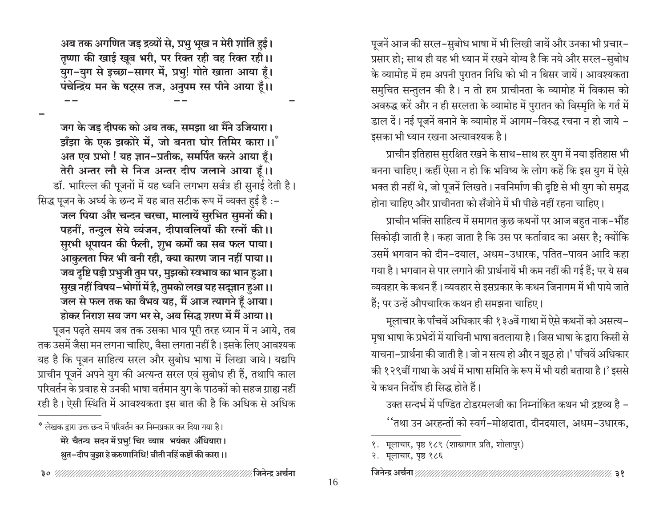पूजनें आज की सरल-सुबोध भाषा में भी लिखी जायें और उनका भी प्रचार-प्रसार हो; साथ ही यह भी ध्यान में रखने योग्य है कि नये और सरल-सुबोध के व्यामोह में हम अपनी पुरातन निधि को भी न बिसर जायें। आवश्यकता समुचित सन्तुलन की है। न तो हम प्राचीनता के व्यामोह में विकास को अवरुद्ध करें और न ही सरलता के व्यामोह में पुरातन को विस्मृति के गर्त में डाल दें। नई पूजनें बनाने के व्यामोह में आगम–विरुद्ध रचना न हो जाये – इसका भी ध्यान रखना अत्यावश्यक है।

प्राचीन इतिहास सुरक्षित रखने के साथ-साथ हर युग में नया इतिहास भी बनना चाहिए। कहीं ऐसा न हो कि भविष्य के लोग कहें कि इस युग में ऐसे भक्त ही नहीं थे, जो पूजनें लिखते। नवनिर्माण की दृष्टि से भी युग को समृद्ध होना चाहिए और प्राचीनता को सँजोने में भी पीछे नहीं रहना चाहिए।

प्राचीन भक्ति साहित्य में समागत कुछ कथनों पर आज बहुत नाक-भौंह सिकोडी जाती है। कहा जाता है कि उस पर कर्तावाद का असर है; क्योंकि उसमें भगवान को दीन-दयाल, अधम-उधारक, पतित-पावन आदि कहा गया है। भगवान से पार लगाने की प्रार्थनायें भी कम नहीं की गई हैं; पर ये सब व्यवहार के कथन हैं। व्यवहार से इसप्रकार के कथन जिनागम में भी पाये जाते हैं; पर उन्हें औपचारिक कथन ही समझना चाहिए।

मूलाचार के पाँचवें अधिकार की १३७वें गाथा में ऐसे कथनों को असत्य-मृषा भाषा के प्रभेदों में याचिनी भाषा बतलाया है। जिस भाषा के द्वारा किसी से याचना-प्रार्थना की जाती है। जो न सत्य हो और न झूठ हो। याँचवें अधिकार की १२९वीं गाथा के अर्थ में भाषा समिति के रूप में भी यही बताया है।<sup>2</sup> इससे ये कथन निर्दोष ही सिद्ध होते हैं।

उक्त सन्दर्भ में पण्डित टोडरमलजी का निम्नांकित कथन भी द्रष्टव्य है –

''तथा उन अरहन्तों को स्वर्ग–मोक्षदाता, दीनदयाल, अधम–उधारक,

अब तक अगणित जड़ द्रव्यों से, प्रभु भूख न मेरी शांति हुई। तृष्णा की खाई खूब भरी, पर रिक्त रही वह रिक्त रही।। युग-युग से इच्छा-सागर में, प्रभु! गोते खाता आया हूँ। पंचेन्द्रिय मन के षट्रस तज, अनुपम रस पीने आया हूँ।।

जग के जड दीपक को अब तक, समझा था मैंने उजियारा। ड़ाँझा के एक झकोरे में, जो बनता घोर तिमिर कारा।। अत एव प्रभो ! यह ज्ञान-प्रतीक, समर्पित करने आया हूँ। तेरी अन्तर लौ से निज अन्तर दीप जलाने आया हैं।। डॉ. भारिल्ल की पूजनों में यह ध्वनि लगभग सर्वत्र ही सुनाई देती है। सिद्ध पूजन के अर्घ्य के छन्द में यह बात सटीक रूप में व्यक्त हुई है :-जल पिया और चन्दन चरचा, मालायें सुरभित सुमनों की। पहनीं, तन्दुल सेये व्यंजन, दीपावलियाँ की रत्नों की।। सुरभी धूपायन की फैली, शुभ कर्मों का सब फल पाया। आकुलता फिर भी बनी रही, क्या कारण जान नहीं पाया।। जब दृष्टि पड़ी प्रभुजी तुम पर, मुझको स्वभाव का भान हुआ। सुख नहीं विषय–भोगों में है, तुमको लख यह सद्ज्ञान हुआ।। जल से फल तक का वैभव यह, मैं आज त्यागने हूँ आया। होकर निराश सब जग भर से, अब सिद्ध शरण में मैं आया।। पूजन पढ़ते समय जब तक उसका भाव पूरी तरह ध्यान में न आये, तब तक उसमें जैसा मन लगना चाहिए, वैसा लगता नहीं है। इसके लिए आवश्यक यह है कि पूजन साहित्य सरल और सुबोध भाषा में लिखा जाये। यद्यपि प्राचीन पूजनें अपने युग की अत्यन्त सरल एवं सुबोध ही हैं, तथापि काल परिवर्तन के प्रवाह से उनकी भाषा वर्तमान युग के पाठकों को सहज ग्राह्य नहीं रही है। ऐसी स्थिति में आवश्यकता इस बात की है कि अधिक से अधिक

१. मूलाचार, पृष्ठ १८९ (शास्त्रागार प्रति, शोलापुर)

२. मूलाचार, पृष्ठ १८६

<sup>\*</sup> लेखक द्वारा उक्त छन्द में परिवर्तन कर निम्नप्रकार कर दिया गया है। मेरे चैतन्य सदन में प्रभु! चिर व्याप्त भयंकर अँधियारा। श्रुत–दीप बुझा हे करुणानिधि! बीती नहिं कष्टों की कारा ।।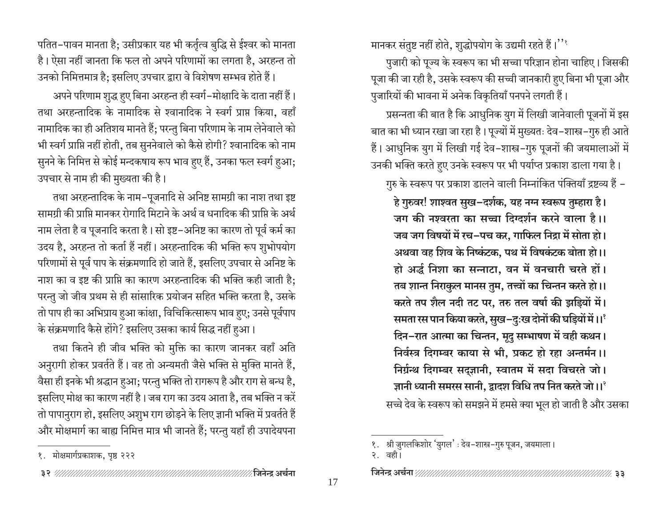मानकर संतुष्ट नहीं होते, शुद्धोपयोग के उद्यमी रहते हैं।''

पुजारी को पूज्य के स्वरूप का भी सच्चा परिज्ञान होना चाहिए। जिसकी पूजा की जा रही है, उसके स्वरूप की सच्ची जानकारी हुए बिना भी पूजा और पुजारियों की भावना में अनेक विकृतियाँ पनपने लगती हैं।

प्रसन्नता की बात है कि आधुनिक युग में लिखी जानेवाली पूजनों में इस बात का भी ध्यान रखा जा रहा है। पूज्यों में मुख्यतः देव-शास्त्र-गुरु ही आते हैं। आधुनिक युग में लिखी गई देव–शास्त्र–गुरु पूजनों की जयमालाओं में उनकी भक्ति करते हुए उनके स्वरूप पर भी पर्याप्त प्रकाश डाला गया है।

गुरु के स्वरूप पर प्रकाश डालने वाली निम्नांकित पंक्तियाँ द्रष्टव्य हैं –

हे गुरुवर! शाश्वत सुख–दर्शक, यह नग्न स्वरूप तुम्हारा है। जग की नश्वरता का सच्चा दिग्दर्शन करने वाला है।। जब जग विषयों में रच-पच कर, गाफिल निद्रा में सोता हो। अथवा वह शिव के निष्कंटक, पथ में विषकंटक बोता हो।। हो अर्द्ध निशा का सन्नाटा, वन में वनचारी चरते हों। तब शान्त निराकुल मानस तुम, तत्त्वों का चिन्तन करते हो।। करते तप शैल नदी तट पर, तरु तल वर्षा की झड़ियों में। समता रस पान किया करते, सुख-दुःख दोनों की घड़ियों में ।।' दिन-रात आत्मा का चिन्तन, मूदु सम्भाषण में वही कथन। निर्वस्त्र दिगम्बर काया से भी, प्रकट हो रहा अन्तर्मन ।। निर्ग्रन्थ दिगम्बर सदुज्ञानी, स्वातम में सदा विचरते जो। ज्ञानी ध्यानी समरस सानी, द्वादश विधि तप नित करते जो।।<sup>१</sup>

सच्चे देव के स्वरूप को समझने में हमसे क्या भूल हो जाती है और उसका

पतित–पावन मानता है; उसीप्रकार यह भी कर्तृत्व बुद्धि से ईश्वर को मानता है। ऐसा नहीं जानता कि फल तो अपने परिणामों का लगता है, अरहन्त तो उनको निमित्तमात्र है: इसलिए उपचार द्वारा वे विशेषण सम्भव होते हैं।

अपने परिणाम शुद्ध हुए बिना अरहन्त ही स्वर्ग-मोक्षादि के दाता नहीं हैं। तथा अरहन्तादिक के नामादिक से श्वानादिक ने स्वर्ग प्राप्त किया, वहाँ नामादिक का ही अतिशय मानते हैं; परन्तु बिना परिणाम के नाम लेनेवाले को भी स्वर्ग प्राप्ति नहीं होती, तब सुननेवाले को कैसे होगी? श्वानादिक को नाम सुनने के निमित्त से कोई मन्दकषाय रूप भाव हुए हैं, उनका फल स्वर्ग हुआ; उपचार से नाम ही की मुख्यता की है।

तथा अरहन्तादिक के नाम-पूजनादि से अनिष्ट सामग्री का नाश तथा इष्ट सामग्री की प्राप्ति मानकर रोगादि मिटाने के अर्थ व धनादिक की प्राप्ति के अर्थ नाम लेता है व पूजनादि करता है। सो इष्ट-अनिष्ट का कारण तो पूर्व कर्म का उदय है, अरहन्त तो कर्ता हैं नहीं। अरहन्तादिक की भक्ति रूप शुभोपयोग परिणामों से पूर्व पाप के संक्रमणादि हो जाते हैं, इसलिए उपचार से अनिष्ट के नाश का व इष्ट की प्राप्ति का कारण अरहन्तादिक की भक्ति कही जाती है: परन्तु जो जीव प्रथम से ही सांसारिक प्रयोजन सहित भक्ति करता है, उसके तो पाप ही का अभिप्राय हुआ कांक्षा, विचिकित्सारूप भाव हए; उनसे पूर्वपाप के संक्रमणादि कैसे होंगे? इसलिए उसका कार्य सिद्ध नहीं हुआ।

तथा कितने ही जीव भक्ति को मुक्ति का कारण जानकर वहाँ अति अनुरागी होकर प्रवर्तते हैं। वह तो अन्यमती जैसे भक्ति से मुक्ति मानते हैं, वैसा ही इनके भी श्रद्धान हुआ; परन्तु भक्ति तो रागरूप है और राग से बन्ध है, इसलिए मोक्ष का कारण नहीं है। जब राग का उदय आता है, तब भक्ति न करें तो पापानुराग हो, इसलिए अशुभ राग छोड़ने के लिए ज्ञानी भक्ति में प्रवर्तते हैं और मोक्षमार्ग का बाह्य निमित्त मात्र भी जानते हैं; परन्तु यहाँ ही उपादेयपना

१. श्री जुगलकिशोर 'युगल' : देव-शास्त्र-गुरु पूजन, जयमाला।

२. वही।

१. मोक्षमार्गप्रकाशक, पृष्ठ २२२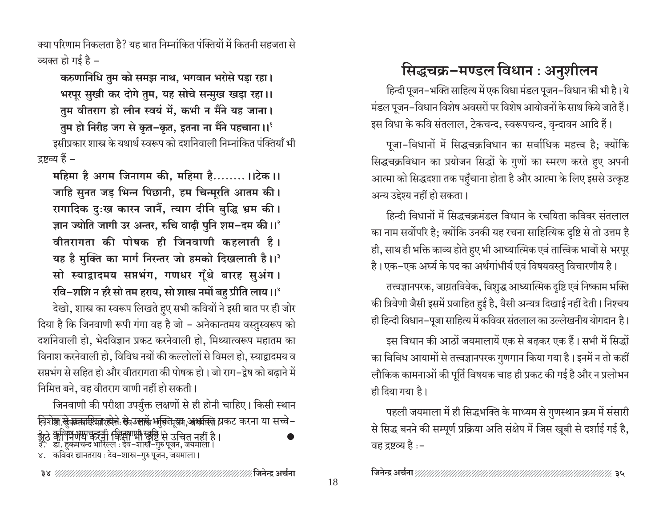क्या परिणाम निकलता है? यह बात निम्नांकित पंक्तियों में कितनी सहजता से व्यक्त हो गई है –

करुणानिधि तुम को समझ नाथ, भगवान भरोसे पड़ा रहा। भरपूर सुखी कर दोगे तुम, यह सोचे सन्मुख खड़ा रहा।। तुम वीतराग हो लीन स्वयं में, कभी न मैंने यह जाना।

तुम हो निरीह जग से कृत-कृत, इतना ना मैंने पहचाना ।।' इसीप्रकार शास्त्र के यथार्थ स्वरूप को दर्शानेवाली निम्नांकित पंक्तियाँ भी द्रष्टव्य हैं –

महिमा है अगम जिनागम की, महिमा है........।।टेक।। जाहि सुनत जड़ भिन्न पिछानी, हम चिन्मूरति आतम की। रागादिक दुःख कारन जानैं, त्याग दीनि बुद्धि भ्रम की। ज्ञान ज्योति जागी उर अन्तर, रुचि वाढ़ी पुनि शम-दम की।।<sup>?</sup> वीतरागता की पोषक ही जिनवाणी कहलाती है। यह है मुक्ति का मार्ग निरन्तर जो हमको दिखलाती है।।<sup>3</sup> सो स्याद्वादमय सप्तभंग, गणधर गूँथे बारह सुअंग। रवि-शशि न हरै सो तम हराय, सो शास्त्र नमों बह प्रीति लाय।।<sup>४</sup>

देखो, शास्त्र का स्वरूप लिखते हए सभी कवियों ने इसी बात पर ही जोर दिया है कि जिनवाणी रूपी गंगा वह है जो – अनेकान्तमय वस्तुस्वरूप को दर्शानेवाली हो, भेदविज्ञान प्रकट करनेवाली हो, मिथ्यात्वरूप महातम का विनाश करनेवाली हो, विविध नयों की कल्लोलों से विमल हो, स्याद्वादमय व सप्तभंग से सहित हो और वीतरागता की पोषक हो। जो राग-द्वेष को बढाने में निमित्त बने, वह वीतराग वाणी नहीं हो सकती।

जिनवाणी की परीक्षा उपर्युक्त लक्षणों से ही होनी चाहिए। किसी स्थान <u>विशेष्ठा <del>ऐत्राकाशि</del>का</u>रलेने सेवउ<del>ज्ञार</del>्थे भुक्तिनूसा, अभाक्ति प्रकट करना या सच्चे-.<br>झूठे ऋगिमेणेय करनी किसी भी खुष्टि से उचित नहीं है।<br>३. डॉ. हुकमचन्द भारिल्ल : देव-शास्त्र-गुरु पूजन, जयमाला।

४. कविवर द्यानतराय : देव-शास्त्र-गुरु पूजन, जयमाला।

# सिद्धचक्र-मण्डल विधान : अनुशीलन

हिन्दी पूजन–भक्ति साहित्य में एक विधा मंडल पूजन–विधान की भी है। ये मंडल पूजन-विधान विशेष अवसरों पर विशेष आयोजनों के साथ किये जाते हैं। इस विधा के कवि संतलाल, टेकचन्द, स्वरूपचन्द, वृन्दावन आदि हैं।

पूजा-विधानों में सिद्धचक्रविधान का सर्वाधिक महत्त्व है; क्योंकि सिद्धचक्रविधान का प्रयोजन सिद्धों के गुणों का स्मरण करते हुए अपनी आत्मा को सिद्धदशा तक पहुँचाना होता है और आत्मा के लिए इससे उत्कृष्ट अन्य उद्देश्य नहीं हो सकता।

हिन्दी विधानों में सिद्धचक्रमंडल विधान के रचयिता कविवर संतलाल का नाम सर्वोपरि है; क्योंकि उनकी यह रचना साहित्यिक दृष्टि से तो उत्तम है ही, साथ ही भक्ति काव्य होते हुए भी आध्यात्मिक एवं तात्त्विक भावों से भरपूर

है। एक–एक अर्घ्य के पद का अर्थगांभीर्य एवं विषयवस्तु विचारणीय है। तत्त्वज्ञानपरक, जाग्रतविवेक, विशुद्ध आध्यात्मिक दृष्टि एवं निष्काम भक्ति की त्रिवेणी जैसी इसमें प्रवाहित हुई है, वैसी अन्यत्र दिखाई नहीं देती। निश्चय ही हिन्दी विधान–पूजा साहित्य में कविवर संतलाल का उल्लेखनीय योगदान है।

इस विधान की आठों जयमालायें एक से बढ़कर एक हैं। सभी में सिद्धों का विविध आयामों से तत्त्वज्ञानपरक गुणगान किया गया है। इनमें न तो कहीं लौकिक कामनाओं की पूर्ति विषयक चाह ही प्रकट की गई है और न प्रलोभन ही दिया गया है।

पहली जयमाला में ही सिद्धभक्ति के माध्यम से गुणस्थान क्रम में संसारी से सिद्ध बनने की सम्पूर्ण प्रक्रिया अति संक्षेप में जिस खूबी से दर्शाई गई है, वह द्रष्टव्य है :–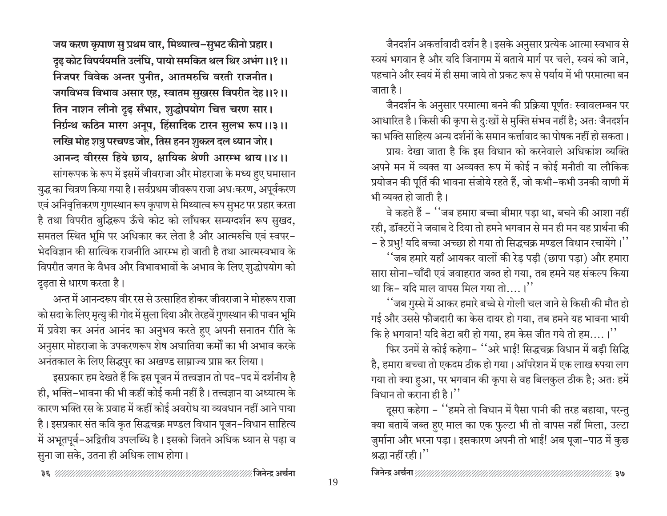जय करण कृपाण सु प्रथम वार, मिथ्यात्व-सुभट कीनो प्रहार। दृढ़ कोट विपर्ययमति उलंघि, पायो समकित थल थिर अभंग ।।१।। निजपर विवेक अन्तर पुनीत, आतमरुचि वरती राजनीत। जगविभव विभाव असार एह, स्वातम सुखरस विपरीत देह।।२।। तिन नाशन लीनो दृढ़ सँभार, शुद्धोपयोग चित्त चरण सार। निर्ग्रन्थ कठिन मारग अनूप, हिंसादिक टारन सुलभ रूप ।।३।। लखि मोह शत्रु परचण्ड जोर, तिस हनन शुकल दल ध्यान जोर। आनन्द वीररस हिये छाय, क्षायिक श्रेणी आरम्भ थाय।।४।। सांगरूपक के रूप में इसमें जीवराजा और मोहराजा के मध्य हुए घमासान युद्ध का चित्रण किया गया है। सर्वप्रथम जीवरूप राजा अधःकरण, अपूर्वकरण एवं अनिवृत्तिकरण गुणस्थान रूप कृपाण से मिथ्यात्व रूप सुभट पर प्रहार करता है तथा विपरीत बुद्धिरूप ऊँचे कोट को लाँघकर सम्यग्दर्शन रूप सुखद, समतल स्थित भूमि पर अधिकार कर लेता है और आत्मरुचि एवं स्वपर-भेदविज्ञान की सात्विक राजनीति आरम्भ हो जाती है तथा आत्मस्वभाव के विपरीत जगत के वैभव और विभावभावों के अभाव के लिए शुद्धोपयोग को दढ़ता से धारण करता है।

अन्त में आनन्दरूप वीर रस से उत्साहित होकर जीवराजा ने मोहरूप राजा को सदा के लिए मृत्यु की गोद में सुला दिया और तेरहवें गुणस्थान की पावन भूमि में प्रवेश कर अनंत आनंद का अनुभव करते हुए अपनी सनातन रीति के अनुसार मोहराजा के उपकरणरूप शेष अघातिया कर्मों का भी अभाव करके अनंतकाल के लिए सिद्धपुर का अखण्ड साम्राज्य प्राप्त कर लिया।

इसप्रकार हम देखते हैं कि इस पूजन में तत्त्वज्ञान तो पद-पद में दर्शनीय है ही, भक्ति-भावना की भी कहीं कोई कमी नहीं है। तत्त्वज्ञान या अध्यात्म के कारण भक्ति रस के प्रवाह में कहीं कोई अवरोध या व्यवधान नहीं आने पाया है। इसप्रकार संत कवि कृत सिद्धचक्र मण्डल विधान पूजन–विधान साहित्य में अभूतपूर्व–अद्वितीय उपलब्धि है। इसको जितने अधिक ध्यान से पढ़ा व सुना जा सके, उतना ही अधिक लाभ होगा।

जैनदर्शन अकर्त्तावादी दर्शन है। इसके अनुसार प्रत्येक आत्मा स्वभाव से स्वयं भगवान है और यदि जिनागम में बताये मार्ग पर चले, स्वयं को जाने, पहचाने और स्वयं में ही समा जाये तो प्रकट रूप से पर्याय में भी परमात्मा बन जाता है।

जैनदर्शन के अनुसार परमात्मा बनने की प्रक्रिया पूर्णतः स्वावलम्बन पर आधारित है। किसी की कृपा से दुःखों से मुक्ति संभव नहीं है; अतः जैनदर्शन का भक्ति साहित्य अन्य दर्शनों के समान कर्त्तावाद का पोषक नहीं हो सकता।

प्रायः देखा जाता है कि इस विधान को करनेवाले अधिकांश व्यक्ति अपने मन में व्यक्त या अव्यक्त रूप में कोई न कोई मनौती या लौकिक प्रयोजन की पूर्ति की भावना संजोये रहते हैं, जो कभी-कभी उनकी वाणी में भी व्यक्त हो जाती है।

वे कहते हैं – ''जब हमारा बच्चा बीमार पड़ा था, बचने की आशा नहीं रही, डॉक्टरों ने जवाब दे दिया तो हमने भगवान से मन ही मन यह प्रार्थना की - हे प्रभु! यदि बच्चा अच्छा हो गया तो सिद्धचक्र मण्डल विधान रचायेंगे।''

''जब हमारे यहाँ आयकर वालों की रेड पड़ी (छापा पड़ा) और हमारा सारा सोना-चाँदी एवं जवाहरात जब्त हो गया, तब हमने यह संकल्प किया था कि– यदि माल वापस मिल गया तो....।''

''जब गुस्से में आकर हमारे बच्चे से गोली चल जाने से किसी की मौत हो गई और उससे फौजदारी का केस दायर हो गया, तब हमने यह भावना भायी कि हे भगवान! यदि बेटा बरी हो गया, हम केस जीत गये तो हम....।''

फिर उनमें से कोई कहेगा- ''अरे भाई! सिद्धचक्र विधान में बड़ी सिद्धि है, हमारा बच्चा तो एकदम ठीक हो गया। ऑपरेशन में एक लाख रुपया लग गया तो क्या हुआ, पर भगवान की कृपा से वह बिलकुल ठीक है; अतः हमें विधान तो कराना ही है।''

दूसरा कहेगा – ''हमने तो विधान में पैसा पानी की तरह बहाया, परन्तु क्या बतायें जब्त हुए माल का एक फुल्टा भी तो वापस नहीं मिला, उल्टा जुर्माना और भरना पड़ा। इसकारण अपनी तो भाई! अब पूजा-पाठ में कुछ श्रद्धा नहीं रही।''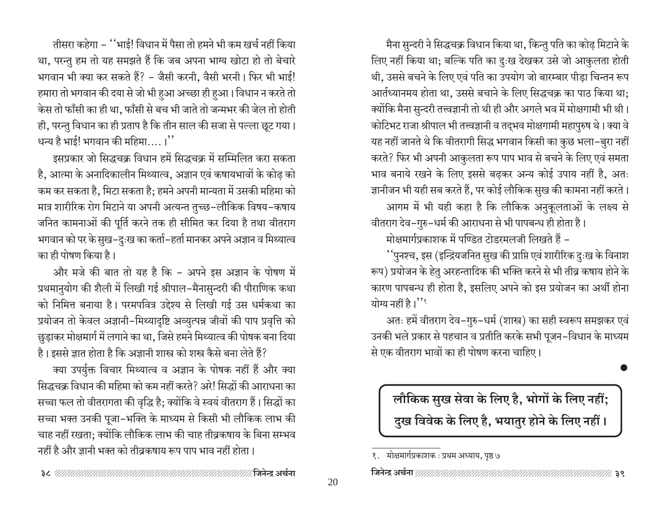मैना सुन्दरी ने सिद्धचक्र विधान किया था, किन्तु पति का कोढ़ मिटाने के लिए नहीं किया था; बल्कि पति का दुःख देखकर उसे जो आकुलता होती थी, उससे बचने के लिए एवं पति का उपयोग जो बारम्बार पीडा चिन्तन रूप आर्तध्यानमय होता था, उससे बचाने के लिए सिद्धचक्र का पाठ किया था; क्योंकि मैना सुन्दरी तत्त्वज्ञानी तो थी ही और अगले भव में मोक्षगामी भी थी। कोटिभट राजा श्रीपाल भी तत्त्वज्ञानी व तद्भव मोक्षगामी महापुरुष थे। क्या वे यह नहीं जानते थे कि वीतरागी सिद्ध भगवान किसी का कुछ भला-बुरा नहीं करते? फिर भी अपनी आकुलता रूप पाप भाव से बचने के लिए एवं समता भाव बनाये रखने के लिए इससे बढ़कर अन्य कोई उपाय नहीं है, अतः ज्ञानीजन भी यही सब करते हैं, पर कोई लौकिक सुख की कामना नहीं करते। आगम में भी यही कहा है कि लौकिक अनुकूलताओं के लक्ष्य से

वीतराग देव-गुरु-धर्म की आराधना से भी पापबन्ध ही होता है।

मोक्षमार्गप्रकाशक में पण्डित टोडरमलजी लिखते हैं –

''पुनश्च, इस (इन्द्रियजनित सुख की प्राप्ति एवं शारीरिक दुःख के विनाश रूप) प्रयोजन के हेतु अरहन्तादिक की भक्ति करने से भी तीव्र कषाय होने के कारण पापबन्ध ही होता है, इसलिए अपने को इस प्रयोजन का अर्थी होना योग्य नहीं है।''

अतः हमें वीतराग देव-गुरु-धर्म (शास्त्र) का सही स्वरूप समझकर एवं उनकी भले प्रकार से पहचान व प्रतीति करके सभी पूजन–विधान के माध्यम से एक वीतराग भावों का ही पोषण करना चाहिए।

# लौकिक सुख सेवा के लिए है, भोगों के लिए नहीं; दुख विवेक के लिए है, भयातुर होने के लिए नहीं।

तीसरा कहेगा – ''भाई! विधान में पैसा तो हमने भी कम खर्च नहीं किया था, परन्तु हम तो यह समझते हैं कि जब अपना भाग्य खोटा हो तो बेचारे भगवान भी क्या कर सकते हैं? - जैसी करनी, वैसी भरनी। फिर भी भाई! हमारा तो भगवान की दया से जो भी हुआ अच्छा ही हुआ। विधान न करते तो केस तो फाँसी का ही था, फाँसी से बच भी जाते तो जन्मभर की जेल तो होती ही, परन्तु विधान का ही प्रताप है कि तीन साल की सजा से पल्ला छूट गया। धन्य है भाई! भगवान की महिमा....।''

इसप्रकार जो सिद्धचक्र विधान हमें सिद्धचक्र में सम्मिलित करा सकता है, आत्मा के अनादिकालीन मिथ्यात्व, अज्ञान एवं कषायभावों के कोढ़ को कम कर सकता है, मिटा सकता है; हमने अपनी मान्यता में उसकी महिमा को मात्र शारीरिक रोग मिटाने या अपनी अत्यन्त तुच्छ-लौकिक विषय-कषाय जनित कामनाओं की पूर्ति करने तक ही सीमित कर दिया है तथा वीतराग भगवान को पर के सुख-दुःख का कर्ता-हर्ता मानकर अपने अज्ञान व मिथ्यात्व का ही पोषण किया है।

और मजे की बात तो यह है कि - अपने इस अज्ञान के पोषण में प्रथमानुयोग की शैली में लिखी गई श्रीपाल-मैनासुन्दरी की पौराणिक कथा को निमित्त बनाया है। परमपवित्र उद्देश्य से लिखी गई उस धर्मकथा का प्रयोजन तो केवल अज्ञानी-मिथ्यादृष्टि अव्युत्पन्न जीवों की पाप प्रवृत्ति को छुड़ाकर मोक्षमार्ग में लगाने का था, जिसे हमने मिथ्यात्व की पोषक बना दिया है। इससे ज्ञात होता है कि अज्ञानी शास्त्र को शस्त्र कैसे बना लेते हैं?

क्या उपर्युक्त विचार मिथ्यात्व व अज्ञान के पोषक नहीं हैं और क्या सिद्धचक्र विधान की महिमा को कम नहीं करते? अरे! सिद्धों की आराधना का सच्चा फल तो वीतरागता की वृद्धि है; क्योंकि वे स्वयं वीतराग हैं। सिद्धों का सच्चा भक्त उनकी पूजा-भक्ति के माध्यम से किसी भी लौकिक लाभ की चाह नहीं रखता; क्योंकि लौकिक लाभ की चाह तीव्रकषाय के बिना सम्भव नहीं है और ज्ञानी भक्त को तीव्रकषाय रूप पाप भाव नहीं होता।

१. मोक्षमार्गप्रकाशक : प्रथम अध्याय, पृष्ठ ७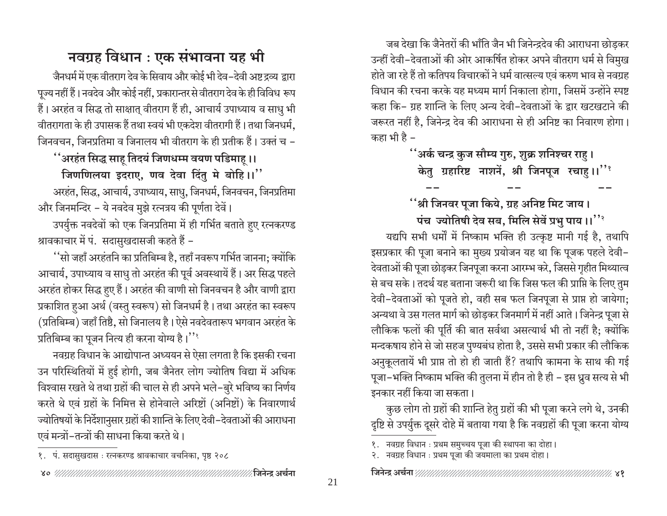जब देखा कि जैनेतरों की भाँति जैन भी जिनेन्द्रदेव की आराधना छोडकर उन्हीं देवी-देवताओं की ओर आकर्षित होकर अपने वीतराग धर्म से विमुख होते जा रहे हैं तो कतिपय विचारकों ने धर्म वात्सल्य एवं करुण भाव से नवग्रह विधान की रचना करके यह मध्यम मार्ग निकाला होगा, जिसमें उन्होंने स्पष्ट कहा कि- ग्रह शान्ति के लिए अन्य देवी-देवताओं के द्वार खटखटाने की जरूरत नहीं है, जिनेन्द्र देव की आराधना से ही अनिष्ट का निवारण होगा। कहा भी है –

> ''अर्क चन्द्र कुज सौम्य गुरु, शुक्र शनिश्चर राहु। केतु ग्रहारिष्ट नाशनें, श्री जिनपूज रचाहू।।''

### ''श्री जिनवर पूजा किये, ग्रह अनिष्ट मिट जाय।

पंच ज्योतिषी देव सब, मिलि सेवें प्रभु पाय ।।'' यद्यपि सभी धर्मों में निष्काम भक्ति ही उत्कृष्ट मानी गई है, तथापि इसप्रकार की पूजा बनाने का मुख्य प्रयोजन यह था कि पूजक पहले देवी-देवताओं की पूजा छोड़कर जिनपूजा करना आरम्भ करे, जिससे गृहीत मिथ्यात्व से बच सके। तदर्थ यह बताना जरूरी था कि जिस फल की प्राप्ति के लिए तुम देवी-देवताओं को पूजते हो, वही सब फल जिनपूजा से प्राप्त हो जायेगा; अन्यथा वे उस गलत मार्ग को छोड़कर जिनमार्ग में नहीं आते। जिनेन्द्र पूजा से लौकिक फलों की पूर्ति की बात सर्वथा असत्यार्थ भी तो नहीं है; क्योंकि मन्दकषाय होने से जो सहज पुण्यबंध होता है, उससे सभी प्रकार की लौकिक अनुकूलतायें भी प्राप्त तो हो ही जाती हैं? तथापि कामना के साथ की गई पूजा–भक्ति निष्काम भक्ति की तुलना में हीन तो है ही – इस ध्रुव सत्य से भी इनकार नहीं किया जा सकता।

कुछ लोग तो ग्रहों की शान्ति हेतु ग्रहों की भी पूजा करने लगे थे, उनकी दृष्टि से उपर्युक्त दूसरे दोहे में बताया गया है कि नवग्रहों की पूजा करना योग्य

#### 

# नवग्रह विधान : एक संभावना यह भी

जैनधर्म में एक वीतराग देव के सिवाय और कोई भी देव–देवी अष्ट द्रव्य द्वारा पूज्य नहीं हैं। नवदेव और कोई नहीं, प्रकारान्तर से वीतराग देव के ही विविध रूप हैं। अरहंत व सिद्ध तो साक्षात् वीतराग हैं ही, आचार्य उपाध्याय व साधु भी वीतरागता के ही उपासक हैं तथा स्वयं भी एकदेश वीतरागी हैं। तथा जिनधर्म, जिनवचन, जिनप्रतिमा व जिनालय भी वीतराग के ही प्रतीक हैं। उक्तं च -

''अरहंत सिद्ध साह तिदयं जिणधम्म वयण पडिमाह ।।

जिणणिलया इदराए, णव देवा दिंतु मे बोहि।।" अरहंत, सिद्ध, आचार्य, उपाध्याय, साधु, जिनधर्म, जिनवचन, जिनप्रतिमा और जिनमन्दिर – ये नवदेव मुझे रत्नत्रय की पूर्णता देवें।

उपर्युक्त नवदेवों को एक जिनप्रतिमा में ही गर्भित बताते हए रत्नकरण्ड श्रावकाचार में पं. सदासुखदासजी कहते हैं –

''सो जहाँ अरहंतनि का प्रतिबिम्ब है, तहाँ नवरूप गर्भित जानना; क्योंकि आचार्य, उपाध्याय व साधु तो अरहंत की पूर्व अवस्थायें हैं। अर सिद्ध पहले अरहंत होकर सिद्ध हुए हैं। अरहंत की वाणी सो जिनवचन है और वाणी द्वारा प्रकाशित हुआ अर्थ (वस्तु स्वरूप) सो जिनधर्म है। तथा अरहंत का स्वरूप (प्रतिबिम्ब) जहाँ तिष्ठै, सो जिनालय है। ऐसे नवदेवतारूप भगवान अरहंत के प्रतिबिम्ब का पूजन नित्य ही करना योग्य है।''

नवग्रह विधान के आद्योपान्त अध्ययन से ऐसा लगता है कि इसकी रचना उन परिस्थितियों में हुई होगी, जब जैनेतर लोग ज्योतिष विद्या में अधिक विश्वास रखते थे तथा ग्रहों की चाल से ही अपने भले-बुरे भविष्य का निर्णय करते थे एवं ग्रहों के निमित्त से होनेवाले अरिष्टों (अनिष्टों) के निवारणार्थ ज्योतिषयों के निर्देशानुसार ग्रहों की शान्ति के लिए देवी–देवताओं की आराधना एवं मन्त्रों-तन्त्रों की साधना किया करते थे।

१. नवग्रह विधान : प्रथम समुच्चय पूजा की स्थापना का दोहा।

२. नवग्रह विधान : प्रथम पूजा की जयमाला का प्रथम दोहा।

१. पं. सदासुखदास : रत्नकरण्ड श्रावकाचार वचनिका, पृष्ठ २०८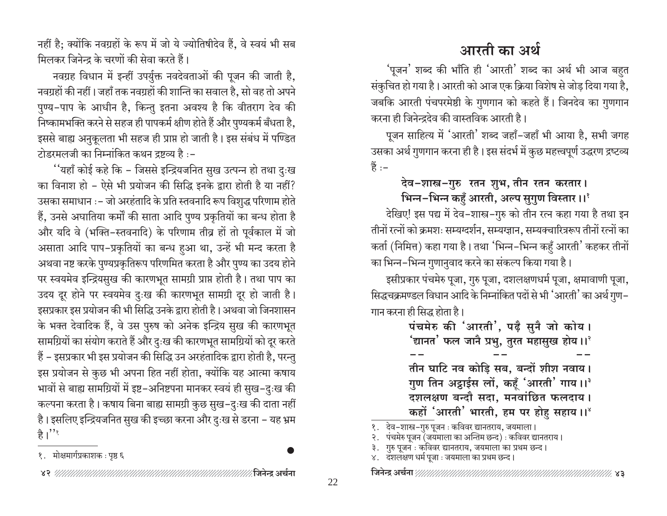नहीं है: क्योंकि नवग्रहों के रूप में जो ये ज्योतिषीदेव हैं. वे स्वयं भी सब मिलकर जिनेन्द के चरणों की सेवा करते हैं।

नवग्रह विधान में इन्हीं उपर्युक्त नवदेवताओं की पूजन की जाती है, नवग्रहों की नहीं। जहाँ तक नवग्रहों की शान्ति का सवाल है, सो वह तो अपने पुण्य–पाप के आधीन है, किन्तु इतना अवश्य है कि वीतराग देव की निष्कामभक्ति करने से सहज ही पापकर्म क्षीण होते हैं और पुण्यकर्म बँधता है, इससे बाह्य अनुकूलता भी सहज ही प्राप्त हो जाती है। इस संबंध में पण्डित टोडरमलजी का निम्नांकित कथन दृष्ट्य है :-

''यहाँ कोई कहे कि – जिससे इन्द्रियजनित सुख उत्पन्न हो तथा दुःख का विनाश हो - ऐसे भी प्रयोजन की सिद्धि इनके द्वारा होती है या नहीं? उसका समाधान :- जो अरहंतादि के प्रति स्तवनादि रूप विशुद्ध परिणाम होते हैं, उनसे अघातिया कर्मों की साता आदि पुण्य प्रकृतियों का बन्ध होता है और यदि वे (भक्ति-स्तवनादि) के परिणाम तीव्र हों तो पूर्वकाल में जो असाता आदि पाप-प्रकृतियों का बन्ध हुआ था, उन्हें भी मन्द करता है अथवा नष्ट करके पुण्यप्रकृतिरूप परिणमित करता है और पुण्य का उदय होने पर स्वयमेव इन्द्रियसुख की कारणभूत सामग्री प्राप्त होती है। तथा पाप का उदय दूर होने पर स्वयमेव दुःख की कारणभूत सामग्री दूर हो जाती है। इसप्रकार इस प्रयोजन की भी सिद्धि उनके द्वारा होती है। अथवा जो जिनशासन के भक्त देवादिक हैं, वे उस पुरुष को अनेक इन्द्रिय सुख की कारणभूत सामग्रियों का संयोग कराते हैं और दुःख की कारणभूत सामग्रियों को दूर करते हैं – इसप्रकार भी इस प्रयोजन की सिद्धि उन अरहंतादिक द्वारा होती है, परन्तु इस प्रयोजन से कुछ भी अपना हित नहीं होता, क्योंकि यह आत्मा कषाय भावों से बाह्य सामग्रियों में इष्ट-अनिष्टपना मानकर स्वयं ही सुख-दुःख की कल्पना करता है। कषाय बिना बाह्य सामग्री कुछ सुख–दुःख की दाता नहीं है। इसलिए इन्द्रियजनित सुख की इच्छा करना और दुःख से डरना – यह भ्रम है।''

#### १. मोक्षमार्गप्रकाशक : पृष्ठ ६

# आरती का अर्थ

'पूजन' शब्द की भाँति ही 'आरती' शब्द का अर्थ भी आज बहुत संकुचित हो गया है। आरती को आज एक क्रिया विशेष से जोड़ दिया गया है, जबकि आरती पंचपरमेष्ठी के गुणगान को कहते हैं। जिनदेव का गुणगान करना ही जिनेन्द्रदेव की वास्तविक आरती है।

पूजन साहित्य में 'आरती' शब्द जहाँ-जहाँ भी आया है, सभी जगह उसका अर्थ गुणगान करना ही है। इस संदर्भ में कुछ महत्त्वपूर्ण उद्धरण द्रष्टव्य हैं :-

### देव-शास्त्र-गुरु रतन शुभ, तीन रतन करतार। भिन्न-भिन्न कहुँ आरती, अल्प सुगुण विस्तार।।'

देखिए! इस पद्य में देव–शास्त्र–गुरु को तीन रत्न कहा गया है तथा इन तीनों रत्नों को क्रमशः सम्यग्दर्शन, सम्यग्ज्ञान, सम्यक्चारित्ररूप तीनों रत्नों का कर्ता (निमित्त) कहा गया है। तथा 'भिन्न-भिन्न कहँ आरती' कहकर तीनों का भिन्न-भिन्न गुणानुवाद करने का संकल्प किया गया है।

इसीप्रकार पंचमेरु पूजा, गुरु पूजा, दशलक्षणधर्म पूजा, क्षमावाणी पूजा, सिद्धचक्रमण्डल विधान आदि के निम्नांकित पदों से भी 'आरती' का अर्थ गुण– गान करना ही सिद्ध होता है।

> पंचमेरु की 'आरती', पढ़ै सुनै जो कोय। ंद्यानत $^{\prime}$  फल जानै प्रभु, तुरत महासुख होय ।। $^{\circ}$ तीन घाटि नव कोडि सब, बन्दों शीश नवाय। गुण तिन अट्ठाईस लों, कहूँ 'आरती' गाय।।<sup>३</sup> दशलक्षण बन्दौ सदा, मनवांछित फलदाय। कहों 'आरती' भारती, हम पर होह सहाय।।'

१. देव-शास्त्र-गुरु पूजन : कविवर द्यानतराय, जयमाला।

- २. पंचमेरु पूजन (जयमाला का अन्तिम छन्द) : कविवर द्यानतराय।
- ३. गुरु पूजन : कविवर द्यानतराय, जयमाला का प्रथम छन्द।
- ४. दशलक्षण धर्म पूजा : जयमाला का प्रथम छन्द।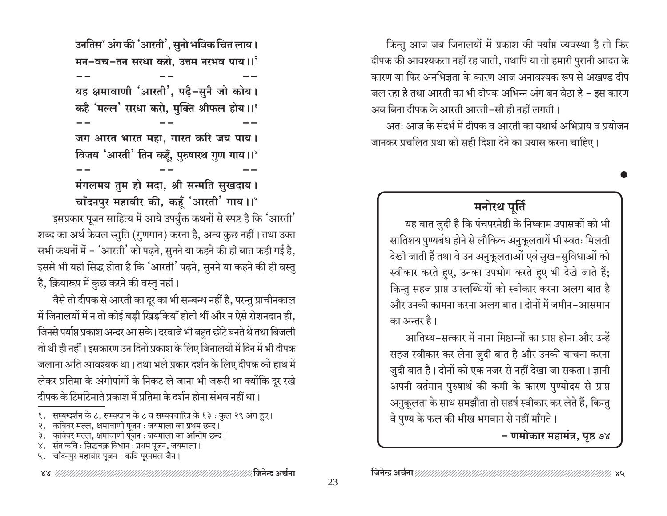किन्तु आज जब जिनालयों में प्रकाश की पर्याप्त व्यवस्था है तो फिर दीपक की आवश्यकता नहीं रह जाती, तथापि या तो हमारी पुरानी आदत के कारण या फिर अनभिजता के कारण आज अनावश्यक रूप से अखण्ड दीप जल रहा है तथा आरती का भी दीपक अभिन्न अंग बन बैठा है – इस कारण अब बिना दीपक के आरती आरती-सी ही नहीं लगती। अत: आज के संदर्भ में दीपक व आरती का यथार्थ अभिपाय व प्रयोजन जानकर प्रचलित प्रथा को सही दिशा देने का प्रयास करना चाहिए।

#### मनोरथ पूर्ति

यह बात जुदी है कि पंचपरमेष्ठी के निष्काम उपासकों को भी सातिशय पुण्यबंध होने से लौकिक अनुकूलतायें भी स्वतः मिलती देखी जाती हैं तथा वे उन अनुकूलताओं एवं सुख-सुविधाओं को स्वीकार करते हुए, उनका उपभोग करते हुए भी देखे जाते हैं; किन्तु सहज प्राप्त उपलब्धियों को स्वीकार करना अलग बात है और उनकी कामना करना अलग बात। दोनों में जमीन-आसमान का अन्तर है।

आतिथ्य-सत्कार में नाना मिष्ठान्नों का प्राप्त होना और उन्हें सहज स्वीकार कर लेना जुदी बात है और उनकी याचना करना जुदी बात है। दोनों को एक नजर से नहीं देखा जा सकता। ज्ञानी अपनी वर्तमान पुरुषार्थ की कमी के कारण पुण्योदय से प्राप्त अनुकूलता के साथ समझौता तो सहर्ष स्वीकार कर लेते हैं, किन्तु वे पुण्य के फल की भीख भगवान से नहीं माँगते।

– णमोकार महामंत्र, पृष्ठ ७४

उनतिस<sup>१</sup> अंग की 'आरती', सुनो भविक चित लाय। मन-वच-तन सरधा करो, उत्तम नरभव पाय।।' यह क्षमावाणी 'आरती', पढ़ै-सुनै जो कोय। कहै 'मल्ल' सरधा करो, मुक्ति श्रीफल होय।।<sup>३</sup> जग आरत भारत महा, गारत करि जय पाय। विजय 'आरती' तिन कहूँ, पुरुषारथ गुण गाय।।

मंगलमय तुम हो सदा, श्री सन्मति सुखदाय। चाँदनपुर महावीर की, कहँ 'आरती' गाय ।।'

इसप्रकार पूजन साहित्य में आये उपर्युक्त कथनों से स्पष्ट है कि 'आरती' शब्द का अर्थ केवल स्तुति (गुणगान) करना है, अन्य कुछ नहीं। तथा उक्त सभी कथनों में – 'आरती' को पढ़ने, सुनने या कहने की ही बात कही गई है, इससे भी यही सिद्ध होता है कि 'आरती' पढ़ने, सुनने या कहने की ही वस्तु है, क्रियारूप में कुछ करने की वस्तु नहीं।

वैसे तो दीपक से आरती का दूर का भी सम्बन्ध नहीं है, परन्तु प्राचीनकाल में जिनालयों में न तो कोई बड़ी खिड़कियाँ होती थीं और न ऐसे रोशनदान ही, जिनसे पर्याप्त प्रकाश अन्दर आ सके। दरवाजे भी बहुत छोटे बनते थे तथा बिजली तो थी ही नहीं। इसकारण उन दिनों प्रकाश के लिए जिनालयों में दिन में भी दीपक जलाना अति आवश्यक था। तथा भले प्रकार दर्शन के लिए दीपक को हाथ में लेकर प्रतिमा के अंगोपांगों के निकट ले जाना भी जरूरी था क्योंकि दूर रखे दीपक के टिमटिमाते प्रकाश में प्रतिमा के दर्शन होना संभव नहीं था।

- १. सम्यग्दर्शन के ८, सम्यग्ज्ञान के ८ व सम्यक्चारित्र के १३ : कुल २९ अंग हुए।
- २. कविवर मल्ल, क्षमावाणी पूजन : जयमाला का प्रथम छन्द।
- ३. कविवर मल्ल, क्षमावाणी पूजन : जयमाला का अन्तिम छन्द।
- ४. संत कवि : सिद्धचक्र विधान : प्रथम पूजन, जयमाला।
- ५. चाँदनपुर महावीर पूजन : कवि पूरनमल जैन।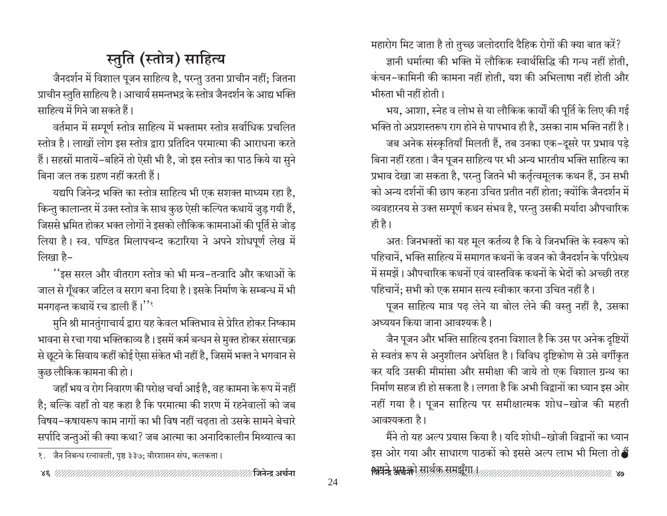# स्तुति (स्तोत्र) साहित्य

जैनदर्शन में विशाल पूजन साहित्य है, परन्तु उतना प्राचीन नहीं; जितना प्राचीन स्तुति साहित्य है। आचार्य समन्तभद्र के स्तोत्र जैनदर्शन के आद्य भक्ति साहित्य में गिने जा सकते हैं।

वर्तमान में सम्पूर्ण स्तोत्र साहित्य में भक्तामर स्तोत्र सर्वाधिक प्रचलित स्तोत्र है। लाखों लोग इस स्तोत्र द्वारा प्रतिदिन परमात्मा की आराधना करते हैं। सहस्रों मातायें-बहिनें तो ऐसी भी है, जो इस स्तोत्र का पाठ किये या सुने बिना जल तक ग्रहण नहीं करती हैं।

यद्यपि जिनेन्द्र भक्ति का स्तोत्र साहित्य भी एक सशक्त माध्यम रहा है. किन्तु कालान्तर में उक्त स्तोत्र के साथ कुछ ऐसी कल्पित कथायें जुड़ गयी हैं, जिससे भ्रमित होकर भक्त लोगों ने इसको लौकिक कामनाओं की पूर्ति से जोड़ लिया है। स्व. पण्डित मिलापचन्द कटारिया ने अपने शोधपूर्ण लेख में लिखा है-

''इस सरल और वीतराग स्तोत्र को भी मन्त्र-तन्त्रादि और कथाओं के जाल से गूँथकर जटिल व सराग बना दिया है। इसके निर्माण के सम्बन्ध में भी मनगढ़न्त कथायें रच डाली हैं।''

मुनि श्री मानतुंगाचार्य द्वारा यह केवल भक्तिभाव से प्रेरित होकर निष्काम भावना से रचा गया भक्तिकाव्य है। इसमें कर्म बन्धन से मुक्त होकर संसारचक्र से छूटने के सिवाय कहीं कोई ऐसा संकेत भी नहीं है, जिसमें भक्त ने भगवान से कुछ लौकिक कामना की हो।

जहाँ भय व रोग निवारण की परोक्ष चर्चा आई है. वह कामना के रूप में नहीं है; बल्कि वहाँ तो यह कहा है कि परमात्मा की शरण में रहनेवालों को जब विषय-कषायरूप काम नागों का भी विष नहीं चढ़ता तो उसके सामने बेचारे सर्पादि जन्तुओं की क्या कथा? जब आत्मा का अनादिकालीन मिथ्यात्व का

महारोग मिट जाता है तो तुच्छ जलोदरादि दैहिक रोगों की क्या बात करें? ज्ञानी धर्मात्मा की भक्ति में लौकिक स्वार्थसिद्धि की गन्ध नहीं होती.

कंचन-कामिनी की कामना नहीं होती. यश की अभिलाषा नहीं होती और भीरुता भी नहीं होती।

भय, आशा, स्नेह व लोभ से या लौकिक कार्यों की पूर्ति के लिए की गई भक्ति तो अप्रशस्तरूप राग होने से पापभाव ही है, उसका नाम भक्ति नहीं है।

जब अनेक संस्कृतियाँ मिलती हैं, तब उनका एक–दूसरे पर प्रभाव पड़े बिना नहीं रहता। जैन पूजन साहित्य पर भी अन्य भारतीय भक्ति साहित्य का प्रभाव देखा जा सकता है, परन्तु जितने भी कर्तृत्वमूलक कथन हैं, उन सभी को अन्य दर्शनों की छाप कहना उचित प्रतीत नहीं होता; क्योंकि जैनदर्शन में व्यवहारनय से उक्त सम्पूर्ण कथन संभव है, परन्तु उसकी मर्यादा औपचारिक ही है।

अतः जिनभक्तों का यह मूल कर्तव्य है कि वे जिनभक्ति के स्वरूप को पहिचानें, भक्ति साहित्य में समागत कथनों के वजन को जैनदर्शन के परिप्रेक्ष्य में समझें। औपचारिक कथनों एवं वास्तविक कथनों के भेदों को अच्छी तरह पहिचानें; सभी को एक समान सत्य स्वीकार करना उचित नहीं है।

पूजन साहित्य मात्र पढ़ लेने या बोल लेने की वस्तु नहीं है, उसका अध्ययन किया जाना आवश्यक है।

जैन पूजन और भक्ति साहित्य इतना विशाल है कि उस पर अनेक दृष्टियों से स्वतंत्र रूप से अनुशीलन अपेक्षित है। विविध दृष्टिकोण से उसे वर्गीकृत कर यदि उसकी मीमांसा और समीक्षा की जाये तो एक विशाल ग्रन्थ का निर्माण सहज ही हो सकता है। लगता है कि अभी विद्वानों का ध्यान इस ओर नहीं गया है। पूजन साहित्य पर समीक्षात्मक शोध-खोज की महती आवश्यकता है।

मैंने तो यह अल्प प्रयास किया है। यदि शोधी-खोजी विद्वानों का ध्यान इस ओर गया और साधारण पाठकों को इससे अल्प लाभ भी मिला तो **बैं** <del>स्राप्ते अरुक्ते</del> सार्थक्र समझँपा*रामामामामामामामामामामामामामा २*७

<sup>्&</sup>lt;br>१. जैन निबन्ध रत्नावली, पृष्ठ ३३७: वीरशासन संघ, कलकत्ता ।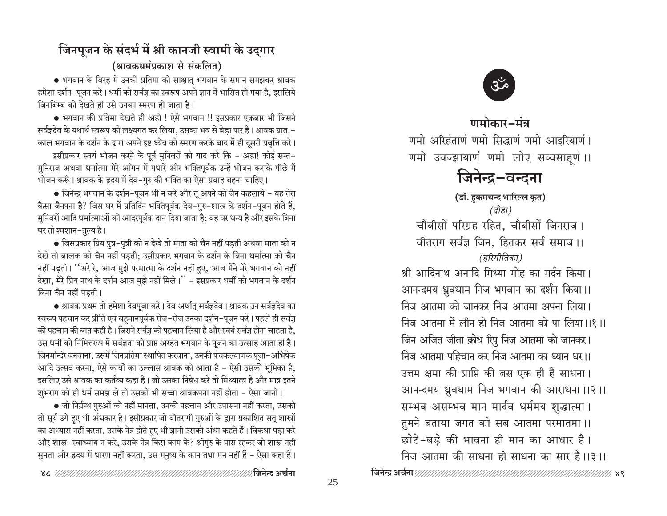### जिनपूजन के संदर्भ में श्री कानजी स्वामी के उद्गार (श्रावकधर्मप्रकाश से संकलित)

● भगवान के विरह में उनकी प्रतिमा को साक्षात् भगवान के समान समझकर श्रावक हमेशा दर्शन–पूजन करे। धर्मी को सर्वज्ञ का स्वरूप अपने ज्ञान में भासित हो गया है, इसलिये जिनबिम्ब को देखते ही उसे उनका स्मरण हो जाता है।

• भगवान की प्रतिमा देखते ही अहो ! ऐसे भगवान !! इसप्रकार एकबार भी जिसने सर्वज्ञदेव के यथार्थ स्वरूप को लक्ष्यगत कर लिया, उसका भव से बेड़ा पार है। श्रावक प्रातः– काल भगवान के दर्शन के द्वारा अपने इष्ट ध्येय को स्मरण करके बाद में ही दूसरी प्रवृत्ति करे। इसीप्रकार स्वयं भोजन करने के पूर्व मुनिवरों को याद करे कि - अहा! कोई सन्त-मुनिराज अथवा धर्मात्मा मेरे आँगन में पधारें और भक्तिपूर्वक उन्हें भोजन कराके पीछे मैं

भोजन करूँ। श्रावक के हृदय में देव–गुरु की भक्ति का ऐसा प्रवाह बहना चाहिए।

• जिनेन्द्र भगवान के दर्शन–पूजन भी न करे और तू अपने को जैन कहलाये – यह तेरा कैसा जैनपना है? जिस घर में प्रतिदिन भक्तिपूर्वक देव-गुरु-शास्त्र के दर्शन-पूजन होते हैं, मुनिवरों आदि धर्मात्माओं को आदरपूर्वक दान दिया जाता है; वह घर धन्य है और इसके बिना घर तो श्मशान-तुल्य है।

• जिसप्रकार प्रिय पुत्र–पुत्री को न देखे तो माता को चैन नहीं पड़ती अथवा माता को न देखे तो बालक को चैन नहीं पड़ती; उसीप्रकार भगवान के दर्शन के बिना धर्मात्मा को चैन नहीं पड़ती। ''अरे रे, आज मुझे परमात्मा के दर्शन नहीं हए, आज मैंने मेरे भगवान को नहीं देखा, मेरे प्रिय नाथ के दर्शन आज मुझे नहीं मिले।'' - इसप्रकार धर्मी को भगवान के दर्शन बिना चैन नहीं पडती।

• श्रावक प्रथम तो हमेशा देवपूजा करे। देव अर्थात् सर्वज्ञदेव। श्रावक उन सर्वज्ञदेव का स्वरूप पहचान कर प्रीति एवं बहुमानपूर्वक रोज–रोज उनका दर्शन–पूजन करे। पहले ही सर्वज्ञ की पहचान की बात कही है। जिसने सर्वज्ञ को पहचान लिया है और स्वयं सर्वज्ञ होना चाहता है. उस धर्मी को निमित्तरूप में सर्वज्ञता को प्राप्त अरहंत भगवान के पूजन का उत्साह आता ही है। जिनमन्दिर बनवाना, उसमें जिनप्रतिमा स्थापित करवाना, उनकी पंचकल्याणक पूजा–अभिषेक आदि उत्सव करना, ऐसे कार्यों का उल्लास श्रावक को आता है – ऐसी उसकी भूमिका है, इसलिए उसे श्रावक का कर्तव्य कहा है। जो उसका निषेध करे तो मिथ्यात्व है और मात्र इतने शुभराग को ही धर्म समझ ले तो उसको भी सच्चा श्रावकपना नहीं होता – ऐसा जानो।

• जो निर्ग्रन्थ गुरुओं को नहीं मानता, उनकी पहचान और उपासना नहीं करता, उसको तो सूर्य उगे हुए भी अंधकार है। इसीप्रकार जो वीतरागी गुरुओं के द्वारा प्रकाशित सत् शास्त्रों का अभ्यास नहीं करता, उसके नेत्र होते हुए भी ज्ञानी उसको अंधा कहते हैं। विकथा पढ़ा करे और शास्त्र–स्वाध्याय न करे, उसके नेत्र किस काम के? श्रीगुरु के पास रहकर जो शास्त्र नहीं सुनता और हृदय में धारण नहीं करता, उस मनुष्य के कान तथा मन नहीं हैं – ऐसा कहा है।



णमोकार-मंत्र

णमो अरिहंताणं णमो सिद्धाणं णमो आइरियाणं। णमो उवज्झायाणं णमो लोए सव्वसाहूणं ।।

# जिनेन्द्र-वन्दना

(डॉ. हुकमचन्द भारिल्ल कृत) (दोहा) चौबीसों परिग्रह रहित, चौबीसों जिनराज। वीतराग सर्वज्ञ जिन, हितकर सर्व समाज।। (हरिगीतिका) श्री आदिनाथ अनादि मिथ्या मोह का मर्दन किया। आनन्दमय ध्रुवधाम निज भगवान का दर्शन किया।। निज आतमा को जानकर निज आतमा अपना लिया। निज आतमा में लीन हो निज आतमा को पा लिया।।१।। जिन अजित जीता क्रोध रिपु निज आतमा को जानकर। निज आतमा पहिचान कर निज आतमा का ध्यान धर।। उत्तम क्षमा की प्राप्ति की बस एक ही है साधना। आनन्दमय ध्रुवधाम निज भगवान की आराधना ।।२ ।। सम्भव असम्भव मान मार्दव धर्ममय शुद्धात्मा। तुमने बताया जगत को सब आतमा परमातमा।। छोटे-बडे की भावना ही मान का आधार है।

निज आतमा की साधना ही साधना का सार है।।३।।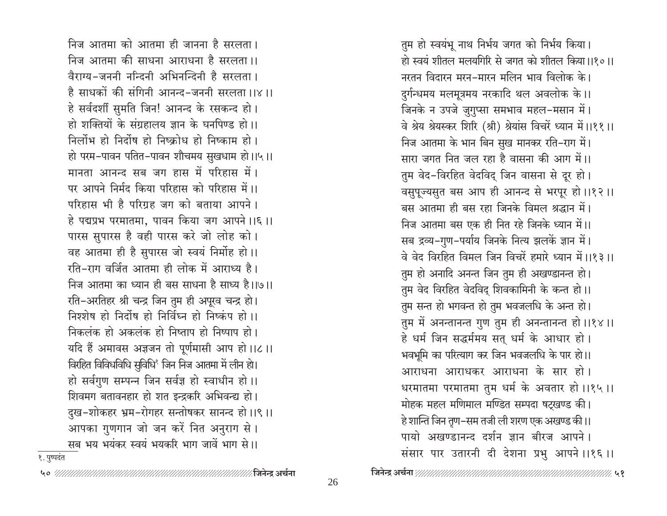निज आतमा को आतमा ही जानना है सरलता। निज आतमा की साधना आराधना है सरलता ।। वैराग्य-जननी नन्दिनी अभिनन्दिनी है सरलता। है साधकों की संगिनी आनन्द-जननी सरलता ।।४।। हे सर्वदर्शी सुमति जिन! आनन्द के रसकन्द हो। हो शक्तियों के संग्रहालय ज्ञान के घनपिण्ड हो।। निर्लोभ हो निर्दोष हो निष्क्रोध हो निष्काम हो। हो परम-पावन पतित-पावन शौचमय सुखधाम हो।।५।। मानता आनन्द सब जग हास में परिहास में। पर आपने निर्मद किया परिहास को परिहास में।। परिहास भी है परिग्रह जग को बताया आपने। हे पद्मप्रभ परमातमा, पावन किया जग आपने ।।६ ।। पारस सुपारस है वही पारस करे जो लोह को। वह आतमा ही है सुपारस जो स्वयं निर्मोह हो।। रति-राग वर्जित आतमा ही लोक में आराध्य है। निज आतमा का ध्यान ही बस साधना है साध्य है।।७।। रति-अरतिहर श्री चन्द्र जिन तुम ही अपूरव चन्द्र हो। निश्शेष हो निर्दोष हो निर्विघ्न हो निष्कंप हो।। निकलंक हो अकलंक हो निष्ताप हो निष्पाप हो। यदि हैं अमावस अज्ञजन तो पूर्णमासी आप हो।।८।। विरहित विविधविधि सुविधि<sup>8</sup> जिन निज आतमा में लीन हो। हो सर्वगुण सम्पन्न जिन सर्वज्ञ हो स्वाधीन हो।। शिवमग बतावनहार हो शत इन्द्रकरि अभिवन्द्य हो। दुख-शोकहर भ्रम-रोगहर सन्तोषकर सानन्द हो।।९।। आपका गुणगान जो जन करें नित अनुराग से । सब भय भयंकर स्वयं भयकरि भाग जावें भाग से।।

तुम हो स्वयंभू नाथ निर्भय जगत को निर्भय किया। हो स्वयं शीतल मलयगिरि से जगत को शीतल किया।।१०।। नरतन विदारन मरन-मारन मलिन भाव विलोक के। दुर्गन्धमय मलमूत्रमय नरकादि थल अवलोक के।। जिनके न उपजे जुगुप्सा समभाव महल-मसान में। वे श्रेय श्रेयस्कर शिरि (श्री) श्रेयांस विचरें ध्यान में।।११॥ निज आतमा के भान बिन सुख मानकर रति-राग में। सारा जगत नित जल रहा है वासना की आग में।। तुम वेद-विरहित वेदविद् जिन वासना से दूर हो। वसुपूज्यसुत बस आप ही आनन्द से भरपूर हो।।१२।। बस आतमा ही बस रहा जिनके विमल श्रद्धान में। निज आतमा बस एक ही नित रहे जिनके ध्यान में।। सब द्रव्य-गुण-पर्याय जिनके नित्य झलकें ज्ञान में। वे वेद विरहित विमल जिन विचरें हमारे ध्यान में ।।१३।। तुम हो अनादि अनन्त जिन तुम ही अखण्डानन्त हो। तुम वेद विरहित वेदविद् शिवकामिनी के कन्त हो।। तुम सन्त हो भगवन्त हो तुम भवजलधि के अन्त हो। तुम में अनन्तानन्त गुण तुम ही अनन्तानन्त हो।।१४।। हे धर्म जिन सद्धर्ममय सत् धर्म के आधार हो। भवभूमि का परित्याग कर जिन भवजलधि के पार हो।। आराधना आराधकर आराधना के सार हो। धरमातमा परमातमा तुम धर्म के अवतार हो।।१५।। मोहक महल मणिमाल मण्डित सम्पदा षट्खण्ड की। हे शान्ति जिन तृण-सम तजी ली शरण एक अखण्ड की।। पायो अखण्डानन्द दर्शन ज्ञान बीरज आपने। संसार पार उतारनी दी देशना प्रभु आपने।।१६।।

१. पुष्पदंत

∕ जिनेन्द्र अर्चना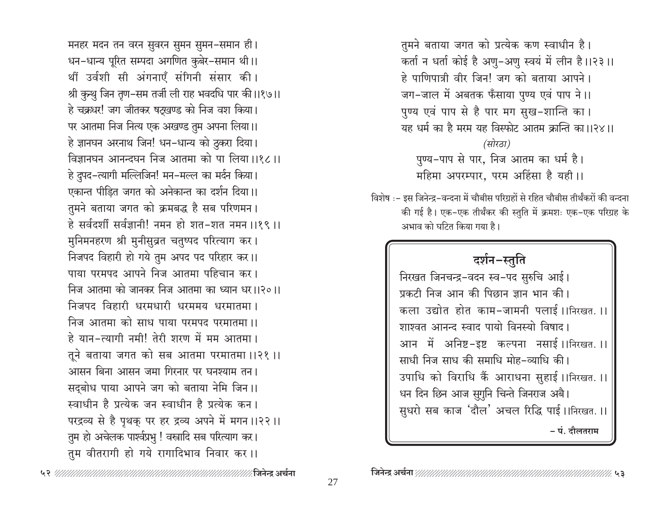मनहर मदन तन वरन सुवरन सुमन सुमन-समान ही। धन-धान्य पूरित सम्पदा अगणित कुबेर-समान थी।। थीं उर्वशी सी अंगनाएँ संगिनी संसार की। श्री कुन्थु जिन तृण–सम तर्जी ली राह भवदधि पार की।।१७।। हे चक्रधर! जग जीतकर षट्खण्ड को निज वश किया। पर आतमा निज नित्य एक अखण्ड तुम अपना लिया।। हे ज्ञानघन अरनाथ जिन! धन-धान्य को ठुकरा दिया। विज्ञानघन आनन्दघन निज आतमा को पा लिया।।१८।। हे दुपद-त्यागी मल्लिजिन! मन-मल्ल का मर्दन किया। एकान्त पीड़ित जगत को अनेकान्त का दर्शन दिया।। तुमने बताया जगत को क्रमबद्ध है सब परिणमन। हे सर्वदर्शी सर्वज्ञानी! नमन हो शत-शत नमन ।।१९ ।। मुनिमनहरण श्री मुनीसुव्रत चतुष्पद परित्याग कर। निजपद विहारी हो गये तुम अपद पद परिहार कर।। पाया परमपद आपने निज आतमा पहिचान कर। निज आतमा को जानकर निज आतमा का ध्यान धर।।२०।। निजपद विहारी धरमधारी धरममय धरमातमा। निज आतमा को साध पाया परमपद परमातमा।। हे यान-त्यागी नमी! तेरी शरण में मम आतमा। तूने बताया जगत को सब आतमा परमातमा ।।२१ ।। आसन बिना आसन जमा गिरनार पर घनश्याम तन। सदबोध पाया आपने जग को बताया नेमि जिन।। स्वाधीन है प्रत्येक जन स्वाधीन है प्रत्येक कन। परद्रव्य से है पृथक् पर हर द्रव्य अपने में मगन।।२२।। तुम हो अचेलक पार्श्वप्रभु ! वस्त्रादि सब परित्याग कर। तुम वीतरागी हो गये रागादिभाव निवार कर।।

तुमने बताया जगत को प्रत्येक कण स्वाधीन है। कर्ता न धर्ता कोई है अणु-अणु स्वयं में लीन है।।२३।। हे पाणिपात्री वीर जिन! जग को बताया आपने। जग-जाल में अबतक फँसाया पुण्य एवं पाप ने।। पुण्य एवं पाप से है पार मग सुख-शान्ति का। यह धर्म का है मरम यह विस्फोट आतम क्रान्ति का।।२४।। (सोरठा) पुण्य-पाप से पार, निज आतम का धर्म है। महिमा अपरम्पार, परम अहिंसा है यही।।

विशेष :- इस जिनेन्द्र-वन्दना में चौबीस परिग्रहों से रहित चौबीस तीर्थंकरों की वन्दना की गई है। एक-एक तीर्थंकर की स्तुति में क्रमशः एक-एक परिग्रह के अभाव को घटित किया गया है।

### दर्शन-स्तुति

निरखत जिनचन्द्र-वदन स्व-पद सुरुचि आई। प्रकटी निज आन की पिछान ज्ञान भान की। कला उद्योत होत काम-जामनी पलाई।।निरखत.।। शाश्वत आनन्द स्वाद पायो विनस्यो विषाद। आन में अनिष्ट-इष्ट कल्पना नसाई।।निरखत.।। साधी निज साध की समाधि मोह-व्याधि की। उपाधि को विराधि कैं आराधना सुहाई।।निरखत.।। धन दिन छिन आज सुगुनि चिन्ते जिनराज अबै। सुधरो सब काज 'दौल' अचल रिद्धि पाई।।निरखत.।। – पं. दौलतराम

∕ जिनेन्द्र अर्चना % ५३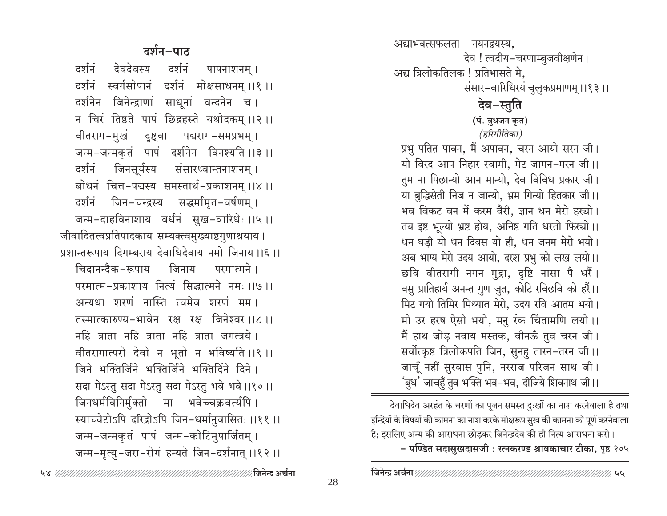#### 

28

#### दर्शन-पाठ

देवदेवस्य दर्शनं दर्शनं पापनाशनम् । दर्शनं स्वर्गसोपानं दर्शनं मोक्षसाधनम् ।।१ ।। दर्शनेन जिनेन्द्राणां साधूनां वन्दनेन च। न चिरं तिष्ठते पापं छिद्रहस्ते यथोदकम् ।।२ ।। वीतराग-मुखं दृष्ट्वा पद्मराग-समप्रभम्। जन्म-जन्मकृतं पापं दर्शनेन विनश्यति ।।३ ।। दर्शनं जिनसूर्यस्य संसारध्वान्तनाशनम् । बोधनं चित्त-पद्मस्य समस्तार्थ-प्रकाशनम् ।।४ ।। जिन−चन्द्रस्य सद्धर्मामृत−वर्षणम् । दर्शनं जन्म-दाहविनाशाय वर्धनं सुख-वारिधेः ।।५।। जीवादितत्त्वप्रतिपादकाय सम्यक्त्वमुख्याष्टगुणाश्रयाय । प्रशान्तरूपाय दिगम्बराय देवाधिदेवाय नमो जिनाय ।।६ ।। चिदानन्दैक-रूपाय जिनाय परमात्मने । परमात्म-प्रकाशाय नित्यं सिद्धात्मने नमः ।।७।। अन्यथा शरणं नास्ति त्वमेव शरणं मम। तस्मात्कारुण्य-भावेन रक्ष रक्ष जिनेश्वर ।।८ ।। नहि त्राता नहि त्राता नहि त्राता जगत्त्रये । वीतरागात्परो देवो न भूतो न भविष्यति ।।९ ।। जिने भक्तिर्जिने भक्तिर्जिने भक्तिर्दिने दिने। सदा मेऽस्तु सदा मेऽस्तु सदा मेऽस्तु भवे भवे ।।१० ।। जिनधर्मविनिर्मुक्तो मा भवेच्चक्रवर्त्यपि । स्याच्चेटोऽपि दरिद्रोऽपि जिन-धर्मानुवासितः ।।११ ।। जन्म-जन्मकृतं पापं जन्म-कोटिमुपार्जितम् । जन्म-मृत्यु-जरा-रोगं हन्यते जिन-दर्शनात् ।।१२ ।।

अद्याभवत्सफलता नयनद्वयस्य, देव ! त्वदीय-चरणाम्बुजवीक्षणेन । अद्य त्रिलोकतिलक ! प्रतिभासते मे, संसार-वारिधिरयं चुलुकप्रमाणम् ।।१३।। देव-स्तुति

> (पं. बुधजन कृत) (हरिगीतिका)

प्रभु पतित पावन, मैं अपावन, चरन आयो सरन जी। यो विरद आप निहार स्वामी, मेट जामन-मरन जी।। तुम ना पिछान्यो आन मान्यो, देव विविध प्रकार जी। या बुद्धिसेती निज न जान्यो, भ्रम गिन्यो हितकार जी।। भव विकट वन में करम वैरी, ज्ञान धन मेरो हस्यो। तब इष्ट भूल्यो भ्रष्ट होय, अनिष्ट गति धरतो फिस्चो।। धन घड़ी यो धन दिवस यो ही, धन जनम मेरो भयो। अब भाग्य मेरो उदय आयो, दरश प्रभु को लख लयो।। छवि वीतरागी नगन मुद्रा, दृष्टि नासा पै धरैं। वसु प्रातिहार्य अनन्त गुण जुत, कोटि रविछवि को हरैं।। मिट गयो तिमिर मिथ्यात मेरो. उदय रवि आतम भयो। मो उर हरष ऐसो भयो, मनु रंक चिंतामणि लयो।। मैं हाथ जोड़ नवाय मस्तक, वीनऊँ तुव चरन जी। सर्वोत्कृष्ट त्रिलोकपति जिन, सुनहु तारन-तरन जी।। जाचूँ नहीं सुरवास पुनि, नरराज परिजन साथ जी। 'बुध' जाचहुँ तुव भक्ति भव–भव, दीजिये शिवनाथ जी।।

देवाधिदेव अरहंत के चरणों का पूजन समस्त दुःखों का नाश करनेवाला है तथा इन्द्रियों के विषयों की कामना का नाश करके मोक्षरूप सुख की कामना को पूर्ण करनेवाला है; इसलिए अन्य की आराधना छोड़कर जिनेन्द्रदेव की ही नित्य आराधना करो। – पण्डित सदासुखदासजी : रत्नकरण्ड श्रावकाचार टीका, पृष्ठ २०५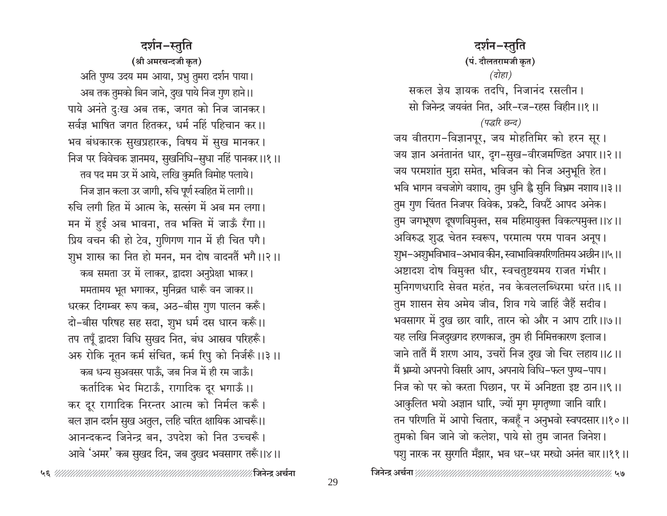#### दर्शन-स्तुति

(श्री अमरचन्दजी कृत) अति पुण्य उदय मम आया, प्रभु तुमरा दर्शन पाया। अब तक तुमको बिन जाने, दुख पाये निज गुण हाने ।। पाये अनंते दुःख अब तक, जगत को निज जानकर। सर्वज्ञ भाषित जगत हितकर, धर्म नहिं पहिचान कर।। भव बंधकारक सुखप्रहारक, विषय में सुख मानकर। निज पर विवेचक ज्ञानमय, सुखनिधि-सुधा नहिं पानकर।।१।। तव पद मम उर में आये, लखि कुमति विमोह पलाये। निज ज्ञान कला उर जागी, रुचि पूर्ण स्वहित में लागी।। रुचि लगी हित में आत्म के, सत्संग में अब मन लगा। मन में हुई अब भावना, तव भक्ति में जाऊँ रँगा।। प्रिय वचन की हो टेव, गुणिगण गान में ही चित पगै। शुभ शास्त्र का नित हो मनन, मन दोष वादनतैं भगै।।२।। कब समता उर में लाकर, द्वादश अनुप्रेक्षा भाकर। ममतामय भूत भगाकर, मुनिव्रत धारूँ वन जाकर।। धरकर दिगम्बर रूप कब, अठ-बीस गुण पालन करूँ। दो-बीस परिषह सह सदा, शुभ धर्म दस धारन करूँ।। तप तपूँ द्वादश विधि सुखद नित, बंध आस्रव परिहरूँ। अरु रोकि नूतन कर्म संचित, कर्म रिपु को निर्जरूँ।।३।। कब धन्य सुअवसर पाऊँ, जब निज में ही रम जाऊँ। कर्तादिक भेद मिटाऊँ, रागादिक दूर भगाऊँ ।। कर दूर रागादिक निरन्तर आत्म को निर्मल करूँ। बल ज्ञान दर्शन सुख अतुल, लहि चरित क्षायिक आचरूँ।। आनन्दकन्द जिनेन्द्र बन, उपदेश को नित उच्चरूँ। आवे 'अमर' कब सुखद दिन, जब दुखद भवसागर तरूँ।।४।।

दर्शन-स्तुति (पं. दौलतरामजी कृत) (दोहा) सकल ज्ञेय ज्ञायक तदपि, निजानंद रसलीन। सो जिनेन्द्र जयवंत नित, अरि-रज-रहस विहीन ।।१ ।। (पद्धरि छन्द) जय वीतराग-विज्ञानपूर, जय मोहतिमिर को हरन सूर। जय ज्ञान अनंतानंत धार, दूग-सुख-वीरजमण्डित अपार।।२।। जय परमशांत मुद्रा समेत, भविजन को निज अनुभूति हेत। भवि भागन वचजोगे वशाय, तुम धुनि ह्वै सुनि विभ्रम नशाय ।।३ ।। तुम गुण चिंतत निजपर विवेक, प्रकटै, विघटैं आपद अनेक। तुम जगभूषण दूषणविमुक्त, सब महिमायुक्त विकल्पमुक्त ।।४।। अविरुद्ध शुद्ध चेतन स्वरूप, परमात्म परम पावन अनूप। शुभ–अशुभविभाव–अभाव कीन, स्वाभाविकपरिणतिमय अछीन ।।५ ।। अष्टादश दोष विमुक्त धीर, स्वचतुष्टयमय राजत गंभीर। मुनिगणधरादि सेवत महंत, नव केवललब्धिरमा धरंत ।।६ ।। तुम शासन सेय अमेय जीव, शिव गये जाहिं जैहैं सदीव। भवसागर में दुख छार वारि, तारन को और न आप टारि।।७।। यह लखि निजदुखगद हरणकाज, तुम ही निमित्तकारण इलाज। जाने तातें मैं शरण आय, उचरों निज दुख जो चिर लहाय।।८।। मैं भ्रम्यो अपनपो विसरि आप, अपनाये विधि-फल पुण्य-पाप। निज को पर को करता पिछान, पर में अनिष्टता इष्ट ठान ।।९।। आकुलित भयो अज्ञान धारि, ज्यों मृग मृगतृष्णा जानि वारि। तन परिणति में आपो चितार, कबहूँ न अनुभवो स्वपदसार।।१०।। तुमको बिन जाने जो कलेश, पाये सो तुम जानत जिनेश। पशु नारक नर सुरगति मँझार, भव धर–धर मस्यो अनंत बार।।११।।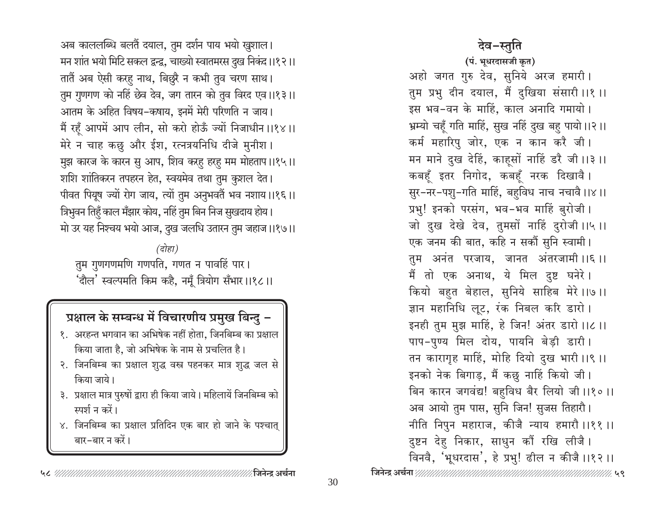अब काललब्धि बलतैं दयाल, तुम दर्शन पाय भयो खुशाल। मन शांत भयो मिटि सकल द्वन्द्व, चाख्यो स्वातमरस दुख निकंद।।१२।। तातैं अब ऐसी करहु नाथ, बिछुरै न कभी तुव चरण साथ। तुम गुणगण को नहिं छेव देव, जग तारन को तुव विरद एव।।१३।। आतम के अहित विषय-कषाय, इनमें मेरी परिणति न जाय। मैं रहूँ आपमें आप लीन, सो करो होऊँ ज्यों निजाधीन ।।१४।। मेरे न चाह कछु और ईश, रत्नत्रयनिधि दीजे मुनीश। मुझ कारज के कारन सु आप, शिव करहू हरहू मम मोहताप।।१५।। शशि शांतिकरन तपहरन हेत, स्वयमेव तथा तुम कुशल देत। पीवत पियूष ज्यों रोग जाय, त्यों तुम अनुभवतैं भव नशाय।।१६।। त्रिभुवन तिहुँ काल मँझार कोय, नहिं तुम बिन निज सुखदाय होय। मो उर यह निश्चय भयो आज, दुख जलधि उतारन तुम जहाज ।।१७।।

(दोहा) तुम गुणगणमणि गणपति, गणत न पावहिं पार। 'दौल' स्वल्पमति किम कहै, नमूँ त्रियोग सँभार।।१८।।

### प्रक्षाल के सम्बन्ध में विचारणीय प्रमुख बिन्दु -

- १. अरहन्त भगवान का अभिषेक नहीं होता, जिनबिम्ब का प्रक्षाल किया जाता है, जो अभिषेक के नाम से प्रचलित है।
- २. जिनबिम्ब का प्रक्षाल शुद्ध वस्त्र पहनकर मात्र शुद्ध जल से किया जाये।
- ३. प्रक्षाल मात्र पुरुषों द्वारा ही किया जाये। महिलायें जिनबिम्ब को स्पर्श न करें।
- ४. जिनबिम्ब का प्रक्षाल प्रतिदिन एक बार हो जाने के पश्चात् बार-बार न करें।

### देव-स्तुति

(पं. भूधरदासजी कृत) अहो जगत गुरु देव, सुनिये अरज हमारी। तुम प्रभु दीन दयाल, मैं दुखिया संसारी ।।१ ।। इस भव-वन के माहिं, काल अनादि गमायो। भ्रम्यो चहूँ गति माहिं, सुख नहिं दुख बहु पायो।।२।। कर्म महारिपु जोर, एक न कान करै जी। मन माने दुख देहिं, काहूसों नाहिं डरै जी ।।३ ।। कबहूँ इतर निगोद, कबहूँ नरक दिखावै। सुर-नर-पशु-गति माहिं, बहुविध नाच नचावै।।४।। प्रभु! इनको परसंग, भव-भव माहिं बुरोजी। जो दुख देखे देव, तुमसों नाहिं दुरोजी ।।५ ।। एक जनम की बात, कहि न सकौं सुनि स्वामी। तुम अनंत परजाय, जानत अंतरजामी ।।६।। मैं तो एक अनाथ, ये मिल दुष्ट घनेरे। कियो बहुत बेहाल, सुनिये साहिब मेरे ।।७।। ज्ञान महानिधि लूट, रंक निबल करि डारो। इनही तुम मुझ माहिं, हे जिन! अंतर डारो ।।८ ।। पाप-पुण्य मिल दोय, पायनि बेड़ी डारी। तन कारागृह माहिं, मोहि दियो दुख भारी ।।९ ।। इनको नेक बिगाड़, मैं कछु नाहिं कियो जी। बिन कारन जगवंद्य! बहुविध बैर लियो जी।।१०।। अब आयो तुम पास, सुनि जिन! सुजस तिहारौ। नीति निपुन महाराज, कीजै न्याय हमारौ ।।११ ।। दुष्टन देहु निकार, साधुन कौं रखि लीजै। विनवै, 'भूधरदास', हे प्रभु! ढील न कीजै ।।१२ ।।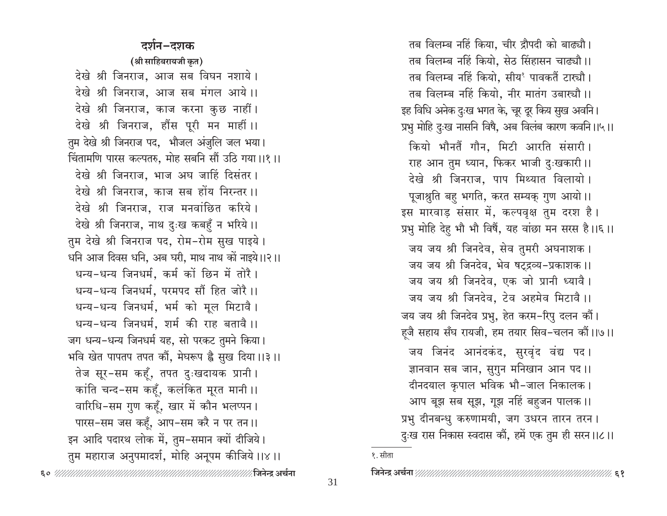#### दर्शन–दशक

(श्री साहिबरायजी कृत)

देखे श्री जिनराज, आज सब विघन नशाये। देखे श्री जिनराज, आज सब मंगल आये।। देखे श्री जिनराज, काज करना कुछ नाहीं। देखे श्री जिनराज, हौंस पूरी मन माहीं।। तुम देखे श्री जिनराज पद, भौजल अंजुलि जल भया। चिंतामणि पारस कल्पतरु, मोह सबनि सौं उठि गया।।१।। देखे श्री जिनराज. भाज अघ जाहिं दिसंतर। देखे श्री जिनराज, काज सब होंय निरन्तर ।। देखे श्री जिनराज, राज मनवांछित करिये। देखे श्री जिनराज, नाथ दुःख कबहुँ न भरिये।। तुम देखे श्री जिनराज पद, रोम-रोम सुख पाइये। धनि आज दिवस धनि, अब घरी, माथ नाथ कों नाइये।।२।। धन्य-धन्य जिनधर्म, कर्म कों छिन में तोरै । धन्य-धन्य जिनधर्म. परमपद सौं हित जोरै ।। धन्य-धन्य जिनधर्म, भर्म को मूल मिटावै। धन्य-धन्य जिनधर्म. शर्म की राह बतावै ।। जग धन्य-धन्य जिनधर्म यह, सो परकट तुमने किया। भवि खेत पापतप तपत कौं, मेघरूप है सुख दिया।।३।। तेज सूर-सम कहँ, तपत दुःखदायक प्रानी। कांति चन्द-सम कहँ, कलंकित मूरत मानी ।। वारिधि-सम गुण कहूँ, खार में कौन भलप्पन। पारस-सम जस कहँ, आप-सम करै न पर तन।। इन आदि पदारथ लोक में, तुम-समान क्यों दीजिये। तुम महाराज अनुपमादर्श, मोहि अनूपम कीजिये।।४।। 

तब विलम्ब नहिं किया, चीर द्रौपदी को बाढ्यौ। तब विलम्ब नहिं कियो, सेठ सिंहासन चाढ्यौ।। तब विलम्ब नहिं कियो. सीय<sup>१</sup> पावकतैं टास्चौ। तब विलम्ब नहिं कियो, नीर मातंग उबाख्यौ।। इह विधि अनेक दुःख भगत के, चूर दूर किय सुख अवनि। प्रभु मोहि दुःख नासनि विषै, अब विलंब कारण कवनि ।।५।। कियो भौनतैं गौन, मिटी आरति संसारी। राह आन तुम ध्यान, फिकर भाजी दुःखकारी ।। देखे श्री जिनराज, पाप मिथ्यात विलायो। पूजाश्नुति बहु भगति, करत सम्यक् गुण आयो।। इस मारवाड़ संसार में, कल्पवृक्ष तुम दरश है। प्रभु मोहि देहु भौ भौ विषैं, यह वांछा मन सरस है।।६।। जय जय श्री जिनदेव, सेव तुमरी अघनाशक। जय जय श्री जिनदेव, भेव षट्द्रव्य-प्रकाशक ।। जय जय श्री जिनदेव, एक जो प्रानी ध्यावै। जय जय श्री जिनदेव, टेव अहमेव मिटावै।। जय जय श्री जिनदेव प्रभु, हेत करम-रिपु दलन कौं। ह्जै सहाय सँघ रायजी, हम तयार सिव-चलन कौं।।७।। जय जिनंद आनंदकंद, सुरवृंद वंद्य पद। ज्ञानवान सब जान, सुगुन मनिखान आन पद।। दीनदयाल कृपाल भविक भौ-जाल निकालक। आप बूझ सब सूझ, गूझ नहिं बहुजन पालक।। प्रभु दीनबन्धु करुणामयी, जग उधरन तारन तरन। दुःख रास निकास स्वदास कौं, हमें एक तुम ही सरन।।८।।

१. सीता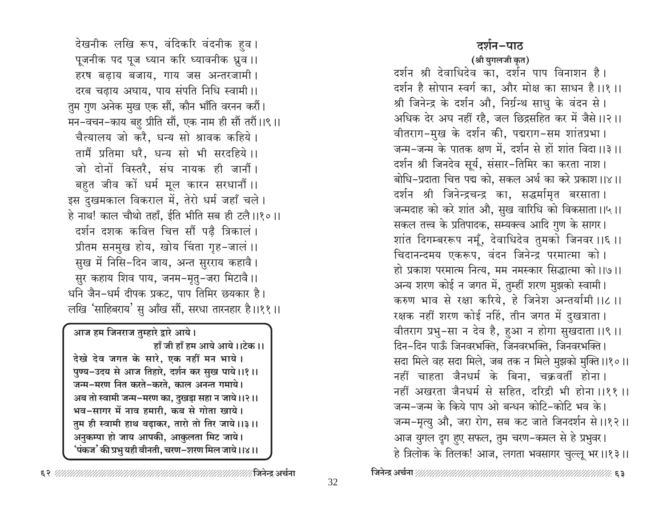देखनीक लखि रूप, वंदिकरि वंदनीक हव । पूजनीक पद पूज ध्यान करि ध्यावनीक ध्रुव ।। हरष बढाय बजाय, गाय जस अन्तरजामी। दरब चढ़ाय अघाय, पाय संपति निधि स्वामी।। तुम गुण अनेक मुख एक सौं, कौन भाँति वरनन करौं। मन-वचन-काय बहु प्रीति सौं, एक नाम ही सौं तरौं।।९।। चैत्यालय जो करै, धन्य सो श्रावक कहिये। तामैं प्रतिमा धरै. धन्य सो भी सरदहिये।। जो दोनों विस्तरै. संघ नायक ही जानौं। बहुत जीव कों धर्म मूल कारन सरधानौं ।। इस दुखमकाल विकराल में, तेरो धर्म जहाँ चले। हे नाथ! काल चौथो तहाँ. ईति भीति सब ही टलै।।१०।। दर्शन दशक कवित्त चित्त सौं पढै त्रिकालं । प्रीतम सनमुख होय, खोय चिंता गृह-जालं ।। सुख में निसि-दिन जाय, अन्त सुरराय कहावै। सुर कहाय शिव पाय, जनम-मृतु-जरा मिटावै।। धनि जैन-धर्म दीपक प्रकट, पाप तिमिर छयकार है। लखि 'साहिबराय' सु आँख सौं, सरधा तारनहार है।।११।।

आज हम जिनराज तुम्हारे द्वारे आये। हाँ जी हाँ हम आये आये।।टेक।। देखे देव जगत के सारे, एक नहीं मन भाये। पुण्य-उदय से आज तिहारे, दर्शन कर सुख पाये।।१।। जन्म-मरण नित करते-करते, काल अनन्त गमाये। अब तो स्वामी जन्म-मरण का, दुखड़ा सहा न जाये।।२।। भव-सागर में नाव हमारी, कब से गोता खाये। तुम ही स्वामी हाथ बढ़ाकर, तारो तो तिर जाये।।३।। अनुकम्पा हो जाय आपकी, आकुलता मिट जाये। 'पंकज' की प्रभु यही बीनती, चरण–शरण मिल जाये।।४।।

दर्शन-पाठ

(श्री युगलजी कृत)

दर्शन श्री देवाधिदेव का, दर्शन पाप विनाशन है। दर्शन है सोपान स्वर्ग का, और मोक्ष का साधन है।।१।। श्री जिनेन्द्र के दर्शन औ, निर्ग्रन्थ साधु के वंदन से। अधिक देर अघ नहीं रहै, जल छिद्रसहित कर में जैसे।।२।। वीतराग-मुख के दर्शन की, पद्मराग-सम शांतप्रभा। जन्म-जन्म के पातक क्षण में, दर्शन से हों शांत विदा।।३।। दर्शन श्री जिनदेव सूर्य, संसार-तिमिर का करता नाश। बोधि-प्रदाता चित्त पद्म को, सकल अर्थ का करे प्रकाश।।४।। दर्शन श्री जिनेन्द्रचन्द्र का, सद्धर्मामृत बरसाता। जन्मदाह को करे शांत औ, सुख वारिधि को विकसाता।।५।। सकल तत्त्व के प्रतिपादक, सम्यक्त्व आदि गुण के सागर। शांत दिगम्बररूप नमूँ, देवाधिदेव तुमको जिनवर ।।६ ।। चिदानन्दमय एकरूप, वंदन जिनेन्द्र परमात्मा को। हो प्रकाश परमात्म नित्य, मम नमस्कार सिद्धात्मा को।।७।। अन्य शरण कोई न जगत में, तुम्हीं शरण मुझको स्वामी। करुण भाव से रक्षा करिये, हे जिनेश अन्तर्यामी ।।८ ।। रक्षक नहीं शरण कोई नहिं, तीन जगत में दुखत्राता। वीतराग प्रभु-सा न देव है, हुआ न होगा सुखदाता ।।९ ।। दिन-दिन पाऊँ जिनवरभक्ति, जिनवरभक्ति, जिनवरभक्ति। सदा मिले वह सदा मिले, जब तक न मिले मुझको मुक्ति ।।१०।। नहीं चाहता जैनधर्म के बिना, चक्रवर्ती होना। नहीं अखरता जैनधर्म से सहित, दरिद्री भी होना ।।११ ।। जन्म-जन्म के किये पाप ओ बन्धन कोटि-कोटि भव के। जन्म-मृत्यु औ, जरा रोग, सब कट जाते जिनदर्शन से ।।१२।। आज युगल दृग हुए सफल, तुम चरण-कमल से हे प्रभुवर। हे त्रिलोक के तिलक! आज, लगता भवसागर चुल्लू भर।।१३।।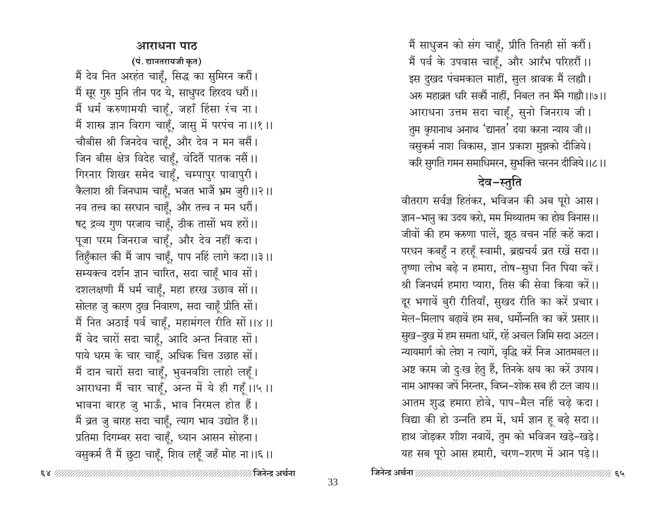#### आराधना पाठ

(पं. द्यानतरायजी कृत) मैं देव नित अरहंत चाहूँ, सिद्ध का सुमिरन करौं। मैं सूर गुरु मुनि तीन पद ये, साधुपद हिरदय धरौं।। मैं धर्म करुणामयी चाहूँ, जहाँ हिंसा रंच ना। मैं शास्त्र ज्ञान विराग चाहूँ, जासु में परपंच ना।।१।। चौबीस श्री जिनदेव चाहूँ, और देव न मन बसैं। जिन बीस क्षेत्र विदेह चाहूँ, वंदितैं पातक नसैं।। गिरनार शिखर समेद चाहूँ, चम्पापुर पावापुरी। कैलाश श्री जिनधाम चाहूँ, भजत भाजैं भ्रम जुरी ।।२।। नव तत्त्व का सरधान चाहूँ, और तत्त्व न मन धरौं। षट् द्रव्य गुण परजाय चाहूँ, ठीक तासों भय हरों।। पूजा परम जिनराज चाहूँ, और देव नहीं कदा। तिहुँकाल की मैं जाप चाहूँ, पाप नहिं लागे कदा।।३।। सम्यक्त्व दर्शन ज्ञान चारित, सदा चाहूँ भाव सों। दशलक्षणी मैं धर्म चाहूँ, महा हरख उछाव सों।। सोलह जु कारण दुख निवारण, सदा चाहूँ प्रीति सों। मैं नित अठाई पर्व चाहूँ, महामंगल रीति सों।।४।। मैं वेद चारों सदा चाहूँ, आदि अन्त निवाह सों। पाये धरम के चार चाहूँ, अधिक चित्त उछाह सों। मैं दान चारों सदा चाहूँ, भुवनवशि लाहो लहूँ। आराधना मैं चार चाहूँ, अन्त में ये ही गहूँ।।५।। भावना बारह जु भाऊँ, भाव निरमल होत हैं। मैं व्रत जु बारह सदा चाहूँ, त्याग भाव उद्योत हैं।। प्रतिमा दिगम्बर सदा चाहूँ, ध्यान आसन सोहना। वसुकर्म तैं मैं छुटा चाहूँ, शिव लहूँ जहँ मोह ना।।६।। मैं साधुजन को संग चाहँ, प्रीति तिनही सों करौं। मैं पर्व के उपवास चाहूँ, और आरँभ परिहरौं।। इस दुखद पंचमकाल माहीं, सुल श्रावक मैं लह्यौ। अरु महाव्रत धरि सकौं नाहीं, निबल तन मैंने गह्यौ।।७।। आराधना उत्तम सदा चाहूँ, सुनो जिनराय जी। तुम कृपानाथ अनाथ 'द्यानत' दया करना न्याय जी।। वसुकर्म नाश विकास, ज्ञान प्रकाश मुझको दीजिये। करि सुगति गमन समाधिमरन, सुभक्ति चरनन दीजिये।।८।।

देव-स्तूति

वीतराग सर्वज्ञ हितंकर, भविजन की अब पूरो आस। ज्ञान–भानु का उदय करो, मम मिथ्यातम का होय विनास।। जीवों की हम करुणा पालें, झूठ वचन नहिं कहें कदा। परधन कबहुँ न हरहूँ स्वामी, ब्रह्मचर्य व्रत रखें सदा।। तृष्णा लोभ बढ़े न हमारा, तोष-सुधा नित पिया करें। श्री जिनधर्म हमारा प्यारा, तिस की सेवा किया करें।। दूर भगावें बुरी रीतियाँ, सुखद रीति का करें प्रचार। मेल–मिलाप बढ़ावें हम सब, धर्मोन्नति का करें प्रसार।। सुख-दुख में हम समता धारें, रहें अचल जिमि सदा अटल। न्यायमार्ग को लेश न त्यागें, वृद्धि करें निज आतमबल।। अष्ट करम जो दुःख हेतु हैं, तिनके क्षय का करें उपाय। नाम आपका जपें निरन्तर, विघ्न-शोक सब ही टल जाय।। आतम शुद्ध हमारा होवे, पाप-मैल नहिं चढ़े कदा। विद्या की हो उन्नति हम में, धर्म ज्ञान हू बढ़े सदा।। हाथ जोड़कर शीश नवायें, तुम को भविजन खड़े-खड़े। यह सब पूरो आस हमारी, चरण-शरण में आन पड़े।।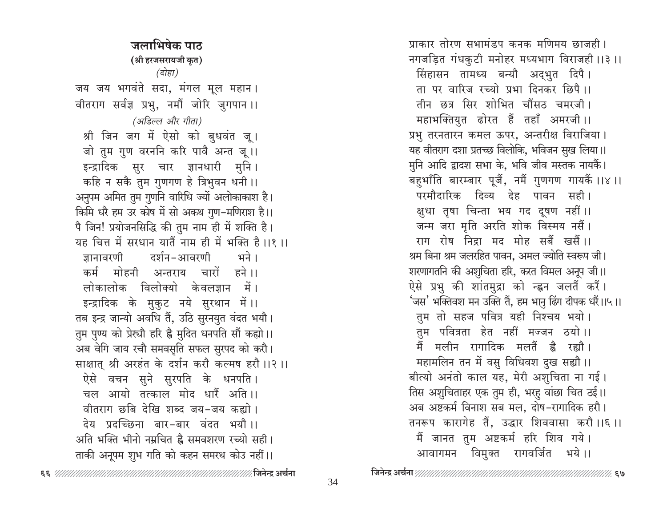जलाभिषेक पाठ (श्री हरजसरायजी कृत) (दोहा) जय जय भगवंते सदा, मंगल मूल महान। वीतराग सर्वज्ञ प्रभु, नमौं जोरि जुगपान ।। (अडिल्ल और गीता) श्री जिन जग में ऐसो को बुधवंत जू। जो तुम गुण वरननि करि पावै अन्त जू।। इन्द्रादिक सुर चार ज्ञानधारी मुनि। कहि न सकै तुम गुणगण हे त्रिभुवन धनी ।। अनुपम अमित तुम गुणनि वारिधि ज्यों अलोकाकाश है। किमि धरै हम उर कोष में सो अकथ गुण-मणिराश है।। पै जिन! प्रयोजनसिद्धि की तुम नाम ही में शक्ति है। यह चित्त में सरधान यातैं नाम ही में भक्ति है।।१।। जानावरणी दर्शन-आवरणी भने । कर्म मोहनी अन्तराय चारों हने।। लोकालोक विलोक्यो केवलज्ञान में। इन्द्रादिक के मुकुट नये सुरथान में।। तब इन्द्र जान्यो अवधि तैं, उठि सुरनयुत वंदत भयौ। तुम पुण्य को प्रेस्चौ हरि है मुदित धनपति सौं कह्यो।। अब वेगि जाय रचौ समवसृति सफल सुरपद को करौ। साक्षात् श्री अरहंत के दर्शन करौ कल्मष हरौ ।।२ ।। ऐसे वचन सुने सुरपति के धनपति। चल आयो तत्काल मोद धारैं अति।। वीतराग छबि देखि शब्द जय-जय कह्यो। देय प्रदच्छिना बार-बार वंदत भयौ।। अति भक्ति भीनो नम्रचित है समवशरण रच्यो सही। ताकी अनूपम शुभ गति को कहन समरथ कोउ नहीं।।

34

प्राकार तोरण सभामंडप कनक मणिमय छाजही। नगजड़ित गंधकुटी मनोहर मध्यभाग विराजही।।३।। सिंहासन तामध्य बन्यौ अद्भुत दिपै। ता पर वारिज रच्यो प्रभा दिनकर छिपै।। तीन छत्र सिर शोभित चौंसठ चमरजी। महाभक्तियुत ढोरत हैं तहाँ अमरजी।। प्रभु तरनतारन कमल ऊपर, अन्तरीक्ष विराजिया। यह वीतराग दशा प्रतच्छ विलोकि, भविजन सुख लिया।। मुनि आदि द्वादश सभा के, भवि जीव मस्तक नायकैं। बहुभाँति बारम्बार पूजैं, नमैं गुणगण गायकैं ।।४ ।। परमौदारिक दिव्य देह पावन सही। क्षुधा तृषा चिन्ता भय गद दूषण नहीं।। जन्म जरा मृति अरति शोक विस्मय नसैं। राग रोष निद्रा मद मोह सबैं खसैं।। श्रम बिना श्रम जलरहित पावन, अमल ज्योति स्वरूप जी। शरणागतनि की अशुचिता हरि, करत विमल अनूप जी।। ऐसे प्रभु की शांतमुद्रा को न्ह्वन जलतैं करैं। 'जस' भक्तिवश मन उक्ति तैं, हम भानु ढिंग दीपक धरैं।।५।। तुम तो सहज पवित्र यही निश्चय भयो। तुम पवित्रता हेत नहीं मज्जन ठयो।। मलीन रागादिक मलतैं है रह्यौ । ਸੈਂ महामलिन तन में वसु विधिवश दुख सह्यौ ।। बीत्यो अनंतो काल यह, मेरी अशुचिता ना गई। तिस अशुचिताहर एक तुम ही, भरहू वांछा चित ठई।। अब अष्टकर्म विनाश सब मल, दोष-रागादिक हरौ। तनरूप कारागेह तैं, उद्धार शिववासा करौ ।।६ ।। मैं जानत तुम अष्टकर्म हरि शिव गये। आवागमन विमुक्त रागवर्जित भये।।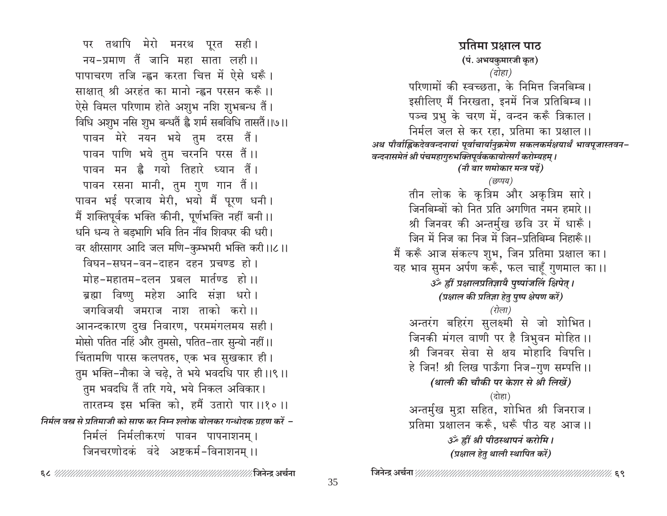पर तथापि मेरो मनरथ पूरत सही। नय-प्रमाण तैं जानि महा साता लही।। पापाचरण तजि न्ह्वन करता चित्त में ऐसे धरूँ। साक्षात् श्री अरहंत का मानो न्ह्वन परसन करूँ।। ऐसे विमल परिणाम होते अशुभ नशि शुभबन्ध तैं। विधि अशुभ नसि शुभ बन्धतैं ह्वै शर्म सबविधि तासतैं।।७।। पावन मेरे नयन भये तुम दरस तैं। पावन पाणि भये तुम चरननि परस तैं।। पावन मन ह्वै गयो तिहारे ध्यान तैं। पावन रसना मानी, तुम गुण गान तैं।। पावन भई परजाय मेरी, भयो मैं पूरण धनी। मैं शक्तिपूर्वक भक्ति कीनी, पूर्णभक्ति नहीं बनी।। धनि धन्य ते बड़भागि भवि तिन नींव शिवघर की धरी। वर क्षीरसागर आदि जल मणि-कुम्भभरी भक्ति करी।।८।। विघन-सघन-वन-दाहन दहन प्रचण्ड हो। मोह-महातम-दलन प्रबल मार्तण्ड हो।। ब्रह्मा विष्णु महेश आदि संज्ञा धरो। जगविजयी जमराज नाश ताको करो ।। आनन्दकारण दुख निवारण, परममंगलमय सही। मोसो पतित नहिं और तुमसो, पतित-तार सुन्यो नहीं।। चिंतामणि पारस कलपतरु, एक भव सुखकार ही। तुम भक्ति-नौका जे चढ़े, ते भये भवदधि पार ही।।९।। तुम भवदधि तैं तरि गये, भये निकल अविकार। तारतम्य इस भक्ति को, हमैं उतारो पार ।।१० ।। निर्मल वस्त्र से प्रतिमाजी को साफ कर निम्न श्लोक बोलकर गन्धोदक ग्रहण करें – निर्मलं निर्मलीकरणं पावन पापनाशनम् । जिनचरणोदकं वंदे अष्टकर्म-विनाशनम् ।।

(दोहा) परिणामों की स्वच्छता. के निमित्त जिनबिम्ब। इसीलिए मैं निरखता, इनमें निज प्रतिबिम्ब ।। पञ्च प्रभु के चरण में, वन्दन करूँ त्रिकाल। निर्मल जल से कर रहा, प्रतिमा का प्रक्षाल ।। अथ पौर्वाह्निकदेववन्दनायां पूर्वाचार्यानुक्रमेण सकलकर्मक्षयार्थं भावपूजास्तवन-वन्दनासमेतं श्री पंचमहागुरुभक्तिपूर्वककायोत्सर्गं करोम्यहम् । (नौ बार णमोकार मन्त्र पढ़ें) (छप्पय) तीन लोक के कृत्रिम और अकृत्रिम सारे। जिनबिम्बों को नित प्रति अगणित नमन हमारे।। श्री जिनवर की अन्तर्मुख छवि उर में धारूँ। जिन में निज का निज में जिन–प्रतिबिम्ब निहारूँ।। मैं करूँ आज संकल्प शुभ, जिन प्रतिमा प्रक्षाल का। यह भाव सुमन अर्पण करूँ, फल चाहूँ गुणमाल का ।। ॐ ह्रीं प्रक्षालप्रतिज्ञायै पुष्पांजलिं क्षिपेत् । (प्रक्षाल की प्रतिज्ञा हेतु पुष्प क्षेपण करें) (रोला) अन्तरंग बहिरंग सुलक्ष्मी से जो शोभित। जिनकी मंगल वाणी पर है त्रिभुवन मोहित ।। श्री जिनवर सेवा से क्षय मोहादि विपत्ति। हे जिन! श्री लिख पाऊँगा निज-गुण सम्पत्ति ।। (थाली की चौकी पर केशर से श्री लिखें) (दोहा) अन्तर्मुख मुद्रा सहित, शोभित श्री जिनराज। प्रतिमा प्रक्षालन करूँ, धरूँ पीठ यह आज।। उँ ह्रीं श्री पीठस्थापनं करोमि । (प्रक्षाल हेतु थाली स्थापित करें) 

प्रतिमा प्रश्नाल पाठ

(पं. अभयकुमारजी कृत)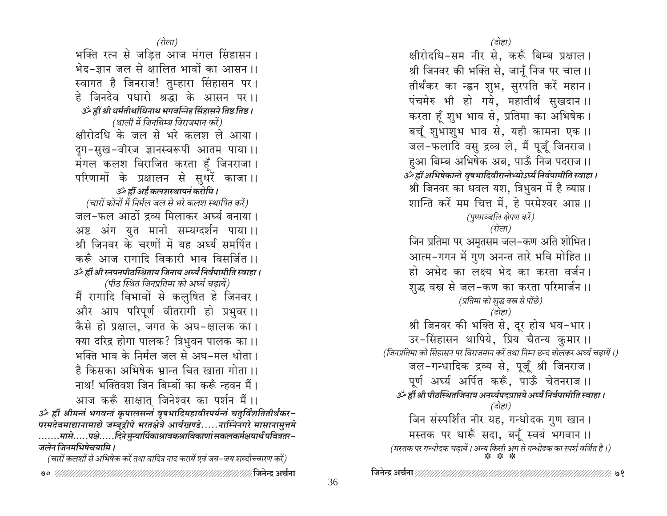(रोला) भक्ति रत्न से जड़ित आज मंगल सिंहासन। भेद-ज्ञान जल से क्षालित भावों का आसन ।। स्वागत है जिनराज! तुम्हारा सिंहासन पर । हे जिनदेव पधारो श्रद्धा के आसन पर।। उर्ँ ह्रीं श्री धर्मतीर्थाधिनाथ भगवन्निह सिंहासने तिष्ठ तिष्ठ । (थाली में जिनबिम्ब विराजमान करें) क्षीरोदधि के जल से भरे कलश ले आया। दृग-सुख-वीरज ज्ञानस्वरूपी आतम पाया ।। मंगल कलश विराजित करता हूँ जिनराजा। परिणामों के प्रक्षालन से सुधरें काजा।। ॐ ह्रीं अर्हं कलशस्थापनं करोमि । (चारों कोनों में निर्मल जल से भरे कलश स्थापित करें) जल-फल आठों द्रव्य मिलाकर अर्घ्य बनाया। अष्ट अंग युत मानो सम्यग्दर्शन पाया।। श्री जिनवर के चरणों में यह अर्घ्य समर्पित। करूँ आज रागादि विकारी भाव विसर्जित ।। उँ ह्रीं श्री स्नपनपीठस्थिताय जिनाय अर्घ्यं निर्वपामीति स्वाहा । (पीठ स्थित जिनप्रतिमा को अर्घ्य चढ़ायें) मैं रागादि विभावों से कलुषित हे जिनवर। और आप परिपूर्ण वीतरागी हो प्रभुवर ।। कैसे हो प्रक्षाल, जगत के अघ-क्षालक का। क्या दरिद्र होगा पालक? त्रिभुवन पालक का।। भक्ति भाव के निर्मल जल से अघ-मल धोता। है किसका अभिषेक भ्रान्त चित खाता गोता ।। नाथ! भक्तिवश जिन बिम्बों का करूँ न्हवन मैं। आज करूँ साक्षात् जिनेश्वर का पर्शन मैं।। ॐ ह्रीं श्रीमन्तं भगवन्तं कृपालसन्तं वृषभादिमहावीरपर्यन्तं चतुर्विंशतितीर्थंकर–<br>परमदेवमाद्यानामाद्ये जम्बूद्वीपे भरतक्षेत्रे आर्यखण्डे.....नाम्निनगरे मासानामुत्तमे .......मासे.....पक्षे.....दिने मुन्यार्यिकाश्रावकश्राविकाणां सकलकर्मक्षयार्थं पवित्रतर– जलेन जिनमभिषेचयामि ।

(चारों कलशों से अभिषेक करें तथा वादित्र नाद करायें एवं जय–जय शब्दोच्चारण करें)

(दोहा)

क्षीरोदधि-सम नीर से, करूँ बिम्ब प्रक्षाल। श्री जिनवर की भक्ति से, जानूँ निज पर चाल।। तीर्थंकर का न्ह्वन शुभ, सुरपति करें महान। पंचमेरु भी हो गये, महातीर्थ सुखदान ।। करता हँ शुभ भाव से, प्रतिमा का अभिषेक । बचूँ शुभाशुभ भाव से, यही कामना एक ।। जल-फलादि वसु द्रव्य ले, मैं पूजूँ जिनराज। हुआ बिम्ब अभिषेक अब, पाऊँ निज पदराज ।। उर्व्हीं अभिषेकान्ते वृषभादिवीरान्तेभ्योऽर्घ्यं निर्वपामीति स्वाहा। श्री जिनवर का धवल यश, त्रिभुवन में है व्याप्त। शान्ति करें मम चित्त में, हे परमेश्वर आप्त ।। (पुष्पाञ्जलि क्षेपण करें) (रोला) जिन प्रतिमा पर अमृतसम जल–कण अति शोभित। आत्म-गगन में गुण अनन्त तारे भवि मोहित ।। हो अभेद का लक्ष्य भेद का करता वर्जन। शुद्ध वस्त्र से जल-कण का करता परिमार्जन ।। (प्रतिमा को शुद्ध वस्त्र से पोंछे) (दोहा) श्री जिनवर की भक्ति से, दूर होय भव-भार। उर-सिंहासन थापिये, प्रिय चैतन्य कुमार ।। (जिनप्रतिमा को सिंहासन पर विराजमान करें तथा निम्न छन्द बोलकर अर्घ्य चढ़ायें।) जल-गन्धादिक द्रव्य से, पूजूँ श्री जिनराज। पूर्ण अर्घ्य अर्पित करूँ, पाऊँ चेतनराज ।। उँटु ह्वी श्री पीठस्थितजिनाय अनर्घ्यपदप्राप्तये अर्घ्यं निर्वपामीति स्वाहा । (दोहा) जिन संस्पर्शित नीर यह, गन्धोदक गुण खान । मस्तक पर धारूँ सदा, बनुँ स्वयं भगवान ।। (मस्तक पर गन्धोदक चढ़ायें। अन्य किसी अंग से गन्धोदक का स्पर्श वर्जित है।)<br>\* \* \* \*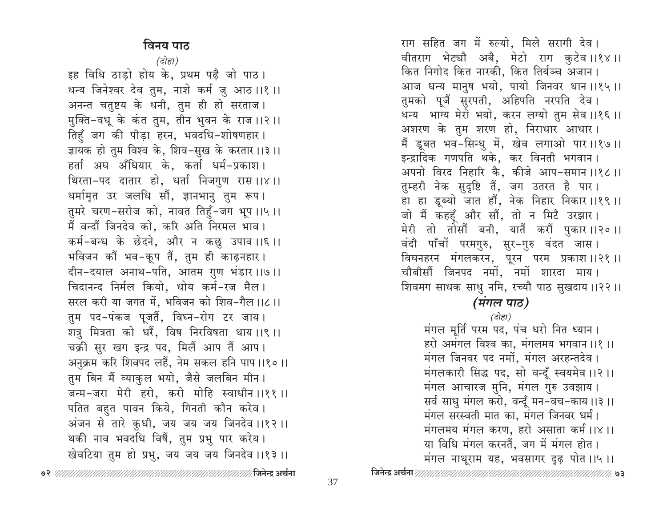## विनय पाठ

(दोहा)

इह विधि ठाड़ो होय के, प्रथम पढ़ै जो पाठ। धन्य जिनेश्वर देव तुम, नाशे कर्म जु आठ ।।१ ।। अनन्त चतुष्टय के धनी, तुम ही हो सरताज। मुक्ति-वधू के कंत तुम, तीन भुवन के राज ।।२ ।। तिहूँ जग की पीड़ा हरन, भवदधि-शोषणहार। ज्ञायक हो तुम विश्व के, शिव-सुख के करतार।।३।। हर्ता अघ अँधियार के, कर्ता धर्म-प्रकाश। थिरता-पद दातार हो, धर्ता निजगुण रास ।।४।। धर्मामृत उर जलधि सौं, ज्ञानभानु तुम रूप। तुमरे चरण-सरोज को, नावत तिहूँ-जग भूप ।।५ ।। मैं वन्दौं जिनदेव को, करि अति निरमल भाव। कर्म-बन्ध के छेदने, और न कछु उपाव ।।६ ।। भविजन कौं भव-कूप तैं, तुम ही काढ़नहार । दीन-दयाल अनाथ-पति, आतम गुण भंडार ।।७।। चिदानन्द निर्मल कियो, धोय कर्म-रज मैल। सरल करी या जगत में, भविजन को शिव-गैल ।।८ ।। तुम पद-पंकज पूजतैं, विघ्न-रोग टर जाय । शत्रु मित्रता को धरैं, विष निरविषता थाय ।।९ ।। चक्री सुर खग इन्द्र पद, मिलैं आप तैं आप। अनुक्रम करि शिवपद लहैं, नेम सकल हनि पाप।।१०।। तुम बिन मैं व्याकुल भयो, जैसे जलबिन मीन। जन्म-जरा मेरी हरो, करो मोहि स्वाधीन ।।११ ।। पतित बहुत पावन किये, गिनती कौन करेव । अंजन से तारे कुधी, जय जय जय जिनदेव ।।१२ ।। थकी नाव भवदधि विषैं, तुम प्रभु पार करेय। खेवटिया तुम हो प्रभु, जय जय जय जिनदेव ।।१३ ।।

तुम्हरी नेक सुदृष्टि तैं, जग उतरत है पार। हा हा डूब्यो जात हौं, नेक निहार निकार ।।१९।। जो मैं कहहँ और सौं, तो न मिटै उरझार। मेरी तो तोसौं बनी, यातैं करौं पुकार ।।२० ।। वंदौ पाँचों परमगुरु, सुर-गुरु वंदत जास। विघनहरन मंगलकरन, पूरन परम प्रकाश।।२१।। चौबीसौं जिनपद नमों, नमों शारदा माय। शिवमग साधक साधु नमि, रच्यौ पाठ सुखदाय ।।२२ ।। (मंगल पाठ) (दोहा) मंगल मूर्ति परम पद, पंच धरो नित ध्यान। हरो अमंगल विश्व का, मंगलमय भगवान ।।१ ।। मंगल जिनवर पद नमों, मंगल अरहन्तदेव। मंगलकारी सिद्ध पद, सो वन्दूँ स्वयमेव ।।२ ।। मंगल आचारज मुनि, मंगल गुरु उवझाय। सर्व साधु मंगल करो, वन्दूँ मन-वच-काय ।।३।। मंगल सरस्वती मात का, मंगल जिनवर धर्म। मंगलमय मंगल करण, हरो असाता कर्म ।।४।। या विधि मंगल करनतैं, जग में मंगल होत। मंगल नाथूराम यह, भवसागर दुढ़ पोत ।।५।। 

राग सहित जग में रुल्यो, मिले सरागी देव।

कित निगोद कित नारकी, कित तिर्यञ्च अजान।

तुमको पूजैं सुरपती, अहिपति नरपति देव।

अशरण के तुम शरण हो, निराधार आधार।

इन्द्रादिक गणपति थके, कर विनती भगवान।

वीतराग भेट्यौ अबै, मेटो राग कुटेव ।।१४।।

आज धन्य मानुष भयो, पायो जिनवर थान ।।१५।।

धन्य भाग्य मेरो भयो, करन लग्यो तुम सेव ।।१६ ।।

मैं डूबत भव-सिन्धु में, खेव लगाओ पार।।१७।।

अपनो विरद निहारि कै, कीजे आप-समान ।।१८।।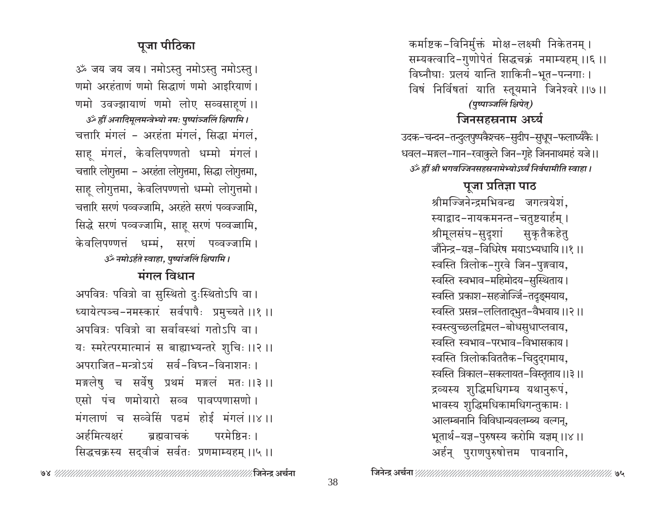कर्माष्टक-विनिर्मुक्तं मोक्ष-लक्ष्मी निकेतनम् । सम्यक्त्वादि-गुणोपेतं सिद्धचक्रं नमाम्यहम् ।।६ ।। विघ्नौघाः प्रलयं यान्ति शाकिनी-भूत-पन्नगाः। विषं निर्विषतां याति स्तूयमाने जिनेश्वरे ।।७।। (पुष्पाञ्जलिं क्षिपेत्)

## जिनसहस्रनाम अर्घ्य

उदक-चन्दन-तन्दुलपुष्पकैश्चरु-सुदीप-सुधूप-फलार्घ्यकैः । धवल-मङ्गल-गान-रवाकुले जिन-गृहे जिननाथमहं यजे।। उँ ह्रीं श्री भगवज्जिनसहस्रनामेभ्योऽर्घ्यं निर्वपामीति स्वाहा।

# पूजा प्रतिज्ञा पाठ श्रीमज्जिनेन्द्रमभिवन्द्य जगत्त्रयेशं, स्याद्वाद-नायकमनन्त-चतुष्टयार्हम् । श्रीमूलसंघ-सुदृशां सुकृतैकहेतु जौंनेन्द्र-यज्ञ-विधिरेष मयाऽभ्यधायि ।।१ ।। स्वस्ति त्रिलोक-गुरवे जिन-पुङ्गवाय, स्वस्ति स्वभाव-महिमोदय-सुस्थिताय। स्वस्ति प्रकाश-सहजोज्जिं-तदुङ्मयाय, स्वस्ति प्रसन्न-ललितादृभुत-वैभवाय ।।२।। स्वस्त्युच्छलद्विमल-बोधसुधाप्लवाय, स्वस्ति स्वभाव-परभाव-विभासकाय। स्वस्ति त्रिलोकविततैक-चिदुद्गमाय, स्वस्ति त्रिकाल-सकलायत-विस्तृताय ।।३।। द्रव्यस्य शुद्धिमधिगम्य यथानुरूपं, भावस्य शुद्धिमधिकामधिगन्तुकामः । आलम्बनानि विविधान्यवलम्ब्य वल्गन्, भूतार्थ-यज्ञ-पुरुषस्य करोमि यज्ञम् ।।४।। अर्हन् पुराणपुरुषोत्तम पावनानि,

# पूजा पीठिका

ॐ जय जय जय। नमोऽस्तु नमोऽस्तु नमोऽस्तु। णमो अरहंताणं णमो सिद्धाणं णमो आइरियाणं। णमो उवज्झायाणं णमो लोए सव्वसाहूणं ।। उर्क ह्रीं अनादिमूलमन्त्रेभ्यो नमः पुष्पांञ्जलिं क्षिपामि । चतारि मंगलं - अरहंता मंगलं, सिद्धा मंगलं, साह मंगलं, केवलिपण्णतो धम्मो मंगलं। चतारि लोगुत्तमा - अरहंता लोगुत्तमा, सिद्धा लोगुत्तमा, साहू लोगुत्तमा, केवलिपण्णत्तो धम्मो लोगुत्तमो। चतारि सरणं पव्वज्जामि, अरहंते सरणं पव्वज्जामि, सिद्धे सरणं पव्वज्जामि, साहू सरणं पव्वज्जामि, केवलिपण्णत्तं धर्म्म, सरणं पव्वज्जामि । ॐ नमोऽर्हते स्वाहा, पुष्पांजलिं क्षिपामि ।

## मंगल विधान

अपवित्रः पवित्रो वा सुस्थितो दुःस्थितोऽपि वा। ध्यायेत्पञ्च-नमस्कारं सर्वपापैः प्रमुच्यते ।।१ ।। अपवित्रः पवित्रो वा सर्वावस्थां गतोऽपि वा । यः स्मरेत्परमात्मानं स बाह्याभ्यन्तरे शुचिः ।।२ ।। अपराजित-मन्त्रोऽयं सर्व-विघ्न-विनाशनः । मङ्गलेषु च सर्वेषु प्रथमं मङ्गलं मतः ।।३।। एसो पंच णमोयारो सव्व पावप्पणासणो। मंगलाणं च सब्वेसिं पढमं होई मंगलं ।।४।। अर्हमित्यक्षरं बन्नवाचकं परमेष्टिन $: 1$ सिद्धचक्रस्य सद्वीजं सर्वतः प्रणमाम्यहम् ।।५ ।।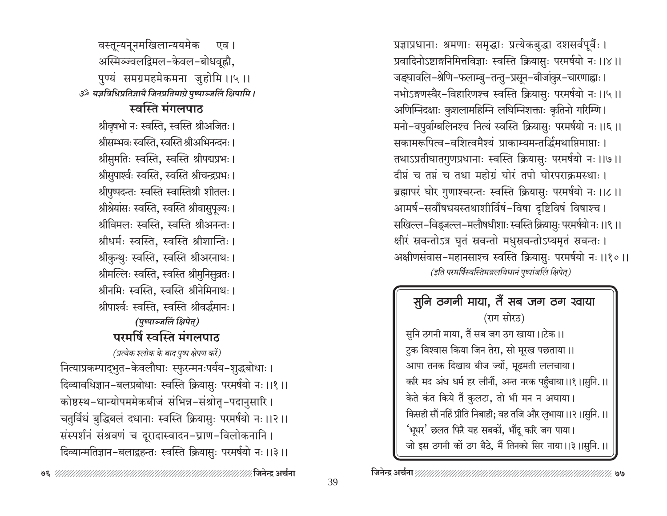अस्मिञ्ज्वलद्विमल-केवल-बोधवृह्नौ, पुण्यं समग्रमहमेकमना जुहोमि ।।५ ।। ॐ यज्ञविधिप्रतिज्ञायै जिनप्रतिमाग्रे पुष्पाञ्जलिं क्षिपामि । स्वस्ति मंगलपाठ श्रीवृषभो नः स्वस्ति, स्वस्ति श्रीअजितः । श्रीसम्भवः स्वस्ति. स्वस्ति श्रीअभिनन्दनः । श्रीसुमतिः स्वस्ति, स्वस्ति श्रीपद्मप्रभः। श्रीसुपार्श्वः स्वस्ति, स्वस्ति श्रीचन्द्रप्रभः । श्रीपुष्पदन्तः स्वस्ति स्वास्तिश्री शीतलः। श्रीश्रेयांसः स्वस्ति, स्वस्ति श्रीवासुपूज्यः । श्रीविमलः स्वस्ति, स्वस्ति श्रीअनन्तः। श्रीधर्मः स्वस्ति. स्वस्ति श्रीशान्तिः । श्रीकुन्थुः स्वस्ति, स्वस्ति श्रीअरनाथः। श्रीमल्लिः स्वस्ति, स्वस्ति श्रीमुनिसुव्रतः। श्रीनमिः स्वस्ति, स्वस्ति श्रीनेमिनाथः। श्रीपार्श्वः स्वस्ति, स्वस्ति श्रीवर्द्धमानः। (पुष्पाञ्जलिं क्षिपेत्) परमर्षि स्वस्ति मंगलपाठ (प्रत्येक श्लोक के बाद पुष्प क्षेपण करें) नित्याप्रकम्पाद्भुत-केवलौघाः स्फुरन्मनःपर्यय-शुद्धबोधाः । दिव्यावधिज्ञान-बलप्रबोधाः स्वस्ति क्रियासुः परमर्षयो नः ।।१ ।। कोष्ठस्थ-धान्योपममेकबीजं संभिन्न-संश्रोतृ-पदानुसारि। चतुर्विधं बुद्धिबलं दधानाः स्वस्ति क्रियासुः परमर्षयो नः ।।२।। संस्पर्शनं संश्रवणं च दूरादास्वादन-घ्राण-विलोकनानि। दिव्यान्मतिज्ञान-बलाद्वहन्तः स्वस्ति क्रियासुः परमर्षयो नः ।।३ ।।

वस्तून्यनूनमखिलान्ययमेक

एव ।

प्रज्ञाप्रधानाः श्रमणाः समृद्धाः प्रत्येकबुद्धा दशसर्वपूर्वैः । प्रवादिनोऽष्टाङ्गनिमित्तविज्ञाः स्वस्ति क्रियासुः परमर्षयो नः ।।४।। जङ्घावलि-श्रेणि-फलाम्बु-तन्तु-प्रसून-बीजांकुर-चारणाह्वाः । नभोऽङ्गणस्वैर-विहारिणश्च स्वस्ति क्रियासुः परमर्षयो नः ।।५ ।। अणिम्निदक्षाः कुशलामहिम्नि लघिम्निशक्ताः कृतिनो गरिम्णि । मनो-वपुर्वाग्बलिनश्च नित्यं स्वस्ति क्रियासुः परमर्षयो नः ।।६ ।। सकामरूपित्व-वशित्वमैश्यं प्राकाम्यमन्तर्द्धिमथाप्रिमाप्ताः । तथाऽप्रतीघातगुणप्रधानाः स्वस्ति क्रियासुः परमर्षयो नः ।।७।। दीप्तं च तप्तं च तथा महोग्रं घोरं तपो घोरपराक्रमस्थाः । ब्रह्मापरं घोर गुणाश्चरन्तः स्वस्ति क्रियासुः परमर्षयो नः ॥८॥ आमर्ष-सर्वौषधयस्तथाशीर्विषं-विषा दृष्टिविषं विषाश्च । सखिल्ल-विड्जल्ल-मलौषधीशाः स्वस्ति क्रियासुः परमर्षयो नः ।।९ ।। क्षीरं स्रवन्तोऽत्र घृतं स्रवन्तो मधुस्रवन्तोऽप्यमृतं स्रवन्तः । अक्षीणसंवास-महानसाश्च स्वस्ति क्रियासुः परमर्षयो नः ।।१०।। (इति परमर्षिस्वस्तिमङ्गलविधानं पुष्पांजलिं क्षिपेत्)

| सुनि ठगनी माया, तैं सब जग ठग खाया                          |
|------------------------------------------------------------|
| (राग सोरठ)                                                 |
| सुनि ठगनी माया, तैं सब जग ठग खाया।।टेक।।                   |
| टुक विश्वास किया जिन तेरा, सो मूरख पछताया।।                |
| आपा तनक दिखाय बीज ज्यों, मूढमती ललचाया।                    |
| करि मद अंध धर्म हर लीनौं, अन्त नरक पहुँचाया।।१।।सुनि.।।    |
| केते कंत किये तैं कुलटा, तो भी मन न अघाया।                 |
| किसही सौं नहिं प्रीति निबाही; वह तजि और लुभाया।।२।।सुनि.।। |
| 'भूधर' छलत फिरै यह सबकों, भौंदू करि जग पाया।               |
| जो इस ठगनी कों ठग बैठे, मैं तिनको सिर नाया।।३।।सुनि.।।     |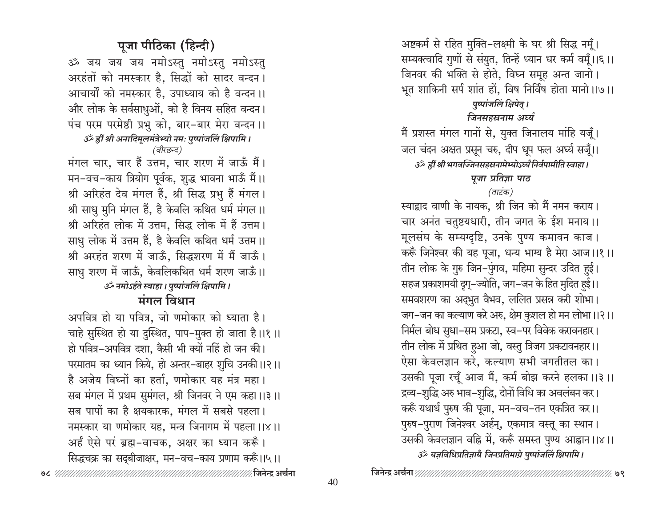अष्टकर्म से रहित मुक्ति-लक्ष्मी के घर श्री सिद्ध नमूँ। सम्यक्त्वादि गुणों से संयुत, तिन्हें ध्यान धर कर्म वमूँ।।६।। जिनवर की भक्ति से होते, विघ्न समूह अन्त जानो। भूत शाकिनी सर्प शांत हों, विष निर्विष होता मानो।।७।। पुष्पांजलिं क्षिपेत् ।

## जिनसहस्रनाम अर्घ्य

मैं प्रशस्त मंगल गानों से, युक्त जिनालय मांहि यजूँ। जल चंदन अक्षत प्रसून चरु, दीप धूप फल अर्घ्य सजूँ।।

उँ ह्रीं श्री भगवज्जिनसहस्रनामेभ्योऽर्घ्यं निर्वपामीति स्वाहा ।

पूजा प्रतिज्ञा पाठ

### (ताटंक)

स्याद्वाद वाणी के नायक, श्री जिन को मैं नमन कराय। चार अनंत चतुष्टयधारी, तीन जगत के ईश मनाय।। मूलसंघ के सम्यग्दृष्टि, उनके पुण्य कमावन काज। करूँ जिनेश्वर की यह पूजा, धन्य भाग्य है मेरा आज।।१।। तीन लोक के गुरु जिन-पुंगव, महिमा सुन्दर उदित हुई। सहज प्रकाशमयी दृग्-ज्योति, जग-जन के हित मुदित हुई।। समवशरण का अद्भुत वैभव, ललित प्रसन्न करी शोभा। जग-जन का कल्याण करे अरु, क्षेम कुशल हो मन लोभा।।२।। निर्मल बोध सुधा–सम प्रकटा, स्व–पर विवेक करावनहार। तीन लोक में प्रथित हुआ जो, वस्तु त्रिजग प्रकटावनहार।। ऐसा केवलज्ञान करे, कल्याण सभी जगतीतल का। उसकी पूजा रचूँ आज मैं, कर्म बोझ करने हलका ।।३।। द्रव्य-शुद्धि अरु भाव-शुद्धि, दोनों विधि का अवलंबन कर। करूँ यथार्थ पुरुष की पूजा, मन–वच–तन एकत्रित कर।। पुरुष-पुराण जिनेश्वर अर्हन्, एकमात्र वस्तू का स्थान। उसकी केवलज्ञान वहि में, करूँ समस्त पुण्य आह्वान ।।४।। उर्क यज्ञविधिप्रतिज्ञायै जिनप्रतिमाग्रे पुष्पांजलिं क्षिपामि ।

# पूजा पीठिका (हिन्दी)

ॐ जय जय जय नमोऽस्तु नमोऽस्तु नमोऽस्तु अरहंतों को नमस्कार है, सिद्धों को सादर वन्दन। आचार्यों को नमस्कार है, उपाध्याय को है वन्दन ।। और लोक के सर्वसाधुओं, को है विनय सहित वन्दन। पंच परम परमेष्ठी प्रभु को, बार-बार मेरा वन्दन ।। उर्क ह्रीं श्री अनादिमूलमंत्रेभ्यो नमः पुष्पांजलिं क्षिपामि ।

(वीरछन्द)

मंगल चार, चार हैं उत्तम, चार शरण में जाऊँ मैं। मन-वच-काय त्रियोग पूर्वक, शुद्ध भावना भाऊँ मैं।। श्री अरिहंत देव मंगल हैं, श्री सिद्ध प्रभु हैं मंगल। श्री साधु मुनि मंगल हैं, है केवलि कथित धर्म मंगल।। श्री अरिहंत लोक में उत्तम, सिद्ध लोक में हैं उत्तम। साधु लोक में उत्तम हैं, है केवलि कथित धर्म उत्तम।। श्री अरहंत शरण में जाऊँ, सिद्धशरण में मैं जाऊँ। साधु शरण में जाऊँ, केवलिकथित धर्म शरण जाऊँ।। ॐ नमोऽर्हते स्वाहा । पुष्पांजलिं क्षिपामि ।

## मंगल विधान

अपवित्र हो या पवित्र, जो णमोकार को ध्याता है। चाहे सुस्थित हो या दुस्थित, पाप-मुक्त हो जाता है।।१।। हो पवित्र-अपवित्र दशा, कैसी भी क्यों नहिं हो जन की। परमातम का ध्यान किये, हो अन्तर–बाहर शुचि उनकी ।।२।। है अजेय विघ्नों का हर्ता, णमोकार यह मंत्र महा। सब मंगल में प्रथम सुमंगल, श्री जिनवर ने एम कहा।।३।। सब पापों का है क्षयकारक, मंगल में सबसे पहला। नमस्कार या णमोकार यह, मन्त्र जिनागम में पहला।।४।। अर्हं ऐसे परं ब्रह्म-वाचक, अक्षर का ध्यान करूँ। सिद्धचक्र का सद्बीजाक्षर, मन-वच-काय प्रणाम करूँ।।५।।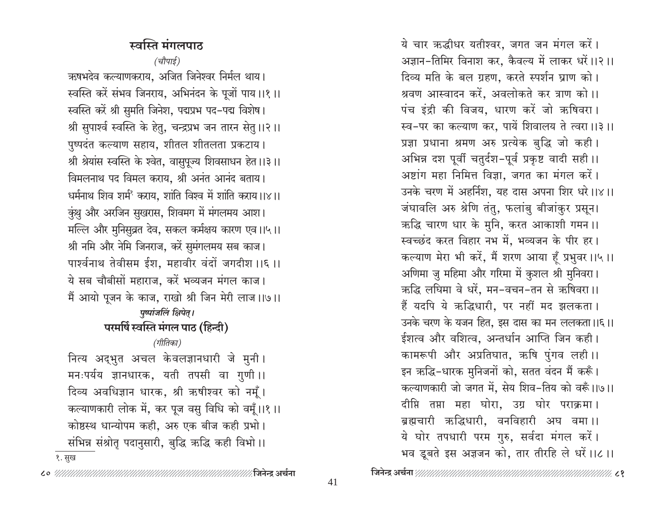## स्वस्ति मंगलपाठ

(चौपाई) ऋषभदेव कल्याणकराय, अजित जिनेश्वर निर्मल थाय। स्वस्ति करें संभव जिनराय, अभिनंदन के पूजों पाय।।१।। स्वस्ति करें श्री सुमति जिनेश, पद्मप्रभ पद-पद्म विशेष। श्री सुपार्श्व स्वस्ति के हेतु, चन्द्रप्रभ जन तारन सेतु ।।२।। पुष्पदंत कल्याण सहाय, शीतल शीतलता प्रकटाय। श्री श्रेयांस स्वस्ति के श्वेत, वासुपूज्य शिवसाधन हेत।।३।। विमलनाथ पद विमल कराय, श्री अनंत आनंद बताय। धर्मनाथ शिव शर्मं कराय. शांति विश्व में शांति कराय।।४।। कुंशु और अरजिन सुखरास, शिवमग में मंगलमय आश। मल्लि और मुनिसुव्रत देव, सकल कर्मक्षय कारण एव।।५।। श्री नमि और नेमि जिनराज, करें सुमंगलमय सब काज। पार्श्वनाथ तेवीसम ईश, महावीर वंदों जगदीश ।।६ ।। ये सब चौबीसों महाराज, करें भव्यजन मंगल काज। मैं आयो पूजन के काज, राखो श्री जिन मेरी लाज।।७।। पृष्पांजलिं क्षिपेत् । परमर्षि स्वस्ति मंगल पाठ (हिन्दी) (गीतिका) नित्य अद्भुत अचल केवलज्ञानधारी जे मुनी। मनःपर्यय ज्ञानधारक, यती तपसी वा गुणी।। दिव्य अवधिज्ञान धारक, श्री ऋषीश्वर को नमूँ। कल्याणकारी लोक में, कर पूज वसु विधि को वमूँ।।१।। कोष्ठस्थ धान्योपम कही, अरु एक बीज कही प्रभो।

संभिन्न संश्रोत पदानुसारी, बुद्धि ऋद्धि कही विभो।।

१. सुख

ये चार ऋद्धीधर यतीश्वर, जगत जन मंगल करें। अज्ञान-तिमिर विनाश कर. कैवल्य में लाकर धरें।।२।। दिव्य मति के बल ग्रहण, करते स्पर्शन घ्राण को। श्रवण आस्वादन करें, अवलोकते कर त्राण को।। पंच इंद्री की विजय, धारण करें जो ऋषिवरा। स्व-पर का कल्याण कर, पायें शिवालय ते त्वरा ।।३।। प्रज्ञा प्रधाना श्रमण अरु प्रत्येक बुद्धि जो कही। अभिन्न दश पूर्वी चतुर्दश-पूर्व प्रकृष्ट वादी सही।। अष्टांग महा निमित्त विज्ञा. जगत का मंगल करें। उनके चरण में अहर्निश, यह दास अपना शिर धरे।।४।। जंघावलि अरु श्रेणि तंतु, फलांबु बीजांकुर प्रसून। ऋद्धि चारण धार के मुनि, करत आकाशी गमन ।। स्वच्छंद करत विहार नभ में, भव्यजन के पीर हर। कल्याण मेरा भी करें, मैं शरण आया हूँ प्रभुवर ।।५।। अणिमा जु महिमा और गरिमा में कुशल श्री मुनिवरा। ऋद्धि लधिमा वे धरें, मन-वचन-तन से ऋषिवरा ।। हैं यदपि ये ऋद्धिधारी, पर नहीं मद झलकता। उनके चरण के यजन हित, इस दास का मन ललकता।।६।। ईशत्व और वशित्व, अन्तर्धान आप्ति जिन कही। कामरूपी और अप्रतिघात, ऋषि पुंगव लही।। इन ऋद्धि-धारक मुनिजनों को, सतत वंदन मैं करूँ। कल्याणकारी जो जगत में, सेय शिव-तिय को वरूँ।।७।। दीप्ति तप्ता महा घोरा, उग्र घोर पराक्रमा। ब्रह्मचारी ऋद्धिधारी, वनविहारी अघ वमा।। ये घोर तपधारी परम गुरु, सर्वदा मंगल करें। भव डूबते इस अज्ञजन को, तार तीरहि ले धरें।।८।।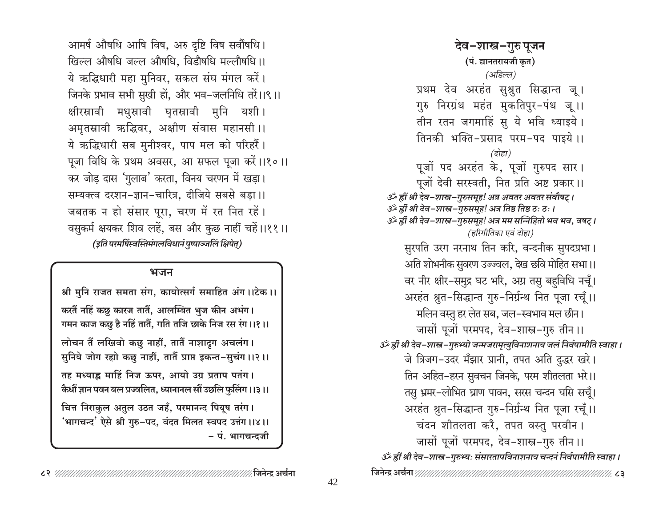आमर्ष औषधि आषि विष, अरु दृष्टि विष सर्वौषधि। खिल्ल औषधि जल्ल औषधि. विडौषधि मल्लौषधि ।। ये ऋद्धिधारी महा मुनिवर, सकल संघ मंगल करें। जिनके प्रभाव सभी सुखी हों, और भव-जलनिधि तरें।।९।। क्षीरस्रावी मधुस्रावी घृतस्रावी मुनि यशी। अमृतस्रावी ऋद्धिवर, अक्षीण संवास महानसी ।। ये ऋद्धिधारी सब मुनीश्वर, पाप मल को परिहरैं। पूजा विधि के प्रथम अवसर, आ सफल पूजा करें।।१०।। कर जोड़ दास 'गुलाब' करता, विनय चरणन में खड़ा। सम्यक्त्व दरशन-ज्ञान-चारित्र, दीजिये सबसे बड़ा।। जबतक न हो संसार पूरा, चरण में रत नित रहें। वसुकर्म क्षयकर शिव लहें, बस और कुछ नाहीं चहें।।११।। (इति परमर्षिस्वस्तिमंगलविधानं पुष्पाञ्जलिं क्षिपेत्)

#### भजन

श्री मुनि राजत समता संग, कायोत्सर्ग समाहित अंग ।।टेक ।। करतैं नहिं कछ कारज तातैं, आलम्बित भुज कीन अभंग। गमन काज कछु है नहिं तातैं, गति तजि छाके निज रस रंग।।१।। लोचन तैं लखिवो कछु नाहीं, तातैं नाशादूग अचलंग। सुनिये जोग रहाो कछु नाहीं, तातैं प्राप्त इकन्त-सुचंग ।।२।। तह मध्याह्न माहिं निज ऊपर, आयो उग्र प्रताप पतंग। कैधौं ज्ञान पवन बल प्रज्वलित, ध्यानानल सौं उछलि फुलिंग ।।३।। चित्त निराकुल अतुल उठत जहँ, परमानन्द पियूष तरंग। 'भागचन्द' ऐसे श्री गुरु-पद, वंदत मिलत स्वपद उत्तंग ।।४।। - पं. भागचन्दजी

देव–शास्त्र–गुरु पूजन (पं. द्यानतरायजी कृत) (अडिल्ल) प्रथम देव अरहंत सुश्रुत सिद्धान्त जू। गुरु निरग्रंथ महंत मुकतिपुर-पंथ जू।। तीन रतन जगमाहिं सु ये भवि ध्याइये। तिनकी भक्ति-प्रसाद परम-पद पाइये।।  $\overline{G}$ होहा) पूजों पद अरहंत के, पूजों गुरुपद सार। पूजों देवी सरस्वती, नित प्रति अष्ट प्रकार।। उँ ह्रीं श्री देव-शास्त्र-गुरुसमूह! अत्र अवतर अवतर संवौषट् । उँ ह्रीं श्री देव-शास्त्र-गुरुसमूह! अत्र तिष्ठ तिष्ठ ठः ठः । گُ ह्रीं श्री देव-शास्त्र-गुरुसमूह! अत्र मम सन्निहितो भव भव, वषट् । (हरिगीतिका एवं दोहा) सुरपति उरग नरनाथ तिन करि, वन्दनीक सुपदप्रभा। अति शोभनीक सुवरण उज्ज्वल, देख छवि मोहित सभा।। वर नीर क्षीर-समुद्र घट भरि, अग्र तसु बहुविधि नचूँ। अरहंत श्रुत-सिद्धान्त गुरु-निर्ग्रन्थ नित पूजा रचूँ।। मलिन वस्तु हर लेत सब, जल–स्वभाव मल छीन। जासों पूजों परमपद, देव-शास्त्र-गुरु तीन ।। उँ ह्रीं श्री देव-शास्त्र-गुरुभ्यो जन्मजरामृत्युविनाशनाय जलं निर्वपामीति स्वाहा । जे त्रिजग-उदर मँझार प्रानी, तपत अति दुद्धर खरे। तिन अहित–हरन सुवचन जिनके, परम शीतलता भरे।। तसु भ्रमर-लोभित घ्राण पावन, सरस चन्दन घसि सचूँ। अरहंत श्रुत-सिद्धान्त गुरु-निर्ग्रन्थ नित पूजा रचूँ।। चंदन शीतलता करै, तपत वस्तु परवीन। जासों पूजों परमपद, देव-शास्त्र-गुरु तीन।। उँ ह्रीं श्री देव-शास्त्र-गुरुभ्यः संसारतापविनाशनाय चन्दनं निर्वपामीति स्वाहा ।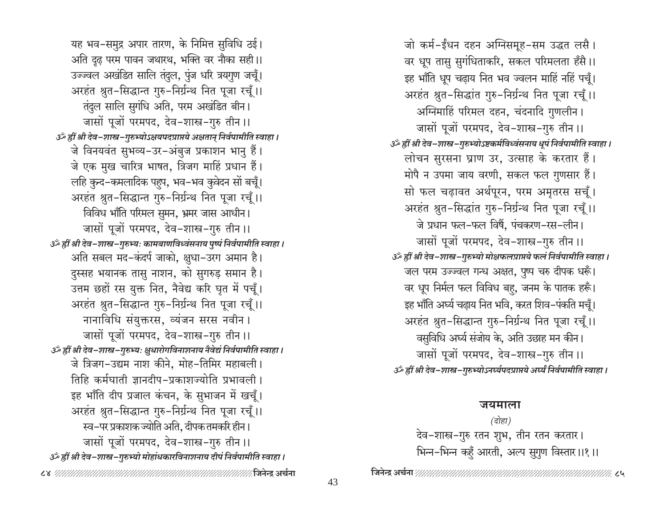जो कर्म-ईंधन दहन अग्निसमूह-सम उद्धत लसै। वर धूप तासु सुगंधिताकरि, सकल परिमलता हँसै।। इह भाँति धूप चढ़ाय नित भव ज्वलन माहिं नहिं पचूँ। अरहंत श्रुत-सिद्धांत गुरु-निर्ग्रन्थ नित पूजा रचूँ।। अग्निमाहिं परिमल दहन, चंदनादि गुणलीन। जासों पूजों परमपद, देव-शास्त्र-गुरु तीन।। उँ ह्रीं श्री देव-शास्त्र-गुरुभ्योऽष्टकर्मविध्वंसनाय धूपं निर्वपामीति स्वाहा । लोचन सुरसना घ्राण उर, उत्साह के करतार हैं। मोपै न उपमा जाय वरणी, सकल फल गुणसार हैं। सो फल चढ़ावत अर्थपूरन, परम अमृतरस सचूँ। अरहंत श्रुत-सिद्धांत गुरु-निर्ग्रन्थ नित पूजा रचूँ।। जे प्रधान फल-फल विषैं, पंचकरण-रस-लीन। जासों पूजों परमपद, देव-शास्त्र-गुरु तीन ।। उँ ह्रीं श्री देव-शास्त्र-गुरुभ्यो मोक्षफलप्राप्तये फलं निर्वपामीति स्वाहा। जल परम उज्ज्वल गन्ध अक्षत, पुष्प चरु दीपक धरूँ। वर धूप निर्मल फल विविध बहु, जनम के पातक हरूँ। इह भाँति अर्घ्य चढ़ाय नित भवि, करत शिव–पंकति मचुँ। अरहंत श्रुत-सिद्धान्त गुरु-निर्ग्रन्थ नित पूजा रचूँ।। वसुविधि अर्घ्य संजोय के, अति उछाह मन कीन। जासों पूजों परमपद, देव-शास्त्र-गुरु तीन ।। उँ ह्रीं श्री देव-शास्त्र-गुरुभ्योऽनर्घ्यपदप्राप्तये अर्घ्यं निर्वपामीति स्वाहा ।

#### जयमाला

(दोहा) देव–शास्त्र–गुरु रतन शुभ, तीन रतन करतार। भिन्न-भिन्न कहुँ आरती, अल्प सुगुण विस्तार।।१।।

यह भव–समुद्र अपार तारण, के निमित्त सुविधि ठई। अति दुढ परम पावन जथारथ, भक्ति वर नौका सही।। उज्ज्वल अखंडित सालि तंदुल, पुंज धरि त्रयगुण जचूँ। अरहंत श्रुत-सिद्धान्त गुरु-निर्ग्रन्थ नित पूजा रचूँ।। तंदुल सालि सुगंधि अति, परम अखंडित बीन। जासों पूजों परमपद, देव-शास्त्र-गुरु तीन ।। उँ ह्रीं श्री देव-शास्त्र-गुरुभ्योऽक्षयपदप्राप्तये अक्षतान् निर्वपामीति स्वाहा । जे विनयवंत सुभव्य-उर-अंबुज प्रकाशन भानु हैं। जे एक मुख चारित्र भाषत, त्रिजग माहिं प्रधान हैं। लहि कुन्द-कमलादिक पहुप, भव–भव कुवेदन सों बचूँ। अरहंत श्रुत-सिद्धान्त गुरु-निर्ग्रन्थ नित पूजा रचूँ।। विविध भाँति परिमल सुमन, भ्रमर जास आधीन। जासों पूजों परमपद, देव-शास्त्र-गुरु तीन ।। उँ ह्रीं श्री देव-शास्त्र-गुरुभ्यः कामबाणविध्वंसनाय पुष्पं निर्वपामीति स्वाहा । अति सबल मद-कंदर्प जाको, क्षुधा-उरग अमान है। दुस्सह भयानक तासु नाशन, को सुगरुड़ समान है। उत्तम छहों रस युक्त नित, नैवेद्य करि घृत में पचूँ। अरहंत श्रुत-सिद्धान्त गुरु-निर्ग्रन्थ नित पूजा रचूँ।। नानाविधि संयुक्तरस, व्यंजन सरस नवीन। जासों पूजों परमपद, देव-शास्त्र-गुरु तीन ।। अँ ह्रीं श्री देव-शास्त्र-गुरुभ्यः क्षुधारोगविनाशनाय नैवेद्यं निर्वपामीति स्वाहा। जे त्रिजग-उद्यम नाश कीने, मोह-तिमिर महाबली। तिहि कर्मघाती ज्ञानदीप-प्रकाशज्योति प्रभावली । इह भाँति दीप प्रजाल कंचन, के सुभाजन में खचूँ। अरहंत श्रुत-सिद्धान्त गुरु-निर्ग्रन्थ नित पूजा रचूँ।। स्व-पर प्रकाशक ज्योति अति, दीपक तमकरि हीन। जासों पूजों परमपद, देव-शास्त्र-गुरु तीन ।। उँ ह्रीं श्री देव-शास्त्र-गुरुभ्यो मोहांधकारविनाशनाय दीपं निर्वपामीति स्वाहा।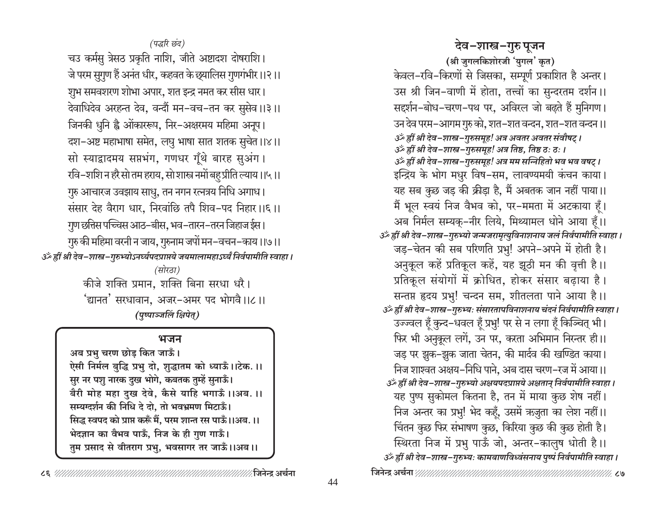## देव-शास्त्र-गुरु पूजन

(श्री जुगलकिशोरजी 'युगल' कृत) केवल-रवि-किरणों से जिसका, सम्पूर्ण प्रकाशित है अन्तर। उस श्री जिन-वाणी में होता, तत्त्वों का सुन्दरतम दर्शन ।। सदर्शन-बोध-चरण-पथ पर, अविरल जो बढते हैं मुनिगण। उन देव परम–आगम गुरु को, शत–शत वन्दन, शत–शत वन्दन ।। उर्क ह्रीं श्री देव-शास्त्र-गुरुसमूह! अत्र अवतर अवतर संवौषट् । 3ँ ह्रीं श्री देव-शास्त्र-गुरुसमूह! अत्र तिष्ठ, तिष्ठ ठः ठः । گُر ह्रीं श्री देव–शास्त्र–गुरुसमूह! अत्र मम सन्निहितो भव भव वषट् । इन्द्रिय के भोग मधुर विष-सम, लावण्यमयी कंचन काया। यह सब कुछ जड़ की क्रीड़ा है, मैं अबतक जान नहीं पाया।। मैं भूल स्वयं निज वैभव को, पर-ममता में अटकाया हूँ। अब निर्मल सम्यक्-नीर लिये, मिथ्यामल धोने आया हैं।। ॐ ह्रीं श्री देव-शास्त्र-गुरुभ्यो जन्मजरामृत्युविनाशनाय जलं निर्वपामीति स्वाहा । जड़-चेतन की सब परिणति प्रभु! अपने-अपने में होती है। अनुकूल कहें प्रतिकूल कहें, यह झूठी मन की वृत्ती है।। प्रतिकूल संयोगों में क्रोधित, होकर संसार बढ़ाया है। सन्तप्त हृदय प्रभु! चन्दन सम, शीतलता पाने आया है।। گُ ह्रीं श्री देव–शास्त्र–गुरुभ्यः संसारतापविनाशनाय चंदनं निर्वपामीति स्वाहा । उज्ज्वल हूँ कुन्द-धवल हूँ प्रभु! पर से न लगा हूँ किञ्चित् भी। फिर भी अनुकूल लगें, उन पर, करता अभिमान निस्तर ही।। जड़ पर झुक–झुक जाता चेतन, की मार्दव की खण्डित काया। निज शाश्वत अक्षय-निधि पाने. अब दास चरण-रज में आया।। उर्व्हीं श्री देव-शास्त्र-गुरुभ्यो अक्षयपदप्राप्तये अक्षतान् निर्वपामीति स्वाहा । यह पुष्प सुकोमल कितना है, तन में माया कुछ शेष नहीं। निज अन्तर का प्रभु! भेद कहूँ, उसमें ऋजुता का लेश नहीं।। चिंतन कुछ फिर संभाषण कुछ, किरिया कुछ की कुछ होती है। स्थिरता निज में प्रभु पाऊँ जो, अन्तर-कालुष धोती है।। उॅं ह्रीं श्री देव–शास्त्र–गुरुभ्यः कामबाणविध्वंसनाय पुष्पं निर्वपामीति स्वाहा।

(पद्धरि छंद) चउ कर्मसु त्रेसठ प्रकृति नाशि, जीते अष्टादश दोषराशि। जे परम सुगुण हैं अनंत धीर, कहवत के छ्यालिस गुणगंभीर।।२।। शुभ समवशरण शोभा अपार, शत इन्द्र नमत कर सीस धार। देवाधिदेव अरहन्त देव, वन्दौं मन–वच–तन कर सुसेव ।।३।। जिनकी धुनि ह्वै ओंकाररूप, निर-अक्षरमय महिमा अनूप। दश-अष्ट महाभाषा समेत, लघु भाषा सात शतक सुचेत ।।४।। सो स्याद्वादमय सप्तभंग, गणधर गूँथे बारह सुअंग। रवि–शशि न हरै सो तम हराय, सो शास्त्र नमों बहु प्रीति ल्याय ।।५ ।। गुरु आचारज उवझाय साधु, तन नगन रत्नत्रय निधि अगाध। संसार देह वैराग धार, निरवांछि तपै शिव-पद निहार।।६।। ्गुण छत्तिस पच्चिस आठ–बीस, भव–तारन–तरन जिहाज ईस । गुरु की महिमा वरनी न जाय, गुरुनाम जपों मन-वचन-काय।।७।। उँ ह्रीं श्री देव-शास्त्र-गुरुभ्योऽनर्घ्यपदप्राप्तये जयमालामहाऽर्घ्यं निर्वपामीति स्वाहा । (सोरठा) कीजे शक्ति प्रमान, शक्ति बिना सरधा धरै। 'द्यानत' सरधावान, अजर-अमर पद भोगवै।।८।। (पुष्पाञ्जलिं क्षिपेत्)

#### भजन

अब प्रभु चरण छोड़ कित जाऊँ। ऐसी निर्मल बुद्धि प्रभु दो, शुद्धातम को ध्याऊँ।।टेक.।। सुर नर पशु नारक दुख भोगे, कबतक तुम्हें सुनाऊँ। बैरी मोह महा दुख देवे, कैसे याहि भगाऊँ ।।अब. ।। सम्यग्दर्शन की निधि दे दो, तो भवभ्रमण मिटाऊँ। सिद्ध स्वपद को प्राप्त करूँ मैं, परम शान्त रस पाऊँ।।अब.।। भेदज्ञान का वैभव पाऊँ, निज के ही गुण गाऊँ। तुम प्रसाद से वीतराग प्रभु, भवसागर तर जाऊँ।।अब।।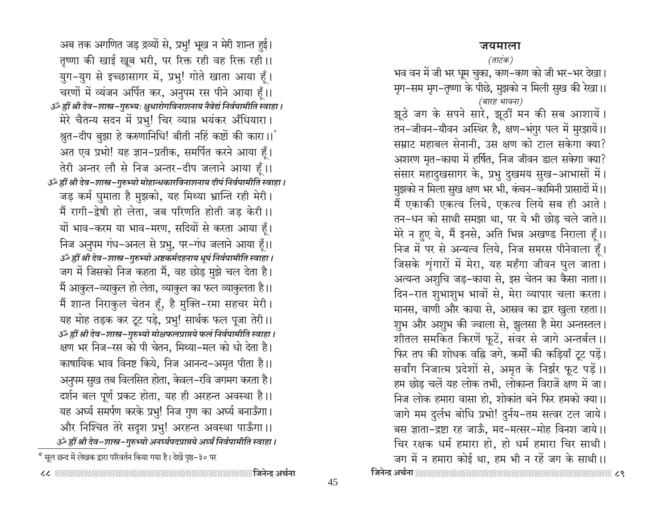### जयमाला

### (ताटंक)

भव वन में जी भर घूम चुका, कण–कण को जी भर–भर देखा। मृग–सम मृग–तृष्णा के पीछे, मुझको न मिली सुख की रेखा।। (बारह भावना)

झूठे जग के सपने सारे, झूठीं मन की सब आशायें। तन-जीवन-यौवन अस्थिर है, क्षण-भंगुर पल में मुरझायें।। सम्राट महाबल सेनानी, उस क्षण को टाल सकेगा क्या? अशरण मृत-काया में हर्षित, निज जीवन डाल सकेगा क्या? संसार महादुखसागर के, प्रभु दुखमय सुख-आभासों में। मुझको न मिला सुख क्षण भर भी, कंचन–कामिनी प्रासादों में।। मैं एकाकी एकत्व लिये, एकत्व लिये सब ही आते। तन-धन को साथी समझा था, पर ये भी छोड़ चले जाते।। मेरे न हुए ये, मैं इनसे, अति भिन्न अखण्ड निराला हूँ।। निज में पर से अन्यत्व लिये, निज समरस पीनेवाला हूँ। जिसके शृंगारों में मेरा, यह महँगा जीवन घुल जाता। अत्यन्त अशुचि जड़–काया से, इस चेतन का कैसा नाता।। दिन-रात शुभाशुभ भावों से, मेरा व्यापार चला करता। मानस, वाणी और काया से, आस्रव का द्वार खुला रहता।। शुभ और अशुभ की ज्वाला से, झुलसा है मेरा अन्तस्तल। शीतल समकित किरणें फूटें, संवर से जागे अन्तर्बल।। फिर तप की शोधक वहि जगे, कर्मों की कड़ियाँ टूट पड़ें। सर्वांग निजात्म प्रदेशों से, अमृत के निर्झर फूट पड़ें।। हम छोड़ चलें यह लोक तभी, लोकान्त विराजें क्षण में जा। निज लोक हमारा वासा हो, शोकांत बने फिर हमको क्या।। जागे मम दुर्लभ बोधि प्रभो! दुर्नय-तम सत्वर टल जाये। बस ज्ञाता-द्रष्टा रह जाऊँ, मद-मत्सर-मोह विनश जाये।। चिर रक्षक धर्म हमारा हो, हो धर्म हमारा चिर साथी। जग में न हमारा कोई था, हम भी न रहें जग के साथी।।

अब तक अगणित जड़ द्रव्यों से, प्रभु! भूख न मेरी शान्त हुई। तृष्णा की खाई खूब भरी, पर रिक्त रही वह रिक्त रही।। युग-युग से इच्छासागर में, प्रभु! गोते खाता आया हूँ। चरणों में व्यंजन अर्पित कर, अनुपम रस पीने आया हूँ।। उँ ह्रीं श्री देव-शास्त्र-गुरुभ्यः क्षुधारोगविनाशनाय नैवेद्यं निर्वपामीति स्वाहा। मेरे चैतन्य सदन में प्रभु! चिर व्याप्त भयंकर अँधियारा। श्रुत-दीप बुझा हे करुणानिधि! बीती नहिं कष्टों की कारा।। अत एव प्रभो! यह ज्ञान-प्रतीक, समर्पित करने आया हूँ। तेरी अन्तर लौ से निज अन्तर-दीप जलाने आया हैं।। उँ ह्रीं श्री देव-शास्त्र-गुरुभ्यो मोहान्धकारविनाशनाय दीपं निर्वपामीति स्वाहा। जड़ कर्म घुमाता है मुझको, यह मिथ्या भ्रान्ति रही मेरी। मैं रागी-द्वेषी हो लेता, जब परिणति होती जड़ केरी।। यों भाव-करम या भाव-मरण, सदियों से करता आया हूँ। निज अनुपम गंध-अनल से प्रभु, पर-गंध जलाने आया हूँ।। उँ ह्रीं श्री देव-शास्त्र-गुरुभ्यो अष्टकर्मदहनाय धूपं निर्वपामीति स्वाहा । जग में जिसको निज कहता मैं, वह छोड़ मुझे चल देता है। मैं आकुल-व्याकुल हो लेता, व्याकुल का फल व्याकुलता है।। मैं शान्त निराकुल चेतन हूँ, है मुक्ति-रमा सहचर मेरी। यह मोह तड़क कर टूट पड़े, प्रभु! सार्थक फल पूजा तेरी।। उँ ह्रीं श्री देव-शास्त्र-गुरुभ्यो मोक्षफलप्राप्तये फलं निर्वपामीति स्वाहा। क्षण भर निज–रस को पी चेतन, मिथ्या–मल को धो देता है। काषायिक भाव विनष्ट किये, निज आनन्द-अमृत पीता है।। अनुपम सुख तब विलसित होता, केवल–रवि जगमग करता है। दर्शन बल पूर्ण प्रकट होता, यह ही अरहन्त अवस्था है।। यह अर्घ्य समर्पण करके प्रभु! निज गुण का अर्घ्य बनाऊँगा। और निश्चित तेरे सदृश प्रभु! अरहन्त अवस्था पाऊँगा।। उर्व्हीं श्री देव-शास्त्र-गुरुभ्यो अनर्घ्यपदप्राप्तये अर्घ्यं निर्वपामीति स्वाहा । \*ँ मूल छन्द में लेखक द्वारा परिवर्तन किया गया है। देखें पृष्ठ–३० पर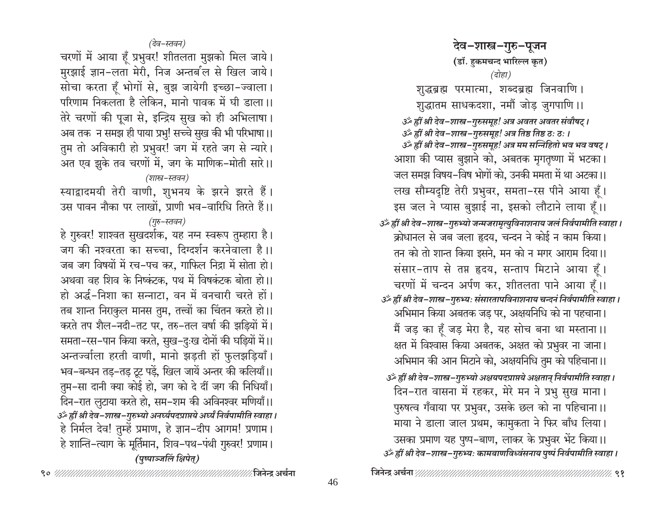देव–शास्त्र–गुरु–पूजन (डॉ. हुकमचन्द भारिल्ल कृत) (दोहा) शुद्धब्रह्म परमात्मा, शब्दब्रह्म जिनवाणि। शुद्धातम साधकदशा, नमौं जोड़ जुगपाणि ।। ॐ ह्रीं श्री देव-शास्त्र-गुरुसमुह! अत्र अवतर अवतर संवौषट । उँ ह्रीं श्री देव-शास्त्र-गुरुसमुह! अत्र तिष्ठ तिष्ठ ठः ठः । 3ॅं ह्रीं श्री देव-शास्त्र-गुरुसमूह! अत्र मम सन्निहितो भव भव वषट् । आशा की प्यास बुझाने को, अबतक मृगतृष्णा में भटका। जल समझ विषय–विष भोगों को, उनकी ममता में था अटका।। लख सौम्यदृष्टि तेरी प्रभुवर, समता-रस पीने आया हैं। इस जल ने प्यास बुझाई ना, इसको लौटाने लाया हैं।। گُر ह्रीं श्री देव-शास्त्र-गुरुभ्यो जन्मजरामृत्युविनाशनाय जलं निर्वपामीति स्वाहा । क्रोधानल से जब जला हृदय, चन्दन ने कोई न काम किया। तन को तो शान्त किया इसने, मन को न मगर आराम दिया।। संसार-ताप से तप्त हृदय, सन्ताप मिटाने आया हूँ। चरणों में चन्दन अर्पण कर, शीतलता पाने आया हैं।। उॅथ्हीं श्री देव-शास्त्र-गुरुभ्यः संसारतापविनाशनाय चन्दनं निर्वपामीति स्वाहा । अभिमान किया अबतक जड़ पर, अक्षयनिधि को ना पहचाना। मैं जड़ का हूँ जड़ मेरा है, यह सोच बना था मस्ताना।। क्षत में विश्वास किया अबतक, अक्षत को प्रभुवर ना जाना। अभिमान की आन मिटाने को, अक्षयनिधि तुम को पहिचाना।। उँ ह्रीं श्री देव-शास्त्र-गुरुभ्यो अक्षयपदप्राप्तये अक्षतान् निर्वपामीति स्वाहा । दिन-रात वासना में रहकर, मेरे मन ने प्रभु सुख माना। पुरुषत्व गँवाया पर प्रभुवर, उसके छल को ना पहिचाना।। माया ने डाला जाल प्रथम, कामुकता ने फिर बाँध लिया। उसका प्रमाण यह पुष्प-बाण, लाकर के प्रभुवर भेंट किया।। उँ ह्रीं श्री देव-शास्त्र-गुरुभ्यः कामबाणविध्वंसनाय पुष्पं निर्वपामीति स्वाहा ।

(देव–स्तवन)

चरणों में आया हूँ प्रभुवर! शीतलता मुझको मिल जाये। मुरझाई ज्ञान-लता मेरी, निज अन्तर्ब'ल से खिल जाये। सोचा करता हँ भोगों से, बुझ जायेगी इच्छा-ज्वाला। परिणाम निकलता है लेकिन, मानो पावक में घी डाला।। तेरे चरणों की पूजा से, इन्द्रिय सुख को ही अभिलाषा। अब तक न समझ ही पाया प्रभु! सच्चे सुख की भी परिभाषा।। तुम तो अविकारी हो प्रभुवर! जग में रहते जग से न्यारे। अत एव झूके तव चरणों में, जग के माणिक-मोती सारे।।

(शास्त्र–स्तवन)

स्याद्वादमयी तेरी वाणी, शुभनय के झरने झरते हैं। उस पावन नौका पर लाखों, प्राणी भव-वारिधि तिरते हैं।।

## (गुरु–स्तवन)

हे गुरुवर! शाश्वत सुखदर्शक, यह नग्न स्वरूप तुम्हारा है। जग की नश्वरता का सच्चा, दिग्दर्शन करनेवाला है।। जब जग विषयों में रच-पच कर, गाफिल निद्रा में सोता हो। अथवा वह शिव के निष्कंटक, पथ में विषकंटक बोता हो।। हो अर्द्ध-निशा का सन्नाटा, वन में वनचारी चरते हों। तब शान्त निराकुल मानस तुम, तत्त्वों का चिंतन करते हो।। करते तप शैल-नदी-तट पर, तरु-तल वर्षा की झड़ियों में। समता–रस–पान किया करते, सुख–दुःख दोनों की घड़ियों में।। अन्तज्वाला हरती वाणी, मानो झड़ती हों फुलझड़ियाँ। भव–बन्धन तड़–तड़ टूट पड़ें, खिल जायें अन्तर की कलियाँ।। तुम-सा दानी क्या कोई हो, जग को दे दीं जग की निधियाँ। दिन–रात लुटाया करते हो, सम–शम की अविनश्वर मणियाँ।। उँ ह्रीं श्री देव-शास्त्र-गुरुभ्यो अनर्घ्यपदप्राप्तये अर्घ्यं निर्वपामीति स्वाहा । हे निर्मल देव! तुम्हें प्रमाण, हे ज्ञान-दीप आगम! प्रणाम। हे शान्ति–त्याग के मूर्तिमान, शिव–पथ–पंथी गुरुवर! प्रणाम। (पुष्पाञ्जलिं क्षिपेत्)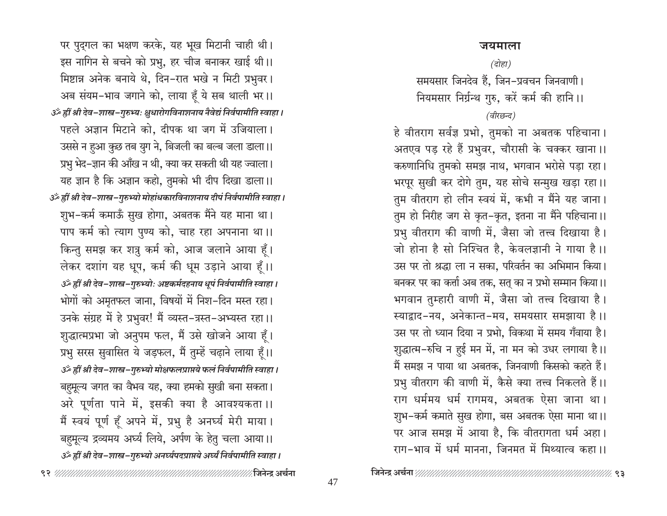पर पुद्गल का भक्षण करके, यह भूख मिटानी चाही थी। इस नागिन से बचने को प्रभु, हर चीज बनाकर खाई थी।। मिष्टान्न अनेक बनाये थे, दिन-रात भखे न मिटी प्रभुवर। अब संयम-भाव जगाने को, लाया हूँ ये सब थाली भर।। उँ ह्रीं श्री देव-शास्त्र-गुरुभ्यः क्षुधारोगविनाशनाय नैवेद्यं निर्वपामीति स्वाहा । पहले अज्ञान मिटाने को, दीपक था जग में उजियाला। उससे न हुआ कुछ तब युग ने, बिजली का बल्ब जला डाला।। प्रभु भेद-ज्ञान की आँख न थी, क्या कर सकती थी यह ज्वाला। यह ज्ञान है कि अज्ञान कहो, तुमको भी दीप दिखा डाला।। उँ ह्रीं श्री देव-शास्त्र-गुरुभ्यो मोहांधकारविनाशनाय दीपं निर्वपामीति स्वाहा। शुभ–कर्म कमाऊँ सुख होगा, अबतक मैंने यह माना था। पाप कर्म को त्याग पुण्य को, चाह रहा अपनाना था।। किन्तु समझ कर शत्रु कर्म को, आज जलाने आया हूँ। लेकर दशांग यह धूप, कर्म की धूम उड़ाने आया हूँ।। उँ ह्रीं श्री देव-शास्त्र-गुरुभ्योः अष्टकर्मदहनाय धूपं निर्वपामीति स्वाहा । भोगों को अमृतफल जाना, विषयों में निश-दिन मस्त रहा। उनके संग्रह में हे प्रभुवर! मैं व्यस्त-त्रस्त-अभ्यस्त रहा।। शुद्धात्मप्रभा जो अनुपम फल, मैं उसे खोजने आया हैं। प्रभु सरस सुवासित ये जड़फल, मैं तुम्हें चढ़ाने लाया हूँ।। उँ ह्रीं श्री देव-शास्त्र-गुरुभ्यो मोक्षफलप्राप्तये फलं निर्वपामीति स्वाहा। बहुमूल्य जगत का वैभव यह, क्या हमको सुखी बना सकता। अरे पूर्णता पाने में, इसकी क्या है आवश्यकता ।। मैं स्वयं पूर्ण हूँ अपने में, प्रभु है अनर्घ्य मेरी माया। बहुमूल्य द्रव्यमय अर्घ्य लिये, अर्पण के हेतु चला आया।। उँ ह्रीं श्री देव-शास्त्र-गुरुभ्यो अनर्घ्यपदप्राप्तये अर्घ्यं निर्वपामीति स्वाहा ।

### जयमाला

(दोहा)

समयसार जिनदेव हैं, जिन-प्रवचन जिनवाणी। नियमसार निर्ग्रन्थ गुरु, करें कर्म की हानि।।

### (वीरछन्द)

हे वीतराग सर्वज्ञ प्रभो, तुमको ना अबतक पहिचाना। अतएव पड़ रहे हैं प्रभुवर, चौरासी के चक्कर खाना।। करुणानिधि तुमको समझ नाथ, भगवान भरोसे पड़ा रहा। भरपूर सुखी कर दोगे तुम, यह सोचे सन्मुख खड़ा रहा।। तुम वीतराग हो लीन स्वयं में, कभी न मैंने यह जाना। तुम हो निरीह जग से कृत-कृत, इतना ना मैंने पहिचाना।। प्रभु वीतराग की वाणी में, जैसा जो तत्त्व दिखाया है। जो होना है सो निश्चित है, केवलज्ञानी ने गाया है।। उस पर तो श्रद्धा ला न सका, परिवर्तन का अभिमान किया। बनकर पर का कर्त्ता अब तक, सत् का न प्रभो सम्मान किया।। भगवान तुम्हारी वाणी में, जैसा जो तत्त्व दिखाया है। स्याद्वाद-नय, अनेकान्त-मय, समयसार समझाया है।। उस पर तो ध्यान दिया न प्रभो, विकथा में समय गँवाया है। शुद्धात्म-रुचि न हुई मन में, ना मन को उधर लगाया है।। मैं समझ न पाया था अबतक, जिनवाणी किसको कहते हैं। प्रभु वीतराग की वाणी में, कैसे क्या तत्त्व निकलते हैं।। राग धर्ममय धर्म रागमय, अबतक ऐसा जाना था। शुभ-कर्म कमाते सुख होगा, बस अबतक ऐसा माना था।। पर आज समझ में आया है, कि वीतरागता धर्म अहा। राग-भाव में धर्म मानना, जिनमत में मिथ्यात्व कहा।।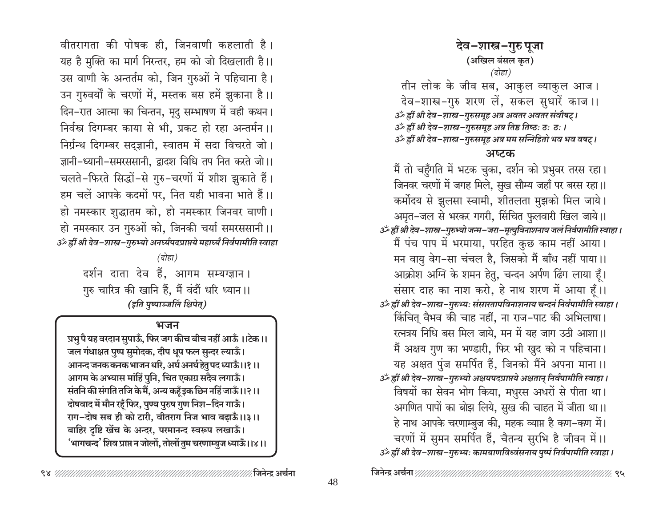वीतरागता की पोषक ही. जिनवाणी कहलाती है। यह है मुक्ति का मार्ग निरन्तर, हम को जो दिखलाती है।। उस वाणी के अन्तर्तम को, जिन गुरुओं ने पहिचाना है। उन गुरुवर्यों के चरणों में, मस्तक बस हमें झुकाना है।। दिन-रात आत्मा का चिन्तन, मृदु सम्भाषण में वही कथन। निर्वस्त्र दिगम्बर काया से भी, प्रकट हो रहा अन्तर्मन ।। निर्ग्रन्थ दिगम्बर सदुज्ञानी, स्वातम में सदा विचरते जो। ज्ञानी-ध्यानी-समरससानी, द्वादश विधि तप नित करते जो।। चलते-फिरते सिद्धों-से गुरु-चरणों में शीश झुकाते हैं। हम चलें आपके कदमों पर, नित यही भावना भाते हैं।। हो नमस्कार शुद्धातम को, हो नमस्कार जिनवर वाणी। हो नमस्कार उन गुरुओं को, जिनकी चर्या समरससानी ।। ॐ ह्रीं श्री देव-शास्त्र-गुरुभ्यो अनर्घ्यपदप्राप्तये महार्घ्यं निर्वपामीति स्वाहा

(दोहा)

दर्शन दाता देव हैं, आगम सम्यग्ज्ञान। गुरु चारित्र की खानि हैं, मैं वंदौं धरि ध्यान।। (इति पुष्पाञ्जलिं क्षिपेत्)

### भजन

प्रभु पै यह वरदान सुपाऊँ, फिर जग कीच बीच नहीं आऊँ ।।टेक।। जल गंधाक्षत पुष्प सुमोदक, दीप धूप फल सुन्दर ल्याऊँ। आनन्द जनक कनक भाजन धरि, अर्घ अनर्घ हेतु पद ध्याऊँ।।१।। आगम के अभ्यास मांहिं पुनि, चित एकाग्र सदैव लगाऊँ। संतनि की संगति तजि के मैं, अन्य कहँ इक छिन नहिं जाऊँ।।२।। दोषवाद में मौन रहूँ फिर, पुण्य पुरुष गुण निश-दिन गाऊँ। राग-दोष सब ही को टारी, वीतराग निज भाव बढ़ाऊँ।।३।। बाहिर दृष्टि खेंच के अन्दर, परमानन्द स्वरूप लखाऊँ। 'भागचन्द' शिव प्राप्त न जोलों, तोलों तुम चरणाम्बुज ध्याऊँ।।४।। (अखिल बंसल कृत) (दोहा)

तीन लोक के जीव सब, आकुल व्याकुल आज। देव-शास्त्र-गुरु शरण लें, सकल सुधारें काज ।। ॐ ह्रीं श्री देव−शास्त्र−गुरुसमूह अत्र अवतर अवतर संवौषट् । 3ँ ह्रीं श्री देव-शास्त्र-गुरुसमूह अत्र तिष्ठ तिष्ठः ठः ठः । گُر ह्रीं श्री देव-शास्त्र-गुरुसमूह अत्र मम सन्निहितो भव भव वषट्।

देव-शास्त्र-गुरु पूजा

### अष्टक

मैं तो चहुँगति में भटक चुका, दर्शन को प्रभुवर तरस रहा। जिनवर चरणों में जगह मिले, सुख सौम्य जहाँ पर बरस रहा।। कर्मोदय से झुलसा स्वामी, शीतलता मुझको मिल जाये। अमृत-जल से भरकर गगरी, सिंचित फुलवारी खिल जाये।। उँ ह्रीं श्री देव-शास्त्र-गुरुभ्यो जन्म-जरा-मृत्युविनाशनाय जलं निर्वपामीति स्वाहा। मैं पंच पाप में भरमाया, परहित कुछ काम नहीं आया। मन वायु वेग-सा चंचल है, जिसको मैं बाँध नहीं पाया।। आक्रोश अग्नि के शमन हेतु, चन्दन अर्पण ढिंग लाया हूँ। संसार दाह का नाश करो, हे नाथ शरण में आया हैं।। उर्व्हीं श्री देव-शास्त्र-गुरुभ्यः संसारतापविनाशनाय चन्दनं निर्वपामीति स्वाहा । किंचित् वैभव की चाह नहीं, ना राज–पाट की अभिलाषा। रत्नत्रय निधि बस मिल जाये, मन में यह जाग उठी आशा।। मैं अक्षय गुण का भण्डारी, फिर भी खुद को न पहिचाना। यह अक्षत पुंज समर्पित हैं, जिनको मैंने अपना माना।। उँ ह्रीं श्री देव-शास्त्र-गुरुभ्यो अक्षयपदप्राप्तये अक्षतान् निर्वपामीति स्वाहा । विषयों का सेवन भोग किया, मधुरस अधरों से पीता था। अगणित पापों का बोझ लिये, सुख की चाहत में जीता था।। हे नाथ आपके चरणाम्बुज की, महक व्याप्त है कण-कण में। चरणों में सुमन समर्पित हैं, चैतन्य सुरभि है जीवन में।। उँ ह्रीं श्री देव-शास्त्र-गुरुभ्यः कामबाणविध्वंसनाय पुष्पं निर्वपामीति स्वाहा ।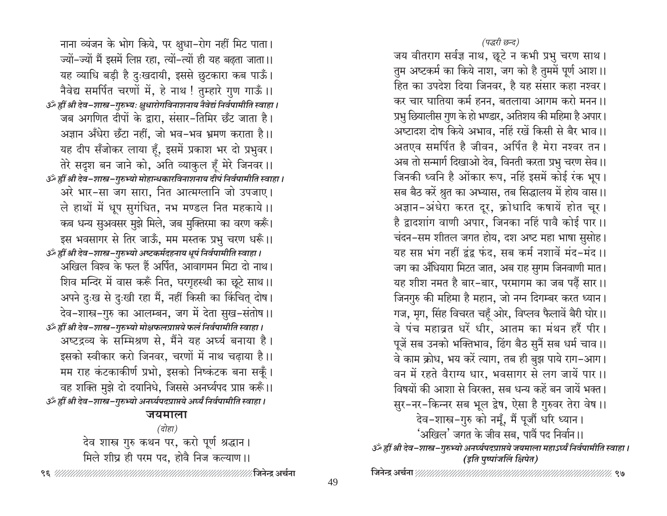(पद्धरी छन्द)

जय वीतराग सर्वज्ञ नाथ, छूटे न कभी प्रभु चरण साथ। तुम अष्टकर्म का किये नाश, जग को है तुममें पूर्ण आश।। हित का उपदेश दिया जिनवर, है यह संसार कहा नश्वर। कर चार घातिया कर्म हनन, बतलाया आगम करो मनन ।। प्रभु छियालीस गुण के हो भण्डार, अतिशय की महिमा है अपार। अष्टादश दोष किये अभाव, नहिं रखें किसी से बैर भाव।। अतएव समर्पित है जीवन, अर्पित है मेरा नश्वर तन । अब तो सन्मार्ग दिखाओ देव, विनती करता प्रभु चरण सेव।। जिनकी ध्वनि है ओंकार रूप, नहिं इसमें कोई रंक भूप। सब बैठ करें श्रुत का अभ्यास, तब सिद्धालय में होय वास।। अज्ञान-अंधेरा करत दूर, क्रोधादि कषायें होत चूर। है द्वादशांग वाणी अपार, जिनका नहिं पावै कोई पार ।। चंदन-सम शीतल जगत होय, दश अष्ट महा भाषा सुसोह। यह सप्त भंग नहीं द्वंद्व फंद, सब कर्म नशावें मंद-मंद।। जग का अँधियारा मिटत जात, अब राह सुगम जिनवाणी मात। यह शीश नमत है बार-बार, परमागम का जब पढ़ें सार।। जिनगुरु की महिमा है महान, जो नग्न दिगम्बर करत ध्यान। गज, मृग, सिंह विचरत चहुँ ओर, विप्लव फैलावें बैरी घोर।। वे पंच महाव्रत धरें धीर, आतम का मंथन हरैं पीर । पूजें सब उनको भक्तिभाव, ढिंग बैठ सुनैं सब धर्म चाव।। वे काम क्रोध, भय करें त्याग, तब ही बुझ पाये राग–आग। वन में रहते वैराग्य धार, भवसागर से लग जायें पार ।। विषयों की आशा से विरक्त, सब धन्य कहें बन जायें भक्त। सुर-नर-किन्नर सब भूल द्वेष, ऐसा है गुरुवर तेरा वेष ।। देव-शास्त्र-गुरु को नमूँ, मैं पूजौं धरि ध्यान। 'अखिल' जगत के जीव सब, पावैं पद निर्वान।। گُ ह्रीं श्री देव-शास्त्र-गुरुभ्यो अनर्घ्यपदप्राप्तये जयमाला महाऽर्घ्यं निर्वपामीति स्वाहा । (इति पुष्पांजलिं क्षिपेत)

नाना व्यंजन के भोग किये, पर क्षुधा-रोग नहीं मिट पाता। ज्यों-ज्यों मैं इसमें लिप्त रहा, त्यों-त्यों ही यह बढ़ता जाता।। यह व्याधि बड़ी है दुःखदायी, इससे छुटकारा कब पाऊँ। नैवेद्य समर्पित चरणों में, हे नाथ ! तुम्हारे गुण गाऊँ ।। گُر ह्रीं श्री देव-शास्त्र-गुरुभ्यः क्षुधारोगविनाशनाय नैवेद्यं निर्वपामीति स्वाहा । जब अगणित दीपों के द्वारा, संसार-तिमिर छँट जाता है। अज्ञान अँधेरा छँटा नहीं, जो भव–भव भ्रमण कराता है।। यह दीप सँजोकर लाया हूँ, इसमें प्रकाश भर दो प्रभुवर। तेरे सदृश बन जाने को, अति व्याकुल हूँ मेरे जिनवर ।। उॐ ह्रीं श्री देव–शास्त्र–गुरुभ्यो मोहान्धकारविनाशनाय दीपं निर्वपामीति स्वाहा। अरे भार-सा जग सारा, नित आत्मग्लानि जो उपजाए। ले हाथों में धूप सुगंधित, नभ मण्डल नित महकाये।। कब धन्य सुअवसर मुझे मिले, जब मुक्तिरमा का वरण करूँ। इस भवसागर से तिर जाऊँ, मम मस्तक प्रभु चरण धरूँ।। उँ ह्रीं श्री देव-शास्त्र-गुरुभ्यो अष्टकर्मदहनाय धूपं निर्वपामीति स्वाहा। अखिल विश्व के फल हैं अर्पित, आवागमन मिटा दो नाथ। शिव मन्दिर में वास करूँ नित, घरगृहस्थी का छूटे साथ।। अपने दुःख से दुःखी रहा मैं, नहीं किसी का किंचित् दोष। देव-शास्त्र-गुरु का आलम्बन, जग में देता सुख-संतोष ।। उर्क ह्रीं श्री देव-शास्त्र-गुरुभ्यो मोक्षफलप्राप्तये फलं निर्वपामीति स्वाहा। अष्टद्रव्य के सम्मिश्रण से, मैंने यह अर्घ्य बनाया है। इसको स्वीकार करो जिनवर, चरणों में नाथ चढ़ाया है।। मम राह कंटकाकीर्ण प्रभो, इसको निष्कंटक बना सकूँ। वह शक्ति मुझे दो दयानिधे, जिससे अनर्घ्यपद प्राप्त करूँ।। 3ँ ह्रीं श्री देव-शास्त्र-गुरुभ्यो अनर्घ्यपदप्राप्तये अर्घ्यं निर्वपामीति स्वाहा । जयमाला

(दोहा) देव शास्त्र गुरु कथन पर, करो पूर्ण श्रद्धान। मिले शीघ्र ही परम पद, होवै निज कल्याण ।।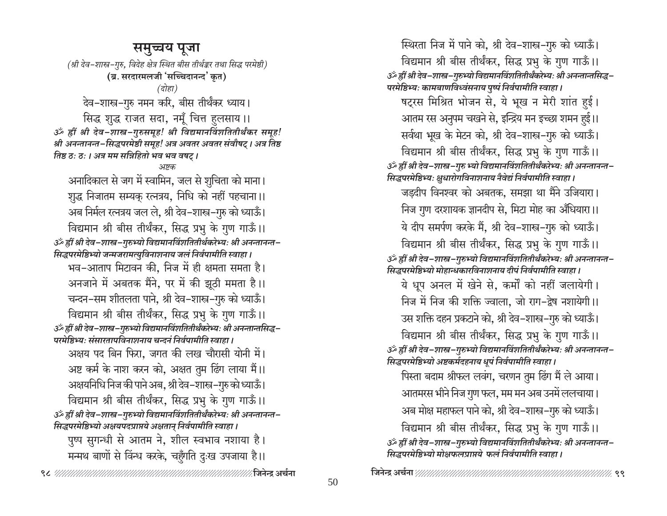### समुच्चय पूजा

(श्री देव-शास्त्र-गुरु, विदेह क्षेत्र स्थित बीस तीर्थङ्कर तथा सिद्ध परमेष्ठी) (ब्र. सरदारमलजी 'सच्चिदानन्द' कृत)

देव-शास्त्र-गुरु नमन करि, बीस तीर्थंकर ध्याय। सिद्ध शुद्ध राजत सदा, नमूँ चित्त हुलसाय ।।

ॐ ह्रीं श्री देव-शास्त्र-गुरुसमूह! श्री विद्यमानविंशतितीर्थंकर समूह! श्री अनन्तानन्त-सिद्धपरमेष्ठी समूह! अत्र अवतर अवतर संवौषट् । अत्र तिष्ठ तिष्ठ ठः ठः । अत्र मम सन्निहितो भव भव वषट् ।

#### अष्टक

अनादिकाल से जग में स्वामिन, जल से शुचिता को माना। शुद्ध निजातम सम्यक् रत्नत्रय, निधि को नहीं पहचाना।। अब निर्मल रत्नत्रय जल ले, श्री देव-शास्त्र-गुरु को ध्याऊँ। विद्यमान श्री बीस तीर्थंकर, सिद्ध प्रभु के गुण गाऊँ।। ॐ ह्रीं श्री देव-शास्त्र-गुरुभ्यो विद्यमानविंशतितीर्थकरेभ्यः श्री अनन्तानन्त-सिद्धपरमेष्ठिभ्यो जन्मजरामत्युविनाशनाय जलं निर्वपामीति स्वाहा । भव-आताप मिटावन की, निज में ही क्षमता समता है। अनजाने में अबतक मैंने, पर में की झूठी ममता है।। चन्दन-सम शीतलता पाने, श्री देव-शास्त्र-गुरु को ध्याऊँ। विद्यमान श्री बीस तीर्थंकर, सिद्ध प्रभु के गुण गाऊँ।। ॐ ह्रीं श्री देव-शास्त्र-गुरुभ्यो विद्यमानविंशतितीर्थंकरेभ्यः श्री अनन्तान्तसिद्ध-परमेष्ठिभ्यः संसारतापविनाशनाय चन्दनं निर्वपामीति स्वाहा । अक्षय पद बिन फिरा, जगत की लख चौरासी योनी में। अष्ट कर्म के नाश करन को, अक्षत तुम ढिंग लाया मैं।। अक्षयनिधि निज की पाने अब, श्री देव–शास्त्र–गुरु को ध्याऊँ। विद्यमान श्री बीस तीर्थंकर, सिद्ध प्रभु के गुण गाऊँ।। ॐ ह्रीं श्री देव-शास्त्र-गुरुभ्यो विद्यमानविंशतितीर्थंकरेभ्यः श्री अनन्तानन्त-सिद्धपरमेष्ठिभ्यो अक्षयपदप्राप्तये अक्षतान् निर्वपामीति स्वाहा ।

पुष्प सुगन्धी से आतम ने, शील स्वभाव नशाया है। मन्मथ बाणों से विंन्ध करके, चहुँगति दुःख उपजाया है।।

स्थिरता निज में पाने को, श्री देव-शास्त्र-गुरु को ध्याऊँ। विद्यमान श्री बीस तीर्थंकर, सिद्ध प्रभु के गुण गाऊँ।। ॐ ह्रीं श्री देव-शास्त्र-गुरुभ्यो विद्यमानविंशतितीर्थंकरेभ्यः श्री अनन्तान्तसिद्ध-परमेष्ठिभ्यः कामबाणविध्वंसनाय पुष्पं निर्वपामीति स्वाहा । षट्रस मिश्रित भोजन से, ये भूख न मेरी शांत हुई। आतम रस अनुपम चखने से, इन्द्रिय मन इच्छा शमन हुई।। सर्वथा भूख के मेटन को, श्री देव-शास्त्र-गुरु को ध्याऊँ। विद्यमान श्री बीस तीर्थंकर, सिद्ध प्रभु के गुण गाऊँ।। ॐ ह्रीं श्री देव-शास्त्र-गुरु भ्यो विद्यमानविंशतितीर्थंकरेभ्यः श्री अनन्तानन्त-सिद्धपरमेष्ठिभ्यः क्षुधारोगविनाशनाय नैवेद्यं निर्वपामीति स्वाहा। जड़दीप विनश्वर को अबतक, समझा था मैंने उजियारा। निज गुण दरशायक ज्ञानदीप से, मिटा मोह का अँधियारा।। ये दीप समर्पण करके मैं, श्री देव-शास्त्र-गुरु को ध्याऊँ। विद्यमान श्री बीस तीर्थंकर, सिद्ध प्रभु के गुण गाऊँ।। ॐ ह्रीं श्री देव−शास्त्र−गुरुभ्यो विद्यमानविंशतितीर्थंकरेभ्यः श्री अनन्तानन्त− सिद्धपरमेष्ठिभ्यो मोहान्धकारविनाशनाय दीपं निर्वपामीति स्वाहा । ये धूप अनल में खेने से, कर्मों को नहीं जलायेगी। निज में निज की शक्ति ज्वाला. जो राग-द्वेष नशायेगी।। उस शक्ति दहन प्रकटाने को, श्री देव–शास्त्र–गुरु को ध्याऊँ। विद्यमान श्री बीस तीर्थंकर, सिद्ध प्रभु के गुण गाऊँ।। ॐ ह्रीं श्री देव-शास्त्र-गुरुभ्यो विद्यमानविंशतितीर्थंकरेभ्यः श्री अनन्तानन्त-सिद्धपरमेष्ठिभ्यो अष्टकर्मदहनाय धूपं निर्वपामीति स्वाहा। पिस्ता बदाम श्रीफल लवंग, चरणन तुम ढिंग मैं ले आया। आतमरस भीने निज गुण फल, मम मन अब उनमें ललचाया। अब मोक्ष महाफल पाने को, श्री देव-शास्त्र-गुरु को ध्याऊँ। विद्यमान श्री बीस तीर्थंकर, सिद्ध प्रभु के गुण गाऊँ।। ॐ ह्रीं श्री देव-शास्त्र-गुरुभ्यो विद्यमानविंशतितीर्थंकरेभ्यः श्री अनन्तानन्त-सिद्धपरमेष्ठिभ्यो मोक्षफलप्राप्तये फलं निर्वपामीति स्वाहा ।

<sup>(</sup>दोहा)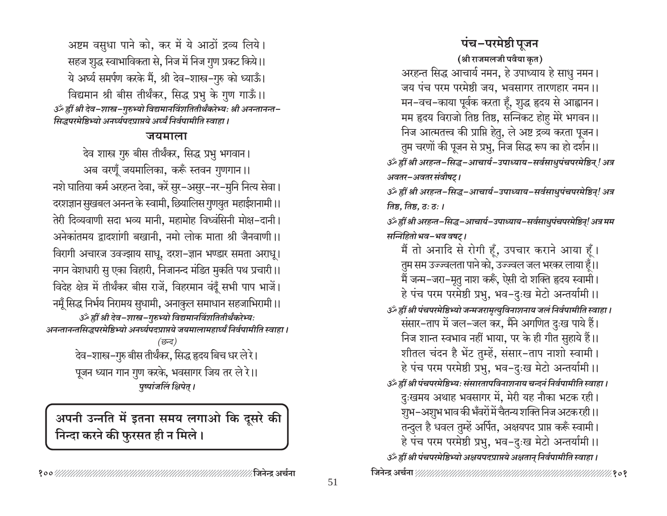अष्टम वसुधा पाने को, कर में ये आठों द्रव्य लिये। सहज शुद्ध स्वाभाविकता से, निज में निज गुण प्रकट किये।। ये अर्घ्य समर्पण करके मैं, श्री देव-शास्त्र-गुरु को ध्याऊँ। विद्यमान श्री बीस तीर्थंकर, सिद्ध प्रभु के गुण गाऊँ।। उँ ह्रीं श्री देव-शास्त्र-गुरुभ्यो विद्यमानविंशतितीर्थंकरेभ्यः श्री अनन्तानन्त-सिद्धपरमेष्ठिभ्यो अनर्घ्यपदप्राप्तये अर्घ्यं निर्वपामीति स्वाहा ।

### जयमाला

देव शास्त्र गुरु बीस तीर्थंकर, सिद्ध प्रभु भगवान। अब वरणूँ जयमालिका, करूँ स्तवन गुणगान।। नशे घातिया कर्म अरहन्त देवा, करें सुर–असुर–नर–मुनि नित्य सेवा। दरशज्ञान सुखबल अनन्त के स्वामी, छियालिस गुणयुत महाईशनामी।। तेरी दिव्यवाणी सदा भव्य मानी, महामोह विध्वंसिनी मोक्ष-दानी। अनेकांतमय द्वादशांगी बखानी, नमो लोक माता श्री जैनवाणी।। विरागी अचारज उवज्झाय साधू, दरश–ज्ञान भण्डार समता अराधू। नगन वेशधारी सु एका विहारी, निजानन्द मंडित मुकति पथ प्रचारी।। विदेह क्षेत्र में तीर्थंकर बीस राजें, विहरमान वंदूँ सभी पाप भाजें। नमूँ सिद्ध निर्भय निरामय सुधामी, अनाकुल समाधान सहजाभिरामी ।। ॐ ह्वीं श्री देव-शास्त्र-गुरुभ्यो विद्यमानविंशतितीर्थंकरेभ्यः अनन्तानन्तसिद्धपरमेष्ठिभ्यो अनर्घ्यपदप्राप्तये जयमालामहार्घ्यं निर्वपामीति स्वाहा ।

> (छन्द) देव–शास्त्र–गुरु बीस तीर्थंकर, सिद्ध हृदय बिच धर ले रे। पूजन ध्यान गान गुण करके, भवसागर जिय तर ले रे।। पुष्पांजलिं क्षिपेत् ।

अपनी उन्नति में इतना समय लगाओ कि दूसरे की निन्दा करने की फुरसत ही न मिले।

# पंच-परमेष्ठी पूजन

(श्री राजमलजी पवैया कृत) अरहन्त सिद्ध आचार्य नमन, हे उपाध्याय हे साधु नमन। जय पंच परम परमेष्ठी जय, भवसागर तारणहार नमन ।। मन–वच–काया पूर्वक करता हूँ, शुद्ध हृदय से आह्वानन। मम हृदय विराजो तिष्ठ तिष्ठ, सन्निकट होहु मेरे भगवन ।। निज आत्मतत्त्व की प्राप्ति हेतु, ले अष्ट द्रव्य करता पूजन। तुम चरणों की पूजन से प्रभु, निज सिद्ध रूप का हो दर्शन ।। ॐ ह्रीं श्री अरहन्त-सिद्ध-आचार्य-उपाध्याय-सर्वसाधुपंचपरमेष्ठिन् ! अत्र अवतर-अवतर संवौषट्।

ॐ ह्रीं श्री अरहन्त-सिद्ध-आचार्य-उपाध्याय-सर्वसाधुपंचपरमेष्ठिन्! अत्र तिष्ठ, तिष्ठ, ठ: ठ: ।

ॐ ह्रीं श्री अरहन्त-सिद्ध-आचार्य-उपाध्याय-सर्वसाधुपंचपरमेष्ठिन्! अत्र मम सन्निहितो भव-भव वषट्।

मैं तो अनादि से रोगी हूँ, उपचार कराने आया हूँ। तुम सम उज्ज्वलता पाने को, उज्ज्वल जल भरकर लाया हूँ।। मैं जन्म–जरा–मूतु नाश करूँ, ऐसी दो शक्ति हृदय स्वामी। हे पंच परम परमेष्ठी प्रभु, भव-दुःख मेटो अन्तर्यामी ।। उँ ह्रीं श्री पंचपरमेष्ठिभ्यो जन्मजरामृत्युविनाशनाय जलं निर्वपामीति स्वाहा । संसार–ताप में जल–जल कर, मैंने अगणित दुःख पाये हैं। निज शान्त स्वभाव नहीं भाया, पर के ही गीत सुहाये हैं।। शीतल चंदन है भेंट तुम्हें, संसार-ताप नाशो स्वामी। हे पंच परम परमेष्ठी प्रभु, भव-दुःख मेटो अन्तर्यामी ।। हीं श्री पंचपरमेष्ठिभ्यः संसारतापविनाशनाय चन्दनं निर्वपामीति स्वाहा। दुःखमय अथाह भवसागर में, मेरी यह नौका भटक रही। शुभ–अशुभ भाव की भँवरों में चैतन्य शक्ति निज अटक रही।। तन्दुल है धवल तुम्हें अर्पित, अक्षयपद प्राप्त करूँ स्वामी। हे पंच परम परमेष्ठी प्रभु, भव-दुःख मेटो अन्तर्यामी ।। उँ ह्रीं श्री पंचपरमेष्ठिभ्यो अक्षयपदप्राप्तये अक्षतान् निर्वपामीति स्वाहा ।

∕ जिनेन्द्र अर्चना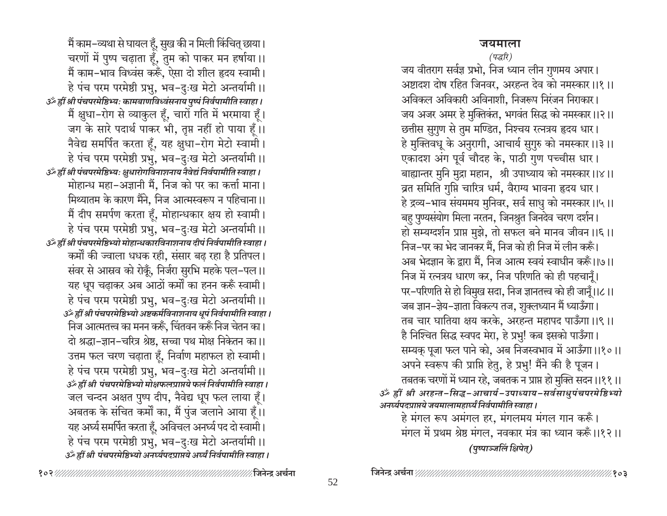### जयमाला

(पद्धरि)

जय वीतराग सर्वज्ञ प्रभो, निज ध्यान लीन गुणमय अपार। अष्टादश दोष रहित जिनवर, अरहन्त देव को नमस्कार।।१।। अविकल अविकारी अविनाशी. निजरूप निरंजन निराकार। जय अजर अमर हे मुक्तिकंत, भगवंत सिद्ध को नमस्कार।।२।। छत्तीस सुगुण से तुम मण्डित, निश्चय रत्नत्रय हृदय धार। हे मुक्तिवधू के अनुरागी, आचार्य सुगुरु को नमस्कार।।३।। एकादश अंग पूर्व चौदह के, पाठी गुण पच्चीस धार। बाह्यान्तर मुनि मुद्रा महान, श्री उपाध्याय को नमस्कार।।४।। व्रत समिति गुप्ति चारित्र धर्म, वैराग्य भावना हृदय धार। हे द्रव्य-भाव संयममय मुनिवर, सर्व साधु को नमस्कार।।५।। बहु पुण्यसंयोग मिला नरतन, जिनश्रुत जिनदेव चरण दर्शन। हो सम्यग्दर्शन प्राप्त मुझे, तो सफल बने मानव जीवन।।६।। निज-पर का भेद जानकर मैं, निज को ही निज में लीन करूँ। अब भेदज्ञान के द्वारा मैं, निज आत्म स्वयं स्वाधीन करूँ।।७।। निज में रत्नत्रय धारण कर, निज परिणति को ही पहचानूँ। पर-परिणति से हो विमुख सदा, निज ज्ञानतत्त्व को ही जानूँ।।८।। जब ज्ञान–ज्ञेय–ज्ञाता विकल्प तज, शुक्लध्यान मैं ध्याऊँगा। तब चार घातिया क्षय करके, अरहन्त महापद पाऊँगा।।९।। है निश्चित सिद्ध स्वपद मेरा, हे प्रभु! कब इसको पाऊँगा। सम्यक् पूजा फल पाने को, अब निजस्वभाव में आऊँगा।।१०।। अपने स्वरूप की प्राप्ति हेतु, हे प्रभु! मैंने की है पूजन। तबतक चरणों में ध्यान रहे, जबतक न प्राप्त हो मुक्ति सदन ।।११ ।। ॐ ह्रीं श्री अरहन्त-सिद्ध-आचार्य-उपाध्याय-सर्वसाधुपंचपरमेष्ठिभ्यो अनर्घ्यपदप्राप्तये जयमालामहार्घ्यं निर्वपामीति स्वाहा ।

हे मंगल रूप अमंगल हर, मंगलमय मंगल गान करूँ। मंगल में प्रथम श्रेष्ठ मंगल, नवकार मंत्र का ध्यान करूँ।।१२।। (पुष्पाञ्जलिं क्षिपेत्)

मैं काम–व्यथा से घायल हूँ, सुख की न मिली किंचित् छाया। चरणों में पुष्प चढ़ाता हूँ, तुम को पाकर मन हर्षाया।। मैं काम-भाव विध्वंस करूँ, ऐसा दो शील हृदय स्वामी। हे पंच परम परमेष्ठी प्रभु, भव-दुःख मेटो अन्तर्यामी ।। उँ ह्रीं श्री पंचपरमेष्ठिभ्यः कामबाणविध्वंसनाय पुष्पं निर्वपामीति स्वाहा। मैं क्षुधा-रोग से व्याकुल हूँ, चारों गति में भरमाया हूँ। जग के सारे पदार्थ पाकर भी, तृप्त नहीं हो पाया हूँ।। नैवेद्य समर्पित करता हूँ, यह क्षुधा-रोग मेटो स्वामी। हे पंच परम परमेष्ठी प्रभु, भव-दुःख मेटो अन्तर्यामी ।। ्ठें ह्रीं श्री पंचपरमेष्ठिभ्यः क्षुधारोगविनाशनाय नैवेद्यं निर्वपामीति स्वाहा। मोहान्ध महा-अज्ञानी मैं, निज को पर का कर्त्ता माना। मिथ्यातम के कारण मैंने, निज आत्मस्वरूप न पहिचाना ।। मैं दीप समर्पण करता हूँ, मोहान्धकार क्षय हो स्वामी। हे पंच परम परमेष्ठी प्रभु, भव-दुःख मेटो अन्तर्यामी ।। उँ ह्रीं श्री पंचपरमेष्ठिभ्यो मोहान्धकारविनाशनाय दीपं निर्वपामीति स्वाहा। कर्मों की ज्वाला धधक रही, संसार बढ़ रहा है प्रतिपल। संवर से आस्रव को रोकूँ, निर्जरा सुरभि महके पल-पल।। यह धूप चढ़ाकर अब आठों कर्मों का हनन करूँ स्वामी। हे पंच परम परमेष्ठी प्रभु, भव-दुःख मेटो अन्तर्यामी ।। उँ ह्रीं श्री पंचपरमेष्ठिभ्यो अष्टकर्मविनाशनाय धूपं निर्वपामीति स्वाहा। निज आत्मतत्त्व का मनन करूँ, चिंतवन करूँ निज चेतन का। दो श्रद्धा-ज्ञान-चरित्र श्रेष्ठ, सच्चा पथ मोक्ष निकेतन का।। उत्तम फल चरण चढ़ाता हैं, निर्वाण महाफल हो स्वामी। हे पंच परम परमेष्ठी प्रभु, भव–दुःख मेटो अन्तर्यामी ।। उँ ह्रीं श्री पंचपरमेष्ठिभ्यो मोक्षफलप्राप्तये फलं निर्वपामीति स्वाहा। जल चन्दन अक्षत पुष्प दीप, नैवेद्य धूप फल लाया हूँ। अबतक के संचित कर्मों का, मैं पुंज जलाने आया हूँ।। यह अर्घ्य समर्पित करता हूँ, अविचल अनर्घ्य पद दो स्वामी। हे पंच परम परमेष्ठी प्रभु, भव–दुःख मेटो अन्तर्यामी ।। उॅं ह्रीं श्री पंचपरमेष्ठिभ्यो अनर्घ्यपदप्राप्तये अर्घ्यं निर्वपामीति स्वाहा ।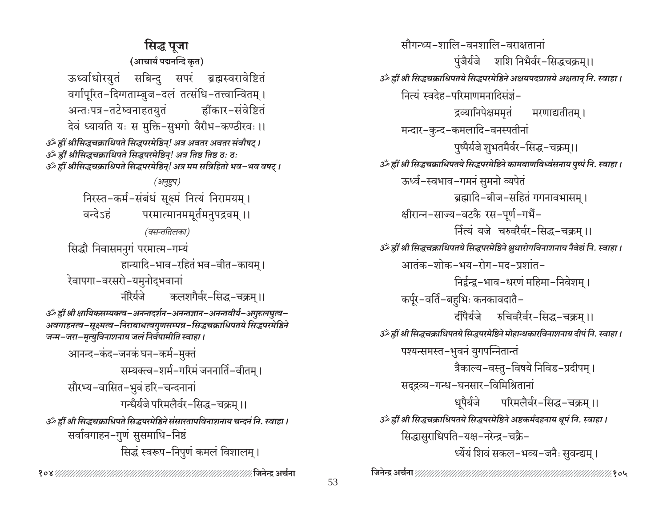सिद्ध पूजा (आचार्य पद्मनन्दि कृत) ऊर्ध्वाधोरयुतं सबिन्दु सपरं ब्रह्मस्वरावेष्टितं वर्गापूरित-दिग्गताम्बुज-दलं तत्संधि-तत्त्वान्वितम् । अन्तःपत्र-तटेष्वनाहतयुतं ह्रींकार−संवेष्टितं देवं ध्यायति यः स मुक्ति-सुभगो वैरीभ-कण्ठीरवः ।। उर्व्हीं श्रीसिद्धचक्राधिपते सिद्धपरमेष्ठिन्! अत्र अवतर अवतर संवौषट् । ॐ ह्रीं श्रीसिद्धचक्राधिपते सिद्धपरमेष्ठिन्! अत्र तिष्ठ तिष्ठ ठः ठः अँ ह्रीं श्रीसिद्धचक्राधिपते सिद्धपरमेष्ठिन्! अत्र मम सन्निहितो भव–भव वषट् । (अनुष्टुप) निरस्त-कर्म-संबंधं सूक्ष्मं नित्यं निरामयम् । परमात्मानममूर्तमनुपद्रवम् ।। वन्देऽहं (वसन्ततिलका) सिद्धौ निवासमनुगं परमात्म-गम्यं हान्यादि-भाव-रहितं भव-वीत-कायम् । रेवापगा-वरसरो-यमुनोदभवानां नीरैर्यजे कलशगैर्वर-सिद्ध-चक्रम।। ॐ ह्रीं श्री क्षायिकसम्यक्त्व-अनन्तदर्शन-अनन्तज्ञान-अनन्तवीर्य-अगुरुलघुत्व-अवगाहनत्व-सूक्ष्मत्व-निराबाधत्वगुणसम्पन्न-सिद्धचक्राधिपतये सिद्धपरमेष्ठिने<br>जन्म-जरा-मृत्युविनाशनाय जलं निर्वपामीति स्वाहा । आनन्द-कंद-जनकं घन-कर्म-मुक्तं सम्यक्त्व-शर्म-गरिमं जननार्ति-वीतम। सौरभ्य-वासित-भुवं हरि-चन्दनानां गन्धैर्यजे परिमलैर्वर-सिद्ध-चक्रम ।। उँ हीं श्री सिद्धचक्राधिपते सिद्धपरमेष्ठिने संसारतापविनाशनाय चन्दनं नि. स्वाहा । सर्वावगाहन–गुणं सुसमाधि–निष्ठं सिद्धं स्वरूप-निपुणं कमलं विशालम् ।

सौगन्ध्य-शालि-वनशालि-वराक्षतानां पुंजैर्यजे शशि निभैर्वर-सिद्धचक्रम्।। उँ ह्रीं श्री सिद्धचक्राधिपतये सिद्धपरमेष्ठिने अक्षयपदप्राप्तये अक्षतान् नि. स्वाहा । नित्यं स्वदेह-परिमाणमनादिसंज्ञं-द्रव्यानिपेक्षममृतं मरणाद्यतीतम् । मन्दार-कुन्द-कमलादि-वनस्पतीनां पुष्पैर्यजे शुभतमैर्वर-सिद्ध-चक्रम्।। उँ हीं श्री सिद्धचक्राधिपतये सिद्धपरमेष्ठिने कामबाणविध्वंसनाय पुष्पं नि. स्वाहा। ऊर्ध्व-स्वभाव-गमनं सुमनो व्यपेतं ब्रह्मादि-बीज-सहितं गगनावभासम। क्षीरान्न-साज्य-वटकै रस-पूर्ण-गर्भै-र्नित्यं यजे चरुवरैर्वर-सिद्ध-चक्रम ।। उँ ह्रीं श्री सिद्धचक्राधिपतये सिद्धपरमेष्ठिने क्षुधारोगविनाशनाय नैवेद्यं नि. स्वाहा। आतंक-शोक-भय-रोग-मद-प्रशांत-निर्द्वन्द्व-भाव-धरणं महिमा-निवेशम । कर्पूर-वर्ति-बहुभिः कनकावदातै-दींपैर्यजे रुचिवरैर्वर-सिद्ध-चक्रम् ।। ं हीं श्री सिद्धचक्राधिपतये सिद्धपरमेष्ठिने मोहान्धकारविनाशनाय दीपं नि. स्वाहा। पश्यन्समस्त-भुवनं युगपन्नितान्तं त्रैकाल्य-वस्तु-विषये निविड-प्रदीपम् । सद्द्रव्य-गन्ध-घनसार-विमिश्रितानां धुपैर्यजे परिमलैर्वर-सिद्ध-चक्रम् ।। उँ ह्रीं श्री सिद्धचक्राधिपतये सिद्धपरमेष्ठिने अष्टकर्मदहनाय धूपं नि. स्वाहा । सिद्धासुराधिपति-यक्ष-नरेन्द्र-चक्रै-ध्येयं शिवं सकल-भव्य-जनैः सुवन्द्यम् ।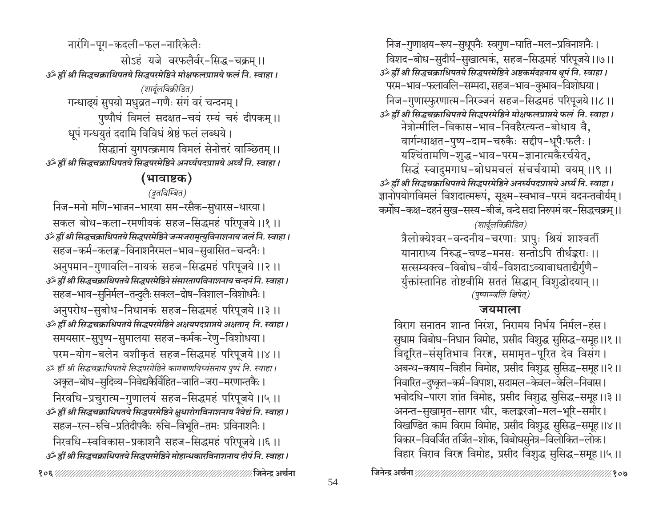निज-गुणाक्षय-रूप-सुधूपनैः स्वगुण-घाति-मल-प्रविनाशनैः। विशद–बोध–सुदीर्घ–सुखात्मकं, सहज–सिद्धमहं परिपूजये।।७।। उँ ह्रीं श्री सिद्धचक्राधिपतये सिद्धपरमेष्ठिने अष्टकर्मदहनाय धूपं नि. स्वाहा । परम–भाव–फलावलि–सम्पदा, सहज–भाव–कुभाव–विशोधया। निज-गुणास्फुरणात्म-निरञ्जनं सहज-सिद्धमहं परिपूजये ।।८ ।। उँ ह्रीं श्री सिद्धचक्राधिपतये सिद्धपरमेष्ठिने मोक्षफलप्राप्तये फलं नि. स्वाहा । नेत्रोन्मीलि-विकास-भाव-निवहैरत्यन्त-बोधाय वै, वार्गन्धाक्षत-पुष्प-दाम-चरुकैः सद्दीप-धूपैःफलैः । यश्चिंतामणि-शुद्ध-भाव-परम-ज्ञानात्मकैरर्चयेत्, सिद्धं स्वादुमगाध-बोधमचलं संचर्चयामो वयम् ।।९ ।। उँ ह्रीं श्री सिद्धचक्राधिपतये सिद्धपरमेष्ठिने अनर्घ्यपदप्राप्तये अर्घ्यं नि. स्वाहा । ज्ञानोपयोगविमलं विशदात्मरूपं, सूक्ष्म–स्वभाव–परमं यदनन्तवीर्यम् । कर्मोघ-कक्ष-दहनं सुख-सस्य-बीजं, वन्दे सदा निरुपमं वर-सिद्धचक्रम् ।। (शार्दुलविक्रीडित) त्रैलोक्येश्वर-वन्दनीय-चरणाः प्रापुः श्रियं शाश्वतीं

यानाराध्य निरुद्ध-चण्ड-मनसः सन्तोऽपि तीर्थङ्कराः ।। सत्सम्यक्त्व-विबोध-वीर्य-विशदाऽव्याबाधताद्यैर्गुणै-र्युक्तांस्तानिह तोष्टवीमि सततं सिद्धान् विशुद्धोदयान् ।। (पृष्पाञ्जलिं क्षिपेत्)

### जयमाला

विराग सनातन शान्त निरंश, निरामय निर्भय निर्मल-हंस। सुधाम विबोध–निधान विमोह, प्रसीद विशुद्ध सुसिद्ध–समूह।।१।। विदूरित-संसृतिभाव निरङ्ग, समामृत-पूरित देव विसंग। अबन्ध-कषाय-विहीन विमोह, प्रसीद विशुद्ध सुसिद्ध-समूह।।२।। निवारित–दुष्कृत–कर्म–विपाश, सदामल–केवल–केलि–निवास। भवोदधि-पारग शांत विमोह, प्रसीद विशुद्ध सुसिद्ध-समूह।।३।। अनन्त-सुखामत-सागर धीर, कलङ्करजो-मल-भूरि-समीर। विखण्डित काम विराम विमोह, प्रसीद विशुद्ध सुसिद्ध-समूह।।४।। विकार–विवर्जित तर्जित–शोक, विबोधसुनेत्र–विलोकित–लोक। विहार विराव विरङ्ग विमोह, प्रसीद विशुद्ध सुसिद्ध-समूह।।५।।

नारंगि-पूग-कदली-फल-नारिकेलैः सोऽहं यजे वरफलैर्वर-सिद्ध-चक्रम ।। उँ ह्रीं श्री सिद्धचक्राधिपतये सिद्धपरमेष्ठिने मोक्षफलप्राप्तये फलं नि. स्वाहा । (शार्दूलविक्रीडित)

गन्धाढ्यं सुपयो मधुव्रत-गणैः संगं वरं चन्दनम् । पुष्पौघं विमलं सदक्षत-चयं रम्यं चरुं दीपकम् ।। धूपं गन्धयुतं ददामि विविधं श्रेष्ठं फलं लब्धये। सिद्धानां युगपत्क्रमाय विमलं सेनोत्तरं वाञ्छितम् ।। उँ ह्रीं श्री सिद्धचक्राधिपतये सिद्धपरमेष्ठिने अनर्घ्यपदप्राप्तये अर्घ्यं नि. स्वाहा ।

## (भावाष्टक)

(द्रुतविम्बित)

निज-मनो मणि-भाजन-भारया सम-रसैक-सुधारस-धारया। सकल बोध-कला-रमणीयकं सहज-सिद्धमहं परिपूजये।।१।। ं हीं श्री सिद्धचक्राधिपतये सिद्धपरमेष्ठिने जन्मजरामृत्युविनाशनाय जलं नि. स्वाहा । सहज–कर्म–कलङ्क–विनाशनैरमल–भाव–सुवासित–चन्दनैः । अनुपमान-गुणावलि-नायकं सहज-सिद्धमहं परिपूजये।।२।। उँ हीं श्री सिद्धचक्राधिपतये सिद्धपरमेष्ठिने संसारतापविनाशनाय चन्दनं नि. स्वाहा । सहज-भाव-सुनिर्मल-तन्दुलैः सकल-दोष-विशाल-विशोधनैः । अनुपरोध-सुबोध-निधानकं सहज-सिद्धमहं परिपूजये ।।३ ।। उँ ह्रीं श्री सिद्धचक्राधिपतये सिद्धपरमेष्ठिने अक्षयपदप्राप्तये अक्षतान् नि. स्वाहा । समयसार–सुपुष्प–सुमालया सहज–कर्मक–रेणु–विशोधया। परम-योग-बलेन वशीकृतं सहज-सिद्धमहं परिपूजये ।।४ ।। उऊँ हीं श्री सिद्धचक्राधिपतये सिद्धपरमेष्ठिने कामबाणविध्वंसनाय पुष्पं नि. स्वाहा। अकृत-बोध-सुदिव्य-निवेद्यकैर्विहित-जाति-जरा-मरणान्तकैः। निरवधि-प्रचुरात्म-गुणालयं सहज-सिद्धमहं परिपूजये ।।५ ।। उँ हीं श्री सिद्धचक्राधिपतये सिद्धपरमेष्ठिने क्षुधारोगविनाशनाय नैवेद्यं नि. स्वाहा। सहज-रत्न-रुचि-प्रतिदीपकैः रुचि-विभूति-तमः प्रविनाशनैः। निरवधि-स्वविकास-प्रकाशनै सहज-सिद्धमहं परिपूजये।।६।। उँ ह्रीं श्री सिद्धचक्राधिपतये सिद्धपरमेष्ठिने मोहान्धकारविनाशनाय दीपं नि. स्वाहा।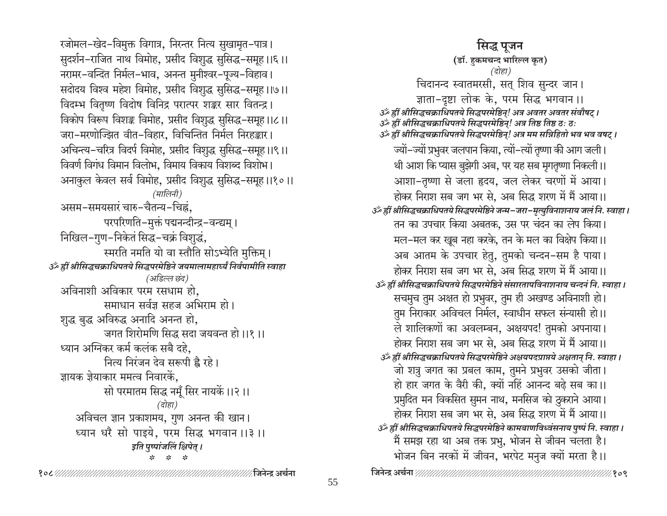रजोमल-खेद-विमुक्त विगात्र, निरन्तर नित्य सुखामृत-पात्र। सुदर्शन-राजित नाथ विमोह, प्रसीद विशुद्ध सुसिद्ध-समूह।।६।। नरामर-वन्दित निर्मल-भाव, अनन्त मुनीश्वर-पूज्य-विहाव। सदोदय विश्व महेश विमोह, प्रसीद विशुद्ध सुसिद्ध-समूह।।७।। विदम्भ वितृष्ण विदोष विनिद्र परात्पर शङ्कर सार वितन्द्र। विकोप विरूप विशङ्क विमोह, प्रसीद विशुद्ध सुसिद्ध-समूह।।८।। जरा-मरणोज्झित वीत-विहार, विचिन्तित निर्मल निरहङ्कार। अचिन्त्य-चरित्र विदर्प विमोह, प्रसीद विशुद्ध सुसिद्ध-समूह।।९।। विवर्ण विगंध विमान विलोभ, विमाय विकाय विशब्द विशोभ। अनाकुल केवल सर्व विमोह, प्रसीद विशुद्ध सुसिद्ध-समूह।।१०।। (मालिनी) असम-समयसारं चारु-चैतन्य-चिह्नं. परपरिणति-मुक्तं पद्मनन्दीन्द्र-वन्द्यम् । निखिल–गुण–निकेतं सिद्ध–चक्रं विशुद्धं, स्मरति नमति यो वा स्तौति सोऽभ्येति मुक्तिम् । उँ ह्रीं श्रीसिद्धचक्राधिपतये सिद्धपरमेष्ठिने जयमालामहार्घ्यं निर्वपामीति स्वाहा (अडिल्ल छंद) अविनाशी अविकार परम रसधाम हो, समाधान सर्वज्ञ सहज अभिराम हो। शुद्ध बुद्ध अविरुद्ध अनादि अनन्त हो, जगत शिरोमणि सिद्ध सदा जयवन्त हो।।१।। ध्यान अग्निकर कर्म कलंक सबै दहे. नित्य निरंजन देव सरूपी है रहे। ज्ञायक ज्ञेयाकार ममत्व निवारकें. सो परमातम सिद्ध नमूँ सिर नायकें ।।२।। (दोहा) अविचल ज्ञान प्रकाशमय, गुण अनन्त की खान। ध्यान धरै सो पाइये, परम सिद्ध भगवान ।।३ ।। इति पुष्पांजलिं क्षिपेत् ।  $2k$   $2k$ 

सिद्ध पुजन (डॉ. हकमचन्द भारिल्ल कृत) (दोहा) चिदानन्द स्वातमरसी, सत् शिव सुन्दर जान। ज्ञाता-दृष्टा लोक के, परम सिद्ध भगवान।। उँ ह्रीं श्रीसिद्धचक्राधिपतये सिद्धपरमेष्ठिन्! अत्र अवतर अवतर संवौषट् । उँ ह्रीं श्रीसिद्धचक्राधिपतये सिद्धपरमेष्ठिन्! अत्र तिष्ठ तिष्ठ ठः ठः उँ ह्रीं श्रीसिद्धचक्राधिपतये सिद्धपरमेष्ठिन्! अत्र मम सन्निहितो भव भव वषट् । ज्यों-ज्यों प्रभुवर जलपान किया, त्यों-त्यों तृष्णा की आग जली। थी आश कि प्यास बुझेगी अब, पर यह सब मृगतृष्णा निकली।। आशा-तृष्णा से जला हृदय, जल लेकर चरणों में आया। होकर निराश सब जग भर से, अब सिद्ध शरण में मैं आया।। گُر ह्रीं श्रीसिद्धचक्राधिपतये सिद्धपरमेष्ठिने जन्म-जरा-मृत्युविनाशनाय जलं नि. स्वाहा । तन का उपचार किया अबतक, उस पर चंदन का लेप किया। मल-मल कर खूब नहा करके, तन के मल का विक्षेप किया।। अब आतम के उपचार हेतु, तुमको चन्दन–सम है पाया। होकर निराश सब जग भर से. अब सिद्ध शरण में मैं आया।। उँ ह्रीं श्रीसिद्धचक्राधिपतये सिद्धपरमेष्ठिने संसारतापविनाशनाय चन्दनं नि. स्वाहा । सचमुच तुम अक्षत हो प्रभुवर, तुम ही अखण्ड अविनाशी हो। तुम निराकार अविचल निर्मल, स्वाधीन सफल संन्यासी हो।। ले शालिकणों का अवलम्बन, अक्षयपद! तुमको अपनाया। होकर निराश सब जग भर से, अब सिद्ध शरण में मैं आया।। उँ हीं श्रीसिद्धचक्राधिपतये सिद्धपरमेष्ठिने अक्षयपदप्राप्तये अक्षतान् नि. स्वाहा । जो शत्रु जगत का प्रबल काम, तुमने प्रभुवर उसको जीता। हो हार जगत के वैरी की, क्यों नहिं आनन्द बढ़े सब का।। प्रमुदित मन विकसित सुमन नाथ, मनसिज को ठुकराने आया। होकर निराश सब जग भर से, अब सिद्ध शरण में मैं आया।। उॅं ह्रीं श्रीसिद्धचक्राधिपतये सिद्धपरमेष्ठिने कामबाणविध्वंसनाय पुष्पं नि. स्वाहा । मैं समझ रहा था अब तक प्रभु, भोजन से जीवन चलता है। भोजन बिन नरकों में जीवन, भरपेट मनुज क्यों मरता है।।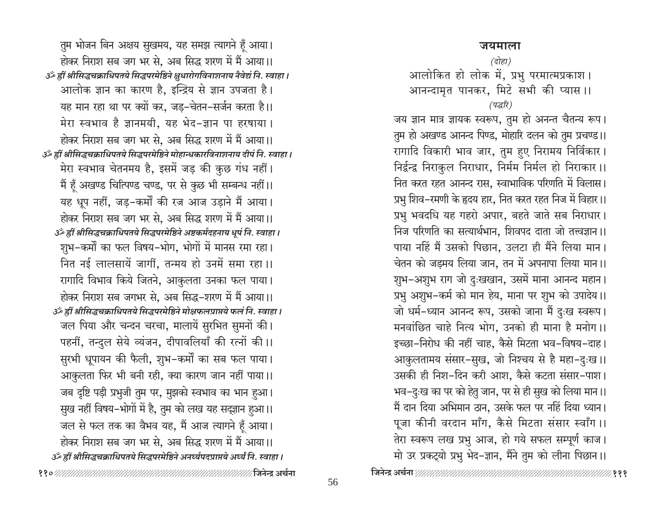### जयमाला

तुम भोजन बिन अक्षय सुखमय, यह समझ त्यागने हैं आया। होकर निराश सब जग भर से. अब सिद्ध शरण में मैं आया।। उँ ह्रीं श्रीसिद्धचक्राधिपतये सिद्धपरमेष्ठिने क्षुधारोगविनाशनाय नैवेद्यं नि. स्वाहा। आलोक ज्ञान का कारण है, इन्द्रिय से ज्ञान उपजता है। यह मान रहा था पर क्यों कर, जड-चेतन-सर्जन करता है।। मेरा स्वभाव है ज्ञानमयी, यह भेद-ज्ञान पा हरषाया। होकर निराश सब जग भर से, अब सिद्ध शरण में मैं आया।। उँ ह्रीं श्रीसिद्धचक्राधिपतये सिद्धपरमेष्ठिने मोहान्धकारविनाशनाय दीपं नि. स्वाहा। मेरा स्वभाव चेतनमय है, इसमें जड़ की कुछ गंध नहीं। मैं हूँ अखण्ड चित्पिण्ड चण्ड, पर से कुछ भी सम्बन्ध नहीं।। यह धूप नहीं, जड़-कर्मों की रज आज उड़ाने मैं आया। होकर निराश सब जग भर से, अब सिद्ध शरण में मैं आया।। उँ ह्रीं श्रीसिद्धचक्राधिपतये सिद्धपरमेष्ठिने अष्टकर्मदहनाय धूपं नि. स्वाहा । शुभ–कर्मों का फल विषय–भोग, भोगों में मानस रमा रहा। नित नई लालसायें जागीं, तन्मय हो उनमें समा रहा।। रागादि विभाव किये जितने, आकुलता उनका फल पाया। होकर निराश सब जगभर से, अब सिद्ध-शरण में मैं आया।। उँ ह्रीं श्रीसिद्धचक्राधिपतये सिद्धपरमेष्ठिने मोक्षफलप्राप्तये फलं नि. स्वाहा । जल पिया और चन्दन चरचा, मालायें सुरभित सुमनों की। पहनीं, तन्दुल सेये व्यंजन, दीपावलियाँ की रत्नों की।। सुरभी धूपायन की फैली, शुभ-कर्मों का सब फल पाया। आकुलता फिर भी बनी रही, क्या कारण जान नहीं पाया।। जब दृष्टि पड़ी प्रभुजी तुम पर, मुझको स्वभाव का भान हुआ। सुख नहीं विषय-भोगों में है, तुम को लख यह सद्ज्ञान हुआ।। जल से फल तक का वैभव यह, मैं आज त्यागने हूँ आया। होकर निराश सब जग भर से, अब सिद्ध शरण में मैं आया।। उँ ह्रीं श्रीसिद्धचक्राधिपतये सिद्धपरमेष्ठिने अनर्घ्यपदप्राप्तये अर्घ्यं नि. स्वाहा ।

#### (दोहा)

आलोकित हो लोक में, प्रभु परमात्मप्रकाश। आनन्दामृत पानकर, मिटे सभी की प्यास ।। (पद्धरि)

जय ज्ञान मात्र ज्ञायक स्वरूप, तुम हो अनन्त चैतन्य रूप। तुम हो अखण्ड आनन्द पिण्ड, मोहारि दलन को तुम प्रचण्ड।। रागादि विकारी भाव जार, तुम हुए निरामय निर्विकार। निर्द्वन्द्व निराकुल निराधार, निर्मम निर्मल हो निराकार।। नित करत रहत आनन्द रास, स्वाभाविक परिणति में विलास। प्रभु शिव–रमणी के हृदय हार, नित करत रहत निज में विहार।। प्रभु भवदधि यह गहरो अपार, बहते जाते सब निराधार। निज परिणति का सत्यार्थभान, शिवपद दाता जो तत्त्वज्ञान।। पाया नहिं मैं उसको पिछान, उलटा ही मैंने लिया मान। चेतन को जड़मय लिया जान, तन में अपनापा लिया मान।। शुभ-अशुभ राग जो दुःखखान, उसमें माना आनन्द महान। प्रभु अशुभ-कर्म को मान हेय, माना पर शुभ को उपादेय।। जो धर्म-ध्यान आनन्द रूप, उसको जाना मैं दुःख स्वरूप। मनवांछित चाहे नित्य भोग, उनको ही माना है मनोग।। इच्छा-निरोध की नहीं चाह, कैसे मिटता भव-विषय-दाह। आकुलतामय संसार-सुख, जो निश्चय से है महा-दुःख ।। उसकी ही निश-दिन करी आश, कैसे कटता संसार-पाश। भव–दुःख का पर को हेतु जान, पर से ही सुख को लिया मान।। मैं दान दिया अभिमान ठान, उसके फल पर नहिं दिया ध्यान। पूजा कीनी वरदान माँग, कैसे मिटता संसार स्वाँग ।। तेरा स्वरूप लख प्रभु आज, हो गये सफल सम्पूर्ण काज। मो उर प्रकट्यो प्रभु भेद-ज्ञान, मैंने तुम को लीना पिछान।।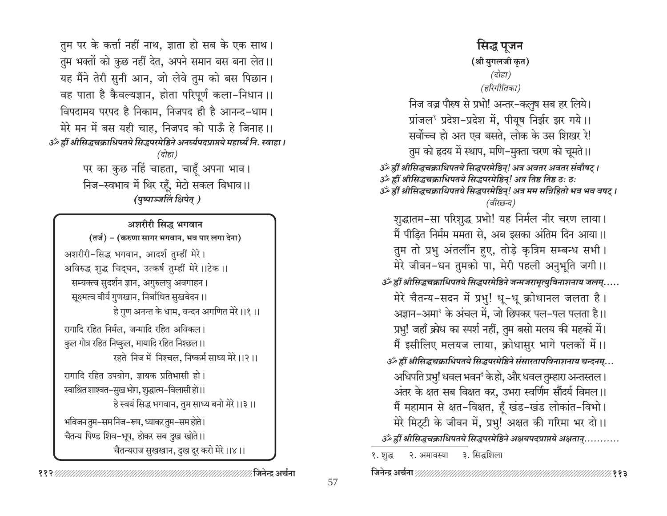तुम पर के कर्त्ता नहीं नाथ, ज्ञाता हो सब के एक साथ। तुम भक्तों को कुछ नहीं देत, अपने समान बस बना लेत।। यह मैंने तेरी सुनी आन, जो लेवे तुम को बस पिछान। वह पाता है कैवल्यज्ञान, होता परिपूर्ण कला-निधान ।। विपदामय परपद है निकाम. निजपद ही है आनन्द-धाम। मेरे मन में बस यही चाह, निजपद को पाऊँ हे जिनाह।। उॅं ह्रीं श्रीसिद्धचक्राधिपतये सिद्धपरमेष्ठिने अनर्घ्यपदप्राप्तये महार्घ्यं नि. स्वाहा । (दोहा) पर का कुछ नहिं चाहता, चाहँ अपना भाव। निज-स्वभाव में थिर रहूँ, मेटो सकल विभाव ।। (पुष्पाञ्जलिं क्षिपेत् )

अशरीरी सिद्ध भगवान (तर्ज) - (करुणा सागर भगवान, भव पार लगा देना) अशरीरी-सिद्ध भगवान, आदर्श तुम्हीं मेरे। अविरुद्ध शुद्ध चिद्घन, उत्कर्ष तुम्हीं मेरे।।टेक ।। सम्यक्त्व सुदर्शन ज्ञान, अगुरुलघु अवगाहन। सूक्ष्मत्व वीर्य गुणखान, निर्बाधित सुखवेदन ।। हे गुण अनन्त के धाम, वन्दन अगणित मेरे।।१।। रागादि रहित निर्मल, जन्मादि रहित अविकल। कुल गोत्र रहित निष्कुल, मायादि रहित निश्छल।। रहते निज में निश्चल, निष्कर्म साध्य मेरे।।२।। रागादि रहित उपयोग, ज्ञायक प्रतिभासी हो। स्वाश्रित शाश्वत–सुख भोग, शुद्धात्म–विलासी हो।। हे स्वयं सिद्ध भगवान, तुम साध्य बनो मेरे ।।३ ।। भविजन तुम–सम निज–रूप, ध्याकर तुम–सम होते। चैतन्य पिण्ड शिव–भूप, होकर सब दुख खोते।। चैतन्यराज सुखखान, दुख दूर करो मेरे।।४।।

∕ जिनेन्द्र अर्चना

# सिद्ध पूजन (श्री युगलजी कृत) (दोहा) (हरिगीतिका) निज वज्र पौरुष से प्रभो! अन्तर-कलुष सब हर लिये। प्रांजल<sup>१</sup> प्रदेश-प्रदेश में, पीयूष निर्झर झर गये।। सर्वोच्च हो अत एव बसते, लोक के उस शिखर रे! तुम को हृदय में स्थाप, मणि-मुक्ता चरण को चूमते ।। उँ ह्रीं श्रीसिद्धचक्राधिपतये सिद्धपरमेष्ठिन्! अत्र अवतर अवतर संवौषट् । ॐ ह्रीं श्रीसिद्धचक्राधिपतये सिद्धपरमेष्ठिन्! अत्र तिष्ठ तिष्ठ ठः ठः उर्व्हीं श्रीसिद्धचक्राधिपतये सिद्धपरमेष्ठिन्! अत्र मम सन्निहितो भव भव वषट् । (वीरछन्द) शुद्धातम-सा परिशुद्ध प्रभो! यह निर्मल नीर चरण लाया। मैं पीड़ित निर्मम ममता से, अब इसका अंतिम दिन आया।। तुम तो प्रभु अंतर्लीन हुए, तोड़े कृत्रिम सम्बन्ध सभी। मेरे जीवन-धन तुमको पा, मेरी पहली अनुभूति जगी।। ر.....अब्द्विं श्रीसिद्धचक्राधिपतये सिद्धपरमेष्ठिने जन्मजरामृत्युविनाशनाय जलम्..... मेरे चैतन्य-सदन में प्रभु! धू-धू क्रोधानल जलता है। अज्ञान–अमा<sup>२</sup> के अंचल में, जो छिपकर पल–पल पलता है।। प्रभु! जहाँ क्रोध का स्पर्श नहीं, तुम बसो मलय की महकों में। मैं इसीलिए मलयज लाया, क्रोधासुर भागे पलकों में।। گُر ह्रीं श्रीसिद्धचक्राधिपतये सिद्धपरमेष्ठिने संसारतापविनाशनाय चन्दनम्... अधिपति प्रभु! धवल भवन<sup>३</sup> केहो, और धवल तुम्हारा अन्तस्तल । अंतर के क्षत सब विक्षत कर, उभरा स्वर्णिम सौंदर्य विमल।। मैं महामान से क्षत-विक्षत, हूँ खंड-खंड लोकांत-विभो। मेरे मिट्टी के जीवन में, प्रभु! अक्षत की गरिमा भर दो।। १. शुद्ध १. अमावस्या ३. सिद्धशिला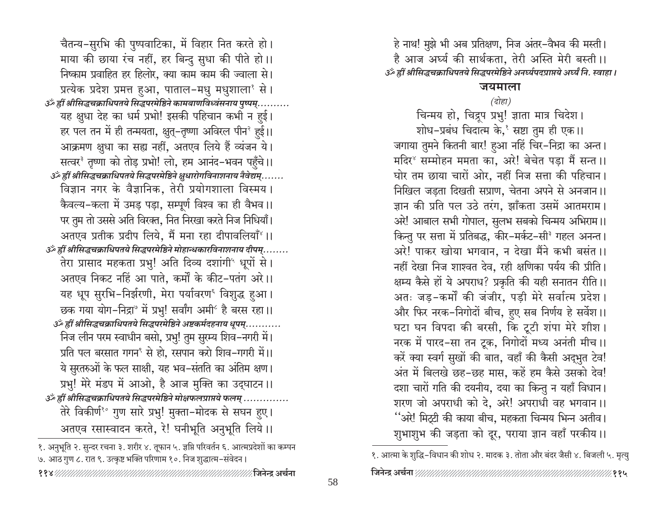चैतन्य-सुरभि की पुष्पवाटिका, में विहार नित करते हो। माया की छाया रंच नहीं, हर बिन्दु सुधा की पीते हो।। निष्काम प्रवाहित हर हिलोर, क्या काम काम की ज्वाला से। प्रत्येक प्रदेश प्रमत्त हुआ, पाताल-मधु मधुशाला $^{\circ}$  से। ैं हीं श्रीसिद्धचक्राधिपतये सिद्धपरमेष्ठिने कामबाणविध्वंसनाय पुष्पम्............................... यह क्षुधा देह का धर्म प्रभो! इसकी पहिचान कभी न हुई। हर पल तन में ही तन्मयता, क्षुत्–तृष्णा अविरल पीन<sup>२</sup> हुई।। आक्रमण क्षुधा का सह्य नहीं, अतएव लिये हैं व्यंजन ये। सत्वर<sup>3</sup> तृष्णा को तोड़ प्रभो! लो, हम आनंद-भवन पहँचे।। ैं हीं श्रीसिद्धचक्राधिपतये सिद्धपरमेष्ठिने क्षुधारोगविनाशनाय नैवेद्यम्....... विज्ञान नगर के वैज्ञानिक, तेरी प्रयोगशाला विस्मय। कैवल्य-कला में उमड़ पड़ा, सम्पूर्ण विश्व का ही वैभव॥ पर तुम तो उससे अति विरक्त, नित निरखा करते निज निधियाँ। अतएव प्रतीक प्रदीप लिये. मैं मना रहा दीपावलियाँ $^{\circ}$ ।। گُر ह्रीं श्रीसिद्धचक्राधिपतये सिद्धपरमेष्ठिने मोहान्धकारविनाशनाय दीपम्........ तेरा प्रासाद महकता प्रभु! अति दिव्य दशांगी" धूपों से। अतएव निकट नहिं आ पाते, कर्मों के कीट-पतंग अरे।। यह धूप सुरभि-निर्झरणी, मेरा पर्यावरण<sup>६</sup> विशुद्ध हुआ। छक गया योग-निद्रा° में प्रभु! सर्वांग अमी<sup>6</sup> है बरस रहा।। ैं हीं श्रीसिद्धचक्राधिपतये सिद्धपरमेष्ठिने अष्टकर्मदहनाय धूपम्........... निज लीन परम स्वाधीन बसो, प्रभु! तुम सुरम्य शिव-नगरी में। प्रति पल बरसात गगन<sup>९</sup> से हो, रसपान करो शिव–गगरी में।। ये सुरतरुओं के फल साक्षी, यह भव–संतति का अंतिम क्षण। प्रभु! मेरे मंडप में आओ, है आज मुक्ति का उद्घाटन।। ैं हीं श्रीसिद्धचक्राधिपतये सिद्धपरमेष्ठिने मोक्षफलप्राप्तये फलम् .............. तेरे विकीर्णं<sup>8</sup> गुण सारे प्रभु! मुक्ता-मोदक से सघन हुए। अतएव रसास्वादन करते, रे! घनीभूति अनुभूति लिये।।

१. अनुभूति २. सुन्दर रचना ३. शरीर ४. तूफान ५. ज्ञप्ति परिवर्तन ६. आत्मप्रदेशों का कम्पन ७. आठ गुण ८. रात ९. उत्कृष्ट भक्ति परिणाम १०. निज शुद्धात्म-संवेदन।

हे नाथ! मुझे भी अब प्रतिक्षण, निज अंतर-वैभव की मस्ती। है आज अर्घ्य की सार्थकता, तेरी अस्ति मेरी बस्ती।। उँ हीं श्रीसिद्धचक्राधिपतये सिद्धपरमेष्ठिने अनर्घ्यपदप्राप्तये अर्घ्यं नि. स्वाहा ।

### जयमाला

## (दोहा)

चिन्मय हो, चिद्रुप प्रभु! ज्ञाता मात्र चिदेश।

शोध-प्रबंध चिदात्म के, स्रष्टा तुम ही एक।। जगाया तुमने कितनी बार! हुआ नहिं चिर-निद्रा का अन्त। मदिर<sup>8</sup> सम्मोहन ममता का, अरे! बेचेत पड़ा मैं सन्त ।। घोर तम छाया चारों ओर, नहीं निज सत्ता की पहिचान। निखिल जड़ता दिखती सप्राण, चेतना अपने से अनजान।। ज्ञान की प्रति पल उठे तरंग. झाँकता उसमें आतमराम। अरे! आबाल सभी गोपाल, सुलभ सबको चिन्मय अभिराम।। किन्तु पर सत्ता में प्रतिबद्ध, कीर-मर्कट-सी<sup>श</sup> गहल अनन्त। अरे! पाकर खोया भगवान, न देखा मैंने कभी बसंत ।। नहीं देखा निज शाश्वत देव, रही क्षणिका पर्यय की प्रीति। क्षम्य कैसे हों ये अपराध? प्रकृति की यही सनातन रीति।। अतः जड़-कर्मों की जंजीर, पड़ी मेरे सर्वात्म प्रदेश। और फिर नरक-निगोदों बीच, हुए सब निर्णय हे सर्वेश।। घटा घन विपदा की बरसी, कि टूटी शंपा मेरे शीश। नरक में पारद-सा तन टूक, निगोदों मध्य अनंती मीच।। करें क्या स्वर्ग सुखों की बात, वहाँ की कैसी अद्भुत टेव! अंत में बिलखे छह-छह मास, कहें हम कैसे उसको देव! दशा चारों गति की दयनीय, दया का किन्तु न यहाँ विधान। शरण जो अपराधी को दे, अरे! अपराधी वह भगवान।। ''अरे! मिट्टी की काया बीच, महकता चिन्मय भिन्न अतीव। शुभाशुभ की जड़ता को दूर, पराया ज्ञान वहाँ परकीय।।

१. आत्मा के शुद्धि-विधान की शोध २. मादक ३. तोता और बंदर जैसी ४. बिजली ५. मृत्यु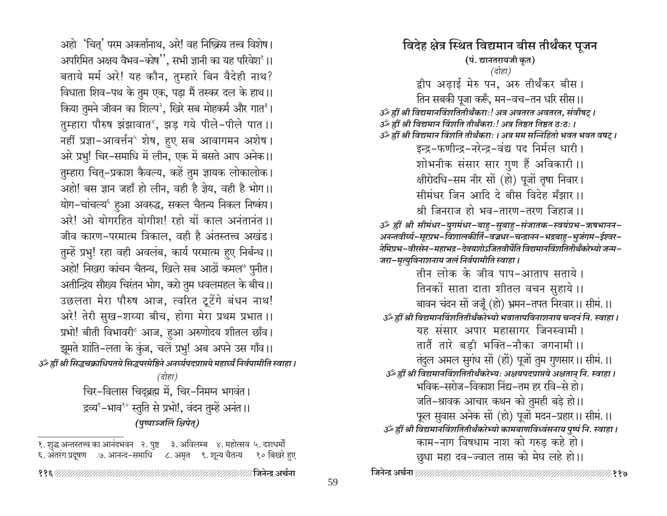अहो 'चितु' परम अकर्त्तानाथ, अरे! वह निष्क्रिय तत्त्व विशेष। अपरिमित अक्षय वैभव-कोष", सभी ज्ञानी का यह परिवेश'।। बताये मर्म अरे! यह कौन, तुम्हारे बिन वैदेही नाथ? विधाता शिव-पथ के तुम एक, पड़ा मैं तस्कर दल के हाथ।। किया तुमने जीवन का शिल्प<sup>2</sup>, खिरे सब मोहकर्म और गात<sup>3</sup>। तुम्हारा पौरुष झंझावात<sup>8</sup>, झड़ गये पीले-पीले पात ।। नहीं प्रज्ञा-आवर्त्तन<sup>५</sup> शेष, हुए सब आवागमन अशेष। अरे प्रभु! चिर-समाधि में लीन, एक में बसते आप अनेक।। तुम्हारा चित्-प्रकाश कैवल्य, कहें तुम ज्ञायक लोकालोक। अहो! बस ज्ञान जहाँ हो लीन, वही है ज्ञेय, वही है भोग।। योग-चांचल्य<sup>६</sup> हुआ अवरुद्ध, सकल चैतन्य निकल निष्कंप। अरे! ओ योगरहित योगीश! रहो यों काल अनंतानंत ।। जीव कारण-परमात्म त्रिकाल, वही है अंतस्तत्त्व अखंड। तुम्हें प्रभु! रहा वही अवलंब, कार्य परमात्म हुए निर्बन्ध।। अहो! निखरा कांचन चैतन्य, खिले सब आठों कमल® पुनीत। अतीन्द्रिय सौख्य चिरंतन भोग, करो तुम धवलमहल के बीच।। उछलता मेरा पौरुष आज, त्वरित टूटेंगे बंधन नाथ! अरे! तेरी सुख-शय्या बीच, होगा मेरा प्रथम प्रभात ।। प्रभो! बीती विभावरी<sup>2</sup> आज, हुआ अरुणोदय शीतल छाँव। झूमते शांति-लता के कुंज, चलें प्रभु! अब अपने उस गाँव।। उँ ह्रीं श्री सिद्धचक्राधिपतये सिद्धपरमेष्ठिने अनर्घ्यपदप्राप्तये महार्घ्यं निर्वपामीति स्वाहा ।  $\overline{G}$ होहा)

चिर-विलास चिदुब्रह्म में, चिर-निमम्न भगवंत। द्रव्य°-भाव<sup>१</sup>° स्तुति से प्रभो!, वंदन तुम्हें अनंत ।। (पष्पाञ्जलिं क्षिपेत)

१. शुद्ध अन्तस्तत्त्व का आनंदभवन २. पुष्ट ३. अविलम्ब ४. महोत्सव ५. दशधर्मों ६. अंतरंग प्रदूषण ७. आनन्द-समाधि ८. अमृत ९. शून्य चैतन्य १० बिखरे हुए

विदेह क्षेत्र स्थित विद्यमान बीस तीर्थंकर पुजन (पं. द्यानतरायजी कृत) (दोहा) द्वीप अढ़ाई मेरु पन, अरु तीर्थंकर बीस। तिन सबकी पूजा करूँ, मन–वच–तन धरि सीस।। उँ ह्रीं श्री विद्यमानविंशतितीर्थंकराः! अत्र अवतरत अवतरत, संवौषट्। हीं श्री विद्यमान विंशति तीर्थंकरा:! अत्र तिष्ठत तिष्ठत ठ:ठ:। ﴿ आँ ह्रीं श्री विद्यमान विंशति तीर्थंकराः । अत्र मम सन्निहितो भवत भवत वषट् । इन्द्र-फणीन्द्र-नरेन्द्र-वंद्य पद निर्मल धारी। शोभनीक संसार सार गुण हैं अविकारी ।। क्षीरोदधि-सम नीर सों (हो) पूजों तृषा निवार। सीमंधर जिन आदि दे बीस विदेह मँझार ।। श्री जिनराज हो भव-तारण-तरण जिहाज ।। ॐ ह्रीं श्री सीमंधर-युगमंधर-बाह-सुबाह-संजातक-स्वयंप्रभ-ऋषभानन-अनन्तवीर्य्य-सूरप्रभ-विशालकीर्ति-वज्रधर-चन्द्रानन-भद्रबाहु-भुजंगम-ईश्वर-नेमिप्रभ-वीरसेन-महाभद्र-देवयशोऽजितवीर्येति विद्यमानविंशतितीर्थंकरेभ्यो जन्म-जरा-मृत्युविनाशनाय जलं निर्वपामीति स्वाहा। तीन लोक के जीव पाप-आताप सताये। तिनकों साता दाता शीतल वचन सुहाये।। बावन चंदन सों जजूँ (हो) भ्रमन-तपत निरवार।। सीमं.।। उॅं ह्रीं श्री विद्यमानविंशतितीर्थंकरेभ्यो भवातापविनाशनाय चन्दनं नि. स्वाहा । यह संसार अपार महासागर जिनस्वामी। तातैं तारे बड़ी भक्ति-नौका जगनामी ।। तंदुल अमल सुगंध सों (हों) पूजों तुम गुणसार।। सीमं.।। उँ हीं श्री विद्यमानविंशतितीर्थंकरेभ्यः अक्षयपदप्राप्तये अक्षतान् नि. स्वाहा । भविक–सरोज–विकाश निंद्य–तम हर रवि–से हो। जति-श्रावक आचार कथन को तुमही बड़े हो।। फूल सुवास अनेक सों (हो) पूजों मदन–प्रहार।। सीमं.।। उँ ह्रीं श्री विद्यमानविंशतितीर्थंकरेभ्यो कामबाणविध्वंसनाय पुष्पं नि. स्वाहा। काम-नाग विषधाम नाश को गरुड कहे हो। छुधा महा दव–ज्वाल तास को मेघ लहे हो।।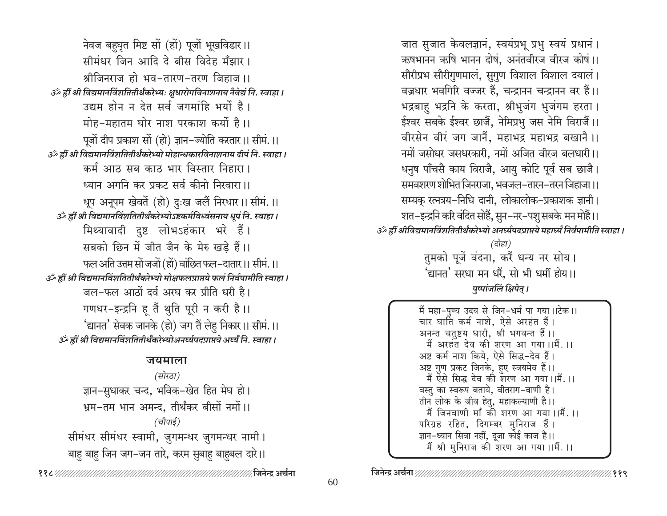नेवज बहुघृत मिष्ट सों (हों) पूजों भूखविडार।। सीमंधर जिन आदि दे बीस विदेह मँझार। श्रीजिनराज हो भव-तारण-तरण जिहाज ।। उँ ह्रीं श्री विद्यमानविंशतितीर्थंकरेभ्यः क्षुधारोगविनाशनाय नैवेद्यं नि. स्वाहा। उद्यम होन न देत सर्व जगमांहि भर्यो है। मोह-महातम घोर नाश परकाश कर्यो है।। पूजों दीप प्रकाश सों (हो) ज्ञान–ज्योति करतार।। सीमं.।। उँ ह्रीं श्री विद्यमानविंशतितीर्थंकरेभ्यो मोहान्धकारविनाशनाय दीपं नि. स्वाहा। कर्म आठ सब काठ भार विस्तार निहारा। ध्यान अगनि कर प्रकट सर्व कीनो निरवारा।। धूप अनूपम खेवतें (हो) दुःख जलैं निरधार।। सीमं.।। उँ ह्रीं श्री विद्यमानविंशतितीर्थंकरेभ्योऽष्टकर्मविध्वंसनाय धूपं नि. स्वाहा । मिथ्यावादी दुष्ट लोभऽहंकार भरे हैं। सबको छिन में जीत जैन के मेरु खड़े हैं।। फल अति उत्तम सों जजों (हों) वांछित फल-दातार।। सीमं.।। उँ ह्रीं श्री विद्यमानविंशतितीर्थंकरेभ्यो मोक्षफलप्राप्तये फलं निर्वपामीति स्वाहा । जल-फल आठों दर्व अरघ कर प्रीति धरी है। गणधर-इन्द्रनि हू तैं थुति पूरी न करी है।। 'द्यानत' सेवक जानके (हो) जग तैं लेहु निकार।। सीमं.।। उर्व्हीं श्री विद्यमानविंशतितीर्थंकरेभ्योअनर्घ्यपदप्राप्तये अर्घ्यं नि. स्वाहा ।

#### जयमाला

(सोरठा) ज्ञान-सुधाकर चन्द, भविक–खेत हित मेघ हो। भ्रम-तम भान अमन्द, तीर्थंकर बीसों नमों।। (चौपाई) सीमंधर सीमंधर स्वामी, जुगमन्धर जुगमन्धर नामी। बाह बाह जिन जग-जन तारे, करम सुबाह बाहबल दारे।।

जात सुजात केवलज्ञानं, स्वयंप्रभू प्रभु स्वयं प्रधानं। ऋषभानन ऋषि भानन दोषं. अनंतवीरज वीरज कोषं ।। सौरीप्रभ सौरीगुणमालं, सुगुण विशाल विशाल दयालं। वज्रधार भवगिरि वज्जर हैं, चन्द्रानन चन्द्रानन वर हैं।। भद्रबाहु भद्रनि के करता, श्रीभुजंग भुजंगम हरता। ईश्वर सबके ईश्वर छाजैं, नेमिप्रभु जस नेमि विराजैं।। वीरसेन वीरं जग जानैं, महाभद्र महाभद्र बखानै।। नमों जसोधर जसधरकारी, नमों अजित वीरज बलधारी।। धनुष पाँचसै काय विराजै, आयु कोटि पूर्व सब छाजै। समवशरण शोभित जिनराजा, भवजल–तारन–तरन जिहाजा।। सम्यक् रत्नत्रय-निधि दानी, लोकालोक-प्रकाशक ज्ञानी। शत–इन्द्रनि करि वंदित सोहैं, सुन–नर–पशु सबके मन मोहैं।। उँ ह्रीं श्रीविद्यमानविंशतितीर्थंकरेभ्यो अनर्घ्यपदप्राप्तये महार्घ्यं निर्वपामीति स्वाहा । (दोहा) तुमको पूजें वंदना, करैं धन्य नर सोय। 'द्यानत' सरधा मन धरैं, सो भी धर्मी होय।।

पुष्पांजलिं क्षिपेत् ।

मैं महा-पुण्य उदय से जिन-धर्म पा गया।।टेक।। चार घाति कर्म नाशे, ऐसे अरहंत हैं। अनन्त चतुष्टय धारी, श्री भगवन्त हैं।। मैं अरहत देव की शरण आ गया।।मैं.।। अष्ट कर्म नाश किये, ऐसे सिद्ध-देव हैं। अष्ट गुण प्रकट जिनके, हुए स्वयमेव हैं।। मैं ऐसे सिद्ध देव की शरण आ गया।।मैं.।। वस्तु का स्वरूप बताये, वीतराग-वाणी है। तीन लोक के जीव हेतु, महाकल्याणी है।। मैं जिनवाणी माँ की शरण आ गया।।मैं.।। परिग्रह रहित, दिगम्बर मुनिराज हैं। ज्ञान-ध्यान सिवा नहीं, दूजा कोई काज है।। मैं श्री मुनिराज की शरण आ गया।।मैं.।।

⁄∕.११९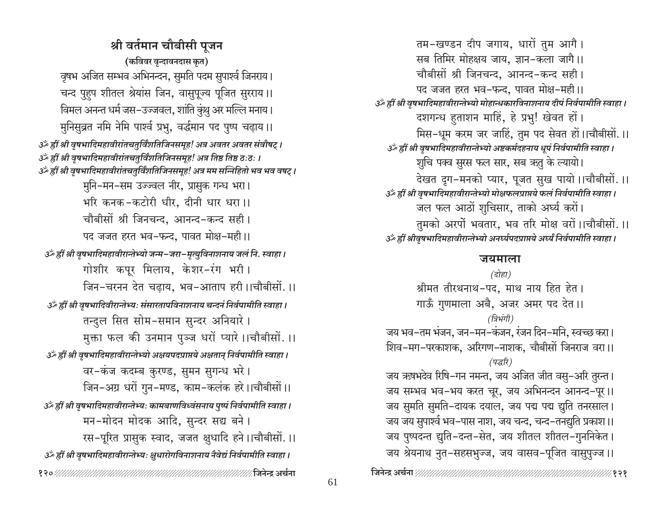श्री वर्तमान चौबीसी पुजन (कविवर वृन्दावनदास कृत) वृषभ अजित सम्भव अभिनन्दन, सुमति पदम सुपार्श्व जिनराय। चन्द पुहुप शीतल श्रेयांस जिन, वासुपूज्य पूजित सुरराय।। विमल अनन्त धर्म जस-उज्जवल, शांति कुंशु अर मल्लि मनाय। मुनिसुव्रत नमि नेमि पार्श्व प्रभु, वर्द्धमान पद पुष्प चढ़ाय।। उँ ह्रीं श्री वृषभादिमहावीरांतचतुर्विंशतिजिनसमूह! अत्र अवतर अवतर संवौषट् । आहीं श्री वृषभादिमहावीरांतचतुर्विंशतिजिनसमूह! अत्र तिष्ठ तिष्ठ ठःठः । उँ ह्रीं श्री वृषभादिमहावीरांतचतुर्विंशतिजिनसमूह! अत्र मम सन्निहितो भव भव वषट् । मुनि-मन-सम उज्ज्वल नीर, प्रासुक गन्ध भरा। भरि कनक-कटोरी धीर, दीनी धार धरा।। चौबीसों श्री जिनचन्द, आनन्द-कन्द सही। पद जजत हरत भव-फन्द, पावत मोक्ष-मही।। उँ ह्रीं श्री वृषभादिमहावीरान्तेभ्यो जन्म-जरा-मृत्युविनाशनाय जलं नि. स्वाहा । गोशीर कपूर मिलाय, केशर-रंग भरी। जिन-चरनन देत चढाय, भव-आताप हरी।।चौबीसों.।। उँ ह्रीं श्री वृषभादिवीरान्तेभ्यः संसारतापविनाशनाय चन्दनं निर्वपामीति स्वाहा। तन्दुल सित सोम-समान सुन्दर अनियारे। मुक्ता फल की उनमान पुञ्ज धरों प्यारे ।।चौबीसों. ।। उँ ह्रीं श्री वृषभादिमहावीरान्तेभ्यो अक्षयपदप्राप्तये अक्षतान् निर्वपामीति स्वाहा । वर-कंज कदम्ब कुरण्ड, सुमन सुगन्ध भरे। जिन-अग्र धरों गुन-मण्ड, काम-कलंक हरे।।चौबीसों।। उँ ह्रीं श्री वृषभादिमहावीरान्तेभ्यः कामबाणविध्वंसनाय पुष्पं निर्वपामीति स्वाहा । मन-मोदन मोदक आदि, सुन्दर सद्य बने। रस-पूरित प्रासुक स्वाद, जजत क्षुधादि हने।।चौबीसों.।। उँ ह्रीं श्री वृषभादिमहावीरान्तेभ्यः क्षुधारोगविनाशनाय नैवेद्यं निर्वपामीति स्वाहा । 

तम-खण्डन दीप जगाय, धारों तुम आगै। सब तिमिर मोहक्षय जाय, ज्ञान-कला जागै।। चौबीसों श्री जिनचन्द, आनन्द-कन्द सही। पद जजत हरत भव-फन्द. पावत मोक्ष-मही।। उॅं ह्रीं श्री वृषभादिमहावीरान्तेभ्यो मोहान्धकारविनाशनाय दीपं निर्वपामीति स्वाहा। दशगन्ध हुताशन माहिं, हे प्रभु! खेवत हों। मिस–धूम करम जर जाहिं, तुम पद सेवत हों।।चौबीसों.।। उँ ह्रीं श्री वृषभादिमहावीरान्तेभ्यो अष्टकर्मदहनाय धूपं निर्वपामीति स्वाहा। शुचि पक्व सुरस फल सार, सब ऋतु के ल्यायो। देखत द्रग-मनको प्यार, पूजत सुख पायो।।चौबीसों.।। ر الله हीं श्री वृषभादिमहावीरान्तेभ्यो मोक्षफलप्राप्तये फलं निर्वपामीति स्वाहा । जल फल आठों शुचिसार, ताको अर्घ्य करों। तुमको अरपों भवतार, भव तरि मोक्ष वरों।।चौबीसों.।। उॅं ह्रीं श्रीवृषभादिमहावीरान्तेभ्यो अनर्घ्यपदप्राप्तये अर्घ्यं निर्वपामीति स्वाहा ।

#### जयमाला

(दोहा) श्रीमत तीरथनाथ-पद, माथ नाय हित हेत। गाऊँ गुणमाला अबै, अजर अमर पद देत ।। (त्रिभंगी) जय भव–तम भंजन, जन–मन–कंजन, रंजन दिन–मनि, स्वच्छ करा। शिव-मग-परकाशक, अरिगण-नाशक, चौबीसों जिनराज वरा।। (पद्धरि) जय ऋषभदेव रिषि–गन नमन्त, जय अजित जीत वसु–अरि तुरन्त। जय सम्भव भव-भय करत चूर, जय अभिनन्दन आनन्द-पूर।। जय सुमति सुमति-दायक दयाल, जय पद्म पद्म द्युति तनरसाल। जय जय सुपार्श्व भव–पास नाश, जय चन्द, चन्द–तनद्युति प्रकाश।। जय पुष्पदन्त द्युति–दन्त–सेत, जय शीतल शीतल–गुननिकेत। जय श्रेयनाथ नुत-सहसभुज्ज, जय वासव-पूजित वासुपुज्ज ।।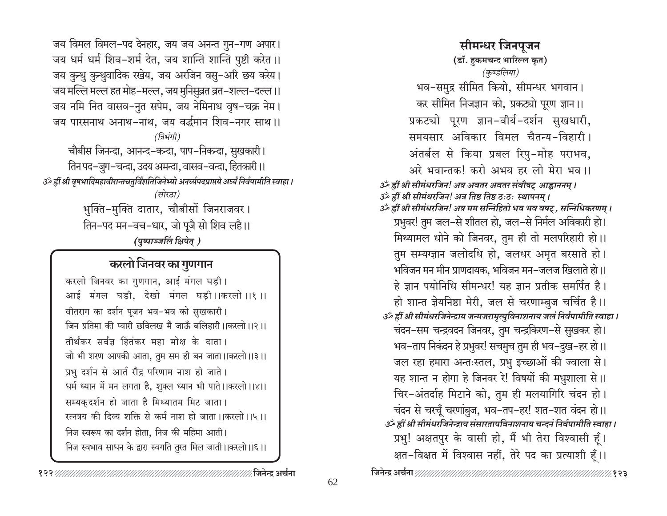जय विमल विमल-पद देनहार, जय जय अनन्त गुन-गण अपार। जय धर्म धर्म शिव-शर्म देत, जय शान्ति शान्ति पुष्टी करेत।। जय कुन्थु कुन्थुवादिक रखेय, जय अरजिन वसु-अरि छय करेय। जय मल्लि मल्ल हत मोह-मल्ल, जय मुनिसुव्रत व्रत-शल्ल-दल्ल।। जय नमि नित वासव-नुत सपेम, जय नेमिनाथ वृष-चक्र नेम। जय पारसनाथ अनाथ-नाथ, जय वर्द्धमान शिव-नगर साथ।। (त्रिभंगी) चौबीस जिनन्दा, आनन्द-कन्दा, पाप-निकन्दा, सुखकारी। तिन पद–जुग–चन्दा, उदय अमन्दा, वासव–वन्दा, हितकारी।। ةَ ﴿ अति अर्थादिमहावीरान्तचतुर्विंशतिजिनेभ्यो अनर्घ्यपदप्राप्तये अर्घ्यं निर्वपामीति स्वाहा । (सोरठा) भुक्ति-मुक्ति दातार, चौबीसों जिनराजवर। तिन–पद मन–वच–धार, जो पूजै सो शिव लहै।। (पुष्पाञ्जलिं क्षिपेत्)

## करलो जिनवर का गुणगान

करलो जिनवर का गुणगान, आई मंगल घड़ी। आई मंगल घडी, देखो मंगल घडी।।करलो।।१।। वीतराग का दर्शन पूजन भव-भव को सुखकारी। जिन प्रतिमा की प्यारी छविलख मैं जाऊँ बलिहारी ।।करलो।।२।। तीर्थंकर सर्वज्ञ हितंकर महा मोक्ष के दाता। जो भी शरण आपकी आता, तुम सम ही बन जाता।।करलो।।३।। प्रभु दर्शन से आर्त रौद्र परिणाम नाश हो जाते। धर्म ध्यान में मन लगता है, शुक्ल ध्यान भी पाते।।करलो।।४।। सम्यकदर्शन हो जाता है मिथ्यातम मिट जाता। रत्नत्रय की दिव्य शक्ति से कर्म नाश हो जाता ।।करलो ।।५ ।। निज स्वरूप का दर्शन होता, निज की महिमा आती। निज स्वभाव साधन के द्वारा स्वगति तुरत मिल जाती।।करलो।।६।।

सीमन्धर जिनपुजन (डॉ. हकमचन्द भारिल्ल कृत) (कुण्डलिया) भव-समुद्र सीमित कियो, सीमन्धर भगवान। कर सीमित निजज्ञान को, प्रकट्यो पूरण ज्ञान।। प्रकट्यो पूरण ज्ञान-वीर्य-दर्शन सुखधारी, समयसार अविकार विमल चैतन्य-विहारी। अंतर्बल से किया प्रबल रिपु-मोह पराभव, अरे भवान्तक! करो अभय हर लो मेरा भव ।। उँ ह्रीं श्री सीमंधरजिन! अत्र अवतर अवतर संवौषट् आह्वाननम् । ॐ ह्रीं श्री सीमंधरजिन! अत्र तिष्ठ तिष्ठ ठःठः स्थापनम् । उँ ह्रीं श्री सीमंधरजिन! अत्र मम सन्निहितो भव भव वषट् , सन्निधिकरणम् । प्रभुवर! तुम जल–से शीतल हो, जल–से निर्मल अविकारी हो। मिथ्यामल धोने को जिनवर, तुम ही तो मलपरिहारी हो।। तुम सम्यग्ज्ञान जलोदधि हो, जलधर अमृत बरसाते हो। भविजन मन मीन प्राणदायक, भविजन मन–जलज खिलाते हो।। हे ज्ञान पयोनिधि सीमन्धर! यह ज्ञान प्रतीक समर्पित है। हो शान्त ज्ञेयनिष्ठा मेरी, जल से चरणाम्बुज चर्चित है।। उँ ह्रीं श्री सीमंधरजिनेन्द्राय जन्मजरामृत्युविनाशनाय जलं निर्वपामीति स्वाहा। चंदन-सम चन्द्रवदन जिनवर, तुम चन्द्रकिरण-से सुखकर हो। भव–ताप निकंदन हे प्रभुवर! सचमुच तुम ही भव–दुख–हर हो।। जल रहा हमारा अन्तःस्तल, प्रभु इच्छाओं की ज्वाला से। यह शान्त न होगा हे जिनवर रे! विषयों की मधुशाला से।। चिर-अंतर्दाह मिटाने को, तुम ही मलयागिरि चंदन हो। चंदन से चरचूँ चरणांबुज, भव-तप-हर! शत-शत वंदन हो।। उॐ ह्रीं श्री सीमधरजिनेन्द्राय संसारतापविनाशनाय चन्दनं निर्वपामीति स्वाहा । प्रभु! अक्षतपुर के वासी हो, मैं भी तेरा विश्वासी हूँ। क्षत-विक्षत में विश्वास नहीं, तेरे पद का प्रत्याशी हूँ।।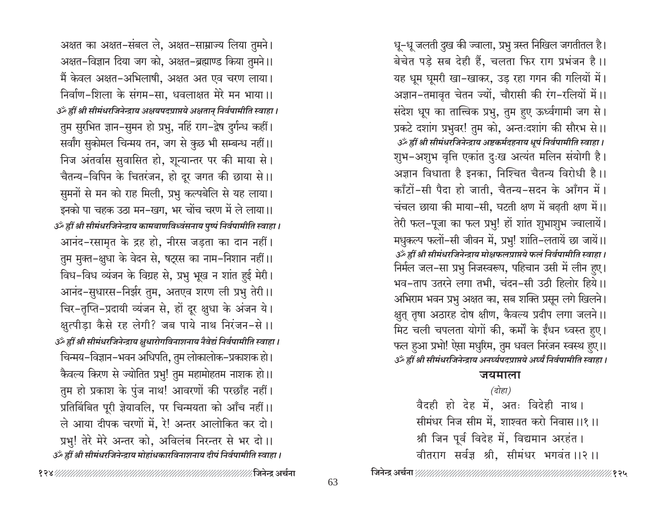धू-धू जलती दुख की ज्वाला, प्रभु त्रस्त निखिल जगतीतल है। बेचेत पड़े सब देही हैं, चलता फिर राग प्रभंजन है।। यह धूम घूमरी खा-खाकर, उड़ रहा गगन की गलियों में। अज्ञान-तमावृत चेतन ज्यों, चौरासी की रंग-रलियों में।। संदेश धूप का तात्विक प्रभु, तुम हुए ऊर्ध्वगामी जग से। प्रकटे दशांग प्रभुवर! तुम को, अन्तःदशांग की सौरभ से।। उँ ह्रीं श्री सीमंधरजिनेन्द्राय अष्टकर्मदहनाय धूपं निर्वपामीति स्वाहा। शुभ-अशुभ वृत्ति एकांत दुःख अत्यंत मलिन संयोगी है। अज्ञान विधाता है इनका, निश्चित चैतन्य विरोधी है।। काँटों-सी पैदा हो जाती, चैतन्य-सदन के आँगन में। चंचल छाया की माया-सी, घटती क्षण में बढ़ती क्षण में।। तेरी फल-पूजा का फल प्रभु! हों शांत शुभाशुभ ज्वालायें। मधुकल्प फलों-सी जीवन में, प्रभु! शांति-लतायें छा जायें।। उँ ह्रीं श्री सीमंधरजिनेन्द्राय मोक्षफलप्राप्तये फलं निर्वपामीति स्वाहा। निर्मल जल-सा प्रभु निजस्वरूप, पहिचान उसी में लीन हुए। भव-ताप उतरने लगा तभी, चंदन-सी उठी हिलोर हिये।। अभिराम भवन प्रभु अक्षत का, सब शक्ति प्रसून लगे खिलने। क्षुत् तृषा अठारह दोष क्षीण, कैवल्य प्रदीप लगा जलने।। मिट चली चपलता योगों की, कर्मों के ईंधन ध्वस्त हुए। फल हुआ प्रभो! ऐसा मधुरिम, तुम धवल निरंजन स्वस्थ हुए।। उँ हीं श्री सीमंधरजिनेन्द्राय अनर्घ्यपदप्राप्तये अर्घ्यं निर्वपामीति स्वाहा।

#### जयमाला

#### $\overline{G}$ होहा)

वैदही हो देह में, अतः विदेही नाथ। सीमंधर निज सीम में, शाश्वत करो निवास ।।१ ।। श्री जिन पूर्व विदेह में, विद्यमान अरहंत। वीतराग सर्वज्ञ श्री, सीमंधर भगवंत ।।२।।

अक्षत का अक्षत-संबल ले, अक्षत-साम्राज्य लिया तुमने। अक्षत-विज्ञान दिया जग को, अक्षत-ब्रह्माण्ड किया तुमने।। मैं केवल अक्षत-अभिलाषी, अक्षत अत एव चरण लाया। निर्वाण-शिला के संगम-सा, धवलाक्षत मेरे मन भाया।। उँ ह्रीं श्री सीमंधरजिनेन्द्राय अक्षयपदप्राप्तये अक्षतान् निर्वपामीति स्वाहा । तुम सुरभित ज्ञान-सुमन हो प्रभु, नहिं राग-द्वेष दुर्गन्ध कहीं। सर्वांग सुकोमल चिन्मय तन, जग से कुछ भी सम्बन्ध नहीं।। निज अंतर्वास सुवासित हो, शून्यान्तर पर की माया से। चैतन्य-विपिन के चितरंजन, हो दूर जगत की छाया से।। सुमनों से मन को राह मिली, प्रभु कल्पबेलि से यह लाया। इनको पा चहक उठा मन–खग, भर चोंच चरण में ले लाया।। उँ ह्रीं श्री सीमंधरजिनेन्द्राय कामबाणविध्वंसनाय पुष्पं निर्वपामीति स्वाहा। आनंद-रसामृत के द्रह हो, नीरस जड़ता का दान नहीं। तुम मुक्त-क्षुधा के वेदन से, षट्रस का नाम-निशान नहीं।। विध-विध व्यंजन के विग्रह से, प्रभु भूख न शांत हुई मेरी। आनंद-सुधारस-निर्झर तुम, अतएव शरण ली प्रभु तेरी ।। चिर-तृप्ति-प्रदायी व्यंजन से, हों दूर क्षुधा के अंजन ये। क्षुत्पीड़ा कैसे रह लेगी? जब पाये नाथ निरंजन-से ।। उँ ह्रीं श्री सीमंधरजिनेन्द्राय क्षुधारोगविनाशनाय नैवेद्यं निर्वपामीति स्वाहा। चिन्मय-विज्ञान-भवन अधिपति, तुम लोकालोक-प्रकाशक हो। कैवल्य किरण से ज्योतित प्रभु! तुम महामोहतम नाशक हो।। तुम हो प्रकाश के पुंज नाथ! आवरणों की परछाँह नहीं। प्रतिबिंबित पूरी ज्ञेयावलि, पर चिन्मयता को आँच नहीं।। ले आया दीपक चरणों में. रे! अन्तर आलोकित कर दो। प्रभु! तेरे मेरे अन्तर को, अविलंब निरन्तर से भर दो।। उँ ह्रीं श्री सीमंधरजिनेन्द्राय मोहांधकारविनाशनाय दीपं निर्वपामीति स्वाहा।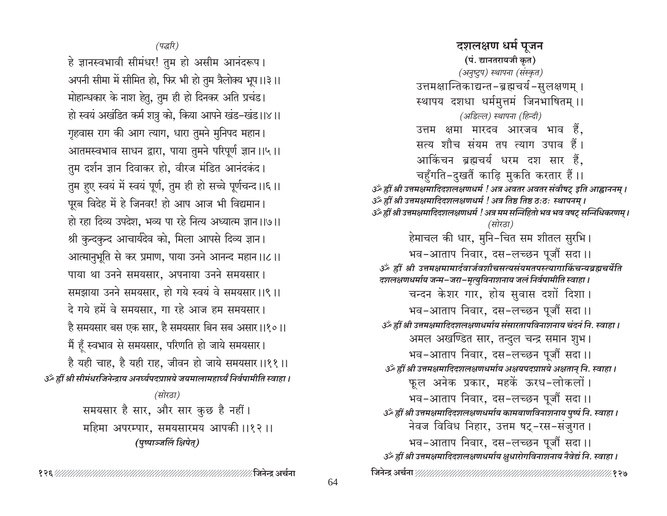दशलक्षण धर्म पुजन (पं. द्यानतरायजी कृत) (अनुष्टुप) स्थापना (संस्कृत) उत्तमक्षान्तिकाद्यन्त-ब्रह्मचर्य-सुलक्षणम् । स्थापय दशधा धर्ममुत्तमं जिनभाषितम् ।। (अडिल्ल) स्थापना (हिन्दी) उत्तम क्षमा मारदव आरजव भाव हैं. सत्य शौच संयम तप त्याग उपाव हैं। आकिंचन ब्रह्मचर्य धरम दश सार हैं, चहुँगति-दुखतैं काढ़ि मुकति करतार हैं ।। उँ ह्रीं श्री उत्तमक्षमादिदशलक्षणधर्म ! अत्र अवतर अवतर संवौषट् इति आह्वाननम् । 3ँ ह्रीं श्री उत्तमक्षमादिदशलक्षणधर्म ! अत्र तिष्ठ तिष्ठ ठःठः स्थापनम् । उँ ह्रीं श्री उत्तमक्षमादिदशलक्षणधर्म ! अत्र मम सन्निहितो भव भव वषट् सन्निधिकरणम् । (सोरठा) हेमाचल की धार, मुनि-चित सम शीतल सुरभि। भव-आताप निवार, दस-लच्छन पूजौं सदा।। ॐ ह्रीं श्री उत्तमक्षमामार्दवार्जवशौचसत्यसंयमतपस्त्यागाकिंचन्यब्रह्मचर्येति दशलक्षणधर्माय जन्म-जरा-मृत्युविनाशनाय जलं निर्वपामीति स्वाहा । चन्दन केशर गार, होय सुवास दशों दिशा। भव-आताप निवार, दस-लच्छन पूजौं सदा।। उँ ह्रीं श्री उत्तमक्षमादिदशलक्षणधर्माय संसारतापविनाशनाय चंदनं नि. स्वाहा । अमल अर्खण्डित सार, तन्दुल चन्द्र समान शुभ। भव-आताप निवार, दस-लच्छन पूजौं सदा।। उँ ह्रीं श्री उत्तमक्षमादिदशलक्षणधर्माय अक्षयपदप्राप्तये अक्षतान् नि. स्वाहा । फूल अनेक प्रकार, महकें ऊरध-लोकलों। भव-आताप निवार, दस-लच्छन पूजौं सदा।। उँ ह्रीं श्री उत्तमक्षमादिदशलक्षणधर्माय कामबाणविनाशनाय पुष्पं नि. स्वाहा । नेवज विविध निहार, उत्तम षट्-रस-संजुगत । भव-आताप निवार, दस-लच्छन पूजौं सदा।। उर्व्हीं श्री उत्तमक्षमादिदशलक्षणधर्माय क्षुधारोगविनाशनाय नैवेद्यं नि. स्वाहा। 

 $($ पद्धरि)

हे ज्ञानस्वभावी सीमंधर! तुम हो असीम आनंदरूप। अपनी सीमा में सीमित हो, फिर भी हो तुम त्रैलोक्य भूप ।।३ ।। मोहान्धकार के नाश हेतु, तुम ही हो दिनकर अति प्रचंड। हो स्वयं अखंडित कर्म शत्रु को, किया आपने खंड-खंड।।४।। गृहवास राग की आग त्याग, धारा तुमने मुनिपद महान। आतमस्वभाव साधन द्वारा, पाया तुमने परिपूर्ण ज्ञान ।।५ ।। तुम दर्शन ज्ञान दिवाकर हो, वीरज मंडित आनंदकंद। तुम हुए स्वयं में स्वयं पूर्ण, तुम ही हो सच्चे पूर्णचन्द ।।६ ।। पूरब विदेह में हे जिनवर! हो आप आज भी विद्यमान। हो रहा दिव्य उपदेश, भव्य पा रहे नित्य अध्यात्म ज्ञान ।।७।। श्री कुन्दकुन्द आचार्यदेव को, मिला आपसे दिव्य ज्ञान। आत्मानुभूति से कर प्रमाण, पाया उनने आनन्द महान ।।८।। पाया था उनने समयसार, अपनाया उनने समयसार। समझाया उनने समयसार, हो गये स्वयं वे समयसार ।।९।। दे गये हमें वे समयसार. गा रहे आज हम समयसार। है समयसार बस एक सार, है समयसार बिन सब असार।।१०।। मैं हूँ स्वभाव से समयसार, परिणति हो जाये समयसार। है यही चाह, है यही राह, जीवन हो जाये समयसार।।११॥ उँ ह्रीं श्री सीमंधरजिनेन्द्राय अनर्घ्यपदप्राप्तये जयमालामहार्घ्यं निर्वपामीति स्वाहा । (सोरठा) समयसार है सार, और सार कुछ है नहीं। महिमा अपरम्पार, समयसारमय आपकी ।।१२।।

(पुष्पाञ्जलिं क्षिपेत्)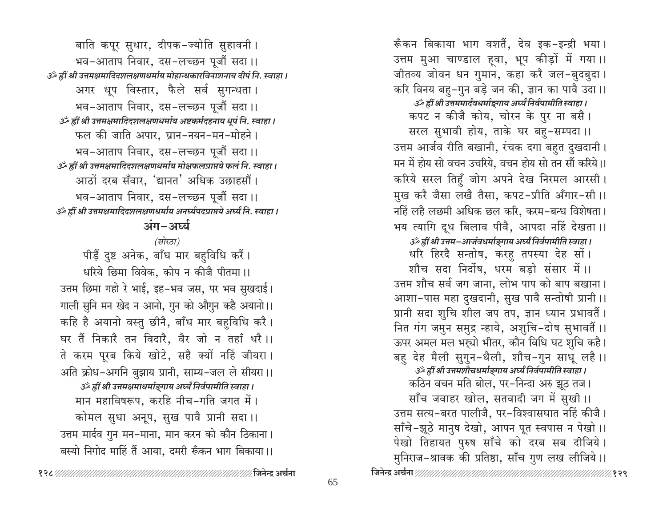रूँकन बिकाया भाग वशतैं, देव इक−इन्द्री भया । उत्तम मुआ चाण्डाल हवा, भूप कीड़ों में गया।। जीतव्य जोवन धन गुमान, कहा करै जल-बुदबुदा । करि विनय बहु-गुन बड़े जन की, ज्ञान का पावै उदा ।। उर्व्हीं श्री उत्तममार्दवधर्माङ्गाय अर्घ्यं निर्वपामीति स्वाहा। कपट न कीजै कोय, चोरन के पुर ना बसै। सरल सुभावी होय, ताके घर बहु-सम्पदा।। उत्तम आर्जव रीति बखानी, रंचक दगा बहुत दुखदानी। मन में होय सो वचन उचरिये. वचन होय सो तन सौं करिये।। करिये सरल तिहुँ जोग अपने देख निरमल आरसी। मुख करै जैसा लखै तैसा, कपट-प्रीति अँगार-सी ।। नहिं लहै लछमी अधिक छल करि, करम-बन्ध विशेषता। भय त्यागि दूध बिलाव पीवै, आपदा नहिं देखता।। उँ ह्रीं श्री उत्तम-आर्जवधर्माङ्गाय अर्घ्यं निर्वपामीति स्वाहा। धरि हिरदै सन्तोष, करहु तपस्या देह सों। शौच सदा निर्दोष. धरम बडो संसार में ।। उत्तम शौच सर्व जग जाना, लोभ पाप को बाप बखाना। आशा-पास महा दुखदानी, सुख पावै सन्तोषी प्रानी।। प्रानी सदा शुचि शील जप तप, ज्ञान ध्यान प्रभावतैं। नित गंग जमुन समुद्र न्हाये, अशुचि-दोष सुभावतैं ।। ऊपर अमल मल भर्च्या भीतर, कौन विधि घट शुचि कहै। बहु देह मैली सुगुन-थैली, शौच-गुन साधू लहै ।। उँ ह्रीं श्री उत्तमशौचधर्माङ्गाय अर्घ्यं निर्वपामीति स्वाहा । कठिन वचन मति बोल, पर-निन्दा अरु झूठ तज। साँच जवाहर खोल, सतवादी जग में सुखी।। उत्तम सत्य-बरत पालीजै, पर-विश्वासघात नहिं कीजै। साँचे-झूठे मानुष देखो, आपन पूत स्वपास न पेखो ।। पेखो तिहायत पुरुष साँचे को दरब सब दीजिये। मुनिराज-श्रावक की प्रतिष्ठा, साँच गुण लख लीजिये।।

बाति कपूर सुधार, दीपक−ज्योति सुहावनी । भव-आताप निवार, दस-लच्छन पूजौं सदा।। उँ ह्रीं श्री उत्तमक्षमादिदशलक्षणधर्माय मोहान्धकारविनाशनाय दीपं नि. स्वाहा। अगर धूप विस्तार, फैले सर्व सुगन्धता। भव-आताप निवार, दस-लच्छन पूजौं सदा।। उर्व्हीं श्री उत्तमक्षमादिदशलक्षणधर्माय अष्टकर्मदहनाय धूपं नि. स्वाहा । फल की जाति अपार, घ्रान-नयन-मन-मोहने। भव-आताप निवार, दस-लच्छन पूजौं सदा।। उर्व्हीं श्री उत्तमक्षमादिदशलक्षणधर्माय मोक्षफलप्राप्तये फलं नि. स्वाहा । आठों दरब सँवार, 'द्यानत' अधिक उछाहसौं। भव-आताप निवार, दस-लच्छन पूजौं सदा।। उँ ह्रीं श्री उत्तमक्षमादिदशलक्षणधर्माय अनर्घ्यपदप्राप्तये अर्घ्यं नि. स्वाहा । अंग-अर्घ्य

#### (सोरठा)

पीड़ें दुष्ट अनेक, बाँध मार बहुविधि करैं। धरिये छिमा विवेक. कोप न कीजै पीतमा ।। उत्तम छिमा गहो रे भाई, इह-भव जस, पर भव सुखदाई। गाली सुनि मन खेद न आनो, गुन को औगुन कहै अयानो।। कहि है अयानो वस्तु छीनै, बाँध मार बहविधि करै। घर तैं निकारै तन विदारै, वैर जो न तहाँ धरै।। ते करम पूरब किये खोटे, सहै क्यों नहिं जीयरा। अति क्रोध-अगनि बुझाय प्रानी, साम्य-जल ले सीयरा।। उर्ँ ह्रीं श्री उत्तमक्षमाधर्माङ्गाय अर्घ्यं निर्वपामीति स्वाहा। मान महाविषरूप, करहि नीच-गति जगत में। कोमल सुधा अनूप, सुख पावै प्रानी सदा।। उत्तम मार्दव गुन मन-माना, मान करन को कौन ठिकाना। बस्यो निगोद माहिं तैं आया, दमरी रूँकन भाग बिकाया।।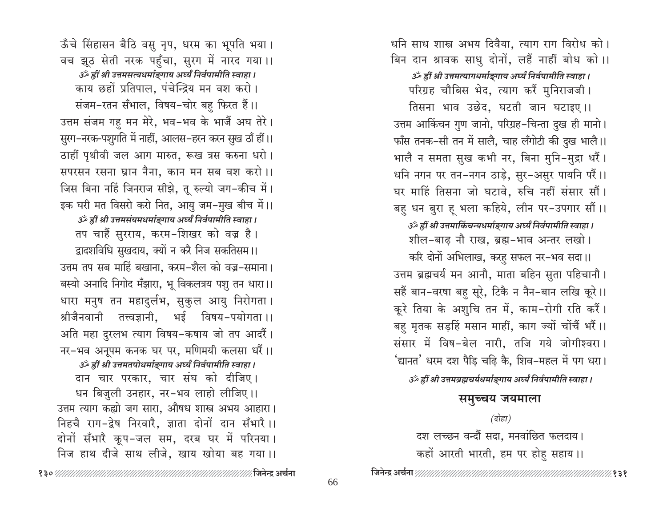धनि साध शास्त्र अभय दिवैया, त्याग राग विरोध को। बिन दान श्रावक साधु दोनों, लहैं नाहीं बोध को।। उँ ह्रीं श्री उत्तमत्यागधर्माङ्गाय अर्घ्यं निर्वपामीति स्वाहा । परिग्रह चौबिस भेद, त्याग करैं मुनिराजजी। तिसना भाव उछेद. घटती जान घटाइए।। उत्तम आर्किचन गुण जानो, परिग्रह-चिन्ता दुख ही मानो। फाँस तनक-सी तन में सालै, चाह लँगोटी की दुख भालै।। भालै न समता सुख कभी नर, बिना मुनि-मुद्रा धरैं। धनि नगन पर तन-नगन ठाड़े, सुर-असुर पायनि परैं।। घर माहिं तिसना जो घटावे, रुचि नहीं संसार सौं। बहु धन बुरा हू भला कहिये, लीन पर-उपगार सौं ।। उर्व्हीं श्री उत्तमाकिंचन्यधर्माङ्गाय अर्घ्यं निर्वपामीति स्वाहा। शील-बाढ़ नौ राख, ब्रह्म-भाव अन्तर लखो। करि दोनों अभिलाख, करहू सफल नर-भव सदा।। उत्तम ब्रह्मचर्य मन आनौ, माता बहिन सुता पहिचानौ। सहैं बान-वरषा बहु सूरे, टिकै न नैन-बान लखि कूरे।। कूरे तिया के अशुचि तन में, काम-रोगी रति करैं। बहु मृतक सड़हिं मसान माहीं, काग ज्यों चोंचैं भरैं।। संसार में विष-बेल नारी, तजि गये जोगीश्वरा। 'द्यानत' धरम दश पैड़ि चढ़ि कै, शिव–महल में पग धरा। उँ ह्रीं श्री उत्तमब्रह्मचर्यधर्माङ्गाय अर्घ्यं निर्वपामीति स्वाहा ।

# समुच्चय जयमाला

#### (दोहा)

दश लच्छन वन्दौं सदा, मनवांछित फलदाय। कहों आरती भारती, हम पर होहु सहाय।।

ऊँचे सिंहासन बैठि वसु नृप, धरम का भूपति भया। वच झूठ सेती नरक पहुँचा, सुरग में नारद गया।। उर्थ हीं श्री उत्तमसत्यधर्माङ्गाय अर्घ्यं निर्वपामीति स्वाहा। काय छहों प्रतिपाल, पंचेन्द्रिय मन वश करो। संजम-रतन सँभाल, विषय-चोर बहु फिरत हैं।। उत्तम संजम गहु मन मेरे, भव-भव के भाजैं अघ तेरे। सुरग-नरक-पशुगति में नाहीं, आलस-हरन करन सुख ठाँ हीं।। ठाहीं पृथीवी जल आग मारुत, रूख त्रस करुना धरो। सपरसन रसना घ्रान नैना, कान मन सब वश करो।। जिस बिना नहिं जिनराज सीझे, तू रुल्यो जग-कीच में। इक घरी मत विसरो करो नित, आयु जम-मुख बीच में।। उँ ह्रीं श्री उत्तमसंयमधर्माङ्गाय अर्घ्यं निर्वपामीति स्वाहा । तप चाहैं सुरराय, करम-शिखर को वज्र है। द्वादशविधि सुखदाय, क्यों न करै निज सकतिसम।। उत्तम तप सब माहिं बखाना. करम-शैल को वज्र-समाना। बस्यो अनादि निगोद मँझारा, भू विकलत्रय पशु तन धारा।। धारा मनुष तन महादुर्लभ, सुकुल आयु निरोगता। श्रीजैनवानी तत्त्वज्ञानी, भई विषय-पयोगता ।। अति महा दुरलभ त्याग विषय-कषाय जो तप आदरैं। नर-भव अनूपम कनक घर पर, मणिमयी कलसा धरैं।। उर्व्हीं श्री उत्तमतपोधर्माङ्गाय अर्घ्यं निर्वपामीति स्वाहा। दान चार परकार, चार संघ को दीजिए। धन बिजुली उनहार, नर-भव लाहो लीजिए।। उत्तम त्याग कह्यो जग सारा, औषध शास्त्र अभय आहारा। निहचै राग-द्वेष निरवारै, ज्ञाता दोनों दान सँभारै ।। दोनों सँभारै कूप-जल सम, दरब घर में परिनया। निज हाथ दीजे साथ लीजे, खाय खोया बह गया।।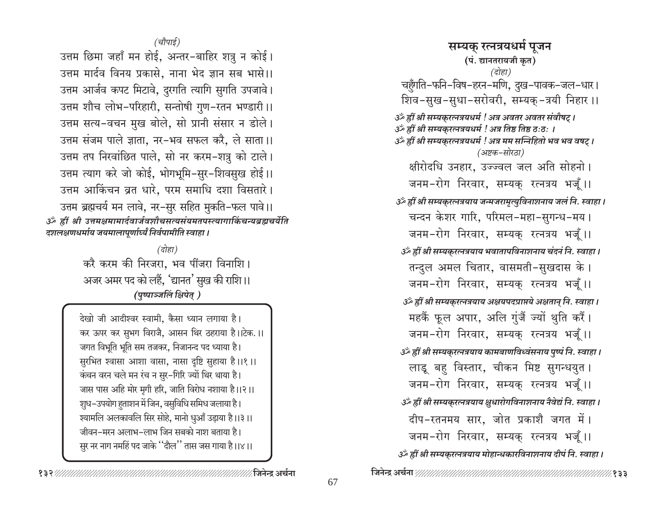(चौपाई)

उत्तम छिमा जहाँ मन होई, अन्तर-बाहिर शत्रु न कोई। उत्तम मार्दव विनय प्रकासे, नाना भेद ज्ञान सब भासे।। उत्तम आर्जव कपट मिटावे, दुरगति त्यागि सुगति उपजावे। उत्तम शौच लोभ-परिहारी, सन्तोषी गुण-रतन भण्डारी ।। उत्तम सत्य-वचन मुख बोले, सो प्रानी संसार न डोले। उत्तम संजम पाले ज्ञाता, नर-भव सफल करै, ले साता।। उत्तम तप निखांछित पाले, सो नर करम-शत्रु को टाले। उत्तम त्याग करे जो कोई, भोगभूमि-सुर-शिवसुख होई।। उत्तम आर्किचन व्रत धारे, परम समाधि दशा विसतारे। उत्तम ब्रह्मचर्य मन लावे, नर-सुर सहित मुकति-फल पावे।। ॐ ह्रीं श्री उत्तमक्षमामार्दवार्जवशौचसत्यसंयमतपस्त्यागाकिंचन्यब्रह्मचर्येति दशलक्षणधर्माय जयमालापूर्णार्घ्यं निर्वपामीति स्वाहा ।

> $\overline{G}$ होहा) करै करम की निरजरा, भव पींजरा विनाशि। अजर अमर पद को लहैं, 'द्यानत' सुख की राशि।। (पुष्पाञ्जलिं क्षिपेत् )

देखो जी आदीश्वर स्वामी. कैसा ध्यान लगाया है। कर ऊपर कर सुभग विराजै, आसन थिर ठहराया है।।टेक.।। जगत विभूति भूति सम तजकर, निजानन्द पद ध्याया है। सुरभित श्वासा आशा वासा, नासा दृष्टि सुहाया है।।१।। कंचन वरन चले मन रंच न सुर-गिरि ज्यों थिर थाया है। जास पास अहि मोर मृगी हरि, जाति विरोध नशाया है।।२।। शुध-उपयोग हुताशन में जिन, वसुविधि समिध जलाया है। श्यामलि अलकावलि सिर सोहे, मानो धुआँ उड़ाया है।।३।। जीवन–मरन अलाभ–लाभ जिन सबको नाश बताया है। सुर नर नाग नमहिं पद जाके ''दौल'' तास जस गाया है।।४।।

सम्यक् रत्नत्रयधर्म पूजन (पं. द्यानतरायजी कृत) (दोहा) चहँगति-फनि-विष-हरन-मणि, दुख-पावक-जल-धार। शिव-सुख-सुधा-सरोवरी, सम्यक्-त्रयी निहार ।। उँ ह्रीं श्री सम्यकुरत्नत्रयधर्म ! अत्र अवतर अवतर संवौषट् । उर्व्हीं श्री सम्यकुरत्नत्रयधर्म ! अत्र तिष्ठ तिष्ठ ठःठः । उँ ह्रीं श्री सम्यकुरत्नत्रयधर्म ! अत्र मम सन्निहितो भव भव वषट् । (अष्टक–सोरठा) क्षीरोदधि उनहार, उज्ज्वल जल अति सोहनो। जनम-रोग निरवार, सम्यक् रत्नत्रय भजूँ।। उर्क ह्रीं श्री सम्यकुरत्नत्रयाय जन्मजरामृत्युविनाशनाय जलं नि. स्वाहा । चन्दन केशर गारि, परिमल-महा-सुगन्ध-मय। जनम-रोग निरवार, सम्यक् रत्नत्रय भजूँ।। उँ ह्रीं श्री सम्यकुरत्नत्रयाय भवातापविनाशनाय चंदनं नि. स्वाहा । तन्दुल अमल चितार, वासमती-सुखदास के। जनम-रोग निरवार, सम्यक् रत्नत्रय भजूँ।। उँ ह्रीं श्री सम्यकुरत्नत्रयाय अक्षयपदप्राप्तये अक्षतान् नि. स्वाहा । महकैं फूल अपार, अलि गुंजैं ज्यों थुति करैं। जनम-रोग निरवार, सम्यक् रत्नत्रय भजूँ।। उँ ह्रीं श्री सम्यकुरत्नत्रयाय कामबाणविध्वंसनाय पुष्पं नि. स्वाहा। लाडू बह विस्तार, चीकन मिष्ट सुगन्धयुत । जनम-रोग निरवार, सम्यक् रत्नत्रय भजूँ।। उँ ह्रीं श्री सम्यकुरत्नत्रयाय क्षुधारोगविनाशनाय नैवेद्यं नि. स्वाहा। दीप-रतनमय सार, जोत प्रकाशै जगत में। जनम-रोग निरवार, सम्यक् रत्नत्रय भजूँ।। उँ ह्रीं श्री सम्यकुरत्नत्रयाय मोहान्धकारविनाशनाय दीपं नि. स्वाहा।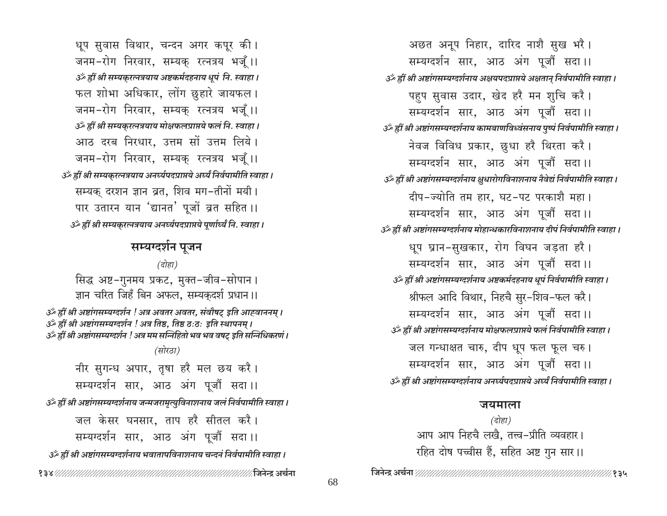धूप सुवास विथार, चन्दन अगर कपूर की। जनम-रोग निरवार, सम्यक् रत्नत्रय भजूँ।। उँ ह्रीं श्री सम्यकुरत्नत्रयाय अष्टकर्मदहनाय धूपं नि. स्वाहा । फल शोभा अधिकार, लोंग छुहारे जायफल। जनम-रोग निरवार, सम्यक् रत्नत्रय भजूँ।। उँ ह्रीं श्री सम्यकुरत्नत्रयाय मोक्षफलप्राप्तये फलं नि. स्वाहा। आठ दरब निरधार. उत्तम सों उत्तम लिये। जनम-रोग निरवार, सम्यक् रत्नत्रय भजूँ।। उँ ह्रीं श्री सम्यकुरत्नत्रयाय अनर्घ्यपदप्राप्तये अर्घ्यं निर्वपामीति स्वाहा । सम्यक् दरशन ज्ञान व्रत, शिव मग-तीनों मयी। पार उतारन यान 'द्यानत' पूजों ब्रत सहित ।। उँ ह्रीं श्री सम्यकुरत्नत्रयाय अनर्घ्यपदप्राप्तये पूर्णार्ध्यं नि. स्वाहा ।

## सम्यग्दर्शन पूजन

(दोहा)

सिद्ध अष्ट-गुनमय प्रकट, मुक्त-जीव-सोपान। ज्ञान चरित जिहँ बिन अफल, सम्यकुदर्श प्रधान।।

ॐ ह्रीं श्री अष्टांगसम्यग्दर्शन ! अत्र अवतर अवतर, संवौषट् इति आह्वाननम् । ॐ ह्रीं श्री अष्टांगसम्यग्दर्शन ! अत्र तिष्ठ, तिष्ठ ठ:ठ: इति स्थापनम् । उँ ह्रीं श्री अष्टांगसम्यग्दर्शन ! अत्र मम सन्निहितो भव भव वषट इति सन्निधिकरणं ।

#### (सोरठा)

नीर सुगन्ध अपार, तुषा हरै मल छय करै। सम्यग्दर्शन सार, आठ अंग पूजौं सदा।। उर्व्हीं श्री अष्टांगसम्यग्दर्शनाय जन्मजरामृत्युविनाशनाय जलं निर्वपामीति स्वाहा । जल केसर घनसार, ताप हरै सीतल करै। सम्यग्दर्शन सार, आठ अंग पूजौं सदा।। उँ ह्रीं श्री अष्टांगसम्यग्दर्शनाय भवातापविनाशनाय चन्दनं निर्वपामीति स्वाहा । 

अछत अनूप निहार, दारिद नाशै सुख भरै। सम्यग्दर्शन सार, आठ अंग पूजौं सदा।। उँ ह्रीं श्री अष्टांगसम्यग्दर्शनाय अक्षयपदप्राप्तये अक्षतान् निर्वपामीति स्वाहा । पहुप सुवास उदार, खेद हरै मन शुचि करै। सम्यग्दर्शन सार, आठ अंग पूजौं सदा।। उॅं ह्रीं श्री अष्टांगसम्यग्दर्शनाय कामबाणविध्वंसनाय पृष्पं निर्वपामीति स्वाहा । नेवज विविध प्रकार, छुधा हरै थिरता करै। सम्यग्दर्शन सार, आठ अंग पूजौं सदा।। उँ ह्रीं श्री अष्टांगसम्यग्दर्शनाय क्षुधारोगविनाशनाय नैवेद्यं निर्वपामीति स्वाहा । दीप-ज्योति तम हार, घट-पट परकाशै महा। सम्यग्दर्शन सार, आठ अंग पूजौं सदा।। उँ ह्रीं श्री अष्टांगसम्यग्दर्शनाय मोहान्धकारविनाशनाय दीपं निर्वपामीति स्वाहा। धूप घ्रान-सुखकार, रोग विघन जड़ता हरै। सम्यग्दर्शन सार, आठ अंग पूजौं सदा।। उँ ह्रीं श्री अष्टांगसम्यग्दर्शनाय अष्टकर्मदहनाय धूपं निर्वपामीति स्वाहा । श्रीफल आदि विथार, निहचै सुर-शिव-फल करै। सम्यग्दर्शन सार, आठ अंग पूजौं सदा।। उँ ह्रीं श्री अष्टांगसम्यग्दर्शनाय मोक्षफलप्राप्तये फलं निर्वपामीति स्वाहा। जल गन्धाक्षत चारु, दीप धुप फल फूल चरु। सम्यग्दर्शन सार, आठ अंग पूजौं सदा।। उॅं ह्रीं श्री अष्टांगसम्यग्दर्शनाय अनर्घ्यपदप्राप्तये अर्घ्यं निर्वपामीति स्वाहा ।

#### जयमाला

(दोहा) आप आप निहचै लखै, तत्त्व-प्रीति व्यवहार। रहित दोष पच्चीस हैं, सहित अष्ट गुन सार।।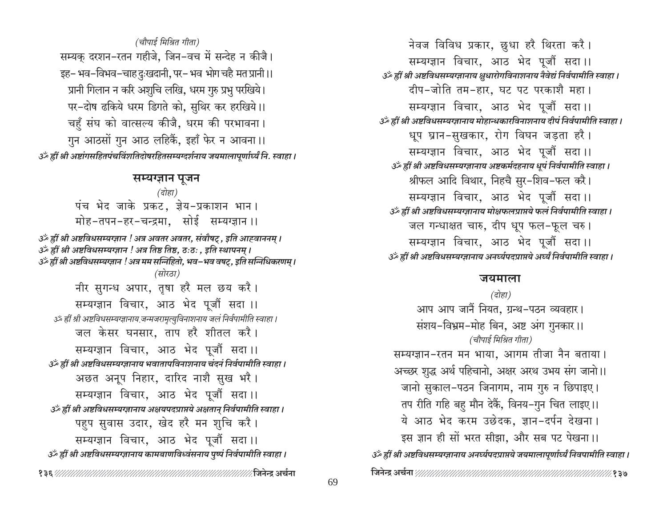# (चौपाई मिश्रित गीता) सम्यक दरशन-रतन गहीजे, जिन-वच में सन्देह न कीजै। इह- भव-विभव-चाहदुःखदानी, पर- भव भोग चहै मत प्रानी ।। प्रानी गिलान न करि अशुचि लखि, धरम गुरु प्रभु परखिये। पर-दोष ढकिये धरम डिगते को, सुथिर कर हरखिये।। चहुँ संघ को वात्सल्य कीजै, धरम की परभावना। गुन आठसों गुन आठ लहिकैं, इहाँ फेर न आवना।। उँ ह्रीं श्री अष्टांगसहितपंचविंशतिदोषरहितसम्यग्दर्शनाय जयमालापूर्णार्ध्यं नि. स्वाहा ।

#### सम्यग्ज्ञान पूजन

(दोहा) पंच भेद जाके प्रकट, ज्ञेय-प्रकाशन भान। मोह-तपन-हर-चन्द्रमा, सोई सम्यग्ज्ञान ।।

उँ ह्रीं श्री अष्टविधसम्यज्ञान ! अत्र अवतर अवतर, संवौषट्, इति आह्वाननम् । ॐ ह्रीं श्री अष्टविधसम्यग्ज्ञान ! अत्र तिष्ठ तिष्ठ, ठःठः , इति स्थापनम् । گُر ह्रीं श्री अष्टविधसम्यज्ञान ! अत्र मम सन्निहितो, भव-भव वषट्, इति सन्निधिकरणम् । (सोरठा) नीर सुगन्ध अपार, तृषा हरै मल छय करै। सम्यग्ज्ञान विचार, आठ भेद पूजौं सदा ।। उॐ ह्रीं श्री अष्टविधसम्यग्ज्ञानाय जन्मजरामृत्युविनाशनाय जलं निर्वपामीति स्वाहा । जल केसर घनसार, ताप हरै शीतल करै। सम्यग्ज्ञान विचार, आठ भेद पूजौं सदा।। उर्व्हीं श्री अष्टविधसम्यज्ञानाय भवातापविनाशनाय चंदनं निर्वपामीति स्वाहा । अछत अनूप निहार, दारिद नाशै सुख भरै। सम्यग्ज्ञान विचार, आठ भेद पूजौं सदा।। उर्व्हीं श्री अष्टविधसम्यग्ज्ञानाय अक्षयपदप्राप्तये अक्षतान् निर्वपामीति स्वाहा । पहप सुवास उदार, खेद हरै मन शुचि करै। सम्यग्ज्ञान विचार, आठ भेद पूजौं सदा।। उँ ह्रीं श्री अष्टविधसम्यज्ञानाय कामबाणविध्वंसनाय पुष्पं निर्वपामीति स्वाहा ।

नेवज विविध प्रकार, छुधा हरै थिरता करै। सम्यग्ज्ञान विचार, आठ भेद पूजौं सदा।। उर्व्हीं श्री अष्टविधसम्यज्ञानाय क्षुधारोगविनाशनाय नैवेद्यं निर्वपामीति स्वाहा । दीप-जोति तम-हार, घट पट परकाशै महा। सम्यग्ज्ञान विचार, आठ भेद पूजौं सदा।। उँ ह्रीं श्री अष्टविधसम्यग्ज्ञानाय मोहान्धकारविनाशनाय दीपं निर्वपामीति स्वाहा। धूप घ्रान-सुखकार, रोग विघन जड़ता हरै। सम्यग्ज्ञान विचार, आठ भेद पूजौं सदा।। उँ ह्रीं श्री अष्टविधसम्यग्ज्ञानाय अष्टकर्मदहनाय धूपं निर्वपामीति स्वाहा । श्रीफल आदि विथार, निहचै सुर-शिव-फल करै। सम्यग्ज्ञान विचार, आठ भेद पूजौं सदा।। उँ ह्रीं श्री अष्टविधसम्यज्ञानाय मोक्षफलप्राप्तये फलं निर्वपामीति स्वाहा । जल गन्धाक्षत चारु, दीप धूप फल-फूल चरु। सम्यग्ज्ञान विचार, आठ भेद पूजौं सदा।। उर्व्हीं श्री अष्टविधसम्यग्ज्ञानाय अनर्घ्यपदप्राप्तये अर्घ्यं निर्वपामीति स्वाहा ।

#### जयमाला

(दोहा) आप आप जानैं नियत, ग्रन्थ-पठन व्यवहार। संशय-विभ्रम-मोह बिन, अष्ट अंग गुनकार।। (चौपाई मिश्रित गीता) सम्यग्ज्ञान-रतन मन भाया, आगम तीजा नैन बताया। अच्छर शुद्ध अर्थ पहिचानो, अक्षर अरथ उभय संग जानो।। जानो सुकाल-पठन जिनागम, नाम गुरु न छिपाइए। तप रीति गहि बह मौन देकैं, विनय-गुन चित लाइए।। ये आठ भेद करम उछेदक, ज्ञान-दर्पन देखना। इस ज्ञान ही सों भरत सीझा, और सब पट पेखना।। उँ ह्रीं श्री अष्टविधसम्यग्ज्ञानाय अनर्घ्यपदप्राप्तये जयमालापूर्णार्घ्यं निवपामीति स्वाहा ।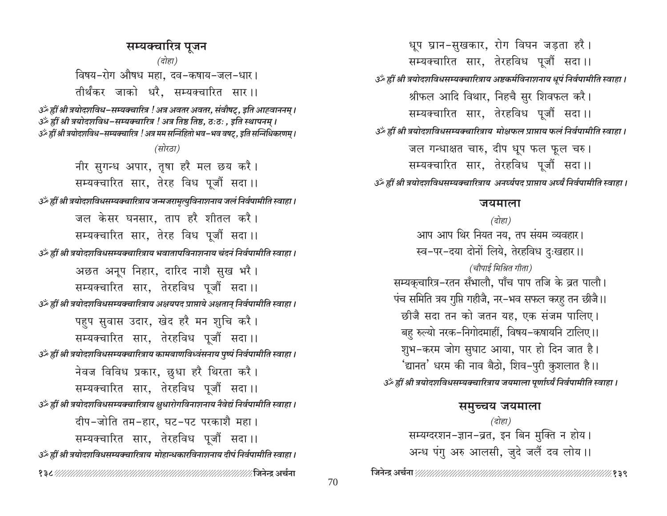सम्यक्चारित्र पूजन (दोहा) विषय-रोग औषध महा, दव-कषाय-जल-धार। तीर्थंकर जाको धरै, सम्यक्चारित सार।। उँ हीं श्री त्रयोदशविध-सम्यक्चारित्र ! अत्र अवतर अवतर, संवौषट्, इति आह्वाननम् । उँ ह्रीं श्री त्रयोदशविध-सम्यक्चारित्र ! अत्र तिष्ठ तिष्ठ, ठःठः , इति स्थापनम् । ्ॐ ह्रीं श्री त्रयोदशविध-सम्यक्चारित्र ! अत्र मम सन्निहितो भव-भव वषट्. इति सन्निधिकरणम् । (सोरठा) नीर सुगन्ध अपार, तृषा हरै मल छय करै। सम्यक्चारित सार, तेरह विध पूजौं सदा।। ैं हीं श्री त्रयोदशविधसम्यक्वारित्राय जन्मजरामृत्युविनाशनाय जलं निर्वपामीति स्वाहा । जल केसर घनसार, ताप हरै शीतल करै। सम्यक्चारित सार, तेरह विध पूजौं सदा।। हीं श्री त्रयोदशविधसम्यक्चारित्राय भवातापविनाशनाय चंदनं निर्वपामीति स्वाहा । अछत अनूप निहार, दारिद नाशै सुख भरै। सम्यक्चारित सार, तेरहविध पूजौं सदा।। उँ ह्रीं श्री त्रयोदशविधसम्यक्चारित्राय अक्षयपद प्राप्ताये अक्षतान् निर्वपामीति स्वाहा । पहुप सुवास उदार, खेद हरै मन शुचि करै। सम्यक्चारित सार, तेरहविध पूजौं सदा।। उँ ह्रीं श्री त्रयोदशविधसम्यक्चारित्राय कामबाणविध्वंसनाय पुष्पं निर्वपामीति स्वाहा। नेवज विविध प्रकार, छुधा हरै थिरता करै। सम्यक्चारित सार, तेरहविध पूजौं सदा।। उँ ह्रीं श्री त्रयोदशविधसम्यक्चारित्राय क्षुधारोगविनाशनाय नैवेद्यं निर्वपामीति स्वाहा । दीप-जोति तम-हार, घट-पट परकाशै महा। सम्यक्चारित सार, तेरहविध पूजौं सदा।। उँ ह्रीं श्री त्रयोदशविधसम्यक्चारित्राय मोहान्धकारविनाशनाय दीपं निर्वपामीति स्वाहा। 

धूप घ्रान-सुखकार, रोग विघन जड़ता हरै। सम्यक्चारित सार, तेरहविध पूजौं सदा।। उँ ह्रीं श्री त्रयोदशविधसम्यक्चारित्राय अष्टकर्मविनाशनाय धूपं निर्वपामीति स्वाहा । श्रीफल आदि विथार, निहचै सुर शिवफल करै। सम्यक्चारित सार, तेरहविध पूजौं सदा।। उँ ह्रीं श्री त्रयोदशविधसम्यक्चारित्राय मोक्षफल प्राप्ताय फलं निर्वपामीति स्वाहा । जल गन्धाक्षत चारु, दीप धूप फल फूल चरु। सम्यक्चारित सार, तेरहविध पूजौं सदा।। उँ ह्रीं श्री त्रयोदशविधसम्यक्वारित्राय अनर्घ्यपद प्राप्ताय अर्घ्यं निर्वपामीति स्वाहा ।

#### जयमाला

(दोहा) आप आप थिर नियत नय, तप संयम व्यवहार। स्व-पर-दया दोनों लिये. तेरहविध दुःखहार।।

(चौपाई मिश्रित गीता) सम्यकचारित्र-रतन सँभालौ, पाँच पाप तजि के व्रत पालौ। पंच समिति त्रय गुप्ति गहीजै, नर-भव सफल करहु तन छीजै।। छीजै सदा तन को जतन यह, एक संजम पालिए। बहु रुल्यो नरक-निगोदमाहीं, विषय-कषायनि टालिए।। शुभ-करम जोग सुघाट आया, पार हो दिन जात है। 'द्यानत' धरम की नाव बैठो, शिव–पुरी कुशलात है।। उँ ह्रीं श्री त्रयोदशविधसम्यक्चारित्राय जयमाला पूर्णार्घ्यं निर्वपामीति स्वाहा ।

समुच्चय जयमाला (दोहा) सम्यग्दरशन-ज्ञान-व्रत, इन बिन मुक्ति न होय। अन्ध पंगु अरु आलसी, जुदे जलैं दव लोय।।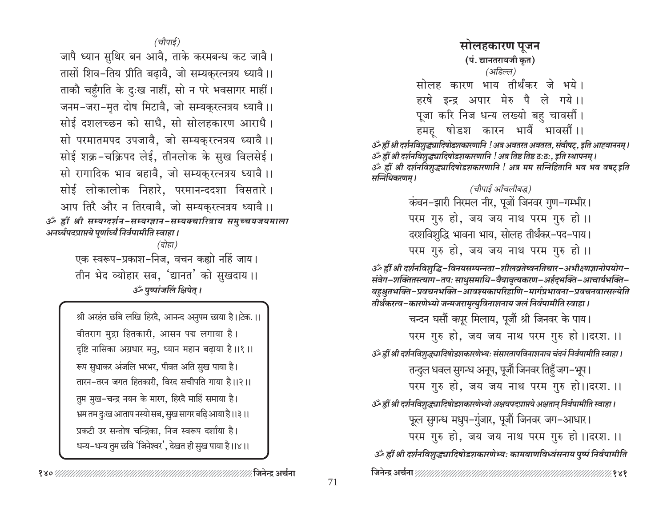(चौपाई)

जापै ध्यान सुथिर बन आवै. ताके करमबन्ध कट जावै। तासों शिव-तिय प्रीति बढावै, जो सम्यकरत्नत्रय ध्यावै।। ताकौ चहुँगति के दुःख नाहीं, सो न परे भवसागर माहीं। जनम-जरा-मृत दोष मिटावै, जो सम्यकरत्नत्रय ध्यावै।। सोई दशलच्छन को साधै, सो सोलहकारण आराधै। सो परमातमपद उपजावै, जो सम्यकुरत्नत्रय ध्यावै।। सोई शक्र-चक्रिपद लेई, तीनलोक के सुख विलसेई। सो रागादिक भाव बहावै, जो सम्यकुरत्नत्रय ध्यावै।। सोई लोकालोक निहारे, परमानन्ददशा विसतारे। आप तिरै और न तिरवावै, जो सम्यकुरत्नत्रय ध्यावै।। ॐ ह्रीं श्री सम्यग्दर्शन-सम्यग्ज्ञान-सम्यक्चारित्राय समुच्चयजयमाला अनर्घ्यपदप्राप्तये पूर्णार्ध्यं निर्वपामीति स्वाहा । (दोहा)

> एक स्वरूप-प्रकाश-निज, वचन कह्यो नहिं जाय। तीन भेद व्योहार सब, 'द्यानत' को सुखदाय ।। उर्व्यूण्यांजलिं क्षिपेत् ।

श्री अरहंत छबि लखि हिरदै, आनन्द अनुपम छाया है।।टेक.।। वीतराग मुद्रा हितकारी, आसन पद्म लगाया है। दृष्टि नासिका अग्रधार मनु, ध्यान महान बढ़ाया है।।१।। रूप सुधाकर अंजलि भरभर, पीवत अति सुख पाया है। तारन-तरन जगत हितकारी. विरद सचीपति गाया है।।२।। तुम मुख-चन्द्र नयन के मारग, हिरदै माहिं समाया है। भ्रम तम दुःख आताप नस्यो सब, सुख सागर बढ़ि आया है।।३।। प्रकटी उर सन्तोष चन्द्रिका, निज स्वरूप दर्शाया है। धन्य–धन्य तुम छवि 'जिनेश्वर', देखत ही सुख पाया है।।४।।

## सोलहकारण पूजन (पं. द्यानतरायजी कृत) (अडिल्ल) सोलह कारण भाय तीर्थंकर जे भये। हरषे इन्द्र अपार मेरु पै ले गये।। पूजा करि निज धन्य लख्यो बहु चावसौं। हमह षोडश कारन भावैं भावसौं ।।

उँ ह्रीं श्री दर्शनविशुद्ध्यादिषोडशकारणानि ! अत्र अवतरत अवतरत, संवौषट्, इति आह्वाननम् । र्ॐ ह्रीं श्री दर्शनविशुद्ध्यादिषोडशकारणानि ! अत्र तिष्ठ तिष्ठ ठःठः, इति स्थापनम् । گُ ह्रीं श्री दर्शनविशुद्ध्यादिषोडशकारणानि ! अत्र मम सन्निहितानि भव भव वषट् इति सन्निधिकरणम ।

(चौपार्ड ऑंचलीबद्ध) कंचन-झारी निरमल नीर, पूजों जिनवर गुण-गम्भीर। परम गुरु हो, जय जय नाथ परम गुरु हो।। दरशविशुद्धि भावना भाय, सोलह तीर्थंकर-पद-पाय। परम गुरु हो, जय जय नाथ परम गुरु हो।।

گُر ह्रीं श्री दर्शनविशुद्धि-विनयसम्पन्नता-शीलव्रतेष्वनतिचार-अभीक्ष्णज्ञानोपयोग-संवेग-शक्तितस्त्याग-तपः साधुसमाधि-वैयावृत्यकरण-अर्हद्भक्ति-आचार्यभक्ति-बहुश्रुतभक्ति–प्रवचनभक्ति–आवश्यकापरिहाणि–मार्गप्रभावना–प्रवचनवात्सल्येति तोर्थंकरत्व–कारणेभ्यो जन्मजरामृत्युविनाशनाय जलं निर्वपामीति स्वाहा ।

चन्दन घसौं कपूर मिलाय, पूजौं श्री जिनवर के पाय।

परम गुरु हो, जय जय नाथ परम गुरु हो।।दरश.।।

उँ ह्रीं श्री दर्शनविशुद्ध्यादिषोडशकारणेभ्यः संसारतापविनाशनाय चंदनं निर्वपामीति स्वाहा।

तन्दुल धवल सुगन्ध अनूप, पूजौं जिनवर तिहँ जग-भूप।

परम गुरु हो, जय जय नाथ परम गुरु हो।।दरश.।।

उँ ह्रीं श्री दर्शनविशुद्ध्यादिषोडशकारणेभ्यो अक्षयपदप्राप्तये अक्षतान् निर्वपामीति स्वाहा।

फूल सुगन्ध मधुप-गुंजार, पूजौं जिनवर जग-आधार।

परम गुरु हो, जय जय नाथ परम गुरु हो।।दरश.।।

ॐ ह्रीं श्री दर्शनविशुद्ध्यादिषोडशकारणेभ्यः कामबाणविध्वंसनाय पुष्पं निर्वपामीति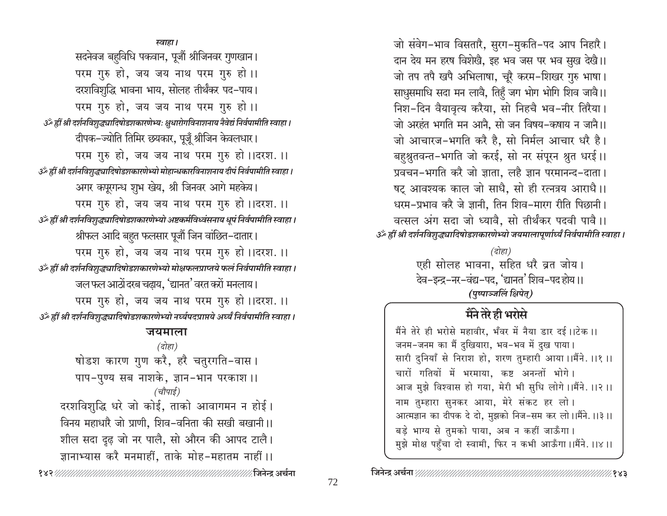जो संवेग-भाव विसतारै, सुरग-मुकति-पद आप निहारै। दान देय मन हरष विशेखै, इह भव जस पर भव सुख देखै।। जो तप तपै खपै अभिलाषा, चूरै करम-शिखर गुरु भाषा। साधुसमाधि सदा मन लावै, तिहुँ जग भोग भोगि शिव जावै।। निश-दिन वैयावृत्य करैया, सो निहचै भव-नीर तिरैया। जो अरहंत भगति मन आनै, सो जन विषय-कषाय न जानै।। जो आचारज-भगति करै है, सो निर्मल आचार धरै है। बहुश्नुतवन्त-भगति जो करई, सो नर संपूरन श्नुत धरई।। प्रवचन-भगति करै जो ज्ञाता, लहै ज्ञान परमानन्द-दाता। षट् आवश्यक काल जो साधै, सो ही रत्नत्रय आराधै।। धरम-प्रभाव करै जे ज्ञानी, तिन शिव-मारग रीति पिछानी। वत्सल अंग सदा जो ध्यावै, सो तीर्थंकर पदवी पावै।। उँ ह्रीं श्री दर्शनविशुद्ध्यादिषोडशकारणेभ्यो जयमालापूर्णार्ध्यं निर्वपामीति स्वाहा ।

> (दोहा) एही सोलह भावना, सहित धरै व्रत जोय। देव-इन्द्र-नर-वंद्य-पद, 'द्यानत' शिव-पद होय।। (पुष्पाञ्जलिं क्षिपेत्)

# मैंने तेरे ही भरोसे

मैंने तेरे ही भरोसे महावीर, भँवर में नैया डार दई।।टेक ।। जनम-जनम का मैं दुखियारा, भव-भव में दुख पाया। सारी दुनियाँ से निराश हो, शरण तुम्हारी आया।।मैंने. ।।१ ।। चारों गतियों में भरमाया. कष्ट अनन्तों भोगे। आज मुझे विश्वास हो गया, मेरी भी सुधि लोगे।।मैंने.।।२।। नाम तुम्हारा सुनकर आया, मेरे संकट हर लो। आत्मज्ञान का दीपक दे दो, मुझको निज-सम कर लो।।मैंने.।।३।। बड़े भाग्य से तुमको पाया, अब न कहीं जाऊँगा। मुझे मोक्ष पहुँचा दो स्वामी, फिर न कभी आऊँगा।।मैंने.।।४।।

स्वाहा । सदनेवज बहविधि पकवान, पूजौं श्रीजिनवर गुणखान। परम गुरु हो, जय जय नाथ परम गुरु हो।। दरशविशुद्धि भावना भाय, सोलह तीर्थंकर पद-पाय। परम गुरु हो, जय जय नाथ परम गुरु हो।। ैं हीं श्री दर्शनविशुद्ध्यादिषोडशकारणेभ्यः क्षुधारोगविनाशनाय नैवेद्यं निर्वपामीति स्वाहा। दीपक-ज्योति तिमिर छयकार, पूजूँ श्रीजिन केवलधार। परम गुरु हो, जय जय नाथ परम गुरु हो।।दरश.।। ाऊँ ह्रीं श्री दर्शनविशुद्ध्यादिषोडशकारणेभ्यो मोहान्धकारविनाशनाय दीपं निर्वपामीति स्वाहा। अगर कपूरगन्ध शुभ खेय, श्री जिनवर आगे महकेय। परम गुरु हो, जय जय नाथ परम गुरु हो।।दरश.।। उँ ह्रीं श्री दर्शनविशुद्ध्यादिषोडशकारणेभ्यो अष्टकर्मविध्वंसनाय धूपं निर्वपामीति स्वाहा । श्रीफल आदि बहुत फलसार पूजौं जिन वांछित–दातार। परम गुरु हो, जय जय नाथ परम गुरु हो।।दरश.।। उॐ ह्रीं श्री दर्शनविशुद्ध्यादिषोडशकारणेभ्यो मोक्षफलप्राप्तये फलं निर्वपामीति स्वाहा। जल फल आठों दरब चढाय, 'द्यानत' वरत करों मनलाय। परम गुरु हो, जय जय नाथ परम गुरु हो।।दरश.।। उँ ह्रीं श्री दर्शनविशुद्ध्यादिषोडशकारणेभ्यो नर्घ्यपदप्राप्तये अर्घ्यं निर्वपामीति स्वाहा।

## जयमाला

(दोहा) षोडश कारण गुण करै, हरै चतुरगति-वास । पाप-पुण्य सब नाशके, ज्ञान-भान परकाश।। (चौपाई) दरशविशुद्धि धरे जो कोई, ताको आवागमन न होई। विनय महाधारै जो प्राणी, शिव-वनिता की सखी बखानी।। शील सदा दृढ़ जो नर पालै, सो औरन की आपद टालै। ज्ञानाभ्यास करै मनमाहीं, ताके मोह-महातम नाहीं।।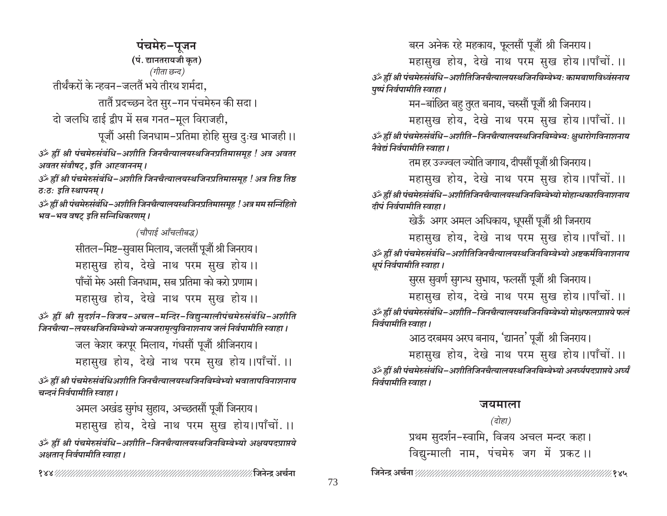पंचमेरु–पूजन (पं. द्यानतरायजी कृत) (गीता छन्द) तीर्थंकरों के न्हवन-जलतैं भये तीरथ शर्मदा. तातैं प्रदच्छन देत सुर-गन पंचमेरुन की सदा। दो जलधि ढाई द्वीप में सब गनत-मूल विराजही, पूजौं असी जिनधाम-प्रतिमा होहि सुख दुःख भाजही।।

ॐ ह्रीं श्री पंचमेरुसंबंधि-अशीति जिनचैत्यालयस्थजिनप्रतिमासमृह ! अत्र अवतर अवतर संवौषट्, इति आह्वाननम् ।

उँ ह्रीं श्री पंचमेरुसंबंधि–अशीति जिनचैत्यालयस्थजिनप्रतिमासमूह ! अत्र तिष्ठ तिष्ठ ठःठः इति स्थापनम् ।

उँ ह्रीं श्री पंचमेरुसंबंधि-अशीति जिनचैत्यालयस्थजिनप्रतिमासमूह ! अत्र मम सन्निहितो भव–भव वषट् इति सन्निधिकरणम् ।

> (चौपाई आँचलीबद्ध) सीतल–मिष्ट–सुवास मिलाय, जलसौं पूजौं श्री जिनराय। महासुख होय, देखे नाथ परम सुख होय।। पाँचों मेरु असी जिनधाम. सब प्रतिमा को करो प्रणाम। महासुख होय, देखे नाथ परम सुख होय।।

ॐ ह्वीं श्री सुदर्शन-विजय-अचल-मन्दिर-विद्युन्मालीपंचमेरुसंबंधि-अशीति जिनचैत्या-लयस्थजिनबिम्बेभ्यो जन्मजरामृत्युविनाशनाय जलं निर्वपामीति स्वाहा ।

> जल केशर करपूर मिलाय, गंधसौं पूजौं श्रीजिनराय। महासुख होय, देखे नाथ परम सुख होय।।पाँचों.।।

ॐ ह्रीं श्री पंचमेरुसंबंधिअशीति जिनचैत्यालयस्थजिनबिम्बेभ्यो भवातापविनाशनाय चन्दनं निर्वपामीति स्वाहा ।

> अमल अखंड सुगंध सुहाय, अच्छतसौं पूजौं जिनराय। महासुख होय, देखे नाथ परम सुख होय।।पाँचों.।।

ॐ ह्रीं श्री पंचमेरुसंबंधि-अशीति-जिनचैत्यालयस्थजिनबिम्बेभ्यो अक्षयपदप्राप्तये अक्षतान् निर्वपामीति स्वाहा ।

बरन अनेक रहे महकाय, फूलसौं पूजौं श्री जिनराय।

महासुख होय, देखे नाथ परम सुख होय।।पाँचों.।।

ॐ ह्रीं श्री पंचमेरुसंबंधि-अशीतिजिनचैत्यालयस्थजिनबिम्बेभ्यः कामबाणविध्वंसनाय पुष्पं निर्वपामीति स्वाहा।

मन–बांछित बहु तुरत बनाय, चरुसौं पूजौं श्री जिनराय।

महासुख होय, देखे नाथ परम सुख होय।।पाँचों.।। ॐ ह्रीं श्री पंचमेरुसंबंधि-अशीति-जिनचैत्यालयस्थजिनबिम्बेभ्यः क्षुधारोगविनाशनाय नैवेद्यं निर्वपामीति स्वाहा ।

तम हर उज्ज्वल ज्योति जगाय, दीपसौं पूजौं श्री जिनराय।

महासुख होय, देखे नाथ परम सुख होय ।।पाँचों.।। ॐ ह्रीं श्री पंचमेरुसंबंधि-अशीतिजिनचैत्यालयस्थजिनबिम्बेभ्यो मोहान्धकारविनाशनाय दीपं निर्वपामीति स्वाहा ।

खेऊँ अगर अमल अधिकाय, धूपसौं पूजौं श्री जिनराय

महासुख होय, देखे नाथ परम सुख होय।।पाँचों.।। ॐ ह्रीं श्री पंचमेरुसंबंधि-अशीतिजिनचैत्यालयस्थजिनबिम्बेभ्यो अष्टकर्मविनाशनाय धूपं निर्वपामीति स्वाहा।

सुरस सुवर्ण सुगन्ध सुभाय, फलसौं पूजौं श्री जिनराय।

महासुख होय, देखे नाथ परम सुख होय ।।पाँचों.।। ॐ ह्रीं श्री पंचमेरुसंबंधि-अशीति-जिनचैत्यालयस्थजिनबिम्बेभ्यो मोक्षफलप्राप्तये फलं निर्वपामीति स्वाहा।

आठ दरबमय अरघ बनाय, 'द्यानत' पूजौं श्री जिनराय।

महासुख होय, देखे नाथ परम सुख होय।।पाँचों.।। उँ हीं श्री पंचमेरुसंबंधि-अशीतिजिनचैत्यालयस्थजिनबिम्बेभ्यो अनर्घ्यपदप्राप्तये अर्घ्यं निर्वपामीति स्वाहा ।

# जयमाला

(दोहा) प्रथम सुदर्शन-स्वामि, विजय अचल मन्दर कहा। विद्युन्माली नाम, पंचमेरु जग में प्रकट।।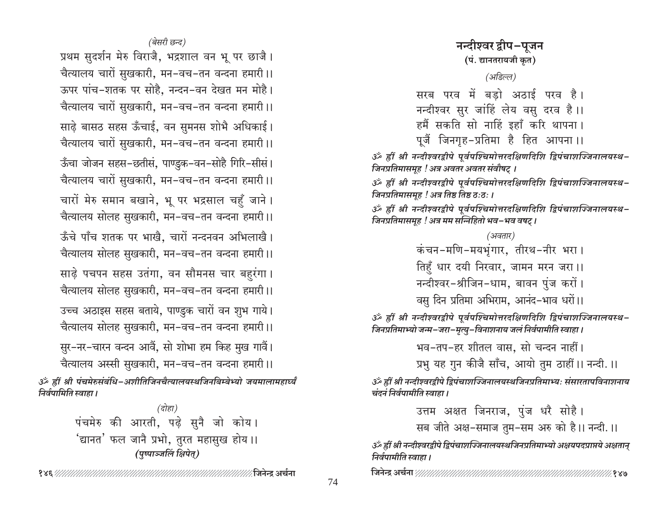प्रथम सुदर्शन मेरु विराजै, भद्रशाल वन भू पर छाजै। चैत्यालय चारों सुखकारी, मन-वच-तन वन्दना हमारी।। ऊपर पांच-शतक पर सोहै, नन्दन-वन देखत मन मोहै। चैत्यालय चारों सुखकारी, मन-वच-तन वन्दना हमारी।। साढे बासठ सहस ऊँचाई, वन सुमनस शोभै अधिकाई। चैत्यालय चारों सुखकारी, मन-वच-तन वन्दना हमारी ।। ऊँचा जोजन सहस-छतीसं, पाण्डुक-वन-सोहै गिरि-सीसं। चैत्यालय चारों सुखकारी, मन-वच-तन वन्दना हमारी।। चारों मेरु समान बखाने, भू पर भद्रसाल चहुँ जाने। चैत्यालय सोलह सुखकारी, मन-वच-तन वन्दना हमारी ।। ऊँचे पाँच शतक पर भाखे. चारों नन्दनवन अभिलाखे। चैत्यालय सोलह सुखकारी, मन-वच-तन वन्दना हमारी ।। साढ़े पचपन सहस उतंगा, वन सौमनस चार बहुरंगा। चैत्यालय सोलह सुखकारी, मन-वच-तन वन्दना हमारी ।। उच्च अठाइस सहस बताये, पाण्डुक चारों वन शुभ गाये। चैत्यालय सोलह सुखकारी, मन-वच-तन वन्दना हमारी ।। सुर–नर–चारन वन्दन आवैं, सो शोभा हम किह मुख गावैं। चैत्यालय अस्सी सुखकारी, मन-वच-तन वन्दना हमारी।। ॐ ह्रीं श्री पंचमेरुसंबंधि-अशीतिजिनचैत्यालयस्थजिनबिम्बेभ्यो जयमालामहार्घ्यं

> (दोहा) पंचमेरु की आरती, पढ़े सुनै जो कोय। 'द्यानत' फल जानै प्रभो, तुरत महासुख होय ।। (पुष्पाञ्जलिं क्षिपेत्)

निर्वपामिति स्वाहा ।

नन्दीश्वर द्वीप-पुजन (पं. द्यानतरायजी कृत) (अडिल्ल) सरब परव में बडो अठाई परव है। नन्दीश्वर सुर जांहिं लेय वसु दरव है।। हमैं सकति सो नाहिं इहाँ करि थापना।

पूजैं जिनगृह-प्रतिमा है हित आपना।।

ॐ ह्रीं श्री नन्दीश्वरद्वीपे पूर्वपश्चिमोत्तरदक्षिणदिशि द्विपंचाशज्जिनालयस्थ-जिनप्रतिमासमूह ! अत्र अवतर अवतर संवौषट् ।

ॐ ह्रीं श्री नन्दीश्वरद्वीपे पूर्वपश्चिमोत्तरदक्षिणदिशि द्विपंचाशज्जिनालयस्थ-जिनप्रतिमासमूह ! अत्र तिष्ठ तिष्ठ ठ:ठ: ।

ॐ ह्रीं श्री नन्दीश्वरद्वीपे पूर्वपश्चिमोत्तरदक्षिणदिशि द्विपंचाशज्जिनालयस्थ-जिनप्रतिमासमूह ! अत्र मम सन्निहितो भव–भव वषट् ।

> (अवतार) कंचन-मणि-मयभूंगार, तीरथ-नीर भरा। तिहुँ धार दयी निरवार, जामन मरन जरा।। नन्दीश्वर-श्रीजिन-धाम, बावन पुंज करों।

वसु दिन प्रतिमा अभिराम, आनंद-भाव धरों।।

ॐ ह्रीं श्री नन्दीश्वरद्वीपे पूर्वपश्चिमोत्तरदक्षिणदिशि द्विपंचाशज्जिनालयस्थ-जिनप्रतिमाभ्यो जन्म-जरा-मृत्यु-विनाशनाय जलं निर्वपामीति स्वाहा।

भव-तप-हर शीतल वास, सो चन्दन नाहीं।

प्रभु यह गुन कीजै साँच, आयो तुम ठाहीं।। नन्दी.।।

ॐ ह्रीं श्री नन्दीश्वरद्रीपे द्विपंचाशज्जिनालयस्थजिनप्रतिमाभ्यः संसारतापविनाशनाय चंदनं निर्वपामीति स्वाहा ।

उत्तम अक्षत जिनराज, पुंज धरै सोहै।

सब जीते अक्ष-समाज तुम-सम अरु को है।। नन्दी.।।

ॐ ह्रीं श्री नन्दीश्वरद्वीपे द्विपंचाशज्जिनालयस्थजिनप्रतिमाभ्यो अक्षयपदप्राप्तये अक्षतान् निर्वपामीति स्वाहा ।

%१४७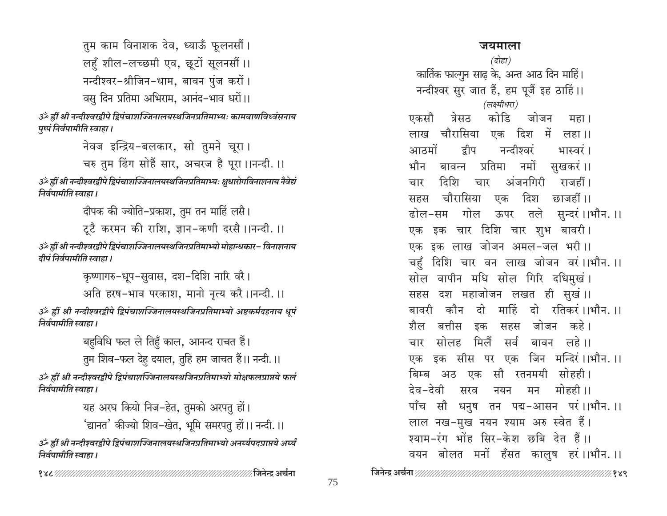तुम काम विनाशक देव, ध्याऊँ फूलनसौं । लहुँ शील-लच्छमी एव, छूटों सूलनसौं ।। नन्दीश्वर-श्रीजिन-धाम, बावन पुंज करों । वसु दिन प्रतिमा अभिराम, आनंद-भाव धरों।।

ॐ ह्रीं श्री नन्दीश्वरद्वीपे द्विपंचाशज्जिनालयस्थजिनप्रतिमाभ्यः कामबाणविध्वंसनाय पुष्पं निर्वपामीति स्वाहा।

नेवज इन्द्रिय-बलकार, सो तुमने चूरा। चरु तुम ढिंग सोहैं सार, अचरज है पूरा।।नन्दी.।। उँ हीं श्री नन्दीश्वरद्वीपे द्विपंचाशज्जिनालयस्थजिनप्रतिमाभ्यः क्षुधारोगविनाशनाय नैवेद्यं

निर्वपामीति स्वाहा । दीपक की ज्योति-प्रकाश, तुम तन माहिं लसै।

टूटै करमन की राशि, ज्ञान-कणी दरसै ।।नन्दी. ।।

ॐ ह्रीं श्री नन्दीश्वरद्वीपे द्विपंचाशज्जिनालयस्थजिनप्रतिमाभ्यो मोहान्धकार- विनाशनाय दीपं निर्वपामीति स्वाहा ।

> कृष्णागरु-धूप-सुवास, दश-दिशि नारि वरै। अति हरष-भाव परकाश, मानो नृत्य करै।।नन्दी.।।

ॐ ह्रीं श्री नन्दीश्वरद्वीपे द्विपंचाशज्जिनालयस्थजिनप्रतिमाभ्यो अष्टकर्मदहनाय धूपं निर्वपामीति स्वाहा ।

> बहुविधि फल ले तिहुँ काल, आनन्द राचत हैं। तुम शिव-फल देहु दयाल, तुहि हम जाचत हैं।। नन्दी.।।

ॐ ह्रीं श्री नन्दीश्वरद्वीपे द्विपंचाशज्जिनालयस्थजिनप्रतिमाभ्यो मोक्षफलप्राप्तये फलं निर्वपामीति स्वाहा ।

> यह अरघ कियो निज-हेत, तुमको अरपतु हों। 'द्यानत' कीज्यो शिव–खेत, भूमि समरपतु हों।। नन्दी.।।

ॐ ह्रीं श्री नन्दीश्वरद्वीपे द्विपंचाशज्जिनालयस्थजिनप्रतिमाभ्यो अनर्घ्यपदप्राप्तये अर्घ्यं निर्वपामीति स्वाहा ।

# जयमाला

(दोहा) कार्तिक फाल्गुन साढ के, अन्त आठ दिन माहिं। नन्दीश्वर सुर जात हैं, हम पूजैं इह ठाहिं।। (लक्ष्मीधरा) एकसौ कोडि त्रेसठ जोजन महा । लाख चौरासिया दिश में एक लहा ।। आठमों द्रीप नन्दीञ्चरं भास्वरं । बावन्न प्रतिमा नमों भौन सुखकरं ।। दिशि अंजनगिरी राजहीं । चार चार चौरासिया दिश एक छाजहीं ।। सहस ढोल-सम गोल ऊपर तले सुन्दरं।।भौन.।। एक इक चार दिशि चार शुभ बावरी। एक इक लाख जोजन अमल-जल भरी।। चहँ दिशि चार वन लाख जोजन वरं।।भौन.।। सोल वापीन मधि सोल गिरि दधिमुखं। सहस दश महाजोजन लखत ही सुखं।। बावरी कौन दो माहिं दो रतिकरं।।भौन.।। शैल बत्तीस सहस जोजन कहे। डक सोलह मिलैं सर्व बावन लहे।। चार एक इक सीस पर एक जिन मन्दिरं।।भौन.।। बिम्ब अठ एक सौ रतनमयी सोहही। <u> ਫੇਕ–ਫੇ</u>ਕੀ मोहन्नी ।। सरव नयन मन पाँच सौ धनुष तन पद्म-आसन परं।।भौन.।। लाल नख-मुख नयन श्याम अरु स्वेत हैं। श्याम-रंग भोंह सिर-केश छबि देत हैं।। वयन बोलत मनों हँसत कालुष हरं।।भौन.।।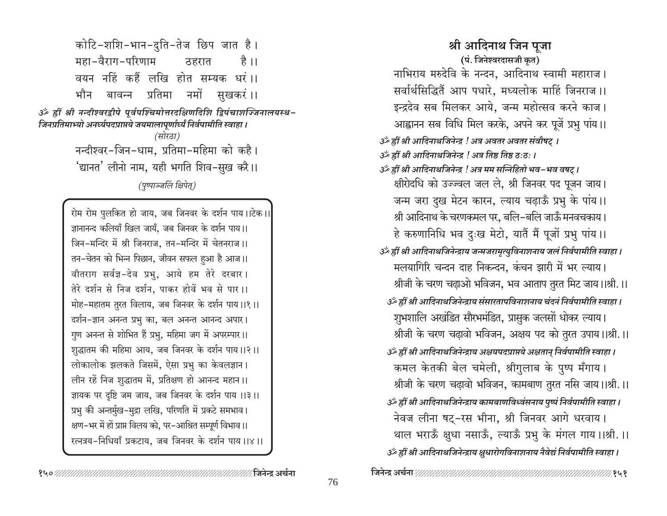कोटि-शशि-भान-दुति-तेज छिप जात है। महा-वैराग-परिणाम है ।। ठहरात वयन नहिं कहैं लखि होत सम्यक धरं।। भौन बावन्न प्रतिमा नमों सुखकरं।। ॐ ह्रीं श्री नन्दीश्वरद्वीपे पूर्वपश्चिमोत्तरदक्षिणदिशि द्विपंचाशज्जिनालयस्थ-जिनप्रतिमाभ्यो अनर्घ्यपदप्राप्तये जयमालापूर्णार्ध्यं निर्वपामीति स्वाहा । (सोरठा) नन्दीश्वर-जिन-धाम, प्रतिमा-महिमा को कहै। 'द्यानत' लीनो नाम, यही भगति शिव-सुख करै।। (पृष्पाञ्जलिं क्षिपेत्)

> रोम रोम पुलकित हो जाय, जब जिनवर के दर्शन पाय।।टेक।। ज्ञानानन्द कलियाँ खिल जायँ, जब जिनवर के दर्शन पाय।। जिन-मन्दिर में श्री जिनराज, तन-मन्दिर में चेतनराज।। तन-चेतन को भिन्न पिछान, जीवन सफल हुआ है आज।। वीतराग सर्वज्ञ-देव प्रभु, आये हम तेरे दरबार। तेरे दर्शन से निज दर्शन, पाकर होवें भव से पार।। मोह-महातम तुरत विलाय, जब जिनवर के दर्शन पाय।।१।। दर्शन-ज्ञान अनन्त प्रभु का, बल अनन्त आनन्द अपार। गुण अनन्त से शोभित हैं प्रभु, महिमा जग में अपरम्पार।। शुद्धातम की महिमा आय, जब जिनवर के दर्शन पाय।।२।। लोकालोक झलकते जिसमें, ऐसा प्रभु का केवलज्ञान। लीन रहें निज शुद्धातम में, प्रतिक्षण हो आनन्द महान ।। ज्ञायक पर दृष्टि जम जाय, जब जिनवर के दर्शन पाय ।।३।। प्रभु की अन्तर्मुख-मुद्रा लखि, परिणति में प्रकटे समभाव। क्षण-भर में हों प्राप्त विलय को. पर-आश्रित सम्पूर्ण विभाव।। रत्नत्रय-निधियाँ प्रकटाय, जब जिनवर के दर्शन पाय ।।४।।

श्री आदिनाथ जिन पुजा (पं. जिनेश्वरदासजी कृत)

नाभिराय मरुदेवि के नन्दन, आदिनाथ स्वामी महाराज। सर्वार्थसिद्धितैं आप पधारे. मध्यलोक माहिं जिनराज ।। इन्द्रदेव सब मिलकर आये, जन्म महोत्सव करने काज। आह्वानन सब विधि मिल करके, अपने कर पूजें प्रभु पांय।। उर्क हीं श्री आदिनाथजिनेन्द्र ! अत्र अवतर अवतर संवौषट् । उर्क हीं श्री आदिनाथजिनेन्द्र ! अत्र तिष्ठ तिष्ठ ठ:ठ: । उँ ह्रीं श्री आदिनाथजिनेन्द्र ! अत्र मम सन्निहितो भव-भव वषट् । क्षीरोदधि को उज्ज्वल जल ले, श्री जिनवर पद पूजन जाय। जन्म जरा दुख मेटन कारन, ल्याय चढ़ाऊँ प्रभु के पांय।। श्री आदिनाथ के चरणकमल पर, बलि-बलि जाऊँ मनवचकाय। हे करुणानिधि भव दुःख मेटो, यातैं मैं पूजों प्रभु पांय ।। उँ ह्रीं श्री आदिनाथजिनेन्द्राय जन्मजरामृत्युविनाशनाय जलं निर्वपामीति स्वाहा । मलयागिरि चन्दन दाह निकन्दन, कंचन झारी में भर ल्याय। श्रीजी के चरण चढ़ाओ भविजन, भव आताप तुरत मिट जाय।।श्री.।। उँ ह्रीं श्री आदिनाथजिनेन्द्राय संसारतापविनाशनाय चंदनं निर्वपामीति स्वाहा। शुभशालि अखंडित सौरभमंडित, प्रासुक जलसों धोकर ल्याय। श्रीजी के चरण चढ़ावो भविजन, अक्षय पद को तुरत उपाय।।श्री.।। उँ ह्रीं श्री आदिनाथजिनेन्द्राय अक्षयपदप्राप्तये अक्षतान् निर्वपामीति स्वाहा । कमल केतकी बेल चमेली, श्रीगुलाब के पुष्प मँगाय। श्रीजी के चरण चढावो भविजन, कामबाण तुरत नसि जाय।।श्री.।। उँ ह्रीं श्री आदिनाथजिनेन्द्राय कामबाणविध्वंसनाय पुष्पं निर्वपामीति स्वाहा। नेवज लीना षट्-रस भीना, श्री जिनवर आगे धरवाय। थाल भराऊँ क्षुधा नसाऊँ, ल्याऊँ प्रभु के मंगल गाय।।श्री.।। उँ ह्रीं श्री आदिनाथजिनेन्द्राय क्षुधारोगविनाशनाय नैवेद्यं निर्वपामीति स्वाहा ।

∕ जिनेन्द्र अर्चना %१५१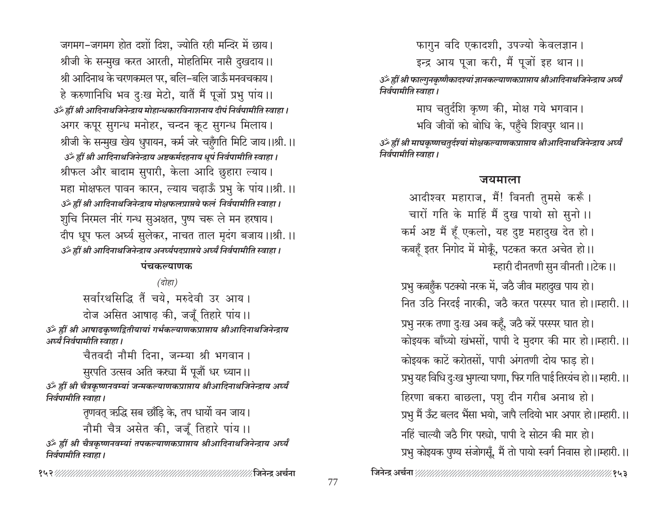जगमग-जगमग होत दशों दिश. ज्योति रही मन्दिर में छाय। श्रीजी के सन्मुख करत आरती, मोहतिमिर नासै दुखदाय।। श्री आदिनाथ के चरणकमल पर, बलि-बलि जाऊँ मनवचकाय। हे करुणानिधि भव दुःख मेटो, यातैं मैं पूजों प्रभु पांय ।। उँ ह्रीं श्री आदिनाथजिनेन्द्राय मोहान्धकारविनाशनाय दीपं निर्वपामीति स्वाहा। अगर कपूर सुगन्ध मनोहर, चन्दन कूट सुगन्ध मिलाय। श्रीजी के सन्मुख खेय धुपायन, कर्म जरे चहुँगति मिटि जाय।।श्री.।। उॅं ह्रीं श्री आदिनाथजिनेन्द्राय अष्टकर्मदहनाय धुपं निर्वपामीति स्वाहा। श्रीफल और बादाम सुपारी, केला आदि छुहारा ल्याय। महा मोक्षफल पावन कारन, ल्याय चढ़ाऊँ प्रभु के पांय।।श्री.।। उँ ह्रीं श्री आदिनाथजिनेन्द्राय मोक्षफलप्राप्तये फलं निर्वपामीति स्वाहा। शुचि निरमल नीरं गन्ध सुअक्षत, पुष्प चरू ले मन हरषाय। दीप धूप फल अर्घ्य सुलेकर, नाचत ताल मृदंग बजाय।।श्री.।। उँ ह्रीं श्री आदिनाथजिनेन्द्राय अनर्घ्यपदप्राप्तये अर्घ्यं निर्वपामीति स्वाहा ।

### पंचकल्याणक

(दोहा)

सर्वारथसिद्धि तैं चये, मरुदेवी उर आय।

दोज असित आषाढ की, जजूँ तिहारे पांय।। ॐ ह्रीं श्री आषाढकृष्णद्वितीयायां गर्भकल्याणकप्राप्ताय श्रीआदिनाथजिनेन्द्राय अर्घ्यं निर्वपामीति स्वाहा ।

चैतवदी नौमी दिना, जन्म्या श्री भगवान।

सुरपति उत्सव अति कस्या मैं पूजौं धर ध्यान।। ॐ ह्रीं श्री चैत्रकृष्णनवम्यां जन्मकल्याणकप्राप्ताय श्रीआदिनाथजिनेन्द्राय अर्घ्यं निर्वपामीति स्वाहा ।

> तुणवत् ऋद्धि सब छाँडि के, तप धार्यो वन जाय। नौमी चैत्र असेत की, जजूँ तिहारे पांय ।।

ॐ ह्रीं श्री चैत्रकृष्णनवम्यां तपकल्याणकप्राप्ताय श्रीआदिनाथजिनेन्द्राय अर्घ्यं निर्वपामीति स्वाहा ।

फागुन वदि एकादशी, उपज्यो केवलज्ञान।

इन्द्र आय पूजा करी, मैं पूजों इह थान।।

ॐ ह्रीं श्री फाल्गुनकृष्णैकादश्यां ज्ञानकल्याणकप्राप्ताय श्रीआदिनाथजिनेन्द्राय अर्घ्यं निर्वपामीति स्वाहा ।

# माघ चतुर्दशि कृष्ण की, मोक्ष गये भगवान। भवि जीवों को बोधि के, पहुँचे शिवपुर थान।।

ॐ ह्रीं श्री माघकृष्णचतुर्दश्यां मोक्षकल्याणकप्राप्ताय श्रीआदिनाथजिनेन्द्राय अर्घ्यं निर्वपामीति स्वाहा ।

## जयमाला

आदीश्वर महाराज, मैं! विनती तुमसे करूँ। चारों गति के माहिं मैं दुख पायो सो सुनो ।। कर्म अष्ट मैं हूँ एकलो, यह दुष्ट महादुख देत हो। कबहूँ इतर निगोद में मोकूँ, पटकत करत अचेत हो।। म्हारी दीनतणी सुन वीनती।।टेक।।

प्रभु कबहँक पटक्यो नरक में, जठै जीव महादुख पाय हो। नित उठि निरदई नारकी, जठै करत परस्पर घात हो।।म्हारी.।। प्रभु नरक तणा दुःख अब कहूँ, जठै करें परस्पर घात हो। कोइयक बाँध्यो खंभसों, पापी दे मुदगर की मार हो।।म्हारी.।। कोइयक काटें करोतसों, पापी अंगतणी दोय फाड हो। प्रभु यह विधि दुःख भुगत्या घणा, फिर गति पाई तिरयंच हो।। म्हारी.।। हिरणा बकरा बाछला, पशु दीन गरीब अनाथ हो। प्रभु मैं ऊँट बलद भैंसा भयो, जापै लदियो भार अपार हो।।म्हारी.।। नहिं चाल्यौ जठै गिर पस्त्रो. पापी दे सोटन की मार हो। प्रभु कोइयक पुण्य संजोगसूँ, मैं तो पायो स्वर्ग निवास हो।।म्हारी.।।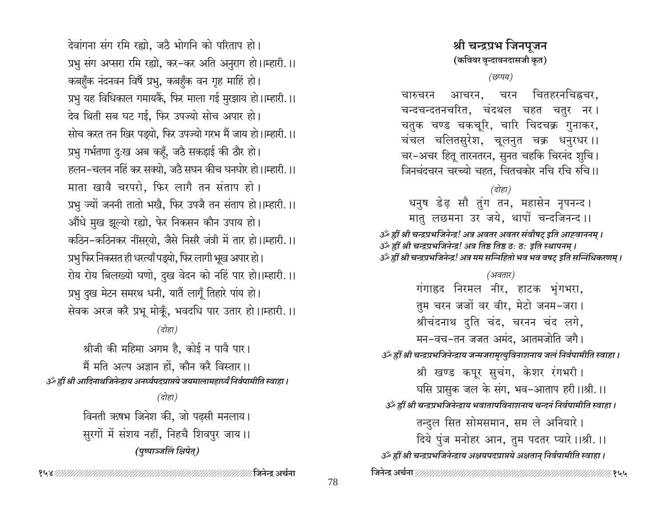देवांगना संग रमि रह्यो, जठै भोगनि को परिताप हो। प्रभु संग अप्सरा रमि रह्यो, कर-कर अति अनुराग हो।।म्हारी.।। कबहुँक नंदनवन विषैं प्रभु, कबहुँक वन गृह माहिं हो। प्रभु यह विधिकाल गमायकैं, फिर माला गई मुरझाय हो।।म्हारी.।। देव थिती सब घट गई, फिर उपज्यो सोच अपार हो। सोच करत तन खिर पड़्यो, फिर उपज्यो गरभ मैं जाय हो।।म्हारी.।। प्रभु गर्भतणा दुःख अब कहँ, जठै सकड़ाई की ठौर हो। हलन–चलन नहिं कर सक्यो, जठै सघन कीच घनघोर हो।।म्हारी.।। माता खावै चरपरो, फिर लागै तन संताप हो। प्रभु ज्यों जननी तातो भखै, फिर उपजै तन संताप हो।।म्हारी.।। औंधे मुख झूल्यो रह्यो, फेर निकसन कौन उपाय हो। कठिन-कठिनकर नींसर्यो, जैसे निसरै जंत्री में तार हो।।म्हारी.।। प्रभु फिर निकसत ही धरत्याँ पड्यो, फिर लागी भूख अपार हो। रोय रोय बिलख्यो घणो, दुख वेदन को नहिं पार हो।।म्हारी.।। प्रभु दुख मेटन समरथ धनी, यातैं लागूँ तिहारे पांय हो। सेवक अरज करै प्रभू मोकूँ, भवदधि पार उतार हो।।म्हारी.।।

(दोहा) श्रीजी की महिमा अगम है, कोई न पावै पार।

मैं मति अल्प अज्ञान हों, कौन करै विस्तार।। उँ ह्रीं श्री आदिनाथजिनेन्द्राय अनर्घ्यपद्रप्राप्तये जयमालामहार्घ्यं निर्वपामीति स्वाहा ।

> (दोहा) विनती ऋषभ जिनेश की, जो पढसी मनलाय। सुरगों में संशय नहीं, निहुचै शिवपुर जाय।। (पुष्पाञ्जलिं क्षिपेत्)

# श्री चन्द्रप्रभ जिनपुजन (कविवर वृन्दावनदासजी कृत)

### (छप्पय)

चितहरनचिह्नचर. चारुचरन आचरन, चरन चन्दचन्दतनचरित, चंदथल चहत चतुर नर। चतुक चण्ड चकचूरि, चारि चिदचक्र गुनाकर, चंचल चलितसुरेश, चूलनुत चक्र धनुरधर।। चर-अचर हितू तारनतरन, सुनत चहकि चिरनंद शुचि। जिनचंदचरन चरच्यो चहत, चितचकोर नचि रचि रुचि ।।

(दोहा) धनुष डेढ़ सौ तुंग तन, महासेन नृपनन्द। मात लछमना उर जये, थापों चन्दजिनन्द।।

उँ ह्रीं श्री चन्द्रप्रभजिनेन्द्र! अत्र अवतर अवतर संवौषट् इति आह्वाननम् । उँ हीं श्री चन्द्रप्रभजिनेन्द्र! अत्र तिष्ठ तिष्ठ ठ: ठ: इति स्थापनम् । उँ ह्रीं श्री चन्द्रप्रभजिनेन्द्र! अत्र मम सन्निहितो भव भव वषट् इति सन्निधिकरणम् ।

(अवतार) गंगाह्रद निरमल नीर, हाटक भूंगभरा, तुम चरन जजों वर वीर, मेटो जनम-जरा। श्रीचंदनाथ दुति चंद, चरनन चंद लगे, मन-वच-तन जजत अमंद, आतमजोति जगै। उॅथ्हीं श्री चन्द्रप्रभजिनेन्द्राय जन्मजरामृत्युविनाशनाय जलं निर्वपामीति स्वाहा । श्री खण्ड कपूर सुचंग, केशर रंगभरी। घसि प्रासुक जल के संग, भव-आताप हरी।।श्री.।। उॅं ह्रीं श्री चन्द्रप्रभजिनेन्द्राय भवातापविनाशनाय चन्दनं निर्वपामीति स्वाहा । तन्दुल सित सोमसमान, सम ले अनियारे। दिये पुंज मनोहर आन, तुम पदतर प्यारे ।।श्री. ।। उँ ह्रीं श्री चन्द्रप्रभजिनेन्द्राय अक्षयपदप्राप्तये अक्षतान् निर्वपामीति स्वाहा ।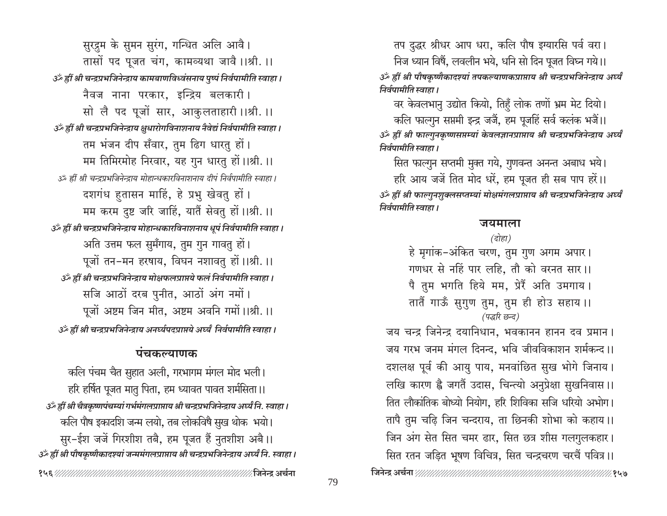सुरद्रुम के सुमन सुरंग, गन्धित अलि आवै। तासों पद पूजत चंग, कामव्यथा जावै ।।श्री. ।। उँ ह्रीं श्री चन्द्रप्रभजिनेन्द्राय कामबाणविध्वंसनाय पुष्पं निर्वपामीति स्वाहा। नैवज नाना परकार, इन्द्रिय बलकारी। सो लै पद पूजों सार, आकुलताहारी ।।श्री. ।। उँ ह्रीं श्री चन्द्रप्रभजिनेन्द्राय क्षुधारोगविनाशनाय नैवेद्यं निर्वपामीति स्वाहा । तम भंजन दीप सँवार, तुम ढिग धारतु हों। मम तिमिरमोह निरवार, यह गुन धारतु हों।।श्री.।। उऊँ ह्रीं श्री चन्द्रप्रभजिनेन्द्राय मोहान्धकारविनाशनाय दीपं निर्वपामीति स्वाहा । दशगंध हुतासन माहिं, हे प्रभु खेवतु हों। मम करम दुष्ट जरि जाहिं, यातैं सेवतु हों।।श्री.।। उँ ह्रीं श्री चन्द्रप्रभजिनेन्द्राय मोहान्धकारविनाशनाय धूपं निर्वपामीति स्वाहा। अति उत्तम फल सुमँगाय, तुम गुन गावतु हों। पूजों तन-मन हरषाय, विघन नशावतु हों।।श्री.।। उँ ह्रीं श्री चन्द्रप्रभजिनेन्द्राय मोक्षफलप्राप्तये फलं निर्वपामीति स्वाहा । सजि आठों दरब पुनीत, आठों अंग नमों। पूजों अष्टम जिन मीत, अष्टम अवनि गमों।।श्री.।। उँ ह्रीं श्री चन्द्रप्रभजिनेन्द्राय अनर्घ्यपदप्राप्तये अर्घ्यं निर्वपामीति स्वाहा ।

# पंचकल्याणक

कलि पंचम चैत सुहात अली, गरभागम मंगल मोद भली। हरि हर्षित पूजत मातु पिता, हम ध्यावत पावत शर्मसिता ।। उँ हीं श्री चैत्रकृष्णपंचम्यां गर्भमंगलप्राप्ताय श्री चन्द्रप्रभजिनेन्द्राय अर्घ्यं नि. स्वाहा । कलि पौष इकादशि जन्म लयो, तब लोकविषै सुख थोक भयो। सुर-ईश जजें गिरशीश तबै, हम पूजत हैं नुतशीश अबै।। उँ ह्रीं श्री पौषकृष्णैकादश्यां जन्ममंगलप्राप्ताय श्री चन्द्रप्रभजिनेन्द्राय अर्घ्यं नि. स्वाहा ।  तप दुद्धर श्रीधर आप धरा, कलि पौष इग्यारसि पर्व वरा।

निज ध्यान विषैं, लवलीन भये, धनि सो दिन पूजत विघ्न गये।। ॐ ह्रीं श्री पौषकृष्णैकादश्यां तपकल्याणकप्राप्ताय श्री चन्द्रप्रभजिनेन्द्राय अर्घ्यं निर्वपामीति स्वाहा।

वर केवलभानु उद्योत कियो, तिहुँ लोक तणों भ्रम मेट दियो।

कलि फाल्गुन सप्तमी इन्द्र जजैं, हम पूजहिं सर्व कलंक भजैं।। ॐ ह्रीं श्री फाल्गुनकृष्णसप्तम्यां केवलज्ञानप्राप्ताय श्री चन्द्रप्रभजिनेन्द्राय अर्घ्यं निर्वपामीति स्वाहा ।

सित फाल्गुन सप्तमी मुक्त गये, गुणवन्त अनन्त अबाध भये।

हरि आय जर्जे तित मोद धरें, हम पूजत ही सब पाप हरें।। ॐ ह्रीं श्री फाल्गुनशुक्लसप्तम्यां मोक्षमंगलप्राप्ताय श्री चन्द्रप्रभजिनेन्द्राय अर्घ्यं निर्वपामीति स्वाहा ।

### जयमाला

 $\overline{G}$ होहा)

हे मृगांक-अंकित चरण, तुम गुण अगम अपार। गणधर से नहिं पार लहि, तौ को वरनत सार।। पै तुम भगति हिये मम, प्रेरैं अति उमगाय। तातैं गाऊँ सुगुण तुम, तुम ही होउ सहाय ।। (पद्धरि छन्द)

जय चन्द्र जिनेन्द्र दयानिधान, भवकानन हानन दव प्रमान। जय गरभ जनम मंगल दिनन्द, भवि जीवविकाशन शर्मकन्द।। दशलक्ष पूर्व की आयु पाय, मनवांछित सुख भोगे जिनाय। लखि कारण ह्वै जगतैं उदास, चिन्त्यो अनुप्रेक्षा सुखनिवास ।। तित लौकांतिक बोध्यो नियोग, हरि शिविका सजि धरियो अभोग। तापै तुम चढ़ि जिन चन्दराय, ता छिनकी शोभा को कहाय।। जिन अंग सेत सित चमर ढार, सित छत्र शीस गलगुलकहार। सित रतन जड़ित भूषण विचित्र, सित चन्द्रचरण चरचैं पवित्र।।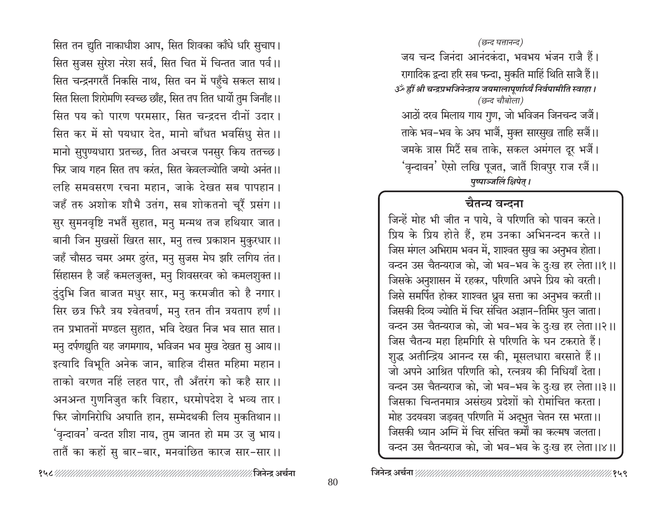जिनेन्द्र अर्चना*ः सामानानानानानानानानानानानानानानान* 

सित तन द्युति नाकाधीश आप, सित शिवका काँधे धरि सुचाप। सित सुजस सुरेश नरेश सर्व, सित चित में चिन्तत जात पर्व।। सित चन्द्रनगरतैं निकसि नाथ, सित वन में पहुँचे सकल साथ। सित सिला शिरोमणि स्वच्छ छाँह, सित तप तित धार्यो तुम जिनाँह।। सित पय को पारण परमसार, सित चन्द्रदत्त दीनों उदार। सित कर में सो पयधार देत, मानो बाँधत भवसिंधु सेत ।। मानो सुपुण्यधारा प्रतच्छ, तित अचरज पनसुर किय ततच्छ। फिर जाय गहन सित तप करंत, सित केवलज्योति जग्यो अनंत ।। लहि समवसरण रचना महान, जाके देखत सब पापहान। जहँ तरु अशोक शौभै उतंग, सब शोकतनो चूरैं प्रसंग।। सुर सुमनवृष्टि नभतैं सुहात, मनु मन्मथ तज हथियार जात। बानी जिन मुखसों खिरत सार, मनु तत्त्व प्रकाशन मुकुरधार।। जहँ चौसठ चमर अमर ढुरंत, मनु सुजस मेघ झरि लगिय तंत। सिंहासन है जहँ कमलजुक्त, मनु शिवसरवर को कमलशुक्त ।। दुंदुभि जित बाजत मधुर सार, मनु करमजीत को है नगार। सिर छत्र फिरै त्रय श्वेतवर्ण, मनु रतन तीन त्रयताप हर्ण ।। तन प्रभातनों मण्डल सुहात, भवि देखत निज भव सात सात। मनु दर्पणद्युति यह जगमगाय, भविजन भव मुख देखत सु आय।। इत्यादि विभूति अनेक जान, बाहिज दीसत महिमा महान। ताको वरणत नहिं लहत पार, तौ अँतरंग को कहै सार।। अनअन्त गुणनिजुत करि विहार, धरमोपदेश दे भव्य तार। फिर जोगनिरोधि अघाति हान, सम्मेदथकी लिय मुकतिथान।। 'वृन्दावन' वन्दत शीश नाय, तुम जानत हो मम उर जु भाय। तातैं का कहों सु बार-बार, मनवांछित कारज सार-सार।।

जय चन्द जिनंदा आनंदकंदा, भवभय भंजन राजै हैं। रागादिक द्वन्दा हरि सब फन्दा, मुकति माहिं थिति साजै हैं।। उँ ह्रीं श्री चन्द्रप्रभजिनेन्द्राय जयमालापूर्णार्ध्यं निर्वपामीति स्वाहा। (छन्द चौबोला)

आठों दरव मिलाय गाय गुण, जो भविजन जिनचन्द जजैं। ताके भव–भव के अघ भाजैं, मुक्त सारसुख ताहि सजैं।। जमके त्रास मिटैं सब ताके, सकल अमंगल दूर भजैं। 'वृन्दावन' ऐसो लखि पूजत, जातैं शिवपुर राज रजैं।। पृष्पाञ्जलिं क्षिपेत् ।

# चैतन्य वन्दना

जिन्हें मोह भी जीत न पाये, वे परिणति को पावन करते। प्रिय के प्रिय होते हैं, हम उनका अभिनन्दन करते ।। जिस मंगल अभिराम भवन में, शाश्वत सुख का अनुभव होता। वन्दन उस चैतन्यराज को, जो भव–भव के दुःख हर लेता।।१।। जिसके अनुशासन में रहकर, परिणति अपने प्रिय को वरती। जिसे समर्पित होकर शाश्वत ध्रुव सत्ता का अनुभव करती।। जिसकी दिव्य ज्योति में चिर संचित अज्ञान-तिमिर घुल जाता। वन्दन उस चैतन्यराज को, जो भव–भव के दुःख हर लेता।।२।। जिस चैतन्य महा हिमगिरि से परिणति के घन टकराते हैं। शुद्ध अतीन्द्रिय आनन्द रस की, मूसलधारा बरसाते हैं।। जो अपने आश्रित परिणति को, रत्नत्रय की निधियाँ देता। वन्दन उस चैतन्यराज को, जो भव–भव के दुःख हर लेता।।३।। जिसका चिन्तनमात्र असंख्य प्रदेशों को रोमांचित करता। मोह उदयवश जड़वत् परिणति में अद्भुत चेतन रस भरता।। जिसकी ध्यान अग्नि में चिर संचित कर्मों का कल्मष जलता। वन्दन उस चैतन्यराज को, जो भव–भव के दुःख हर लेता।।४।।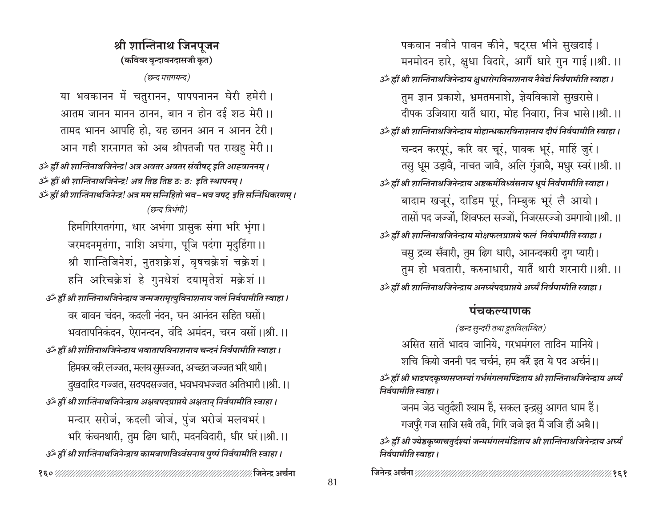श्री शान्तिनाथ जिनपुजन (कविवर वृन्दावनदासजी कृत) (छन्द मत्तगयन्द) या भवकानन में चतुरानन, पापपनानन घेरी हमेरी। आतम जानन मानन ठानन, बान न होन दई शठ मेरी ।। तामद भानन आपहि हो, यह छानन आन न आनन टेरी। आन गही शरनागत को अब श्रीपतजी पत राखह मेरी।। उँ ह्रीं श्री शान्तिनाथजिनेन्द्र! अत्र अवतर अवतर संवौषट् इति आह्वाननम् । उर्क ह्रीं श्री शान्तिनाथजिनेन्द्र! अत्र तिष्ठ तिष्ठ ठ: ठ: इति स्थापनम् । उँ ह्रीं श्री शान्तिनाथजिनेन्द्र! अत्र मम सन्निहितो भव-भव वषट् इति सन्निधिकरणम् । (छन्द त्रिभंगी) हिमगिरिगतगंगा, धार अभंगा प्रासुक संगा भरि भृंगा। जरमदनमृतंगा, नाशि अघंगा, पूजि पदंगा मृदुहिंगा।। श्री शान्तिजिनेशं, नुतशक्रेशं, वृषचक्रेशं चक्रेशं । हनि अरिचक्रेशं हे गुनधेशं दयामृतेशं मक्रेशं ।। र्ॐ ह्रीं श्री शान्तिनाथजिनेन्द्राय जन्मजरामृत्युविनाशनाय जलं निर्वपामीति स्वाहा । वर बावन चंदन, कदली नंदन, घन आनंदन सहित घसों। भवतापनिकंदन, ऐरानन्दन, वंदि अमंदन, चरन वसों ।।श्री. ।। उॅं ह्रीं श्री शांतिनाथजिनेन्द्राय भवातापविनाशनाय चन्दनं निर्वपामीति स्वाहा । हिमकर करि लज्जत, मलय सुसज्जत, अच्छत जज्जत भरि थारी। ्दुखदारिद गज्जत, सदपदसज्जत, भवभयभज्जत अतिभारी।।श्री.।। उॅं ह्रीं श्री शान्तिनाथजिनेन्द्राय अक्षयपदप्राप्तये अक्षतान् निर्वपामीति स्वाहा । मन्दार सरोज, कदली जोज, पुंज भरोज मलयभरं। भरि कंचनथारी, तुम ढिग धारी, मदनविदारी, धीर धरं।।श्री.।। उँ ह्रीं श्री शान्तिनाथजिनेन्द्राय कामबाणविध्वंसनाय पुष्पं निर्वपामीति स्वाहा । 

पकवान नवीने पावन कीने, षट्रस भीने सुखदाई। मनमोदन हारे, क्षुधा विदारे, आगैं धारे गुन गाई।।श्री.।। उँ ह्रीं श्री शान्तिनाथजिनेन्द्राय क्षुधारोगविनाशनाय नैवेद्यं निर्वपामीति स्वाहा । तुम ज्ञान प्रकाशे, भ्रमतमनाशे, ज्ञेयविकाशे सुखरासे। दीपक उजियारा यातैं धारा, मोह निवारा, निज भासे।।श्री.।। उॅथ्हीं श्री शान्तिनाथजिनेन्द्राय मोहान्धकारविनाशनाय दीपं निर्वपामीति स्वाहा। चन्दन करपूरं, करि वर चूरं, पावक भूरं, माहिं जुरं। तसु धूम उड़ावै, नाचत जावै, अलि गुंजावै, मधुर स्वरं।।श्री.।। उॅं ह्रीं श्री शान्तिनाथजिनेन्द्राय अष्टकर्मविध्वंसनाय धुपं निर्वपामीति स्वाहा । बादाम खजूरं, दाडिम पूरं, निम्बुक भूरं लै आयो। तासों पद जज्जों, शिवफल सज्जों, निजरसरज्जो उमगायो।।श्री.।। उँ ह्रीं श्री शान्तिनाथजिनेन्द्राय मोक्षफलप्राप्तये फलं निर्वपामीति स्वाहा । वसु द्रव्य सँवारी, तुम ढिग धारी, आनन्दकारी दृग प्यारी। तुम हो भवतारी, करुनाधारी, यातैं थारी शरनारी ।।श्री. ।। उॅथ्हीं श्री शान्तिनाथजिनेन्द्राय अनर्घ्यपदप्राप्तये अर्घ्यं निर्वपामीति स्वाहा ।

# पंचकल्याणक

(छन्द सुन्दरी तथा द्रुतविलम्बित) असित सातें भादव जानिये, गरभमंगल तादिन मानिये। शचि कियो जननी पद चर्चनं, हम करैं इत ये पद अर्चनं।।

ॐ ह्रीं श्री भाद्रपदकृष्णसप्तम्यां गर्भमंगलमण्डिताय श्री शान्तिनाथजिनेन्द्राय अर्घ्यं निर्वपामीति स्वाहा ।

जनम जेठ चतुर्दशी श्याम हैं, सकल इन्द्रसु आगत धाम हैं। गजपुरै गज साजि सबै तबै, गिरि जजे इत मैं जजि हों अबै।। ॐ ह्रीं श्री ज्येष्ठकृष्णचतुर्दश्यां जन्ममंगलमंडिताय श्री शान्तिनाथजिनेन्द्राय अर्घ्यं निर्वपामीति स्वाहा ।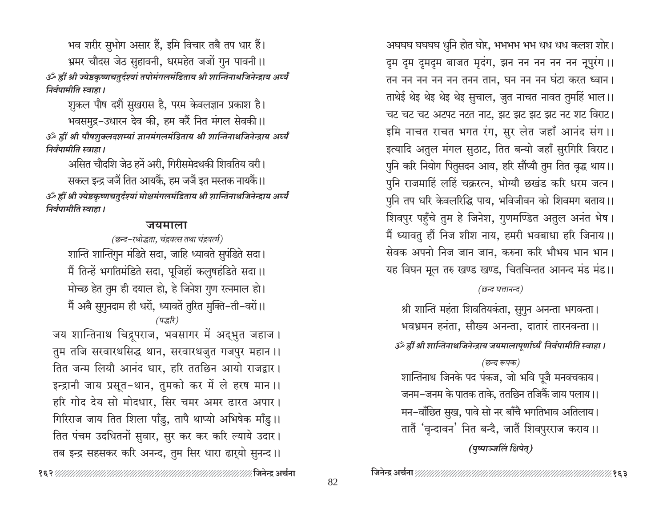भव शरीर सुभोग असार हैं, इमि विचार तबै तप धार हैं। भ्रमर चौदस जेठ सुहावनी, धरमहेत जजों गुन पावनी।। ॐ ह्रीं श्री ज्येष्ठकृष्णचतुर्दश्यां तपोमंगलमंडिताय श्री शान्तिनाथजिनेन्द्राय अर्घ्यं निर्वपामीति स्वाहा ।

शुकल पौष दशैं सुखरास है, परम केवलज्ञान प्रकाश है। भवसमुद्र-उधारन देव की, हम करैं नित मंगल सेवकी।। ॐ ह्रीं श्री पौषशुक्लदशम्यां ज्ञानमंगलमंडिताय श्री शान्तिनाथजिनेन्द्राय अर्घ्यं निर्वपामीति स्वाहा ।

असित चौदशि जेठ हनें अरी, गिरीसमेदथकी शिवतिय वरी। सकल इन्द्र जजैं तित आयकैं, हम जजैं इत मस्तक नायकैं।। ॐ ह्रीं श्री ज्येष्ठकृष्णचतुर्दश्यां मोक्षमंगलमंडिताय श्री शान्तिनाथजिनेन्द्राय अर्घ्यं निर्वपामीति स्वाहा ।

### जयमाला

(छन्द-रथोद्धता, चंद्रवत्स तथा चंद्रवर्त्म) शान्ति शान्तिगुन मंडिते सदा, जाहि ध्यावते सुपंडिते सदा। मैं तिन्हें भगतिमंडिते सदा, पूजिहों कलुषहंडिते सदा।। मोच्छ हेत तुम ही दयाल हो, हे जिनेश गुण रत्नमाल हो। मैं अबै सुगुनदाम ही धरों, ध्यावतें तुरित मुक्ति-ती-वरों।। (पद्धरि)

जय शान्तिनाथ चिद्रपराज, भवसागर में अद्भुत जहाज। तुम तजि सरवारथसिद्ध थान, सरवारथजुत गजपुर महान ।। तित जन्म लियौ आनंद धार. हरि ततछिन आयो राजद्वार। इन्द्रानी जाय प्रसूत-थान, तुमको कर में ले हरष मान ।। हरि गोद देय सो मोदधार, सिर चमर अमर ढारत अपार। गिरिराज जाय तित शिला पाँडु, तापै थाप्यो अभिषेक माँडु।। तित पंचम उदधितनों सुवार, सुर कर कर करि ल्याये उदार। तब इन्द्र सहसकर करि अनन्द, तुम सिर धारा ढारुयो सुनन्द।।

अघघघ घघघघ धुनि होत घोर, भभभभ भभ धध धध कलश शोर। दूम दूम दूमदूम बाजत मृदंग, झन नन नन नन नन नूपुरंग ।। तन नन नन नन नन तनन तान, घन नन नन घंटा करत ध्वान। ताथेई थेइ थेइ थेइ थेइ सुचाल, जुत नाचत नावत तुमहिं भाल।। चट चट चट अटपट नटत नाट, झट झट झट झट नट शट विराट। इमि नाचत राचत भगत रंग, सुर लेत जहाँ आनंद संग ।। इत्यादि अतुल मंगल सुठाट, तित बन्यो जहाँ सुरगिरि विराट। पुनि करि नियोग पितुसदन आय, हरि सौंप्यौ तुम तित वृद्ध थाय।। पुनि राजमाहिं लहिं चक्ररत्न, भोग्यौ छखंड करि धरम जत्न। पुनि तप धरि केवलरिद्धि पाय, भविजीवन को शिवमग बताय।। शिवपुर पहुँचे तुम हे जिनेश, गुणमण्डित अतुल अनंत भेष। मैं ध्यावतु हौं निज शीश नाय, हमरी भवबाधा हरि जिनाय।। सेवक अपनो निज जान जान, करुना करि भौभय भान भान। यह विघन मूल तरु खण्ड खण्ड, चितचिन्तत आनन्द मंड मंड।।

## (छन्द घत्तानन्द)

श्री शान्ति महंता शिवतियकंता, सुगुन अनन्ता भगवन्ता। भवभ्रमन हनंता, सौख्य अनन्ता, दातारं तारनवन्ता ।। उँ ह्रीं श्री शान्तिनाथजिनेन्द्राय जयमालापूर्णार्ध्यं निर्वपामीति स्वाहा । (छन्द रूपक)

शान्तिनाथ जिनके पद पंकज, जो भवि पूजै मनवचकाय। जनम–जनम के पातक ताके, ततछिन तजिकैं जाय पलाय।। मन-वॉछित सुख, पावे सो नर बाँचै भगतिभाव अतिलाय। तातैं 'वृन्दावन' नित बन्दै, जातैं शिवपुरराज कराय।।

(पुष्पाञ्जलिं क्षिपेत्)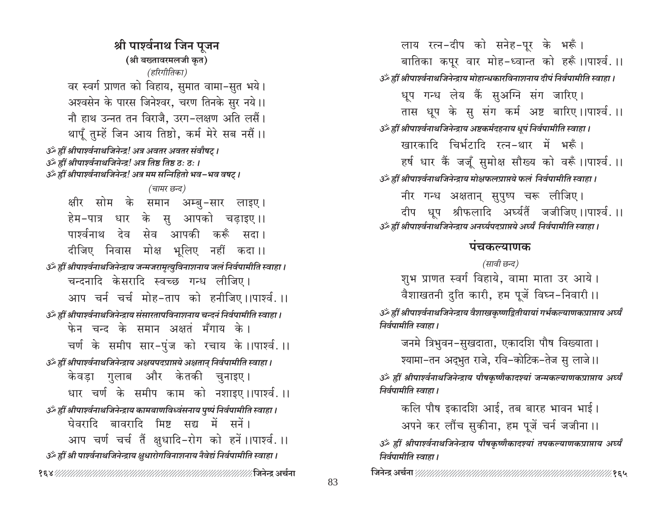श्री पार्श्वनाथ जिन पुजन (श्री बख्तावरमलजी कृत) (हरिगीतिका) वर स्वर्ग प्राणत को विहाय, सुमात वामा-सुत भये। अश्वसेन के पारस जिनेश्वर, चरण तिनके सुर नये।। नौ हाथ उन्नत तन विराजै, उरग-लक्षण अति लसैं। थापूँ तुम्हें जिन आय तिष्ठो, कर्म मेरे सब नसैं ।। उँ ह्रीं श्रीपार्श्वनाथजिनेन्द्र! अत्र अवतर अवतर संवौषट् । उरुँ ह्रीं श्रीपार्श्वनाथजिनेन्द्र! अत्र तिष्ठ तिष्ठ ठ: ठ: । ॐ ह्रीं श्रीपार्श्वनाथजिनेन्द्र! अत्र मम सन्निहितो भव−भव वषट् । (चामर छन्द) क्षीर सोम के समान अम्बु-सार लाइए। हेम-पात्र धार के सु आपको चढाइए।। पार्श्वनाथ देव सेव आपकी करूँ सदा। दीजिए निवास मोक्ष भूलिए नहीं कदा।। उँ ह्रीं श्रीपार्श्वनाथजिनेन्द्राय जन्मजरामृत्युविनाशनाय जलं निर्वपामीति स्वाहा । चन्दनादि केसरादि स्वच्छ गन्ध लीजिए। आप चर्न चर्च मोह-ताप को हनीजिए।।पार्श्व.।। ्ठें ह्रीं श्रीपार्श्वनाथजिनेन्द्राय संसारतापविनाशनाय चन्दनं निर्वपामीति स्वाहा । फेन चन्द के समान अक्षत मँगाय के। चर्ण के समीप सार-पुंज को रचाय के ।।पार्श्व. ।। उँ ह्रीं श्रीपार्श्वनाथजिनेन्द्राय अक्षयपदप्राप्तये अक्षतान् निर्वपामीति स्वाहा । केवड़ा गुलाब और केतकी चुनाइए। धार चर्ण के समीप काम को नशाइए।।पार्श्व.।। उॅं ह्रीं श्रीपार्श्वनाथजिनेन्द्राय कामबाणविध्वंसनाय पुष्पं निर्वपामीति स्वाहा। घेवरादि बावरादि मिष्ट सद्य में सनें। आप चर्ण चर्च तैं क्षुधादि-रोग को हनें।।पार्श्व.।। उँ ह्रीं श्री पार्श्वनाथजिनेन्द्राय क्षुधारोगविनाशनाय नैवेद्यं निर्वपामीति स्वाहा । 

लाय रत्न-दीप को सनेह-पूर के भरूँ। बातिका कपूर वार मोह-ध्वान्त को हरूँ।।पार्श्व.।। उॅं ह्रीं श्रीपार्श्वनाथजिनेन्द्राय मोहान्धकारविनाशनाय दीपं निर्वपामीति स्वाहा। धूप गन्ध लेय कैं सुअग्नि संग जारिए। तास धुप के सु संग कर्म अष्ट बारिए।।पार्श्व.।। उर्व्हीं श्रीपार्श्वनाथजिनेन्द्राय अष्टकर्मदहनाय धूपं निर्वपामीति स्वाहा। खारकादि चिर्भटादि रत्न-थार में भरूँ। हर्ष धार कैं जजूँ सुमोक्ष सौख्य को वरूँ।।पार्श्व.।। उँ ह्रीं श्रीपार्श्वनाथजिनेन्द्राय मोक्षफलप्राप्तये फलं निर्वपामीति स्वाहा। नीर गन्ध अक्षतान् सुपुष्प चरू लीजिए। दीप धुप श्रीफलादि अर्घ्यतैं जजीजिए।।पार्श्व.।। उर्व्हीं श्रीपार्श्वनाथजिनेन्द्राय अनर्घ्यपदप्राप्तये अर्घ्यं निर्वपामीति स्वाहा ।

## पंचकल्याणक

(सावी छन्द) शुभ प्राणत स्वर्ग विहाये, वामा माता उर आये। वैशाखतनी दृति कारी, हम पुजें विघ्न-निवारी ।।

ॐ ह्रीं श्रीपार्श्वनाथजिनेन्द्राय वैशाखकृष्णद्वितीयायां गर्भकल्याणकप्राप्ताय अर्घ्यं निर्वपामीति स्वाहा ।

जनमे त्रिभुवन-सुखदाता, एकादशि पौष विख्याता।

श्यामा-तन अद्भुत राजे, रवि-कोटिक-तेज सु लाजे।।

ॐ ह्रीं श्रीपार्श्वनाथजिनेन्द्राय पौषकृष्णैकादश्यां जन्मकल्याणकप्राप्ताय अर्घ्यं निर्वपामीति स्वाहा ।

कलि पौष इकादशि आई, तब बारह भावन भाई। अपने कर लौंच सुकीना, हम पूजें चर्न जजीना ।।

ॐ ह्रीं श्रीपार्श्वनाथजिनेन्द्राय पौषकृष्णैकादश्यां तपकल्याणकप्राप्ताय अर्घ्यं निर्वपामीति स्वाहा ।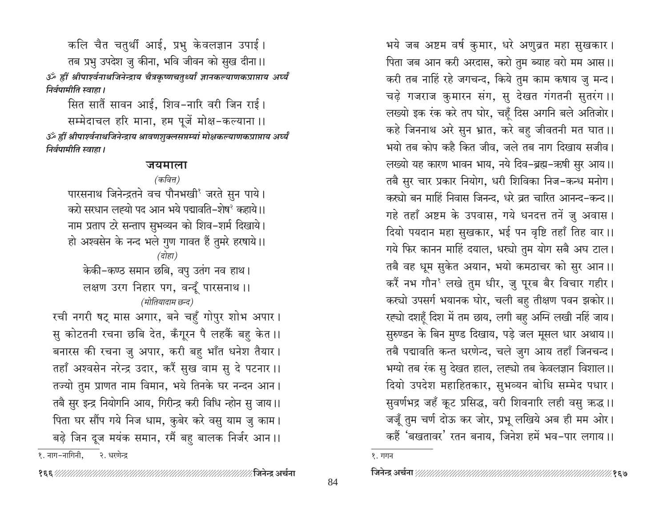कलि चैत चतुर्थी आई, प्रभु केवलज्ञान उपाई। तब प्रभु उपदेश जु कीना, भवि जीवन को सुख दीना।। ॐ ह्रीं श्रीपार्श्वनाथजिनेन्द्राय चैत्रकृष्णचतुर्थ्यां ज्ञानकल्याणकप्राप्ताय अर्घ्यं निर्वपामीति स्वाहा ।

सित सातैं सावन आई, शिव-नारि वरी जिन राई। सम्मेदाचल हरि माना, हम पूजें मोक्ष-कल्याना ।। ॐ ह्रीं श्रीपार्श्वनाथजिनेन्द्राय श्रावणशुक्लसप्तम्यां मोक्षकल्याणकप्राप्ताय अर्घ्यं निर्वपामीति स्वाहा ।

### जयमाला

(कवित्त) पारसनाथ जिनेन्द्रतने वच पौनभखी जरते सुन पाये। करो सरधान लह्यो पद आन भये पद्मावति–शेष<sup>२</sup> कहाये।। नाम प्रताप टरे सन्ताप सुभव्यन को शिव-शर्म दिखाये। हो अश्वसेन के नन्द भले गुण गावत हैं तुमरे हरषाये।। (दोहा) केकी-कण्ठ समान छबि, वपु उतंग नव हाथ। लक्षण उरग निहार पग, वन्दूँ पारसनाथ ।। (मोतियादाम छन्द) रची नगरी षट् मास अगार, बने चहुँ गोपुर शोभ अपार। सु कोटतनी रचना छबि देत, कँगूरन पै लहकैं बहु केत ।। बनारस की रचना जु अपार, करी बहु भाँत धनेश तैयार। तहाँ अश्वसेन नरेन्द्र उदार, करैं सुख वाम सु दे पटनार ।। तज्यो तुम प्राणत नाम विमान, भये तिनके घर नन्दन आन। तबै सुर इन्द्र नियोगनि आय, गिरीन्द्र करी विधि न्होन सु जाय।। पिता घर सौंप गये निज धाम, कुबेर करे वसु याम जु काम। बढ़े जिन दूज मयंक समान, रमैं बहु बालक निर्जर आन।। १. नाग-नागिनी. २. धरणेन्द्र

भये जब अष्टम वर्ष कुमार, धरे अणुव्रत महा सुखकार। पिता जब आन करी अरदास, करो तुम ब्याह वरो मम आस।। करी तब नाहिं रहे जगचन्द, किये तुम काम कषाय जु मन्द। चढ़े गजराज कुमारन संग, सु देखत गंगतनी सुतरंग ।। लख्यो इक रंक करे तप घोर, चहँ दिस अगनि बले अतिजोर। कहे जिननाथ अरे सुन भ्रात, करे बहु जीवतनी मत घात ।। भयो तब कोप कहै कित जीव, जले तब नाग दिखाय सजीव। लख्यो यह कारण भावन भाय, नये दिव-ब्रह्म-ऋषी सुर आय।। तबै सुर चार प्रकार नियोग, धरी शिविका निज-कन्ध मनोग। कस्यो बन माहिं निवास जिनन्द, धरे व्रत चारित आनन्द-कन्द।। गहे तहाँ अष्टम के उपवास, गये धनदत्त तनें जु अवास। दियो पयदान महा सुखकार, भई पन वृष्टि तहाँ तिह वार।। गये फिर कानन माहिं दयाल, धस्यो तुम योग सबै अघ टाल। तबै वह धूम सुकेत अयान, भयो कमठाचर को सुर आन।। करैं नभ गौन<sup>१</sup> लखे तुम धीर, जु पूरब बैर विचार गहीर। कस्चो उपसर्ग भयानक घोर, चली बहु तीक्षण पवन झकोर।। रह्यो दशहूँ दिश में तम छाय, लगी बहु अग्नि लखी नहिं जाय। सुरुण्डन के बिन मुण्ड दिखाय, पड़े जल मूसल धार अथाय।। तबै पद्मावति कन्त धरणेन्द, चले जुग आय तहाँ जिनचन्द। भग्यो तब रंक सु देखत हाल, लह्यो तब केवलज्ञान विशाल।। दियो उपदेश महाहितकार, सुभव्यन बोधि सम्मेद पधार। सुवर्णभद्र जहँ कूट प्रसिद्ध, वरी शिवनारि लही वसु ऋद्ध ।। जजूँ तुम चर्ण दोऊ कर जोर, प्रभू लखिये अब ही मम ओर। कहैं 'बखतावर' रतन बनाय, जिनेश हमें भव-पार लगाय।।

१. गगन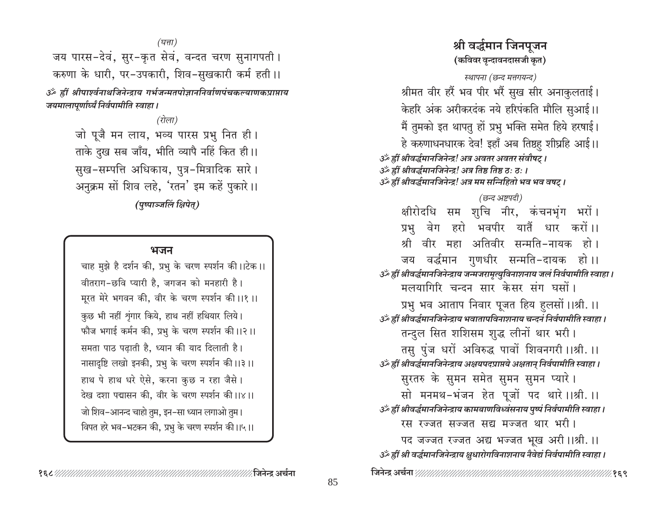जय पारस-देवं, सुर-कृत सेवं, वन्दत चरण सुनागपती। करुणा के धारी, पर-उपकारी, शिव-सुखकारी कर्म हती।। ॐ ह्रीं श्रीपार्श्वनाथजिनेन्द्राय गर्भजन्मतपोज्ञाननिर्वाणपंचकल्याणकप्राप्ताय जयमालापूर्णार्ध्यं निर्वपामीति स्वाहा ।

> (रोला) जो पूजै मन लाय, भव्य पारस प्रभु नित ही। ताके दुख सब जाँय, भीति व्यापै नहिं कित ही।। सुख-सम्पत्ति अधिकाय, पुत्र-मित्रादिक सारे। अनुक्रम सों शिव लहे, 'रतन' इम कहें पुकारे।। (पुष्पाञ्जलिं क्षिपेत्)

#### भजन

चाह मुझे है दर्शन की, प्रभु के चरण स्पर्शन की।।टेक।। वीतराग-छवि प्यारी है, जगजन को मनहारी है। मूरत मेरे भगवन की, वीर के चरण स्पर्शन की ।।१ ।। कुछ भी नहीं शृंगार किये, हाथ नहीं हथियार लिये। फौज भगाई कर्मन की, प्रभु के चरण स्पर्शन की।।२।। समता पाठ पढाती है. ध्यान की याद दिलाती है। नासादृष्टि लखो इनकी, प्रभु के चरण स्पर्शन की ।।३।। हाथ पे हाथ धरे ऐसे, करना कुछ न रहा जैसे। देख दशा पद्मासन की, वीर के चरण स्पर्शन की।।४।। जो शिव-आनन्द चाहो तुम, इन-सा ध्यान लगाओ तुम। विपत हरे भव–भटकन की, प्रभु के चरण स्पर्शन की।।५।।

# श्री वर्द्धमान जिनपुजन (कविवर वृन्दावनदासजी कृत) स्थापना (छन्द मत्तगयन्द) श्रीमत वीर हरैं भव पीर भरैं सुख सीर अनाकुलताई। केहरि अंक अरीकरदंक नये हरिपंकति मौलि सुआई।। मैं तुमको इत थापतु हों प्रभु भक्ति समेत हिये हरषाई। हे करुणाधनधारक देव! इहाँ अब तिष्ठह शीघ्रहि आई।। उर्क ह्रीं श्रीवर्द्धमानजिनेन्द्र! अत्र अवतर अवतर संवौषट्। उर्व्हीं श्रीवर्द्धमानजिनेन्द्र! अत्र तिष्ठ तिष्ठ ठः ठः । उर्व्हें श्रीवर्द्धमानजिनेन्द्र! अत्र मम सन्निहितो भव भव वषट् । (छन्द अष्टपदी) क्षीरोदधि सम शुचि नीर, कंचनभूंग भरों। प्रभु वेग हरो भवपीर यातैं धार करों।। श्री वीर महा अतिवीर सन्मति-नायक हो। जय वर्द्धमान गुणधीर सन्मति-दायक हो।। उॅं ह्रीं श्रीवर्द्धमानजिनेन्द्राय जन्मजरामृत्युविनाशनाय जलं निर्वपामीति स्वाहा । मलयागिरि चन्दन सार केसर संग घसों। प्रभु भव आताप निवार पूजत हिय हुलसों ।।श्री. ।। उॅं ह्रीं श्रीवर्द्धमानजिनेन्द्राय भवातापविनाशनाय चन्दनं निर्वपामीति स्वाहा । तन्दुल सित शशिसम शुद्ध लीनों थार भरी। तसु पुंज धरों अविरुद्ध पावों शिवनगरी।।श्री.।। उँ ह्रीं श्रीवर्द्धमानजिनेन्द्राय अक्षयपदप्राप्तये अक्षतान् निर्वपामीति स्वाहा । सुरतरु के सुमन समेत सुमन सुमन प्यारे। सो मनमथ-भंजन हेत पूजों पद थारे ।।श्री. ।। उॐ ह्रीं श्रीवर्द्धमानजिनेन्द्राय कामबाणविध्वंसनाय पुष्पं निर्वपामीति स्वाहा। रस रज्जत सज्जत सद्य मज्जत थार भरी। पद जज्जत रज्जत अद्य भज्जत भूख अरी ।।श्री. ।। उँ ह्रीं श्री वर्द्धमानजिनेन्द्राय क्षुधारोगविनाशनाय नैवेद्यं निर्वपामीति स्वाहा।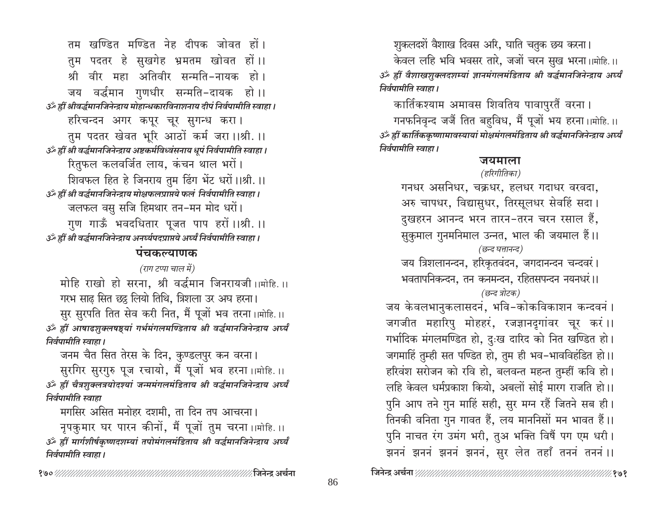तम खण्डित मण्डित नेह दीपक जोवत हों । तुम पदतर हे सुखगेह भ्रमतम खोवत हों।। श्री वीर महा अतिवीर सन्मति-नायक हो । जय वर्द्धमान गुणधीर सन्मति-दायक हो।। उँ ह्रीं श्रीवर्द्धमानजिनेन्द्राय मोहान्धकारविनाशनाय दीपं निर्वपामीति स्वाहा। हरिचन्दन अगर कपूर चूर सुगन्ध करा। तुम पदतर खेवत भूरि आठों कर्म जरा।।श्री.।। उँ ह्रीं श्री वर्द्धमानजिनेन्द्राय अष्टकर्मविध्वंसनाय धूपं निर्वपामीति स्वाहा । रितुफल कलवर्जित लाय, कंचन थाल भरों। शिवफल हित हे जिनराय तुम ढिंग भेंट धरों।।श्री.।। उॅं ह्रीं श्री वर्द्धमानजिनेन्द्राय मोक्षफलप्राप्तये फलं निर्वपामीति स्वाहा । जलफल वसु सजि हिमथार तन-मन मोद धरों। गुण गाऊँ भवदधितार पूजत पाप हरों।।श्री.।। उॅं ह्रीं श्री वर्द्धमानजिनेन्द्राय अनर्घ्यपदप्राप्तये अर्घ्यं निर्वपामीति स्वाहा ।

# पंचकल्याणक

# (राग टप्पा चाल में)

मोहि राखो हो सरना, श्री वर्द्धमान जिनरायजी।।मोहि.।। गरभ साढ सित छह लियो तिथि, त्रिशला उर अघ हरना।

सुर सुरपति तित सेव करी नित, मैं पूजों भव तरना।।मोहि.।। ॐ ह्रीं आषाढशुक्लषष्ट्यां गर्भमंगलमण्डिताय श्री वर्द्धमानजिनेन्द्राय अर्घ्यं निर्वपामीति स्वाहा ।

जनम चैत सित तेरस के दिन, कुण्डलपुर कन वरना। सुरगिर सुरगुरु पूज रचायो, मैं पूजों भव हरना ।।मोहि.।। ॐ ह्रीं चैत्रशुक्लत्रयोदश्यां जन्ममंगलमंडिताय श्री वर्द्धमानजिनेन्द्राय अर्घ्यं निर्वपामीति स्वाहा

मगसिर असित मनोहर दशमी, ता दिन तप आचरना।

नृपकुमार घर पारन कीनों, मैं पूजों तुम चरना ।।मोहि.।। ॐ ह्रीं मार्गशीर्षकृष्णदशम्यां तपोमंगलमंडिताय श्री वर्द्धमानजिनेन्द्राय अर्घ्यं निर्वपामीति स्वाहा ।

शुकलदशें वैशाख दिवस अरि, घाति चतुक छय करना। केवल लहि भवि भवसर तारे, जजों चरन सुख भरना।।मोहि.।। ॐ ह्रीं वैशाखशुक्लदशम्यां ज्ञानमंगलमंडिताय श्री वर्द्धमानजिनेन्द्राय अर्घ्यं निर्वपामीति स्वाहा ।

कार्तिकश्याम अमावस शिवतिय पावापुरतैं वरना ।

गनफनिवृन्द जजैं तित बहुविध, मैं पूजों भय हरना।।मोहि.।। ॐ ह्रीं कार्तिककृष्णामावस्यायां मोक्षमंगलमंडिताय श्री वर्द्धमानजिनेन्द्राय अर्घ्यं निर्वपामीति स्वाहा ।

# जयमाला

# (हरिगीतिका)

गनधर असनिधर, चक्रधर, हलधर गदाधर वरवदा, अरु चापधर, विद्यासुधर, तिरसूलधर सेवहिं सदा। दुखहरन आनन्द भरन तारन-तरन चरन रसाल हैं, सुकुमाल गुनमनिमाल उन्नत, भाल की जयमाल हैं।। (छन्द घत्तानन्द) जय त्रिशलानन्दन, हरिकृतवंदन, जगदानन्दन चन्दवरं।

भवतापनिकन्दन, तन कनमन्दन, रहितसपन्दन नयनधरं।। (छन्द त्रोटक)

जय केवलभानुकलासदनं, भवि-कोकविकाशन कन्दवनं । जगजीत महारिपु मोहहरं, रजज्ञानदृगांवर चूर करं।। गर्भादिक मंगलमण्डित हो, दुःख दारिद को नित खण्डित हो। जगमाहिं तुम्ही सत पण्डित हो, तुम ही भव-भावविहंडित हो।। हरिवंश सरोजन को रवि हो, बलवन्त महन्त तुम्हीं कवि हो। लहि केवल धर्मप्रकाश कियो, अबलों सोई मारग राजति हो।। पुनि आप तने गुन माहिं सही, सुर मग्न रहैं जितने सब ही। तिनकी वनिता गुन गावत हैं, लय माननिसों मन भावत हैं।। पुनि नाचत रंग उमंग भरी, तुअ भक्ति विषैं पग एम धरी। झननं झननं झननं झननं, सुर लेत तहाँ तननं तननं ।।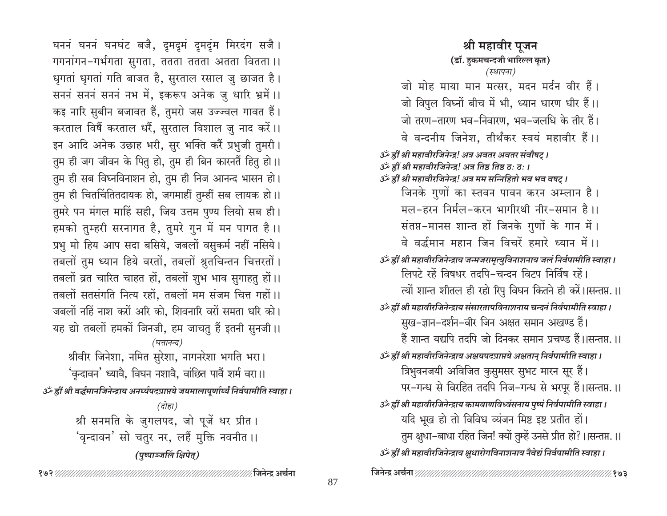घननं घननं घनघंट बजै, दूमदूमं दूमदूम मिरदंग सजै। गगनांगन-गर्भगता सुगता, ततता ततता अतता वितता ।। धृगतां धृगतां गति बाजत है, सुरताल रसाल जु छाजत है। सननं सननं सननं नभ में, इकरूप अनेक जु धारि भ्रमें ।। कइ नारि सुबीन बजावत हैं, तुमरो जस उज्ज्वल गावत हैं। करताल विषैं करताल धरैं, सुरताल विशाल जु नाद करें।। इन आदि अनेक उछाह भरी, सुर भक्ति करैं प्रभुजी तुमरी। तुम ही जग जीवन के पितु हो, तुम ही बिन कारनतैं हितु हो।। तुम ही सब विघ्नविनाशन हो, तुम ही निज आनन्द भासन हो। तुम ही चितचिंतितदायक हो, जगमाहीं तुम्हीं सब लायक हो।। तुमरे पन मंगल माहिं सही, जिय उत्तम पुण्य लियो सब ही। हमको तुम्हरी सरनागत है, तुमरे गुन में मन पागत है।। प्रभु मो हिय आप सदा बसिये, जबलों वसुकर्म नहीं नसिये। तबलों तुम ध्यान हिये वरतों, तबलों श्रुतचिन्तन चित्तरतों। तबलों व्रत चारित चाहत हों, तबलों शुभ भाव सुगाहतु हों।। तबलों सतसंगति नित्य रहों, तबलों मम संजम चित्त गहों।। जबलों नहिं नाश करों अरि को, शिवनारि वरों समता धरि को। यह द्यो तबलों हमकों जिनजी, हम जाचतु हैं इतनी सुनजी।। (घत्तानन्द) श्रीवीर जिनेशा, नमित सुरेशा, नागनरेशा भगति भरा। 'वृन्दावन' ध्यावै, विघन नशावै, वांछित पावैं शर्म वरा।। ्ठें ह्रीं श्री वर्द्धमानजिनेन्द्राय अनर्घ्यपदप्राप्तये जयमालापूर्णार्घ्यं निर्वपामीति स्वाहा । (दोहा) श्री सनमति के जुगलपद, जो पूजें धर प्रीत।

<sup>'</sup>वृन्दावन' सो चतुर नर, लहैं मुक्ति नवनीत ।। (पुष्पाञ्जलिं क्षिपेत्)

श्री महावीर पुजन (डॉ. हकमचन्दजी भारिल्ल कृत) (स्थापना) जो मोह माया मान मत्सर, मदन मर्दन वीर हैं। जो विपुल विघ्नों बीच में भी, ध्यान धारण धीर हैं।। जो तरण-तारण भव-निवारण, भव-जलधि के तीर हैं। वे वन्दनीय जिनेश, तीर्थंकर स्वयं महावीर हैं।। उर्क ह्रीं श्री महावीरजिनेन्द्र! अत्र अवतर अवतर संवौषट् । उँ ह्रीं श्री महावीरजिनेन्द्र! अत्र तिष्ठ तिष्ठ ठ: ठ: । उँ ह्रीं श्री महावीरजिनेन्द्र! अत्र मम सन्निहितो भव भव वषट् । जिनके गुणों का स्तवन पावन करन अम्लान है। मल-हरन निर्मल-करन भागीरथी नीर-समान है।। संतप्त-मानस शान्त हों जिनके गुणों के गान में। वे वर्द्धमान महान जिन विचरें हमारे ध्यान में ।। उँ ह्रीं श्री महावीरजिनेन्द्राय जन्मजरामृत्युविनाशनाय जलं निर्वपामीति स्वाहा । लिपटे रहें विषधर तदपि-चन्दन विटप निर्विष रहें। त्यों शान्त शीतल ही रहो रिपु विघन कितने ही करें।।सन्तप्त.।। उँ ह्रीं श्री महावीरजिनेन्द्राय संसारतापविनाशनाय चन्दनं निर्वपामीति स्वाहा। सुख-ज्ञान-दर्शन-वीर जिन अक्षत समान अखण्ड हैं। हैं शान्त यद्यपि तदपि जो दिनकर समान प्रचण्ड हैं।।सन्तप्त ।। उॅथ्हीं श्री महावीरजिनेन्द्राय अक्षयपदप्राप्तये अक्षतान् निर्वपामीति स्वाहा । त्रिभुवनजयी अविजित कुसुमसर सुभट मारन सूर हैं। पर-गन्ध से विरहित तदपि निज-गन्ध से भरपूर हैं।।सन्तप्त.।। उॐ ह्रीं श्री महावीरजिनेन्द्राय कामबाणविध्वंसनाय पुष्पं निर्वपामीति स्वाहा। यदि भूख हो तो विविध व्यंजन मिष्ट इष्ट प्रतीत हों। तुम क्षुधा-बाधा रहित जिन! क्यों तुम्हें उनसे प्रीत हो? ।।सन्तप्त. ।। उँ ह्रीं श्री महावीरजिनेन्द्राय क्षुधारोगविनाशनाय नैवेद्यं निर्वपामीति स्वाहा।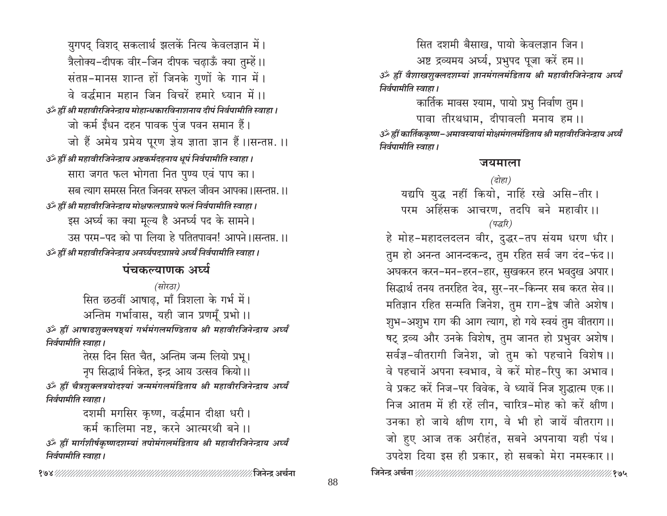युगपद् विशद् सकलार्थ झलकें नित्य केवलज्ञान में। त्रैलोक्य-दीपक वीर-जिन दीपक चढ़ाऊँ क्या तुम्हें।। संतप्त-मानस शान्त हों जिनके गुणों के गान में। वे वर्द्धमान महान जिन विचरें हमारे ध्यान में ।। उँ ह्रीं श्री महावीरजिनेन्द्राय मोहान्धकारविनाशनाय दीपं निर्वपामीति स्वाहा। जो कर्म ईंधन दहन पावक पुंज पवन समान हैं। जो हैं अमेय प्रमेय पुरण ज़ेय ज्ञाता ज्ञान हैं।।सन्तप्त.।। उँ ह्रीं श्री महावीरजिनेन्द्राय अष्टकर्मदहनाय धूपं निर्वपामीति स्वाहा। सारा जगत फल भोगता नित पुण्य एवं पाप का। सब त्याग समरस निरत जिनवर सफल जीवन आपका ।।सन्तप्त ।। उँ ह्रीं श्री महावीरजिनेन्द्राय मोक्षफलप्राप्तये फलं निर्वपामीति स्वाहा। इस अर्घ्य का क्या मूल्य है अनर्घ्य पद के सामने। उस परम-पद को पा लिया हे पतितपावन! आपने ।।सन्तप्त. ।। उँ ह्रीं श्री महावीरजिनेन्द्राय अनर्घ्यपदप्राप्तये अर्घ्यं निर्वपामीति स्वाहा।

# पंचकल्याणक अर्घ्य

(सोरठा) सित छठवीं आषाढ़, माँ त्रिशला के गर्भ में। अन्तिम गर्भावास, यही जान प्रणमुँ प्रभो।। ॐ ह्रीं आषाढशुक्लषष्ट्यां गर्भमंगलमण्डिताय श्री महावीरजिनेन्द्राय अर्घ्यं निर्वपामीति स्वाहा ।

तेरस दिन सित चैत, अन्तिम जन्म लियो प्रभू। नृप सिद्धार्थ निकेत, इन्द्र आय उत्सव कियो।। ॐ ह्रीं चैत्रशुक्लत्रयोदश्यां जन्ममंगलमंडिताय श्री महावीरजिनेन्द्राय अर्घ्यं निर्वपामीति स्वाहा ।

> दशमी मगसिर कृष्ण, वर्द्धमान दीक्षा धरी। कर्म कालिमा नष्ट, करने आत्मरथी बने।।

ॐ ह्रीं मार्गशीर्षकृष्णदशम्यां तपोमंगलमंडिताय श्री महावीरजिनेन्द्राय अर्घ्यं निर्वपामीति स्वाहा ।

सित दशमी बैसाख, पायो केवलज्ञान जिन।

अष्ट द्रव्यमय अर्घ्य, प्रभुपद पूजा करें हम।। ॐ ह्रीं वैशाखशुक्लदशम्यां ज्ञानमंगलमंडिताय श्री महावीरजिनेन्द्राय अर्घ्यं निर्वपामीति स्वाहा ।

कार्तिक मावस श्याम, पायो प्रभु निर्वाण तुम।

पावा तीरथधाम, दीपावली मनाय हम।। ॐ ह्रीं कार्तिककृष्ण−अमावस्यायां मोक्षमंगलमंडिताय श्री महावीरजिनेन्द्राय अर्घ्यं निर्वपामीति स्वाहा ।

# जयमाला

(दोहा) यद्यपि युद्ध नहीं कियो, नाहिं रखे असि-तीर। परम अहिंसक आचरण, तदपि बने महावीर।। (पद्धरि)

हे मोह-महादलदलन वीर, दुद्धर-तप संयम धरण धीर। तुम हो अनन्त आनन्दकन्द, तुम रहित सर्व जग दंद-फंद।। अघकरन करन-मन-हरन-हार, सुखकरन हरन भवदुख अपार। सिद्धार्थ तनय तनरहित देव, सुर-नर-किन्नर सब करत सेव ।। मतिज्ञान रहित सन्मति जिनेश, तुम राग-द्वेष जीते अशेष। शुभ-अशुभ राग की आग त्याग, हो गये स्वयं तुम वीतराग।। षट् द्रव्य और उनके विशेष, तुम जानत हो प्रभुवर अशेष। सर्वज्ञ-वीतरागी जिनेश, जो तुम को पहचाने विशेष ।। वे पहचानें अपना स्वभाव, वे करें मोह-रिपु का अभाव। वे प्रकट करें निज-पर विवेक, वे ध्यावें निज शुद्धात्म एक।। निज आतम में ही रहें लीन, चारित्र-मोह को करें क्षीण। उनका हो जाये क्षीण राग, वे भी हो जायें वीतराग।। जो हुए आज तक अरीहंत, सबने अपनाया यही पंथ। उपदेश दिया इस ही प्रकार, हो सबको मेरा नमस्कार।।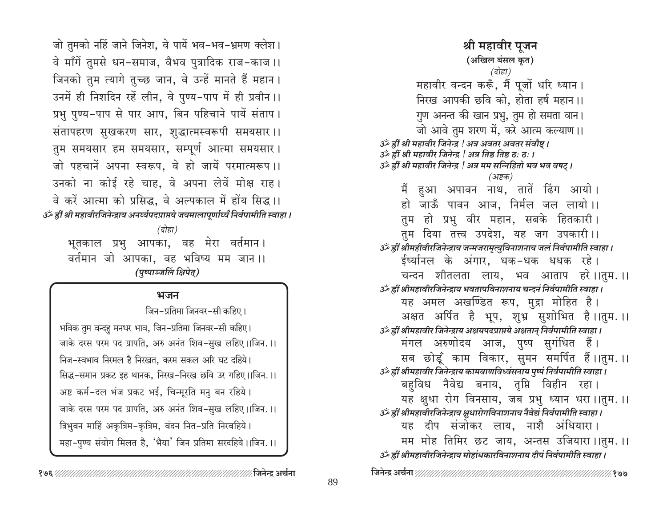जो तुमको नहिं जाने जिनेश, वे पायें भव-भव-भ्रमण क्लेश। वे माँगें तुमसे धन-समाज, वैभव पुत्रादिक राज-काज ।। जिनको तुम त्यागे तुच्छ जान, वे उन्हें मानते हैं महान। उनमें ही निशदिन रहें लीन, वे पुण्य-पाप में ही प्रवीन ।। प्रभु पुण्य-पाप से पार आप, बिन पहिचाने पायें संताप। संतापहरण सुखकरण सार, शुद्धात्मस्वरूपी समयसार।। तुम समयसार हम समयसार, सम्पूर्ण आत्मा समयसार। जो पहचानें अपना स्वरूप. वे हो जायें परमात्मरूप।। उनको ना कोई रहे चाह, वे अपना लेवें मोक्ष राह। वे करें आत्मा को प्रसिद्ध, वे अल्पकाल में होंय सिद्ध ।। उॅं ह्रीं श्री महावीरजिनेन्द्राय अनर्घ्यपदप्राप्तये जयमालापूर्णार्घ्यं निर्वपामीति स्वाहा । (दोहा) भूतकाल प्रभु आपका, वह मेरा वर्तमान।

वर्तमान जो आपका, वह भविष्य मम जान।। (पुष्पाञ्जलिं क्षिपेत्)

# भजन

जिन-प्रतिमा जिनवर-सी कहिए।

भविक तुम वन्दहु मनधर भाव, जिन-प्रतिमा जिनवर-सी कहिए। जाके दरस परम पद प्रापति, अरु अनंत शिव-सुख लहिए।।जिन.।। निज-स्वभाव निरमल है निरखत, करम सकल अरि घट दहिये। सिद्ध-समान प्रकट इह थानक, निरख-निरख छवि उर गहिए।।जिन.।। अष्ट कर्म-दल भंज प्रकट भई, चिन्मूरति मनु बन रहिये। जाके दरस परम पद प्रापति, अरु अनंत शिव-सुख लहिए।।जिन.।। त्रिभुवन माहिं अकृत्रिम-कृत्रिम, वंदन नित-प्रति निरवहिये।

महा-पुण्य संयोग मिलत है, 'भैया' जिन प्रतिमा सरदहिये।।जिन.।।

(अखिल बंसल कृत) (दोहा) महावीर वन्दन करूँ, मैं पूजों धरि ध्यान। निरख आपकी छवि को. होता हर्ष महान।। गुण अनन्त की खान प्रभु, तुम हो समता वान। जो आवे तुम शरण में, करे आत्म कल्याण ।। उँ ह्रीं श्री महावीर जिनेन्द्र ! अत्र अवतर अवतर संवौष्ट । ل :كَ ह्रीं श्री महावीर जिनेन्द्र ! अत्र तिष्ठ तिष्ठ ठ: ठ: । उर्के ह्रीं श्री महावीर जिनेन्द्र ! अत्र मम सन्निहितो भव भव वषट् । (अष्टक) मैं हुआ अपावन नाथ, तातें ढिंग आयो। हो जाऊँ पावन आज. निर्मल जल लायो।। तुम हो प्रभु वीर महान, सबके हितकारी। तुम दिया तत्त्व उपदेश, यह जग उपकारी।। उँ ह्रीं श्रीमहीवीरजिनेन्द्राय जन्मजरामृत्युविनाशनाय जलं निर्वपामीति स्वाहा। ईर्ष्यानल के अंगार, धक-धक धधक रहे। चन्दन शीतलता लाय, भव आताप हरे।।तुम.।। उर्व्हीं श्रीमहावीरजिनेन्द्राय भवतापविनाशनाय चन्दनं निर्वपामीति स्वाहा। यह अमल अखण्डित रूप, मुद्रा मोहित है। अक्षत अर्पित है भूप, शुभ्र सुशोभित है।।तुम.।। उॅं ह्रीं श्रीमहावीर जिनेन्द्राय अक्षयपदप्राप्तये अक्षतान् निर्वपामीति स्वाहा । मंगल अरुणोदय आज, पुष्प सुगंधित हैं। सब छोडूँ काम विकार, सुमन समर्पित हैं।।तुम.।। उँ ह्रीं श्रीमहावीर जिनेन्द्राय कामबाणविध्वंसनाय पुष्पं निर्वपामीति स्वाहा। बहविध नैवेद्य बनाय, तृप्ति विहीन रहा। यह क्षधा रोग विनसाय, जब प्रभु ध्यान धरा।।तुम.।। उर्व्हीं श्रीमहावीरजिनेन्द्राय क्षुधारोगविनाशनाय नैवेद्यं निर्वपामीति स्वाहा। यह दीप संजोकर लाय, नाशै अंधियारा। मम मोह तिमिर छट जाय, अन्तस उजियारा।।तुम.।। उँ ह्रीं श्रीमहावीरजिनेन्द्राय मोहांधकारविनाशनाय दीपं निर्वपामीति स्वाहा। 

श्री महावीर पुजन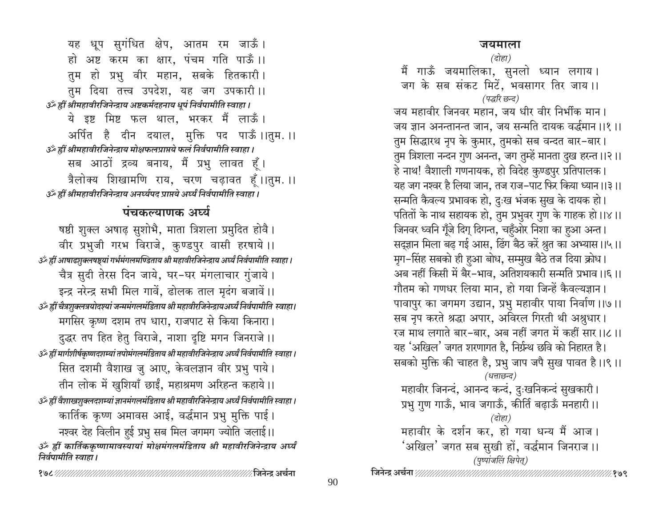# जयमाला

(दोहा)

मैं गाऊँ जयमालिका, सुनलो ध्यान लगाय। जग के सब संकट मिटें, भवसागर तिर जाय।। (पद्धरि छन्द) जय महावीर जिनवर महान, जय धीर वीर निर्भीक मान। जय ज्ञान अनन्तानन्त जान, जय सन्मति दायक वर्द्धमान ।।१ ।। तुम सिद्धारथ नृप के कुमार, तुमको सब वन्दत बार-बार। तुम त्रिशला नन्दन गुण अनन्त, जग तुम्हें मानता दुख हरन्त ।।२।। हे नाथ! वैशाली गणनायक, हो विदेह कुण्डपुर प्रतिपालक। यह जग नश्वर है लिया जान, तज राज–पाट फिर किया ध्यान।।३।। सन्मति कैवल्य प्रभावक हो, दुःख भंजक सुख के दायक हो। पतितों के नाथ सहायक हो, तुम प्रभुवर गुण के गाहक हो।।४।। जिनवर ध्वनि गूँजे दिग् दिगन्त, चहुँओर निशा का हुआ अन्त। सद्ज्ञान मिला बढ़ गई आस, ढिंग बैठ करें श्रुत का अभ्यास।।५।। मृग–सिंह सबको ही हुआ बोध, सम्मुख बैठे तज दिया क्रोध। अब नहीं किसी में बैर–भाव, अतिशयकारी सन्मति प्रभाव ।।६।। गौतम को गणधर लिया मान, हो गया जिन्हें कैवल्यज्ञान। पावापुर का जगमग उद्यान, प्रभु महावीर पाया निर्वाण।।७।। सब नृप करते श्रद्धा अपार, अविरल गिरती थी अश्नुधार। रज माथ लगाते बार-बार, अब नहीं जगत में कहीं सार।।८।। यह 'अखिल' जगत शरणागत है, निर्ग्रन्थ छवि को निहारत है। सबको मुक्ति की चाहत है, प्रभु जाप जपै सुख पावत है।।९।। (धत्ताछन्द) महावीर जिनन्दं, आनन्द कन्दं, दुःखनिकन्दं सुखकारी। प्रभु गुण गाऊँ, भाव जगाऊँ, कीर्ति बढ़ाऊँ मनहारी।। (दोहा) महावीर के दर्शन कर, हो गया धन्य मैं आज। 'अखिल' जगत सब सुखी हों, वर्द्धमान जिनराज ।। (पृष्पांजलिं क्षिपेत्) 

यह धूप सुगंधित क्षेप, आतम रम जाऊँ। हो अष्ट करम का क्षार, पंचम गति पाऊँ।। तुम हो प्रभु वीर महान, सबके हितकारी। तुम दिया तत्त्व उपदेश, यह जग उपकारी।। उँ ह्रीं श्रीमहावीरजिनेन्द्राय अष्टकर्मदहनाय धूपं निर्वपामीति स्वाहा। ये इष्ट मिष्ट फल थाल, भरकर मैं लाऊँ। अर्पित है दीन दयाल, मुक्ति पद पाऊँ।।तुम.।। उँ ह्रीं श्रीमहावीरजिनेन्द्राय मोक्षफलप्राप्तये फलं निर्वपामीति स्वाहा। सब आठों द्रव्य बनाय, मैं प्रभु लावत हूँ। त्रैलोक्य शिखामणि राय, चरण चढ़ावत हँ।।तुम.।। उॅं ह्रीं श्रीमहावीरजिनेन्द्राय अनर्घ्यपद प्राप्तये अर्घ्यं निर्वपामीति स्वाहा । पंचकल्याणक अर्घ्य

षष्ठी शुक्ल अषाढ़ सुशोभै, माता त्रिशला प्रमुदित होवै। वीर प्रभुजी गरभ विराजे, कुण्डपुर वासी हरषाये ।। ्रैं हीं आषाढशुक्लषष्ठयां गर्भमंगलमण्डिताय श्री महावीरजिनेन्द्राय अर्घ्यं निर्वपामीति स्वाहा । चैत्र सुदी तेरस दिन जाये, घर-घर मंगलाचार गुंजाये। इन्द्र नरेन्द्र सभी मिल गावें, ढोलक ताल मृदंग बजावें।। उँ ह्रीं चैत्रशुक्लत्रयोदश्यां जन्ममंगलमंडिताय श्री महावीरजिनेन्द्रायअर्घ्यं निर्वपामीति स्वाहा। मगसिर कृष्ण दशम तप धारा, राजपाट से किया किनारा। दुद्धर तप हित हेतु विराजे, नाशा दृष्टि मगन जिनराजे ।। ةَ الْعِبَابِيَّةِ हीं मार्गशीर्षकृष्णदशम्यां तपोमंगलमंडिताय श्री महावीरजिनेन्द्राय अर्घ्यं निर्वपामीति स्वाहा सित दशमी वैशाख जु आए, केवलज्ञान वीर प्रभु पाये। तीन लोक में खुशियाँ छाईं, महाश्रमण अरिहन्त कहाये।। ة الجوارة المُعَارَة اللهَ الله عَنْ الله عَنْ الله عَنْ الله عَالِمَ الله عَالِمَ الله عَنْ السَّائ कार्तिक कृष्ण अमावस आई, वर्द्धमान प्रभु मुक्ति पाई। नश्वर देह विलीन हुई प्रभु सब मिल जगमग ज्योति जलाई।। ॐ ह्रीं कार्तिककृष्णामावस्यायां मोक्षमंगलमंडिताय श्री महावीरजिनेन्द्राय अर्घ्यं निर्वपामीति स्वाहा ।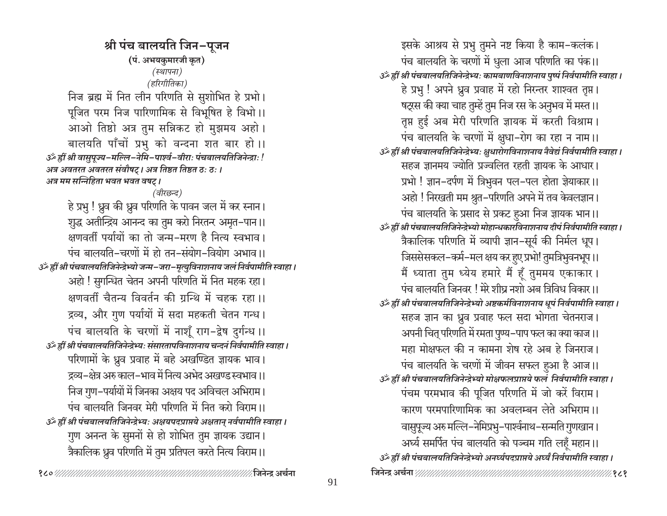श्री पंच बालयति जिन-पुजन (पं. अभयकुमारजी कृत) (स्थापना) (हरिगीतिका) निज ब्रह्म में नित लीन परिणति से सुशोभित हे प्रभो। पूजित परम निज पारिणामिक से विभूषित हे विभो।। आओ तिष्ठो अत्र तुम सन्निकट हो मुझमय अहो। बालयति पाँचों प्रभु को वन्दना शत बार हो।। 3ँ ह्रीं श्री वासुपूज्य-मल्लि-नेमि-पार्श्व-वीराः पंचबालयतिजिनेन्द्राः ! अत्र अवतरत अवतरत संवोषट् । अत्र तिष्ठत तिष्ठत ठः ठः । अत्र मम सन्निहिता भवत भवत वषट् । (वीरछन्द) हे प्रभु ! ध्रुव की ध्रुव परिणति के पावन जल में कर स्नान। शुद्ध अतीन्द्रिय आनन्द का तुम करो निरतन्र अमृत–पान।। क्षणवर्ती पर्यायों का तो जन्म-मरण है नित्य स्वभाव। पंच बालयति-चरणों में हो तन-संयोग-वियोग अभाव ।। उँ ह्रीं श्री पंचबालयतिजिनेन्द्रेभ्यो जन्म-जरा-मृत्युविनाशनाय जलं निर्वपामीति स्वाहा। अहो ! सुगन्धित चेतन अपनी परिणति में नित महक रहा। क्षणवर्ती चैतन्य विवर्तन की ग्रन्थि में चहक रहा।। द्रव्य, और गुण पर्यायों में सदा महकती चेतन गन्ध। पंच बालयति के चरणों में नाशूँ राग-द्वेष दुर्गन्ध ।। ्ठें ह्रीं श्री पंचबालयतिजिनेन्द्रेभ्यः संसारतापविनाशनाय चन्दनं निर्वपामीति स्वाहा । परिणामों के ध्रुव प्रवाह में बहे अखण्डित ज्ञायक भाव। द्रव्य–क्षेत्र अरु काल–भाव में नित्य अभेद अखण्ड स्वभाव ।। निज गुण-पर्यायों में जिनका अक्षय पद अविचल अभिराम। पंच बालयति जिनवर मेरी परिणति में नित करो विराम।। उँ ह्रीं श्री पंचबालयतिजिनेन्द्रेभ्यः अक्षयपदप्राप्तये अक्षतान् नर्वपामीति स्वाहा । गुण अनन्त के सुमनों से हो शोभित तुम ज्ञायक उद्यान। त्रैकालिक ध्रुव परिणति में तुम प्रतिपल करते नित्य विराम।।

इसके आश्रय से प्रभु तुमने नष्ट किया है काम-कलंक। पंच बालयति के चरणों में धुला आज परिणति का पंक।। उॐ ह्रीं श्री पंचबालयतिजिनेन्द्रेभ्यः कामबाणविनाशनाय पुष्पं निर्वपामीति स्वाहा । हे प्रभु ! अपने ध्रुव प्रवाह में रहो निरन्तर शाश्वत तृप्त। षट्रस की क्या चाह तुम्हें तुम निज रस के अनुभव में मस्त ।। तृप्त हुई अब मेरी परिणति ज्ञायक में करती विश्राम। पंच बालयति के चरणों में क्षुधा-रोग का रहा न नाम।। ुॐ ह्वीं श्री पंचबालयतिजिनेन्द्रेभ्यः क्षुधारोगविनाशनाय नैवेद्यं निर्वपामीति स्वाहा । सहज ज्ञानमय ज्योति प्रज्वलित रहती ज्ञायक के आधार। प्रभो ! ज्ञान-दर्पण में त्रिभुवन पल-पल होता ज्ञेयाकार।। अहो ! निरखती मम श्रुत-परिणति अपने में तव केवलज्ञान। पंच बालयति के प्रसाद से प्रकट हुआ निज ज्ञायक भान।। ुॐ ह्रीं श्री पंचबालयतिजिनेन्द्रेभ्यो मोहान्धकारविनाशनाय दीपं निर्वपामीति स्वाहा । त्रैकालिक परिणति में व्यापी ज्ञान-सूर्य की निर्मल धूप। जिससेसकल-कर्म-मल क्षय कर हुए प्रभो! तुमत्रिभुवनभूप ।। मैं ध्याता तुम ध्येय हमारे मैं हूँ तुममय एकाकार। पंच बालयति जिनवर ! मेरे शीघ्र नशो अब त्रिविध विकार ।। उँ ह्रीं श्री पंचबालयतिजिनेन्द्रेभ्यो अष्टकर्मविनाशनाय धूपं निर्वपामीति स्वाहा । सहज ज्ञान का ध्रुव प्रवाह फल सदा भोगता चेतनराज। अपनी चित् परिणति में रमता पुण्य–पाप फल का क्या काज।। महा मोक्षफल की न कामना शेष रहे अब हे जिनराज। पंच बालयति के चरणों में जीवन सफल हुआ है आज।। उँ ह्रीं श्री पंचबालयतिजिनेन्द्रेभ्यो मोक्षफलप्राप्तये फलं निर्वपामीति स्वाहा । पंचम परमभाव की पूजित परिणति में जो करें विराम। कारण परमपारिणामिक का अवलम्बन लेते अभिराम।। वासुपूज्य अरु मल्लि-नेमिप्रभु-पार्श्वनाथ-सन्मति गुणखान । अर्घ्य समर्पित पंच बालयति को पञ्चम गति लहँ महान।। उर्व्हीं श्री पंचबालयतिजिनेन्द्रेभ्यो अनर्घ्यपदप्राप्तये अर्घ्यं निर्वपामीति स्वाहा ।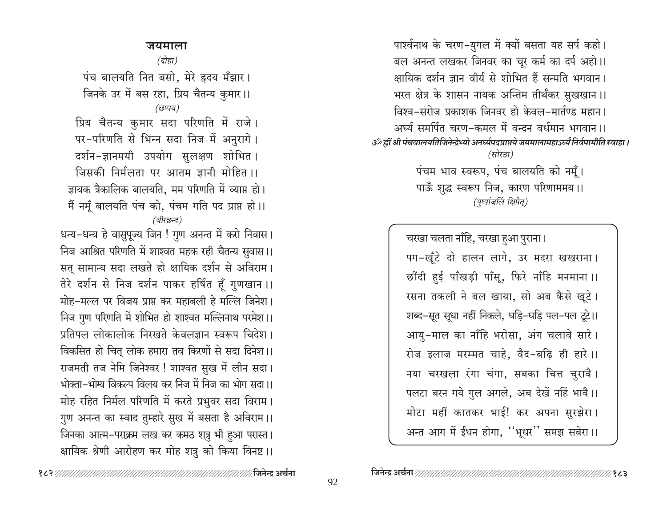पार्श्वनाथ के चरण-युगल में क्यों बसता यह सर्प कहो। बल अनन्त लखकर जिनवर का चूर कर्म का दर्प अहो।। क्षायिक दर्शन ज्ञान वीर्य से शोभित हैं सन्मति भगवान। भरत क्षेत्र के शासन नायक अन्तिम तीर्थंकर सुखखान।। विश्व-सरोज प्रकाशक जिनवर हो केवल-मार्तण्ड महान। अर्घ्य समर्पित चरण-कमल में वन्दन वर्धमान भगवान।। उँ हीं श्री पंचबालयतिजिनेन्द्रेभ्यो अनर्घ्यपदप्राप्तये जयमालामहाऽर्घ्यं निर्वपामीति स्वाहा । (सोरठा) पंचम भाव स्वरूप, पंच बालयति को नमूँ। पाऊँ शुद्ध स्वरूप निज, कारण परिणाममय।। (पुष्पांजलिं क्षिपेत्)

> चरखा चलता नाँहि, चरखा हुआ पुराना। पग-खूँटे दो हालन लागे, उर मदरा खखराना। र्छींदी हुई पाँखड़ी पाँसू, फिरे नाँहि मनमाना ।। रसना तकली ने बल खाया, सो अब कैसे खूटे। शब्द-सूत सूधा नहीं निकले, घड़ि-घड़ि पल-पल टूटे।। आयु-माल का नाँहि भरोसा, अंग चलावे सारे। रोज इलाज मरम्मत चाहे, वैद-बढ़ि ही हारे।। नया चरखला रंगा चंगा, सबका चित्त चुरावै। पलटा बरन गये गुल अगले, अब देखें नहिं भावै।। मोटा महीं कातकर भाई! कर अपना सुरझेरा। अन्त आग में ईंधन होगा, "भूधर" समझ सबेरा।।

जयमाला

(दोहा)

पंच बालयति नित बसो, मेरे हृदय मँझार। जिनके उर में बस रहा, प्रिय चैतन्य कुमार।। (छप्पय)

प्रिय चैतन्य कुमार सदा परिणति में राजे। पर-परिणति से भिन्न सदा निज में अनुरागे। दर्शन-ज्ञानमयी उपयोग सुलक्षण शोभित। जिसकी निर्मलता पर आतम ज्ञानी मोहित ।। ज्ञायक त्रैकालिक बालयति, मम परिणति में व्याप्त हो। मैं नमूँ बालयति पंच को, पंचम गति पद प्राप्त हो।। (वीरछन्द)

धन्य-धन्य हे वासुपूज्य जिन ! गुण अनन्त में करो निवास। निज आश्रित परिणति में शाश्वत महक रही चैतन्य सुवास।। सत सामान्य सदा लखते हो क्षायिक दर्शन से अविराम। तेरे दर्शन से निज दर्शन पाकर हर्षित हूँ गुणखान ।। मोह-मल्ल पर विजय प्राप्त कर महाबली हे मल्लि जिनेश। निज गुण परिणति में शोभित हो शाश्वत मल्लिनाथ परमेश।। प्रतिपल लोकालोक निरखते केवलज्ञान स्वरूप चिदेश। विकसित हो चित् लोक हमारा तव किरणों से सदा दिनेश।। राजमती तज नेमि जिनेश्वर ! शाश्वत सुख में लीन सदा। भोक्ता-भोग्य विकल्प विलय कर निज में निज का भोग सदा।। मोह रहित निर्मल परिणति में करते प्रभुवर सदा विराम। गुण अनन्त का स्वाद तुम्हारे सुख में बसता है अविराम।। जिनका आत्म-पराक्रम लख कर कमठ शत्रु भी हुआ परास्त। क्षायिक श्रेणी आरोहण कर मोह शत्रु को किया विनष्ट ।।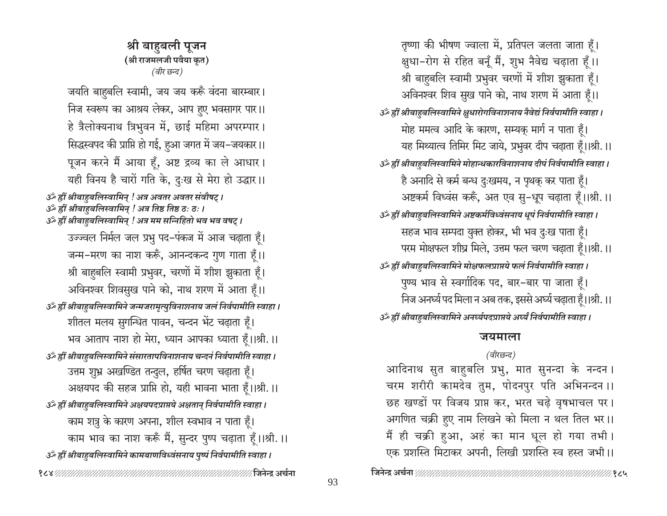तृष्णा की भीषण ज्वाला में, प्रतिपल जलता जाता हूँ। क्षुधा-रोग से रहित बनूँ मैं, शुभ नैवेद्य चढ़ाता हूँ।। श्री बाहुबलि स्वामी प्रभुवर चरणों में शीश झुकाता हूँ। अविनश्वर शिव सुख पाने को, नाथ शरण में आता हूँ।। उॅं ह्रीं श्रीबाहुबलिस्वामिने क्षुधारोगविनाशनाय नैवेद्यं निर्वपामीति स्वाहा । मोह ममत्व आदि के कारण, सम्यक मार्ग न पाता हैं। यह मिथ्यात्व तिमिर मिट जाये, प्रभुवर दीप चढ़ाता हूँ।।श्री.।। उॅं ह्रीं श्रीबाहबलिस्वामिने मोहान्धकारविनाशनाय दीपं निर्वपामीति स्वाहा। है अनादि से कर्म बन्ध दुःखमय, न पृथकु कर पाता हैं। अष्टकर्म विध्वंस करूँ, अत एव सु-धूप चढ़ाता हँ।।श्री.।। उॅं ह्रीं श्रीबाहुबलिस्वामिने अष्टकर्मविध्वंसनाय धूपं निर्वपामीति स्वाहा । सहज भाव सम्पदा युक्त होकर, भी भव दुःख पाता हूँ। परम मोक्षफल शीघ्र मिले, उत्तम फल चरण चढ़ाता हैं।।श्री.।। उर्व्हीं श्रीबाहुबलिस्वामिने मोक्षफलप्राप्तये फलं निर्वपामीति स्वाहा। पुण्य भाव से स्वर्गादिक पद, बार-बार पा जाता हूँ। निज अनर्घ्य पद मिला न अब तक, इससे अर्घ्य चढ़ाता हैं।।श्री. ।। उर्व्हीं श्रीबाहुबलिस्वामिने अनर्घ्यपदप्राप्तये अर्घ्यं निर्वपामीति स्वाहा ।

### जयमाला

# (वीरछन्द)

आदिनाथ सुत बाहुबलि प्रभु, मात सुनन्दा के नन्दन । चरम शरीरी कामदेव तुम, पोदनपुर पति अभिनन्दन ।। छह खण्डों पर विजय प्राप्त कर, भरत चढ़े वृषभाचल पर। अगणित चक्री हुए नाम लिखने को मिला न थल तिल भर।। मैं ही चक्री हुआ, अहं का मान धूल हो गया तभी। एक प्रशस्ति मिटाकर अपनी, लिखी प्रशस्ति स्व हस्त जभी।।

श्री बाहुबली पूजन (श्री राजमलजी पवैया कृत) (वीर छन्द)

जयति बाहबलि स्वामी, जय जय करूँ वंदना बारम्बार। निज स्वरूप का आश्रय लेकर, आप हुए भवसागर पार।। हे त्रैलोक्यनाथ त्रिभुवन में, छाई महिमा अपरम्पार। सिद्धस्वपद की प्राप्ति हो गई, हुआ जगत में जय-जयकार।। पूजन करने मैं आया हूँ, अष्ट द्रव्य का ले आधार। यही विनय है चारों गति के, दुःख से मेरा हो उद्धार।।

ॐ ह्रीं श्रीबाहुबलिस्वामिन् ! अत्र अवतर अवतर संवौषट् । हीं श्रीबाहुबलिस्वामिन् ! अत्र तिष्ठ तिष्ठ ठः ठः । لَجْمَعَ

उर्व्हीं श्रीबाहुबलिस्वामिन् ! अत्र मम सन्निहितो भव भव वषट् ।

उज्ज्वल निर्मल जल प्रभु पद-पंकज में आज चढ़ाता हूँ। जन्म-मरण का नाश करूँ, आनन्दकन्द गुण गाता हूँ।। श्री बाहबलि स्वामी प्रभुवर, चरणों में शीश झुकाता हैं। अविनश्वर शिवसुख पाने को, नाथ शरण में आता हूँ।। उँ ह्रीं श्रीबाहुबलिस्वामिने जन्मजरामृत्युविनाशनाय जलं निर्वपामीति स्वाहा ।

शीतल मलय सुगन्धित पावन, चन्दन भेंट चढ़ाता हूँ। भव आताप नाश हो मेरा, ध्यान आपका ध्याता हँ।।श्री.।।

उॐ ह्रीं श्रीबाहबलिस्वामिने संसारतापविनाशनाय चन्दनं निर्वपामीति स्वाहा ।

उत्तम शुभ्र अखण्डित तन्दुल, हर्षित चरण चढ़ाता हूँ। अक्षयपद की सहज प्राप्ति हो, यही भावना भाता हैं।।श्री.।। उर्व्हीं श्रीबाहुबलिस्वामिने अक्षयपदप्राप्तये अक्षतान् निर्वपामीति स्वाहा ।

काम शत्रु के कारण अपना, शील स्वभाव न पाता हैं। काम भाव का नाश करूँ मैं, सुन्दर पुष्प चढ़ाता हूँ।।श्री.।। उॐ ह्रीं श्रीबाहबलिस्वामिने कामबाणविध्वंसनाय पुष्पं निर्वपामीति स्वाहा ।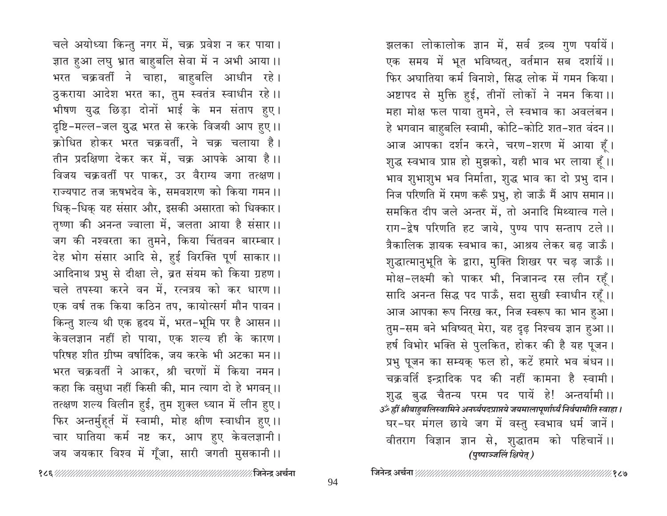चले अयोध्या किन्तु नगर में, चक्र प्रवेश न कर पाया। ज्ञात हुआ लघु भ्रात बाहुबलि सेवा में न अभी आया।। भरत चक्रवर्ती ने चाहा, बाहुबलि आधीन रहे। ठुकराया आदेश भरत का, तुम स्वतंत्र स्वाधीन रहे।। भीषण युद्ध छिड़ा दोनों भाई के मन संताप हुए। दृष्टि-मल्ल-जल युद्ध भरत से करके विजयी आप हुए।। क्रोधित होकर भरत चक्रवर्ती, ने चक्र चलाया है। तीन प्रदक्षिणा देकर कर में, चक्र आपके आया है।। विजय चक्रवर्ती पर पाकर, उर वैराग्य जगा तत्क्षण । राज्यपाट तज ऋषभदेव के, समवशरण को किया गमन।। धिक-धिक यह संसार और, इसकी असारता को धिक्कार। तृष्णा की अनन्त ज्वाला में, जलता आया है संसार।। जग की नश्वरता का तुमने, किया चिंतवन बारम्बार। देह भोग संसार आदि से, हुई विरक्ति पूर्ण साकार।। आदिनाथ प्रभु से दीक्षा ले, व्रत संयम को किया ग्रहण। चले तपस्या करने वन में, रत्नत्रय को कर धारण ।। एक वर्ष तक किया कठिन तप, कायोत्सर्ग मौन पावन । किन्तु शल्य थी एक हृदय में, भरत-भूमि पर है आसन।। केवलज्ञान नहीं हो पाया, एक शल्य ही के कारण। परिषह शीत ग्रीष्म वर्षादिक, जय करके भी अटका मन।। भरत चक्रवर्ती ने आकर, श्री चरणों में किया नमन । कहा कि वसुधा नहीं किसी की, मान त्याग दो हे भगवन् ।। तत्क्षण शल्य विलीन हुई, तुम शुक्ल ध्यान में लीन हुए। फिर अन्तर्मुहूर्त में स्वामी, मोह क्षीण स्वाधीन हुए।। चार घातिया कर्म नष्ट कर, आप हुए केवलज्ञानी। जय जयकार विश्व में गूँजा, सारी जगती मुसकानी ।।

झलका लोकालोक ज्ञान में, सर्व द्रव्य गुण पर्यायें। एक समय में भूत भविष्यत्, वर्तमान सब दर्शायें।। फिर अघातिया कर्म विनाशे, सिद्ध लोक में गमन किया। अष्टापद से मुक्ति हुई, तीनों लोकों ने नमन किया।। महा मोक्ष फल पाया तुमने, ले स्वभाव का अवलंबन। हे भगवान बाहुबलि स्वामी, कोटि-कोटि शत-शत वंदन ।। आज आपका दर्शन करने, चरण-शरण में आया हूँ। शुद्ध स्वभाव प्राप्त हो मुझको, यही भाव भर लाया हूँ।। भाव शुभाशुभ भव निर्माता, शुद्ध भाव का दो प्रभु दान। निज परिणति में रमण करूँ प्रभु, हो जाऊँ मैं आप समान ।। समकित दीप जले अन्तर में, तो अनादि मिथ्यात्व गले। राग-द्वेष परिणति हट जाये, पुण्य पाप सन्ताप टले।। त्रैकालिक ज्ञायक स्वभाव का, आश्रय लेकर बढ़ जाऊँ। शुद्धात्मानुभूति के द्वारा, मुक्ति शिखर पर चढ़ जाऊँ ।। मोक्ष-लक्ष्मी को पाकर भी, निजानन्द रस लीन रहूँ। सादि अनन्त सिद्ध पद पाऊँ, सदा सुखी स्वाधीन रहूँ।। आज आपका रूप निरख कर, निज स्वरूप का भान हुआ। तुम-सम बने भविष्यत् मेरा, यह दृढ़ निश्चय ज्ञान हुआ।। हर्ष विभोर भक्ति से पुलकित, होकर की है यह पूजन। प्रभु पूजन का सम्यक् फल हो, कटें हमारे भव बंधन।। चक्रवर्ति इन्द्रादिक पद की नहीं कामना है स्वामी। शुद्ध बुद्ध चैतन्य परम पद पायें हे! अन्तर्यामी ।। उॐ ह्रीं श्रीबाहबलिस्वामिने अनर्घ्यपद्प्राप्तये जयमालापूर्णार्ध्यं निर्वपामीति स्वाहा । घर-घर मंगल छाये जग में वस्तु स्वभाव धर्म जानें। वीतराग विज्ञान ज्ञान से, शुद्धातम को पहिचानें।। (पुष्पाञ्जलिं क्षिपेत्)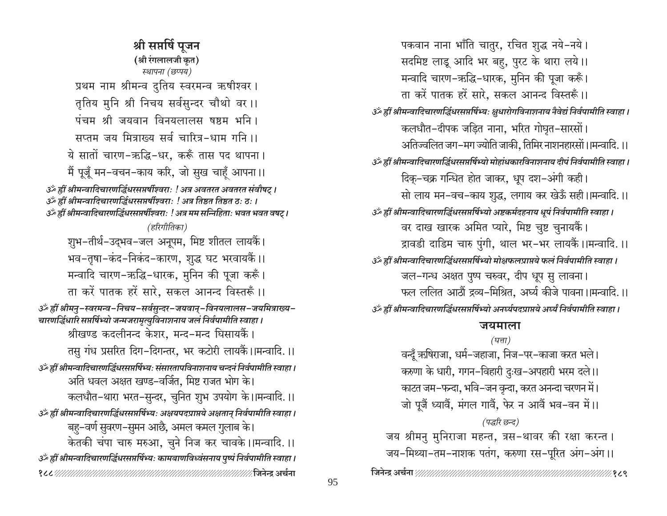श्री सप्तर्षि पूजन (श्री रंगलालजी कृत) स्थापना (छप्पय) प्रथम नाम श्रीमन्व दुतिय स्वरमन्व ऋषीश्वर। तृतिय मुनि श्री निचय सर्वसुन्दर चौथो वर ।। पंचम श्री जयवान विनयलालस षष्ठम भनि । सप्तम जय मित्राख्य सर्व चारित्र-धाम गनि ।। ये सातों चारण-ऋद्धि-धर, करूँ तास पद थापना। मैं पूजूँ मन-वचन-काय करि, जो सुख चाहूँ आपना।। उँ ह्रीं श्रीमन्वादिचारणर्द्धिधरसप्तर्षीश्वराः ! अत्र अवतरत अवतरत संवौषट् । अँ ह्रीं श्रीमन्वादिचारणर्द्धिधरसप्तर्षीश्वराः ! अत्र तिष्ठत तिष्ठत ठः ठः । उँ ह्रीं श्रीमन्वादिचारणर्द्धिधरसप्तर्षीश्वराः ! अत्र मम सन्निहिताः भवत भवत वषट् । (हरिगीतिका) शुभ-तीर्थ-उद्भव-जल अनूपम, मिष्ट शीतल लायकैं। भव-तृषा-कंद-निकंद-कारण, शुद्ध घट भरवायकैं।। मन्वादि चारण-ऋद्धि-धारक, मुनिन की पूजा करूँ। ता करें पातक हरें सारे, सकल आनन्द विस्तरूँ।। ॐ ह्रीं श्रीमनु-स्वरमन्व-निचय-सर्वसुन्दर-जयवान्-विनयलालस-जयमित्राख्य-चारणद्धिधारि सप्तर्षिभ्यो जन्मजरामृत्युविनाशनाय जलं निर्वपामीति स्वाहा । श्रीखण्ड कदलीनन्द केशर, मन्द-मन्द धिसायकैं। तसु गंध प्रसरित दिग-दिगन्तर, भर कटोरी लायकैं।।मन्वादि.।। उॐ ह्रीं श्रीमन्वादिचारणर्द्धिधरसप्तर्षिभ्यः संसारतापविनाशनाय चन्दनं निर्वपामीति स्वाहा । अति धवल अक्षत खण्ड–वर्जित, मिष्ट राजत भोग के। कलधौत–थारा भरत–सुन्दर, चुनित शुभ उपयोग के।।मन्वादि.।। उँ ह्रीं श्रीमन्वादिचारणर्द्धिधरसप्तर्षिभ्यः अक्षयपदप्राप्तये अक्षतान् निर्वपामीति स्वाहा । 'बहु–वर्ण सुवरण–सुमन आछै, अमल कमल गुलाब के। केतकी चंपा चारु मरुआ, चुने निज कर चावके।।मन्वादि.।। उँ ह्रीं श्रीमन्वादिचारणर्द्धिधरसप्तर्षिभ्यः कामबाणविध्वंसनाय पुष्पं निर्वपामीति स्वाहा । 

पकवान नाना भाँति चातुर, रचित शुद्ध नये-नये। सदमिष्ट लाडू आदि भर बहु, पुरट के थारा लये।। मन्वादि चारण-ऋद्धि-धारक, मुनिन की पूजा करूँ। ता करें पातक हरें सारे. सकल आनन्द विस्तरूँ।। उँ ह्रीं श्रीमन्वादिचारणर्द्धिधरसप्तर्षिभ्यः क्षुधारोगविनाशनाय नैवेद्यं निर्वपामीति स्वाहा । कलधौत-दीपक जड़ित नाना, भरित गोघृत-सारसों। अतिज्वलित जग-मग ज्योति जाकी, तिमिर नाशनहारसों।।मन्वादि.।। उॐ ह्रीं श्रीमन्वादिचारणद्धिंधरसप्तर्षिभ्यो मोहांधकारविनाशनाय दीपं निर्वपामीति स्वाहा। दिकू-चक्र गन्धित होत जाकर, धूप दश-अंगी कही। सो लाय मन-वच-काय शुद्ध, लगाय कर खेऊँ सही।।मन्वादि.।। उॐ ह्रीं श्रीमन्वादिचारणद्धिंधरसप्तर्षिभ्यो अष्टकर्मदहनाय धूपं निर्वपामीति स्वाहा । वर दाख खारक अमित प्यारे, मिष्ट चुष्ट चुनायकैं। द्रावडी दाडिम चारु पुंगी, थाल भर-भर लायकैं।।मन्वादि.।। उॐ ह्रीं श्रीमन्वादिचारणर्द्धिधरसप्तर्षिभ्यो मोक्षफलप्राप्तये फलं निर्वपामीति स्वाहा । जल-गन्ध अक्षत पुष्प चरुवर, दीप धूप सु लावना। फल ललित आठौं द्रव्य-मिश्रित. अर्घ्य कीजे पावना ।।मन्वादि. ।। उॐ ह्रीं श्रीमन्वादिचारणद्धिंधरसप्तर्षिभ्यो अनर्घ्यपदप्राप्तये अर्घ्यं निर्वपामीति स्वाहा ।

# जयमाला

(घत्ता) वन्दूँ ऋषिराजा, धर्म–जहाजा, निज–पर–काजा करत भले। करुणा के धारी, गगन–विहारी दुःख–अपहारी भरम दले।। काटत जम–फन्दा, भवि–जन वृन्दा, करत अनन्दा चरणन में। जो पूजैं ध्यावैं, मंगल गावैं, फेर न आवैं भव-वन में।। (पद्धरि छन्द) जय श्रीमनु मुनिराजा महन्त, त्रस-थावर की रक्षा करन्त।

जय-मिथ्या-तम-नाशक पतंग, करुणा रस-पूरित अंग-अंग।।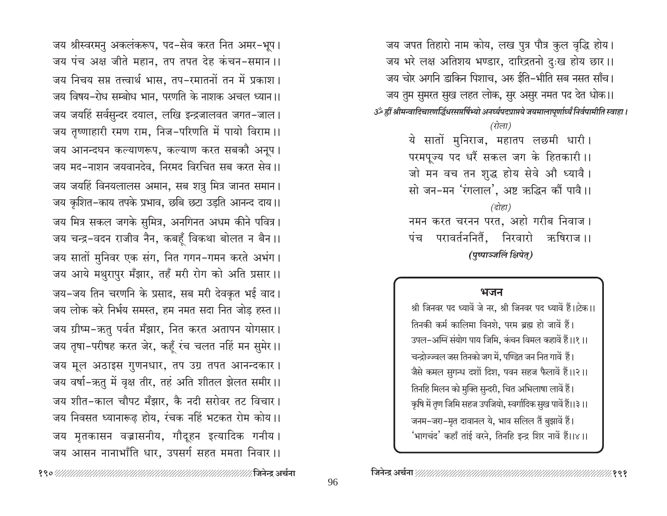जय श्रीस्वरमनु अकलंकरूप, पद-सेव करत नित अमर-भूप। जय पंच अक्ष जीते महान, तप तपत देह कंचन-समान ।। जय निचय सप्त तत्त्वार्थ भास. तप-रमातनों तन में प्रकाश। जय विषय-रोध सम्बोध भान. परणति के नाशक अचल ध्यान।। जय जयहिं सर्वसुन्दर दयाल, लखि इन्द्रजालवत जगत-जाल। जय तृष्णाहारी रमण राम, निज-परिणति में पायो विराम।। जय आनन्दघन कल्याणरूप, कल्याण करत सबकौ अनूप। जय मद-नाशन जयवानदेव. निरमद विरचित सब करत सेव ।। जय जयहिं विनयलालस अमान, सब शत्रु मित्र जानत समान। जय कृशित-काय तपके प्रभाव, छबि छटा उड़ति आनन्द दाय।। जय मित्र सकल जगके सुमित्र, अनगिनत अधम कीने पवित्र। जय चन्द्र-वदन राजीव नैन, कबहँ विकथा बोलत न बैन।। जय सातों मुनिवर एक संग, नित गगन-गमन करते अभंग। जय आये मथुरापुर मँझार, तहँ मरी रोग को अति प्रसार।। जय-जय तिन चरणनि के प्रसाद, सब मरी देवकृत भई वाद। जय लोक करे निर्भय समस्त, हम नमत सदा नित जोड़ हस्त।। जय ग्रीष्म-ऋतु पर्वत मँझार, नित करत अतापन योगसार। जय तृषा-परीषह करत जेर, कहँ रंच चलत नहिं मन सुमेर।। जय मूल अठाइस गुणनधार, तप उग्र तपत आनन्दकार। जय वर्षा-ऋतु में वृक्ष तीर, तहं अति शीतल झेलत समीर।। जय शीत-काल चौपट मँझार, कै नदी सरोवर तट विचार। जय निवसत ध्यानारूढ होय, रंचक नहिं भटकत रोम कोय।। जय मृतकासन वज्रासनीय, गौदूहन इत्यादिक गनीय। जय आसन नानाभाँति धार, उपसर्ग सहत ममता निवार।।

जय जपत तिहारो नाम कोय, लख पुत्र पौत्र कुल वृद्धि होय। जय भरे लक्ष अतिशय भण्डार, दारिद्रतनो दुःख होय छार।। जय चोर अगनि डाकिन पिशाच, अरु ईति-भीति सब नसत साँच। जय तुम सुमरत सुख लहत लोक, सुर असुर नमत पद देत धोक।। ةَ अंग्रे हीं श्रीमन्वादिचारणद्धिंधरसप्तर्षिभ्यो अनर्घ्यपदप्राप्तये जयमालापूर्णार्ध्यं निर्वपामीति स्वाहा। (रोला) ये सातों मुनिराज, महातप लछमी धारी। परमपूज्य पद धरैं सकल जग के हितकारी।। जो मन वच तन शुद्ध होय सेवे औ ध्यावै। सो जन-मन 'रंगलाल', अष्ट ऋद्धिन कौं पावै।। (दोहा) नमन करत चरनन परत, अहो गरीब निवाज । परावर्तननिर्तै, निरवारो ऋषिराज ।। पंच (पृष्पाञ्जलिं क्षिपेत्)

### भजन

श्री जिनवर पद ध्यावें जे नर, श्री जिनवर पद ध्यावें हैं।।टेक।। तिनकी कर्म कालिमा विनशे, परम ब्रह्म हो जावें हैं। उपल-अग्नि संयोग पाय जिमि, कंचन विमल कहावें हैं।।१।। चन्द्रोज्ज्वल जस तिनको जग में, पण्डित जन नित गावें हैं। जैसे कमल सुगन्ध दशों दिश, पवन सहज फैलावें हैं।।२।। तिनहि मिलन को मुक्ति सुन्दरी, चित अभिलाषा लावें हैं। कृषि में तृण जिमि सहज उपजियो, स्वर्गादिक सुख पावें हैं।।३।। जनम-जरा-मृत दावानल ये, भाव सलिल तैं बुझावें हैं। 'भागचंद' कहाँ तांई वरने, तिनहि इन्द्र शिर नावें हैं।।४।।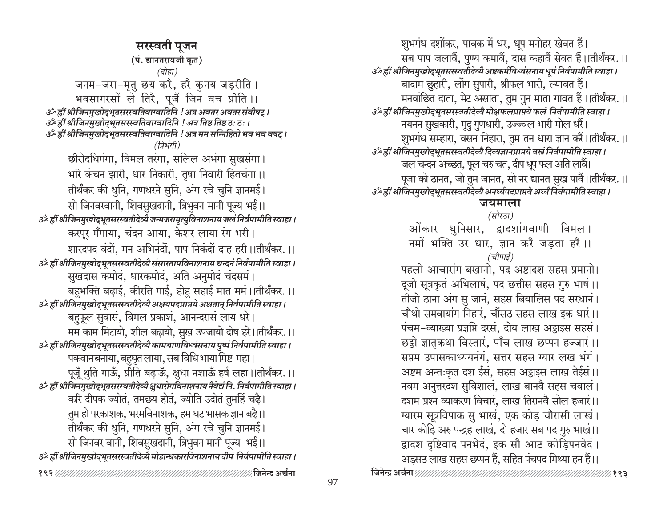सरस्वती पुजन (पं. द्यानतरायजी कृत) (दोहा) जनम-जरा-मृतु छय करै, हरै कुनय जड़रीति। भवसागरसों ले तिरै, पूजैं जिन वच प्रीति ।। उँ ह्रीं श्रीजिनमुखोद्भूतसरस्वतिवाग्वादिनि ! अत्र अवतर अवतर संवौषट् । 3ं ह्रीं श्रीजिनमुखोद्भूतसरस्वतिवाग्वादिनि ! अत्र तिष्ठ तिष्ठ ठः ठः । उँ ह्रीं श्रीजिनमुखोद्भूतसरस्वतिवाग्वादिनि ! अत्र मम सन्निहितो भव भव वषट् । (त्रिभंगी) छीरोदधिगंगा, विमल तरंगा, सलिल अभंगा सुखसंगा। भरि कंचन झारी, धार निकारी, तृषा निवारी हितचंगा।। तीर्थंकर की धुनि, गणधरने सुनि, अंग रचे चुनि ज्ञानमई। सो जिनवरवानी, शिवसुखदानी, त्रिभुवन मानी पूज्य भई।। उँ ह्रीं श्रीजिनमुखोद्भूतसरस्वतीदेव्यै जन्मजरामृत्युविनाशनाय जलं निर्वपामीति स्वाहा । करपूर मँगाया, चंदन आया, केशर लाया रंग भरी। शारदपद वंदों, मन अभिनंदों, पाप निकंदों दाह हरी।।तीर्थंकर.।। ुॐ ह्रीं श्रीजिनमुखोद्भूतसरस्वतीदेव्यै संसारतापविनाशनाय चन्दनं निर्वपामीति स्वाहा । सुखदास कमोदं, धारकमोदं, अति अनुमोदं चंदसमं। बहुभक्ति बढ़ाई, कीरति गाई, होहु सहाई मात ममं।।तीर्थंकर.।। ं इीं श्रीजिनमुखोद्भूतसरस्वतीदेव्यै अक्षयपदप्राप्तये अक्षतान् निर्वपामीति स्वाहा । बहुफूल सुवासं, विमल प्रकाशं, आनन्दरासं लाय धरे। मम काम मिटायो, शील बढ़ायो, सुख उपजायो दोष हरे।।तीर्थंकर.।। उॅथ्हीं श्रीजिनमुखोद्भूतसरस्वतीदेव्यै कामबाणविध्वंसनाय पुष्पं निर्वपामीति स्वाहा। पकवानबनाया, बहुघृत लाया, सब विधि भाया मिष्ट महा । पूजूँ थुति गाऊँ, प्रीति बढ़ाऊँ, क्षुधा नशाऊँ हर्ष लहा।।तीर्थंकर.।। ुॐ ह्रीं श्रीजिनमुखोद्भूतसरस्वतीदेव्यै क्षुधारोगविनाशनाय नैवेद्यं नि. निर्वपामीति स्वाहा। करि दीपक ज्योतं, तमछ्य होतं, ज्योति उदोतं तुमहिं चढ़ै। तुम हो परकाशक, भरमविनाशक, हम घट भासक ज्ञान बढ़ै।। तीर्थंकर की धुनि, गणधरने सुनि, अंग रचे चुनि ज्ञानमई। सो जिनवर वानी, शिवसुखदानी, त्रिभुवन मानी पूज्य भई।। ाॐ ह्रीं श्रीजिनमुखोदृभूतसरस्वतीदेव्यै मोहान्धकारविनाशनाय दीपं निर्वपामीति स्वाहा। 

शुभगंध दशोंकर, पावक में धर, धूप मनोहर खेवत हैं। सब पाप जलावैं, पुण्य कमावैं, दास कहावैं सेवत हैं।।तीर्थंकर.।। उँ ह्रीं श्रीजिनमुखोद्भूतसरस्वतीदेव्यै अष्टकर्मविध्वंसनाय धूपं निर्वपामीति स्वाहा। बादाम छुहारी, लोंग सुपारी, श्रीफल भारी, ल्यावत हैं। मनवांछित दाता, मेट असाता, तुम गुन माता गावत हैं।।तीर्थंकर.।। उँ ह्रीं श्रीजिनमुखोद्भूतसरस्वतीदेव्यै मोक्षफलप्राप्तये फलं निर्वपामीति स्वाहा। नयनन सुखकारी, मूदु गुणधारी, उज्ज्वल भारी मोल धरैं। शुभगंध सम्हारा, वसन निहारा, तुम तन धारा ज्ञान करैं।।तीर्थंकर.।। ुॐ ह्रीं श्रीजिनमुखोद्भूतसरस्वतीदेव्यै दिव्यज्ञानप्राप्तये वस्त्रं निर्वपामीति स्वाहा । जल चन्दन अच्छत, फूल चरु चत, दीप धूप फल अति लावै। पूजा को ठानत, जो तुम जानत, सो नर द्यानत सुख पावैं।।तीर्थंकर.।। उँ ह्रीं श्रीजिनमुखोद्भूतसरस्वतीदेव्यै अनर्घ्यपदप्राप्तये अर्घ्यं निर्वपामीति स्वाहा । जयमाला (सोरठा) ओंकार धुनिसार, द्वादशांगवाणी विमल। नमों भक्ति उर धार, ज्ञान करै जड़ता हरै।। (चौपाई) पहलो आचारांग बखानो, पद अष्टादश सहस प्रमानो।

दूजो सूत्रकृतं अभिलाषं, पद छत्तीस सहस गुरु भाषं ।। तीजो ठाना अंग सु जानं, सहस बियालिस पद सरधानं। चौथो समवायांग निहारं, चौंसठ सहस लाख इक धारं।। पंचम-व्याख्या प्रज्ञप्ति दरसं, दोय लाख अट्ठाइस सहसं। छट्ठो ज्ञातृकथा विस्तारं, पाँच लाख छप्पन हज्जारं।। सप्तम उपासकाध्ययनंगं, सत्तर सहस ग्यार लख भंगं। अष्टम अन्तःकृत दश ईसं, सहस अट्ठाइस लाख तेईसं ।। नवम अनुत्तरदश सुविशालं, लाख बानवै सहस चवालं। दशम प्रश्न व्याकरण विचारं. लाख तिरानवै सोल हजारं।। ग्यारम सूत्रविपाक सु भाखं, एक कोड़ चौरासी लाखं। चार कोड़ि अरु पन्द्रह लाखं, दो हजार सब पद गुरु भाखं।। द्वादश दृष्टिवाद पनभेदं, इक सौ आठ कोडिपनवेदं। अड़सठ लाख सहस छप्पन हैं, सहित पंचपद मिथ्या हन हैं।।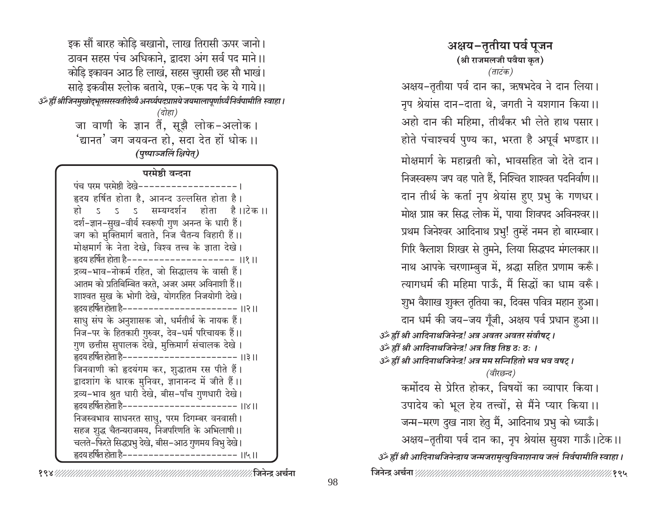इक सौं बारह कोड़ि बखानो, लाख तिरासी ऊपर जानो। ठावन सहस पंच अधिकाने, द्वादश अंग सर्व पद माने।। कोड़ि इकावन आठ हि लाखं, सहस चुरासी छह सौ भाखं। साढ़े इकवीस श्लोक बताये, एक–एक पद के ये गाये।। उँ ह्रीं श्रीजिनमुखोद्भूतसरस्वतीदेव्यै अनर्घ्यपदप्राप्तये जयमालापूर्णार्ध्यं निर्वपामीति स्वाहा । (दोहा) जा वाणी के ज्ञान तैं, सूझै लोक-अलोक। 'द्यानत' जग जयवन्त हो, सदा देत हों धोक ।। (पृष्पाञ्जलिं क्षिपेत्) परमेष्ठी वन्दना पंच परम परमेष्ठी देखे-----------------हृदय हर्षित होता है, आनन्द उल्लसित होता है। ऽ ऽ ऽ सम्यग्दर्शन होता है।।टेक।। दर्श-ज्ञान-सुख-वीर्य स्वरूपी गुण अनन्त के धारी हैं। जग को मुक्तिमार्ग बताते, निज चैतन्य विहारी हैं।। मोक्षमार्ग के नेता देखे, विश्व तत्त्व के ज्ञाता देखे। हृदय हर्षित होता है––––––––––––––––––––– ।।१ ।। द्रव्य-भाव-नोकर्म रहित, जो सिद्धालय के वासी हैं। आतम को प्रतिबिम्बित करते, अजर अमर अविनाशी हैं।। शाश्वत सुख के भोगी देखे, योगरहित निजयोगी देखे। हृदय हर्षित होता है–––––––––––––––––––––– ।।२।। साधु संघ के अनुशासक जो, धर्मतीर्थ के नायक हैं। निज-पर के हितकारी गुरुवर, देव-धर्म परिचायक हैं।। गुण छत्तीस सुपालक देखे, मुक्तिमार्ग संचालक देखे। हृदय हर्षित होता है---------------------- ।।३ ।। जिनवाणी को हृदयंगम कर, शुद्धातम रस पीते हैं। द्वादशांग के धारक मुनिवर, ज्ञानानन्द में जीते हैं।। द्रव्य-भाव श्रुत धारी देखे, बीस-पाँच गुणधारी देखे। हृदय हर्षित होता है–––––––––––––––––––––––।।४।। निजस्वभाव साधनरत साधु, परम दिगम्बर वनवासी। सहज शुद्ध चैतन्यराजमय, निजपरिणति के अभिलाषी ।। चलते-फिरते सिद्धप्रभु देखे, बीस-आठ गुणमय विभु देखे। हृदय हर्षित होता है–––––––––––––––––––––––।।५ ।।

अक्षय–तृतीया पर्व पुजन (श्री राजमलजी पवैया कृत) (ताटंक) अक्षय-तृतीया पर्व दान का, ऋषभदेव ने दान लिया। नृप श्रेयांस दान-दाता थे, जगती ने यशगान किया।। अहो दान की महिमा, तीर्थंकर भी लेते हाथ पसार। होते पंचाश्चर्य पुण्य का, भरता है अपूर्व भण्डार ।। मोक्षमार्ग के महाव्रती को, भावसहित जो देते दान। निजस्वरूप जप वह पाते हैं, निश्चित शाश्वत पदनिर्वाण ।। दान तीर्थ के कर्ता नृप श्रेयांस हुए प्रभु के गणधर। मोक्ष प्राप्त कर सिद्ध लोक में, पाया शिवपद अविनश्वर।। प्रथम जिनेश्वर आदिनाथ प्रभु! तुम्हें नमन हो बारम्बार। गिरि कैलाश शिखर से तुमने, लिया सिद्धपद मंगलकार।। नाथ आपके चरणाम्बुज में, श्रद्धा सहित प्रणाम करूँ। त्यागधर्म की महिमा पाऊँ, मैं सिद्धों का धाम वरूँ। शुभ वैशाख शुक्ल तृतिया का, दिवस पवित्र महान हुआ। दान धर्म की जय-जय गूँजी, अक्षय पर्व प्रधान हुआ।। उर्क ह्रीं श्री आदिनाथजिनेन्द्र! अत्र अवतर अवतर संवौषट् । उर्क हीं श्री आदिनाथजिनेन्द्र! अत्र तिष्ठ तिष्ठ ठ: ठ: । उर्व्हीं श्री आदिनाथजिनेन्द्र! अत्र मम सन्निहितो भव भव वषट् । (वीरछन्द) कर्मोदय से प्रेरित होकर, विषयों का व्यापार किया। उपादेय को भूल हेय तत्त्वों, से मैंने प्यार किया।। जन्म-मरण दुख नाश हेतु मैं, आदिनाथ प्रभु को ध्याऊँ। अक्षय-तृतीया पर्व दान का, नृप श्रेयांस सुयश गाऊँ।।टेक।। उँ ह्रीं श्री आदिनाथजिनेन्द्राय जन्मजरामृत्युविनाशनाय जलं निर्वपामीति स्वाहा ।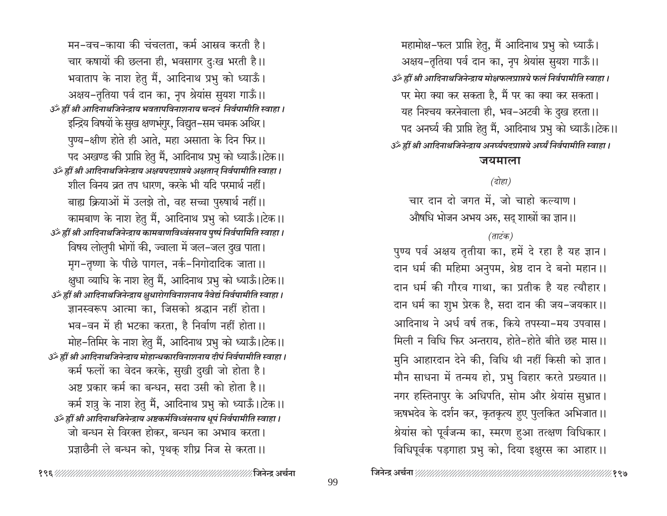महामोक्ष-फल प्राप्ति हेतु, मैं आदिनाथ प्रभु को ध्याऊँ। अक्षय-तृतिया पर्व दान का, नृप श्रेयांस सुयश गाऊँ।। उर्के ह्रीं श्री आदिनाथजिनेन्द्राय मोक्षफलप्राप्तये फलं निर्वपामीति स्वाहा । पर मेरा क्या कर सकता है, मैं पर का क्या कर सकता। यह निश्चय करनेवाला ही, भव-अटवी के दुख हरता।। पद अनर्घ्य की प्राप्ति हेतु मैं, आदिनाथ प्रभु को ध्याऊँ।।टेक।। उँ ह्रीं श्री आदिनाथजिनेन्द्राय अनर्घ्यपदप्राप्तये अर्घ्यं निर्वपामीति स्वाहा ।

### जयमाला

## (दोहा)

चार दान दो जगत में, जो चाहो कल्याण। औषधि भोजन अभय अरु, सद शास्त्रों का ज्ञान।।

# (ताटंक)

पुण्य पर्व अक्षय तृतीया का, हमें दे रहा है यह ज्ञान। दान धर्म की महिमा अनुपम, श्रेष्ठ दान दे बनो महान ।। दान धर्म की गौरव गाथा, का प्रतीक है यह त्यौहार। दान धर्म का शुभ प्रेरक है, सदा दान की जय–जयकार।। आदिनाथ ने अर्ध वर्ष तक, किये तपस्या-मय उपवास। मिली न विधि फिर अन्तराय, होते-होते बीते छह मास।। मुनि आहारदान देने की, विधि थी नहीं किसी को ज्ञात। मौन साधना में तन्मय हो, प्रभु विहार करते प्रख्यात ।। नगर हस्तिनापुर के अधिपति, सोम और श्रेयांस सुभ्रात। ऋषभदेव के दर्शन कर, कृतकृत्य हुए पुलकित अभिजात।। श्रेयांस को पूर्वजन्म का, स्मरण हुआ तत्क्षण विधिकार। विधिपूर्वक पड़गाहा प्रभु को, दिया इक्षुरस का आहार।।

मन-वच-काया की चंचलता, कर्म आस्रव करती है। चार कषायों की छलना ही, भवसागर दुःख भरती है।। भवाताप के नाश हेतु मैं, आदिनाथ प्रभु को ध्याऊँ। अक्षय-तृतिया पर्व दान का, नृप श्रेयांस सुयश गाऊँ।। उँ ह्रीं श्री आदिनाथजिनेन्द्राय भवतापविनाशनाय चन्दनं निर्वपामीति स्वाहा । इन्द्रिय विषयों के सुख क्षणभंगुर, विद्युत-सम चमक अथिर। पुण्य-क्षीण होते ही आते, महा असाता के दिन फिर।। पद अखण्ड की प्राप्ति हेतु मैं, आदिनाथ प्रभु को ध्याऊँ। टिक।। उँ ह्रीं श्री आदिनाथजिनेन्द्राय अक्षयपदप्राप्तये अक्षतान् निर्वपामीति स्वाहा । शील विनय व्रत तप धारण, करके भी यदि परमार्थ नहीं। बाह्य क्रियाओं में उलझे तो, वह सच्चा पुरुषार्थ नहीं।। कामबाण के नाश हेतु मैं, आदिनाथ प्रभु को ध्याऊँ।।टेक।। उँ ह्रीं श्री आदिनाथजिनेन्द्राय कामबाणविध्वंसनाय पुष्पं निर्वपामिति स्वाहा। विषय लोलुपी भोगों की, ज्वाला में जल-जल दुख पाता। मग-तृष्णा के पीछे पागल, नर्क-निगोदादिक जाता।। क्षुधा व्याधि के नाश हेतु मैं, आदिनाथ प्रभु को ध्याऊँ।।टेक।। उँ ह्रीं श्री आदिनाथजिनेन्द्राय क्षुधारोगविनाशनाय नैवेद्यं निर्वपामीति स्वाहा। ज्ञानस्वरूप आत्मा का, जिसको श्रद्धान नहीं होता। भव-वन में ही भटका करता, है निर्वाण नहीं होता।। मोह–तिमिर के नाश हेतु मैं, आदिनाथ प्रभु को ध्याऊँ।।टेक।। उँ ह्रीं श्री आदिनाथजिनेन्द्राय मोहान्धकारविनाशनाय दीपं निर्वपामीति स्वाहा। कर्म फलों का वेदन करके, सुखी दुखी जो होता है। अष्ट प्रकार कर्म का बन्धन, सदा उसी को होता है।। कर्म शत्रु के नाश हेतु मैं, आदिनाथ प्रभु को ध्याऊँ।।टेक।। उँ ह्रीं श्री आदिनाथजिनेन्द्राय अष्टकर्मविध्वंसनाय धूपं निर्वपामीति स्वाहा। जो बन्धन से विरक्त होकर, बन्धन का अभाव करता। प्रज्ञाछैनी ले बन्धन को, पृथक् शीघ्र निज से करता।।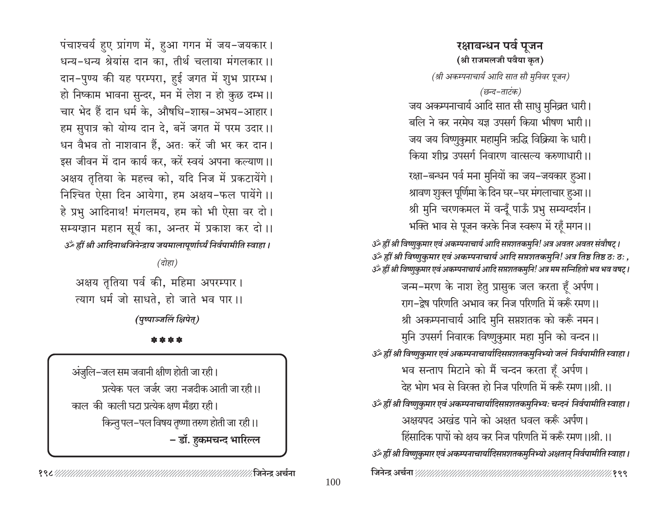# रक्षाबन्धन पर्व पूजन (श्री राजमलजी पवैया कृत)

(श्री अकम्पनाचार्य आदि सात सौ मुनिवर पूजन)

(छन्द-ताटंक)

जय अकम्पनाचार्य आदि सात सौ साधु मुनिव्रत धारी। बलि ने कर नरमेघ यज्ञ उपसर्ग किया भीषण भारी ।। जय जय विष्णुकुमार महामुनि ऋद्धि विक्रिया के धारी। किया शीघ्र उपसर्ग निवारण वात्सल्य करुणाधारी ।।

रक्षा-बन्धन पर्व मना मुनियों का जय-जयकार हुआ। श्रावण शुक्ल पूर्णिमा के दिन घर–घर मंगलाचार हुआ।। श्री मुनि चरणकमल में वन्दूँ पाऊँ प्रभु सम्यग्दर्शन। भक्ति भाव से पूजन करके निज स्वरूप में रहूँ मगन।।

उँ ह्रीं श्री विष्णुकुमार एवं अकम्पनाचार्य आदि सप्तशतकमुनि! अत्र अवतर अवतर संवौषट् । , उँ ह्रीं श्री विष्णुकुमार एवं अकम्पनाचार्य आदि सप्तशतकमुनि! अत्र तिष्ठ तिष्ठ ठः ठ: , ةَ اللهَ हीं श्री विष्णुकुमार एवं अकम्पनाचार्य आदि सप्तशतकमुनि! अत्र मम सन्निहितो भव भव वषट्।

जन्म-मरण के नाश हेतु प्रासुक जल करता हूँ अर्पण। राग-द्रेष परिणति अभाव कर निज परिणति में करूँ रमण ।। श्री अकम्पनाचार्य आदि मुनि सप्तशतक को करूँ नमन। मुनि उपसर्ग निवारक विष्णुकुमार महा मुनि को वन्दन।। उँ ह्रीं श्री विष्णुकुमार एवं अकम्पनाचार्यादिसप्तशतकमुनिभ्यो जलं निर्वपामीति स्वाहा । भव सन्ताप मिटाने को मैं चन्दन करता हूँ अर्पण। देह भोग भव से विरक्त हो निज परिणति में करूँ रमण ।।श्री. ।। उँ ह्रीं श्री विष्णुकुमार एवं अकम्पनाचार्यादिसप्तशतकमुनिभ्यः चन्दनं निर्वपामीति स्वाहा । अक्षयपद अखंड पाने को अक्षत धवल करूँ अर्पण। हिंसादिक पापों को क्षय कर निज परिणति में करूँ रमण ।।श्री. ।। उँ ह्रीं श्री विष्णुकुमार एवं अकम्पनाचार्यादिसप्तशतकमुनिभ्यो अक्षतान् निर्वपामीति स्वाहा। 

पंचाश्चर्य हुए प्रांगण में, हुआ गगन में जय-जयकार। धन्य-धन्य श्रेयांस दान का, तीर्थ चलाया मंगलकार।। दान-पुण्य की यह परम्परा, हुई जगत में शुभ प्रारम्भ। हो निष्काम भावना सुन्दर, मन में लेश न हो कुछ दम्भ।। चार भेद हैं दान धर्म के. औषधि-शास्त्र-अभय-आहार। हम सुपात्र को योग्य दान दे, बनें जगत में परम उदार।। धन वैभव तो नाशवान हैं, अतः करें जी भर कर दान। इस जीवन में दान कार्य कर, करें स्वयं अपना कल्याण।। अक्षय तृतिया के महत्त्व को, यदि निज में प्रकटायेंगे। निश्चित ऐसा दिन आयेगा, हम अक्षय-फल पायेंगे।। हे प्रभु आदिनाथ! मंगलमय, हम को भी ऐसा वर दो। सम्यग्ज्ञान महान सूर्य का, अन्तर में प्रकाश कर दो।। उर्व्हीं श्री आदिनाथजिनेन्द्राय जयमालापूर्णार्घ्यं निर्वपामीति स्वाहा ।

 $\overline{G}$ होहा)

अक्षय तृतिया पर्व की, महिमा अपरम्पार। त्याग धर्म जो साधते. हो जाते भव पार।।

(पुष्पाञ्जलिं क्षिपेत्)

### \* \* \* \*

अंजुलि-जल सम जवानी क्षीण होती जा रही। प्रत्येक पल जर्जर जरा नजदीक आती जा रही।। काल की काली घटा प्रत्येक क्षण मँडरा रही। किन्तु पल-पल विषय तृष्णा तरुण होती जा रही।। – डॉ. हुकमचन्द भारिल्ल

∕ जिनेन्द्र अर्चना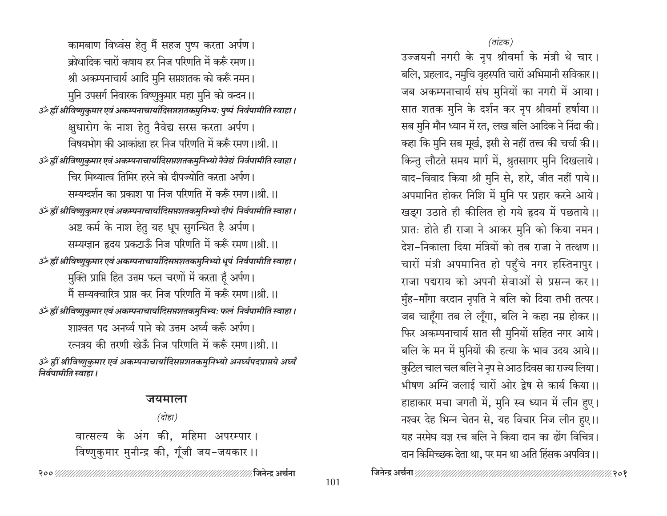कामबाण विध्वंस हेतु मैं सहज पुष्प करता अर्पण। क्रोधादिक चारों कषाय हर निज परिणति में करूँ रमण ।। श्री अकम्पनाचार्य आदि मुनि सप्तशतक को करूँ नमन। मुनि उपसर्ग निवारक विष्णुकुमार महा मुनि को वन्दन।। उँ ह्रीं श्रीविष्णुकुमार एवं अकम्पनाचार्यादिसप्तशतकमुनिभ्यः पुष्पं निर्वपामीति स्वाहा । क्षुधारोग के नाश हेतु नैवेद्य सरस करता अर्पण। विषयभोग की आकांक्षा हर निज परिणति में करूँ रमण ।।श्री. ।। उॐ ह्रीं श्रीविष्णुकुमार एवं अकम्पनाचार्यादिसप्तशतकमुनिभ्यो नैवेद्यं निर्वपामीति स्वाहा । चिर मिथ्यात्व तिमिर हरने को दीपज्योति करता अर्पण। सम्यग्दर्शन का प्रकाश पा निज परिणति में करूँ रमण ।।श्री. ।। उॐ ह्रीं श्रीविष्णुकुमार एवं अकम्पनाचार्यादिसप्तशतकमुनिभ्यो दीपं निर्वपामीति स्वाहा । अष्ट कर्म के नाश हेतु यह धूप सुगन्धित है अर्पण। सम्यग्ज्ञान हृदय प्रकटाऊँ निज परिणति में करूँ रमण ।।श्री. ।। उॐ ह्रीं श्रीविष्णुकुमार एवं अकम्पनाचार्यादिसप्तशतकमुनिभ्यो धूपं निर्वपामीति स्वाहा । मुक्ति प्राप्ति हित उत्तम फल चरणों में करता हूँ अर्पण। मैं सम्यक्वारित्र प्राप्त कर निज परिणति में करूँ रमण ।।श्री. ।। उँ ह्रीं श्रीविष्णुकुमार एवं अकम्पनाचार्यादिसप्तशतकमुनिभ्यः फलं निर्वपामीति स्वाहा । शाश्वत पद अनर्घ्य पाने को उत्तम अर्घ्य करूँ अर्पण। रत्नत्रय की तरणी खेऊँ निज परिणति में करूँ रमण ।।श्री. ।। ॐ ह्रीं श्रीविष्णुकुमार एवं अकम्पनाचार्यादिसप्तशतकमुनिभ्यो अनर्घ्यपदप्राप्तये अर्घ्यं निर्वपामीति स्वाहा।

### जयमाला

 $\overline{G}$ होहा) वात्सल्य के अंग की, महिमा अपरम्पार। विष्णुकुमार मुनीन्द्र की, गूँजी जय-जयकार ।।

#### (तांटक)

उज्जयनी नगरी के नृप श्रीवर्मा के मंत्री थे चार। बलि, प्रहलाद, नमुचि वृहस्पति चारों अभिमानी सविकार।। जब अकम्पनाचार्य संघ मुनियों का नगरी में आया। सात शतक मुनि के दर्शन कर नृप श्रीवर्मा हर्षाया।। सब मुनि मौन ध्यान में रत, लख बलि आदिक ने निंदा की। कहा कि मुनि सब मूर्ख, इसी से नहीं तत्त्व की चर्चा की।। किन्तु लौटते समय मार्ग में, श्रुतसागर मुनि दिखलाये। वाद-विवाद किया श्री मुनि से, हारे, जीत नहीं पाये।। अपमानित होकर निशि में मुनि पर प्रहार करने आये। खड़ग उठाते ही कीलित हो गये हृदय में पछताये।। प्रातः होते ही राजा ने आकर मुनि को किया नमन। देश-निकाला दिया मंत्रियों को तब राजा ने तत्क्षण ।। चारों मंत्री अपमानित हो पहुँचे नगर हस्तिनापुर। राजा पद्मराय को अपनी सेवाओं से प्रसन्न कर।। मुँह-माँगा वरदान नृपति ने बलि को दिया तभी तत्पर। जब चाहूँगा तब ले लूँगा, बलि ने कहा नम्र होकर।। फिर अकम्पनाचार्य सात सौ मुनियों सहित नगर आये। बलि के मन में मुनियों की हत्या के भाव उदय आये।। कुटिल चाल चल बलि ने नृप से आठ दिवस का राज्य लिया। भीषण अग्नि जलाई चारों ओर द्रेष से कार्य किया।। हाहाकार मचा जगती में, मुनि स्व ध्यान में लीन हुए। नश्वर देह भिन्न चेतन से, यह विचार निज लीन हुए।। यह नरमेघ यज्ञ रच बलि ने किया दान का ढोंग विचित्र। दान किमिच्छक देता था, पर मन था अति हिंसक अपवित्र।।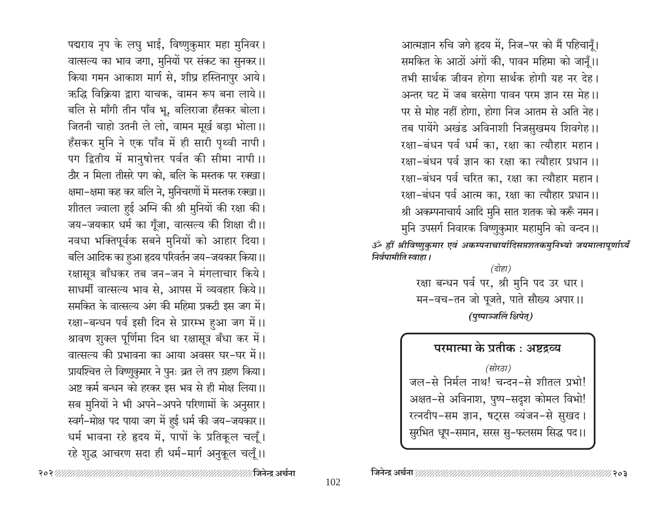आत्मज्ञान रुचि जगे हृदय में, निज-पर को मैं पहिचानुँ। समकित के आठों अंगों की, पावन महिमा को जानूँ।। तभी सार्थक जीवन होगा सार्थक होगी यह नर देह। अन्तर घट में जब बरसेगा पावन परम ज्ञान रस मेह।। पर से मोह नहीं होगा, होगा निज आतम से अति नेह। तब पायेंगे अखंड अविनाशी निजसुखमय शिवगेह।। रक्षा-बंधन पर्व धर्म का, रक्षा का त्यौहार महान। रक्षा-बंधन पर्व ज्ञान का रक्षा का त्यौहार प्रधान ।। रक्षा-बंधन पर्व चरित का, रक्षा का त्यौहार महान। रक्षा-बंधन पर्व आत्म का, रक्षा का त्यौहार प्रधान।। श्री अकम्पनाचार्य आदि मुनि सात शतक को करूँ नमन। मुनि उपसर्ग निवारक विष्णुकुमार महामुनि को वन्दन।। ॐ ह्रीं श्रीविष्णुकुमार एवं अकम्पनाचार्यादिसप्तशतकमुनिभ्यो जयमालापूर्णार्घ्यं निर्वपामीति स्वाहा ।

> (दोहा) रक्षा बन्धन पर्व पर, श्री मुनि पद उर धार। मन-वच-तन जो पूजते, पाते सौख्य अपार।। (पुष्पाञ्जलिं क्षिपेत्)

परमात्मा के प्रतीक : अष्टद्रव्य (सोरठा) जल-से निर्मल नाथ! चन्दन-से शीतल प्रभो! अक्षत-से अविनाश, पुष्प-सदृश कोमल विभो! रत्नदीप-सम ज्ञान, षट्रस व्यंजन-से सुखद। सुरभित धूप-समान, सरस सु-फलसम सिद्ध पद।।

पद्मराय नृप के लघु भाई, विष्णुकुमार महा मुनिवर। वात्सल्य का भाव जगा, मुनियों पर संकट का सुनकर।। किया गमन आकाश मार्ग से, शीघ्र हस्तिनापुर आये। ऋद्धि विक्रिया द्वारा याचक, वामन रूप बना लाये।। बलि से माँगी तीन पाँव भू, बलिराजा हँसकर बोला। जितनी चाहो उतनी ले लो, वामन मूर्ख बड़ा भोला।। हँसकर मुनि ने एक पाँव में ही सारी पृथ्वी नापी। पग द्वितीय में मानुषोत्तर पर्वत की सीमा नापी ।। ठौर न मिला तीसरे पग को, बलि के मस्तक पर रक्खा। क्षमा–क्षमा कह कर बलि ने, मुनिचरणों में मस्तक रक्खा।। शीतल ज्वाला हुई अग्नि की श्री मुनियों की रक्षा की। जय-जयकार धर्म का गूँजा, वात्सल्य की शिक्षा दी।। नवधा भक्तिपूर्वक सबने मुनियों को आहार दिया। बलि आदिक का हुआ हृदय परिवर्तन जय-जयकार किया।। रक्षासूत्र बाँधकर तब जन-जन ने मंगलाचार किये। साधर्मी वात्सल्य भाव से, आपस में व्यवहार किये।। समकित के वात्सल्य अंग की महिमा प्रकटी इस जग में। रक्षा-बन्धन पर्व इसी दिन से प्रारम्भ हुआ जग में।। श्रावण शुक्ल पूर्णिमा दिन था रक्षासूत्र बँधा कर में। वात्सल्य की प्रभावना का आया अवसर घर-घर में।। प्रायश्चित्त ले विष्णुकुमार ने पुनः व्रत ले तप ग्रहण किया। अष्ट कर्म बन्धन को हरकर इस भव से ही मोक्ष लिया।। सब मुनियों ने भी अपने-अपने परिणामों के अनुसार। स्वर्ग-मोक्ष पद पाया जग में हुई धर्म की जय-जयकार।। धर्म भावना रहे हृदय में, पापों के प्रतिकूल चलूँ। रहे शुद्ध आचरण सदा ही धर्म-मार्ग अनुकूल चलूँ।।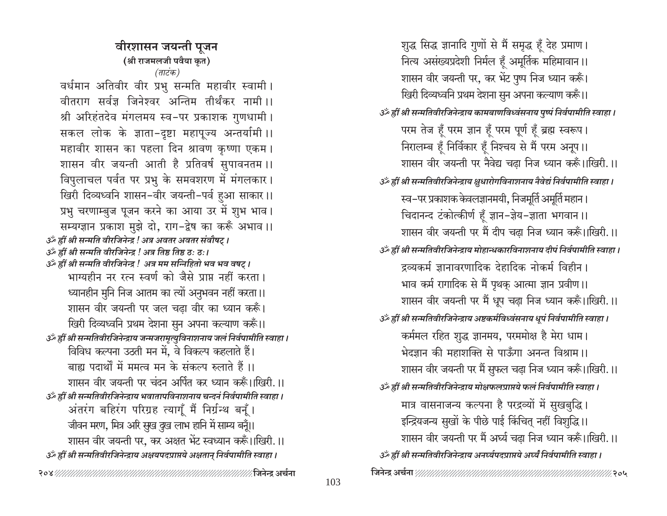वीरशासन जयन्ती पूजन (श्री राजमलजी पवैया कृत) (ताटंक) वर्धमान अतिवीर वीर प्रभु सन्मति महावीर स्वामी। वीतराग सर्वज्ञ जिनेश्वर अन्तिम तीर्थंकर नामी।। श्री अरिहंतदेव मंगलमय स्व-पर प्रकाशक गुणधामी। सकल लोक के ज्ञाता-दृष्टा महापूज्य अन्तर्यामी ।। महावीर शासन का पहला दिन श्रावण कृष्णा एकम। शासन वीर जयन्ती आती है प्रतिवर्ष सुपावनतम ।। विपुलाचल पर्वत पर प्रभु के समवशरण में मंगलकार। खिरी दिव्यध्वनि शासन-वीर जयन्ती-पर्व हुआ साकार।। प्रभु चरणाम्बुज पूजन करने का आया उर में शुभ भाव। सम्यग्ज्ञान प्रकाश मुझे दो, राग-द्वेष का करूँ अभाव ।। उँ ह्रीं श्री सन्मति वीरजिनेन्द्र ! अत्र अवतर अवतर संवौषट् । उँ ह्रीं श्री सन्मति वीरजिनेन्द्र ! अत्र तिष्ठ तिष्ठ ठ: ठ:। उर्व्हीं श्री सन्मति वीरजिनेन्द्र ! अत्र मम सन्निहितो भव भव वषट् । भाग्यहीन नर रत्न स्वर्ण को जैसे प्राप्त नहीं करता। ध्यानहीन मुनि निज आतम का त्यों अनुभवन नहीं करता।। शासन वीर जयन्ती पर जल चढ़ा वीर का ध्यान करूँ। खिरी दिव्यध्वनि प्रथम देशना सुन अपना कल्याण करूँ।। उँ ह्रीं श्री सन्मतिवीरजिनेन्द्राय जन्मजरामृत्युविनाशनाय जलं निर्वपामीति स्वाहा । विविध कल्पना उठती मन में, वे विकल्प कहलाते हैं। बाह्य पदार्थों में ममत्व मन के संकल्प रुलाते हैं।। शासन वीर जयन्ती पर चंदन अर्पित कर ध्यान करूँ।।खिरी.।। उँ ह्रीं श्री सन्मतिवीरजिनेन्द्राय भवातापविनाशनाय चन्दनं निर्वपामीति स्वाहा । अंतरंग बहिरंग परिग्रह त्यागूँ मैं निर्ग्रन्थ बनूँ। जीवन मरण, मित्र अरि सुख दुख लाभ हानि में साम्य बन्नँ।। शासन वीर जयन्ती पर, कर अक्षत भेंट स्वध्यान करूँ।।खिरी.।। उँ ह्रीं श्री सन्मतिवीरजिनेन्द्राय अक्षयपदप्राप्तये अक्षतान् निर्वपामीति स्वाहा । 

शुद्ध सिद्ध ज्ञानादि गुणों से मैं समृद्ध हूँ देह प्रमाण। नित्य असंख्यप्रदेशी निर्मल हूँ अमूर्तिक महिमावान।। शासन वीर जयन्ती पर, कर भेंट पुष्प निज ध्यान करूँ। खिरी दिव्यध्वनि प्रथम देशना सुन अपना कल्याण करूँ।। उॅं ह्रीं श्री सन्मतिवीरजिनेन्द्राय कामबाणविध्वंसनाय पृष्पं निर्वपामीति स्वाहा। परम तेज हूँ परम ज्ञान हूँ परम पूर्ण हूँ ब्रह्म स्वरूप। निरालम्ब हूँ निर्विकार हूँ निश्चय से मैं परम अनूप।। शासन वीर जयन्ती पर नैवेद्य चढा निज ध्यान करूँ।।खिरी.।। उँ ह्रीं श्री सन्मतिवीरजिनेन्द्राय क्षुधारोगविनाशनाय नैवेद्यं निर्वपामीति स्वाहा। स्व–पर प्रकाशक केवलज्ञानमयी, निजमूर्ति अमूर्ति महान। चिदानन्द टंकोत्कीर्ण हूँ ज्ञान-ज्ञेय-ज्ञाता भगवान ।। शासन वीर जयन्ती पर मैं दीप चढ़ा निज ध्यान करूँ।।खिरी.।। उँ ह्रीं श्री सन्मतिवीरजिनेन्द्राय मोहान्धकारविनाशनाय दीपं निर्वपामीति स्वाहा। द्रव्यकर्म ज्ञानावरणादिक देहादिक नोकर्म विहीन। भाव कर्म रागादिक से मैं पृथक् आत्मा ज्ञान प्रवीण ।। शासन वीर जयन्ती पर मैं धूप चढ़ा निज ध्यान करूँ।।खिरी.।। उँ ह्रीं श्री सन्मतिवीरजिनेन्द्राय अष्टकर्मविध्वंसनाय धूपं निर्वपामीति स्वाहा। कर्ममल रहित शुद्ध ज्ञानमय, परममोक्ष है मेरा धाम। भेदज्ञान की महाशक्ति से पाऊँगा अनन्त विश्राम ।। शासन वीर जयन्ती पर मैं सुफल चढ़ा निज ध्यान करूँ।।खिरी.।। उर्व्हीं श्री सन्मतिवीरजिनेन्द्राय मोक्षफलप्राप्तये फलं निर्वपामीति स्वाहा। मात्र वासनाजन्य कल्पना है परद्रव्यों में सुखबुद्धि। इन्द्रियजन्य सुखों के पीछे पाई किंचित् नहीं विशुद्धि।। शासन वीर जयन्ती पर मैं अर्घ्य चढा निज ध्यान करूँ।।खिरी.।। उॅं ह्रीं श्री सन्मतिवीरजिनेन्द्राय अनर्घ्यपदप्राप्तये अर्घ्यं निर्वपामीति स्वाहा ।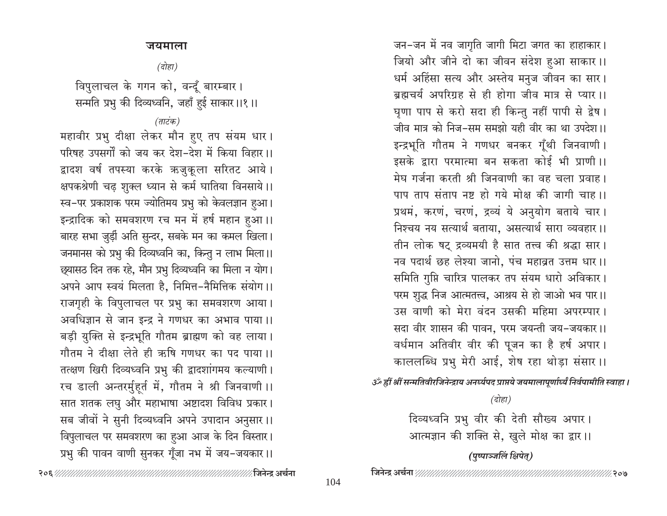### जयमाला

(दोहा)

विपुलाचल के गगन को, वन्दूँ बारम्बार। सन्मति प्रभु की दिव्यध्वनि, जहाँ हुई साकार।।१।।

(ताटंक)

महावीर प्रभु दीक्षा लेकर मौन हुए तप संयम धार। परिषह उपसर्गों को जय कर देश-देश में किया विहार।। द्वादश वर्ष तपस्या करके ऋजुकूला सरितट आये। क्षपकश्रेणी चढ़ शुक्ल ध्यान से कर्म घातिया विनसाये।। स्व-पर प्रकाशक परम ज्योतिमय प्रभु को केवलज्ञान हुआ। इन्द्रादिक को समवशरण रच मन में हर्ष महान हुआ।। बारह सभा जुड़ी अति सुन्दर, सबके मन का कमल खिला। जनमानस को प्रभु की दिव्यध्वनि का, किन्तु न लाभ मिला।। छ्यासठ दिन तक रहे, मौन प्रभु दिव्यध्वनि का मिला न योग। अपने आप स्वयं मिलता है, निमित्त-नैमित्तिक संयोग।। राजगृही के विपुलाचल पर प्रभु का समवशरण आया। अवधिज्ञान से जान इन्द्र ने गणधर का अभाव पाया।। बड़ी युक्ति से इन्द्रभूति गौतम ब्राह्मण को वह लाया। गौतम ने दीक्षा लेते ही ऋषि गणधर का पद पाया ।। तत्क्षण खिरी दिव्यध्वनि प्रभु की द्वादशांगमय कल्याणी। रच डाली अन्तरर्मुहूर्त में, गौतम ने श्री जिनवाणी ।। सात शतक लघु और महाभाषा अष्टादश विविध प्रकार। सब जीवों ने सुनी दिव्यध्वनि अपने उपादान अनुसार।। विपुलाचल पर समवशरण का हुआ आज के दिन विस्तार। प्रभु की पावन वाणी सुनकर गूँजा नभ में जय-जयकार।।

जन-जन में नव जागृति जागी मिटा जगत का हाहाकार। जियो और जीने दो का जीवन संदेश हुआ साकार।। धर्म अहिंसा सत्य और अस्तेय मनुज जीवन का सार। ब्रह्मचर्य अपरिग्रह से ही होगा जीव मात्र से प्यार ।। घृणा पाप से करो सदा ही किन्तु नहीं पापी से द्वेष। जीव मात्र को निज-सम समझो यही वीर का था उपदेश।। इन्द्रभूति गौतम ने गणधर बनकर गूँथी जिनवाणी। इसके द्वारा परमात्मा बन सकता कोई भी प्राणी।। मेघ गर्जना करती श्री जिनवाणी का वह चला प्रवाह। पाप ताप संताप नष्ट हो गये मोक्ष की जागी चाह।। प्रथमं, करणं, चरणं, द्रव्यं ये अनुयोग बताये चार। निश्चय नय सत्यार्थ बताया, असत्यार्थ सारा व्यवहार।। तीन लोक षट् द्रव्यमयी है सात तत्त्व की श्रद्धा सार। नव पदार्थ छह लेश्या जानो, पंच महाव्रत उत्तम धार।। समिति गुप्ति चारित्र पालकर तप संयम धारो अविकार। परम शुद्ध निज आत्मतत्त्व, आश्रय से हो जाओ भव पार।। उस वाणी को मेरा वंदन उसकी महिमा अपरम्पार। सदा वीर शासन की पावन, परम जयन्ती जय-जयकार।। वर्धमान अतिवीर वीर की पूजन का है हर्ष अपार। काललब्धि प्रभु मेरी आई, शेष रहा थोड़ा संसार।।

हीं श्रीं सन्मतिवीरजिनेन्द्राय अनर्घ्यपद प्राप्तये जयमालापूर्णार्ध्यं निर्वपामीति स्वाहा । ﴿

(दोहा)

दिव्यध्वनि प्रभु वीर की देती सौख्य अपार। आत्मज्ञान की शक्ति से, खुले मोक्ष का द्वार।।

(पुष्पाञ्जलिं क्षिपेत्)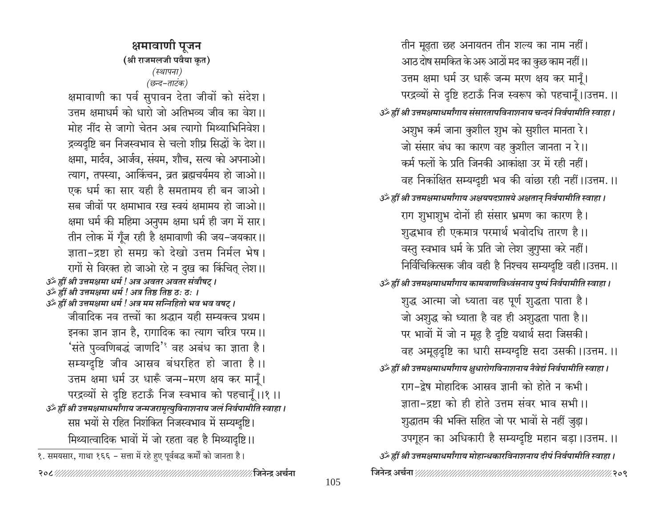तीन मूढ़ता छह अनायतन तीन शल्य का नाम नहीं। आठ दोष समकित के अरु आठों मद का कुछ काम नहीं।। उत्तम क्षमा धर्म उर धारूँ जन्म मरण क्षय कर मानूँ। परद्रव्यों से दृष्टि हटाऊँ निज स्वरूप को पहचानूँ।।उत्तम.।। उॅं ह्रीं श्री उत्तमक्षमाधर्मांगाय संसारतापविनाशनाय चन्दनं निर्वपामीति स्वाहा । अशुभ कर्म जाना कुशील शुभ को सुशील मानता रे। जो संसार बंध का कारण वह कुशील जानता न रे।। कर्म फलों के प्रति जिनकी आकांक्षा उर में रही नहीं। वह निकांक्षित सम्यग्दृष्टी भव की वांछा रही नहीं।।उत्तम.।। उॅं ह्रीं श्री उत्तमक्षमाधर्मांगाय अक्षयपदप्राप्तये अक्षतान् निर्वपामीति स्वाहा । राग शुभाशुभ दोनों ही संसार भ्रमण का कारण है। शुद्धभाव ही एकमात्र परमार्थ भवोदधि तारण है।। वस्तु स्वभाव धर्म के प्रति जो लेश जुगुप्सा करे नहीं। निर्विचिकित्सक जीव वही है निश्चय सम्यग्दृष्टि वही ।।उत्तम.।। उॅं ह्रीं श्री उत्तमक्षमाधर्मांगाय कामबाणविध्वंसनाय पृष्पं निर्वपामीति स्वाहा । शुद्ध आत्मा जो ध्याता वह पूर्ण शुद्धता पाता है। जो अशुद्ध को ध्याता है वह ही अशुद्धता पाता है।। पर भावों में जो न मूढ़ है दृष्टि यथार्थ सदा जिसकी। वह अमूढ़दृष्टि का धारी सम्यग्दृष्टि सदा उसकी।।उत्तम.।। उॅं ह्रीं श्री उत्तमक्षमाधर्मांगाय क्षुधारोगविनाशनाय नैवेद्यं निर्वपामीति स्वाहा । राग-द्वेष मोहादिक आस्रव ज्ञानी को होते न कभी। जाता-द्रष्टा को ही होते उत्तम संवर भाव सभी ।। शुद्धातम की भक्ति सहित जो पर भावों से नहीं जुड़ा। उपगृहन का अधिकारी है सम्यग्दृष्टि महान बड़ा।।उत्तम.।। उॐ ह्रीं श्री उत्तमक्षमाधर्मांगाय मोहान्धकारविनाशनाय दीपं निर्वपामीति स्वाहा। 

क्षमावाणी पूजन (श्री राजमलजी पवैया कृत) (स्थापना) (छन्द-ताटंक)

क्षमावाणी का पर्व सुपावन देता जीवों को संदेश। उत्तम क्षमाधर्म को धारो जो अतिभव्य जीव का वेश।। मोह नींद से जागो चेतन अब त्यागो मिथ्याभिनिवेश। द्रव्यदृष्टि बन निजस्वभाव से चलो शीघ्र सिद्धों के देश।। क्षमा, मार्दव, आर्जव, संयम, शौच, सत्य को अपनाओ। त्याग, तपस्या, आर्किचन, व्रत ब्रह्मचर्यमय हो जाओ।। एक धर्म का सार यही है समतामय ही बन जाओ। सब जीवों पर क्षमाभाव रख स्वयं क्षमामय हो जाओ।। क्षमा धर्म की महिमा अनुपम क्षमा धर्म ही जग में सार। तीन लोक में गूँज रही है क्षमावाणी की जय–जयकार।। ज्ञाता-द्रष्टा हो समग्र को देखो उत्तम निर्मल भेष । रागों से विरक्त हो जाओ रहे न दुख का किंचित् लेश।। उर्क ह्रीं श्री उत्तमक्षमा धर्म ! अत्र अवतर अवतर संवौषट् । उँ ह्रीं श्री उत्तमक्षमा धर्म ! अत्र तिष्ठ तिष्ठ ठ: ठ: । उर्व्हीं श्री उत्तमक्षमा धर्म ! अत्र मम सन्निहितो भव भव वषट् । जीवादिक नव तत्त्वों का श्रद्धान यही सम्यक्त्व प्रथम। इनका ज्ञान ज्ञान है, रागादिक का त्याग चरित्र परम।। 'संते पुव्वणिबद्धं जाणदि<sup>'</sup>' वह अबंध का ज्ञाता है। सम्यग्दृष्टि जीव आस्रव बंधरहित हो जाता है।। उत्तम क्षमा धर्म उर धारूँ जन्म-मरण क्षय कर मानुँ। परद्रव्यों से दृष्टि हटाऊँ निज स्वभाव को पहचानूँ।।१।। उँ ह्रीं श्री उत्तमक्षमाधर्मांगाय जन्मजरामृत्युविनाशनाय जलं निर्वपामीति स्वाहा । सप्त भयों से रहित निशंकित निजस्वभाव में सम्यग्दृष्टि। मिथ्यात्वादिक भावों में जो रहता वह है मिथ्यादृष्टि ।। १. समयसार, गाथा १६६ - सत्ता में रहे हुए पूर्वबद्ध कर्मों को जानता है।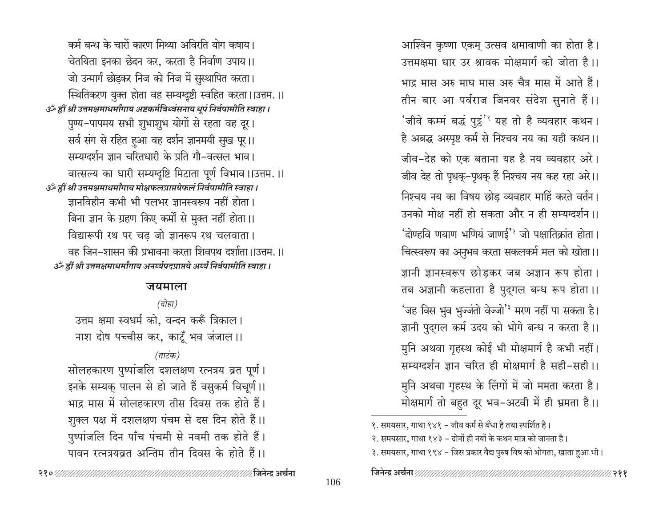आश्विन कृष्णा एकम् उत्सव क्षमावाणी का होता है। उत्तमक्षमा धार उर श्रावक मोक्षमार्ग को जोता है।। भाद्र मास अरु माघ मास अरु चैत्र मास में आते हैं। तीन बार आ पर्वराज जिनवर संदेश सुनाते हैं।। 'जीवे कम्मं बद्धं पुट्ठं' यह तो है व्यवहार कथन। है अबद्ध अस्पृष्ट कर्म से निश्चय नय का यही कथन।। जीव-देह को एक बताना यह है नय व्यवहार अरे। जीव देह तो पृथक्-पृथक् हैं निश्चय नय कह रहा अरे।। निश्चय नय का विषय छोड व्यवहार माहिं करते वर्तन। उनको मोक्ष नहीं हो सकता और न ही सम्यग्दर्शन ।। 'दोण्हवि णयाण भणियं जाणई'<sup>3</sup> जो पक्षातिक्रांत होता। चित्स्वरूप का अनुभव करता सकलकर्म मल को खोता।। ज्ञानी ज्ञानस्वरूप छोडकर जब अज्ञान रूप होता। तब अज्ञानी कहलाता है पुद्गल बन्ध रूप होता।। 'जह विस भुव भुज्जंतो वेज्जो'<sup>३</sup> मरण नहीं पा सकता है। ज्ञानी पुद्गल कर्म उदय को भोगे बन्ध न करता है।। मुनि अथवा गृहस्थ कोई भी मोक्षमार्ग है कभी नहीं। सम्यग्दर्शन ज्ञान चरित ही मोक्षमार्ग है सही-सही।। मुनि अथवा गृहस्थ के लिंगों में जो ममता करता है। मोक्षमार्ग तो बहुत दूर भव-अटवी में ही भ्रमता है।।

कर्म बन्ध के चारों कारण मिथ्या अविरति योग कषाय। चेतयिता इनका छेदन कर, करता है निर्वाण उपाय।। जो उन्मार्ग छोड़कर निज को निज में सुस्थापित करता। स्थितिकरण युक्त होता वह सम्यग्दृष्टी स्वहित करता।।उत्तम.।। उँ ह्रीं श्री उत्तमक्षमाधर्मांगाय अष्टकर्मविध्वंसनाय धूपं निर्वपामीति स्वाहा । पुण्य-पापमय सभी शुभाशुभ योगों से रहता वह दूर। सर्व संग से रहित हुआ वह दर्शन ज्ञानमयी सुख पूर।। सम्यग्दर्शन ज्ञान चरितधारी के प्रति गौ-वत्सल भाव। वात्सल्य का धारी सम्यग्दृष्टि मिटाता पूर्ण विभाव ।।उत्तम.।। उँ ह्रीं श्री उत्तमक्षमाधर्मांगाय मोक्षफलप्राप्तयेफलं निर्वपामीति स्वाहा । ज्ञानविहीन कभी भी पलभर ज्ञानस्वरूप नहीं होता। बिना ज्ञान के ग्रहण किए कर्मों से मुक्त नहीं होता।। विद्यारूपी रथ पर चढ जो ज्ञानरूप रथ चलवाता। वह जिन–शासन की प्रभावना करता शिवपथ दर्शाता ।।उत्तम, ।। उँ ह्रीं श्री उत्तमक्षमाधर्मांगाय अनर्घ्यपदप्राप्तये अर्घ्यं निर्वपामीति स्वाहा ।

### जयमाला

(दोहा) उत्तम क्षमा स्वधर्म को, वन्दन करूँ त्रिकाल। नाश दोष पच्चीस कर, काटूँ भव जंजाल।। (ताटंक) सोलहकारण पुष्पांजलि दशलक्षण रत्नत्रय व्रत पूर्ण।

इनके सम्यक् पालन से हो जाते हैं वसुकर्म विचूर्ण।। भाद्र मास में सोलहकारण तीस दिवस तक होते हैं। शुक्ल पक्ष में दशलक्षण पंचम से दस दिन होते हैं।। पुष्पांजलि दिन पाँच पंचमी से नवमी तक होते हैं। पावन रत्नत्रयव्रत अन्तिम तीन दिवस के होते हैं।।

१. समयसार, गाथा १४१ - जीव कर्म से बँधा है तथा स्पर्शित है।

२. समयसार, गाथा १४३ – दोनों ही नयों के कथन मात्र को जानता है।

३. समयसार, गाथा १९४ - जिस प्रकार वैद्य पुरुष विष को भोगता, खाता हुआ भी।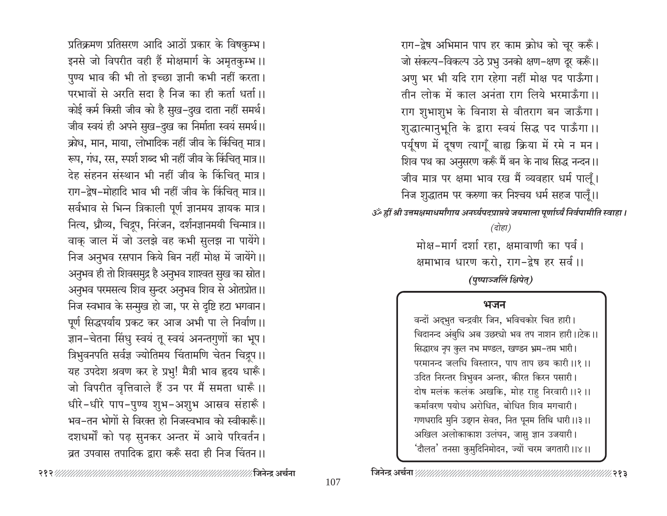राग-द्वेष अभिमान पाप हर काम क्रोध को चूर करूँ। जो संकल्प-विकल्प उठे प्रभु उनको क्षण-क्षण दूर करूँ।। अणु भर भी यदि राग रहेगा नहीं मोक्ष पद पाऊँगा। तीन लोक में काल अनंता राग लिये भरमाऊँगा।। राग शुभाशुभ के विनाश से वीतराग बन जाऊँगा। शुद्धात्मानुभूति के द्वारा स्वयं सिद्ध पद पाऊँगा।। पर्यूषण में दूषण त्यागूँ बाह्य क्रिया में रमे न मन। शिव पथ का अनुसरण करूँ मैं बन के नाथ सिद्ध नन्दन।। जीव मात्र पर क्षमा भाव रख मैं व्यवहार धर्म पालूँ। निज शुद्धातम पर करुणा कर निश्चय धर्म सहज पालूँ।। उँ ह्रीं श्री उत्तमक्षमाधर्मांगाय अनर्घ्यपदप्राप्तये जयमाला पूर्णार्ध्यं निर्वपामीति स्वाहा । (दोहा)

> मोक्ष-मार्ग दर्शा रहा, क्षमावाणी का पर्व। क्षमाभाव धारण करो, राग-द्वेष हर सर्व।। (पुष्पाञ्जलिं क्षिपेत्)

### भजन

वन्दों अद्भुत चन्द्रवीर जिन, भविचकोर चित हारी। चिदानन्द अंबुधि अब उछस्यो भव तप नाशन हारी।।टेक।। सिद्धारथ नृप कुल नभ मण्डल, खण्डन भ्रम-तम भारी। परमानन्द जलधि विस्तारन, पाप ताप छय कारी ।।१।। उदित निरन्तर त्रिभुवन अन्तर, कीरत किरन पसारी। दोष मलंक कलंक अखकि, मोह राहु निरवारी ।।२।। कर्मावरण पयोध अरोधित, बोधित शिव मगचारी। गणधरादि मुनि उझान सेवत, नित पूनम तिथि धारी ।।३।। अखिल अलोकाकाश उलंघन, जासु ज्ञान उजयारी। 'दौलत' तनसा कुमुदिनिमोदन, ज्यों चरम जगतारी ।।४।।

प्रतिक्रमण प्रतिसरण आदि आठों प्रकार के विषकुम्भ। इनसे जो विपरीत वही हैं मोक्षमार्ग के अमृतकुम्भ ।। पुण्य भाव की भी तो इच्छा ज्ञानी कभी नहीं करता। परभावों से अरति सदा है निज का ही कर्ता धर्ता ।। कोई कर्म किसी जीव को है सुख-दुख दाता नहीं समर्थ। जीव स्वयं ही अपने सुख-दुख का निर्माता स्वयं समर्थ।। क्रोध, मान, माया, लोभादिक नहीं जीव के किंचित मात्र। रूप, गंध, रस, स्पर्श शब्द भी नहीं जीव के किंचित् मात्र ।। देह संहनन संस्थान भी नहीं जीव के किंचित् मात्र। राग-द्वेष-मोहादि भाव भी नहीं जीव के किंचित् मात्र।। सर्वभाव से भिन्न त्रिकाली पूर्ण ज्ञानमय ज्ञायक मात्र। नित्य, ध्रौव्य, चिद्रूप, निरंजन, दर्शनज्ञानमयी चिन्मात्र ।। वाक् जाल में जो उलझे वह कभी सुलझ ना पायेंगे। निज अनुभव रसपान किये बिन नहीं मोक्ष में जायेंगे।। अनुभव ही तो शिवसमुद्र है अनुभव शाश्वत सुख का स्रोत। अनुभव परमसत्य शिव सुन्दर अनुभव शिव से ओतप्रोत ।। निज स्वभाव के सन्मुख हो जा, पर से दृष्टि हटा भगवान। पूर्ण सिद्धपर्याय प्रकट कर आज अभी पा ले निर्वाण ।। ज्ञान-चेतना सिंधु स्वयं तू स्वयं अनन्तगुणों का भूप। त्रिभुवनपति सर्वज्ञ ज्योतिमय चिंतामणि चेतन चिद्रूप ।। यह उपदेश श्रवण कर हे प्रभु! मैत्री भाव हृदय धारूँ। जो विपरीत वृत्तिवाले हैं उन पर मैं समता धारूँ।। धीरे-धीरे पाप-पुण्य शुभ-अशुभ आस्रव संहारूँ। भव-तन भोगों से विख्त हो निजस्वभाव को स्वीकारूँ।। दशधर्मों को पढ़ सुनकर अन्तर में आये परिवर्तन। व्रत उपवास तपादिक द्रारा करूँ सदा ही निज चिंतन।।

> ∕∕२१३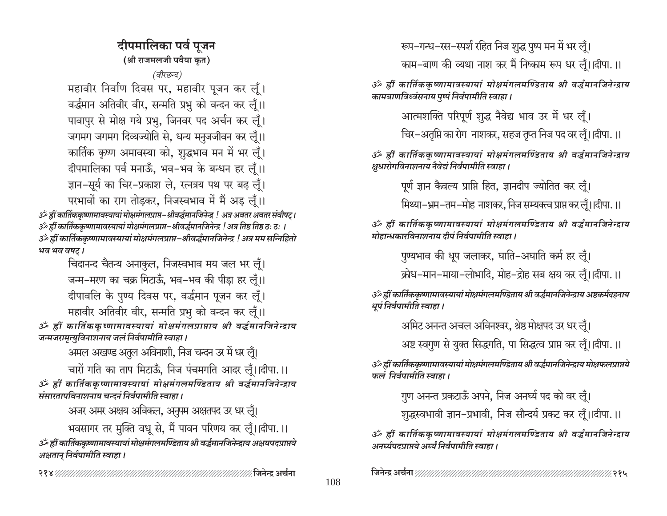दीपमालिका पर्व पुजन (श्री राजमलजी पवैया कृत)

(वीरछन्द)

महावीर निर्वाण दिवस पर, महावीर पूजन कर लूँ। वर्द्धमान अतिवीर वीर, सन्मति प्रभु को वन्दन कर लूँ।। पावापुर से मोक्ष गये प्रभु, जिनवर पद अर्चन कर लूँ। जगमग जगमग दिव्यज्योति से, धन्य मनुजजीवन कर लूँ।। कार्तिक कृष्ण अमावस्या को, शुद्धभाव मन में भर लूँ। दीपमालिका पर्व मनाऊँ, भव-भव के बन्धन हर लूँ।। ज्ञान-सूर्य का चिर-प्रकाश ले, रत्नत्रय पथ पर बढ़ लूँ। परभावों का राग तोडकर, निजस्वभाव में मैं अड लूँ।।

उँ हीं कार्तिककृष्णामावस्यायां मोक्षमंगलप्राप्त–श्रीवर्द्धमानजिनेन्द्र ! अत्र अवतर अवतर संवौषट्। उँ ह्रीं कार्तिककृष्णामावस्यायां मोक्षमंगलप्राप्त-श्रीवर्द्धमानजिनेन्द्र ! अत्र तिष्ठ तिष्ठ ठ: ठ: । ॐ ह्रीं कार्तिककृष्णामावस्यायां मोक्षमंगलप्राप्त−श्रीवर्द्धमानजिनेन्द्र ! अत्र मम सन्निहितो भव भव वषट।

चिदानन्द चैतन्य अनाकूल, निजस्वभाव मय जल भर लुँ। जन्म-मरण का चक्र मिटाऊँ, भव-भव की पीडा हर लुँ।। दीपावलि के पुण्य दिवस पर, वर्द्धमान पूजन कर लूँ। महावीर अतिवीर वीर, सन्मति प्रभु को वन्दन कर लुँ।।

ॐ ह्रीं कार्तिककुष्णामावस्यायां मोक्षमंगलप्राप्ताय श्री वर्द्धमानजिनेन्द्राय जन्मजरामृत्युविनाशनाय जलं निर्वपामीति स्वाहा।

अमल अखण्ड अतूल अविनाशी, निज चन्दन उर में धर लूँ।

चारों गति का ताप मिटाऊँ, निज पंचमगति आदर लूँ।।दीपा.।। ॐ ह्रीं कार्तिककृष्णामावस्यायां मोक्षमंगलमण्डिताय श्री वर्द्धमानजिनेन्द्राय संसारतापविनाशनाय चन्दनं निर्वपामीति स्वाहा ।

अजर अमर अक्षय अविकल, अनुपम अक्षतपद उर धर लूँ। भवसागर तर मुक्ति वधु से, मैं पावन परिणय कर लूँ।।दीपा.।। ॐ ह्रीं कार्तिककृष्णामावस्यायां मोक्षमंगलमण्डिताय श्री वर्द्धमानजिनेन्द्राय अक्षयपदप्राप्तये अक्षतान् निर्वपामीति स्वाहा ।

रूप-गन्ध-रस-स्पर्श रहित निज शुद्ध पुष्प मन में भर लूँ। काम-बाण की व्यथा नाश कर मैं निष्काम रूप धर लूँ।।दीपा.।।

ॐ ह्रीं कार्तिककृष्णामावस्यायां मोक्षमंगलमण्डिताय श्री वर्द्धमानजिनेन्द्राय कामबाणविध्वंसनाय पूष्पं निर्वपामीति स्वाहा ।

आत्मशक्ति परिपूर्ण शुद्ध नैवेद्य भाव उर में धर लूँ।

चिर-अतृप्ति का रोग नाशकर, सहज तृप्त निज पद वर लूँ।।दीपा.।।

ॐ ह्रीं कार्तिककृष्णामावस्यायां मोक्षमंगलमण्डिताय श्री वर्द्धमानजिनेन्द्राय क्षधारोगविनाशनाय नैवेद्यं निर्वपामीति स्वाहा ।

पूर्ण ज्ञान कैवल्य प्राप्ति हित, ज्ञानदीप ज्योतित कर लूँ।

मिथ्या-भ्रम-तम-मोह नाशकर, निज सम्यक्त्व प्राप्त कर लूँ।।दीपा.।।

ॐ ह्रीं कार्तिककृष्णामावस्यायां मोक्षमंगलमण्डिताय श्री वर्द्धमानजिनेन्द्राय मोहान्धकारविनाशनाय दीपं निर्वपामीति स्वाहा ।

पुण्यभाव की धूप जलाकर, घाति-अघाति कर्म हर लूँ।

क्रोध-मान-माया-लोभादि, मोह-द्रोह सब क्षय कर लूँ।।दीपा.।।

ॐ ह्रीं कार्तिककृष्णामावस्यायां मोक्षमंगलमण्डिताय श्री वर्द्धमानजिनेन्द्राय अष्टकर्मदहनाय धपं निर्वपामीति स्वाहा।

अमिट अनन्त अचल अविनश्वर, श्रेष्ठ मोक्षपद उर धर लूँ।

अष्ट स्वगुण से युक्त सिद्धगति, पा सिद्धत्व प्राप्त कर लूँ।।दीपा.।।

ॐ ह्रीं कार्तिककृष्णामावस्यायां मोक्षमंगलमण्डिताय श्री वर्द्धमानजिनेन्द्राय मोक्षफलप्राप्तये फलं निर्वपामीति स्वाहा ।

गुण अनन्त प्रकटाऊँ अपने, निज अनर्घ्य पद को वर लूँ।

शुद्धस्वभावी ज्ञान-प्रभावी, निज सौन्दर्य प्रकट कर लूँ।।दीपा.।।

ॐ ह्रीं कार्तिककृष्णामावस्यायां मोक्षमंगलमण्डिताय श्री वर्द्धमानजिनेन्द्राय अनर्घ्यपटप्राप्तये अर्घ्यं निर्वपामीति स्वाहा ।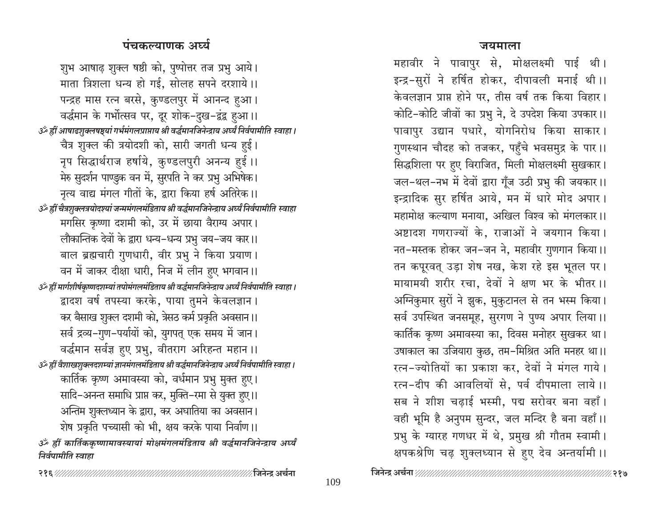### जयमाला

महावीर ने पावापुर से, मोक्षलक्ष्मी पाई थी। इन्द्र-सुरों ने हर्षित होकर, दीपावली मनाई थी।। केवलज्ञान प्राप्त होने पर, तीस वर्ष तक किया विहार। कोटि-कोटि जीवों का प्रभु ने, दे उपदेश किया उपकार।। पावापुर उद्यान पधारे, योगनिरोध किया साकार। गुणस्थान चौदह को तजकर, पहुँचे भवसमुद्र के पार।। सिद्धशिला पर हुए विराजित, मिली मोक्षलक्ष्मी सुखकार। जल-थल-नभ में देवों द्वारा गूँज उठी प्रभु की जयकार।। इन्द्रादिक सुर हर्षित आये, मन में धारे मोद अपार। महामोक्ष कल्याण मनाया, अखिल विश्व को मंगलकार।। अष्टादश गणराज्यों के, राजाओं ने जयगान किया। नत-मस्तक होकर जन-जन ने, महावीर गुणगान किया।। तन कपूरवत् उड़ा शेष नख, केश रहे इस भूतल पर। मायामयी शरीर रचा, देवों ने क्षण भर के भीतर।। अग्निकुमार सुरों ने झुक, मुकुटानल से तन भस्म किया। सर्व उपस्थित जनसमूह, सुरगण ने पुण्य अपार लिया।। कार्तिक कृष्ण अमावस्या का, दिवस मनोहर सुखकर था। उषाकाल का उजियारा कुछ, तम-मिश्रित अति मनहर था।। रत्न-ज्योतियों का प्रकाश कर, देवों ने मंगल गाये। रत्न-दीप की आवलियों से. पर्व दीपमाला लाये।। सब ने शीश चढ़ाई भस्मी, पद्म सरोवर बना वहाँ। वही भूमि है अनुपम सुन्दर, जल मन्दिर है बना वहाँ।। प्रभु के ग्यारह गणधर में थे, प्रमुख श्री गौतम स्वामी। क्षपकश्रेणि चढ़ शुक्लध्यान से हुए देव अन्तर्यामी ।।

## पंचकल्याणक अर्घ्य

शुभ आषाढ़ शुक्ल षष्ठी को, पुष्पोत्तर तज प्रभु आये। माता त्रिशला धन्य हो गई, सोलह सपने दरशाये।। पन्द्रह मास रत्न बरसे, कुण्डलपुर में आनन्द हुआ। वर्द्धमान के गर्भोत्सव पर, दूर शोक-दुख-द्वंद्व हुआ।। उँ ह्रीं आषाढशुक्लषष्ठ्यां गर्भमंगलप्राप्ताय श्री वर्द्धमानजिनेन्द्राय अर्घ्यं निर्वपामीति स्वाहा । चैत्र शुक्ल की त्रयोदशी को, सारी जगती धन्य हुई। नृप सिद्धार्थराज हर्षाये, कुण्डलपुरी अनन्य हुई।। मेरु सुदर्शन पाण्डुक वन में, सुरपति ने कर प्रभु अभिषेक। नृत्य वाद्य मंगल गीतों के, द्वारा किया हर्ष अतिरेक।। हीं चैत्रशुक्लत्रयोदश्यां जन्ममंगलमंडिताय श्री वर्द्धमानजिनेन्द्राय अर्घ्यं निर्वपामीति स्वाहा मगसिर कृष्णा दशमी को, उर में छाया वैराग्य अपार। लौकान्तिक देवों के द्वारा धन्य–धन्य प्रभु जय–जय कार।। बाल ब्रह्मचारी गुणधारी, वीर प्रभु ने किया प्रयाण। वन में जाकर दीक्षा धारी, निज में लीन हुए भगवान।। ةَ الْعِبَابَاتِينَ الْعَالِمَةُ अर्थ हीं मार्गशीर्षकृष्णदशम्यां तपोमंगलमंडिताय श्री वर्द्धमानजिनेन्द्राय अर्घ्यं निर्वपामीति स्वाहा । द्वादश वर्ष तपस्या करके, पाया तुमने केवलज्ञान। कर बैसाख शुक्ल दशमी को, त्रेसठ कर्म प्रकृति अवसान।। सर्व द्रव्य-गुण-पर्यायों को, युगपत् एक समय में जान। वर्द्धमान सर्वज्ञ हुए प्रभु, वीतराग अरिहन्त महान ।। ्ॐ ह्रीं वैशाखशुक्लदशम्यां ज्ञानमंगलमंडिताय श्री वर्द्धमानजिनेन्द्राय अर्घ्यं निर्वपामीति स्वाहा । कार्तिक कृष्ण अमावस्या को, वर्धमान प्रभु मुक्त हुए। सादि-अनन्त समाधि प्राप्त कर, मुक्ति-रमा से युक्त हुए।। अन्तिम शुक्लध्यान के द्वारा, कर अघातिया का अवसान। शेष प्रकृति पच्यासी को भी, क्षय करके पाया निर्वाण।। ॐ ह्रीं कार्तिककृष्णामावस्यायां मोक्षमंगलमंडिताय श्री वर्द्धमानजिनेन्द्राय अर्घ्यं निर्वपामीति स्वाहा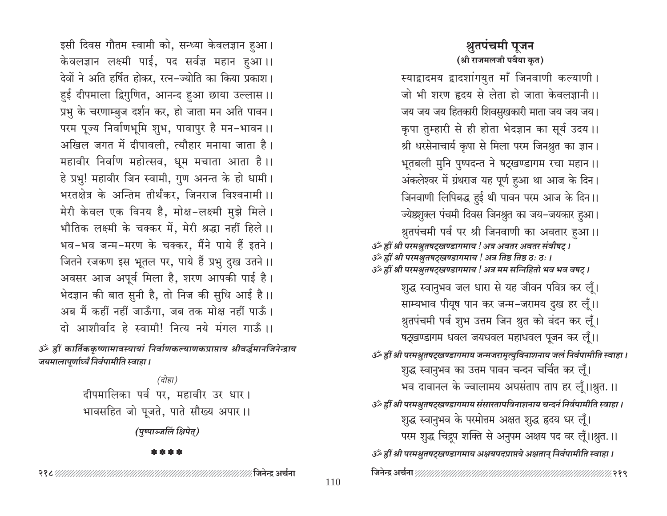इसी दिवस गौतम स्वामी को, सन्ध्या केवलज्ञान हुआ। केवलज्ञान लक्ष्मी पाई, पद सर्वज्ञ महान हुआ।। देवों ने अति हर्षित होकर, रत्न-ज्योति का किया प्रकाश। हुई दीपमाला द्विगुणित, आनन्द हुआ छाया उल्लास।। प्रभु के चरणाम्बुज दर्शन कर, हो जाता मन अति पावन। परम पूज्य निर्वाणभूमि शुभ, पावापुर है मन-भावन ।। अखिल जगत में दीपावली, त्यौहार मनाया जाता है। महावीर निर्वाण महोत्सव, धूम मचाता आता है।। हे प्रभु! महावीर जिन स्वामी, गुण अनन्त के हो धामी। भरतक्षेत्र के अन्तिम तीर्थंकर, जिनराज विश्वनामी ।। मेरी केवल एक विनय है, मोक्ष-लक्ष्मी मुझे मिले। भौतिक लक्ष्मी के चक्कर में, मेरी श्रद्धा नहीं हिले।। भव-भव जन्म-मरण के चक्कर, मैंने पाये हैं इतने। जितने रजकण इस भूतल पर, पाये हैं प्रभु दुख उतने ।। अवसर आज अपूर्व मिला है, शरण आपकी पाई है। भेदज्ञान की बात सुनी है, तो निज की सुधि आई है।। अब मैं कहीं नहीं जाऊँगा, जब तक मोक्ष नहीं पाऊँ। दो आशीर्वाद हे स्वामी! नित्य नये मंगल गाऊँ ।। ॐ ह्रीं कार्तिककृष्णामावस्यायां निर्वाणकल्याणकप्राप्ताय श्रीवर्द्धमानजिनेन्द्राय जयमालापूर्णार्ध्यं निर्वपामीति स्वाहा। (दोहा) दीपमालिका पर्व पर, महावीर उर धार। भावसहित जो पूजते, पाते सौख्य अपार।। (पुष्पाञ्जलिं क्षिपेत्)

\* \* \* \*

## जो भी शरण हृदय से लेता हो जाता केवलज्ञानी।। जय जय जय हितकारी शिवसुखकारी माता जय जय जय। कृपा तुम्हारी से ही होता भेदज्ञान का सूर्य उदय ।। श्री धरसेनाचार्य कृपा से मिला परम जिनश्नुत का ज्ञान। भूतबली मुनि पुष्पदन्त ने षट्खण्डागम रचा महान ।। अंकलेश्वर में ग्रंथराज यह पूर्ण हुआ था आज के दिन। जिनवाणी लिपिबद्ध हुई थी पावन परम आज के दिन।। ज्येष्ठशुक्ल पंचमी दिवस जिनश्रुत का जय-जयकार हुआ। श्नुतपंचमी पर्व पर श्री जिनवाणी का अवतार हुआ।। उर्व्हीं श्री परमश्रुतषट्खण्डागमाय ! अत्र अवतर अवतर संवौषट् । उरु हीं श्री परमश्रुतषट्खण्डागमाय ! अत्र तिष्ठ तिष्ठ ठ: ठ: । उँ ह्रीं श्री परमश्रुतषट्खण्डागमाय ! अत्र मम सन्निहितो भव भव वषट् । शुद्ध स्वानुभव जल धारा से यह जीवन पवित्र कर लूँ। साम्यभाव पीयूष पान कर जन्म-जरामय दुख हर लूँ।। श्रुतपंचमी पर्व शुभ उत्तम जिन श्रुत को वंदन कर लूँ। षट्खण्डागम धवल जयधवल महाधवल पूजन कर लूँ।। उँ ह्रीं श्री परमश्नुतषट्खण्डागमाय जन्मजरामृत्युविनाशनाय जलं निर्वपामीति स्वाहा । शुद्ध स्वानुभव का उत्तम पावन चन्दन चर्चित कर लूँ। भव दावानल के ज्वालामय अघसंताप ताप हर लूँ।।श्रुत.।। उँ ह्रीं श्री परमश्नुतषट्खण्डागमाय संसारतापविनाशनाय चन्दनं निर्वपामीति स्वाहा । शुद्ध स्वानुभव के परमोत्तम अक्षत शुद्ध हृदय धर लूँ। परम शुद्ध चिद्रूप शक्ति से अनुपम अक्षय पद वर लूँ।।श्रुत.।। उँ ह्रीं श्री परमश्रुतषट्खण्डागमाय अक्षयपदप्राप्तये अक्षतान् निर्वपामीति स्वाहा ।

श्रतपंचमी पुजन (श्री राजमलजी पवैया कृत)

स्याद्वादमय द्वादशांगयुत माँ जिनवाणी कल्याणी।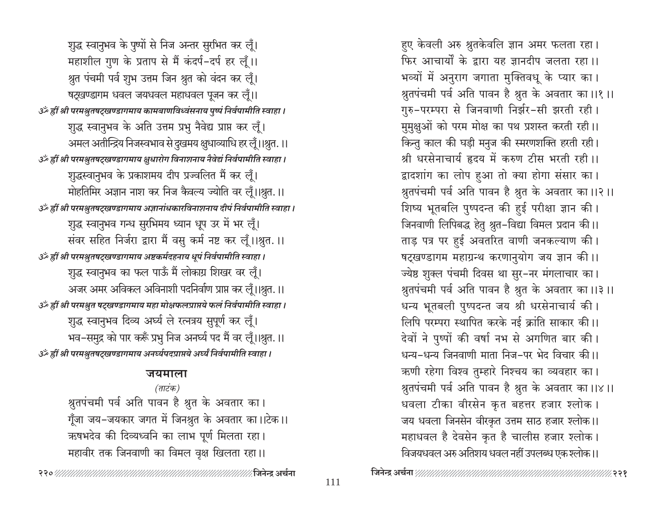हुए केवली अरु श्रुतकेवलि ज्ञान अमर फलता रहा। फिर आचार्यों के द्वारा यह ज्ञानदीप जलता रहा।। भव्यों में अनुराग जगाता मुक्तिवधू के प्यार का। श्रुतपंचमी पर्व अति पावन है श्रुत के अवतार का ।।१ ।। गुरु-परम्परा से जिनवाणी निर्झर-सी झरती रही। मुमुक्षुओं को परम मोक्ष का पथ प्रशस्त करती रही।। किन्तु काल की घड़ी मनुज की स्मरणशक्ति हरती रही। श्री धरसेनाचार्य हृदय में करुण टीस भरती रही।। द्वादशांग का लोप हुआ तो क्या होगा संसार का। श्रुतपंचमी पर्व अति पावन है श्रुत के अवतार का ।।२ ।। शिष्य भूतबलि पुष्पदन्त की हुई परीक्षा ज्ञान की। जिनवाणी लिपिबद्ध हेतु श्रुत-विद्या विमल प्रदान की।। ताड़ पत्र पर हुई अवतरित वाणी जनकल्याण की। षट्खण्डागम महाग्रन्थ करणानुयोग जय ज्ञान की।। ज्येष्ठ शुक्ल पंचमी दिवस था सुर-नर मंगलाचार का। श्रुतपंचमी पर्व अति पावन है श्रुत के अवतार का।।३।। धन्य भूतबली पुष्पदन्त जय श्री धरसेनाचार्य की। लिपि परम्परा स्थापित करके नई क्रांति साकार की।। देवों ने पुष्पों की वर्षा नभ से अगणित बार की। धन्य-धन्य जिनवाणी माता निज-पर भेद विचार की।। ऋणी रहेगा विश्व तुम्हारे निश्चय का व्यवहार का। श्नुतपंचमी पर्व अति पावन है श्नुत के अवतार का।।४।। धवला टीका वीरसेन कृत बहत्तर हजार श्लोक। जय धवला जिनसेन वीरकृत उत्तम साठ हजार श्लोक।। महाधवल है देवसेन कृत है चालीस हजार श्लोक। विजयधवल अरु अतिशय धवल नहीं उपलब्ध एक श्लोक ।।

शुद्ध स्वानुभव के पुष्पों से निज अन्तर सुरभित कर लूँ। महाशील गुण के प्रताप से मैं कंदर्प-दर्प हर लूँ।। श्रुत पंचमी पर्व शुभ उत्तम जिन श्रुत को वंदन कर लूँ। षट्खण्डागम धवल जयधवल महाधवल पूजन कर लूँ।। उँ ह्रीं श्री परमश्नुतषट्खण्डागमाय कामबाणविध्वंसनाय पुष्पं निर्वपामीति स्वाहा । शुद्ध स्वानुभव के अति उत्तम प्रभु नैवेद्य प्राप्त कर लूँ। अमल अतीन्द्रिय निजस्वभाव से दुखमय क्षुधाव्याधि हर लूँ।।श्रुत.।। उँ ह्रीं श्री परमश्रुतषट्खण्डागमाय क्षुधारोग विनाशनाय नैवेद्यं निर्वपामीति स्वाहा । शुद्धस्वानुभव के प्रकाशमय दीप प्रज्वलित मैं कर लूँ। मोहतिमिर अज्ञान नाश कर निज कैवल्य ज्योति वर लूँ।।श्रुत.।। उँ ह्रीं श्री परमश्नुतषट्खण्डागमाय अज्ञानांधकारविनाशनाय दीपं निर्वपामीति स्वाहा । शुद्ध स्वानुभव गन्ध सुरभिमय ध्यान धूप उर में भर लूँ। संवर सहित निर्जरा द्वारा मैं वसु कर्म नष्ट कर लूँ।।श्रुत.।। उँ ह्रीं श्री परमश्रुतषट्खण्डागमाय अष्टकर्मदहनाय धूपं निर्वपामीति स्वाहा। शुद्ध स्वानुभव का फल पाऊँ मैं लोकाग्र शिखर वर लूँ। अजर अमर अविकल अविनाशी पदनिर्वाण प्राप्त कर लूँ।।श्रुत. ।। उँ ह्रीं श्री परमश्नुत षट्खण्डागमाय महा मोक्षफलप्राप्तये फलं निर्वपामीति स्वाहा । शुद्ध स्वानुभव दिव्य अर्घ्य ले रत्नत्रय सुपूर्ण कर लूँ। भव–समुद्र को पार करूँ प्रभु निज अनर्घ्य पद मैं वर लूँ।।श्रुत. ।। उँ ह्रीं श्री परमश्नुतषट्खण्डागमाय अनर्घ्यपदप्राप्तये अर्घ्यं निर्वपामीति स्वाहा ।

#### जयमाला

(ताटंक) श्नुतपंचमी पर्व अति पावन है श्नुत के अवतार का। गूँजा जय–जयकार जगत में जिनश्रुत के अवतार का।।टेक।। ऋषभदेव की दिव्यध्वनि का लाभ पूर्ण मिलता रहा। महावीर तक जिनवाणी का विमल वृक्ष खिलता रहा।।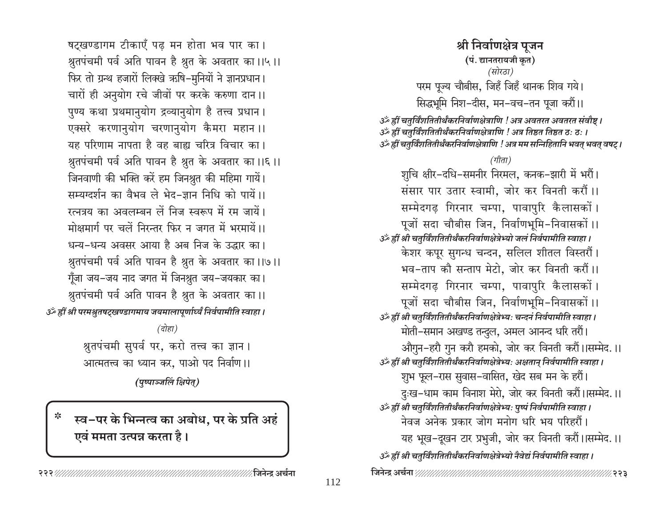षट्खण्डागम टीकाएँ पढ मन होता भव पार का। श्रुतपंचमी पर्व अति पावन है श्रुत के अवतार का।।५।। फिर तो ग्रन्थ हजारों लिक्खे ऋषि-मुनियों ने ज्ञानप्रधान। चारों ही अनुयोग रचे जीवों पर करके करुणा दान।। पुण्य कथा प्रथमानुयोग द्रव्यानुयोग है तत्त्व प्रधान। एक्सरे करणानुयोग चरणानुयोग कैमरा महान ।। यह परिणाम नापता है वह बाह्य चरित्र विचार का। श्नुतपंचमी पर्व अति पावन है श्नुत के अवतार का।।६।। जिनवाणी की भक्ति करें हम जिनश्रुत की महिमा गायें। सम्यग्दर्शन का वैभव ले भेद-ज्ञान निधि को पायें।। रत्नत्रय का अवलम्बन लें निज स्वरूप में रम जायें। मोक्षमार्ग पर चलें निरन्तर फिर न जगत में भरमायें।। धन्य-धन्य अवसर आया है अब निज के उद्धार का। श्नुतपंचमी पर्व अति पावन है श्नुत के अवतार का।।७।। गूँजा जय-जय नाद जगत में जिनश्नुत जय-जयकार का। श्रुतपंचमी पर्व अति पावन है श्रुत के अवतार का।। उँ ह्रीं श्री परमश्नुतषट्खण्डागमाय जयमालापूर्णार्ध्यं निर्वपामीति स्वाहा ।

(दोहा)

श्नुतपंचमी सुपर्व पर, करो तत्त्व का ज्ञान । आत्मतत्त्व का ध्यान कर, पाओ पद निर्वाण ।।

(पुष्पाञ्जलिं क्षिपेत्)

स्व-पर के भिन्नत्व का अबोध, पर के प्रति अहं एवं ममता उत्पन्न करता है।

∕ जिनेन्द्र अर्चना

श्री निर्वाणक्षेत्र पुजन (पं. द्यानतरायजी कृत) (सोरठा) परम पूज्य चौबीस, जिहँ जिहँ थानक शिव गये। सिद्धभूमि निश-दीस, मन-वच-तन पूजा करौं।।

उर्व्हीं चतुर्विंशतितीर्थंकरनिर्वाणक्षेत्राणि ! अत्र अवतरत अवतरत संवौष्ट । उँ ह्रीं चतुर्विंशतितीर्थंकरनिर्वाणक्षेत्राणि ! अत्र तिष्ठत तिष्ठत ठः ठः । उॐ ह्रीं चतुर्विंशतितीर्थंकरनिर्वाणक्षेत्राणि ! अत्र मम सन्निहितानि भवत् भवत् वषट् ।

(गीता)

शुचि क्षीर-दधि-समनीर निरमल, कनक-झारी में भरौं। संसार पार उतार स्वामी, जोर कर विनती करौं।। सम्मेदगढ़ गिरनार चम्पा, पावापुरि कैलासकों। पूजों सदा चौबीस जिन, निर्वाणभूमि-निवासकों ।। उॐ ह्रीं श्री चतुर्विंशतितीर्थंकरनिर्वाणक्षेत्रेभ्यो जलं निर्वपामीति स्वाहा । केशर कपूर सुगन्ध चन्दन, सलिल शीतल विस्तरौं। भव-ताप कौ सन्ताप मेटो, जोर कर विनती करौं।। सम्मेदगढ़ गिरनार चम्पा, पावापुरि कैलासकों। पूजों सदा चौबीस जिन, निर्वाणभूमि-निवासकों ।। उॐ ह्रीं श्री चतुर्विंशतितीर्थंकरनिर्वाणक्षेत्रेभ्यः चन्दनं निर्वपामीति स्वाहा । मोती-समान अखण्ड तन्दुल, अमल आनन्द धरि तरौं। औगुन-हरौ गुन करौ हमको, जोर कर विनती करौं।।सम्मेद.।। उँ ह्रीं श्री चतुर्विंशतितीर्थंकरनिर्वाणक्षेत्रेभ्यः अक्षतान् निर्वपामीति स्वाहा । शुभ फूल-रास सुवास-वासित, खेद सब मन के हरौं। दुःख-धाम काम विनाश मेरो, जोर कर विनती करौं।।सम्मेद.॥ उर्व्हीं श्री चतुर्विंशतितीर्थंकरनिर्वाणक्षेत्रेभ्यः पुष्पं निर्वपामीति स्वाहा । नेवज अनेक प्रकार जोग मनोग धरि भय परिहरौं। यह भूख-दूखन टार प्रभुजी, जोर कर विनती करौं।।सम्मेद.।। उँ ह्रीं श्री चतुर्विंशतितीर्थंकरनिर्वाणक्षेत्रेभ्यो नैवेद्यं निर्वपामीति स्वाहा।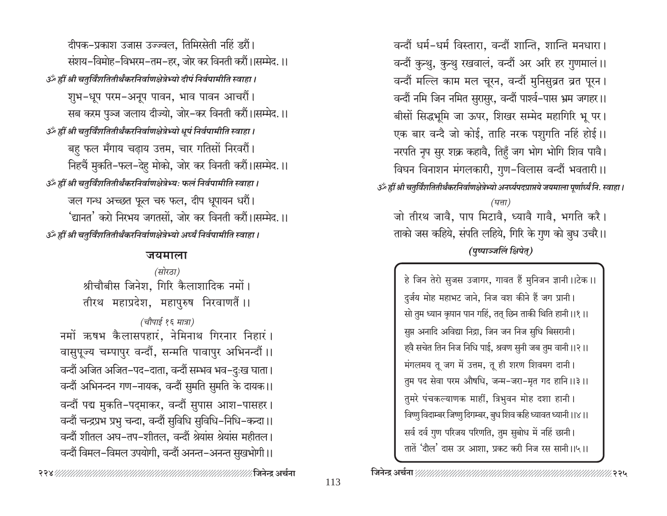दीपक-प्रकाश उजास उज्ज्वल, तिमिरसेती नहिं डरौं। संशय-विमोह-विभरम-तम-हर, जोर कर विनती करौं।।सम्मेद.।। उँ ह्रीं श्री चतुर्विंशतितीर्थंकरनिर्वाणक्षेत्रेभ्यो दीपं निर्वपामीति स्वाहा। शुभ-धूप परम-अनूप पावन, भाव पावन आचरौं। सब करम पुञ्ज जलाय दीज्यो, जोर–कर विनती करौं।।सम्मेद.।। उँ ह्रीं श्री चतुर्विंशतितीर्थंकरनिर्वाणक्षेत्रेभ्यो धूपं निर्वपामीति स्वाहा। बहु फल मँगाय चढ़ाय उत्तम, चार गतिसों निरवरौं। निहचैं मुकति–फल–देहु मोको, जोर कर विनती करौं।।सम्मेद.।। उर्व्हीं श्री चतुर्विंशतितीर्थंकरनिर्वाणक्षेत्रेभ्यः फलं निर्वपामीति स्वाहा । जल गन्ध अच्छत फूल चरु फल, दीप धुपायन धरौं। 'द्यानत' करो निरभय जगतसों, जोर कर विनती करौं।।सम्मेद.।। उँ ह्रीं श्री चतुर्विंशतितीर्थंकरनिर्वाणक्षेत्रेभ्यो अर्घ्यं निर्वपामीति स्वाहा ।

#### जयमाला

(सोरठा) श्रीचौबीस जिनेश, गिरि कैलाशादिक नमों। तीरथ महाप्रदेश, महापुरुष निरवाणतैं।।

## (चौपाई १६ मात्रा)

नमों ऋषभ कैलासपहारं, नेमिनाथ गिरनार निहारं। वासुपूज्य चम्पापुर वन्दौं, सन्मति पावापुर अभिनन्दौं।। वन्दौं अजित अजित–पद–दाता, वन्दौं सम्भव भव–दुःख घाता। वन्दौं अभिनन्दन गण-नायक, वन्दौं सुमति सुमति के दायक।। वन्दौं पद्म मुकति-पद्माकर, वन्दौं सुपास आश-पासहर। वन्दौं चन्द्रप्रभ प्रभु चन्दा, वन्दौं सुविधि सुविधि-निधि-कन्दा ।। वन्दौं शीतल अघ-तप-शीतल, वन्दौं श्रेयांस श्रेयांस महीतल। वन्दौं विमल-विमल उपयोगी, वन्दौं अनन्त-अनन्त सुखभोगी।।

वन्दौं धर्म-धर्म विस्तारा, वन्दौं शान्ति, शान्ति मनधारा। वन्दौं कुन्थु, कुन्थु रखवालं, वन्दौं अर अरि हर गुणमालं।। वन्दौं मल्लि काम मल चूरन, वन्दौं मुनिसुव्रत व्रत पूरन। वन्दौं नमि जिन नमित सुरासुर, वन्दौं पार्श्व-पास भ्रम जगहर।। बीसों सिद्धभूमि जा ऊपर, शिखर सम्मेद महागिरि भू पर। एक बार वन्दै जो कोई, ताहि नरक पशुगति नहिं होई।। नरपति नृप सुर शक्र कहावै, तिहुँ जग भोग भोगि शिव पावै। विघन विनाशन मंगलकारी, गुण-विलास वन्दौं भवतारी ।। ाऊँ ह्रीं श्री चतुर्विंशतितीर्थंकरनिर्वाणक्षेत्रेभ्यो अनर्घ्यपदप्राप्तये जयमाला पूर्णार्ध्यं नि. स्वाहा ।  $($ घत्ता) जो तीरथ जावै, पाप मिटावै, ध्यावै गावै, भगति करै। ताको जस कहिये, संपति लहिये, गिरि के गुण को बुध उचरै।। (पुष्पाञ्जलिं क्षिपेत्)

> हे जिन तेरो सुजस उजागर, गावत हैं मुनिजन ज्ञानी ।।टेक ।। दुर्जय मोह महाभट जाने, निज वश कीने हैं जग प्रानी। सो तुम ध्यान कृपान पान गहिं, तत् छिन ताकी थिति हानी ।।१।। सुप्त अनादि अविद्या निद्रा, जिन जन निज सुधि बिसरानी। ह्वै सचेत तिन निज निधि पाई, श्रवण सुनी जब तुम वानी।।२।। मंगलमय तू जग में उत्तम, तू ही शरण शिवमग दानी। तुम पद सेवा परम औषधि, जन्म-जरा-मृत गद हानि ।।३ ।। तुमरे पंचकल्याणक माहीं, त्रिभुवन मोह दशा हानी। विष्णु विदाम्बर जिष्णु दिगम्बर, बुध शिव कहि ध्यावत ध्यानी ।।४ ।। सर्व दर्व गुण परिजय परिणति, तुम सुबोध में नहिं छानी। तातें 'दौल' दास उर आशा, प्रकट करी निज रस सानी ।।५।।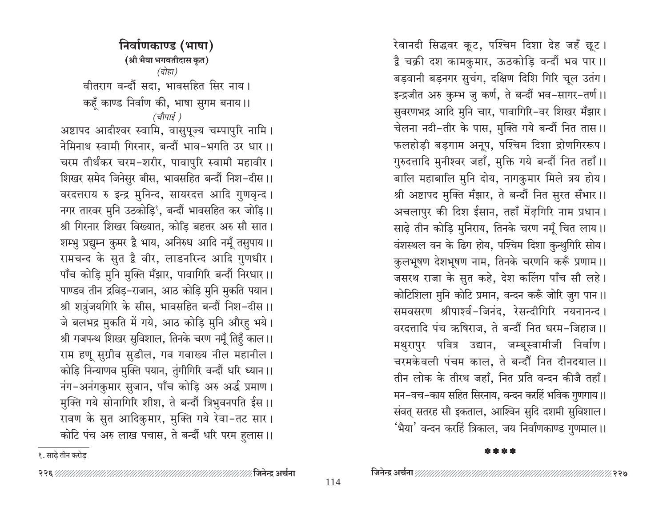निर्वाणकाण्ड (भाषा) (श्री भैया भगवतीदास कृत) (दोहा) वीतराग वन्दौं सदा, भावसहित सिर नाय। कहँ काण्ड निर्वाण की, भाषा सुगम बनाय।। (चौपाई ) अष्टापद आदीश्वर स्वामि, वासुपूज्य चम्पापुरि नामि। नेमिनाथ स्वामी गिरनार, बन्दौं भाव-भगति उर धार।। चरम तीर्थंकर चरम-शरीर, पावापुरि स्वामी महावीर। शिखर समेद जिनेसुर बीस, भावसहित बन्दौं निश-दीस।। वरदत्तराय रु इन्द्र मुनिन्द, सायरदत्त आदि गुणवृन्द । नगर तारवर मुनि उठकोड़ि', बन्दौं भावसहित कर जोड़ि।। श्री गिरनार शिखर विख्यात, कोडि बहत्तर अरु सौ सात। शम्भु प्रद्युम्न कुमर द्वै भाय, अनिरुध आदि नमुँ तसुपाय।। रामचन्द के सुत द्वै वीर, लाडनरिन्द आदि गुणधीर। पाँच कोड़ि मुनि मुक्ति मँझार, पावागिरि बन्दौं निरधार।। पाण्डव तीन द्रविड़-राजान, आठ कोड़ि मुनि मुकति पयान। श्री शत्रुंजयगिरि के सीस, भावसहित बन्दौं निश-दीस।। जे बलभद्र मुकति में गये, आठ कोड़ि मुनि औरहु भये। श्री गजपन्थ शिखर सुविशाल, तिनके चरण नमुँ तिहँ काल।। राम हणू सुग्रीव सुडील, गव गवाख्य नील महानील। कोड़ि निन्याणव मुक्ति पयान, तुंगीगिरि वन्दौं धरि ध्यान ।। नंग-अनंगकुमार सुजान, पाँच कोड़ि अरु अर्द्ध प्रमाण। मुक्ति गये सोनागिरि शीश, ते बन्दौं त्रिभुवनपति ईस ।। रावण के सुत आदिकुमार, मुक्ति गये रेवा-तट सार। कोटि पंच अरु लाख पचास, ते बन्दौं धरि परम हुलास।। रेवानदी सिद्धवर कूट, पश्चिम दिशा देह जहँ छूट । द्वै चक्री दश कामकुमार, ऊठकोड़ि वन्दौं भव पार ।। बड़वानी बड़नगर सुचंग, दक्षिण दिशि गिरि चूल उतंग। इन्द्रजीत अरु कुम्भ जु कर्ण, ते बन्दौं भव-सागर-तर्ण ।। सुवरणभद्र आदि मुनि चार, पावागिरि-वर शिखर मँझार। चेलना नदी-तीर के पास, मुक्ति गये बन्दौं नित तास।। फलहोड़ी बड़गाम अनूप, पश्चिम दिशा द्रोणगिररूप। गुरुदत्तादि मुनीश्वर जहाँ, मुक्ति गये बन्दौं नित तहाँ ।। बालि महाबालि मुनि दोय, नागकुमार मिले त्रय होय। श्री अष्टापद मुक्ति मँझार, ते बन्दौं नित सुरत सँभार।। अचलापुर की दिश ईसान, तहाँ मेंढ़गिरि नाम प्रधान। साढ़े तीन कोड़ि मुनिराय, तिनके चरण नमूँ चित लाय।। वंशस्थल वन के ढिग होय, पश्चिम दिशा कुन्थुगिरि सोय। कुलभूषण देशभूषण नाम, तिनके चरणनि करूँ प्रणाम ।। जसरथ राजा के सुत कहे, देश कलिंग पाँच सौ लहे। कोटिशिला मुनि कोटि प्रमान, वन्दन करूँ जोरि जुग पान।। समवसरण श्रीपार्श्व-जिनंद, रेसन्दीगिरि नयनानन्द। वरदत्तादि पंच ऋषिराज, ते बन्दौं नित धरम-जिहाज ।। मथुरापुर पवित्र उद्यान, जम्बूस्वामीजी निर्वाण। चरमकेवली पंचम काल, ते बन्दौं नित दीनदयाल।। तीन लोक के तीरथ जहाँ. नित प्रति वन्दन कीजै तहाँ। मन–वच–काय सहित सिरनाय, वन्दन करहिं भविक गुणगाय।। संवत् सतरह सौ इकताल, आश्विन सुदि दशमी सुविशाल। 'भैया' वन्दन करहिं त्रिकाल, जय निर्वाणकाण्ड गुणमाल।।

१. साढे तीन करोड

\* \* \* \*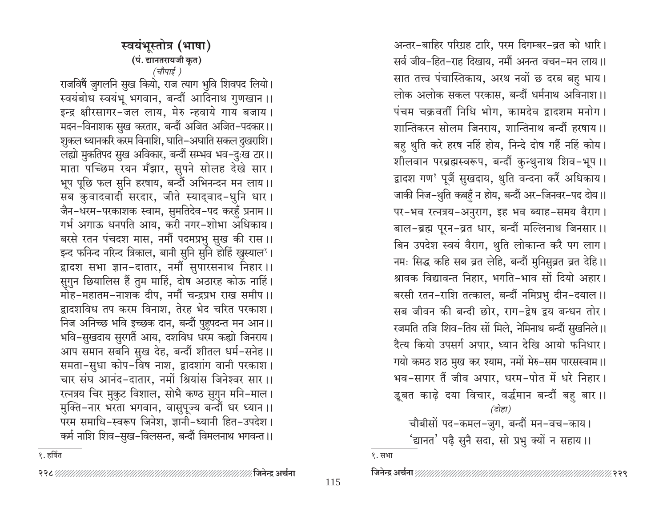स्वयंभुस्तोत्र (भाषा) (पं. द्यानतरायजी कृत) (चौपाई )

राजविषैं जुगलनि सुख कियो, राज त्याग भुवि शिवपद लियो। स्वयंबोध स्वयंभू भगवान, बन्दौं आदिनाथ गुणखान ।। इन्द्र क्षीरसागर-जल लाय, मेरु न्हवाये गाय बजाय। मदन–विनाशक सुख करतार, बन्दौं अजित अजित–पदकार।। शुकल ध्यानकरि करम विनाशि, घाति–अघाति सकल दुखराशि। लह्यो मुकतिपद सुख अविकार, बन्दौं सम्भव भव–दुःख टार।। माता पच्छिम रयन मँझार, सुपने सोलह देखे सार। भूप पूछि फल सुनि हरषाय, बन्दौं अभिनन्दन मन लाय।। सब कुवादवादी सरदार, जीते स्याद्वाद-धुनि धार । जैन–धरम–परकाशक स्वाम, सुमतिदेव–पद करहुँ प्रनाम।। गर्भ अगाऊ धनपति आय, करी नगर–शोभा अधिकाय। बरसे रतन पंचदश मास, नमौं पदमप्रभु सुख की रास।। इन्द फनिन्द नरिन्द त्रिकाल, बानी सुनि सुनि होहिं खुस्याल<sup>१</sup>। द्वादश सभा ज्ञान-दातार, नमौं सुपारसनाथ निहार।। सुगुन छियालिस हैं तुम माहिं, दोष अठारह कोऊ नाहिं। मोह–महातम–नाशक दीप, नमौं चन्द्रप्रभ राख समीप।। द्वादशविध तप करम विनाश, तेरह भेद चरित परकाश। निज अनिच्छ भवि इच्छक दान, बन्दौं पुहुपदन्त मन आन।। भवि-सुखदाय सुरगतैं आय, दशविध धरम कह्यो जिनराय। आप समान सबनि सुख देह, बन्दौं शीतल धर्म-सनेह।। समता-सुधा कोप-विष नाश, द्वादशांग वानी परकाश। चार संघ आनंद-दातार, नमों श्रियांस जिनेश्वर सार।। रत्नत्रय चिर मुकुट विशाल, सोभै कण्ठ सुगुन मनि–माल। मुक्ति-नार भरता भगवान, वासुपूज्य बन्दौं धर ध्यान ।। परम समाधि-स्वरूप जिनेश, ज्ञानी-ध्यानी हित-उपदेश। कर्म नाशि शिव-सुख-विलसन्त, बन्दौं विमलनाथ भगवन्त ।।

अन्तर-बाहिर परिग्रह टारि, परम दिगम्बर-ब्रत को धारि। सर्व जीव-हित-राह दिखाय, नमौं अनन्त वचन-मन लाय।। सात तत्त्व पंचास्तिकाय, अरथ नवों छ दरब बहु भाय। लोक अलोक सकल परकास, बन्दौं धर्मनाथ अविनाश।। पंचम चक्रवर्ती निधि भोग, कामदेव द्वादशम मनोग। शान्तिकरन सोलम जिनराय, शान्तिनाथ बन्दौं हरषाय।। बहु थुति करे हरष नहिं होय, निन्दे दोष गहैं नहिं कोय। शीलवान परब्रह्मस्वरूप, बन्दौं कुन्थुनाथ शिव-भूप ।। द्वादश गण<sup>१</sup> पूजैं सुखदाय, थुति वन्दना करैं अधिकाय। जाकी निज-थुति कबहुँ न होय, बन्दौं अर-जिनवर-पद दोय।। पर-भव रत्नत्रय-अनुराग, इह भव ब्याह-समय वैराग। बाल-ब्रह्म पूरन-व्रत धार, बन्दौं मल्लिनाथ जिनसार।। बिन उपदेश स्वयं वैराग, थुति लोकान्त करै पग लाग। नमः सिद्ध कहि सब व्रत लेहि, बन्दौं मुनिसुव्रत व्रत देहि।। श्रावक विद्यावन्त निहार, भगति-भाव सों दियो अहार। बरसी रतन-राशि तत्काल, बन्दौं नमिप्रभु दीन-दयाल।। सब जीवन की बन्दी छोर, राग-द्वेष द्वय बन्धन तोर। रजमति तजि शिव-तिय सों मिले, नेमिनाथ बन्दौं सुखनिले।। दैत्य कियो उपसर्ग अपार, ध्यान देखि आयो फनिधार। गयो कमठ शठ मुख कर श्याम, नमों मेरु–सम पारसस्वाम।। भव-सागर तैं जीव अपार. धरम-पोत में धरे निहार। डूबत काढ़े दया विचार, वर्द्धमान बन्दौं बहु बार ।। (दोहा) चौबीसों पद-कमल-जुग, बन्दौं मन-वच-काय। 'द्यानत' पढ़ै सुनै सदा, सो प्रभु क्यों न सहाय।।

१. हर्षित

१. सभा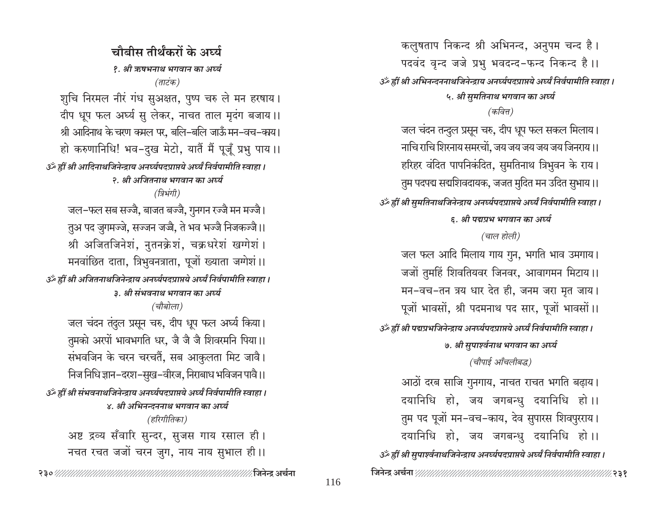कलुषताप निकन्द श्री अभिनन्द, अनुपम चन्द है। पदवंद वृन्द जजे प्रभु भवदन्द-फन्द निकन्द है।। उँट्ठै ह्वीं श्री अभिनन्दननाथजिनेन्द्राय अनर्घ्यपदप्राप्तये अर्घ्यं निर्वपामीति स्वाहा । ५. श्री सुमतिनाथ भगवान का अर्घ्य (कवित्त) जल चंदन तन्दुल प्रसून चरु, दीप धूप फल सकल मिलाय। नाचि राचि शिरनाय समरचों. जय जय जय जय जय जिनराय ।। हरिहर वंदित पापनिकंदित, सुमतिनाथ त्रिभुवन के राय। तुम पदपद्म सद्मशिवदायक, जजत मुदित मन उदित सुभाय।। उॐ ह्रीं श्री सुमतिनाथजिनेन्द्राय अनर्घ्यपदप्राप्तये अर्घ्यं निर्वपामीति स्वाहा । ६. श्री पद्मप्रभ भगवान का अर्घ्य (चाल होली) जल फल आदि मिलाय गाय गुन, भगति भाव उमगाय। जजों तुमहिं शिवतियवर जिनवर, आवागमन मिटाय।। मन-वच-तन त्रय धार देत ही, जनम जरा मृत जाय। पूजों भावसों, श्री पदमनाथ पद सार, पूजों भावसों।। उँ ह्रीं श्री पद्मप्रभजिनेन्द्राय अनर्घ्यपदप्राप्तये अर्घ्यं निर्वपामीति स्वाहा । ७. श्री सुपार्श्वनाथ भगवान का अर्घ्य (चौपाई आँचलीबद्ध) आठों दरब साजि गुनगाय, नाचत राचत भगति बढ़ाय। दयानिधि हो, जय जगबन्धु दयानिधि हो ।। तुम पद पूजों मन-वच-काय, देव सुपारस शिवपुरराय। दयानिधि हो, जय जगबन्धु दयानिधि हो।। उँ ह्रीं श्री सुपार्श्वनाथजिनेन्द्राय अनर्घ्यपदप्राप्तये अर्घ्यं निर्वपामीति स्वाहा । 

चौबीस तीर्थंकरों के अर्घ्य १. श्री ऋषभनाथ भगवान का अर्घ्य (ताटंक) शुचि निरमल नीरं गंध सुअक्षत, पुष्प चरु ले मन हरषाय। दीप धूप फल अर्घ्य सु लेकर, नाचत ताल मृदंग बजाय।। श्री आदिनाथ के चरण कमल पर, बलि-बलि जाऊँ मन-वच-काय। हो करुणानिधि! भव-दुख मेटो, यातैं मैं पूजूँ प्रभु पाय ।। उँ ह्रीं श्री आदिनाथजिनेन्द्राय अनर्घ्यपदप्राप्तये अर्घ्यं निर्वपामीति स्वाहा । २. श्री अजितनाथ भगवान का अर्घ्य (त्रिभंगी) जल-फल सब सज्जै, बाजत बज्जै, गुनगन रज्जै मन मज्जै। तुअ पद जुगमज्जे, सज्जन जज्जै, ते भव भज्जै निजकज्जै।। श्री अजितजिनेशं, नुतनक्रेशं, चक्रधरेशं खग्गेशं। मनवांछित दाता, त्रिभुवनत्राता, पूजों ख्याता जग्गेशं ।। उँ ह्रीं श्री अजितनाथजिनेन्द्राय अनर्घ्यपदप्राप्तये अर्घ्यं निर्वपामीति स्वाहा । ३. श्री संभवनाथ भगवान का अर्घ्य (चौबोला) जल चंदन तंदुल प्रसून चरु, दीप धूप फल अर्घ्य किया। तुमको अरपों भावभगति धर, जै जै जै शिवरमनि पिया।। संभवजिन के चरन चरचतें, सब आकुलता मिट जावै। निज निधि ज्ञान–दरश–सुख–वीरज, निराबाध भविजन पावै।। उँ ह्रीं श्री संभवनाथजिनेन्द्राय अनर्घ्यपदप्राप्तये अर्घ्यं निर्वपामीति स्वाहा । ४. श्री अभिनन्दननाथ भगवान का अर्घ्य (हरिगीतिका) अष्ट द्रव्य सँवारि सुन्दर, सुजस गाय रसाल ही। नचत रचत जजों चरन जुग, नाय नाय सुभाल ही।।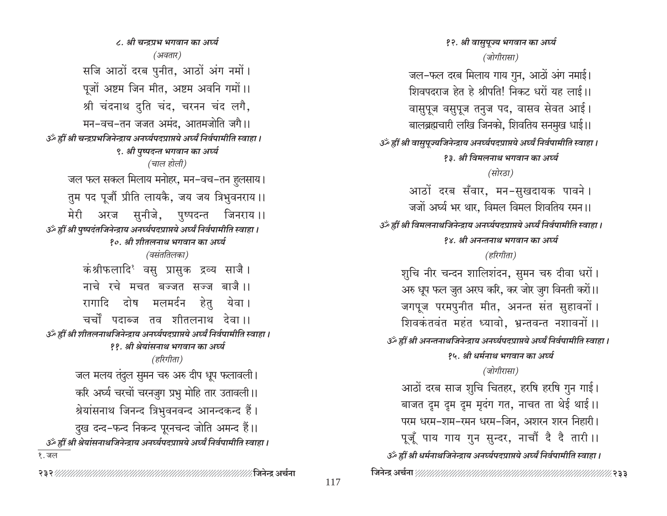१२. श्री वासुपूज्य भगवान का अर्घ्य (जोगीरासा) जल-फल दरब मिलाय गाय गुन, आठों अंग नमाई। शिवपदराज हेत हे श्रीपति! निकट धरों यह लाई।। वासुपूज वसुपूज तनुज पद, वासव सेवत आई। बालब्रह्मचारी लखि जिनको, शिवतिय सनमुख धाई।। उँ ह्रीं श्री वासुपूज्यजिनेन्द्राय अनर्घ्यपदप्राप्तये अर्घ्यं निर्वपामीति स्वाहा । १३. श्री विमलनाथ भगवान का अर्घ्य (सोरठा) आठों दरब सँवार, मन-सुखदायक पावने। जजों अर्घ्य भर थार, विमल विमल शिवतिय रमन।। उँ ह्रीं श्री विमलनाथजिनेन्द्राय अनर्घ्यपदप्राप्तये अर्घ्यं निर्वपामीति स्वाहा । १४. श्री अनन्तनाथ भगवान का अर्घ्य (हरिगीता) शुचि नीर चन्दन शालिशंदन, सुमन चरु दीवा धरों। अरु धूप फल जुत अरघ करि, कर जोर जुग विनती करों।। जगपूज परमपुनीत मीत, अनन्त संत सुहावनों। शिवकंतवंत महंत ध्यावो. भ्रन्तवन्त नशावनों ।। उँ ह्रीं श्री अनन्तनाथजिनेन्द्राय अनर्घ्यपदप्राप्तये अर्घ्यं निर्वपामीति स्वाहा । १५. श्री धर्मनाथ भगवान का अर्घ्य (जोगीरासा) आठों दरब साज शुचि चितहर, हरषि हरषि गुन गाई। बाजत दूम दूम दूम मृदंग गत, नाचत ता थेई थाई।। परम धरम-शम-रमन धरम-जिन, अशरन शरन निहारी। पूजूँ पाय गाय गुन सुन्दर, नाचौं दै दै तारी ।। उॅट्र ह्रीं श्री धर्मनाथजिनेन्द्राय अनर्घ्यपदप्राप्तये अर्घ्यं निर्वपामीति स्वाहा । 

८. श्री चन्द्रप्रभ भगवान का अर्घ्य (अवतार) सजि आठों दरब पुनीत, आठों अंग नमों। पूजों अष्टम जिन मीत, अष्टम अवनि गमों।। श्री चंदनाथ दुति चंद, चरनन चंद लगै, मन-वच-तन जजत अमंद, आतमजोति जगै।। उँ ह्रीं श्री चन्द्रप्रभजिनेन्द्राय अनर्घ्यपदप्राप्तये अर्घ्यं निर्वपामीति स्वाहा । ९. श्री पुष्पदन्त भगवान का अर्घ्य (चाल होली) जल फल सकल मिलाय मनोहर, मन–वच–तन हुलसाय। तुम पद पूजौं प्रीति लायकै, जय जय त्रिभुवनराय ।। मेरी अरज सुनीजे, पुष्पदन्त जिनराय।। उॅथ् ह्रीं श्री पृष्पदंतजिनेन्द्राय अनर्घ्यपदप्राप्तये अर्घ्यं निर्वपामीति स्वाहा । १०. श्री शीतलनाथ भगवान का अर्घ्य (वसंततिलका) कंश्रीफलादि<sup>१</sup> वसु प्रासुक द्रव्य साजै। नाचे रचे मचत बज्जत सज्ज बाजै।। रागादि दोष मलमर्दन हेतु येवा । चर्चों पदाब्ज तव शीतलनाथ देवा।। उर्व्हीं श्री शीतलनाथजिनेन्द्राय अनर्घ्यपदप्राप्तये अर्घ्यं निर्वपामीति स्वाहा । ११. श्री श्रेयांसनाथ भगवान का अर्घ्य (हरिगीता) जल मलय तंदुल सुमन चरु अरु दीप धूप फलावली। करि अर्घ्य चरचों चरनजुग प्रभु मोहि तार उतावली।। श्रेयांसनाथ जिनन्द त्रिभुवनवन्द आनन्दकन्द हैं। दुख दन्द-फन्द निकन्द पूरनचन्द जोति अमन्द हैं।। उँ ह्रीं श्री श्रेयांसनाथजिनेन्द्राय अनर्घ्यपदप्राप्तये अर्घ्यं निर्वपामीति स्वाहा । १. जल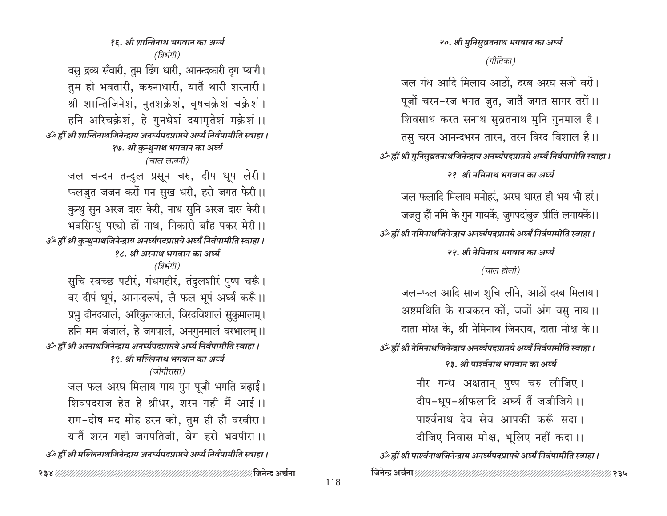२०. श्री मुनिसुव्रतनाथ भगवान का अर्घ्य (गीतिका) जल गंध आदि मिलाय आठों, दरब अरघ सजों वरों। पूजों चरन-रज भगत जुत, जातैं जगत सागर तरों।। शिवसाथ करत सनाथ सुव्रतनाथ मुनि गुनमाल है। तसु चरन आनन्दभरन तारन, तरन विरद विशाल है।। उँ ह्रीं श्री मुनिसुव्रतनाथजिनेन्द्राय अनर्घ्यपदप्राप्तये अर्घ्यं निर्वपामीति स्वाहा । २१. श्री नमिनाथ भगवान का अर्घ्य जल फलादि मिलाय मनोहरं. अरघ धारत ही भय भौ हरं। जजतु हौं नमि के गुन गायकें, जुगपदांबुज प्रीति लगायकें।। उँ ह्रीं श्री नमिनाथजिनेन्द्राय अनर्घ्यपद्प्राप्तये अर्घ्यं निर्वपामीति स्वाहा । २२. श्री नेमिनाथ भगवान का अर्घ्य (चाल होली) जल-फल आदि साज शुचि लीने, आठों दरब मिलाय। अष्टमथिति के राजकरन कों, जजों अंग वसु नाय।। दाता मोक्ष के, श्री नेमिनाथ जिनराय, दाता मोक्ष के।। उँ ह्रीं श्री नेमिनाथजिनेन्द्राय अनर्घ्यपदप्राप्तये अर्घ्यं निर्वपामीति स्वाहा । २३. श्री पार्श्वनाथ भगवान का अर्घ्य नीर गन्ध अक्षतान् पुष्प चरु लीजिए। दीप-धूप-श्रीफलादि अर्घ्य तैं जजीजिये।। पार्श्वनाथ देव सेव आपकी करूँ सदा। दीजिए निवास मोक्ष, भूलिए नहीं कदा।। उॅट ह्रीं श्री पार्श्वनाथजिनेन्द्राय अनर्घ्यपदप्राप्तये अर्घ्यं निर्वपामीति स्वाहा । 

१६. श्री शान्तिनाथ भगवान का अर्घ्य (त्रिभंगी) वसु द्रव्य सँवारी, तुम ढिंग धारी, आनन्दकारी दुग प्यारी। तुम हो भवतारी, करुनाधारी, यातैं थारी शरनारी। श्री शान्तिजिनेशं, नुतशक्रेशं, वृषचक्रेशं चक्रेशं । हनि अरिचक्रेशं, हे गुनधेशं दयामृतेशं मक्रेशं ।। उर्व्हीं श्री शान्तिनाथजिनेन्द्राय अनर्घ्यपदप्राप्तये अर्घ्यं निर्वपामीति स्वाहा । १७. श्री कुन्थुनाथ भगवान का अर्घ्य (चाल लावनी) जल चन्दन तन्दुल प्रसून चरु, दीप धूप लेरी। फलज़ुत जजन करों मन सुख धरी, हरो जगत फेरी।। कुन्थु सुन अरज दास केरी, नाथ सुनि अरज दास केरी। भवसिन्धु पस्चो हों नाथ, निकारो बाँह पकर मेरी।। उँ ह्रीं श्री कुन्थुनाथजिनेन्द्राय अनर्घ्यपदप्राप्तये अर्घ्यं निर्वपामीति स्वाहा । १८. श्री अरनाथ भगवान का अर्घ्य (त्रिभंगी) सुचि स्वच्छ पटीरं, गंधगहीरं, तंदुलशीरं पुष्प चरूँ। वर दीपं धूपं, आनन्दरूपं, लै फल भूपं अर्घ्य करूँ।। प्रभु दीनदयालं, अरिकुलकालं, विरदविशालं सुकुमालम् । हनि मम जंजालं, हे जगपालं, अनगुनमालं वरभालम् ।। उँ ह्रीं श्री अरनाथजिनेन्द्राय अनर्घ्यपदप्राप्तये अर्घ्यं निर्वपामीति स्वाहा । १९. श्री मल्लिनाथ भगवान का अर्घ्य (जोगीरासा)

जल फल अरघ मिलाय गाय गुन पूजौं भगति बढ़ाई। शिवपदराज हेत हे श्रीधर, शरन गही मैं आई।। राग-दोष मद मोह हरन को, तुम ही हौ वरवीरा। यातैं शरन गही जगपतिजी, वेग हरो भवपीरा ।। उँ ह्रीं श्री मल्लिनाथजिनेन्द्राय अनर्घ्यपदप्राप्तये अर्घ्यं निर्वपामीति स्वाहा ।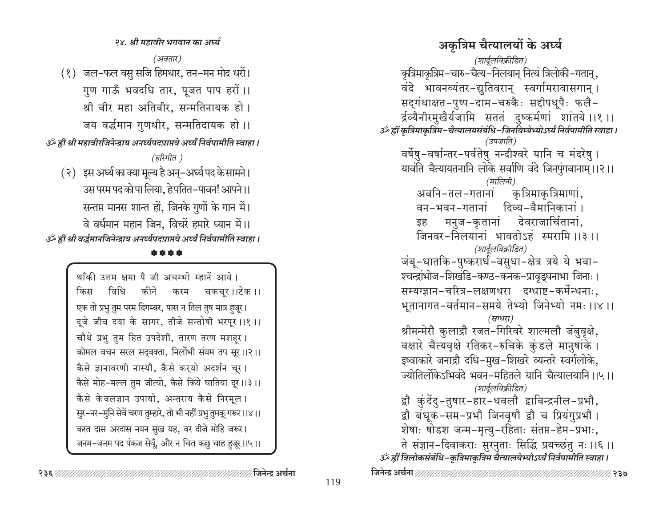अकृत्रिम चैत्यालयों के अर्घ्य (शार्दूलविक्रीडित) कृत्रिमाकृत्रिम–चारु–चैत्य–निलयान् नित्यं त्रिलोकी–गतान्, वंदे भावनव्यंतर-द्युतिवरान् स्वर्गामरावासगान् । सदुगंधाक्षत-पुष्प-दाम-चरुकैः सद्दीपधूपैः फलै-र्द्रव्यैनीरमुखैर्यजामि सततं दुष्कर्मणां शांतये ।।१ ।। उॅं ह्रीं कृत्रिमाकृत्रिम-चैत्यालयसंबंधि-जिनबिम्बेभ्योऽर्घ्यं निर्वपामीति स्वाहा । (उपजाति) वर्षेषु-वर्षान्तर-पर्वतेषु नन्दीश्वरे यानि च मंदरेषु । यावंति चैत्यायतनानि लोके सर्वाणि वंदे जिनपुंगवानाम् ।।२।। (मालिनी) कृत्रिमाकृत्रिमाणां . अवनि-तल-गतानां दिव्य-वैमानिकानां । वन-भवन-गतानां मनुज-कृतानां देवराजार्चितानां, इह जिनवर-निलयानां भावतोऽहं स्मरामि।।३।। (शार्दुलविक्रीडित) जंबू-धातकि-पुष्करार्ध-वसुधा-क्षेत्र त्रये ये भवा-श्चन्द्रांभोज-शिखंडि-कण्ठ-कनक-प्रावृड्घनाभा जिनाः । सम्यग्ज्ञान-चरित्र-लक्षणधरा दग्धाष्ट-कर्मेन्धनाः, भूतानागत-वर्तमान-समये तेभ्यो जिनेभ्यो नमः ।।४ ।। (स्रग्धरा) श्रीमन्मेरौ कुलाद्रौ रजत-गिरिवरे शाल्मलौ जंबुवृक्षे, वक्षारे चैत्यवृक्षे रतिकर-रुचिके कुंडले मानुषांके। इष्वाकारे जनाद्रौ दधि-मुख-शिखरे व्यन्तरे स्वर्गलोके, ज्योतिर्लोकेऽभिवंदे भवन–महितले यानि चैत्यालयानि ।।५।। (शार्दूलविक्रीडित) द्वौ कुंदेंदु-तुषार-हार-धवलौ द्वाविन्द्रनील-प्रभौ, द्वौ बंधूक-सम-प्रभौ जिनवृषौ द्वौ च प्रियंगुप्रभौ । शेषाः षोडश जन्म-मृत्यु-रहिताः संतप्त-हेम-प्रभाः, ते संज्ञान-दिवाकराः सुरनुताः सिद्धिं प्रयच्छतु नः ।।६ ।। उर्व्हीं त्रिलोकसंबंधि-कृत्रिमाकृत्रिम चैत्यालयेभ्योऽर्घ्यं निर्वपामीति स्वाहा । 

(अवतार) (१) जल-फल वसु सजि हिमथार, तन-मन मोद धरों। गुण गाऊँ भवदधि तार, पूजत पाप हरों।। श्री वीर महा अतिवीर, सन्मतिनायक हो। जय वर्द्धमान गुणधीर, सन्मतिदायक हो।। उँ ह्रीं श्री महावीरजिनेन्द्राय अनर्घ्यपदप्राप्तये अर्घ्यं निर्वपामीति स्वाहा । (हरिगीत ) ( २) इस अर्घ्य का क्या मूल्य है अन्–अर्घ्य पद के सामने। उस परम पद को पा लिया, हे पतित–पावन! आपने।। सन्तप्त मानस शान्त हों, जिनके गुणों के गान में। वे वर्धमान महान जिन, विचरें हमारे ध्यान में।। उँ ह्रीं श्री वर्द्धमानजिनेन्द्राय अनर्घ्यपदप्राप्तये अर्घ्यं निर्वपामीति स्वाहा ।

२४. श्री महावीर भगवान का अर्घ्य

थाँकी उत्तम क्षमा पै जी अचम्भो म्हानें आवे। विधि चकचूर ।।टेक ।। कीने किस करम एक तो प्रभु तुम परम दिगम्बर, पास न तिल तुष मात्र हुजूर। दूजे जीव दया के सागर, तीजे सन्तोषी भरपूर ।।१ ।। चौथे प्रभु तुम हित उपदेशी, तारण तरण मशहर। कोमल वचन सरल सद्वक्ता, निर्लोभी संयम तप सूर।।२।। कैसे ज्ञानावरणी नास्यौ, कैसे करयो अदर्शन चुर। कैसे मोह-मल्ल तुम जीत्यो, कैसे किये घातिया दूर।।३।। कैसे केवलज्ञान उपायो, अन्तराय कैसे निरमुल। सुर-नर-मुनि सेवें चरण तुम्हारे, तो भी नहीं प्रभु तुमकू गरूर।।४।। करत दास अरदास नयन सुख यह, वर दीजे मोहि जरूर। जनम–जनम पद पंकज सेवूँ, और न चित कछु चाह हुजूर।।५।।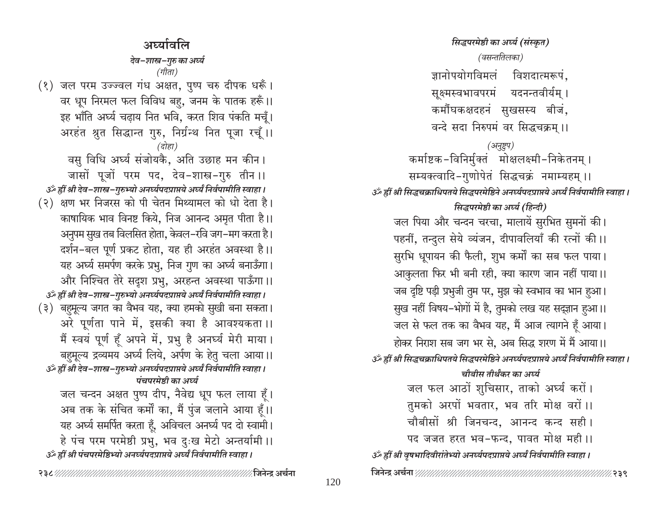सिद्धपरमेष्ठी का अर्घ्य (संस्कृत) अर्घ्यावलि (वसन्ततिलका) देव–शास्त्र–गुरु का अर्घ्य (गीता) ज्ञानोपयोगविमलं विशदात्मरूपं. (१) जल परम उज्ज्वल गंध अक्षत, पुष्प चरु दीपक धरूँ। सूक्ष्मस्वभावपरमं यदनन्तवीर्यम् । वर धूप निरमल फल विविध बहु, जनम के पातक हरूँ।। कर्मौघकक्षदहनं सुखसस्य बीजं, इह भाँति अर्घ्य चढ़ाय नित भवि, करत शिव पंकति मचूँ। वन्दे सदा निरुपमं वर सिद्धचक्रम ।। अरहंत श्नुत सिद्धान्त गुरु, निर्ग्रन्थ नित पूजा रचूँ।। (अनुष्टुप) (दोहा) कर्माष्टक-विनिर्मुक्तं मोक्षलक्ष्मी-निकेतनम् । वसु विधि अर्घ्य संजोयकै, अति उछाह मन कीन। जासों पूजों परम पद, देव-शास्त्र-गुरु तीन ।। सम्यक्त्वादि-गुणोपेतं सिद्धचक्रं नमाम्यहम् ।। उर्क ह्वीं श्री देव-शास्त्र-गुरुभ्यो अनर्घ्यपदप्राप्तये अर्घ्यं निर्वपामीति स्वाहा । उँ ह्रीं श्री सिद्धचक्राधिपतये सिद्धपरमेष्ठिने अनर्घ्यपदप्राप्तये अर्घ्यं निर्वपामीति स्वाहा । (२) क्षण भर निजरस को पी चेतन मिथ्यामल को धो देता है। सिद्धपरमेष्ठी का अर्घ्य (हिन्दी) काषायिक भाव विनष्ट किये, निज आनन्द अमृत पीता है।। जल पिया और चन्दन चरचा, मालायें सुरभित सुमनों की। अनुपम सुख तब विलसित होता, केवल-रवि जग-मग करता है। पहनीं, तन्दुल सेये व्यंजन, दीपावलियाँ की रत्नों की।। दर्शन-बल पूर्ण प्रकट होता, यह ही अरहंत अवस्था है।। सुरभि धूपायन की फैली, शुभ कर्मों का सब फल पाया। यह अर्घ्य समर्पण करके प्रभु, निज गुण का अर्घ्य बनाऊँगा। आकुलता फिर भी बनी रही, क्या कारण जान नहीं पाया।। और निश्चित तेरे सदृश प्रभु, अरहन्त अवस्था पाऊँगा।। जब दृष्टि पड़ी प्रभुजी तुम पर, मुझ को स्वभाव का भान हुआ। 3ँ ह्रीं श्री देव-शास्त्र-गुरुभ्यो अनर्घ्यपदप्राप्तये अर्घ्यं निर्वपामीति स्वाहा । (३) बहुमूल्य जगत का वैभव यह, क्या हमको सुखी बना सकता। सुख नहीं विषय-भोगों में है, तुमको लख यह सद्ज्ञान हुआ।। अरे पूर्णता पाने में, इसकी क्या है आवश्यकता ।। जल से फल तक का वैभव यह, मैं आज त्यागने हूँ आया। मैं स्वयं पूर्ण हूँ अपने में, प्रभु है अनर्घ्य मेरी माया। होकर निराश सब जग भर से, अब सिद्ध शरण में मैं आया।। बहमूल्य द्रव्यमय अर्घ्य लिये, अर्पण के हेतु चला आया।। उँ ह्रीं श्री सिद्धचक्राधिपतये सिद्धपरमेष्ठिने अनर्घ्यपदप्राप्तये अर्घ्यं निर्वपामीति स्वाहा । उर्क ह्वीं श्री देव-शास्त्र-गुरुभ्यो अनर्घ्यपदप्राप्तये अर्घ्यं निर्वपामीति स्वाहा । चौबीस तीर्थंकर का अर्घ्य पंचपरमेष्ठी का अर्घ्य जल फल आठों शुचिसार, ताको अर्घ्य करों। जल चन्दन अक्षत पुष्प दीप, नैवेद्य धूप फल लाया हूँ। तुमको अरपों भवतार, भव तरि मोक्ष वरों।। अब तक के संचित कर्मों का, मैं पुंज जलाने आया हूँ।। चौबीसों श्री जिनचन्द, आनन्द कन्द सही। यह अर्घ्य समर्पित करता हूँ, अविचल अनर्घ्य पद दो स्वामी। पद जजत हरत भव-फन्द, पावत मोक्ष मही।। हे पंच परम परमेष्ठी प्रभु, भव दुःख मेटो अन्तर्यामी ।। उँ ह्रीं श्री पंचपरमेष्ठिभ्यो अनर्घ्यपदप्राप्तये अर्घ्यं निर्वपामीति स्वाहा । उँ ह्रीं श्री वृषभादिवीरांतेभ्यो अनर्घ्यपदप्राप्तये अर्घ्यं निर्वपामीति स्वाहा।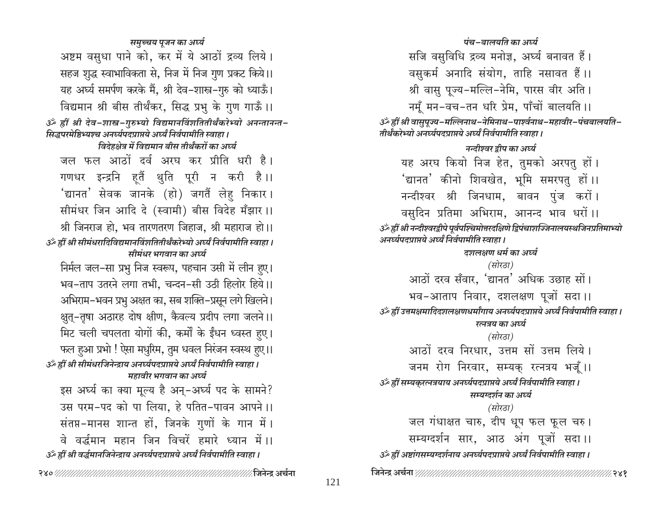समुच्चय पूजन का अर्घ्य पंच-बालयति का अर्घ्य अष्टम वसुधा पाने को, कर में ये आठों द्रव्य लिये। सजि वसुविधि द्रव्य मनोज्ञ, अर्घ्य बनावत हैं। वसुकर्म अनादि संयोग, ताहि नसावत हैं।। सहज शुद्ध स्वाभाविकता से, निज में निज गुण प्रकट किये।। यह अर्घ्य समर्पण करके मैं, श्री देव-शास्त्र-गुरु को ध्याऊँ। श्री वासु पूज्य-मल्लि-नेमि, पारस वीर अति। विद्यमान श्री बीस तीर्थंकर, सिद्ध प्रभु के गुण गाऊँ।। नमूँ मन-वच-तन धरि प्रेम, पाँचों बालयति ।। ॐ ह्रीं श्री देव-शास्त्र-गुरुभ्यो विद्यमानविंशतितीर्थंकरेभ्यो अनन्तानन्त-आै ह्रीं श्री वासुपूज्य-मल्लिनाथ-नेमिनाथ-पार्श्वनाथ-महावीर-पंचबालयति-सिद्धपरमेष्ठिभ्यश्च अनर्घ्यपदप्राप्तये अर्घ्यं निर्वपामीति स्वाहा । तीर्थंकरेभ्यो अनर्घ्यपदप्राप्तये अर्घ्यं निर्वपामीति स्वाहा । विदेहक्षेत्र में विद्यमान बीस तीर्थंकरों का अर्घ्य नन्दीश्वर द्रीप का अर्घ्य जल फल आठों दर्व अरघ कर प्रीति धरी है। यह अरघ कियो निज हेत, तुमको अरपतु हों। गणधर इन्द्रनि हूतैं थुति पूरी न करी है।। 'द्यानत' कीनो शिवखेत, भूमि समरपतु हों।। 'द्यानत' सेवक जानके (हो) जगतैं लेह निकार। नन्दीश्वर श्री जिनधाम, बावन पुंज करों। सीमंधर जिन आदि दे (स्वामी) बीस विदेह मँझार ।। वसुदिन प्रतिमा अभिराम, आनन्द भाव धरों।। श्री जिनराज हो, भव तारणतरण जिहाज, श्री महाराज हो।। ॐ ह्रीं श्री नन्दीश्वरद्वीपे पूर्वपश्चिमोत्तरदक्षिणे द्विपंचाशज्जिनालयस्थजिनप्रतिमाभ्यो अनर्घ्यपदप्राप्तये अर्घ्यं निर्वपामीति स्वाहा । उँ ह्रीं श्री सीमंधरादिविद्यमानविंशतितीर्थंकरेभ्यो अर्घ्यं निर्वपामीति स्वाहा । दशलक्षण धर्म का अर्घ्य मीमंधर भगवान का अर्घ्य (सोरठा) निर्मल जल-सा प्रभु निज स्वरूप, पहचान उसी में लीन हुए। आठों दरव सँवार, 'द्यानत' अधिक उछाह सों। भव-ताप उतरने लगा तभी. चन्दन-सी उठी हिलोर हिये।। भव-आताप निवार, दशलक्षण पूजों सदा।। अभिराम–भवन प्रभु अक्षत का, सब शक्ति–प्रसून लगे खिलने। उँ ह्रीं उत्तमक्षमादिदशलक्षणधर्मांगाय अनर्घ्यपदप्राप्तये अर्घ्यं निर्वपामीति स्वाहा । क्षुत्-तृषा अठारह दोष क्षीण, कैवल्य प्रदीप लगा जलने।। रत्नत्रय का अर्घ्य मिट चली चपलता योगों की, कर्मों के ईंधन ध्वस्त हुए। (सोरठा) फल हुआ प्रभो ! ऐसा मधुरिम, तुम धवल निरंजन स्वस्थ हुए।। आठों दरव निरधार, उत्तम सों उत्तम लिये। उॅं ह्रीं श्री सीमंधरजिनेन्द्राय अनर्घ्यपदप्राप्तये अर्घ्यं निर्वपामीति स्वाहा । जनम रोग निरवार, सम्यक् रत्नत्रय भजूँ।। महावीर भगवान का अर्घ्य उँ ह्रीं सम्यकुरत्नत्रयाय अनर्घ्यपदप्राप्तये अर्घ्यं निर्वपामीति स्वाहा । इस अर्घ्य का क्या मूल्य है अन्-अर्घ्य पद के सामने? सम्यग्दर्शन का अर्घ्य उस परम-पद को पा लिया, हे पतित-पावन आपने।। (सोरठा) जल गंधाक्षत चारु, दीप धूप फल फूल चरु। संतप्त-मानस शान्त हों, जिनके गुणों के गान में। सम्यग्दर्शन सार, आठ अंग पूजों सदा।। वे वर्द्धमान महान जिन विचरें हमारे ध्यान में ।। उँ ह्रीं अष्टांगसम्यग्दर्शनाय अनर्घ्यपदप्राप्तये अर्घ्यं निर्वपामीति स्वाहा । उॐ ह्रीं श्री वर्द्धमानजिनेन्द्राय अनर्घ्यपद्प्राप्तये अर्घ्यं निर्वपामीति स्वाहा ।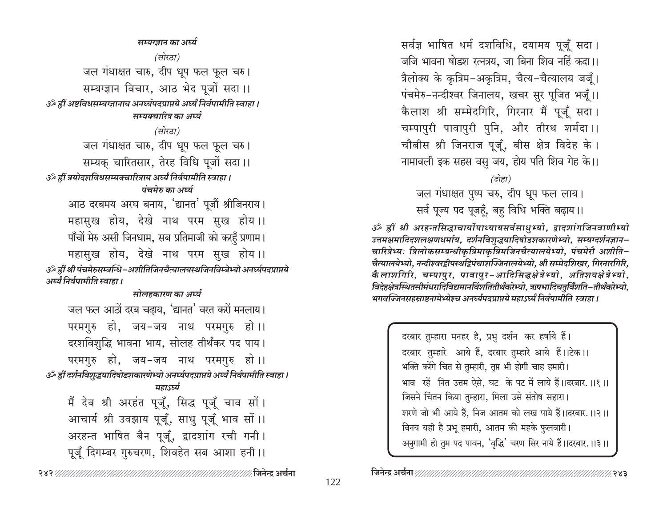सम्यग्जान का अर्घ्य (सोरठा) जल गंधाक्षत चारु, दीप धूप फल फूल चरु। सम्यग्ज्ञान विचार, आठ भेद पूजों सदा।। उँ ह्रीं अष्टविधसम्यग्ज्ञानाय अनर्घ्यपदप्राप्तये अर्घ्यं निर्वपामीति स्वाहा । सम्यक्चारित्र का अर्घ्य (सोरठा) जल गंधाक्षत चारु, दीप धूप फल फूल चरु। सम्यक चारितसार, तेरह विधि पूजों सदा।। उँ ह्रीं त्रयोदशविधसम्यक्चारित्राय अर्घ्यं निर्वपामीति स्वाहा । पंचमेरु का अर्घ्य आठ दरबमय अरघ बनाय, 'द्यानत' पूजौं श्रीजिनराय। महासुख होय, देखे नाथ परम सुख होय।। पाँचों मेरु असी जिनधाम, सब प्रतिमाजी को करहँ प्रणाम। महासुख होय, देखे नाथ परम सुख होय।। ॐ ह्रीं श्री पंचमेरुसम्बन्धि-अशीतिजिनचैत्यालयस्थजिनबिम्बेभ्यो अनर्घ्यपदप्राप्तये अर्घ्यं निर्वपामीति स्वाहा । मोलहकारण का अर्घ्य जल फल आठों दरब चढाय, 'द्यानत' वरत करों मनलाय। परमगुरु हो, जय-जय नाथ परमगुरु हो।। दरशविशुद्धि भावना भाय, सोलह तीर्थंकर पद पाय। परमगुरु हो, जय-जय नाथ परमगुरु हो।। उॐ ह्रीं दर्शनविशुद्धयादिषोडशकारणेभ्यो अनर्घ्यपदप्राप्तये अर्घ्यं निर्वपामीति स्वाहा। महाऽर्घ्य मैं देव श्री अरहंत पूजूँ, सिद्ध पूजूँ चाव सों। आचार्य श्री उवझाय पूजूँ, साधु पूजूँ भाव सों।। अरहन्त भाषित बैन पूजूँ, द्वादशांग रची गनी। पूजूँ दिगम्बर गुरुचरण, शिवहेत सब आशा हनी।।

⁄ जिनेन्द अर्चना सर्वज्ञ भाषित धर्म दशविधि, दयामय पूजूँ सदा। जजि भावना षोडश रत्नत्रय. जा बिना शिव नहिं कदा।। त्रैलोक्य के कृत्रिम-अकृत्रिम, चैत्य-चैत्यालय जजूँ। पंचमेरु-नन्दीश्वर जिनालय, खचर सुर पूजित भजूँ।। कैलाश श्री सम्मेदगिरि, गिरनार मैं पूजूँ सदा। चम्पापुरी पावापुरी पुनि, और तीरथ शर्मदा ।। चौबीस श्री जिनराज पूजूँ, बीस क्षेत्र विदेह के। नामावली इक सहस वसु जय, होय पति शिव गेह के।।

#### (दोहा)

जल गंधाक्षत पुष्प चरु, दीप धूप फल लाय। सर्व पूज्य पद पूजहूँ, बहु विधि भक्ति बढ़ाय।।

ॐ ह्रीं श्री अरहन्तसिद्धाचार्योपाध्यायसर्वसाधुभ्यो, द्वादशांगजिनवाणीभ्यो उत्तमक्षमादिदशलक्षणधर्माय, दर्शनविशुद्धयादिषोडशकारणेभ्यो, सम्यग्दर्शनज्ञान– चारित्रेभ्यः त्रिलोकसम्बन्धीकृत्रिमाकृत्रिमजिनचैत्यालयेभ्यो, पंचमेरौ अशीति-चैत्यालयेभ्यो, नन्दीश्वरद्वीपस्थद्विपंचाशज्जिनालयेभ्यो, श्री सम्मेदशिखर, गिरनारगिरि, कैलाशगिरि, चम्पापुर, पावापुर-आदिसिद्धक्षेत्रेभ्यो, अतिशयक्षेत्रेभ्यो, विदेहक्षेत्रस्थितसीमंधरादिविद्यमानविंशतितीर्थंकरेभ्यो, ऋषभादिचतुर्विंशति–तीर्थंकरेभ्यो, भगवज्जिनसहस्राष्टनामेभ्येश्च अनर्घ्यपदप्राप्तये महाऽर्घ्यं निर्वपामीति स्वाहा ।

> दरबार तुम्हारा मनहर है, प्रभु दर्शन कर हर्षाये हैं। दरबार तुम्हारे आये हैं, दरबार तुम्हारे आये हैं।।टेक।। भक्ति करेंगे चित से तुम्हारी, तृप्त भी होगी चाह हमारी। भाव रहें नित उत्तम ऐसे, घट के पट में लाये हैं।।दरबार.।।१।। जिसने चिंतन किया तुम्हारा, मिला उसे संतोष सहारा। शरणे जो भी आये हैं, निज आतम को लख पाये हैं।।दरबार.।।२।। विनय यही है प्रभू हमारी, आतम की महके फुलवारी। अनुगामी हो तुम पद पावन, 'वृद्धि' चरण सिर नाये हैं।।दरबार.।।३।।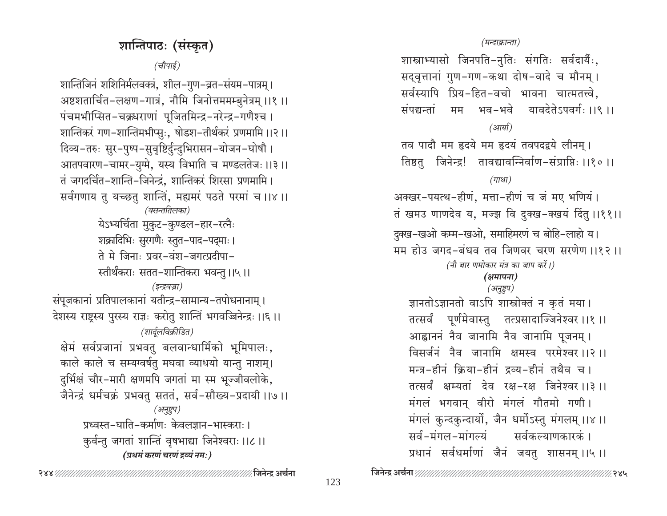# शान्तिपाठः (संस्कृत)

(चौपाई)

शान्तिजिनं शशिनिर्मलवक्त्रं, शील–गुण–व्रत–संयम–पात्रम् । अष्टशतार्चित-लक्षण-गात्रं, नौमि जिनोत्तममम्बुनेत्रम् ।।१ ।। पंचमभीप्सित-चक्रधराणां पूजितमिन्द्र-नरेन्द्र-गणैश्च । शान्तिकरं गण-शान्तिमभीप्सुः, षोडश-तीर्थकरं प्रणमामि ।।२।। दिव्य-तरुः सुर-पुष्प-सुवृष्टिर्दुन्दुभिरासन-योजन-घोषौ । आतपवारण-चामर-युग्मे, यस्य विभाति च मण्डलतेजः ।।३।। तं जगदर्चित-शान्ति-जिनेन्द्रं, शान्तिकरं शिरसा प्रणमामि। सर्वगणाय तु यच्छतु शान्तिं, मह्यमरं पठते परमां च ।।४।। (वसन्ततिलका) येऽभ्यर्चिता मुकुट-कुण्डल-हार-रत्नैः शक्रादिभिः सुरगणैः स्तुत-पाद-पद्माः । ते मे जिनाः प्रवर-वंश-जगत्प्रदीपा-स्तीर्थंकराः सतत–शान्तिकरा भवन्तु ।।५।। (इन्द्रवज्रा) संपूजकानां प्रतिपालकानां यतीन्द्र-सामान्य-तपोधनानाम् । देशस्य राष्ट्रस्य पुरस्य राज्ञः करोतु शान्तिं भगवज्जिनेन्द्रः ।।६।। (शार्दूलविक्रीडित) क्षेमं सर्वप्रजानां प्रभवतु बलवान्धार्मिको भूमिपालः, काले काले च सम्यग्वर्षतु मघवा व्याधयो यान्तु नाशम्। दुर्भिक्षं चौर-मारी क्षणमपि जगतां मा स्म भूज्जीवलोके, जैनेन्द्रं धर्मचक्रं प्रभवत् सततं, सर्व-सौख्य-प्रदायी ।।७।। (अनुष्टुप) प्रध्वस्त-घाति-कर्माणः केवलज्ञान-भास्कराः। कुर्वन्तु जगतां शान्तिं वृषभाद्या जिनेश्वराः ॥८॥ (प्रथमं करणं चरणं द्रव्यं नम:)

#### (मन्दाक्रान्ता)

शास्त्राभ्यासो जिनपति-नुतिः संगतिः सर्वदार्यैः, सद्वृत्तानां गुण-गण-कथा दोष-वादे च मौनम् । सर्वस्यापि प्रिय-हित-वचो भावना चात्मतत्त्वे, संपद्यन्तां मम भव-भवे यावदेतेऽपवर्गः ।।९ ।। (आर्या) तव पादौ मम हृदये मम हृदयं तवपदद्वये लीनम् । तिष्ठतु जिनेन्द्र! तावद्यावन्निर्वाण-संप्राप्तिः ।।१० ।। (गाथा) अक्खर-पयत्थ-हीणं, मत्ता-हीणं च जं मए भणियं। तं खमउ णाणदेव य, मज्झ वि दुक्ख-क्खयं दिंतु ।।११।। दुक्ख-खओ कम्म-खओ, समाहिमरणं च बोहि-लाहो य। मम होउ जगद-बंधव तव जिणवर चरण सरणेण ।।१२ ।। (नौ बार णमोकार मंत्र का जाप करें।) (क्षमापना) (अनुष्टुप) ज्ञानतोऽज्ञानतो वाऽपि शास्त्रोक्तं न कृतं मया। तत्सर्वं पूर्णमेवास्तु तत्प्रसादाज्जिनेश्वरः।।१।। आह्वाननं नैव जानामि नैव जानामि पूजनम् । विसर्जनं नैव जानामि क्षमस्व परमेश्वर ।।२ ।। मन्त्र-हीनं क्रिया-हीनं द्रव्य-हीनं तथैव च । तत्सर्वं क्षम्यतां देव रक्ष-रक्ष जिनेश्वर।।३।। मंगलं भगवान् वीरो मंगलं गौतमो गणी। मंगलं कुन्दकुन्दार्यो, जैन धर्मोऽस्तु मंगलम् ।।४ ।। सर्व-मंगल-मांगल्यं सर्वकल्याणकारकं । प्रधानं सर्वधर्माणां जैनं जयतु शासनम् ।।५।।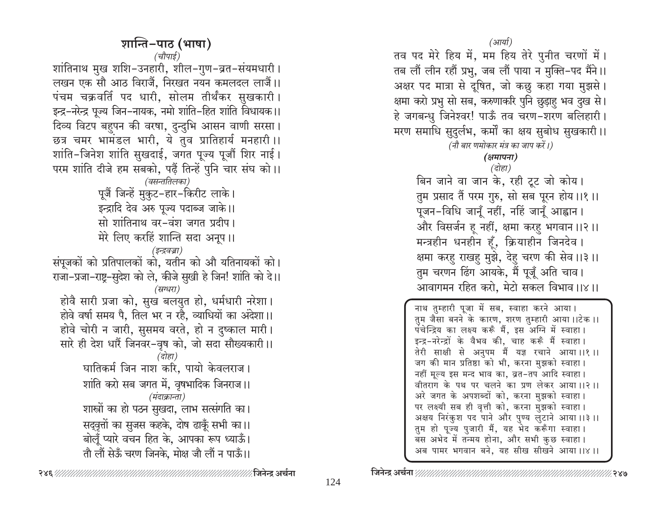तव पद मेरे हिय में, मम हिय तेरे पुनीत चरणों में। तब लौं लीन रहौं प्रभु, जब लौं पाया न मुक्ति-पद मैंने।। अक्षर पद मात्रा से दूषित, जो कछु कहा गया मुझसे। क्षमा करो प्रभु सो सब, करुणाकरि पुनि छुड़ाहु भव दुख से। हे जगबन्धु जिनेश्वर! पाऊँ तव चरण-शरण बलिहारी। मरण समाधि सुदुर्लभ, कर्मों का क्षय सुबोध सुखकारी।। (नौ बार णमोकार मंत्र का जाप करें।)

(क्षमापना)

(दोहा)

बिन जाने वा जान के, रही टूट जो कोय। तुम प्रसाद तैं परम गुरु, सो सब पूरन होय ।।१ ।। पूजन-विधि जानूँ नहीं, नहिं जानूँ आह्वान। और विसर्जन हू नहीं, क्षमा करहु भगवान ।।२।। मन्त्रहीन धनहीन हूँ, क्रियाहीन जिनदेव। क्षमा करहू राखहु मुझे, देहु चरण की सेव ।।३।। तुम चरणन ढिंग आयके, मैं पूजूँ अति चाव। आवागमन रहित करो, मेटो सकल विभाव।।४।।

नाथ तुम्हारी पूजा में सब, स्वाहा करने आया। तुम जैसा बनने के कारण, शरण तुम्हारी आया।।टेक ।। पंचेन्द्रिय का लक्ष्य करूँ मैं, इस अग्नि में स्वाहा। इन्द्र-नरेन्द्रों के वैभव की, चाह करूँ मैं स्वाहा। तेरी साक्षी से अनुपम मैं यज्ञ रचाने आया।।१।। जग की मान प्रतिष्ठा को भी, करना मुझको स्वाहा। नहीं मूल्य इस मन्द भाव का, व्रत-तप आदि स्वाहा। वीतराग के पथ पर चलने का प्रण लेकर आया।।२।। अरे जगत के अपशब्दों को, करना मुझको स्वाहा। पर लक्ष्यी सब ही वृत्ती को, करना मुझको स्वाहा। अक्षय निरंकुश पद पाने और पुण्य लुटाने आया।।३।। तुम हो पूज्य पुजारी मैं, यह भेद करूँगा स्वाहा। बस अभेद में तन्मय होना, और सभी कुछ स्वाहा। अब पामर भगवान बने, यह सीख सीखने आया।।४।।

∕ जिनेन्द्र अर्चना

शान्ति–पाठ (भाषा)

(चौपाई) शांतिनाथ मुख शशि-उनहारी, शील-गुण-व्रत-संयमधारी।

लखन एक सौ आठ विराजैं, निरखत नयन कमलदल लाजैं।।

पंचम चक्रवर्ति पद धारी, सोलम तीर्थंकर सुखकारी।

इन्द्र-नरेन्द्र पूज्य जिन-नायक, नमो शांति-हित शांति विधायक।।

दिव्य विटप बहुपन की वरषा, दुन्दुभि आसन वाणी सरसा।

छत्र चमर भामंडल भारी, ये तुव प्रातिहार्य मनहारी ।।

शांति-जिनेश शांति सुखदाई, जगत पूज्य पूजौं शिर नाई।

परम शांति दीजे हम सबको, पढ़ैं तिन्हें पुनि चार संघ को।।

(वसन्ततिलका) पूजैं जिन्हें मुकुट-हार-किरीट लाके।

इन्द्रादि देव अरु पूज्य पदाब्ज जाके।।

सो शांतिनाथ वर-वंश जगत प्रदीप।

मेरे लिए करहिं शान्ति सदा अनूप।।

(इन्द्रवज्रा)

संपूजकों को प्रतिपालकों को, यतीन को औ यतिनायकों को।

राजा-प्रजा-राष्ट्र-सुदेश को ले, कीजे सुखी हे जिन! शांति को दे।।

(स्रग्धरा) होवै सारी प्रजा को, सुख बलयुत हो, धर्मधारी नरेशा।

होवे वर्षा समय पै, तिल भर न रहै, व्याधियों का अंदेशा।।

होवे चोरी न जारी, सुसमय वरते, हो न दुष्काल मारी।

सारे ही देश धारैं जिनवर-वृष को, जो सदा सौख्यकारी ।।

 $\overline{G}$ होहा)

घातिकर्म जिन नाश करि. पायो केवलराज।

शांति करो सब जगत में, वृषभादिक जिनराज।।

(मंदाक्रान्ता) शास्त्रों का हो पठन सुखदा, लाभ सत्संगति का।

सद्वृत्तों का सुजस कहके, दोष ढाकूँ सभी का।।

बोलूँ प्यारे वचन हित के, आपका रूप ध्याऊँ।

तौ लौं सेऊँ चरण जिनके. मोक्ष जौ लौं न पाऊँ।।

⁄∕ २४७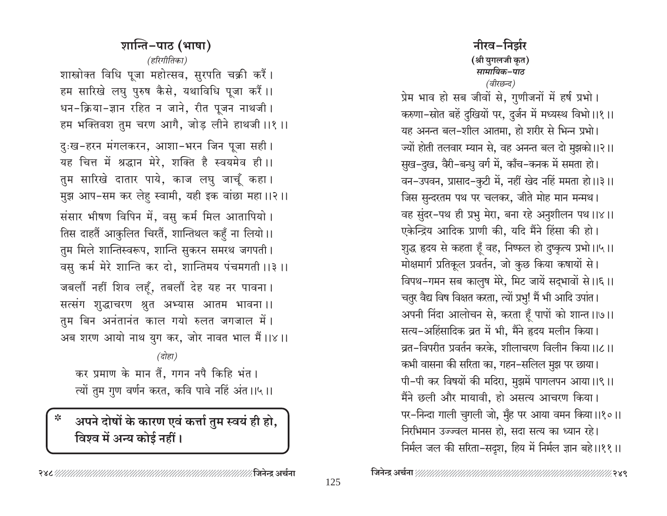नीरव-निर्झर (श्री युगलजी कृत) सामायिक–पाठ (वीरछन्द)

प्रेम भाव हो सब जीवों से, गुणीजनों में हर्ष प्रभो। करुणा-स्रोत बहें दुखियों पर, दुर्जन में मध्यस्थ विभो।।१।। यह अनन्त बल-शील आतमा, हो शरीर से भिन्न प्रभो। ज्यों होती तलवार म्यान से, वह अनन्त बल दो मुझको।।२।। सुख-दुख, वैरी-बन्धु वर्ग में, काँच-कनक में समता हो। वन-उपवन, प्रासाद-कुटी में, नहीं खेद नहिं ममता हो।।३।। जिस सुन्दरतम पथ पर चलकर, जीते मोह मान मन्मथ। वह सुंदर-पथ ही प्रभु मेरा, बना रहे अनुशीलन पथ।।४।। एकेन्द्रिय आदिक प्राणी की, यदि मैंने हिंसा की हो। शुद्ध हृदय से कहता हूँ वह, निष्फल हो दुष्कृत्य प्रभो।।५।। मोक्षमार्ग प्रतिकूल प्रवर्तन, जो कुछ किया कषायों से। विपथ-गमन सब कालुष मेरे, मिट जायें सद्भावों से।।६।। चतुर वैद्य विष विक्षत करता, त्यों प्रभु! मैं भी आदि उपांत। अपनी निंदा आलोचन से, करता हूँ पापों को शान्त ।।७।। सत्य-अहिंसादिक व्रत में भी, मैंने हृदय मलीन किया। व्रत-विपरीत प्रवर्तन करके, शीलाचरण विलीन किया।।८।। कभी वासना की सरिता का, गहन-सलिल मुझ पर छाया। पी-पी कर विषयों की मदिरा, मुझमें पागलपन आया।।९।। मैंने छली और मायावी, हो असत्य आचरण किया। पर-निन्दा गाली चुगली जो, मुँह पर आया वमन किया।।१०।। निरभिमान उज्ज्वल मानस हो, सदा सत्य का ध्यान रहे। निर्मल जल की सरिता-सदृश, हिय में निर्मल ज्ञान बहे।।११॥

्रु४९

शान्ति-पाठ (भाषा) (हरिगीतिका) शास्त्रोक्त विधि पूजा महोत्सव, सुरपति चक्री करैं। हम सारिखे लघु पुरुष कैसे, यथाविधि पूजा करैं।। धन-क्रिया-ज्ञान रहित न जाने, रीत पूजन नाथजी। हम भक्तिवश तुम चरण आगै, जोड़ लीने हाथजी ।।१ ।। दुःख-हरन मंगलकरन, आशा-भरन जिन पूजा सही। यह चित्त में श्रद्धान मेरे, शक्ति है स्वयमेव ही।। तुम सारिखे दातार पाये, काज लघु जाचूँ कहा। मुझ आप-सम कर लेहु स्वामी, यही इक वांछा महा।।२।। संसार भीषण विपिन में, वसु कर्म मिल आतापियो। तिस दाहतैं आकुलित चिरतैं, शान्तिथल कहुँ ना लियो।। तुम मिले शान्तिस्वरूप, शान्ति सुकरन समरथ जगपती। वसु कर्म मेरे शान्ति कर दो, शान्तिमय पंचमगती ।।३ ।। जबलौं नहीं शिव लहूँ, तबलौं देह यह नर पावना। सत्संग शुद्धाचरण श्रुत अभ्यास आतम भावना।। तुम बिन अनंतानंत काल गयो रुलत जगजाल में। अब शरण आयो नाथ युग कर, जोर नावत भाल मैं।।४।। (दोहा)

कर प्रमाण के मान तैं, गगन नपै किहि भंत। त्यों तुम गुण वर्णन करत, कवि पावे नहिं अंत ।।५।।

## अपने दोषों के कारण एवं कर्त्ता तुम स्वयं ही हो, विश्व में अन्य कोई नहीं।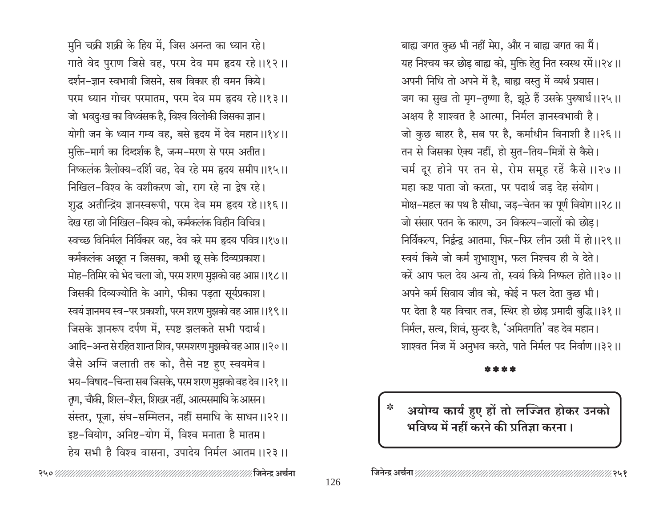मुनि चक्री शक्री के हिय में, जिस अनन्त का ध्यान रहे। गाते वेद पुराण जिसे वह, परम देव मम हृदय रहे।।१२।। दर्शन–ज्ञान स्वभावी जिसने, सब विकार ही वमन किये। परम ध्यान गोचर परमातम, परम देव मम हृदय रहे।।१३।। जो भवदुःख का विध्वंसक है, विश्व विलोकी जिसका ज्ञान। योगी जन के ध्यान गम्य वह, बसे हृदय में देव महान ।।१४।। मुक्ति-मार्ग का दिग्दर्शक है, जन्म-मरण से परम अतीत। निष्कलंक त्रैलोक्य-दर्शि वह, देव रहे मम हृदय समीप ।।१५।। निखिल-विश्व के वशीकरण जो, राग रहे ना द्वेष रहे। शुद्ध अतीन्द्रिय ज्ञानस्वरूपी, परम देव मम हृदय रहे।।१६।। देख रहा जो निखिल–विश्व को, कर्मकलंक विहीन विचित्र। स्वच्छ विनिर्मल निर्विकार वह, देव करे मम हृदय पवित्र ।।१७।। कर्मकलंक अछूत न जिसका, कभी छू सके दिव्यप्रकाश। मोह–तिमिर को भेद चला जो, परम शरण मुझको वह आप्त ।।१८।। जिसकी दिव्यज्योति के आगे, फीका पड़ता सूर्यप्रकाश। स्वयं ज्ञानमय स्व-पर प्रकाशी, परम शरण मुझको वह आप्त ।।१९।। जिसके ज्ञानरूप दर्पण में, स्पष्ट झलकते सभी पदार्थ। आदि–अन्त से रहित शान्त शिव, परमशरण मुझको वह आप्त ।।२०।। जैसे अग्नि जलाती तरु को, तैसे नष्ट हुए स्वयमेव। भय–विषाद–चिन्ता सब जिसके, परम शरण मुझको वह देव ।।२१ ।। तृण, चौकी, शिल-शैल, शिखर नहीं, आत्मसमाधि के आसन। संस्तर, पूजा, संघ-सम्मिलन, नहीं समाधि के साधन।।२२।। इष्ट-वियोग, अनिष्ट-योग में, विश्व मनाता है मातम। हेय सभी है विश्व वासना, उपादेय निर्मल आतम ।।२३।।

बाह्य जगत कुछ भी नहीं मेरा, और न बाह्य जगत का मैं। यह निश्चय कर छोड़ बाह्य को, मुक्ति हेतु नित स्वस्थ रमें।।२४।। अपनी निधि तो अपने में है, बाह्य वस्तु में व्यर्थ प्रयास। जग का सुख तो मृग-तृष्णा है, झूठे हैं उसके पुरुषार्थ।।२५।। अक्षय है शाश्वत है आत्मा, निर्मल ज्ञानस्वभावी है। जो कुछ बाहर है, सब पर है, कर्माधीन विनाशी है।।२६।। तन से जिसका ऐक्य नहीं, हो सुत-तिय-मित्रों से कैसे। चर्म दूर होने पर तन से, रोम समूह रहें कैसे ।।२७ ।। महा कष्ट पाता जो करता, पर पदार्थ जड़ देह संयोग। मोक्ष-महल का पथ है सीधा, जड़-चेतन का पूर्ण वियोग।।२८।। जो संसार पतन के कारण, उन विकल्प-जालों को छोड़। निर्विकल्प, निर्द्वन्द्व आतमा, फिर-फिर लीन उसी में हो।।२९।। स्वयं किये जो कर्म शुभाशुभ, फल निश्चय ही वे देते। करें आप फल देय अन्य तो, स्वयं किये निष्फल होते ।।३० ।। अपने कर्म सिवाय जीव को, कोई न फल देता कुछ भी। पर देता है यह विचार तज, स्थिर हो छोड़ प्रमादी बुद्धि ।।३१।। निर्मल, सत्य, शिवं, सुन्दर है, 'अमितगति' वह देव महान। शाश्वत निज में अनुभव करते, पाते निर्मल पद निर्वाण ।।३२।।

अयोग्य कार्य हुए हों तो लज्जित होकर उनको भविष्य में नहीं करने की प्रतिज्ञा करना।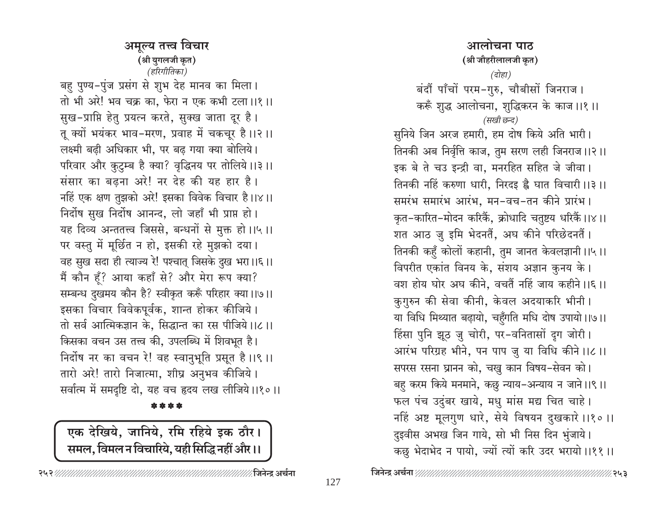अमुल्य तत्त्व विचार (श्री युगलजी कृत) (हरिगीतिका) बहु पुण्य-पुंज प्रसंग से शुभ देह मानव का मिला। तो भी अरे! भव चक्र का. फेरा न एक कभी टला।।१।। सुख-प्राप्ति हेतु प्रयत्न करते, सुक्ख जाता दूर है। तू क्यों भयंकर भाव-मरण, प्रवाह में चकचूर है।।२।। लक्ष्मी बढी अधिकार भी, पर बढ गया क्या बोलिये। परिवार और कुटुम्ब है क्या? वृद्धिनय पर तोलिये।।३।। संसार का बढना अरे! नर देह की यह हार है। नहिं एक क्षण तुझको अरे! इसका विवेक विचार है।।४।। निर्दोष सुख निर्दोष आनन्द, लो जहाँ भी प्राप्त हो। यह दिव्य अन्ततत्त्व जिससे, बन्धनों से मुक्त हो।।५।। पर वस्तु में मूर्छित न हो, इसकी रहे मुझको दया। वह सुख सदा ही त्याज्य रे! पश्चात् जिसके दुख भरा।।६।। मैं कौन हूँ? आया कहाँ से? और मेरा रूप क्या? सम्बन्ध दुखमय कौन है? स्वीकृत करूँ परिहार क्या।।७।। इसका विचार विवेकपूर्वक, शान्त होकर कीजिये। तो सर्व आत्मिकज्ञान के, सिद्धान्त का रस पीजिये।।८।। किसका वचन उस तत्त्व की, उपलब्धि में शिवभूत है। निर्दोष नर का वचन रे! वह स्वानुभूति प्रसूत है।।९।। तारो अरे! तारो निजात्मा, शीघ्र अनुभव कीजिये। सर्वात्म में समदृष्टि दो, यह वच हृदय लख लीजिये।।१०।।

\* \* \* \*

एक देखिये, जानिये, रमि रहिये इक ठौर। समल, विमल न विचारिये, यही सिद्धि नहीं और ।।

(श्री जौहरीलालजी कृत) (दोहा) बंदौं पाँचों परम-गुरु, चौबीसों जिनराज। करूँ शुद्ध आलोचना, शुद्धिकरन के काज ।।१।। (सखी छन्द) सुनिये जिन अरज हमारी, हम दोष किये अति भारी। तिनकी अब निर्वृत्ति काज, तुम सरण लही जिनराज ।।२।। इक बे ते चउ इन्द्री वा, मनरहित सहित जे जीवा। तिनकी नहिं करुणा धारी, निरदइ है घात विचारी ।।३ ।। समरंभ समारंभ आरंभ, मन-वच-तन कीने प्रारंभ। कृत-कारित-मोदन करिकैं, क्रोधादि चतुष्टय धरिकैं।।४।। शत आठ जु इमि भेदनतैं, अघ कीने परिछेदनतैं। तिनकी कहुँ कोलों कहानी, तुम जानत केवलज्ञानी ।।५।। विपरीत एकांत विनय के, संशय अज्ञान कुनय के। वश होय घोर अघ कीने, वचतैं नहिं जाय कहीने ।।६ ।। कुगुरुन की सेवा कीनी, केवल अदयाकरि भीनी। या विधि मिथ्यात बढ़ायो, चहुँगति मधि दोष उपायो।।७।। हिंसा पुनि झूठ जु चोरी, पर-वनितासों दुग जोरी। आरंभ परिग्रह भीने, पन पाप जु या विधि कीने ।।८ ।। सपरस रसना घ्रानन को, चखु कान विषय-सेवन को। बहु करम किये मनमाने, कछु न्याय-अन्याय न जाने।।९।। फल पंच उदुंबर खाये, मधु मांस मद्य चित चाहे। नहिं अष्ट मूलगुण धारे, सेये विषयन दुखकारे ।।१० ।। दुइवीस अभख जिन गाये, सो भी निस दिन भुंजाये। कछु भेदाभेद न पायो, ज्यों त्यों करि उदर भरायो।।११॥

आलोचना पाठ

∕∕२५३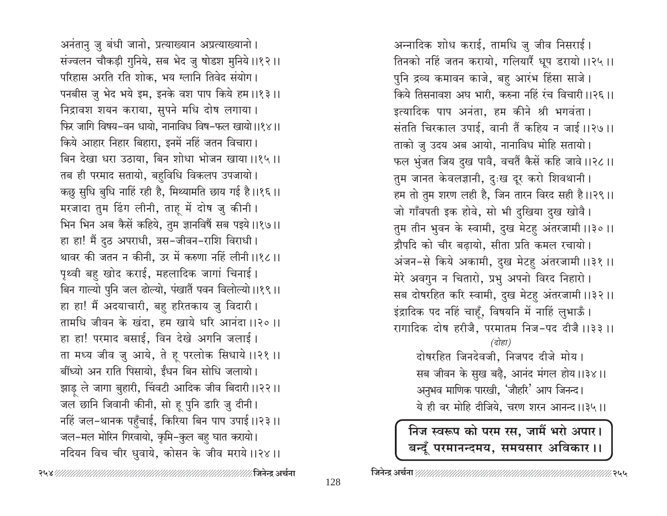अनंतानु जु बंधी जानो, प्रत्याख्यान अप्रत्याख्यानो। संज्वलन चौकड़ी गुनिये, सब भेद जु षोडश मुनिये।।१२।। परिहास अरति रति शोक, भय ग्लानि तिवेद संयोग। पनबीस ज़ु भेद भये इम, इनके वश पाप किये हम।।१३।। निद्रावश शयन कराया, सुपने मधि दोष लगाया। फिर जागि विषय-वन धायो, नानाविध विष-फल खायो।।१४।। किये आहार निहार बिहारा, इनमें नहिं जतन विचारा। बिन देखा धरा उठाया, बिन शोधा भोजन खाया।।१५।। तब ही परमाद सतायो, बहुविधि विकलप उपजायो। कछु सुधि बुधि नाहिं रही है, मिथ्यामति छाय गई है।।१६।। मरजादा तुम ढिंग लीनी, ताहू में दोष जु कीनी। भिन भिन अब कैसें कहिये, तुम ज्ञानविषैं सब पइये।।१७।। हा हा! मैं दुठ अपराधी, त्रस-जीवन-राशि विराधी। थावर की जतन न कीनी, उर में करुणा नहिं लीनी ।।१८।। पृथ्वी बहु खोद कराई, महलादिक जागां चिनाई। बिन गाल्यो पुनि जल ढोल्यो, पंखातैं पवन विलोल्यो।।१९।। हा हा! मैं अदयाचारी, बहु हरितकाय जु विदारी। तामधि जीवन के खंदा, हम खाये धरि आनंदा ।।२० ।। हा हा! परमाद बसाई, विन देखे अगनि जलाई। ता मध्य जीव जु आये, ते हू परलोक सिधाये ।।२१ ।। बींध्यो अन राति पिसायो, ईंधन बिन सोधि जलायो। झाड़ ले जागा बुहारी, चिंवटी आदिक जीव बिदारी ।।२२।। जल छानि जिवानी कीनी, सो हू पुनि डारि जु दीनी। नहिं जल-थानक पहुँचाई, किरिया बिन पाप उपाई।।२३।। जल-मल मोरिन गिरवायो, कृमि-कुल बहु घात करायो। नदियन विच चीर धुवाये, कोसन के जीव मराये।।२४।।

अन्नादिक शोध कराई, तामधि जु जीव निसराई। तिनको नहिं जतन करायो, गलियारैं धूप डरायो।।२५।। पुनि द्रव्य कमावन काजे, बहु आरंभ हिंसा साजे। किये तिसनावश अघ भारी, करुना नहिं रंच विचारी ।।२६।। इत्यादिक पाप अनंता, हम कीने श्री भगवंता। संतति चिरकाल उपाई, वानी तैं कहिय न जाई ।।२७।। ताको जु उदय अब आयो, नानाविध मोहि सतायो। फल भुंजत जिय दुख पावै, वचतैं कैसें कहि जावे।।२८।। तुम जानत केवलज्ञानी, दुःख दूर करो शिवथानी। हम तो तुम शरण लही है, जिन तारन विरद सही है।।२९।। जो गाँवपती इक होवे, सो भी दुखिया दुख खोवै। तुम तीन भुवन के स्वामी, दुख मेटहु अंतरजामी ।।३०।। द्रौपदि को चीर बढ़ायो, सीता प्रति कमल रचायो। अंजन-से किये अकामी, दुख मेटहु अंतरजामी ।।३१।। मेरे अवगुन न चितारो, प्रभु अपनो विरद निहारो। सब दोषरहित करि स्वामी, दुख मेटहु अंतरजामी ।।३२।। इंद्रादिक पद नहिं चाहूँ, विषयनि में नाहिं लुभाऊँ। रागादिक दोष हरीजै, परमातम निज-पद दीजै ।।३३ ।। (दोहा) दोषरहित जिनदेवजी, निजपद दीजे मोय । सब जीवन के सुख बढ़ै, आनंद मंगल होय।।३४।। अनुभव माणिक पारखी, 'जौहरि' आप जिनन्द।

ये ही वर मोहि दीजिये, चरण शरन आनन्द।।३५॥

निज स्वरूप को परम रस, जामैं भरो अपार। बन्दूँ परमानन्दमय, समयसार अविकार ।।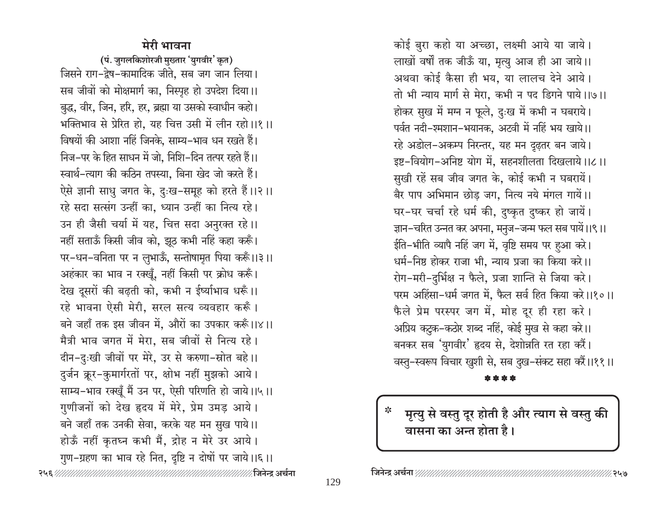## मेरी भावना

(पं. जुगलकिशोरजी मुख्तार 'युगवीर' कृत) जिसने राग-द्वेष-कामादिक जीते, सब जग जान लिया। सब जीवों को मोक्षमार्ग का, निस्पृह हो उपदेश दिया।। बुद्ध, वीर, जिन, हरि, हर, ब्रह्मा या उसको स्वाधीन कहो। भक्तिभाव से प्रेरित हो, यह चित्त उसी में लीन रहो।।१।। विषयों की आशा नहिं जिनके, साम्य–भाव धन रखते हैं। निज–पर के हित साधन में जो, निशि–दिन तत्पर रहते हैं।। स्वार्थ-त्याग की कठिन तपस्या. बिना खेद जो करते हैं। ऐसे ज्ञानी साधु जगत के, दुःख-समूह को हरते हैं।।२।। रहे सदा सत्संग उन्हीं का. ध्यान उन्हीं का नित्य रहे। उन ही जैसी चर्या में यह, चित्त सदा अनुरक्त रहे।। नहीं सताऊँ किसी जीव को, झूठ कभी नहिं कहा करूँ। पर-धन-वनिता पर न लुभाऊँ, सन्तोषामृत पिया करूँ।।३।। अहंकार का भाव न रक्खूँ, नहीं किसी पर क्रोध करूँ। देख दूसरों की बढ़ती को, कभी न ईर्ष्याभाव धरूँ।। रहे भावना ऐसी मेरी, सरल सत्य व्यवहार करूँ। बने जहाँ तक इस जीवन में, औरों का उपकार करूँ।।४।। मैत्री भाव जगत में मेरा, सब जीवों से नित्य रहे। दीन-दुःखी जीवों पर मेरे, उर से करुणा-स्रोत बहे।। दुर्जन क्रूर-कुमार्गरतों पर, क्षोभ नहीं मुझको आये। साम्य-भाव रक्खूँ मैं उन पर, ऐसी परिणति हो जाये।।५।। गुणीजनों को देख हृदय में मेरे, प्रेम उमड़ आये। बने जहाँ तक उनकी सेवा, करके यह मन सुख पाये।। होऊँ नहीं कृतघ्न कभी मैं, द्रोह न मेरे उर आये। गुण-ग्रहण का भाव रहे नित, दृष्टि न दोषों पर जाये।।६।।

कोई बुरा कहो या अच्छा, लक्ष्मी आये या जाये। लाखों वर्षों तक जीऊँ या, मृत्यु आज ही आ जाये।। अथवा कोई कैसा ही भय, या लालच देने आये। तो भी न्याय मार्ग से मेरा, कभी न पद डिगने पाये।।७।। होकर सुख में मग्न न फूले, दुःख में कभी न घबराये। पर्वत नदी-श्मशान-भयानक, अटवी में नहिं भय खाये।। रहे अडोल-अकम्प निरन्तर, यह मन दृढ़तर बन जाये। इष्ट-वियोग-अनिष्ट योग में, सहनशीलता दिखलाये।।८।। सुखी रहें सब जीव जगत के, कोई कभी न घबरायें। बैर पाप अभिमान छोड़ जग, नित्य नये मंगल गायें।। घर-घर चर्चा रहे धर्म की, दुष्कृत दुष्कर हो जायें। ज्ञान-चरित उन्नत कर अपना, मनुज-जन्म फल सब पायें।।९।। ईति-भीति व्यापै नहिं जग में, वृष्टि समय पर हुआ करे। धर्म-निष्ठ होकर राजा भी, न्याय प्रजा का किया करे।। रोग-मरी-दुर्भिक्ष न फैले, प्रजा शान्ति से जिया करे। परम अहिंसा-धर्म जगत में, फैल सर्व हित किया करे।।१०।। फैले प्रेम परस्पर जग में, मोह दूर ही रहा करे। अप्रिय कटुक-कठोर शब्द नहिं, कोई मुख से कहा करे।। बनकर सब 'युगवीर' हृदय से, देशोन्नति रत रहा करैं।

वस्तु–स्वरूप विचार खुशी से, सब दुख–संकट सहा करैं।।११।।

मृत्यु से वस्तु दूर होती है और त्याग से वस्तु की वासना का अन्त होता है।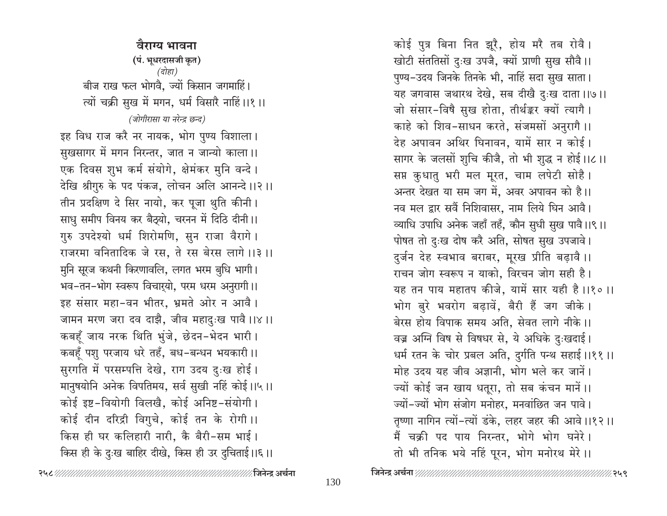वैराग्य भावना (पं. भूधरदासजी कृत) (दोहा) बीज राख फल भोगवै. ज्यों किसान जगमाहिं। त्यों चक्री सुख में मगन, धर्म विसारै नाहिं।।१।। (जोगीरासा या नरेन्द्र छन्द) इह विध राज करै नर नायक, भोग पुण्य विशाला। सुखसागर में मगन निरन्तर, जात न जान्यो काला।। एक दिवस शुभ कर्म संयोगे, क्षेमंकर मुनि वन्दे। देखि श्रीगुरु के पद पंकज, लोचन अलि आनन्दे ।।२।। तीन प्रदक्षिण दे सिर नायो, कर पूजा थुति कीनी। साधु समीप विनय कर बैठ्यो, चरनन में दिठि दीनी।। गुरु उपदेश्यो धर्म शिरोमणि, सुन राजा वैरागे। राजरमा वनितादिक जे रस, ते रस बेरस लागे ।।३ ।। मुनि सूरज कथनी किरणावलि, लगत भरम बुधि भागी। भव-तन-भोग स्वरूप विचार्यो, परम धरम अनुरागी।। इह संसार महा-वन भीतर, भ्रमते ओर न आवै। जामन मरण जरा दव दाझै, जीव महादुःख पावै।।४।। कबहूँ जाय नरक थिति भुंजे, छेदन-भेदन भारी। कबहँ पशु परजाय धरे तहँ, बध-बन्धन भयकारी।। सुरगति में परसम्पत्ति देखे, राग उदय दुःख होई। मानुषयोनि अनेक विपतिमय, सर्व सुखी नहिं कोई।।५।। कोई इष्ट-वियोगी विलखै, कोई अनिष्ट-संयोगी। कोई दीन दरिद्री विगुचे, कोई तन के रोगी।। किस ही घर कलिहारी नारी, कै बैरी-सम भाई। किस ही के दुःख बाहिर दीखे, किस ही उर दुचिताई।।६।।

खोटी संततिसों दुःख उपजै, क्यों प्राणी सुख सौवै।। पुण्य-उदय जिनके तिनके भी, नाहिं सदा सुख साता। यह जगवास जथारथ देखे, सब दीखै दुःख दाता।।७।। जो संसार-विषै सुख होता, तीर्थङ्कर क्यों त्यागै। काहे को शिव-साधन करते, संजमसों अनुरागै ।। देह अपावन अथिर घिनावन, यामें सार न कोई। सागर के जलसों शुचि कीजै, तो भी शुद्ध न होई।।८।। सप्त कुधातु भरी मल मूरत, चाम लपेटी सोहै। अन्तर देखत या सम जग में, अवर अपावन को है।। नव मल द्वार स्रवैं निशिवासर, नाम लिये घिन आवै। व्याधि उपाधि अनेक जहाँ तहँ, कौन सुधी सुख पावै।।९।। पोषत तो दुःख दोष करै अति, सोषत सुख उपजावे। दुर्जन देह स्वभाव बराबर, मूरख प्रीति बढ़ावै।। राचन जोग स्वरूप न याको. विरचन जोग सही है। यह तन पाय महातप कीजे. यामें सार यही है।।१०।। भोग बुरे भवरोग बढ़ावें, बैरी हैं जग जीके। बेरस होय विपाक समय अति, सेवत लागे नीके।। वज्र अग्नि विष से विषधर से, ये अधिके दुःखदाई। धर्म रतन के चोर प्रबल अति, दुर्गति पन्थ सहाई।।११॥ मोह उदय यह जीव अज्ञानी, भोग भले कर जानें। ज्यों कोई जन खाय धतूरा, तो सब कंचन मानें।। ज्यों-ज्यों भोग संजोग मनोहर, मनवांछित जन पावे। तृष्णा नागिन त्यों-त्यों डंके, लहर जहर की आवे।।१२।। मैं चक्री पद पाय निरन्तर, भोगे भोग घनेरे। तो भी तनिक भये नहिं पूरन, भोग मनोरथ मेरे।।

कोई पुत्र बिना नित झूरै, होय मरै तब रोवै।

 $\mathbb{Z}$ २५९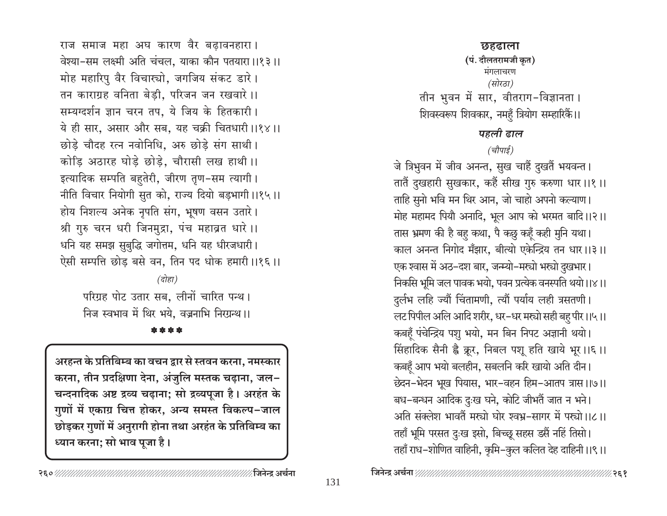राज समाज महा अघ कारण वैर बढावनहारा। वेश्या-सम लक्ष्मी अति चंचल. याका कौन पतयारा ।।१३।। मोह महारिपु वैर विचार्च्या, जगजिय संकट डारे। तन काराग्रह वनिता बेडी, परिजन जन रखवारे ।। सम्यग्दर्शन ज्ञान चरन तप, ये जिय के हितकारी। ये ही सार, असार और सब, यह चक्री चितधारी ।।१४।। छोड़े चौदह रत्न नवोनिधि, अरु छोड़े संग साथी। कोडि अठारह घोडे छोडे, चौरासी लख हाथी।। इत्यादिक सम्पति बहुतेरी, जीरण तृण-सम त्यागी। नीति विचार नियोगी सुत को, राज्य दियो बड़भागी।।१५।। होय निशल्य अनेक नृपति संग, भूषण वसन उतारे। श्री गुरु चरन धरी जिनमुद्रा, पंच महाव्रत धारे ।। धनि यह समझ सुबुद्धि जगोत्तम, धनि यह धीरजधारी। ऐसी सम्पत्ति छोड़ बसे वन, तिन पद धोक हमारी ।।१६।।

 $\overline{G}$ होहा

परिग्रह पोट उतार सब, लीनों चारित पन्थ। निज स्वभाव में थिर भये. वज्रनाभि निरग्रन्थ।।

\*\*\*\*

अरहन्त के प्रतिबिम्ब का वचन द्वार से स्तवन करना, नमस्कार करना, तीन प्रदक्षिणा देना, अंजुलि मस्तक चढ़ाना, जल-चन्दनादिक अष्ट द्रव्य चढ़ाना; सो द्रव्यपूजा है। अरहंत के गुणों में एकाग्र चित्त होकर, अन्य समस्त विकल्प-जाल छोड़कर गुणों में अनुरागी होना तथा अरहंत के प्रतिबिम्ब का ध्यान करना; सो भाव पूजा है।

छहढाला (पं. दौलतरामजी कृत) मंगलाचरण (सोरठा) तीन भुवन में सार, वीतराग-विज्ञानता । शिवस्वरूप शिवकार, नमहुँ त्रियोग सम्हारिकैं।। पहली ढाल

(चौपाई)

जे त्रिभुवन में जीव अनन्त, सुख चाहैं दुखतैं भयवन्त। तातैं दुखहारी सुखकार, कहैं सीख गुरु करुणा धार।।१।। ताहि सुनो भवि मन थिर आन, जो चाहो अपनो कल्याण। मोह महामद पियौ अनादि, भूल आप को भरमत बादि।।२।। तास भ्रमण की है बह कथा, पै कछ़ कहँ कही मुनि यथा। काल अनन्त निगोद मँझार, बीत्यो एकेन्द्रिय तन धार।।३।। एक श्वास में अठ–दश बार, जन्म्यो–मस्यो भस्यो दुखभार। निकसि भूमि जल पावक भयो, पवन प्रत्येक वनस्पति थयो।।४।। दुर्लभ लहि ज्यौं चिंतामणी, त्यौं पर्याय लही त्रसतणी। लट पिपील अलि आदि शरीर, धर-धर मस्त्रो सही बहु पीर।।५।। कबहूँ पंचेन्द्रिय पशु भयो, मन बिन निपट अज्ञानी थयो। सिंहादिक सैनी ह्वै क्रूर, निबल पशू हति खाये भूर।।६।। कबहूँ आप भयो बलहीन, सबलनि करि खायो अति दीन। छेदन-भेदन भूख पियास, भार-वहन हिम-आतप त्रास ।।७।। बध-बन्धन आदिक दुःख घने, कोटि जीभतैं जात न भने। अति संक्लेश भावतैं मर्ख्या घोर श्वभ्र-सागर में पर्ख्या।।८।। तहाँ भूमि परसत दुःख इसो, बिच्छू सहस डसैं नहिं तिसो। तहाँ राध–शोणित वाहिनी, कृमि–कुल कलित देह दाहिनी ।।९।।

%२६१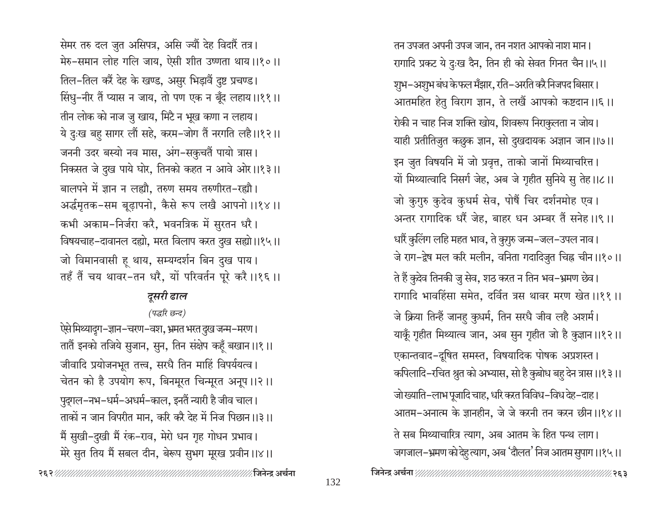मेरे सुत तिय मैं सबल दीन, बेरूप सुभग मूरख प्रवीन ।।४।।

सेमर तरु दल जुत असिपत्र, असि ज्यौं देह विदारैं तत्र।

तिल-तिल करें देह के खण्ड, असुर भिड़ावें दुष्ट प्रचण्ड।

तीन लोक को नाज जु खाय, मिंटै न भूख कणा न लहाय।

जननी उदर बस्यो नव मास, अंग-सकुचतैं पायो त्रास।

बालपने में ज्ञान न लह्यौ, तरुण समय तरुणीरत-रह्यौ।

कभी अकाम-निर्जरा करै, भवनत्रिक में सुरतन धरै।

जो विमानवासी हू थाय, सम्यग्दर्शन बिन दुख पाय।

ऐसे मिथ्यादुग–ज्ञान–चरण–वश, भ्रमत भरत दुख जन्म–मरण ।

जीवादि प्रयोजनभूत तत्त्व, सरधै तिन माहिं विपर्ययत्व।

पुद्गल-नभ-धर्म-अधर्म-काल, इनतैं न्यारी है जीव चाल।

मैं सुखी-दुखी मैं रंक-राव, मेरो धन गृह गोधन प्रभाव।

मेरु-समान लोह गलि जाय. ऐसी शीत उष्णता थाय ।।१०।।

सिंधु-नीर तैं प्यास न जाय, तो पण एक न बूँद लहाय ।।११ ।।

ये दुःख बहु सागर लौं सहे, करम–जोग तैं नरगति लहै।।१२।।

निकसत जे दुख पाये घोर, तिनको कहत न आवे ओर।।१३।।

अर्द्धमृतक-सम बूढ़ापनो, कैसे रूप लखै आपनो।।१४।।

विषयचाह-दावानल दह्यो, मरत विलाप करत दुख सह्यो।।१५।।

तहँ तैं चय थावर-तन धरै, यों परिवर्तन पूरे करै।।१६।।

दसरी ढाल (पद्धरि छन्द)

तातैं इनको तजिये सुजान, सुन, तिन संक्षेप कहूँ बखान ।।१।।

चेतन को है उपयोग रूप, बिनमूरत चिन्मूरत अनूप ।।२।।

ताकों न जान विपरीत मान, करि करै देह में निज पिछान।।३।।

तन उपजत अपनी उपज जान, तन नशत आपको नाश मान। रागादि प्रकट ये दुःख दैन, तिन ही को सेवत गिनत चैन।।५।। शुभ–अशुभ बंध केफल मँझार, रति–अरति करै निजपद बिसार । आतमहित हेतु विराग ज्ञान, ते लखैं आपको कष्टदान ।।६।। रोकी न चाह निज शक्ति खोय, शिवरूप निराकुलता न जोय। याही प्रतीतिजुत कछुक ज्ञान, सो दुखदायक अज्ञान जान।।७।। इन जुत विषयनि में जो प्रवृत्त, ताको जानों मिथ्याचरित्त। यों मिथ्यात्वादि निसर्ग जेह, अब जे गृहीत सुनिये सु तेह।।८।। जो कुगुरु कुदेव कुधर्म सेव, पोषैं चिर दर्शनमोह एव। अन्तर रागादिक धरैं जेह, बाहर धन अम्बर तैं सनेह।।९।। धारैं कुलिंग लहि महत भाव, ते कुगुरु जन्म-जल-उपल नाव। जे राग-द्वेष मल करि मलीन, वनिता गदादिजुत चिह्न चीन ।।१०।। ते हैं कुदेव तिनकी जु सेव, शठ करत न तिन भव–भ्रमण छेव। रागादि भावहिंसा समेत, दर्वित त्रस थावर मरण खेत ।।११ ।। जे क्रिया तिन्हैं जानहु कुधर्म, तिन सरधै जीव लहै अशर्म। याकूँ गृहीत मिथ्यात्व जान, अब सुन गृहीत जो है कुज्ञान ।।१२।। एकान्तवाद-दूषित समस्त, विषयादिक पोषक अप्रशस्त। कपिलादि-रचित श्रुत को अभ्यास, सो है कुबोध बहु देन त्रास।।१३।। जोख्याति–लाभ पूजादि चाह, धरि करत विविध–विध देह–दाह। आतम–अनात्म के ज्ञानहीन, जे जे करनी तन करन छीन ।।१४।। ते सब मिथ्याचारित्र त्याग, अब आतम के हित पन्थ लाग। जगजाल–भ्रमण को देहू त्याग, अब 'दौलत' निज आतम सुपाग ।।१५ ।।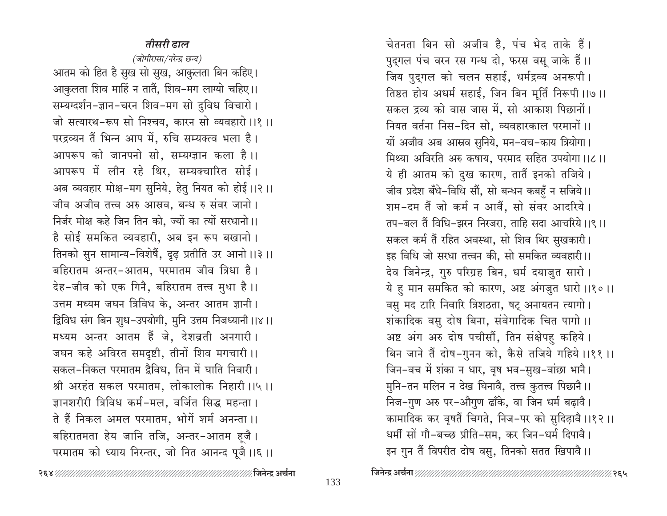## तीसरी ढाल

(जोगीरासा/नरेन्द्र छन्द) आतम को हित है सुख सो सुख, आकुलता बिन कहिए। आकुलता शिव माहिं न तातैं, शिव-मग लाग्यो चहिए।। सम्यग्दर्शन-ज्ञान-चरन शिव-मग सो दुविध विचारो। जो सत्यारथ-रूप सो निश्चय, कारन सो व्यवहारो।।१।। परद्रव्यन तैं भिन्न आप में, रुचि सम्यक्त्व भला है। आपरूप को जानपनो सो. सम्यग्ज्ञान कला है।। आपरूप में लीन रहे थिर, सम्यक्चारित सोई। अब व्यवहार मोक्ष-मग सुनिये, हेतु नियत को होई।।२।। जीव अजीव तत्त्व अरु आस्रव, बन्ध रु संवर जानो। निर्जर मोक्ष कहे जिन तिन को, ज्यों का त्यों सरधानो।। है सोई समकित व्यवहारी, अब इन रूप बखानो। तिनको सुन सामान्य-विशेषैं, दृढ़ प्रतीति उर आनो।।३।। बहिरातम अन्तर-आतम, परमातम जीव त्रिधा है। देह-जीव को एक गिनै, बहिरातम तत्त्व मुधा है।। उत्तम मध्यम जघन त्रिविध के, अन्तर आतम ज्ञानी। द्विविध संग बिन शुध-उपयोगी, मुनि उत्तम निजध्यानी ।।४।। मध्यम अन्तर आतम हैं जे, देशव्रती अनगारी। जघन कहे अविरत समदृष्टी, तीनों शिव मगचारी ।। सकल-निकल परमातम द्वैविध, तिन में घाति निवारी। श्री अरहंत सकल परमातम, लोकालोक निहारी ।।५।। ज्ञानशरीरी त्रिविध कर्म-मल, वर्जित सिद्ध महन्ता। ते हैं निकल अमल परमातम, भोगें शर्म अनन्ता ।। बहिरातमता हेय जानि तजि, अन्तर-आतम ह्जै। परमातम को ध्याय निरन्तर, जो नित आनन्द पूजै।।६।। चेतनता बिन सो अजीव है, पंच भेद ताके हैं। पुद्गल पंच वरन रस गन्ध दो, फरस वसू जाके हैं।। जिय पुद्गल को चलन सहाई, धर्मद्रव्य अनरूपी। तिष्ठत होय अधर्म सहाई, जिन बिन मूर्ति निरूपी ।।७ ।। सकल द्रव्य को वास जास में, सो आकाश पिछानों। नियत वर्तना निस-दिन सो. व्यवहारकाल परमानों ।। यों अजीव अब आस्रव सुनिये, मन-वच-काय त्रियोगा। मिथ्या अविरति अरु कषाय, परमाद सहित उपयोगा।।८।। ये ही आतम को दुख कारण, तातैं इनको तजिये। जीव प्रदेश बँधे-विधि सौं, सो बन्धन कबहुँ न सजिये।। शम-दम तैं जो कर्म न आवैं, सो संवर आदरिये। तप-बल तैं विधि-झरन निरजरा, ताहि सदा आचरिये।।९।। सकल कर्म तैं रहित अवस्था, सो शिव थिर सुखकारी। इह विधि जो सरधा तत्त्वन की, सो समकित व्यवहारी।। देव जिनेन्द्र, गुरु परिग्रह बिन, धर्म दयाजुत सारो। ये हु मान समकित को कारण, अष्ट अंगजुत धारो।।१०।। वसु मद टारि निवारि त्रिशठता, षट् अनायतन त्यागो। शंकादिक वसु दोष बिना, संवेगादिक चित पागो ।। अष्ट अंग अरु दोष पचीसौं, तिन संक्षेपहु कहिये। बिन जाने तैं दोष-गुनन को, कैसे तजिये गहिये ।।११ ।। जिन-वच में शंका न धार, वृष भव-सुख-वांछा भानै। मुनि-तन मलिन न देख घिनावै, तत्त्व कुतत्त्व पिछानै।। निज-गुण अरु पर-औगुण ढाँके, वा जिन धर्म बढ़ावै। कामादिक कर वृषतैं चिगते, निज-पर को सुदिढ़ावै।।१२।। धर्मी सों गौ-बच्छ प्रीति-सम, कर जिन-धर्म दिपावै। इन गुन तैं विपरीत दोष वसु, तिनको सतत खिपावै।।

∦२६५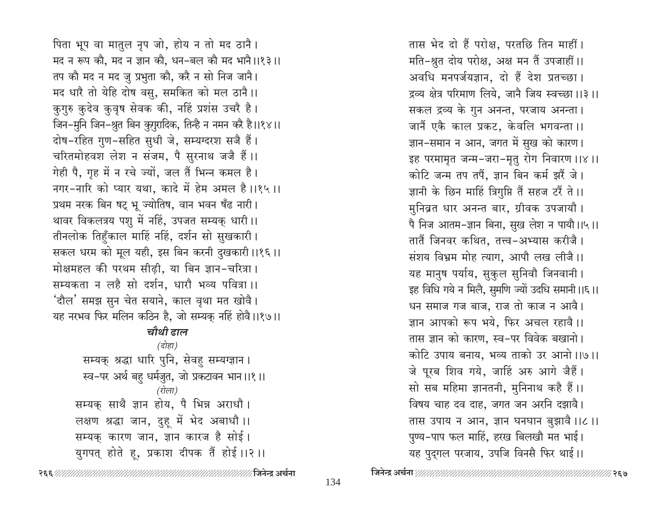पिता भूप वा मातुल नृप जो, होय न तो मद ठानै। मद न रूप कौ, मद न ज्ञान कौ, धन-बल कौ मद भानै।।१३।। तप कौ मद न मद जु प्रभुता कौ, करै न सो निज जानै। मद धारै तो येहि दोष वसु, समकित को मल ठानै।। कुगुरु कुदेव कुवृष सेवक की, नहिं प्रशंस उचरै है। जिन-मुनि जिन-श्रुत बिन कुगुरादिक, तिन्है न नमन करै है।।१४।। दोष-रहित गुण-सहित सुधी जे, सम्यग्दरश सजै हैं। चरितमोहवश लेश न संजम, पै सुरनाथ जजै हैं।। गेही पै, गृह में न रचे ज्यों, जल तैं भिन्न कमल है। नगर-नारि को प्यार यथा, कादे में हेम अमल है।।१५।। प्रथम नरक बिन षट् भू ज्योतिष, वान भवन षँढ नारी। थावर विकलत्रय पशु में नहिं, उपजत सम्यक् धारी।। तीनलोक तिहुँकाल माहिं नहिं, दर्शन सो सुखकारी। सकल धरम को मूल यही, इस बिन करनी दुखकारी।।१६।। मोक्षमहल की परथम सीढ़ी, या बिन ज्ञान-चरित्रा। सम्यकता न लहै सो दर्शन, धारौ भव्य पवित्रा ।। 'दौल' समझ सुन चेत सयाने, काल वृथा मत खोवै। यह नरभव फिर मलिन कठिन है, जो सम्यक् नहिं होवै।।१७।। चौथी हाल (दोहा) सम्यक् श्रद्धा धारि पुनि, सेवहु सम्यग्ज्ञान । स्व-पर अर्थ बहु धर्मजुत, जो प्रकटावन भान ।।१ ।। (रोला) सम्यक् साथै ज्ञान होय, पै भिन्न अराधौ। लक्षण श्रद्धा जान, दुहू में भेद अबाधौ ।। सम्यक् कारण जान, ज्ञान कारज है सोई।

युगपत् होते हू, प्रकाश दीपक तैं होई ।।२ ।।

तास भेद दो हैं परोक्ष, परतछि तिन माहीं। मति-श्रुत दोय परोक्ष, अक्ष मन तैं उपजाहीं।। अवधि मनपर्जयज्ञान, दो हैं देश प्रतच्छा। द्रव्य क्षेत्र परिमाण लिये, जानै जिय स्वच्छा ।।३ ।। सकल द्रव्य के गुन अनन्त, परजाय अनन्ता। जानैं एकै काल प्रकट, केवलि भगवन्ता ।। ज्ञान-समान न आन, जगत में सुख को कारण। इह परमामृत जन्म-जरा-मृतु रोग निवारण ।।४।। कोटि जन्म तप तपैं, ज्ञान बिन कर्म झरैं जे। ज्ञानी के छिन माहिं त्रिगुप्ति तैं सहज टरैं ते।। मुनिव्रत धार अनन्त बार, ग्रीवक उपजायौ। पै निज आतम-ज्ञान बिना, सुख लेश न पायौ।।५।। तातैं जिनवर कथित, तत्त्व-अभ्यास करीजै। संशय विभ्रम मोह त्याग, आपौ लख लीजै।। यह मानुष पर्याय, सुकुल सुनिवौ जिनवानी। इह विधि गये न मिलै, सुमणि ज्यों उदधि समानी ।।६ ।। धन समाज गज बाज, राज तो काज न आवै। ज्ञान आपको रूप भये, फिर अचल रहावै।। तास ज्ञान को कारण, स्व-पर विवेक बखानो। कोटि उपाय बनाय, भव्य ताको उर आनो।।७।। जे पूरब शिव गये, जाहिं अरु आगे जैहैं। सो सब महिमा ज्ञानतनी, मुनिनाथ कहै हैं।। विषय चाह दव दाह, जगत जन अरनि दझावै। तास उपाय न आन, ज्ञान घनघान बुझावै ।।८ ।। पुण्य-पाप फल माहिं, हरख बिलखौ मत भाई। यह पुद्गल परजाय, उपजि विनसै फिर थाई।।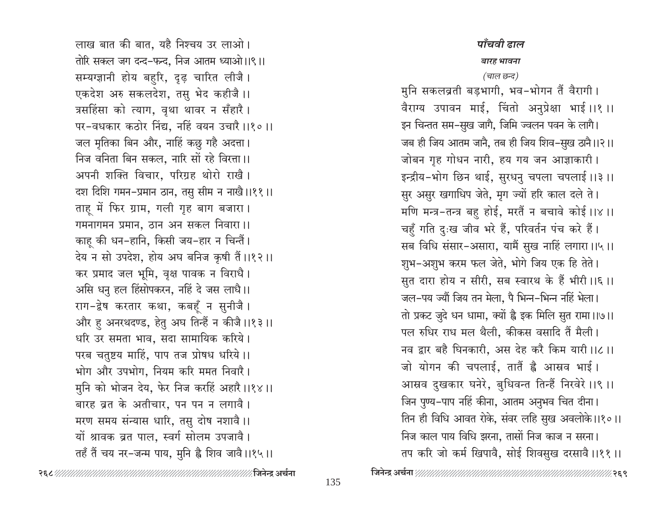लाख बात की बात, यहै निश्चय उर लाओ। तोरि सकल जग दन्द-फन्द, निज आतम ध्याओ।।९।। सम्यग्ज्ञानी होय बहुरि, दृढ़ चारित लीजै। एकदेश अरु सकलदेश, तसु भेद कहीजै।। त्रसहिंसा को त्याग, वृथा थावर न सँहारै। पर-वधकार कठोर निंद्य, नहिं वयन उचारै।।१०।। जल मृतिका बिन और, नाहिं कछु गहै अदत्ता। निज वनिता बिन सकल, नारि सों रहे विरत्ता ।। अपनी शक्ति विचार, परिग्रह थोरो राखै। दश दिशि गमन-प्रमान ठान, तसु सीम न नाखै।।११॥ ताहू में फिर ग्राम, गली गृह बाग बजारा। गमनागमन प्रमान, ठान अन सकल निवारा।। काह की धन-हानि, किसी जय-हार न चिन्तैं। देय न सो उपदेश, होय अघ बनिज कृषी तैं।।१२।। कर प्रमाद जल भूमि, वृक्ष पावक न विराधै। असि धनु हल हिंसोपकरन, नहिं दे जस लाधै।। राग-द्वेष करतार कथा, कबहूँ न सुनीजै । और हु अनरथदण्ड, हेतु अघ तिन्हैं न कीजै ।।१३।। धरि उर समता भाव, सदा सामायिक करिये। परब चतुष्टय माहिं, पाप तज प्रोषध धरिये।। भोग और उपभोग, नियम करि ममत निवारै। मुनि को भोजन देय, फेर निज करहिं अहारै ।।१४ ।। बारह व्रत के अतीचार, पन पन न लगावै। मरण समय संन्यास धारि, तसु दोष नशावै।। यों श्रावक व्रत पाल, स्वर्ग सोलम उपजावै। तहँ तैं चय नर-जन्म पाय, मुनि ह्वै शिव जावै।।१५।।

## पाँचवी ढाल

#### बारह भावना

### (चाल छन्द)

मुनि सकलब्रती बड़भागी, भव-भोगन तैं वैरागी। वैराग्य उपावन माई, चिंतो अनुप्रेक्षा भाई।।१।। इन चिन्तत सम–सुख जागै, जिमि ज्वलन पवन के लागै। जब ही जिय आतम जाने, तब ही जिय शिव–सुख ठाने।।२।। जोबन गृह गोधन नारी, हय गय जन आज्ञाकारी। इन्द्रीय-भोग छिन थाई, सुरधनु चपला चपलाई ।।३ ।। सुर असुर खगाधिप जेते, मृग ज्यों हरि काल दले ते। मणि मन्त्र-तन्त्र बहु होई, मरतैं न बचावे कोई ।।४ ।। चहुँ गति दुःख जीव भरे हैं, परिवर्तन पंच करे हैं। सब विधि संसार-असारा, यामैं सुख नाहिं लगारा।।५।। शुभ-अशुभ करम फल जेते, भोगे जिय एक हि तेते। सुत दारा होय न सीरी, सब स्वारथ के हैं भीरी।।६।। जल-पय ज्यौं जिय तन मेला, पै भिन्न-भिन्न नहिं भेला। तो प्रकट जुदे धन धामा, क्यों है इक मिलि सुत रामा।।७।। पल रुधिर राध मल थैली. कीकस वसादि तैं मैली। नव द्वार बहै घिनकारी, अस देह करै किम यारी।।८।। जो योगन की चपलाई, तातैं ह्वै आस्रव भाई। आस्रव दुखकार घनेरे, बुधिवन्त तिन्हैं निरवेरे ।।९ ।। जिन पुण्य-पाप नहिं कीना, आतम अनुभव चित दीना। तिन ही विधि आवत रोके, संवर लहि सुख अवलोके।।१०।। निज काल पाय विधि झरना, तासों निज काज न सरना। तप करि जो कर्म खिपावै, सोई शिवसुख दरसावै।।११।।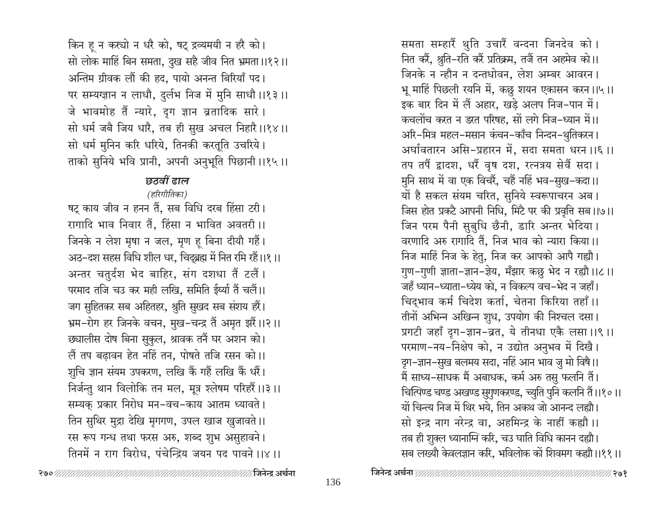किन हू न कस्यो न धरै को, षट् द्रव्यमयी न हरै को। सो लोक माहिं बिन समता, दुख सहै जीव नित भ्रमता ।।१२।। अन्तिम ग्रीवक लौं की हद, पायो अनन्त बिरियाँ पद। पर सम्यग्ज्ञान न लाधौ, दुर्लभ निज में मुनि साधौ ।।१३।। जे भावमोह तैं न्यारे, दग ज्ञान व्रतादिक सारे। सो धर्म जबै जिय धारै, तब ही सुख अचल निहारै।।१४।। सो धर्म मुनिन करि धरिये, तिनकी करतूति उचरिये। ताको सुनिये भवि प्रानी, अपनी अनुभूति पिछानी ।।१५।।

## छतवीं ढाल

## (हरिगीतिका)

षट् काय जीव न हनन तैं, सब विधि दरब हिंसा टरी। रागादि भाव निवार तैं, हिंसा न भावित अवतरी ।। जिनके न लेश मृषा न जल, मृण हू बिना दीयौ गहैं। अठ-दश सहस विधि शील धर, चिद्ब्रह्म में नित रमि रहैं।।१।। अन्तर चतुर्दश भेद बाहिर, संग दशधा तैं टलैं। परमाद तजि चउ कर मही लखि, समिति ईर्थ्या तैं चलैं।। जग सुहितकर सब अहितहर, श्रुति सुखद सब संशय हरैं। भ्रम-रोग हर जिनके वचन, मुख-चन्द्र तैं अमृत झरैं।।२।। छ्यालीस दोष बिना सुकुल, श्रावक तनैं घर अशन को। लैं तप बढ़ावन हेत नहिं तन, पोषते तजि रसन को।। शुचि ज्ञान संयम उपकरण, लखि कैं गहैं लखि कैं धरैं। निर्जन्तु थान विलोकि तन मल, मूत्र श्लेषम परिहरैं।।३।। सम्यक् प्रकार निरोध मन-वच-काय आतम ध्यावते। तिन सुथिर मुद्रा देखि मृगगण, उपल खाज खुजावते ।। रस रूप गन्ध तथा फरस अरु, शब्द शुभ असुहावने। तिनमें न राग विरोध, पंचेन्द्रिय जयन पद पावने ।।४ ।।

समता सम्हारैं थुति उचारैं वन्दना जिनदेव को । नित करें, श्रुति-रति करें प्रतिक्रम, तजैं तन अहमेव को।। जिनके न न्हौन न दन्तधोवन, लेश अम्बर आवरन। भू माहिं पिछली रयनि में, कछु शयन एकासन करन।।५।। इक बार दिन में लैं अहार, खड़े अलप निज-पान में। कचलोंच करत न डरत परिषह, सों लगे निज-ध्यान में।। अरि-मित्र महल-मसान कंचन-काँच निन्दन-थुतिकरन। अर्घावतारन असि-प्रहारन में, सदा समता धरन ।।६ ।। तप तपैं द्वादश, धरैं वृष दश, रत्नत्रय सेवैं सदा। मुनि साथ में वा एक विचरैं, चहैं नहिं भव–सुख–कदा।। यों है सकल संयम चरित, सुनिये स्वरूपाचरन अब। जिस होत प्रकटै आपनी निधि, मिटै पर की प्रवृत्ति सब ।।७।। जिन परम पैनी सुबुधि छैनी, डारि अन्तर भेदिया। वरणादि अरु रागादि तैं, निज भाव को न्यारा किया।। निज माहिं निज के हेतु, निज कर आपको आपै गह्यौ। गुण-गुणी ज्ञाता-ज्ञान-ज्ञेय, मँझार कछु भेद न रह्यौ ।।८।। जहँ ध्यान–ध्याता–ध्येय को, न विकल्प वच–भेद न जहाँ। चिद्भाव कर्म चिदेश कर्ता, चेतना किरिया तहाँ।। तीनों अभिन्न अखिन्न शुध, उपयोग की निश्चल दसा। प्रगटी जहाँ दुग-ज्ञान-व्रत, ये तीनधा एकै लसा ।।९ ।। परमाण-नय-निक्षेप को, न उद्योत अनुभव में दिखै। ऱ्रग–ज्ञान–सुख बलमय सदा, नहिं आन भाव जु मो विषै।। मैं साध्य–साधक मैं अबाधक, कर्म अरु तसु फलनि तैं। चित्पिण्ड चण्ड अखण्ड सुगुणकरण्ड, च्युति पुनि कलनि तैं।।१०।। यों चिन्त्य निज में थिर भये, तिन अकथ जो आनन्द लह्यौ। सो इन्द्र नाग नरेन्द्र वा, अहमिन्द्र के नाहीं कह्यौ ।। तब ही शुक्ल ध्यानाग्नि करि, चउ घाति विधि कानन दह्यौ। सब लख्यौ केवलज्ञान करि, भविलोक को शिवमग कह्यौ ।।११॥

⁄∕ २७१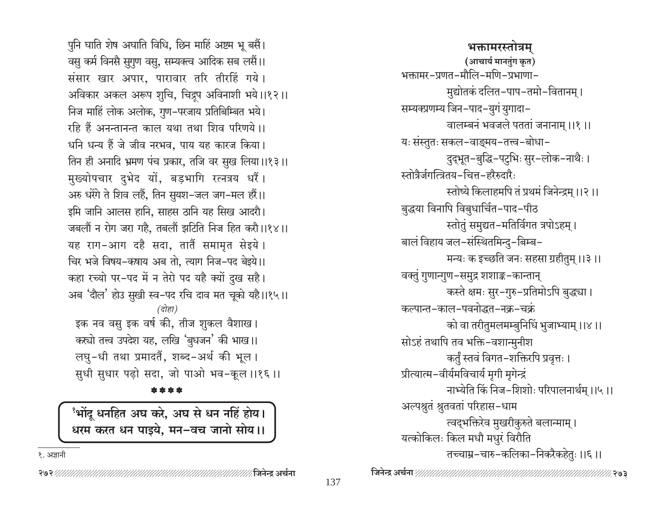पुनि घाति शेष अघाति विधि, छिन माहिं अष्टम भू बसैं। वसु कर्म विनसै सुगुण वसु, सम्यक्त्व आदिक सब लसैं।। संसार खार अपार, पारावार तरि तीरहिं गये। अविकार अकल अरूप शुचि, चिद्रूप अविनाशी भये।।१२।। निज माहिं लोक अलोक, गुण-परजाय प्रतिबिम्बित भये। रहि हैं अनन्तानन्त काल यथा तथा शिव परिणये।। धनि धन्य हैं जे जीव नरभव, पाय यह कारज किया। तिन ही अनादि भ्रमण पंच प्रकार, तजि वर सुख लिया।।१३।। मुख्योपचार दुभेद यों, बड़भागि रत्नत्रय धरैं। अरु धरेंगे ते शिव लहैं, तिन सुयश-जल जग-मल हरैं।। इमि जानि आलस हानि, साहस ठानि यह सिख आदरौ। जबलौं न रोग जरा गहै, तबलौं झटिति निज हित करौ।।१४।। यह राग-आग दहै सदा, तातैं समामृत सेइये। चिर भजे विषय-कषाय अब तो, त्याग निज-पद बेइये।। कहा रच्यो पर-पद में न तेरो पद यहै क्यों दुख सहै। अब 'दौल' होउ सुखी स्व-पद रचि दाव मत चूको यहै।।१५।। (दोहा) इक नव वसु इक वर्ष की, तीज शुकल वैशाख। कस्यो तत्त्व उपदेश यह, लखि 'बुधजन' की भाख।। लघु-धी तथा प्रमादतैं, शब्द-अर्थ की भूल। सुधी सुधार पढ़ो सदा, जो पाओ भव-कूल ।।१६ ।। \* \* \* \*

<sup>9</sup>भोंदू धनहित अघ करे, अघ से धन नहिं होय। धरम करत धन पाइये, मन-वच जानो सोय।।

१. अज्ञानी

भक्तामरस्तोत्रम (आचार्य मानतुंग कृत) भक्तामर-प्रणत-मौलि-मणि-प्रभाणा-मुद्योतकं दलित–पाप–तमो–वितानम् । सम्यक्प्रणम्य जिन-पाद-युगं युगादा-वालम्बनं भवजले पततां जनानाम् ।।१।। यः संस्तुतः सकल-वाङ्मय-तत्त्व-बोधा-दुद्भूत-बुद्धि-पटुभिः सुर-लोक-नाथैः । स्तोत्रैर्जगत्त्रितय-चित्त-हरैरुदारैः स्तोष्ये किलाहमपि तं प्रथमं जिनेन्द्रम् ।।२।। बुद्धया विनापि विबुधार्चित-पाद-पीठ स्तोतुं समुद्यत-मतिर्विगत त्रपोऽहम्। बालं विहाय जल-संस्थितमिन्दु-बिम्ब-मन्यः क इच्छति जनः सहसा ग्रहीतुम् ।।३ ।। वक्तुं गुणान्गुण-समुद्र शशाङ्क-कान्तान् कस्ते क्षमः सुर-गुरु-प्रतिमोऽपि बुद्धचा। कल्पान्त-काल-पवनोद्धत-नक्र-चक्रं को वा तरीतुमलमम्बुनिधिं भुजाभ्याम् ।।४।। सोऽहं तथापि तव भक्ति-वशान्मुनीश कर्तुं स्तवं विगत-शक्तिरपि प्रवृत्तः । प्रीत्यात्म-वीर्यमविचार्य मृगी मृगेन्द्रं नाभ्येति किं निज-शिशोः परिपालनार्थम ।।५।। अल्पश्नुतं श्रुतवतां परिहास–धाम त्वद्भक्तिरेव मुखरीकुरुते बलान्माम् । यत्कोकिलः किल मधौ मधुरं विरौति तच्चाम्र–चारु–कलिका–निकरैकहेतुः ।।६।।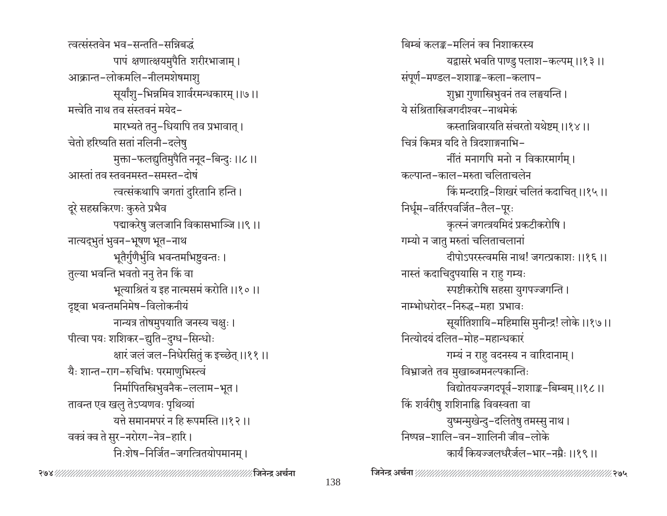त्वत्संस्तवेन भव-सन्तति-सन्निबद्धं पापं क्षणात्क्षयमुपैति शरीरभाजाम् । आक्रान्त-लोकमलि-नीलमशेषमाशु सूर्यांशु-भिन्नमिव शार्वरमन्धकारम् ।।७।। मत्त्वेति नाथ तव संस्तवनं मयेद– मारभ्यते तनु-धियापि तव प्रभावात् । चेतो हरिष्यति सतां नलिनी-दलेषु मुक्ता-फलद्युतिमुपैति ननूद-बिन्दुः ।।८।। आस्तां तव स्तवनमस्त-समस्त-दोषं त्वत्संकथापि जगतां दुरितानि हन्ति । दूरे सहस्रकिरणः कुरुते प्रभैव पद्माकरेषु जलजानि विकासभाञ्जि ।।९।। नात्यद्भुतं भुवन-भूषण भूत-नाथ भूतैर्गुणैर्भूवि भवन्तमभिष्टवन्तः । तुल्या भवन्ति भवतो ननु तेन किं वा भूत्याश्रितं य इह नात्मसमं करोति ।।१०।। दृष्ट्वा भवन्तमनिमेष-विलोकनीयं नान्यत्र तोषमुपयाति जनस्य चक्षुः । पीत्वा पयः शशिकर-द्युति-दुग्ध-सिन्धोः क्षारं जलं जल-निधेरसितुं क इच्छेत् ।।११ ।। यैः शान्त-राग-रुचिभिः परमाणुभिस्त्वं निर्मापितस्त्रिभुवनैक-ललाम-भूत । तावन्त एव खलु तेऽप्यणवः पृथिव्यां यत्ते समानमपरं न हि रूपमस्ति ।।१२।। वक्त्रं क्व ते सुर-नरोरग-नेत्र-हारि। निःशेष-निर्जित-जगत्त्रितयोपमानम् ।

बिम्बं कलङ्क-मलिनं क्व निशाकरस्य यद्वासरे भवति पाण्डु पलाश–कल्पम् ।।१३।। संपूर्ण-मण्डल-शशाङ्क-कला-कलाप-शुभ्रा गुणास्त्रिभुवनं तव लङ्घयन्ति । ये संश्रितास्त्रिजगदीश्वर-नाथमेकं कस्तान्निवारयति संचरतो यथेष्टम् ।।१४।। चित्रं किमत्र यदि ते त्रिदशाङ्गनाभि-र्नीतं मनागपि मनो न विकारमार्गम् । कल्पान्त-काल-मरुता चलिताचलेन किं मन्दराद्रि–शिखरं चलितं कदाचित् ।।१५।। निर्धूम-वर्तिरपवर्जित-तैल-पूरः कृत्स्नं जगत्त्रयमिदं प्रकटीकरोषि । गम्यो न जातु मरुतां चलिताचलानां दीपोऽपरस्त्वमसि नाथ! जगत्प्रकाशः ।।१६।। नास्तं कदाचिदुपयासि न राहु गम्यः स्पष्टीकरोषि सहसा युगपज्जगन्ति । नाम्भोधरोदर-निरुद्ध-महा प्रभावः सूर्यातिशायि-महिमासि मुनीन्द्र! लोके ।।१७।। नित्योदयं दलित-मोह-महान्धकारं गम्यं न राहु वदनस्य न वारिदानाम् । विभ्राजते तव मुखाब्जमनल्पकान्तिः विद्योतयज्जगदपूर्व-शशाङ्क-बिम्बम् ।।१८।। किं शर्वरीषु शशिनाह्नि विवस्वता वा युष्मन्मुखेन्दु-दलितेषु तमस्सु नाथ। निष्पन्न-शालि-वन-शालिनी जीव-लोके कार्यं कियज्जलधरैर्जल-भार-नम्रैः ।।१९।।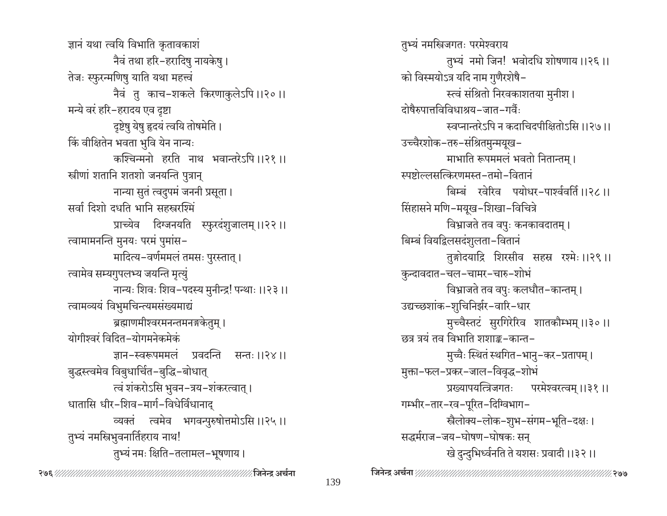ज्ञानं यथा त्वयि विभाति कृतावकाशं नैवं तथा हरि−हरादिषु नायकेषु । तेजः स्फुरन्मणिषु याति यथा महत्त्वं नैवं तु काच-शकले किरणाकुलेऽपि ।।२०।। मन्ये वरं हरि-हरादय एव दृष्टा दृष्टेषु येषु हृदयं त्वयि तोषमेति । किं वीक्षितेन भवता भुवि येन नान्यः कश्चिन्मनो हरति नाथ भवान्तरेऽपि ।।२१ ।। स्त्रीणां शतानि शतशो जनयन्ति पुत्रान् नान्या सुतं त्वदुपमं जननी प्रसूता। सर्वा दिशो दधति भानि सहस्त्ररश्मिं प्राच्येव दिग्जनयति स्फुरदंशुजालम् ।।२२।। त्वामामनन्ति मुनयः परमं पुमांस-मादित्य-वर्णममलं तमसः पुरस्तात् । त्वामेव सम्यगुपलभ्य जयन्ति मृत्युं नान्यः शिवः शिव-पदस्य मुनीन्द्र! पन्थाः ।।२३ ।। त्वामव्ययं विभुमचिन्त्यमसंख्यमाद्यं ब्रह्माणमीश्वरमनन्तमनङ्गकेतुम् । योगीश्वरं विदित–योगमनेकमेकं ज्ञान-स्वरूपममलं प्रवदन्ति सन्तः ॥२४॥ बुद्धस्त्वमेव विबुधार्चित-बुद्धि-बोधात् त्वं शंकरोऽसि भुवन-त्रय-शंकरत्वात् । धातासि धीर-शिव-मार्ग-विधेर्विधानाद् व्यक्तं त्वमेव भगवन्पुरुषोत्तमोऽसि ।।२५।। तुभ्यं नमस्त्रिभुवनार्तिहराय नाथ! तुभ्यं नमः क्षिति-तलामल-भूषणाय।

तुभ्यं नमस्त्रिजगतः परमेश्वराय तुभ्यं नमो जिन! भवोदधि शोषणाय ।।२६ ।। को विस्मयोऽत्र यदि नाम गुणैरशेषै-स्त्वं संश्रितो निरवकाशतया मुनीश। दोषैरुपात्तविविधाश्रय-जात-गर्वैः स्वप्नान्तरेऽपि न कदाचिदपीक्षितोऽसि ।।२७।। उच्चैरशोक-तरु-संश्रितमुन्मयूख-माभाति रूपममलं भवतो नितान्तम् । स्पष्टोल्लसत्किरणमस्त-तमो-वितानं बिम्बं खेरिव पयोधर-पार्श्ववर्ति ।।२८।। सिंहासने मणि-मयूख-शिखा-विचित्रे विभ्राजते तव वपुः कनकावदातम् । बिम्बं वियद्विलसदंशुलता-वितानं तुङ्गोदयाद्रि शिरसीव सहस्र रश्मेः ।।२९।। कुन्दावदात-चल-चामर-चारु-शोभं विभ्राजते तव वपुः कलधौत–कान्तम् । उद्यच्छशांक-शुचिनिर्झर-वारि-धार मुच्चैस्तटं सुरगिरेरिव शातकौम्भम् ।।३०।। छत्र त्रयं तव विभाति शशाङ्क-कान्त-मुच्चैः स्थितं स्थगित-भानु-कर-प्रतापम् । मुक्ता-फल-प्रकर-जाल-विवृद्ध-शोभं प्रख्यापयत्त्रिजगतः परमेश्वरत्वम् ।।३१।। गम्भीर-तार-रव-पूरित-दिग्विभाग-स्त्रैलोक्य-लोक-शुभ-संगम-भूति-दक्षः । सद्धर्मराज-जय-घोषण-घोषकः सन् खे दुन्दुभिर्ध्वनति ते यशसः प्रवादी ।।३२ ।।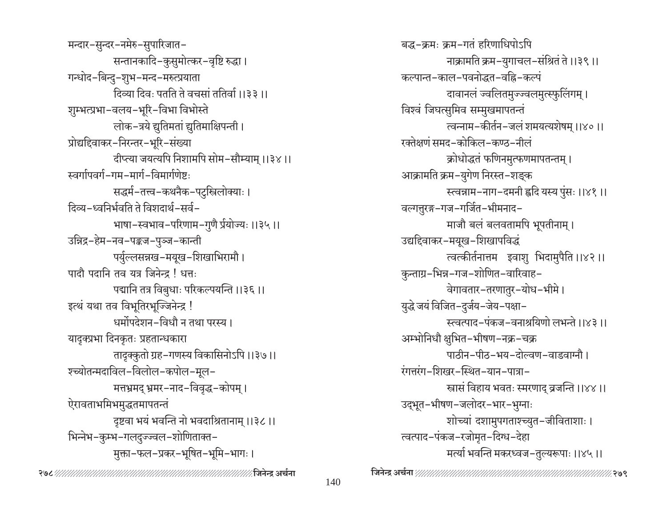मन्दार-सुन्दर-नमेरु-सुपारिजात-सन्तानकादि-कुसुमोत्कर-वृष्टि रुद्धा। गन्धोद-बिन्दु-शुभ-मन्द-मरुत्प्रयाता दिव्या दिवः पतति ते वचसां ततिर्वा ।।३३ ।। शुम्भत्प्रभा-वलय-भूरि-विभा विभोस्ते लोक–त्रये द्युतिमतां द्युतिमाक्षिपन्ती। प्रोद्यदिवाकर-निरन्तर-भूरि-संख्या दीप्त्या जयत्यपि निशामपि सोम-सौम्याम् ।।३४।। स्वर्गापवर्ग-गम-मार्ग-विमार्गणेष्टः सद्धर्म-तत्त्व-कथनैक-पटुस्त्रिलोक्याः । दिव्य-ध्वनिर्भवति ते विशदार्थ-सर्व-भाषा-स्वभाव-परिणाम-गुणै र्प्रयोज्यः ।।३५।। उन्निद्र-हेम-नव-पङ्कज-पुञ्ज-कान्ती पर्युल्लसन्नख-मयूख-शिखाभिरामौ। पादौ पदानि तब यत्र जिनेन्द  $\mathsf{I}$  धत्तः पद्मानि तत्र विबुधाः परिकल्पयन्ति ।।३६।। इत्थं यथा तव विभूतिरभूज्जिनेन्द्र ! धर्मोपदेशन-विधौ न तथा परस्य। यादृक्प्रभा दिनकृतः प्रहतान्धकारा तादृक्कुतो ग्रह-गणस्य विकासिनोऽपि ।।३७।। श्च्योतन्मदाविल-विलोल-कपोल-मूल-मत्त्रभ्रमद् भ्रमर-नाद-विवृद्ध-कोपम् । ऐरावताभमिभमुद्धतमापतन्तं दृष्टवा भयं भवन्ति नो भवदाश्रितानाम् ।।३८।। भिन्नेभ-कुम्भ-गलदुज्ज्वल-शोणिताक्त-मुक्ता-फल-प्रकर-भूषित-भूमि-भागः।

बद्ध-क्रमः क्रम-गतं हरिणाधिपोऽपि नाक्रामति क्रम-युगाचल-संश्रितं ते ।।३९।। कल्पान्त-काल-पवनोद्धत-वह्नि-कल्पं दावानलं ज्वलितमुज्ज्वलमुत्स्फुलिंगम् । विश्वं जिघत्सुमिव सम्मुखमापतन्तं त्वन्नाम-कीर्तन-जलं शमयत्यशेषम् ।।४०।। रक्तेक्षणं समद-कोकिल-कण्ठ-नीलं क्रोधोद्धतं फणिनमुत्फणमापतन्तम् । आक्रामति क्रम-युगेण निरस्त-शङ्क स्त्वन्नाम-नाग-दमनी ह्वदि यस्य पुंसः ।।४१ ।। वल्गतुरङ्ग-गज-गर्जित-भीमनाद-माजौ बलं बलवतामपि भूपतीनाम् । उद्यद्दिवाकर-मयूख-शिखापविद्धं त्वत्कीर्तनात्तम इवाशु भिदामुपैति ।।४२।। कुन्ताग्र-भिन्न-गज-शोणित-वारिवाह-वेगावतार-तरणातुर-योध-भीमे। युद्धे जयं विजित–दुर्जय–जेय–पक्षा– स्त्वत्पाद-पंकज-वनाश्रयिणो लभन्ते ।।४३॥ अम्भोनिधौ क्षुभित-भीषण-नक्र-चक्र पाठीन-पीठ-भय-दोल्वण-वाडवाग्नौ। रंगत्तरंग-शिखर-स्थित-यान-पात्रा-स्त्रासं विहाय भवतः स्मरणाद् व्रजन्ति ।।४४।। उद्भूत-भीषण-जलोदर-भार-भुग्नाः शोच्यां दशामुपगताश्च्युत-जीविताशाः । त्वत्पाद-पंकज-रजोमृत-दिग्ध-देहा मर्त्या भवन्ति मकरध्वज-तुल्यरूपाः ।।४५।।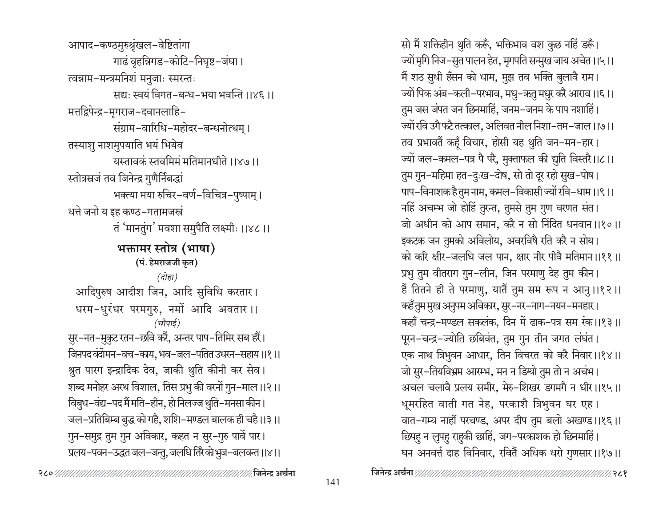आपाद-कण्ठमुरुश्रृंखल-वेष्टितांगा गाढं वृहन्निगड-कोटि-निघृष्ट-जंघा। त्वन्नाम-मन्त्रमनिशं मनुजाः स्मरन्तः सद्यः स्वयं विगत-बन्ध-भया भवन्ति ।।४६ ।। मत्तद्विपेन्द्र-मगराज-दवानलाहि-संग्राम-वारिधि-महोदर-बन्धनोत्थम् । तस्याशु नाशमुपयाति भयं भियेव यस्तावकं स्तवमिमं मतिमानधीते ।।४७।। स्तोत्रस्रजं तव जिनेन्द्र गुणैर्निबद्धां भक्त्या मया रुचिर-वर्ण-विचित्र-पुष्पाम् । धत्ते जनो य इह कण्ठ-गतामजस्त्रं तं 'मानतुंग' मवशा समुपैति लक्ष्मीः ।।४८।। भक्तामर स्तोत्र (भाषा) (पं. हेमराजजी कृत) (दोहा) आदिपुरुष आदीश जिन, आदि सुविधि करतार। धरम-धुरंधर परमगुरु, नमों आदि अवतार।। (चौपाई) सुर-नत-मुकुट रतन-छवि करैं, अन्तर पाप-तिमिर सब हरैं। जिनपद वंदोमन-वच-काय, भव-जल-पतित उधरन-सहाय।।१।। श्रुत पारग इन्द्रादिक देव, जाकी थुति कीनी कर सेव। शब्द मनोहर अरथ विशाल, तिस प्रभु की वरनों गुन–माल।।२।। विबुध–वंद्य–पद मैं मति–हीन, हो निलज्ज थुति–मनसा कीन । जल-प्रतिबिम्ब बुद्ध को गहै, शशि-मण्डल बालक ही चहै।।३।। गुन-समुद्र तुम गुन अविकार, कहत न सुर-गुरु पावें पार। प्रलय-पवन-उद्धत जल-जन्तु, जलधि तिरै कोभुज-बलवन्त ।।४।।

सो मैं शक्तिहीन थुति करूँ, भक्तिभाव वश कुछ नहिं डरूँ। ज्यों मृगि निज–सुत पालन हेत, मृगपति सन्मुख जाय अचेत ।।५।। मैं शठ सुधी हँसन को धाम, मुझ तव भक्ति बुलावै राम। ज्यों पिक अंब-कली-परभाव, मधु-ऋतु मधुर करै आराव।।६।। तुम जस जंपत जन छिनमाहिं, जनम-जनम के पाप नशाहिं। ज्यों रवि उगै फटै तत्काल, अलिवत नील निशा–तम–जाल।।७।। तव प्रभावतैं कहूँ विचार, होसी यह थुति जन-मन-हार। ज्यों जल-कमल-पत्र पै परै, मुक्ताफल की द्युति विस्तरै।।८।। तुम गुन-महिमा हत-दुःख-दोष, सो तो दूर रहो सुख-पोष। पाप-विनाशक है तुम नाम, कमल-विकासी ज्यों रवि-धाम।।९।। नहिं अचम्भ जो होहिं तुरन्त, तुमसे तुम गुण वरणत संत। जो अधीन को आप समान, करै न सो निंदित धनवान ।।१०।। इकटक जन तुमको अविलोय, अवरविषै रति करै न सोय। को करि क्षीर-जलधि जल पान, क्षार नीर पीवै मतिमान ।।११ ।। प्रभु तुम वीतराग गुन-लीन, जिन परमाणु देह तुम कीन। हैं तितने ही ते परमाणु, यातैं तुम सम रूप न आनु।।१२।। कहँ तुम मुख अनुपम अविकार, सुर–नर–नाग–नयन–मनहार। कहाँ चन्द्र-मण्डल सकलंक, दिन में ढाक-पत्र सम रंक।।१३।। पूरन-चन्द्र-ज्योति छबिवंत, तुम गुन तीन जगत लंघंत। एक नाथ त्रिभुवन आधार, तिन विचरत को करै निवार।।१४।। जो सुर-तियविभ्रम आरम्भ, मन न डिग्यो तुम तो न अचंभ। अचल चलावै प्रलय समीर, मेरु-शिखर डगमगै न धीर।।१५।। धूमरहित वाती गत नेह, परकाशै त्रिभुवन घर एह। वात-गम्य नाहीं परचण्ड, अपर दीप तुम बलो अखण्ड।।१६।। छिपहु न लुपहु राहुकी छाहिं, जग-परकाशक हो छिनमाहिं। घन अनवर्त्त दाह विनिवार, रवितैं अधिक धरो गुणसार।।१७।।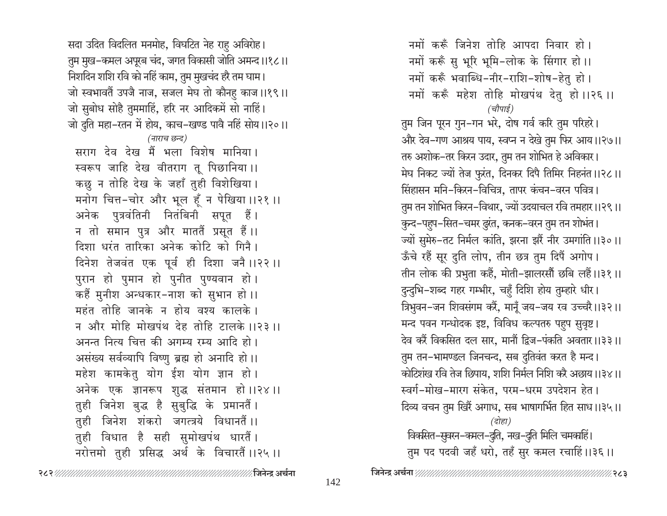सदा उदित विदलित मनमोह, विघटित नेह राहु अविरोह। तुम मुख–कमल अपूरब चंद, जगत विकासी जोति अमन्द ।।१८।। निशदिन शशि रवि को नहिं काम, तुम मुखचंद हरै तम घाम। जो स्वभावतैं उपजै नाज, सजल मेघ तो कौनहु काज ।।१९।। जो सुबोध सोहै तुममाहिं, हरि नर आदिकमें सो नाहिं। जो दुति महा-रतन में होय, काच-खण्ड पावै नहिं सोय ।।२०।। (नाराच छन्द) सराग देव देख मैं भला विशेष मानिया। स्वरूप जाहि देख वीतराग तू पिछानिया।। कछु न तोहि देख के जहाँ तुही विशेखिया। मनोग चित्त-चोर और भूल हूँ न पेखिया ।।२१ ।। अनेक पुत्रवंतिनी नितंबिनी सपूत हैं। न तो समान पुत्र और माततैं प्रसूत हैं।। दिशा धरंत तारिका अनेक कोटि को गिनै। दिनेश तेजवंत एक पूर्व ही दिशा जनै।।२२।। पुरान हो पुमान हो पुनीत पुण्यवान हो । कहैं मुनीश अन्धकार-नाश को सुभान हो।। महंत तोहि जानके न होय वश्य कालके । न और मोहि मोखपंथ देह तोहि टालके ।।२३ ।। अनन्त नित्य चित्त की अगम्य रम्य आदि हो। असंख्य सर्वव्यापि विष्णु ब्रह्म हो अनादि हो।। महेश कामकेतु योग ईश योग ज्ञान हो। अनेक एक ज्ञानरूप शुद्ध संतमान हो।।२४।। तुही जिनेश बुद्ध है सुबुद्धि के प्रमानतैं। तुही जिनेश शंकरो जगत्त्रये विधानतैं।। तुही विधात है सही सुमोखपंथ धारतैं। नरोत्तमो तुही प्रसिद्ध अर्थ के विचारतैं।।२५।।

नमों करूँ जिनेश तोहि आपदा निवार हो । नमों करूँ सु भूरि भूमि-लोक के सिंगार हो।। नमों करूँ भवाब्धि-नीर-राशि-शोष-हेतु हो । नमों करूँ महेश तोहि मोखपंथ देतु हो।।२६।। (चौपाई) तुम जिन पूरन गुन-गन भरे, दोष गर्व करि तुम परिहरे। और देव–गण आश्रय पाय, स्वप्न न देखे तुम फिर आय।।२७।। तरु अशोक–तर किरन उदार, तुम तन शोभित हे अविकार। मेघ निकट ज्यों तेज फुरंत, दिनकर दिपै तिमिर निहनंत ।।२८।। सिंहासन मनि-किरन-विचित्र, तापर कंचन-वरन पवित्र। तुम तन शोभित किरन–विथार, ज्यों उदयाचल रवि तमहार।।२९।। कुन्द-पहुप-सित-चमर दुरंत, कनक-वरन तुम तन शोभंत। ज्यों सुमेरु-तट निर्मल कांति, झरना झरैं नीर उमगांति ।।३०।। ऊँचे रहैं सूर दुति लोप, तीन छत्र तुम दिपैं अगोप। तीन लोक की प्रभुता कहैं, मोती-झालरसौं छबि लहैं।।३१।। दुन्दुभि-शब्द गहर गम्भीर, चहुँ दिशि होय तुम्हारे धीर। त्रिभुवन-जन शिवसंगम करें, मानूँ जय-जय रव उच्चरै।।३२।। मन्द पवन गन्धोदक इष्ट, विविध कल्पतरु पहुप सुवृष्ट। देव करैं विकसित दल सार, मानौं द्विज–पंकति अवतार।।३३।। तुम तन-भामण्डल जिनचन्द, सब दुतिवंत करत है मन्द। कोटिशंख रवि तेज छिपाय, शशि निर्मल निशि करै अछाय।।३४।। स्वर्ग-मोख-मारग संकेत. परम-धरम उपदेशन हेत। दिव्य वचन तुम खिरैं अगाध, सब भाषागर्भित हित साध।।३५।। (दोहा) विकसित-सुवरन-कमल-दुति, नख-दुति मिलि चमकाहिं। तुम पद पदवी जहँ धरो, तहँ सुर कमल रचाहिं।।३६।।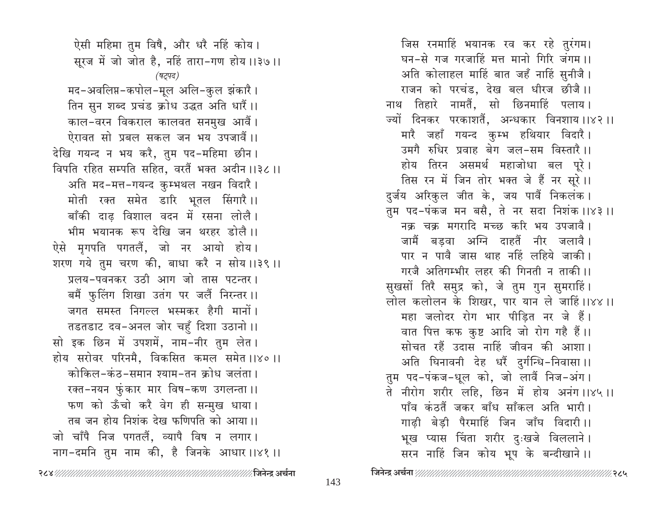ऐसी महिमा तुम विषै, और धरै नहिं कोय। सूरज में जो जोत है, नहिं तारा-गण होय ।।३७।। (षट्पद) मद-अवलिप्त-कपोल-मूल अलि-कुल झंकारै। तिन सुन शब्द प्रचंड क्रोध उद्धत अति धारैं।। काल-वरन विकराल कालवत सनमुख आवैं। ऐरावत सो प्रबल सकल जन भय उपजावैं।। देखि गयन्द न भय करै, तुम पद-महिमा छीन। विपति रहित सम्पति सहित, वरतैं भक्त अदीन ।।३८ ।। अति मद-मत्त-गयन्द कुम्भथल नखन विदारै । मोती रक्त समेत डारि भूतल सिंगारै।। बाँकी दाढ विशाल वदन में रसना लोलै। भीम भयानक रूप देखि जन थरहर डोलै।। ऐसे मृगपति पगतलैं, जो नर आयो होय। शरण गये तुम चरण की, बाधा करै न सोय ।।३९ ।। प्रलय-पवनकर उठी आग जो तास पटन्तर। बमैं फुलिंग शिखा उतंग पर जलैं निरन्तर ।। जगत समस्त निगल्ल भस्मकर हैगी मानों। तडतडाट दव-अनल जोर चहुँ दिशा उठानो ।। सो इक छिन में उपशमें, नाम-नीर तुम लेत। होय सरोवर परिनमै, विकसित कमल समेत ।।४० ।। कोकिल-कंठ-समान श्याम-तन क्रोध जलंता । रक्त-नयन फुंकार मार विष-कण उगलन्ता ।। फण को ऊँचो करै वेग ही सन्मुख धाया। तब जन होय निशंक देख फणिपति को आया।। जो चाँपै निज पगतलैं, व्यापै विष न लगार। नाग-दमनि तुम नाम की, है जिनके आधार।।४१।।

जिस रनमाहिं भयानक रव कर रहे तुरंगम। घन-से गज गरजाहिं मत्त मानो गिरि जंगम ।। अति कोलाहल माहिं बात जहँ नाहिं सुनीजै। राजन को परचंड, देख बल धीरज छीजै।। नाथ तिहारे नामतैं, सो छिनमाहिं पलाय। ज्यों दिनकर परकाशतैं, अन्धकार विनशाय।।४२।। मारै जहाँ गयन्द कुम्भ हथियार विदारै। उमगै रुधिर प्रवाह बेग जल-सम विस्तारै।। होय तिरन असमर्थ महाजोधा बल पूरे। तिस रन में जिन तोर भक्त जे हैं नर सूरे ।। दुर्जय अरिकुल जीत के, जय पावैं निकलंक। तुम पद-पंकज मन बसै, ते नर सदा निशंक ।।४३ ।। नक्र चक्र मगरादि मच्छ करि भय उपजावै। जामैं बडवा अग्नि दाहतैं नीर जलावै। पार न पावै जास थाह नहिं लहिये जाकी। गरजै अतिगम्भीर लहर की गिनती न ताकी ।। सुखसों तिरै समुद्र को, जे तुम गुन सुमराहिं। लोल कलोलन के शिखर, पार यान ले जाहिं।।४४।। महा जलोदर रोग भार पीडित नर जे हैं। वात पित्त कफ कुष्ट आदि जो रोग गहै हैं।। सोचत रहैं उदास नाहिं जीवन की आशा। अति घिनावनी देह धरैं दुर्गन्धि-निवासा।। तुम पद-पंकज-धूल को, जो लावैं निज-अंग। ते नीरोग शरीर लहि, छिन में होय अनंग।।४५।। पाँव कंठतैं जकर बाँध साँकल अति भारी। गाढी बेडी पैरमाहिं जिन जाँघ विदारी।। भूख प्यास चिंता शरीर दुःखजे विललाने। सरन नाहिं जिन कोय भूप के बन्दीखाने।।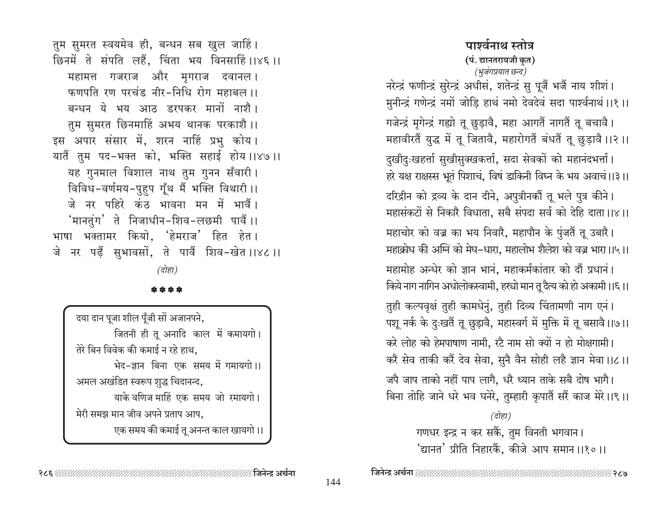तुम सुमरत स्वयमेव ही, बन्धन सब खुल जाहिं। छिनमें ते संपति लहैं, चिंता भय विनसाहिं।।४६।। महामत्त गजराज और मृगराज दवानल। फणपति रण परचंड नीर-निधि रोग महाबल ।। बन्धन ये भय आठ डरपकर मानों नाशै। तुम सुमरत छिनमाहिं अभय थानक परकाशै ।। इस अपार संसार में, शरन नाहिं प्रभु कोय। यातैं तुम पद-भक्त को, भक्ति सहाई होय ।।४७।। यह गुनमाल विशाल नाथ तुम गुनन सँवारी। विविध-वर्णमय-पुहुप गूँथ मैं भक्ति विथारी ।। जे नर पहिरे कंठ भावना मन में भावैं। 'मानतुंग' ते निजाधीन-शिव-लछमी पार्वें।। भाषा भक्तामर कियो, 'हेमराज' हित हेत। जे नर पढ़ैं सुभावसों, ते पावैं शिव-खेत ।।४८ ।। (दोहा)

\* \* \* \*

| दया दान पूजा शील पूँजी सों अजानपने, |
|-------------------------------------|
| जितनी ही तू अनादि काल में कमायगो।   |
| तेरे बिन विवेक की कमाई न रहे हाथ,   |
| भेद-ज्ञान बिना एक समय में गमायगो।।  |
| अमल अखंडित स्वरूप शुद्ध चिदानन्द,   |
| याके वणिज माहिं एक समय जो रमायगो।   |
| मेरी समझ मान जीव अपने प्रताप आप,    |
| एक समय की कमाई तू अनन्त काल खायगो।। |
|                                     |

# पार्श्वनाथ स्तोत्र (पं. द्यानतरायजी कृत) (भुजंगप्रयात छन्द)

नरेन्द्रं फणीन्द्रं सुरेन्द्रं अधीसं, शतेन्द्रं सु पूजैं भजैं नाय शीशं। मुनीन्द्रं गणेन्द्रं नमों जोड़ि हाथं नमो देवदेवं सदा पार्श्वनाथं ।।१ ।।

गजेन्द्रं मृगेन्द्रं गह्यो तू छुड़ावै, महा आगतैं नागतैं तू बचावै। महावीरतैं युद्ध में तू जितावै, महारोगतैं बंधतैं तू छुड़ावै ।।२ ।।

दुखीदुःखहर्त्ता सुखीसुक्खकर्त्ता, सदा सेवकों को महानंदभर्त्ता। हरे यक्ष राक्षस्स भूतं पिशाचं, विषं डाकिनी विघ्न के भय अवाचं।।३।।

दरिद्रीन को द्रव्य के दान दीने, अपुत्रीनकों तू भले पुत्र कीने। महासंकटों से निकारै विधाता, सबै संपदा सर्व को देहि दाता।।४।।

महाचोर को वज्र का भय निवारै, महापौन के पुंजतैं तू उबारै। महाक्रोध की अग्नि को मेघ-धारा. महालोभ शैलेश को वज्र भारा।।५।।

महामोह अन्धेर को ज्ञान भानं. महाकर्मकांतार को दौं प्रधानं। किये नाग नागिन अधोलोकस्वामी, हस्यो मान तू दैत्य को हो अकामी ।।६।।

तुही कल्पवृक्षं तुही कामधेनुं, तुही दिव्य चिंतामणी नाग एनं। पशू नर्क के दुःखतैं तू छुड़ावै, महास्वर्ग में मुक्ति में तू बसावै।।७।। करे लोह को हेमपाषाण नामी, रटै नाम सो क्यों न हो मोक्षगामी। करै सेव ताकी करें देव सेवा, सुनै वैन सोही लहै ज्ञान मेवा।।८।।

जपै जाप ताको नहीं पाप लागै, धरै ध्यान ताके सबै दोष भागै। बिना तोहि जाने धरे भव घनेरे, तुम्हारी कृपातैं सरैं काज मेरे।।९।।

(दोहा)

गणधर इन्द्र न कर सकैं, तुम विनती भगवान। 'द्यानत' प्रीति निहारकैं, कीजे आप समान ।।१०।।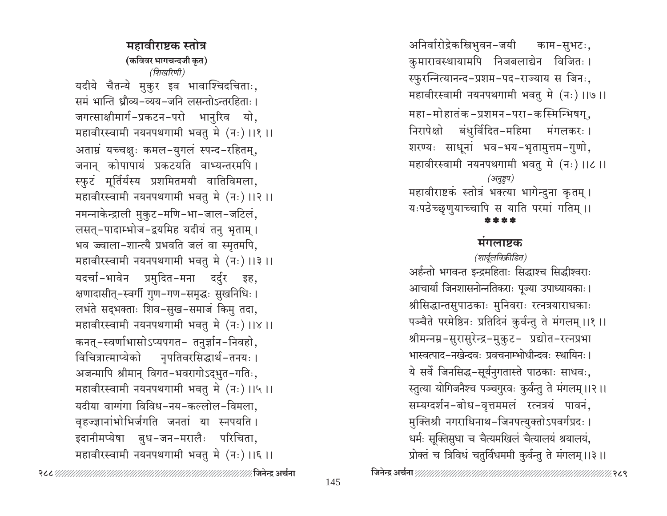महावीराष्टक स्तोत्र (कविवर भागचन्दजी कृत) (शिखरिणी) यदीये चैतन्ये मुकुर इव भावाश्चिदचिताः, समं भान्ति धौव्य-व्यय-जनि लसन्तोऽन्तरहिताः । जगत्साक्षीमार्ग-प्रकटन-परो भानुरिव यो, महावीरस्वामी नयनपथगामी भवतु मे (नः) ।।१ ।। अताम्रं यच्चक्षुः कमल-युगलं स्पन्द-रहितम्, जनान कोपापायं प्रकटयति वाभ्यन्तरमपि। स्फुटं मूर्तिर्यस्य प्रशमितमयी वातिविमला, महावीरस्वामी नयनपथगामी भवतु मे (नः) ।।२ ।। नमन्नाकेन्द्राली मुकुट-मणि-भा-जाल-जटिलं, लसत्-पादाम्भोज-द्वयमिह यदीयं तनु भृताम् । भव ज्ज्वाला-शान्त्यै प्रभवति जलं वा स्मृतमपि, महावीरस्वामी नयनपथगामी भवतु मे (नः) ।।३ ।। यदर्चा-भावेन प्रमुदित-मना दर्दुर इह, क्षणादासीत्-स्वर्गी गुण-गण-समृद्धः सुखनिधिः । लभंते सद्भक्ताः शिव-सुख-समाजं किमु तदा, महावीरस्वामी नयनपथगामी भवतु मे (नः) ।।४ ।। कनत्-स्वर्णाभासोऽप्यपगत- तनुर्ज्ञान-निवहो, विचित्रात्माप्येको नपतिवरसिद्धार्थ-तनयः । अजन्मापि श्रीमान् विगत-भवरागोऽद्भुत-गतिः, महावीरस्वामी नयनपथगामी भवतु मे (नः) ।।५ ।। यदीया वाग्गंगा विविध-नय-कल्लोल-विमला. वृहज्ज्ञानांभोभिर्जगति जनतां या स्नपयति । इदानीमप्येषा बुध-जन-मरालैः परिचिता, महावीरस्वामी नयनपथगामी भवतु मे (नः) ।।६ ।।

अनिर्वारोद्रेकस्त्रिभुवन-जयी काम-सुभटः, कुमारावस्थायामपि निजबलाद्येन विजितः। स्फुरन्नित्यानन्द-प्रशम-पद-राज्याय स जिनः, महावीरस्वामी नयनपथगामी भवतु मे (नः) ।।७।। महा-मोहातंक-प्रशमन-परा-कस्मिन्भिषग्, निरापेक्षो बंधुर्विदित-महिमा मंगलकरः। शरण्यः साधूनां भव-भय-भृतामुत्तम-गुणो, महावीरस्वामी नयनपथगामी भवतु मे (नः) ।।८ ।। (अनुष्टुप) महावीराष्टकं स्तोत्रं भक्त्या भागेन्दुना कृतम् । यःपठेच्छुणुयाच्चापि स याति परमां गतिम् ।।

#### मगलाष्टक

(शार्दुलविक्रीडित) अर्हन्तो भगवन्त इन्द्रमहिताः सिद्धाश्च सिद्धीश्वराः आचार्या जिनशासनोन्नतिकराः पूज्या उपाध्यायकाः। श्रीसिद्धान्तसुपाठकाः मुनिवराः रत्नत्रयाराधकाः पञ्चैते परमेष्ठिनः प्रतिदिनं कुर्वन्तु ते मंगलम् ।।१ ।। श्रीमन्नम्र-सुरासुरेन्द्र-मुकुट- प्रद्योत-रत्नप्रभा भास्वत्पाद-नखेन्दवः प्रवचनाम्भोधीन्दवः स्थायिनः । ये सर्वे जिनसिद्ध-सूर्यनुगतास्ते पाठकाः साधवः, स्तत्या योगिजनैश्च पञ्चगुरवः कुर्वन्तु ते मंगलम् ।।२।। सम्यग्दर्शन-बोध-वृत्तममलं रत्नत्रयं पावनं, मुक्तिश्री नगराधिनाथ-जिनपत्युक्तोऽपवर्गप्रदः । धर्मः सूक्तिसुधा च चैत्यमखिलं चैत्यालयं श्रयालयं, प्रोक्तं च त्रिविधं चतुर्विधममी कुर्वन्तु ते मंगलम् ।।३।।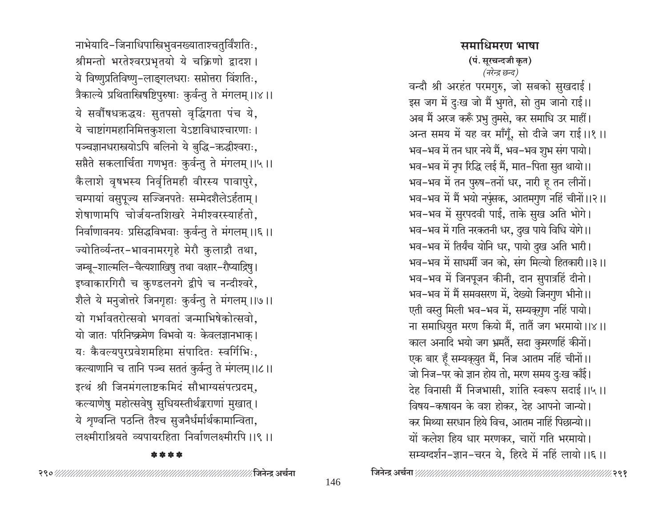नाभेयादि-जिनाधिपास्त्रिभुवनख्याताश्चतुर्विंशतिः, श्रीमन्तो भरतेश्वरप्रभृतयो ये चक्रिणो द्वादश। ये विष्णुप्रतिविष्णु-लाङ्गलधराः सप्तोत्तरा विंशतिः, त्रैकाल्ये प्रथितास्त्रिषष्टिपुरुषाः कुर्वन्तु ते मंगलम् ।।४।। ये सर्वौषधऋद्धयः सुतपसो वृद्धिगता पंच ये, ये चाष्टांगमहानिमित्तकुशला येऽष्टाविधाश्चारणाः । पञ्चज्ञानधरास्त्रयोऽपि बलिनो ये बुद्धि-ऋद्धीश्वराः, सप्तैते सकलार्चिता गणभृतः कुर्वन्तु ते मंगलम् ।।५।। कैलाशे वृषभस्य निर्वृतिमही वीरस्य पावापुरे, चम्पायां वसुपूज्य सज्जिनपतेः सम्मेदशैलेऽर्हताम् । शेषाणामपि चोर्जयन्तशिखरे नेमीश्वरस्यार्हतो, निर्वाणावनयः प्रसिद्धविभवाः कुर्वन्तु ते मंगलम् ।।६।। ज्योतिर्व्यन्तर-भावनामरगृहे मेरौ कुलाद्रौ तथा, जम्बू-शाल्मलि-चैत्यशाखिषु तथा वक्षार-रौप्याद्रिषु । इष्वाकारगिरौ च कुण्डलनगे द्वीपे च नन्दीश्वरे, शैले ये मनुजोत्तरे जिनगृहाः कुर्वन्तु ते मंगलम् ।।७।। यो गर्भावतरोत्सवो भगवतां जन्माभिषेकोत्सवो, यो जातः परिनिष्क्रमेण विभवो यः केवलज्ञानभाक। यः कैवल्यपुरप्रवेशमहिमा संपादितः स्वर्गिभिः, कल्याणानि च तानि पञ्च सततं कुर्वन्तु ते मंगलम् ।।८।। इत्थं श्री जिनमंगलाष्टकमिदं सौभाग्यसंपत्प्रदम्, कल्याणेषु महोत्सवेषु सुधियस्तीर्थङ्कराणां मुखात् । ये शृण्वन्ति पठन्ति तैश्च सुजनैर्धर्मार्थकामान्विता, लक्ष्मीराश्रियते व्यपायरहिता निर्वाणलक्ष्मीरपि ।।९ ।।

#### \*\*\*\*

समाधिमरण भाषा (पं. सूरचन्दजी कृत) (नरेन्द्र छन्द) वन्दौ श्री अरहंत परमगुरु, जो सबको सुखदाई। इस जग में दुःख जो मैं भुगते, सो तुम जानो राई।। अब मैं अरज करूँ प्रभु तुमसे, कर समाधि उर माहीं। अन्त समय में यह वर माँगूँ, सो दीजे जग राई।।१।। भव–भव में तन धार नये मैं, भव–भव शुभ संग पायो। भव–भव में नृप रिद्धि लई मैं, मात–पिता सुत थायो।। भव-भव में तन पुरुष-तनों धर, नारी हू तन लीनों। भव-भव में मैं भयो नपुंसक, आतमगुण नहिं चीनों।।२।। भव-भव में सुरपदवी पाई, ताके सुख अति भोगे। भव–भव में गति नरकतनी धर, दुख पाये विधि योगे।। भव-भव में तिर्यंच योनि धर, पायो दुख अति भारी। भव–भव में साधर्मी जन को, संग मिल्यो हितकारी ।।३ ।। भव-भव में जिनपूजन कीनी, दान सुपात्रहिं दीनो। भव-भव में मैं समवसरण में, देख्यो जिनगण भीनो।। एती वस्तु मिली भव-भव में, सम्यक्गुण नहिं पायो। ना समाधियुत मरण कियो मैं, तातैं जग भरमायो।।४।। काल अनादि भयो जग भ्रमतैं, सदा कुमरणहिं कीनों। एक बार हूँ सम्यक़्युत मैं, निज आतम नहिं चीनों।। जो निज–पर को ज्ञान होय तो, मरण समय दुःख काँई। देह विनासी मैं निजभासी, शांति स्वरूप सदाई।।५।। विषय-कषायन के वश होकर, देह आपनो जान्यो। कर मिथ्या सरधान हिये विच, आतम नाहिं पिछान्यो।। यों कलेश हिय धार मरणकर, चारों गति भरमायो।

#### 

सम्यग्दर्शन-ज्ञान-चरन ये, हिरदे में नहिं लायो।।६।।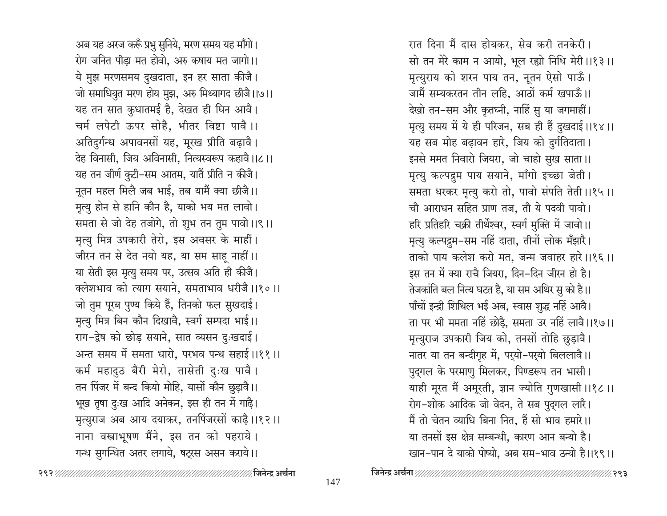अब यह अरज करूँ प्रभु सुनिये, मरण समय यह माँगो। रोग जनित पीड़ा मत होवो, अरु कषाय मत जागो।। ये मुझ मरणसमय दुखदाता, इन हर साता कीजै। जो समाधियुत मरण होय मुझ, अरु मिथ्यागद छीजै।।७।। यह तन सात कुधातमई है, देखत ही घिन आवै। चर्म लपेटी ऊपर सोहै, भीतर विष्टा पावै।। अतिदुर्गन्ध अपावनसों यह, मूरख प्रीति बढ़ावै। देह विनासी, जिय अविनासी, नित्यस्वरूप कहावै।।८।। यह तन जीर्ण कुटी-सम आतम, यातैं प्रीति न कीजै। नूतन महल मिलै जब भाई, तब यामैं क्या छीजै।। मृत्यु होन से हानि कौन है, याको भय मत लावो। समता से जो देह तजोगे, तो शुभ तन तुम पावो।।९।। मृत्यु मित्र उपकारी तेरो, इस अवसर के माहीं। जीरन तन से देत नयो यह, या सम साह नाहीं।। या सेती इस मृत्यु समय पर, उत्सव अति ही कीजै। क्लेशभाव को त्याग सयाने, समताभाव धरीजै।।१०।। जो तुम पूरब पुण्य किये हैं, तिनको फल सुखदाई। मृत्यु मित्र बिन कौन दिखावै, स्वर्ग सम्पदा भाई।। राग-द्रेष को छोड़ सयाने, सात व्यसन दुःखदाई। अन्त समय में समता धारो. परभव पन्थ सहाई ।।११ ।। कर्म महादुठ बैरी मेरो, तासेती दुःख पावै। तन पिंजर में बन्द कियो मोहि, यासों कौन छुड़ावै।। भूख तृषा दुःख आदि अनेकन, इस ही तन में गाढ़ै। मृत्युराज अब आय दयाकर, तनपिंजरसों काढ़ै।।१२।। नाना वस्त्राभूषण मैंने, इस तन को पहराये। गन्ध सुगन्धित अतर लगाये, षट्रस असन कराये।।

रात दिना मैं दास होयकर, सेव करी तनकेरी। सो तन मेरे काम न आयो, भूल रह्यो निधि मेरी ।।१३।। मृत्युराय को शरन पाय तन, नूतन ऐसो पाऊँ। जामैं सम्यकरतन तीन लहि, आठों कर्म खपाऊँ।। देखो तन-सम और कृतघ्नी, नाहिं सु या जगमाहीं। मृत्यु समय में ये ही परिजन, सब ही हैं दुखदाई।।१४।। यह सब मोह बढ़ावन हारे, जिय को दुर्गतिदाता। इनसे ममत निवारो जियरा, जो चाहो सुख साता।। मृत्यु कल्पद्रुम पाय सयाने, माँगो इच्छा जेती। समता धरकर मृत्यु करो तो, पावो संपति तेती ।।१५।। चौ आराधन सहित प्राण तज, तौ ये पदवी पावो। हरि प्रतिहरि चक्री तीर्थेश्वर, स्वर्ग मुक्ति में जावो।। मृत्यु कल्पद्रुम-सम नहिं दाता, तीनों लोक मँझारै। ताको पाय कलेश करो मत, जन्म जवाहर हारे।।१६।। इस तन में क्या राचै जियरा, दिन-दिन जीरन हो है। तेजकांति बल नित्य घटत है, या सम अथिर सु को है।। पाँचों इन्द्री शिथिल भई अब, स्वास शुद्ध नहिं आवै। ता पर भी ममता नहिं छोड़ै, समता उर नहिं लावै।।१७।। मृत्युराज उपकारी जिय को, तनसों तोहि छुड़ावै। नातर या तन बन्दीगृह में, पर्यो-पर्यो बिललावै।। पुद्गल के परमाणु मिलकर, पिण्डरूप तन भासी। याही मूरत मैं अमूरती, ज्ञान ज्योति गुणखासी ।।१८।। रोग-शोक आदिक जो वेदन, ते सब पुद्गल लारै। मैं तो चेतन व्याधि बिना नित, हैं सो भाव हमारे।। या तनसों इस क्षेत्र सम्बन्धी, कारण आन बन्यो है। खान-पान दे याको पोष्यो. अब सम-भाव ठन्यो है।।१९।।

∕ जिनेन्द्र अर्चना ⁄∕२९३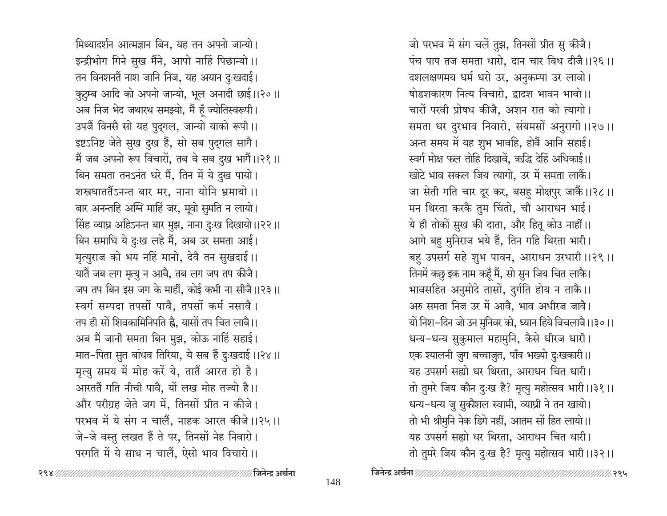मिथ्यादर्शन आत्मज्ञान बिन, यह तन अपनो जान्यो। इन्द्रीभोग गिने सुख मैंने, आपो नाहिं पिछान्यो।। तन विनशनतैं नाश जानि निज, यह अयान दुःखदाई। कुटुम्ब आदि को अपनो जान्यो, भूल अनादी छाई।।२०।। अब निज भेद जथारथ समझ्यो, मैं हूँ ज्योतिस्वरूपी। उपजैं विनसै सो यह पुद्गल, जान्यो याको रूपी।। इष्टऽनिष्ट जेते सुख दुख हैं, सो सब पुद्गल सागै। मैं जब अपनो रूप विचारों, तब वे सब दुख भागैं।।२१।। बिन समता तनऽनंत धरे मैं, तिन में ये दुख पायो। शस्त्रघाततैंऽनन्त बार मर, नाना योनि भ्रमायो ।। बार अनन्तहि अग्नि माहिं जर, मूवो सुमति न लायो। सिंह व्याघ्र अहिऽनन्त बार मुझ, नाना दुःख दिखायो।।२२।। बिन समाधि ये दुःख लहे मैं, अब उर समता आई। मृत्युराज को भय नहिं मानो, देवै तन सुखदाई।। यातैं जब लग मृत्यु न आवै, तब लग जप तप कीजै। जप तप बिन इस जग के माहीं, कोई कभी ना सीजै।।२३।। स्वर्ग सम्पदा तपसों पावै, तपसों कर्म नसावै। तप ही सों शिवकामिनिपति है, यासों तप चित लावै।। अब मैं जानी समता बिन मुझ, कोऊ नाहिं सहाई। मात-पिता सुत बांधव तिरिया, ये सब हैं दुःखदाई।।२४।। मृत्यु समय में मोह करें ये, तातैं आरत हो है। आरततैं गति नीची पावै, यों लख मोह तज्यो है।। और परीग्रह जेते जग में, तिनसों प्रीत न कीजे। परभव में ये संग न चालैं. नाहक आरत कीजे।।२५।। जे-जे वस्तु लखत हैं ते पर, तिनसों नेह निवारो। परगति में ये साथ न चालैं. ऐसो भाव विचारो।।

जो परभव में संग चलें तुझ, तिनसों प्रीत सु कीजै। पंच पाप तज समता धारो, दान चार विध दीजै ।।२६ ।। दशलक्षणमय धर्म धरो उर, अनुकम्पा उर लावो। षोडशकारण नित्य विचारो, द्वादश भावन भावो।। चारों परवी प्रोषध कीजै, अशन रात को त्यागो। समता धर दुरभाव निवारो, संयमसों अनुरागो।।२७।। अन्त समय में यह शुभ भावहि, होवैं आनि सहाई। स्वर्ग मोक्ष फल तोहि दिखावें, ऋद्धि देहिं अधिकाई।। खोटे भाव सकल जिय त्यागो, उर में समता लाकैं। जा सेती गति चार दूर कर, बसह मोक्षपुर जाकैं।।२८।। मन थिरता करकै तुम चिंतो, चौ आराधन भाई। ये ही तोकों सुख की दाता, और हितू कोउ नाहीं।। आगे बहु मुनिराज भये हैं, तिन गहि थिरता भारी। बहु उपसर्ग सहे शुभ पावन, आराधन उरधारी ।।२९ ।। तिनमें कछु इक नाम कहूँ मैं, सो सुन जिय चित लाकै। भावसहित अनुमोदे तासों, दुर्गति होय न ताकै।। अरु समता निज उर में आवै, भाव अधीरज जावै। यों निश–दिन जो उन मुनिवर को, ध्यान हिये विचलावै।।३०।। धन्य-धन्य सुकुमाल महामुनि, कैसे धीरज धारी। एक श्यालनी जुग बच्चाजुत, पाँव भख्यो दुःखकारी ।। यह उपसर्ग सह्यो धर थिरता, आराधन चित धारी। तो तुमरे जिय कौन दुःख है? मृत्यु महोत्सव भारी ।।३१ ।। धन्य-धन्य जु सुकौशल स्वामी, व्याघ्री ने तन खायो। तो भी श्रीमुनि नेक डिगे नहीं, आतम सों हित लायो।। यह उपसर्ग सह्यो धर थिरता, आराधन चित धारी। तो तुमरे जिय कौन दुःख है? मृत्यु महोत्सव भारी ।।३२।।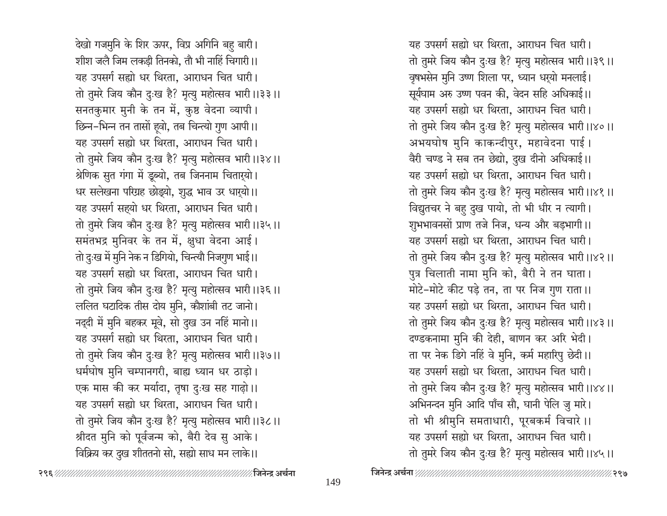देखो गजमुनि के शिर ऊपर, विप्र अगिनि बहु बारी। शीश जलै जिम लकड़ी तिनको, तौ भी नाहिं चिगारी।। यह उपसर्ग सह्यो धर थिरता, आराधन चित धारी। तो तुमरे जिय कौन दुःख है? मृत्यु महोत्सव भारी ।।३३ ।। सनतकुमार मुनी के तन में, कुष्ठ वेदना व्यापी। छिन्न-भिन्न तन तासों हूवो, तब चिन्त्यो गुण आपी।। यह उपसर्ग सह्यो धर थिरता, आराधन चित धारी। तो तुमरे जिय कौन दुःख है? मृत्यु महोत्सव भारी ।।३४।। श्रेणिक सुत गंगा में डूब्यो, तब जिननाम चिताऱ्यो। धर सलेखना परिग्रह छोड़्यो, शुद्ध भाव उर धार्यो।। यह उपसर्ग सहयो धर थिरता, आराधन चित धारी। तो तुमरे जिय कौन दुःख है? मृत्यु महोत्सव भारी ।।३५।। समंतभद्र मुनिवर के तन में, क्षुधा वेदना आई। तो दुःख में मुनि नेक न डिगियो, चिन्त्यौ निजगुण भाई।। यह उपसर्ग सह्यो धर थिरता. आराधन चित धारी। तो तुमरे जिय कौन दुःख है? मृत्यु महोत्सव भारी ।।३६ ।। ललित घटादिक तीस दोय मुनि, कौशांबी तट जानो। नद्दी में मुनि बहकर मूवे, सो दुख उन नहिं मानो।। यह उपसर्ग सह्यो धर थिरता, आराधन चित धारी। तो तुमरे जिय कौन दुःख है? मृत्यु महोत्सव भारी ।।३७।। धर्मघोष मुनि चम्पानगरी, बाह्य ध्यान धर ठाड़ो। एक मास की कर मर्यादा, तृषा दुःख सह गाढ़ो।। यह उपसर्ग सह्यो धर थिरता, आराधन चित धारी। तो तुमरे जिय कौन दुःख है? मृत्यु महोत्सव भारी ।।३८।। श्रीदत मुनि को पूर्वजन्म को, बैरी देव सु आके। विक्रिय कर दुख शीततनो सो, सह्यो साध मन लाके।।

यह उपसर्ग सह्यो धर थिरता, आराधन चित धारी। तो तुमरे जिय कौन दुःख है? मृत्यु महोत्सव भारी ।।३९ ।। वृषभसेन मुनि उष्ण शिला पर, ध्यान धर्यो मनलाई। सूर्यघाम अरु उष्ण पवन की, वेदन सहि अधिकाई।। यह उपसर्ग सह्यो धर थिरता, आराधन चित धारी। तो तुमरे जिय कौन दुःख है? मृत्यु महोत्सव भारी ।।४० ।। अभयघोष मुनि काकन्दीपुर, महावेदना पाई। वैरी चण्ड ने सब तन छेद्यो, दुख दीनो अधिकाई।। यह उपसर्ग सह्यो धर थिरता, आराधन चित धारी। तो तुमरे जिय कौन दुःख है? मृत्यु महोत्सव भारी ।।४१ ।। विद्युतचर ने बहु दुख पायो, तो भी धीर न त्यागी। शुभभावनसों प्राण तजे निज, धन्य और बड़भागी।। यह उपसर्ग सह्यो धर थिरता, आराधन चित धारी। तो तुमरे जिय कौन दुःख है? मृत्यु महोत्सव भारी।।४२।। पुत्र चिलाती नामा मुनि को, बैरी ने तन घाता। मोटे-मोटे कीट पड़े तन, ता पर निज गुण राता।। यह उपसर्ग सह्यो धर थिरता, आराधन चित धारी। तो तुमरे जिय कौन दुःख है? मृत्यु महोत्सव भारी।।४३।। दण्डकनामा मुनि की देही, बाणन कर अरि भेदी। ता पर नेक डिगे नहिं वे मुनि, कर्म महारिपु छेदी।। यह उपसर्ग सह्यो धर थिरता, आराधन चित धारी। तो तुमरे जिय कौन दुःख है? मृत्यु महोत्सव भारी ।।४४।। अभिनन्दन मुनि आदि पाँच सौ, घानी पेलि जु मारे। तो भी श्रीमुनि समताधारी, पूरबकर्म विचारे ।। यह उपसर्ग सह्यो धर थिरता, आराधन चित धारी। तो तुमरे जिय कौन दुःख है? मृत्यु महोत्सव भारी ।।४५।।

235 ГИНИНИНИНИНИНИНИНИНИНИНИН ∕ जिनेन्द्र अर्चना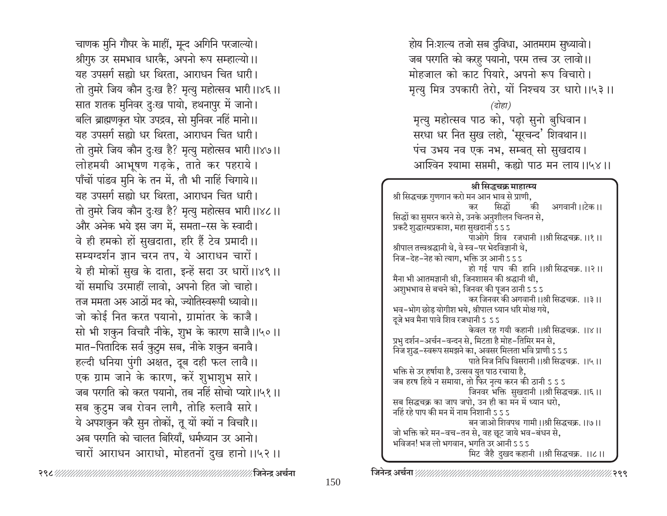चाणक मुनि गौघर के माहीं, मून्द अगिनि परजाल्यो। श्रीगुरु उर समभाव धारकै, अपनो रूप सम्हाल्यो।। यह उपसर्ग सह्यो धर थिरता, आराधन चित धारी। तो तुमरे जिय कौन दुःख है? मृत्यु महोत्सव भारी।।४६।। सात शतक मुनिवर दुःख पायो, हथनापुर में जानो। बलि ब्राह्मणकृत घोर उपद्रव, सो मुनिवर नहिं मानो।। यह उपसर्ग सह्यो धर थिरता. आराधन चित धारी। तो तुमरे जिय कौन दुःख है? मृत्यु महोत्सव भारी ।।४७।। लोहमयी आभूषण गढ़के, ताते कर पहराये। पाँचों पांडव मुनि के तन में, तौ भी नाहिं चिगाये।। यह उपसर्ग सह्यो धर थिरता. आराधन चित धारी। तो तुमरे जिय कौन दुःख है? मृत्यु महोत्सव भारी।।४८।। और अनेक भये इस जग में, समता-रस के स्वादी। वे ही हमको हों सुखदाता, हरि हैं टेव प्रमादी।। सम्यग्दर्शन ज्ञान चरन तप, ये आराधन चारों। ये ही मोकों सुख के दाता, इन्हें सदा उर धारों।।४९।। यों समाधि उरमाहीं लावो, अपनो हित जो चाहो। तज ममता अरु आठों मद को, ज्योतिस्वरूपी ध्यावो।। जो कोई नित करत पयानो, ग्रामांतर के काजै। सो भी शकुन विचारै नीके, शुभ के कारण साजै।।५०।। मात-पितादिक सर्व कुटुम सब, नीके शकुन बनावै। हल्दी धनिया पुंगी अक्षत, दूब दही फल लावै।। एक ग्राम जाने के कारण, करें शुभाशुभ सारे। जब परगति को करत पयानो. तब नहिं सोचो प्यारे।।५१।। सब कुटुम जब रोवन लागै, तोहि रुलावै सारे। ये अपशकुन करै सुन तोकों, तू यों क्यों न विचारै।। अब परगति को चालत बिरियाँ. धर्मध्यान उर आनो। चारों आराधन आराधो, मोहतनों दुख हानो।।५२।।

होय निःशल्य तजो सब दुविधा, आतमराम सुध्यावो। जब परगति को करह पयानो, परम तत्त्व उर लावो।। मोहजाल को काट पियारे, अपनो रूप विचारो। मृत्यु मित्र उपकारी तेरो, यों निश्चय उर धारो।।५३।।

#### (दोहा)

मृत्यु महोत्सव पाठ को, पढ़ो सुनो बुधिवान। सरधा धर नित सुख लहो, 'सूरचन्द' शिवथान।। पंच उभय नव एक नभ, सम्बत् सो सुखदाय। आश्विन श्यामा सप्तमी, कह्यो पाठ मन लाय।।५४।।

#### श्री सिद्धचक्र माहात्म्य

श्री सिद्धचक्र गुणगान करो मन आन भाव से प्राणी. की सिद्धों अगवानी ।।टेक ।। कर सिद्धों का सुमरन करने से, उनके अनुशीलन चिन्तन से, प्रकटै शुद्धात्मप्रकाश, महा सुखदानी ऽ ऽ ऽ पाओगे शिव रजधानी ।।श्री सिद्धचक्र. ।।१ ।। श्रीपाल तत्त्वश्रद्धानी थे, वे स्व-पर भेदविज्ञानी थे, निज-देह-नेह को त्याग, भक्ति उर आनी ऽ ऽ ऽ हो गई पाप की हानि ।।श्री सिद्धचक्र. ।।२।। मैना भी आतमज्ञानी थी, जिनशासन की श्रद्धानी थी, अशुभभाव से बचने को, जिनवर की पूजन ठानी ऽ ऽ ऽ कर जिनवर की अगवानी।।श्री सिद्धचक्र. ।।३।। भव-भोग छोड योगीश भये, श्रीपाल ध्यान धरि मोक्ष गये, दूजे भव मैना पावे शिव रजधानी ऽ ऽऽ केवल रह गयी कहानी ।।श्री सिद्धचक्र. ।।४।। प्रभु दर्शन-अर्चन-वन्दन से, मिटता है मोह-तिमिर मन से, निज शुद्ध-स्वरूप समझने का, अवसर मिलता भवि प्राणी ऽ ऽ ऽ पाते निज निधि विसरानी ।।श्री सिद्धचक्र. ।।५।। भक्ति से उर हर्षाया है, उत्सव युत पाठ रचाया है, जब हरष हिये न समाया, तो फिर नृत्य करन की ठानी ऽ ऽ ऽ जिनवर भक्ति सुखदानी ।।श्री सिद्धचक्र.।।६।। सब सिद्धचक्र का जाप जपो, उन ही का मन में ध्यान धरो, नहिं रहे पाप की मन में नाम निशानी ऽ ऽ ऽ बन जाओ शिवपथ गामी ।।श्री सिद्धचक्र. ।।७।। जो भक्ति करे मन-वच-तन से, वह छूट जाये भव-बंधन से, भविजन! भज लो भगवान, भगति उर आनी ऽ ऽ ऽ मिट जैहै दुखद कहानी ।।श्री सिद्धचक्र. ।।८।।

⁄∕.२९९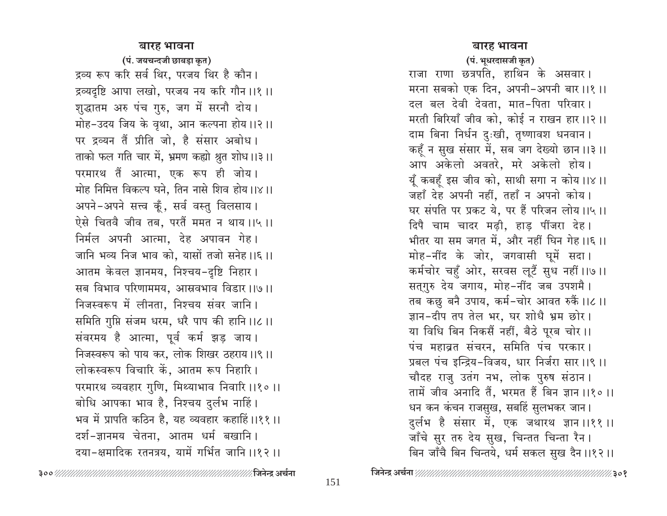#### बारह भावना

(पं. जयचन्दजी छाबड़ा कृत) द्रव्य रूप करि सर्व थिर, परजय थिर है कौन। द्रव्यदृष्टि आपा लखो, परजय नय करि गौन ।।१ ।। शुद्धातम अरु पंच गुरु, जग में सरनौ दोय। मोह-उदय जिय के वृथा, आन कल्पना होय ।।२।। पर द्रव्यन तैं प्रीति जो, है संसार अबोध। ताको फल गति चार में, भ्रमण कह्यो श्रुत शोध।।३।। परमारथ तैं आत्मा, एक रूप ही जोय। मोह निमित्त विकल्प घने, तिन नासे शिव होय।।४।। अपने-अपने सत्त्व कूँ, सर्व वस्तु विलसाय। ऐसे चितवै जीव तब, परतैं ममत न थाय ।।५ ।। निर्मल अपनी आत्मा. देह अपावन गेह। जानि भव्य निज भाव को, यासों तजो सनेह।।६।। आतम केवल ज्ञानमय, निश्चय-दृष्टि निहार। सब विभाव परिणाममय, आस्रवभाव विडार।।७।। निजस्वरूप में लीनता, निश्चय संवर जानि। समिति गुप्ति संजम धरम, धरै पाप की हानि।।८।। संवरमय है आत्मा, पूर्व कर्म झड़ जाय। निजस्वरूप को पाय कर, लोक शिखर ठहराय।।९।। लोकस्वरूप विचारि कें, आतम रूप निहारि। परमारथ व्यवहार गुणि, मिथ्याभाव निवारि ।।१० ।। बोधि आपका भाव है, निश्चय दुर्लभ नाहिं। भव में प्रापति कठिन है, यह व्यवहार कहाहिं।।११।। दर्श-ज्ञानमय चेतना, आतम धर्म बखानि। दया-क्षमादिक रतनत्रय, यामें गर्भित जानि ।।१२ ।।

#### बारह भावना

(पं. भूधरदासजी कृत)

राजा राणा छत्रपति, हाथिन के असवार। मरना सबको एक दिन, अपनी-अपनी बार।।१।। दल बल देवी देवता, मात-पिता परिवार। मरती बिरियाँ जीव को, कोई न राखन हार ।।२ ।। दाम बिना निर्धन दुःखी, तृष्णावश धनवान । कहूँ न सुख संसार में, सब जग देख्यो छान ।।३ ।। आप अकेलो अवतरे, मरे अकेलो होय। यूँ कबहुँ इस जीव को, साथी सगा न कोय ।।४।। जहाँ देह अपनी नहीं, तहाँ न अपनो कोय। घर संपति पर प्रकट ये, पर हैं परिजन लोय।।५।। दिपै चाम चादर मढ़ी, हाड़ पींजरा देह। भीतर या सम जगत में, और नहीं घिन गेह।।६।। मोह-नींद के जोर, जगवासी घूमें सदा। कर्मचोर चहुँ ओर, सरवस लूटैं सुध नहीं ।।७ ।। सत्गुरु देय जगाय, मोह-नींद जब उपशमै। तब कछु बनै उपाय, कर्म-चोर आवत रुकैं ।।८।। ज्ञान-दीप तप तेल भर, घर शोधै भ्रम छोर। या विधि बिन निकसैं नहीं, बैठे पूरब चोर ।। पंच महाव्रत संचरन, समिति पंच परकार। प्रबल पंच इन्द्रिय-विजय, धार निर्जरा सार ।।९ ।। चौदह राजु उतंग नभ, लोक पुरुष संठान। तामें जीव अनादि तैं, भरमत हैं बिन ज्ञान ।।१० ।। धन कन कंचन राजसुख, सबहिं सुलभकर जान। दुर्लभ है संसार में, एक जथारथ ज्ञान।।११।। जाँचे सुर तरु देय सुख, चिन्तत चिन्ता रैन । बिन जाँचै बिन चिन्तये, धर्म सकल सुख दैन ।।१२।।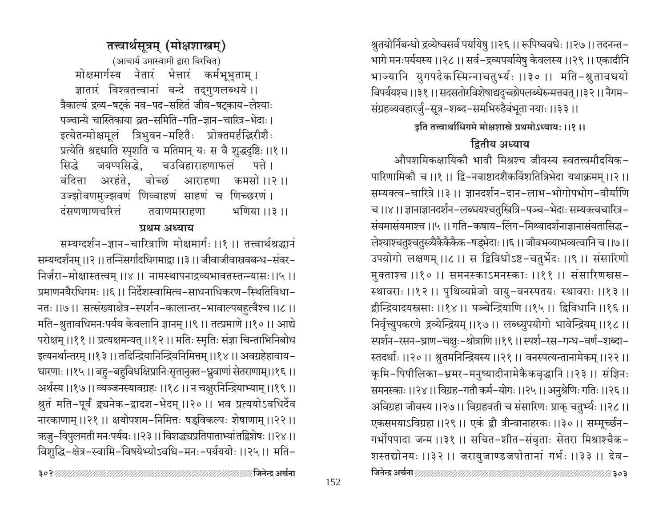प्रमाणनयैरधिगमः ।।६ ।। निर्देशस्वामित्व-साधनाधिकरण-स्थितिविधा-नतः ।।७।। सत्संख्याक्षेत्र-स्पर्शन-कालान्तर-भावाल्पबहुत्वैश्च ।।८।। मति-श्रुतावधिमनःपर्यय केवलानि ज्ञानम् ।।९ ।। तत्प्रमाणे ।।१० ।। आद्ये परोक्षम् ।।११ ।। प्रत्यक्षमन्यत् ।।१२ ।। मतिः स्मृतिः संज्ञा चिन्ताभिनिबोध इत्यनर्थान्तरम् ।।१३ ।। तदिन्द्रियानिन्द्रियनिमित्तम् ।।१४ ।। अवग्रहेहावाय-धारणाः ।।१५ ।। बहु-बहुविधक्षिप्रानिःसृतानुक्त-ध्रुवाणां सेतराणाम्।।१६ ।। अर्थस्य ।।१७।। व्यञ्जनस्यावग्रहः ।।१८।। न चक्षुरनिन्द्रियाभ्याम् ।।१९।। श्नुतं मति-पूर्वं द्व्यनेक-द्वादश-भेदम् ।।२० ।। भव प्रत्ययोऽवधिर्देव नारकाणाम् ।।२१ ।। क्षयोपशम–निमित्तः षड्विकल्पः शेषाणाम् ।।२२ ।। ऋजु–विपुलमती मनःपर्ययः ।।२३ ।। विशद्ध्यप्रतिपाताभ्यां तद्विशेषः ।।२४ ।। विशुद्धि-क्षेत्र-स्वामि-विषयेभ्योऽवधि-मनः-पर्यययोः ।।२५ ।। मति-

पञ्चान्ये चास्तिकाया व्रत-समिति-गति-ज्ञान-चारित्र-भेदाः । इत्येतन्मोक्षमूलं त्रिभुवन-महितैः प्रोक्तमर्हन्द्रिरीशैः प्रत्येति श्रद्दधाति स्पृशति च मतिमान् यः स वै शुद्धदृष्टिः ।।१ ।। चउविहाराहणाफलं पत्ते। जयप्पसिद्धे. सिद्धे वंदित्ता अरहंते. वोच्छं आराहणा कमसो।।२।। उज्झोवणमुज्झवणं णिव्वाहणं साहणं च णिच्छरणं। दंसणणाणचरित्तं भणिया ।।३ ।। तवाणमाराहणा

पथम अध्याय

सम्यग्दर्शनम् ।।२ ।। तन्निसर्गादधिगमाद्वा ।।३ ।। जीवाजीवास्रवबन्ध-संवर-

निर्जरा-मोक्षास्तत्त्वम् ।।४।। नामस्थापनाद्रव्यभावतस्तन्न्यासः।।५।।

सम्यग्दर्शन-ज्ञान-चारित्राणि मोक्षमार्गः ।।१ ।। तत्त्वार्थश्रद्धानं

(आचार्य उमास्वामी द्वारा विरचित) मोक्षमार्गस्य नेतारं भेत्तारं कर्मभूभृताम् । ज्ञातारं विश्वतत्त्वानां वन्दे तद्गुणलब्धये ।। त्रैकाल्यं द्रव्य-षट्कं नव-पद-सहितं जीव-षट्काय-लेश्याः

# तत्त्वार्थसूत्रम् (मोक्षशास्त्रम्)

श्रुतयोर्निबन्धो द्रव्येष्वसर्व पर्यायेषु ।।२६ ।। रूपिष्ववधेः ।।२७ ।। तदनन्त– भागे मनःपर्ययस्य ।।२८।। सर्व-द्रव्यपर्यायेषु केवलस्य ।।२९।। एकादीनि भाज्यानि युगपदेकस्मिन्नाचतुर्भ्यः ।।३० ।। मति-श्रुतावधयो विपर्ययश्च ।।३१ ।। सदसतोरविशेषाद्यदृच्छोपलब्धेरुन्मत्तवत् ।।३२ ।। नैगम-संग्रहव्यवहारर्जु-सूत्र-शब्द-समभिरुढैवंभूता नयाः ।।३३ ।।

इति तत्त्वार्थाधिगमे मोक्षशास्त्रे प्रथमोऽध्यायः ।।१।।

# द्रितीय अध्याय

औपशमिकक्षायिकौ भावौ मिश्रश्च जीवस्य स्वतत्त्वमौदयिक-पारिणामिकौ च ।।१ ।। द्वि-नवाष्टादशैकविंशतित्रिभेदा यथाक्रमम् ।।२ ।। सम्यक्त्व-चारित्रे ।।३ ।। ज्ञानदर्शन-दान-लाभ-भोगोपभोग-वीर्याणि च ।।४ ।। ज्ञानाज्ञानदर्शन-लब्धयश्चतुस्त्रित्रि-पञ्च-भेदाः सम्यक्त्वचारित्र-संयमासंयमाश्च ।।५ ।। गति-कषाय-लिंग-मिथ्यादर्शनाज्ञानासंयतासिद्ध-लेश्याश्चतुश्चतुस्त्र्यैकैकैकेक-षड्भेदाः ।।६ ।। जीवभव्याभव्यत्वानि च ।।७।। उपयोगो लक्षणम् ।।८ ।। स द्विविधोऽष्ट-चतुर्भेदः ।।९ ।। संसारिणो मुक्ताश्च ।।१० ।। समनस्काऽमनस्काः ।।११ ।। संसारिणस्त्रस-स्थावराः ।।१२ ।। पृथिव्यप्तेजो वायु-वनस्पतयः स्थावराः ।।१३ ।। द्वीन्द्रियादयस्त्रसाः ।।१४।। पञ्चेन्द्रियाणि ।।१५।। द्विविधानि ।।१६।। निर्वृत्त्युपकरणे द्रव्येन्द्रियम् ।।१७।। लब्ध्युपयोगो भावेन्द्रियम् ।।१८।। स्पर्शन-रसन-घ्राण-चक्षुः-श्रोत्राणि ।।१९ ।। स्पर्श-रस-गन्ध-वर्ण-शब्दा-स्तदर्थाः ।।२० ।। श्रुतमनिन्द्रियस्य ।।२१ ।। वनस्पत्यन्तानामेकम् ।।२२ ।। कृमि-पिपीलिका-भ्रमर-मनुष्यादीनामेकैकवृद्धानि ।।२३ ।। संज्ञिनः समनस्काः ।।२४।। विग्रह-गतौ कर्म-योगः ।।२५।। अनुश्रेणिः गतिः ।।२६।। अविग्रहा जीवस्य ।।२७।। विग्रहवती च संसारिणः प्राक् चतुर्भ्यः ।।२८।। एकसमयाऽविग्रहा ।।२९।। एकं द्वौ त्रीन्वानाहरकः ।।३०।। सम्मूर्च्छन-गर्भोपपादा जन्म ।।३१ ।। सचित-शीत-संवृताः सेतरा मिश्राश्चैक-शस्तद्योनयः ।।३२ ।। जरायुजाण्डजपोतानां गर्भः ।।३३ ।। देव-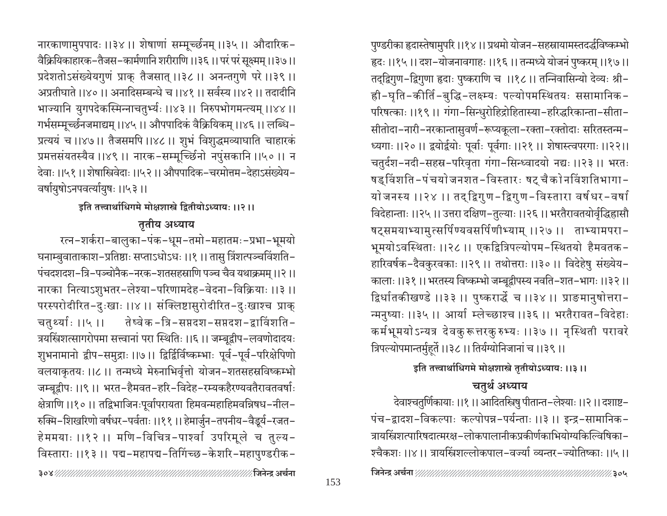153

नारकाणामुपपादः ।।३४ ।। शेषाणां सम्मूच्छनम् ।।३५ ।। औदारिक-वैक्रियिकाहारक–तैजस–कार्मणानि शरीराणि ।।३६ ।। परं परं सूक्ष्मम् ।।३७।। प्रदेशतोऽसंख्येयगुणं प्राक् तैजसात् ।।३८ ।। अनन्तगुणे परे ।।३९ ।। अप्रतीघाते ।।४० ।। अनादिसम्बन्धे च ।।४१ ।। सर्वस्य ।।४२ ।। तदादीनि भाज्यानि युगपदेकस्मिन्नाचतुर्भ्यः ।।४३ ।। निरुपभोगमन्त्यम् ।।४४ ।। गर्भसम्मूर्च्छनजमाद्यम् ।।४५।। औपपादिकं वैक्रियिकम् ।।४६।। लब्धि-प्रत्ययं च ।।४७।। तैजसमपि।।४८।। शुभं विशुद्धमव्याघाति चाहारकं प्रमत्तसंयतस्यैव ।।४९ ।। नारक-सम्मूच्छिंनो नपुंसकानि ।।५० ।। न देवाः ।।५१ ।। शेषास्त्रिवेदाः ।।५२ ।। औपपादिक-चरमोत्तम-देहाऽसंख्येय-वर्षायुषोऽनपवर्त्यायुषः ।।५३।।

इति तत्त्वार्थाधिगमे मोक्षशास्त्रे द्वितीयोऽध्यायः ।।२।।

# तृतीय अध्याय

रत्न-शर्करा-बालुका-पंक-धूम-तमो-महातमः-प्रभा-भूमयो घनाम्बुवाताकाश-प्रतिष्ठाः सप्ताऽधोऽधः ।।१ ।। तासु त्रिंशत्पञ्चविंशति-पंचदशदश-त्रि-पञ्चोनैक-नरक-शतसहस्राणि पञ्च चैव यथाक्रमम् ।।२।। नारका नित्याऽशुभतर-लेश्या-परिणामदेह-वेदना-विक्रियाः ।।३ ।। परस्परोदीरित-दुःखाः ।।४ ।। संक्लिष्टासुरोदीरित-दुःखाश्च प्राक् चतुर्थ्याः ।।५ ।। तेष्वेक -त्रि-सप्तदश-सप्तदश-द्वाविंशति-त्रयस्त्रिंशत्सागरोपमा सत्त्वानां परा स्थितिः ।।६ ।। जम्बूद्वीप-लवणोदादयः शुभनामानो द्वीप-समुद्राः ।।७ ।। द्विर्द्विर्विष्कम्भाः पूर्व-पूर्व-परिक्षेपिणो वलयाकृतयः ।।८।। तन्मध्ये मेरुनाभिर्वृत्तो योजन-शतसहस्रविष्कम्भो जम्बूद्वीपः ।।९ ।। भरत-हैमवत-हरि-विदेह-रम्यकहैरण्यवतैरावतवर्षाः क्षेत्राणि ।।१०।। तद्विभाजिनःपूर्वापरायता हिमवन्महाहिमवन्निषध-नील-रुक्मि-शिखरिणो वर्षधर-पर्वताः ।।११ ।। हेमार्जुन-तपनीय-वैडूर्य-रजत-हेममयाः ।।१२ ।। मणि-विचित्र-पाश्वा उपरिमूले च तुल्य-विस्ताराः ।।१३ ।। पद्म-महापद्म-तिर्गिच्छ-केशरि-महापुण्डरीक-

पुण्डरीका हृदास्तेषामुपरि ।।१४ ।। प्रथमो योजन-सहस्रायामस्तदर्द्धविष्कम्भो हृदः ।।१५ ।। दश-योजनावगाहः ।।१६ ।। तन्मध्ये योजनं पुष्करम् ।।१७ ।। तद्द्विगुण-द्विगुणा हृदाः पुष्कराणि च ।।१८।। तन्निवासिन्यो देव्यः श्री-ह्री-घृति-कीर्ति-बुद्धि-लक्ष्म्यः पल्योपमस्थितयः ससामानिक-परिषत्काः ।।१९ ।। गंगा-सिन्धुरोहिद्रोहितास्या-हरिद्धरिकान्ता-सीता-सीतोदा-नारी-नरकान्तासुवर्ण-रूप्यकूला-रक्ता-रक्तोदाः सरितस्तन्म-ध्यगाः ।।२० ।। द्वयोर्द्वयोः पूर्वाः पूर्वगाः ।।२१ ।। शेषास्त्वपरगाः ।।२२।। चतुर्दश-नदी-सहस्र-परिवृता गंगा-सिन्ध्वादयो नद्यः ।।२३ ।। भरतः षड्विंशति-पंचयोजनशत-विस्तारः षट् चैकोनविंशतिभागा-योजनस्य ।।२४ ।। तद्द्विगुण-द्विगुण-विस्तारा वर्षधर-वर्षा विदेहान्ताः ।।२५ ।। उत्तरा दक्षिण-तुल्याः ।।२६ ।। भरतैरावतयोर्वृद्धिहासौ षट्समयाभ्यामुत्सर्पिण्यवसर्पिणीभ्याम् ।।२७ ।। ताभ्यामपरा-भूमयोऽवस्थिताः ।।२८ ।। एकद्वित्रिपल्योपम-स्थितयो हैमवतक-हारिवर्षक-दैवकुरवकाः ।।२९।। तथोत्तराः ।।३०।। विदेहेषु संख्येय-कालाः ।।३१।। भरतस्य विष्कम्भो जम्बूद्वीपस्य नवति-शत-भागः ।।३२।। द्विर्धातकीखण्डे ।।३३ ।। पुष्करार्द्धे च ।।३४ ।। प्राङमानुषोत्तरा-न्मनुष्याः ।।३५ ।। आर्या म्लेच्छाश्च ।।३६ ।। भरतैरावत-विदेहाः कर्मभूमयोऽन्यत्र देवकुरूत्तरकुरुभ्यः ।।३७ ।। नृस्थिती परावरे त्रिपल्योपमान्तर्मुहूर्ते ।।३८ ।। तिर्यग्योनिजानां च ।।३९ ।।

# इति तत्त्वार्थाधिगमे मोक्षशास्त्रे तृतीयोऽध्यायः ।।३।।

# चतुर्थ अध्याय

देवाश्चतुर्णिकायाः ।।१ ।। आदितस्त्रिषु पीतान्त-लेश्याः ।।२ ।। दशाष्ट-पंच-द्वादश-विकल्पाः कल्पोपन्न-पर्यन्ताः ।।३ ।। इन्द्र-सामानिक-त्रायस्त्रिंशत्पारिषदात्मरक्ष-लोकपालानीकप्रकीर्णकाभियोग्यकिल्विषिका-श्चैकशः ।।४।। त्रायस्त्रिंशल्लोकपाल-वर्ज्या व्यन्तर-ज्योतिष्काः ।।५।।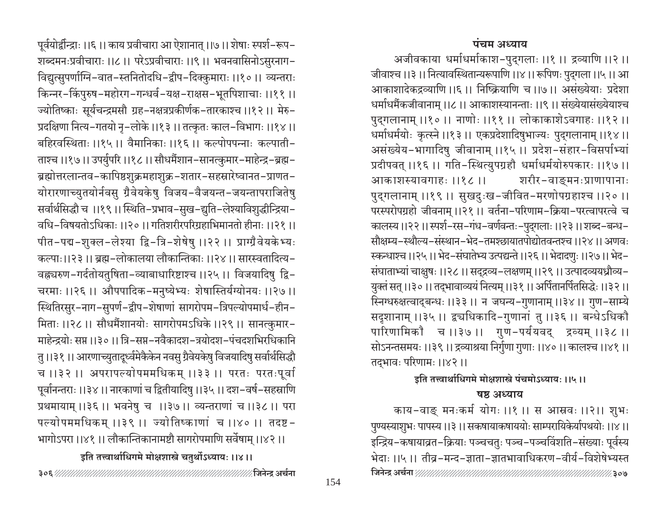शब्दमनःप्रवीचाराः ।।८ ।। परेऽप्रवीचाराः ।।९ ।। भवनवासिनोऽसुरनाग-विद्युत्सुपर्णाग्नि-वात-स्तनितोदधि-द्वीप-दिक्कुमाराः ।।१० ।। व्यन्तराः किन्नर-किंपुरुष-महोरग-गन्धर्व-यक्ष-राक्षस-भूतपिशाचाः ।।११ ।। ज्योतिष्काः सूर्यचन्द्रमसौ ग्रह–नक्षत्रप्रकीर्णक–तारकाश्च ।।१२ ।। मेरु– प्रदक्षिणा नित्य-गतयो नृ-लोके ।।१३।। तत्कृतः काल-विभागः ।।१४।। बहिरवस्थिताः ।।१५ ।। वैमानिकाः ।।१६ ।। कल्पोपपन्नाः कल्पाती-ताश्च ।।१७।। उपर्युपरि ।।१८।। सौधर्मैशान-सानत्कुमार-माहेन्द्र-ब्रह्म-ब्रह्मोत्तरलान्तव-कापिष्ठशुक्रमहाशुक्र-शतार-सहस्रारेष्वानत-प्राणत-योरारणाच्युतयोर्नवसु ग्रैवेयकेषु विजय-वैजयन्त-जयन्तापराजितेषु सर्वार्थसिद्धौ च ।।१९।। स्थिति-प्रभाव-सुख-द्युति-लेश्याविशुद्धीन्द्रिया-वधि-विषयतोऽधिकाः ।।२० ।। गतिशरीरपरिग्रहाभिमानतो हीनाः ।।२१ ।। पीत-पद्म-शुक्ल-लेश्या द्वि-त्रि-शेषेषु ।।२२ ।। प्राग्ग्रैवेयकेभ्यः कल्पा:।।२३॥ ब्रह्म-लोकालया लौकान्तिका:॥२४॥ सारस्वतादित्य-वह्न्यरुण-गर्दतोयतुषिता-व्याबाधारिष्टाश्च ।।२५ ।। विजयादिषु द्वि-चरमाः ।।२६ ।। औपपादिक-मनुष्येभ्यः शेषास्तिर्यग्योनयः ।।२७।। स्थितिरसुर-नाग-सुपर्ण-द्वीप-शेषाणां सागरोपम-त्रिपल्योपमार्ध-हीन-मिताः ।।२८ ।। सौधर्मैशानयोः सागरोपमऽधिके ।।२९ ।। सानत्कुमार-माहेन्द्रयोः सप्त ।।३० ।। त्रि-सप्त-नवैकादश-त्रयोदश-पंचदशभिरधिकानि तु ।।३१ ।। आरणाच्युतादूर्ध्वमेकैकेन नवसु ग्रैवेयकेषु विजयादिषु सर्वार्थसिद्धौ च ।।३२ ।। अपरापल्योपममधिकम् ।।३३ ।। परतः परतःपूर्वा पूर्वानन्तराः ।।३४।। नारकाणां च द्वितीयादिषु ।।३५।। दश–वर्ष-सहस्राणि प्रथमायाम् ।।३६ ।। भवनेषु च ।।३७।। व्यन्तराणां च ।।३८ ।। परा पल्योपममधिकम् ।।३९ ।। ज्योतिष्काणां च ।।४० ।। तदष्ट-भागोऽपरा ।।४१ ।। लौकान्तिकानामष्टौ सागरोपमाणि सर्वेषाम् ।।४२ ।। इति तत्त्वार्थाधिगमे मोक्षशास्त्रे चतुर्थोऽध्यायः ।।४।। 

पूर्वयोर्द्वीन्द्राः ।।६ ।। काय प्रवीचारा आ ऐशानात् ।।७ ।। शेषाः स्पर्श-रूप-

पंचम अध्याय

अजीवकाया धर्माधर्माकाश-पुद्गलाः ।।१ ।। द्रव्याणि ।।२ ।। जीवाश्च ।।३ ।। नित्यावस्थितान्यरूपाणि ।।४ ।। रूपिणः पुद्गला ।।५ ।। आ आकाशादेकद्रव्याणि ।।६ ।। निष्क्रियाणि च ।।७।। असंख्येयाः प्रदेशा धर्माधर्मैकजीवानाम् ।।८ ।। आकाशस्यानन्ताः ।।९ ।। संख्येयासंख्येयाश्च पुद्गलानाम् ।।१० ।। नाणोः ।।११ ।। लोकाकाशेऽवगाहः ।।१२ ।। धर्माधर्मयोः कृत्स्ने ।।१३।। एकप्रदेशादिषुभाज्यः पुद्गलानाम् ।।१४।। असंख्येय-भागादिषु जीवानाम् ।।१५ ।। प्रदेश-संहार-विसर्पाभ्यां प्रदीपवत् ।।१६ ।। गति-स्थित्युपग्रहौ धर्माधर्मयोरुपकारः ।।१७ ।। आकाशस्यावगाहः ।।१८ ।। शरीर-वाङ्मनःप्राणापानाः पुद्गलानाम् ।।१९ ।। सुखदुःख-जीवित-मरणोपग्रहाश्च ।।२० ।। परस्परोपग्रहो जीवनाम् ।।२१ ।। वर्तना-परिणाम-क्रिया-परत्वापरत्वे च कालस्य ।।२२ ।। स्पर्श–रस–गंध–वर्णवन्तः–पुद्गलाः ।।२३ ।। शब्द–बन्ध– सौक्षम्य-स्थौल्य-संस्थान-भेद-तमश्छायातपोद्योतवन्तश्च ।।२४ ।। अणवः स्कन्धाश्च ।।२५ ।। भेद-संघातेभ्य उत्पद्यन्ते ।।२६ ।। भेदादणुः ।।२७ ।। भेद-संघाताभ्यां चाक्षुषः ।।२८ ।। सद्द्रव्य-लक्षणम् ।।२९ ।। उत्पादव्ययध्रौव्य-युक्तं सत् ।।३० ।। तद्भावाव्ययं नित्यम् ।।३१ ।। अर्पितानर्पितसिद्धेः ।।३२ ।। स्निग्धरुक्षत्वाद्बन्धः ।।३३ ।। न जघन्य-गुणानाम् ।।३४ ।। गुण-साम्ये सदृशानाम् ।।३५ ।। द्वचधिकादि-गुणानां तु ।।३६ ।। बन्धेऽधिकौ पारिणामिकौ च ।।३७ ।। गुण-पर्ययवद् द्रव्यम् ।।३८ ।। सोऽनन्तसमयः ।।३९।। द्रव्याश्रया निर्गुणा गुणाः ।।४०।। कालश्च ।।४१।। तद्भावः परिणामः ।।४२।।

इति तत्त्वार्थाधिगमे मोक्षशास्त्रे पंचमोऽध्यायः ।।५।।

#### षष्ठ अध्याय

काय-वाङ् मनःकर्म योगः ।।१ ।। स आस्रवः ।।२।। शुभः पुण्यस्याशुभः पापस्य ।।३ ।। सकषायाकषाययोः साम्परायिकेर्यापथयोः ।।४ ।। इन्द्रिय–कषायाव्रत–क्रियाः पञ्चचतुः पञ्च–पञ्चविंशति–संख्याः पूर्वस्य भेदाः ।।५ ।। तीव्र-मन्द-ज्ञाता-ज्ञातभावाधिकरण-वीर्य-विशेषेभ्यस्त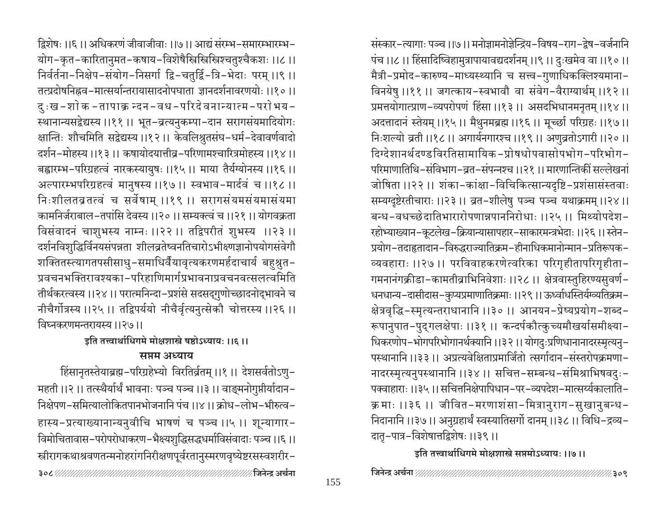द्विशेषः ।।६ ।। अधिकरणं जीवाजीवाः ।।७ ।। आद्यं संरम्भ-समारम्भारम्भ-योग–कृत–कारितानुमत–कषाय–विशेषैस्त्रिस्त्रिस्त्रिश्चतुश्चैकशः ।।८ ।। निर्वर्तना-निक्षेप-संयोग-निसर्गा द्वि-चतुर्द्वि-त्रि-भेदाः परम् ।।९ ।। तत्प्रदोषनिह्नव-मात्सर्यान्तरायासादनोपघाता ज्ञानदर्शनावरणयोः ।।१०।। दुःख-शोक-तापाक्र न्दन-वध-परिदेवनान्यात्म-परोभय-स्थानान्यसद्वेद्यस्य ।।११ ।। भूत-व्रत्यनुकम्पा-दान सरागसंयमादियोगः क्षान्तिः शौचमिति सद्वेद्यस्य ।।१२ ।। केवलिश्नुतसंघ-धर्म-देवावर्णवादो दर्शन-मोहस्य ।।१३।। कषायोदयात्तीव्र-परिणामश्चारित्रमोहस्य ।।१४।। बह्वारम्भ-परिग्रहत्वं नारकस्यायुषः ।।१५ ।। माया तैर्यग्योनस्य ।।१६ ।। अल्पारम्भपरिग्रहत्वं मानुषस्य ।।१७।। स्वभाव-मार्दवं च ।।१८।। निःशीलतव्रतत्वं च सर्वेषाम् ।।१९ ।। सरागसंयमसंयमासंयमा कामनिर्जराबाल-तपांसि देवस्य ।।२०।। सम्यक्त्वं च ।।२१।। योगवक्रता विसंवादनं चाशुभस्य नाम्नः ।।२२ ।। तद्विपरीतं शुभस्य ।।२३ ।। दर्शनविशुद्धिर्विनयसंपन्नता शीलव्रतेष्वनतिचारोऽभीक्ष्णज्ञानोपयोगसंवेगौ शक्तितस्त्यागतपसीसाधु-समाधिर्वैयावृत्यकरणमर्हदाचार्य बहुश्रुत-प्रवचनभक्तिरावश्यका-परिहाणिमार्गप्रभावनाप्रवचनवत्सलत्वमिति तीर्थकरत्वस्य ।।२४ ।। परात्मनिन्दा-प्रशंसे सदसद्गुणोच्छादनोद्भावने च नीचैर्गोत्रस्य ।।२५ ।। तद्विपर्ययो नीचैर्वृत्यनुत्सेकौ चोत्तरस्य ।।२६ ।। विघ्नकरणमन्तरायस्य ।।२७।।

इति तत्त्वार्थाधिगमे मोक्षशास्त्रे षष्ठोऽध्यायः ।।६।।

# सप्तम अध्याय

हिंसानृतस्तेयाब्रह्म-परिग्रहेभ्यो विरतिर्व्रतम् ।।१ ।। देशसर्वतोऽणु-महती ।।२ ।। तत्स्थैर्यार्थं भावनाः पञ्च पञ्च ।।३ ।। वाङ्मनोगुप्तीर्यादान-निक्षेपण-समित्यालोकितपानभोजनानि पंच ।।४।। क्रोध-लोभ-भीरुत्व-हास्य-प्रत्याख्यानान्यनुवीचि भाषणं च पञ्च ।।५ ।। शून्यागार-विमोचितावास-परोपरोधाकरण-भैक्ष्यशुद्धिसद्धधर्माविसंवादाः पञ्च ।।६ ।। स्त्रीरागकथाश्रवणतन्मनोहरांगनिरीक्षणपूर्वरतानुस्मरणवृष्येष्टरसस्वशरीर-

संस्कार-त्यागाः पञ्च ।।७ ।। मनोज्ञामनोज्ञेन्द्रिय-विषय-राग-द्रेष-वर्जनानि पंच ।।८।। हिंसादिष्विहामुत्रापायावद्यदर्शनम् ।।९।। दुःखमेव वा ।।१०।। मैत्री-प्रमोद-कारुण्य-माध्यस्थ्यानि च सत्त्व-गुणाधिकक्लिश्यमाना-विनयेषु ।।११ ।। जगत्काय-स्वभावौ वा संवेग-वैराग्यार्थम् ।।१२ ।। प्रमत्तयोगात्प्राण-व्यपरोपणं हिंसा ।।१३ ।। असदभिधानमनृतम् ।।१४ ।। अदत्तादानं स्तेयम् ।।१५ ।। मैथुनमब्रह्म ।।१६ ।। मूच्छी परिग्रहः ।।१७ ।। निःशल्यो व्रती ।।१८ ।। अगार्यनगारश्च ।।१९ ।। अणुव्रतोऽगारी ।।२० ।। दिग्देशानर्थदण्डविरतिसामायिक-प्रोषधोपवासोपभोग-परिभोग-परिमाणातिथि-संविभाग-व्रत-संपन्नश्च ।।२१ ।। मारणान्तिकीं सल्लेखनां जोषिता ।।२२ ।। शंका-कांक्षा-विचिकित्सान्यदृष्टि-प्रशंसासंस्तवाः सम्यग्दृष्टेरतीचाराः ।।२३ ।। व्रत-शीलेषु पञ्च पञ्च यथाक्रमम् ।।२४ ।। बन्ध-वधच्छ्रेदातिभारारोपणान्नपाननिरोधाः ॥२५॥ मिथ्योपदेश-रहोभ्याख्यान-कूटलेख-क्रियान्यासापहार-साकारमन्त्रभेदाः ।।२६ ।। स्तेन-प्रयोग-तदाहृतादान-विरुद्धराज्यातिक्रम-हीनाधिकमानोन्मान-प्रतिरूपक-व्यवहाराः ।।२७ ।। परविवाहकरणेत्वरिका परिगृहीतापरिगृहीता-गमनानंगक्रीडा-कामतीव्राभिनिवेशाः ।।२८ ।। क्षेत्रवास्तुहिरण्यसुवर्ण-धनधान्य-दासीदास-कुप्यप्रमाणातिक्रमाः ।।२९ ।। ऊर्ध्वाधस्तिर्यग्व्यतिक्रम-क्षेत्रवृद्धि-स्मृत्यन्तराधानानि ।।३० ।। आनयन-प्रेष्यप्रयोग-शब्द-रूपानुपात-पुद्गलक्षेपाः ।।३१ ।। कन्दर्पकौत्कुच्यमौखर्यासमीक्ष्या-धिकरणोप-भोगपरिभोगानर्थक्यानि ।।३२।। योगदुःप्रणिधानानादरस्मृत्यनु-पस्थानानि ।।३३ ।। अप्रत्यवेक्षिताप्रमार्जितो त्सर्गादान-संस्तरोपक्रमणा-नादरस्मृत्यनुपस्थानानि ।।३४ ।। सचित्त-सम्बन्ध-संमिश्राभिषवदुः-पक्वाहाराः ।।३५ ।। सचित्तनिक्षेपापिधान-पर-व्यपदेश-मात्सर्य्यकालाति-क्रमाः ।।३६ ।। जीवित-मरणाशंसा-मित्रानुराग-सुखानुबन्ध-निदानानि ।।३७।। अनुग्रहार्थं स्वस्यातिसर्गो दानम् ।।३८।। विधि–द्रव्य– दातृ-पात्र-विशेषात्तद्विशेषः ।।३९।।

इति तत्त्वार्थाधिगमे मोक्षशास्त्रे सप्तमोऽध्यायः ।।७।।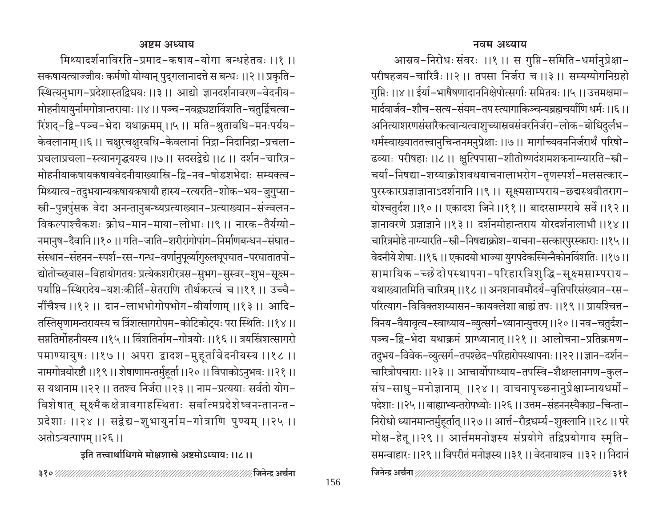आस्रव-निरोधः संवरः ।।१ ।। स गुप्ति-समिति-धर्मानुप्रेक्षा-परीषहजय-चारित्रैः ।।२ ।। तपसा निर्जरा च ।।३ ।। सम्यग्योगनिग्रहो गुप्तिः ।।४ ।। ईर्या-भाषैषणादाननिक्षेपोत्सर्गाः समितयः ।।५ ।। उत्तमक्षमा-मार्दवार्जव-शौच-सत्य-संयम-तप स्त्यागाकिञ्चन्यब्रह्मचर्याणि धर्मः ।।६।। अनित्याशरणसंसारैकत्वान्यत्वाशुच्यास्रवसंवरनिर्जरा-लोक-बोधिदुर्लभ-धर्मस्वाख्याततत्त्वानुचिन्तनमनुप्रेक्षाः ।।७।। मार्गाच्यवननिर्जरार्थं परिषो-ढव्याः परीषहाः ।।८ ।। क्षुत्पिपासा-शीतोष्णदंशमशकनाग्न्यारति-स्त्री-चर्या-निषद्या-शय्याक्रोशवधयाचनालाभरोग-तृणस्पर्श-मलसत्कार-पुरस्कारप्रज्ञाज्ञानाऽदर्शनानि ।।९ ।। सूक्ष्मसाम्पराय-छद्मस्थवीतराग-योश्चतुर्दश ।।१०।। एकादश जिने।।११।। बादरसाम्पराये सर्वे।।१२।। ज्ञानावरणे प्रज्ञाज्ञाने ।।१३ ।। दर्शनमोहान्तराय योरदर्शनालाभौ ।।१४ ।। चारित्रमोहे नाग्न्यारति–स्त्री-निषद्याक्रोश-याचना-सत्कारपुरस्काराः ।।१५ ।। वेदनीये शेषाः ।।१६ ।। एकादयो भाज्या युगपदेकस्मिन्नैकोनविंशतिः ।।१७ ।। सामायिक -च्छे दोपस्थापना-परिहारविशुद्धि-सूक्ष्मसाम्पराय-यथाख्यातमिति चारित्रम् ।।१८ ।। अनशनावमौदर्य-वृत्तिपरिसंख्यान-रस-परित्याग-विविक्तशय्यासन-कायक्लेशा बाह्यं तपः ।।१९ ।। प्रायश्चित्त-विनय-वैयावृत्य-स्वाध्याय-व्युत्सर्ग-ध्यानान्युत्तरम् ।।२० ।। नव-चतुर्दश-पञ्च-द्वि-भेदा यथाक्रमं प्राग्ध्यानात् ।।२१ ।। आलोचना-प्रतिक्रमण-तदुभय-विवेक-व्युत्सर्ग-तपश्छेद-परिहारोपस्थापनाः ।।२२ ।। ज्ञान-दर्शन-चारित्रोपचाराः ।।२३।। आचार्योपाध्याय-तपस्वि-शैक्षग्लानगण-कुल-संघ-साधु-मनोज्ञानाम् ।।२४ ।। वाचनापृच्छनानुप्रेक्षाम्नायधर्मो-पदेशाः ।।२५ ।। बाह्याभ्यन्तरोपध्योः ।।२६ ।। उत्तम-संहननस्यैकाग्र-चिन्ता-निरोधो ध्यानमान्तर्मुहूर्तात् ।।२७।। आर्त्त-रौद्रधर्म्य-शुक्लानि ।।२८।। परे मोक्ष-हेतू ।।२९ ।। आर्त्तममनोज्ञस्य संप्रयोगे तद्विप्रयोगाय स्मृति-समन्वाहारः ।।२९ ।। विपरीतं मनोज्ञस्य ।।३१ ।। वेदनायाश्च ।।३२ ।। निदानं

मिथ्यादर्शनाविरति-प्रमाद-कषाय-योगा बन्धहेतवः ।।१ ।। सकषायत्वाज्जीवः कर्मणो योग्यान् पुद्गलानादत्ते स बन्धः ।।२ ।। प्रकृति-स्थित्यनुभाग-प्रदेशास्तद्विधयः ।।३ ।। आद्यो ज्ञानदर्शनावरण-वेदनीय-मोहनीयायुर्नामगोत्रान्तरायाः ।।४ ।। पञ्च-नवद्व्यष्टाविंशति-चतुर्द्विचत्वा-रिंशद्-द्वि-पञ्च-भेदा यथाक्रमम् ।।५ ।। मति-श्रुतावधि-मनःपर्यय-केवलानाम् ।।६।। चक्षुरचक्षुरवधि-केवलानां निद्रा-निदानिद्रा-प्रचला-प्रचलाप्रचला-स्त्यानगृद्धयश्च ।।७।। सदसद्वेद्ये ।।८।। दर्शन-चारित्र-मोहनीयाकषायकषायवेदनीयाख्यास्त्रि-द्वि-नव-षोडशभेदाः सम्यक्त्व-मिथ्यात्व-तदुभयान्यकषायकषायौ हास्य-रत्यरति-शोक-भय-जुगुप्सा-स्त्री-पुन्नपुंसक वेदा अनन्तानुबन्ध्यप्रत्याख्यान-प्रत्याख्यान-संज्वलन-विकल्पाश्चैकशः क्रोध-मान-माया-लोभाः ।।९ ।। नारक-तैर्यग्यो-नमानुष-दैवानि ।।१० ।। गति-जाति-शरीरांगोपांग-निर्माणबन्धन-संघात-संस्थान-संहनन-स्पर्श-रस-गन्ध-वर्णानुपूर्व्यागुरुलघूपघात-परघातातपो-द्योतोच्छ्वास-विहायोगतयः प्रत्येकशरीरत्रस-सुभग-सुस्वर-शुभ-सूक्ष्म-पर्याप्ति-स्थिरादेय-यशःकीर्ति-सेतराणि तीर्थकरत्वं च ।।११ ।। उच्चै-र्नीचैश्च ।।१२ ।। दान-लाभभोगोपभोग-वीर्याणाम् ।।१३ ।। आदि-तस्तिसृणामन्तरायस्य च त्रिंशत्सागरोपम-कोटिकोट्यः परा स्थितिः ।।१४॥ सप्ततिर्मोहनीयस्य ।।१५ ।। विंशतिर्नाम-गोत्रयोः ।।१६ ।। त्रयस्त्रिंशत्सागरो पमाण्यायुषः ।।१७ ।। अपरा द्वादश-मुहूर्तावेदनीयस्य ।।१८ ।। नामगोत्रयोरष्टौ ।।१९।। शेषाणामन्तर्मुहूर्ता ।।२०।। विपाकोऽनुभवः ।।२१।। स यथानाम ।।२२ ।। ततश्च निर्जरा ।।२३ ।। नाम-प्रत्ययाः सर्वतो योग-विशेषात् सूक्ष्मैकक्षेत्रावगाहस्थिताः सर्वात्मप्रदेशेष्वनन्तानन्त-प्रदेशाः ।।२४ ।। सद्वेद्य-शुभायुर्नाम-गोत्राणि पुण्यम् ।।२५ ।। अतोऽन्यत्पापम् ।।२६ ।।

## इति तत्त्वार्थाधिगमे मोक्षशास्त्रे अष्टमोऽध्यायः ।।८।।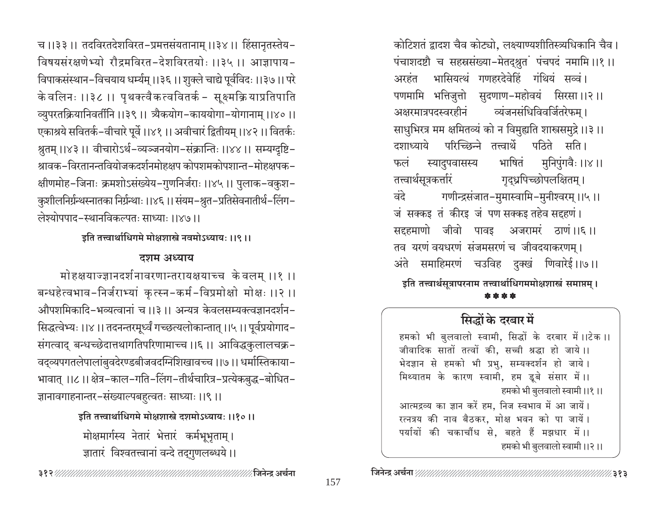च ।।३३ ।। तदविरतदेशविरत-प्रमत्तसंयतानाम् ।।३४ ।। हिंसानृतस्तेय-विषयसंरक्षणेभ्यो रौद्रमविरत-देशविरतयोः ।।३५ ।। आज्ञापाय-विपाकसंस्थान-विचयाय धर्म्यम् ।।३६।। शुक्ले चाद्ये पूर्वविदः ।।३७।। परे के वलिनः ।।३८ ।। पृथक्त्वैकत्ववितर्क – सूक्ष्मक्रियाप्रतिपाति व्युपरतक्रियानिवर्तीनि ।।३९।। त्र्यैकयोग-काययोगा-योगानाम् ।।४०।। एकाश्रये सवितर्क-वीचारे पूर्वे ।।४१।। अवीचारं द्वितीयम् ।।४२।। वितर्कः श्रुतम् ।।४३ ।। वीचारोऽर्थ-व्यञ्जनयोग-संक्रान्तिः ।।४४ ।। सम्यग्दृष्टि-श्रावक–विरतानन्तवियोजकदर्शनमोहक्षप कोपशमकोपशान्त–मोहक्षपक– क्षीणमोह-जिनाः क्रमशोऽसंख्येय-गुणनिर्जराः ।।४५।। पुलाक-वकुश-कुशीलनिर्ग्रन्थस्नातका निर्ग्रन्थाः ।।४६ ।। संयम–श्रुत–प्रतिसेवनातीर्थ–लिंग– लेश्योपपाद-स्थानविकल्पतः साध्याः ।।४७।।

इति तत्त्वार्थाधिगमे मोक्षशास्त्रे नवमोऽध्यायः ।।९।।

## दशम अध्याय

मोहक्षयाज्ज्ञानदर्शनावरणान्तरायक्षयाच्च के वलम् ।।१ ।। बन्धहेत्वभाव-निर्जराभ्यां कुत्स्न-कर्म-विप्रमोक्षो मोक्षः ।।२ ।। औपशमिकादि-भव्यत्वानां च ।।३ ।। अन्यत्र केवलसम्यक्त्वज्ञानदर्शन-सिद्धत्वेभ्यः ।।४।। तदनन्तरमूर्ध्वं गच्छत्यलोकान्तात् ।।५।। पूर्वप्रयोगाद-संगत्वाद् बन्धच्छेदात्तथागतिपरिणामाच्च ।।६।। आविद्धकुलालचक्र-वद्व्यपगतलेपालांबुवदेरण्डबीजवदग्निशिखावच्च ।।७।। धर्मास्तिकाया-भावात् ।।८।। क्षेत्र–काल–गति–लिंग–तीर्थचारित्र–प्रत्येकबुद्ध–बोधित– ज्ञानावगाहनान्तर-संख्याल्पबहुत्वतः साध्याः ।।९।।

> इति तत्त्वार्थाधिगमे मोक्षशास्त्रे दशमोऽध्यायः ।।१०।। मोक्षमार्गस्य नेतारं भेतारं कर्मभूभृताम् । ज्ञातारं विश्वतत्त्वानां वन्दे तद्गुणलब्धये।।

कोटिशतं द्वादश चैव कोट्यो, लक्ष्याण्यशीतिस्त्र्यधिकानि चैव। पंचाशदष्टौ च सहस्रसंख्या-मेतद्श्रुतं पंचपदं नमामि ।।१ ।। भासियत्थं गणहरदेवेहिं गंथियं सव्वं। अरहंत पणमामि भत्तिजुत्तो सुदणाण-महोवयं सिरसा।।२।। व्यंजनसंधिविवर्जितरेफम। अक्षरमात्रपदस्वरहीनं साधुभिरत्र मम क्षमितव्यं को न विमुह्यति शास्त्रसमुद्रे।।३।। परिच्छिन्ने तत्त्वार्थे पठिते सति। दशाध्याये भाषितं मुनिपुंगवैः ।।४ ।। स्यादुपवासस्य फलं तत्त्वार्थसूत्रकर्त्तारं गृद्ध्रपिच्छोपलक्षितम् । गणीन्द्रसंजात-मुमास्वामि-मुनीश्वरम् ।।५ ।। वंदे जं सक्कइ तं कीरइ जं पण सक्कइ तहेव सद्दहणं। सदृहमाणो जीवो पावइ अजरामरं ठाणं।।६।। तव यरणं वयधरणं संजमसरणं च जीवदयाकरणम् । अंते समाहिमरणं चउविह दुक्खं णिवारेई।।७।। इति तत्त्वार्थसूत्रापरनाम तत्त्वार्थाधिगममोक्षशास्त्रं समाप्तम् ।

\* \* \* \*

# सिद्धों के दरबार में

हमको भी बुलवालो स्वामी, सिद्धों के दरबार में।।टेक।। जीवादिक सातों तत्वों की, सच्ची श्रद्धा हो जाये।। भेदज्ञान से हमको भी प्रभु, सम्यक्दर्शन हो जाये। मिथ्यातम के कारण स्वामी, हम डूबे संसार में।। हमको भी बुलवालो स्वामी ।।१।। आत्मद्रव्य का ज्ञान करें हम, निज स्वभाव में आ जायें।

रत्नत्रय की नाव बैठकर, मोक्ष भवन को पा जायें। पर्यायों की चकाचौंध से, बहते हैं मझधार में।। हमको भी बुलवालो स्वामी ।।२।।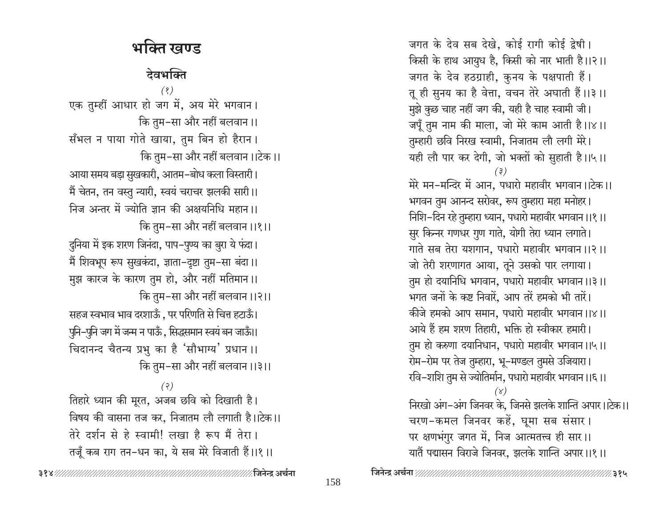जगत के देव सब देखे, कोई रागी कोई द्वेषी। किसी के हाथ आयुध है, किसी को नार भाती है।।२।। जगत के देव हठग्राही, कुनय के पक्षपाती हैं। तू ही सुनय का है वेत्ता, वचन तेरे अघाती हैं।।३।। मुझे कुछ चाह नहीं जग की, यही है चाह स्वामी जी। जपूँ तुम नाम की माला, जो मेरे काम आती है।।४।। तुम्हारी छवि निरख स्वामी, निजातम लौ लगी मेरे। यही लौ पार कर देगी, जो भक्तों को सुहाती है।।५।। मेरे मन–मन्दिर में आन, पधारो महावीर भगवान।।टेक।। भगवन तुम आनन्द सरोवर, रूप तुम्हारा महा मनोहर। निशि-दिन रहे तुम्हारा ध्यान, पधारो महावीर भगवान ।।१।। सुर किन्नर गणधर गुण गाते, योगी तेरा ध्यान लगाते। गाते सब तेरा यशगान, पधारो महावीर भगवान ।।२।। जो तेरी शरणागत आया, तूने उसको पार लगाया। तुम हो दयानिधि भगवान, पधारो महावीर भगवान ।।३।। भगत जनों के कष्ट निवारें, आप तरें हमको भी तारें। कीजे हमको आप समान, पधारो महावीर भगवान।।४।। आये हैं हम शरण तिहारी, भक्ति हो स्वीकार हमारी। तुम हो करुणा दयानिधान, पधारो महावीर भगवान ।।५।। रोम-रोम पर तेज तुम्हारा, भू-मण्डल तुमसे उजियारा। रवि-शशि तुम से ज्योतिर्मान, पधारो महावीर भगवान ।।६।। निरखो अंग-अंग जिनवर के, जिनसे झलके शान्ति अपार।।टेक।। चरण-कमल जिनवर कहें, घूमा सब संसार। पर क्षणभंगुर जगत में, निज आत्मतत्त्व ही सार।। यातैं पद्मासन विराजे जिनवर, झलके शान्ति अपार।।१।।

# भक्ति खण्ड

# देवभक्ति

 $(8)$ 

एक तुम्हीं आधार हो जग में, अय मेरे भगवान। कि तुम–सा और नहीं बलवान।। सँभल न पाया गोते खाया, तुम बिन हो हैरान। कि तुम-सा और नहीं बलवान।।टेक।।

आया समय बड़ा सुखकारी, आतम-बोध कला विस्तारी। मैं चेतन, तन वस्तु न्यारी, स्वयं चराचर झलकी सारी।। निज अन्तर में ज्योति ज्ञान की अक्षयनिधि महान।। कि तुम-सा और नहीं बलवान ।।१।।

दुनिया में इक शरण जिनंदा, पाप-पुण्य का बुरा ये फंदा। मैं शिवभूप रूप सुखकंदा, ज्ञाता-दृष्टा तुम-सा बंदा।। मुझ कारज के कारण तुम हो, और नहीं मतिमान।। कि तुम–सा और नहीं बलवान ।।२।।

सहज स्वभाव भाव दरशाऊँ, पर परिणति से चित्त हटाऊँ। पुनि-पुनि जग में जन्म न पाऊँ, सिद्धसमान स्वयं बन जाऊँ।। चिदानन्द चैतन्य प्रभु का है 'सौभाग्य' प्रधान ।। कि तुम-सा और नहीं बलवान ।।३।।

 $(3)$ तिहारे ध्यान की मूरत, अजब छवि को दिखाती है। विषय की वासना तज कर, निजातम लौ लगाती है।।टेक।। तेरे दर्शन से हे स्वामी! लखा है रूप मैं तेरा। तजूँ कब राग तन-धन का, ये सब मेरे विजाती हैं।।१।।

∕ जिनेन्द्र अर्चना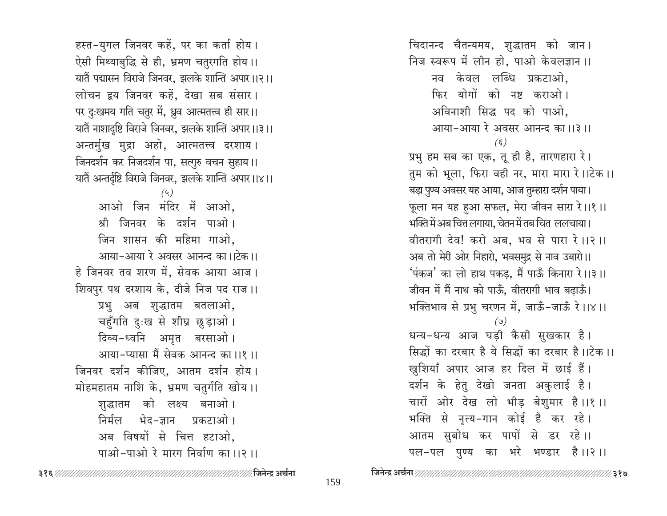⁄∕ ३१७

159

हस्त-युगल जिनवर कहें, पर का कर्ता होय। ऐसी मिथ्याबुद्धि से ही, भ्रमण चतुरगति होय ।। यातैं पद्मासन विराजे जिनवर, झलके शान्ति अपार।।२।। लोचन द्वय जिनवर कहें, देखा सब संसार। पर दुःखमय गति चतुर में, ध्रुव आत्मतत्त्व ही सार।। यातैं नाशादृष्टि विराजे जिनवर, झलके शान्ति अपार।।३।। अन्तर्मुख मुद्रा अहो, आत्मतत्त्व दरशाय। जिनदर्शन कर निजदर्शन पा, सत्गुरु वचन सुहाय।। यातैं अन्तर्दृष्टि विराजे जिनवर, झलके शान्ति अपार।।४।।  $(4)$ आओ जिन मंदिर में आओ, श्री जिनवर के दर्शन पाओ। जिन शासन की महिमा गाओ. आया-आया रे अवसर आनन्द का ।।टेक ।। हे जिनवर तव शरण में, सेवक आया आज। शिवपुर पथ दरशाय के, दीजे निज पद राज ।। प्रभु अब शुद्धातम बतलाओ, चहुँगति दुःख से शीघ्र छुड़ाओ। दिव्य-ध्वनि अमृत बरसाओ। आया-प्यासा मैं सेवक आनन्द का ॥१॥ जिनवर दर्शन कीजिए, आतम दर्शन होय। मोहमहातम नाशि के, भ्रमण चतुर्गति खोय।। शुद्धातम को लक्ष्य बनाओ। निर्मल भेद-ज्ञान प्रकटाओ । अब विषयों से चित्त हटाओ, पाओ-पाओ रे मारग निर्वाण का ।।२ ।।

चिदानन्द चैतन्यमय, शुद्धातम को जान। निज स्वरूप में लीन हो, पाओ केवलज्ञान ।। नव केवल लब्धि प्रकटाओ. फिर योगों को नष्ट कराओ। अविनाशी सिद्ध पद को पाओ, आया-आया रे अवसर आनन्द का ।।३ ।।  $(\xi)$ प्रभु हम सब का एक, तू ही है, तारणहारा रे। तुम को भूला, फिरा वही नर, मारा मारा रे।।टेक।। बड़ा पुण्य अवसर यह आया, आज तुम्हारा दर्शन पाया। फूला मन यह हुआ सफल, मेरा जीवन सारा रे।।१।। भक्ति में अब चित्त लगाया, चेतन में तब चित ललचाया। वीतरागी देव! करो अब, भव से पारा रे ।।२ ।। अब तो मेरी ओर निहारो, भवसमुद्र से नाव उबारो।। 'पंकज' का लो हाथ पकड़, मैं पाऊँ किनारा रे।।३।। जीवन में मैं नाथ को पाऊँ, वीतरागी भाव बढ़ाऊँ। भक्तिभाव से प्रभु चरणन में, जाऊँ-जाऊँ रे।।४।। धन्य-धन्य आज घड़ी कैसी सुखकार है। सिद्धों का दरबार है ये सिद्धों का दरबार है।।टेक ।। खुशियाँ अपार आज हर दिल में छाई हैं। दर्शन के हेतु देखो जनता अकुलाई है। चारों ओर देख लो भीड़ बेशुमार है।।१।। भक्ति से नृत्य-गान कोई है कर रहे। आतम सुबोध कर पापों से डर रहे।। पल-पल पुण्य का भरे भण्डार है।।२।।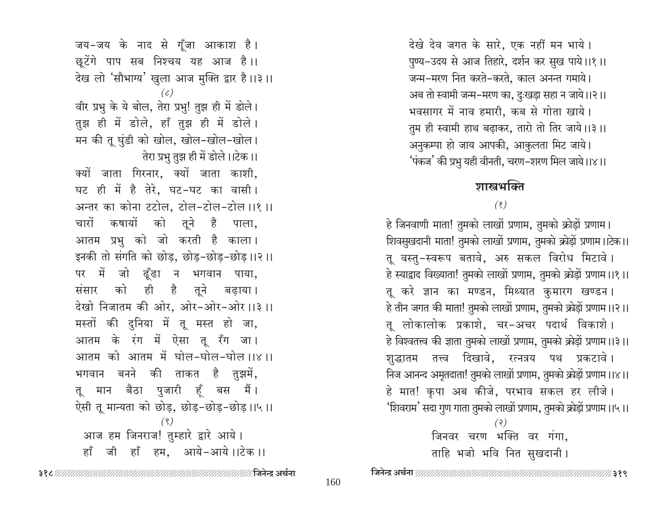देखे देव जगत के सारे, एक नहीं मन भाये। पुण्य-उदय से आज तिहारे, दर्शन कर सुख पाये।।१।। जन्म-मरण नित करते-करते, काल अनन्त गमाये। अब तो स्वामी जन्म-मरण का, दुःखड़ा सहा न जाये।।२।। भवसागर में नाव हमारी, कब से गोता खाये। तुम ही स्वामी हाथ बढ़ाकर, तारो तो तिर जाये।।३।। अनुकम्पा हो जाय आपकी, आकुलता मिट जाये। 'पंकज' की प्रभु यही वीनती, चरण-शरण मिल जाये।।४।।

# णास्त्रभक्ति

## $(8)$

हे जिनवाणी माता! तुमको लाखों प्रणाम, तुमको क्रोडों प्रणाम। शिवसुखदानी माता! तुमको लाखों प्रणाम, तुमको क्रोड़ों प्रणाम।।टेक।। तू वस्तु-स्वरूप बतावे, अरु सकल विरोध मिटावे। हे स्याद्वाद विख्याता! तुमको लाखों प्रणाम, तुमको क्रोड़ों प्रणाम ।।१।। तू करे ज्ञान का मण्डन, मिथ्यात कुमारग खण्डन। हे तीन जगत की माता! तुमको लाखों प्रणाम, तुमको क्रोड़ों प्रणाम ।।२।। तू लोकालोक प्रकाशे, चर-अचर पदार्थ विकाशे। हे विश्वतत्त्व की ज्ञाता तुमको लाखों प्रणाम, तुमको क्रोड़ों प्रणाम ।।३।। शुद्धातम तत्त्व दिखावे, रत्नत्रय पथ प्रकटावे। निज आनन्द अमृतदाता! तुमको लाखों प्रणाम, तुमको क्रोड़ों प्रणाम ।।४।। हे मात! कृपा अब कीजे, परभाव सकल हर लीजे। 'शिवराम' सदा गुण गाता तुमको लाखों प्रणाम, तुमको क्रोड़ों प्रणाम ।।५।।

> $(3)$ जिनवर चरण भक्ति वर गंगा. ताहि भजो भवि नित सुखदानी।

जय-जय के नाद से गूँजा आकाश है। छूटेंगे पाप सब निश्चय यह आज है।। देख लो 'सौभाग्य' खुला आज मुक्ति द्वार है।।३।।  $(\mathcal{L})$ वीर प्रभु के ये बोल, तेरा प्रभु! तुझ ही में डोले। तुझ ही में डोले, हाँ तुझ ही में डोले। मन की तू घुंडी को खोल, खोल-खोल-खोल। तेरा प्रभु तुझ ही में डोले।।टेक।। क्यों जाता गिरनार, क्यों जाता काशी, घट ही में है तेरे, घट-घट का वासी। अन्तर का कोना टटोल, टोल-टोल-टोल ।।१ ।। चारों कषायों को तुने है पाला, आतम प्रभु को जो करती है काला। इनकी तो संगति को छोड, छोड-छोड-छोड़।।२।। पर में जो ढूँढा न भगवान पाया, संसार को ही है तूने बढ़ाया। देखो निजातम की ओर, ओर-ओर-ओर ।।३ ।। मस्तों की दुनिया में तू मस्त हो जा, आतम के रंग में ऐसा तू रँग जा। आतम को आतम में घोल-घोल-घोल ।।४।। भगवान बनने की ताकत है तुझमें, तू मान बैठा पुजारी हूँ बस मैं। ऐसी तू मान्यता को छोड़, छोड़-छोड़-छोड़।।५।।  $(9)$ आज हम जिनराज! तुम्हारे द्वारे आये। हाँ जी हाँ हम. आये-आये।।टेक।।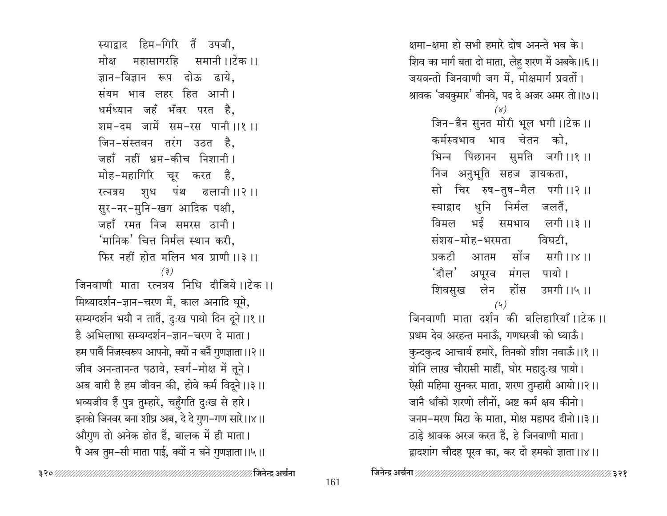स्याद्वाद हिम-गिरि तैं उपजी, मोक्ष महासागरहि समानी ।।टेक ।। ज्ञान-विज्ञान रूप दोऊ ढाये. संयम भाव लहर हित आनी। धर्मध्यान जहँ भँवर परत है, शम-दम जामें सम-रस पानी।।१।। जिन-संस्तवन तरंग उठत है. जहाँ नहीं भ्रम-कीच निशानी। मोह-महागिरि चूर करत है, रत्नत्रय शुध पंथ ढलानी ।।२।। सुर-नर-मुनि-खग आदिक पक्षी, जहाँ रमत निज समरस ठानी। 'मानिक' चित्त निर्मल स्थान करी**.** फिर नहीं होत मलिन भव प्राणी ।।३ ।।  $(3)$ जिनवाणी माता रत्नत्रय निधि टीजिये।।टेक।। मिथ्यादर्शन-ज्ञान-चरण में, काल अनादि घूमे, सम्यग्दर्शन भयौ न तातैं, दुःख पायो दिन दूने ।।१ ।। है अभिलाषा सम्यग्दर्शन-ज्ञान-चरण दे माता। हम पार्वै निजस्वरूप आपनो, क्यों न बनैं गुणज्ञाता ।।२।। जीव अनन्तानन्त पठाये, स्वर्ग-मोक्ष में तूने। अब बारी है हम जीवन की, होवे कर्म विदूने ।।३ ।। भव्यजीव हैं पुत्र तुम्हारे, चहुँगति दुःख से हारे। इनको जिनवर बना शीघ्र अब, दे दे गुण-गण सारे।।४।। औगुण तो अनेक होत हैं, बालक में ही माता। पै अब तुम-सी माता पाई, क्यों न बने गुणज्ञाता ।।५।।

क्षमा-क्षमा हो सभी हमारे दोष अनन्ते भव के। शिव का मार्ग बता दो माता, लेहु शरण में अबके।।६।। जयवन्तो जिनवाणी जग में, मोक्षमार्ग प्रवर्तो। श्रावक 'जयकुमार' बीनवे, पद दे अजर अमर तो।।७।।  $(\gamma)$ जिन-बैन सुनत मोरी भूल भगी।।टेक ।। कर्मस्वभाव भाव चेतन को. भिन्न पिछानन सुमति जगी।।१।। निज अनुभूति सहज ज्ञायकता, सो चिर रुष-तुष-मैल पगी।।२।। स्याद्वाद धुनि निर्मल जलतैं, विमल भई समभाव लगी ।।३ ।। संशय-मोह-भरमता विघटी. सोंज सगी।।४।। प्रकटी आतम 'दौल' अपूरव मंगल पायो। शिवसुख लेन होंस उमगी।।५।।  $(4)$ जिनवाणी माता दर्शन की बलिहारियाँ।।टेक ।। प्रथम देव अरहन्त मनाऊँ, गणधरजी को ध्याऊँ। कुन्दकुन्द आचार्य हमारे, तिनको शीश नवाऊँ।।१।। योनि लाख चौरासी माहीं, घोर महादुःख पायो। ऐसी महिमा सुनकर माता, शरण तुम्हारी आयो।।२।। जानै थाँको शरणो लीनों. अष्ट कर्म क्षय कीनो। जनम-मरण मिटा के माता, मोक्ष महापद दीनो।।३।। ठाड़े श्रावक अरज करत हैं, हे जिनवाणी माता। द्वादशांग चौदह पूरव का, कर दो हमको ज्ञाता।।४।।

∕∕ ३२१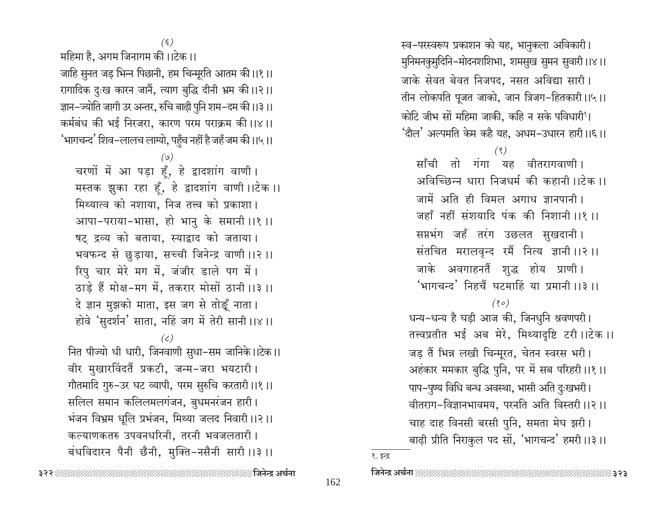∥जिनेन्द्र अर्चना

१. इन्द्र

162

 $(\xi)$ महिमा है, अगम जिनागम की।।टेक।। जाहि सुनत जड़ भिन्न पिछानी, हम चिन्मूरति आतम की।।१।। रागादिक दुःख कारन जानैं, त्याग बुद्धि दीनी भ्रम की।।२।। ज्ञान-ज्योति जागी उर अन्तर, रुचि बाढ़ी पुनि शम-दम की।।३।। कर्मबंध की भई निरजरा, कारण परम पराक्रम की।।४।। 'भागचन्द' शिव–लालच लाग्यो, पहुँच नहीं है जहँ जम की।।५।।  $(\mathfrak{o})$ चरणों में आ पड़ा हूँ, हे द्वादशांग वाणी। मस्तक झुका रहा हूँ, हे द्वादशांग वाणी ।।टेक ।।

मिथ्यात्व को नशाया. निज तत्त्व को प्रकाशा। आपा-पराया-भासा, हो भानु के समानी ।।१ ।। षट् द्रव्य को बताया, स्याद्वाद को जताया। भवफन्द से छुड़ाया, सच्ची जिनेन्द्र वाणी ।।२ ।। रिपु चार मेरे मग में, जंजीर डाले पग में। ठाड़े हैं मोक्ष-मग में, तकरार मोसों ठानी ।।३ ।। दे ज्ञान मुझको माता, इस जग से तोङ्हें नाता। होवे 'सुदर्शन' साता, नहिं जग में तेरी सानी ।।४ ।।

# $(\zeta)$

नित पीज्यो धी धारी, जिनवाणी सुधा-सम जानिके।।टेक।। वीर मुखारविंदतैं प्रकटी, जन्म-जरा भयटारी। गौतमादि गुरु–उर घट व्यापी, परम सुरुचि करतारी ।।१ ।। सलिल समान कलिलमलगंजन, बुधमनरंजन हारी। भंजन विभ्रम धूलि प्रभंजन, मिथ्या जलद निवारी ।।२।। कल्याणकतरु उपवनधरिनी, तरनी भवजलतारी। बंधविदारन पैनी छैनी, मुक्ति-नसैनी सारी ।।३ ।।

स्व-परस्वरूप प्रकाशन को यह, भानुकला अविकारी। मुनिमनकुमुदिनि-मोदनशशिभा, शमसुख सुमन सुवारी ।।४।। जाके सेवत बेवत निजपद, नसत अविद्या सारी। तीन लोकपति पूजत जाको, जान त्रिजग-हितकारी।।५।। कोटि जीभ सों महिमा जाकी. कहि न सके पविधारी'। 'दौल' अल्पमति केम कहै यह, अधम–उधारन हारी।।६।।

 $(9)$ 

साँची तो गंगा यह वीतरागवाणी। अविच्छिन्न धारा निजधर्म की कहानी ।।टेक ।। जामें अति ही विमल अगाध ज्ञानपानी। जहाँ नहीं संशयादि पंक की निशानी ।।१ ।। सप्तभंग जहँ तरंग उछलत सुखदानी। संतचित मरालवृन्द रमैं नित्य ज्ञानी ।।२ ।। जाके अवगाहनतैं शुद्ध होय प्राणी। 'भागचन्द' निहचैं घटमाहिं या प्रमानी ।।३ ।।

 $(80)$ 

धन्य-धन्य है घड़ी आज की, जिनधुनि श्रवणपरी। तत्त्वप्रतीत भई अब मेरे, मिथ्यादृष्टि टरी ।।टेक ।। जड़ तैं भिन्न लखी चिन्मूरत, चेतन स्वरस भरी। अहंकार ममकार बुद्धि पुनि, पर में सब परिहरी ।।१ ।। पाप-पुण्य विधि बन्ध अवस्था, भासी अति दुःखभरी। वीतराग-विज्ञानभावमय, परनति अति विस्तरी ।।२।। चाह दाह विनसी बरसी पुनि, समता मेघ झरी। बाढ़ी प्रीति निराकुल पद सों, 'भागचन्द' हमरी ।।३ ।।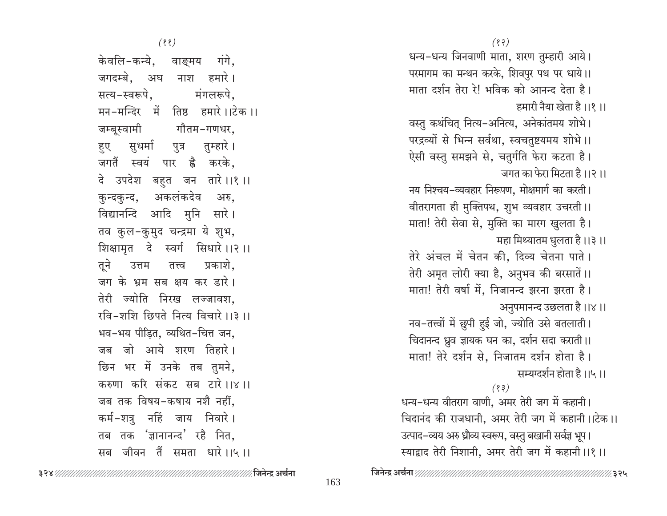$(33)$ धन्य-धन्य जिनवाणी माता, शरण तुम्हारी आये। परमागम का मन्थन करके, शिवपुर पथ पर धाये।। माता दर्शन तेरा रे! भविक को आनन्द देता है। हमारी नैया खेता है।।१।। वस्तु कथंचित् नित्य-अनित्य, अनेकांतमय शोभे। परद्रव्यों से भिन्न सर्वथा, स्वचतुष्टयमय शोभे।। ऐसी वस्तु समझने से, चतुर्गति फेरा कटता है। जगत का फेरा मिटता है।।२।। नय निश्चय-व्यवहार निरूपण, मोक्षमार्ग का करती। वीतरागता ही मुक्तिपथ, शुभ व्यवहार उचरती ।। माता! तेरी सेवा से, मुक्ति का मारग खुलता है। महा मिथ्यातम धुलता है।।३।। तेरे अंचल में चेतन की, दिव्य चेतना पाते। तेरी अमृत लोरी क्या है, अनुभव की बरसातें।। माता! तेरी वर्षा में, निजानन्द झरना झरता है। अनुपमानन्द उछलता है ।।४ ।। नव-तत्त्वों में छुपी हुई जो, ज्योति उसे बतलाती। चिदानन्द ध्रुव ज्ञायक घन का, दर्शन सदा कराती ।। माता! तेरे दर्शन से, निजातम दर्शन होता है। सम्यग्दर्शन होता है।।५।।  $(33)$ धन्य-धन्य वीतराग वाणी. अमर तेरी जग में कहानी। चिदानंद की राजधानी, अमर तेरी जग में कहानी।।टेक।। उत्पाद–व्यय अरु ध्रौव्य स्वरूप, वस्तु बखानी सर्वज्ञ भूप। स्याद्वाद तेरी निशानी, अमर तेरी जग में कहानी ।।१ ।।

 $(33)$ 

केवलि-कन्ये, वाङ्मय गंगे, जगदम्बे. अघ नाश हमारे। सत्य-स्वरूपे. मंगलरूपे, मन-मन्दिर में तिष्ठ हमारे।।टेक।। गौतम-गणधर, जम्बस्वामी हुए सुधर्मा पुत्र तुम्हारे। जगतैं स्वयं पार है करके, दे उपदेश बहुत जन तारे।।१।। अकलंकदेव कुन्दकुन्द, अरु. विद्यानन्दि आदि मुनि सारे। तव कुल-कुमुद चन्द्रमा ये शुभ, शिक्षामृत दे स्वर्ग सिधारे ।।२ ।। तूने उत्तम तत्त्व प्रकाशे. जग के भ्रम सब क्षय कर डारे। तेरी ज्योति निरख लज्जावश, रवि-शशि छिपते नित्य विचारे ।।३ ।। भव-भय पीडित, व्यथित-चित्त जन, जब जो आये शरण तिहारे। छिन भर में उनके तब तुमने, करुणा करि संकट सब टारे।।४।। जब तक विषय-कषाय नशै नहीं. कर्म-शत्र नहिं जाय निवारे। तब तक 'ज्ञानानन्द' रहै नित, सब जीवन तैं समता धारे।।५।।

%३२५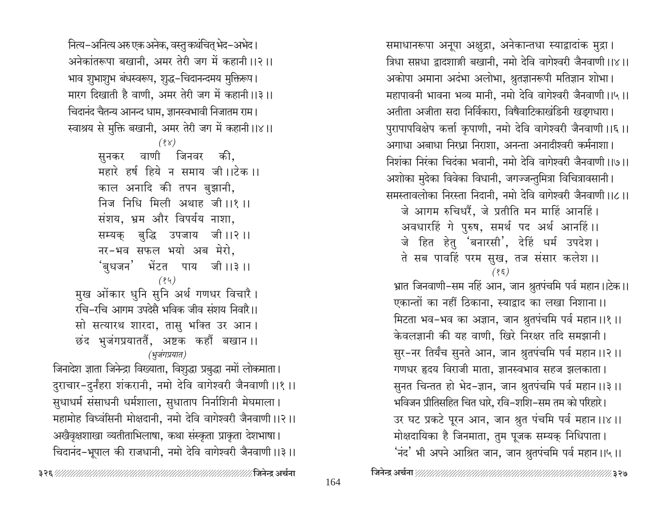नित्य–अनित्य अरु एक अनेक, वस्तु कथंचित् भेद–अभेद। अनेकांतरूपा बखानी, अमर तेरी जग में कहानी ।।२।। भाव शुभाशुभ बंधस्वरूप, शुद्ध-चिदानन्दमय मुक्तिरूप। मारग दिखाती है वाणी, अमर तेरी जग में कहानी ।।३।। चिदानंद चैतन्य आनन्द धाम, ज्ञानस्वभावी निजातम राम। स्वाश्रय से मुक्ति बखानी, अमर तेरी जग में कहानी।।४।।  $(88)$ सनकर वाणी जिनवर की. महारे हर्ष हिये न समाय जी।।टेक।। काल अनादि की तपन बुझानी, निज निधि मिली अथाह जी।।१।। संशय, भ्रम और विपर्यय नाशा, सम्यक् बुद्धि उपजाय जी।।२।। नर-भव सफल भयो अब मेरो, 'बुधजन' भेंटत पाय जी।।३।।  $(84)$ मुख ओंकार धुनि सुनि अर्थ गणधर विचारै। रचि-रचि आगम उपदेसै भविक जीव संशय निवारै।। सो सत्यारथ शारदा, तासु भक्ति उर आन। छंद भुजंगप्रयाततैं, अष्टक कहौं बखान ।। (भूजंगप्रयात) जिनादेश ज्ञाता जिनेन्द्रा विख्याता, विशुद्धा प्रबुद्धा नमों लोकमाता। दुराचार-दुर्नंहरा शंकरानी, नमो देवि वागेश्वरी जैनवाणी ।।१ ।। सुधाधर्म संसाधनी धर्मशाला, सुधाताप निर्नाशिनी मेघमाला। महामोह विध्वंसिनी मोक्षदानी, नमो देवि वागेश्वरी जैनवाणी ।।२।। अखैवृक्षशाखा व्यतीताभिलाषा, कथा संस्कृता प्राकृता देशभाषा। चिदानंद-भूपाल की राजधानी, नमो देवि वागेश्वरी जैनवाणी ।।३।।

अशोका मुदेका विवेका विधानी, जगज्जन्तुमित्रा विचित्रावसानी। समस्तावलोका निरस्ता निदानी, नमो देवि वागेश्वरी जैनवाणी।।८।। जे आगम रुचिधरैं, जे प्रतीति मन माहिं आनहिं। अवधारहिं गे पुरुष, समर्थ पद अर्थ आनहिं।। जे हित हेतु 'बनारसी', देहिं धर्म उपदेश। ते सब पावहिं परम सुख, तज संसार कलेश ।।  $(35)$ भ्रात जिनवाणी-सम नहिं आन, जान श्रुतपंचमि पर्व महान ।।टेक।। एकान्तों का नहीं ठिकाना, स्याद्वाद का लखा निशाना ।। मिटता भव-भव का अज्ञान, जान श्रुतपंचमि पर्व महान ।।१ ।। केवलज्ञानी की यह वाणी, खिरे निरक्षर तदि समझानी। सुर-नर तिर्यंच सुनते आन, जान श्रुतपंचमि पर्व महान ।।२।। गणधर हृदय विराजी माता, ज्ञानस्वभाव सहज झलकाता। सुनत चिन्तत हो भेद-ज्ञान, जान श्रुतपंचमि पर्व महान ।।३ ।। भविजन प्रीतिसहित चित धारे, रवि–शशि–सम तम को परिहारे। उर घट प्रकटे पूरन आन, जान श्रुत पंचमि पर्व महान ।।४ ।। मोक्षदायिका है जिनमाता, तुम पूजक सम्यक् निधिपाता। 'नंद' भी अपने आश्रित जान, जान श्रुतपंचमि पर्व महान ।।५।। 

समाधानरूपा अनूपा अक्षुद्रा, अनेकान्तधा स्याद्वादांक मुद्रा।

अकोपा अमाना अदंभा अलोभा, श्रुतज्ञानरूपी मतिज्ञान शोभा।

अतीता अजीता सदा निर्विकारा, विषैवाटिकाखंडिनी खड़गधारा।

अगाधा अबाधा निरध्रा निराशा, अनन्ता अनादीश्वरी कर्मनाशा।

त्रिधा सप्तधा द्वादशाङ्गी बखानी, नमो देवि वागेश्वरी जैनवाणी।।४।।

महापावनी भावना भव्य मानी, नमो देवि वागेश्वरी जैनवाणी।।५।।

पुरापापविक्षेप कर्त्ता कृपाणी, नमो देवि वागेश्वरी जैनवाणी।।६।।

निशंका निरंका चिदंका भवानी, नमो देवि वागेश्वरी जैनवाणी।।७।।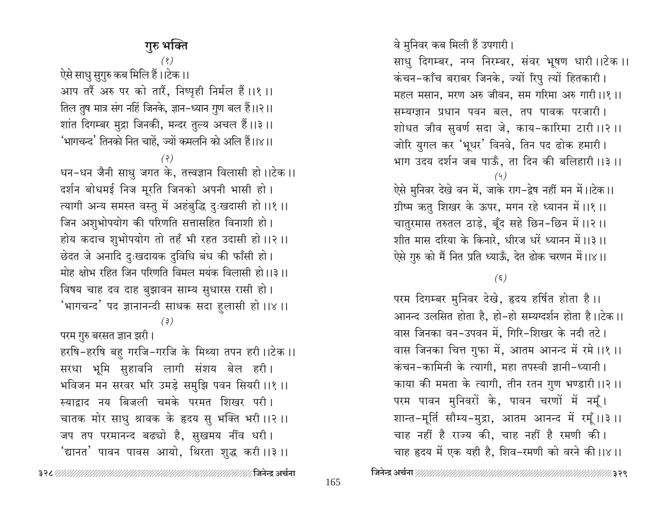165

परम दिगम्बर मुनिवर देखे, हृदय हर्षित होता है।। आनन्द उलसित होता है, हो-हो सम्यग्दर्शन होता है।।टेक।। वास जिनका वन-उपवन में, गिरि-शिखर के नदी तटे। वास जिनका चित्त गुफा में, आतम आनन्द में रमे ।।१ ।। कंचन-कामिनी के त्यागी, महा तपस्वी ज्ञानी-ध्यानी। काया की ममता के त्यागी, तीन रतन गुण भण्डारी ।।२ ।। परम पावन मुनिवरों के, पावन चरणों में नमूँ। शान्त-मूर्ति सौम्य-मुद्रा, आतम आनन्द में रमूँ।।३।। चाह नहीं है राज्य की, चाह नहीं है रमणी की। चाह हृदय में एक यही है, शिव-रमणी को वरने की।।४।।

∕∕ ३२९

ऐसे मुनिवर देखे वन में, जाके राग-द्वेष नहीं मन में।।टेक।। ग्रीष्म ऋतु शिखर के ऊपर, मगन रहे ध्यानन में ।।१ ।। चातुरमास तरुतल ठाड़े, बूँद सहे छिन-छिन में ।।२।। शीत मास दरिया के किनारे, धीरज धरें ध्यानन में।।३।। ऐसे गुरु को मैं नित प्रति ध्याऊँ, देत ढोक चरणन में।।४।।

 $(\xi)$ 

महल मसान, मरण अरु जीवन, सम गरिमा अरु गारी।।१।। शोधत जीव सुवर्ण सदा जे, काय-कारिमा टारी ।।२ ।। भाग उदय दर्शन जब पाऊँ, ता दिन की बलिहारी ।।३ ।।

वे मुनिवर कब मिली हैं उपगारी। साधु दिगम्बर, नग्न निरम्बर, संवर भूषण धारी ।।टेक ।। कंचन-काँच बराबर जिनके, ज्यों रिपु त्यों हितकारी। सम्यग्ज्ञान प्रधान पवन बल, तप पावक परजारी। जोरि युगल कर 'भूधर' विनवे, तिन पद ढोक हमारी।

'भागचन्द' तिनको नित चाहें, ज्यों कमलनि को अलि हैं।।४।।  $(5)$ धन-धन जैनी साधु जगत के, तत्त्वज्ञान विलासी हो।।टेक।। दर्शन बोधमई निज मूरति जिनको अपनी भासी हो। त्यागी अन्य समस्त वस्तु में अहंबुद्धि दुःखदासी हो ।।१ ।। जिन अशुभोपयोग की परिणति सत्तासहित विनाशी हो। होय कदाच शुभोपयोग तो तहँ भी रहत उदासी हो ।।२ ।। छेदत जे अनादि दुःखदायक दुविधि बंध की फाँसी हो। मोह क्षोभ रहित जिन परिणति विमल मयंक विलासी हो।।३।। विषय चाह दव दाह बुझावन साम्य सुधारस रासी हो। 'भागचन्द' पद ज्ञानानन्दी साधक सदा हुलासी हो ।।४ ।।  $(3)$ 

परम गुरु बरसत ज्ञान झरी। हरषि-हरषि बहु गरजि-गरजि के मिथ्या तपन हरी ।।टेक ।। सरधा भूमि सुहावनि लागी संशय बेल हरी। भविजन मन सरवर भरि उमड़े समुझि पवन सियरी ।।१ ।। स्याद्वाद नय बिजली चमके परमत शिखर परी। चातक मोर साधु श्रावक के हृदय सु भक्ति भरी ।।२ ।। जप तप परमानन्द बढ्यो है, सुखमय नींव धरी। <sup>'</sup>द्यानत' पावन पावस आयो, थिरता शुद्ध करी ।।३ ।।

# गुरु भक्ति

 $(8)$ 

आप तरैं अरु पर को तारैं, निष्पृही निर्मल हैं।।१।।

तिल तुष मात्र संग नहिं जिनके, ज्ञान-ध्यान गुण बल हैं।।२।।

शांत दिगम्बर मुद्रा जिनकी, मन्दर तुल्य अचल हैं।।३।।

ऐसे साधु सुगुरु कब मिलि हैं।।टेक।।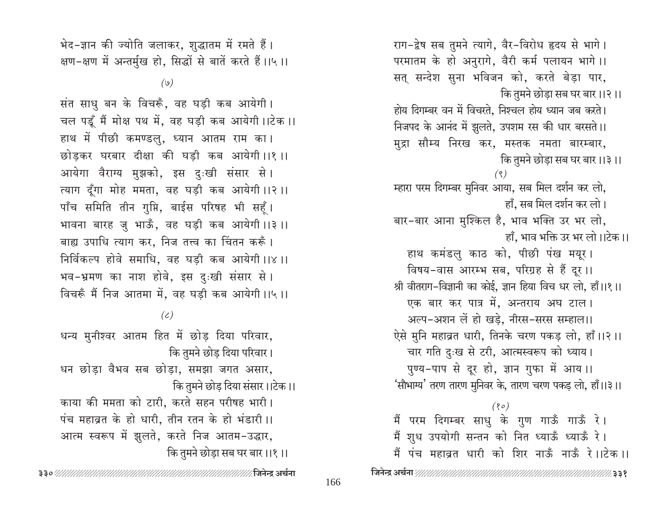हाँ. भाव भक्ति उर भर लो।।टेक।। हाथ कमंडलु काठ को, पीछी पंख मयूर। विषय-वास आरम्भ सब, परिग्रह से हैं दूर ।। श्री वीतराग-विज्ञानी का कोई, ज्ञान हिया विच धर लो, हाँ।।१।। एक बार कर पात्र में, अन्तराय अघ टाल। अल्प-अशन लें हो खडे. नीरस-सरस सम्हाल।। ऐसे मुनि महाव्रत धारी, तिनके चरण पकड लो, हाँ।।२।। चार गति दुःख से टरी, आत्मस्वरूप को ध्याय। पुण्य-पाप से दूर हो, ज्ञान गुफा में आय।। 'सौभाग्य' तरण तारण मुनिवर के, तारण चरण पकड़ लो, हाँ।।३।।  $(80)$ मैं परम दिगम्बर साधु के गुण गाऊँ गाऊँ रे। मैं शुध उपयोगी सन्तन को नित ध्याऊँ ध्याऊँ रे। मैं पंच महाव्रत धारी को शिर नाऊँ नाऊँ रे।।टेक।। 166

राग-द्वेष सब तुमने त्यागे, वैर-विरोध हृदय से भागे।

परमातम के हो अनुरागे, वैरी कर्म पलायन भागे।। सत् सन्देश सुना भविजन को, करते बेड़ा पार,

होय दिगम्बर वन में विचरते, निश्चल होय ध्यान जब करते।

निजपद के आनंद में झूलते, उपशम रस की धार बरसते।।

मुद्रा सौम्य निरख कर, मस्तक नमता बारम्बार,

म्हारा परम दिगम्बर मुनिवर आया, सब मिल दर्शन कर लो,

बार-बार आना मुश्किल है, भाव भक्ति उर भर लो,

कि तुमने छोडा सब घर बार ।।२।।

कि तुमने छोड़ा सब घर बार ।।३ ।।

हाँ, सब मिल दर्शन कर लो।

भेद-ज्ञान की ज्योति जलाकर, शुद्धातम में रमते हैं। क्षण-क्षण में अन्तर्मुख हो, सिद्धों से बातें करते हैं।।५।।

 $(\circ)$ 

संत साधु बन के विचरूँ, वह घड़ी कब आयेगी। चल पडूँ मैं मोक्ष पथ में, वह घड़ी कब आयेगी।।टेक।। हाथ में पीछी कमण्डल्, ध्यान आतम राम का। छोडकर घरबार दीक्षा की घडी कब आयेगी।।१।। आयेगा वैराग्य मुझको, इस दुःखी संसार से। त्याग दूँगा मोह ममता, वह घड़ी कब आयेगी ।।२ ।। पाँच समिति तीन गुप्ति, बाईस परिषह भी सहूँ। भावना बारह जु भाऊँ, वह घड़ी कब आयेगी ।।३ ।। बाह्य उपाधि त्याग कर, निज तत्त्व का चिंतन करूँ। निर्विकल्प होवे समाधि, वह घडी कब आयेगी ।।४ ।। भव-भ्रमण का नाश होवे, इस दुःखी संसार से। विचरूँ मैं निज आतमा में, वह घड़ी कब आयेगी ।।५ ।।

 $(c)$ 

धन्य मुनीश्वर आतम हित में छोड दिया परिवार, कि तुमने छोड़ दिया परिवार।

धन छोड़ा वैभव सब छोड़ा, समझा जगत असार, कि तुमने छोड़ दिया संसार।।टेक।।

काया की ममता को टारी, करते सहन परीषह भारी। पंच महाव्रत के हो धारी, तीन रतन के हो भंडारी।। आत्म स्वरूप में झूलते, करते निज आतम-उद्धार, कि तुमने छोडा सब घर बार ।।१।।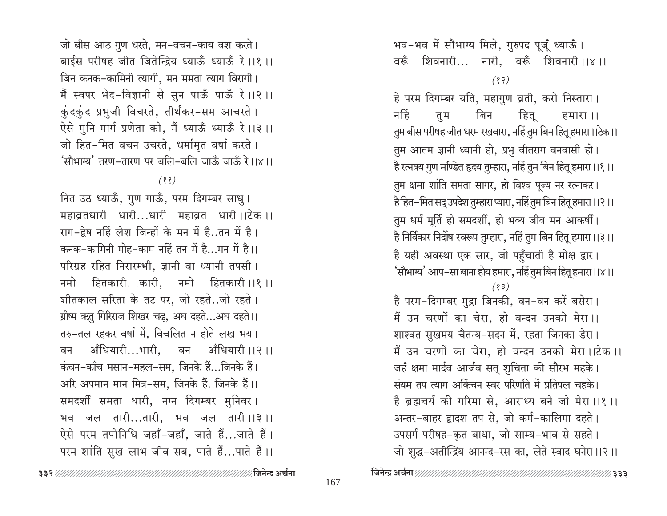जो बीस आठ गुण धरते, मन-वचन-काय वश करते। बाईस परीषह जीत जितेन्द्रिय ध्याऊँ ध्याऊँ रे ।।१ ।। जिन कनक-कामिनी त्यागी, मन ममता त्याग विरागी। मैं स्वपर भेद-विज्ञानी से सुन पाऊँ पाऊँ रे ।।२ ।। कुंदकुंद प्रभुजी विचरते, तीर्थंकर-सम आचरते । ऐसे मुनि मार्ग प्रणेता को, मैं ध्याऊँ ध्याऊँ रे ।।३ ।। जो हित-मित वचन उचरते, धर्मामृत वर्षा करते। 'सौभाग्य' तरण-तारण पर बलि-बलि जाऊँ जाऊँ रे।।×।।

 $(88)$ 

नित उठ ध्याऊँ, गुण गाऊँ, परम दिगम्बर साधु। महाव्रतधारी धारी...धारी महाव्रत धारी।।टेक।। राग-द्रेष नहिं लेश जिन्हों के मन में है..तन में है। कनक-कामिनी मोह-काम नहिं तन में है...मन में है।। परिग्रह रहित निरारम्भी, ज्ञानी वा ध्यानी तपसी। नमो हितकारी…कारी, नमो हितकारी ।।१ ।। शीतकाल सरिता के तट पर, जो रहते..जो रहते। ग्रीष्म ऋतु गिरिराज शिखर चढ़, अघ दहते...अघ दहते।। तरु-तल रहकर वर्षा में, विचलित न होते लख भय। अँधियारी...भारी, वन अँधियारी ।।२ ।। वन कंचन-काँच मसान-महल-सम, जिनके हैं...जिनके हैं। अरि अपमान मान मित्र-सम, जिनके हैं..जिनके हैं।। समदर्शी समता धारी, नग्न दिगम्बर मुनिवर। भव जल तारी...तारी, भव जल तारी।।३।। ऐसे परम तपोनिधि जहाँ-जहाँ, जाते हैं...जाते हैं। परम शांति सुख लाभ जीव सब, पाते हैं...पाते हैं।।

भव-भव में सौभाग्य मिले, गुरुपद पूजूँ ध्याऊँ। वरूँ शिवनारी… नारी, वरूँ शिवनारी।।४।।  $(8, 3)$ 

हे परम दिगम्बर यति, महागुण व्रती, करो निस्तारा। नहिं बिन हित् तूम हमारा ।। तुम बीस परीषह जीत धरम रखवारा, नहिं तुम बिन हितू हमारा।।टेक।। तुम आतम ज्ञानी ध्यानी हो, प्रभु वीतराग वनवासी हो। है रत्नत्रय गुण मण्डित हृदय तुम्हारा, नहिं तुम बिन हितू हमारा।।१।। तुम क्षमा शांति समता सागर, हो विश्व पूज्य नर रत्नाकर। है हित–मित सद् उपदेश तुम्हारा प्यारा, नहिं तुम बिन हितू हमारा ।।२ ।। तुम धर्म मूर्ति हो समदर्शी, हो भव्य जीव मन आकर्षी। है निर्विकार निर्दोष स्वरूप तुम्हारा, नहिं तुम बिन हितू हमारा।।३।। है यही अवस्था एक सार, जो पहुँचाती है मोक्ष द्वार। 'सौभाग्य' आप–सा बाना होय हमारा, नहिं तुम बिन हितू हमारा ।।४।।  $(33)$ है परम-दिगम्बर मुद्रा जिनकी, वन-वन करें बसेरा।

मैं उन चरणों का चेरा, हो वन्दन उनको मेरा।। शाश्वत सुखमय चैतन्य-सदन में, रहता जिनका डेरा। मैं उन चरणों का चेरा, हो वन्दन उनको मेरा।।टेक।। जहँ क्षमा मार्दव आर्जव सत् शुचिता की सौरभ महके। संयम तप त्याग अकिंचन स्वर परिणति में प्रतिपल चहके। है ब्रह्मचर्य की गरिमा से, आराध्य बने जो मेरा ।।१ ।। अन्तर-बाहर द्वादश तप से, जो कर्म-कालिमा दहते। उपसर्ग परीषह-कृत बाधा, जो साम्य-भाव से सहते। जो शुद्ध-अतीन्द्रिय आनन्द-रस का, लेते स्वाद घनेरा।।२।।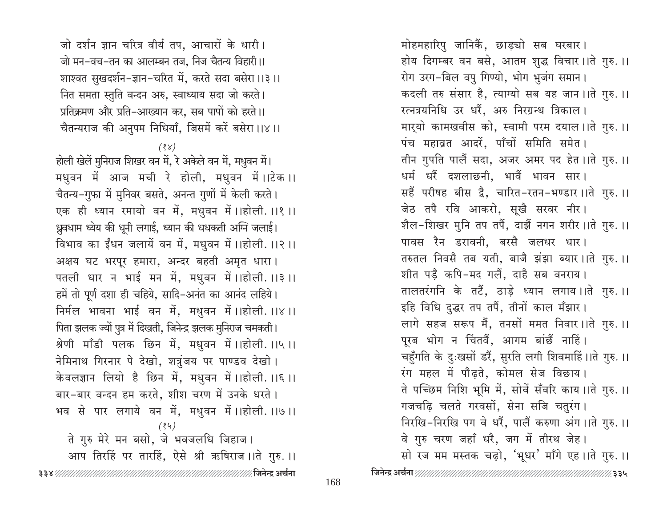जो दर्शन ज्ञान चरित्र वीर्य तप, आचारों के धारी। जो मन-वच-तन का आलम्बन तज, निज चैतन्य विहारी ।। शाश्वत सुखदर्शन-ज्ञान-चरित में, करते सदा बसेरा।।३।। नित समता स्तुति वन्दन अरु, स्वाध्याय सदा जो करते। प्रतिक्रमण और प्रति-आख्यान कर, सब पापों को हरते।। चैतन्यराज की अनुपम निधियाँ, जिसमें करें बसेरा।।४।।

 $(88)$ 

होली खेलें मुनिराज शिखर वन में, रे अकेले वन में, मधुवन में। मधुवन में आज मची रे होली, मधुवन में।।टेक।। चैतन्य-गुफा में मुनिवर बसते, अनन्त गुणों में केली करते। एक ही ध्यान रमायो वन में, मधुवन में।।होली.।।१।। ध्रुवधाम ध्येय की धूनी लगाई, ध्यान की धधकती अग्नि जलाई। विभाव का ईंधन जलायें वन में, मधुवन में ।।होली. ।।२ ।। अक्षय घट भरपूर हमारा, अन्दर बहती अमृत धारा। पतली धार न भाई मन में, मधुवन में।।होली.।।३।। हमें तो पूर्ण दशा ही चहिये, सादि-अनंत का आनंद लहिये। निर्मल भावना भाई वन में, मधुवन में।।होली.।।४।। पिता झलक ज्यों पुत्र में दिखती, जिनेन्द्र झलक मुनिराज चमकती। श्रेणी माँडी पलक छिन में, मधुवन में।।होली.।।५।। नेमिनाथ गिरनार पे देखो, शत्रुंजय पर पाण्डव देखो। केवलज्ञान लियो है छिन में, मधुवन में ।।होली. ।।६ ।। बार-बार वन्दन हम करते, शीश चरण में उनके धरते। भव से पार लगाये वन में, मधुवन में।।होली.।।७।।  $(84)$ 

ते गुरु मेरे मन बसो, जे भवजलधि जिहाज। आप तिरहिं पर तारहिं, ऐसे श्री ऋषिराज ।।ते गुरु. ।।

मोहमहारिपु जानिकैं, छाड्यो सब घरबार। होय दिगम्बर वन बसे, आतम शुद्ध विचार ।।ते गुरु. ।। रोग उरग-बिल वपु गिण्यो, भोग भुजंग समान। कदली तरु संसार है, त्याग्यो सब यह जान ।।ते गुरु. ।। रत्नत्रयनिधि उर धरैं, अरु निरग्रन्थ त्रिकाल। मारयो कामखवीस को, स्वामी परम दयाल।।ते गुरु.।। पंच महाव्रत आदरें, पाँचों समिति समेत। तीन गुपति पालैं सदा, अजर अमर पद हेत ।।ते गुरु. ।। धर्म धरैं दशलाछनी, भावैं भावन सार। सहैं परीषह बीस द्वै, चारित-रतन-भण्डार ।।ते गुरु. ।। जेठ तपै रवि आकरो, सूखै सरवर नीर। शैल-शिखर मुनि तप तपैं, दाझैं नगन शरीर ।।ते गुरु. ।। पावस रैन डरावनी, बरसै जलधर धार। तरुतल निवसै तब यती, बाजै झंझा ब्यार ।।ते गुरु. ।। शीत पड़ै कपि-मद गलैं, दाहै सब वनराय। तालतरंगनि के तटैं, ठाड़े ध्यान लगाय।।ते गुरु.।। इहि विधि दुद्धर तप तपैं, तीनों काल मँझार। लागे सहज सरूप मैं, तनसों ममत निवार ।।ते गुरु. ।। पूरब भोग न चिंतवैं, आगम बांछैं नाहिं। चहुँगति के दुःखसों डरैं, सुरति लगी शिवमाहिं।।ते गुरु.।। रंग महल में पौढ़ते, कोमल सेज विछाय। ते पच्छिम निशि भूमि में, सोवें सँवरि काय ।।ते गुरु. ।। गजचढ़ि चलते गरवसों, सेना सजि चतुरंग। निरखि-निरखि पग वे धरैं, पालैं करुणा अंग ।।ते गुरु. ।। वे गुरु चरण जहाँ धरै, जग में तीरथ जेह।

सो रज मम मस्तक चढ़ो, 'भूधर' माँगे एह ।।ते गुरु. ।।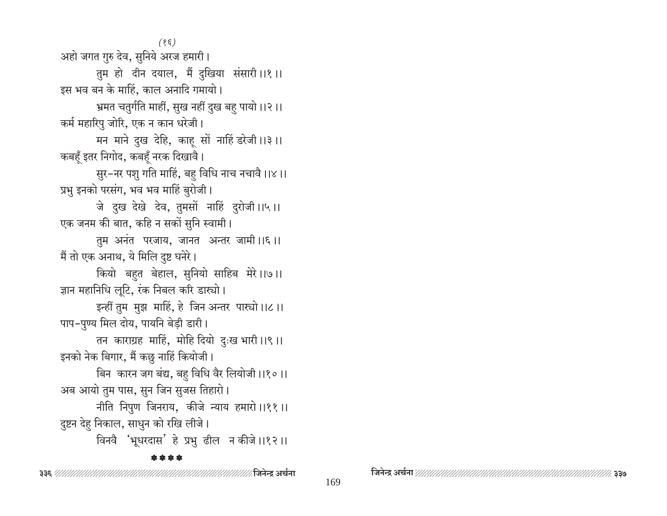$(85)$ 

अहो जगत गुरु देव, सुनिये अरज हमारी।

तुम हो दीन दयाल, मैं दुखिया संसारी।।१।। इस भव बन के माहिं, काल अनादि गमायो।

भ्रमत चतुर्गति माहीं, सुख नहीं दुख बह पायो।।२।। कर्म महारिपु जोरि, एक न कान धरेजी।

मन माने दुख देहि, काह सों नाहिं डरेजी ।।३।। कबहूँ इतर निगोद, कबहूँ नरक दिखावै।

सुर-नर पशु गति माहिं, बहु विधि नाच नचावै।।४।। प्रभु इनको परसंग, भव भव माहिं बुरोजी।

जे दुख देखे देव, तुमसों नाहिं दुरोजी।।५।। एक जनम की बात, कहि न सकों सुनि स्वामी।

तुम अनंत परजाय, जानत अन्तर जामी।।६।। मैं तो एक अनाथ, ये मिलि दुष्ट घनेरे।

कियो बहत बेहाल, सुनियो साहिब मेरे।।७।। ज्ञान महानिधि लुटि, रंक निबल करि डास्यो।

इन्हीं तुम मुझ माहिं, हे जिन अन्तर पारचो।।८।। पाप-पुण्य मिल दोय, पायनि बेड़ी डारी।

तन काराग्रह माहिं, मोहि दियो दुःख भारी ।।९।। इनको नेक बिगार, मैं कछु नाहिं कियोजी।

बिन कारन जग बंद्य, बहु विधि वैर लियोजी।।१०।। अब आयो तुम पास, सुन जिन सुजस तिहारो।

नीति निपुण जिनराय, कीजे न्याय हमारो।।११॥ दुष्टन देह निकाल, साधुन को रखि लीजे।

विनवै 'भूधरदास' हे प्रभु ढील न कीजे।।१२।।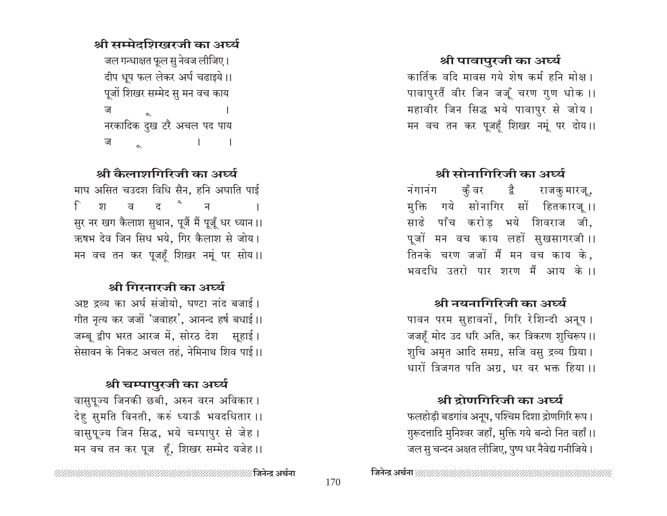## श्री पावापुरजी का अर्घ्य

कार्तिक वदि मावस गये शेष कर्म हनि मोक्ष । पावापुरतैं वीर जिन जजूँ चरण गुण धोक ।। महावीर जिन सिद्ध भये पावापुर से जोय। मन वच तन कर पूजहँ शिखर नमूं पर दोय।।

## श्री सोनागिरिजी का अर्घ्य

कुँ वर द्वै राजकुमारजू, नंगानंग मुक्ति गये सोनागिर सों हितकारजू।। साढे पाँच करोड भये शिवराज जी, पूजों मन वच काय लहों सुखसागरजी।। तिनके चरण जजों मैं मन वच काय के, भवदधि उतरो पार शरण मैं आय के ।।

## श्री नयनागिरिजी का अर्घ्य

पावन परम सुहावनों, गिरि रेशिन्दी अनूप । जजहूँ मोद उद धरि अति, कर त्रिकरण शुचिरूप ।। शुचि अमृत आदि समग्र, सजि वसु द्रव्य प्रिया। धारों त्रिजगत पति अग्र, धर वर भक्त हिया ।।

## श्री दोणगिरिजी का अर्घ्य

फलहोड़ी बडगांव अनूप, पश्चिम दिशा द्रोणगिरि रूप। गुरूदत्तादि मुनिश्वर जहाँ, मुक्ति गये बन्दो नित वहाँ।। जल सु चन्दन अक्षत लीजिए, पुष्प धर नैवेद्य गनीजिये।

# श्री कैलाशगिरिजी का अर्घ्य

 $\sim$  1

श्री सम्मेदशिखरजी का अर्घ्य

जल गन्धाक्षत फूल सु नेवज लीजिए।

दीप धूप फल लेकर अर्घ चढाइये।। पूजों शिखर सम्मेद सु मन वच काय

नरकादिक दुख टरै अचल पद पाय

ज

ज

माघ असित चउदश विधि सैन, हनि अघाति पाई ट<sup>े</sup>  $\mathcal{F}$ प्रा ਕ  $\overline{H}$ सुर नर खग कैलाश सुथान, पूजैं मैं पूजूँ धर ध्यान।। ऋषभ देव जिन सिध भये, गिर कैलाश से जोय। मन वच तन कर पूजहँ शिखर नमूं पर सोय।।

# श्री गिरनारजी का अर्घ्य

अष्ट द्रव्य का अर्घ संजोयो, घण्टा नांद बजाई। गीत नृत्य कर जजों 'जवाहर', आनन्द हर्ष बधाई।। जम्बू द्वीप भरत आरज में, सोरठ देश सूहाई। सेसावन के निकट अचल तहं, नेमिनाथ शिव पाई।।

## श्री चम्पापुरजी का अर्घ्य

वासुपूज्य जिनकी छबी, अरुन वरन अविकार। देहु सुमति विनती, करुं ध्याऊँ भवदधितार ।। वासुपूज्य जिन सिद्ध, भये चम्पापुर से जेह। मन वच तन कर पूज हूँ, शिखर सम्मेद यजेह।।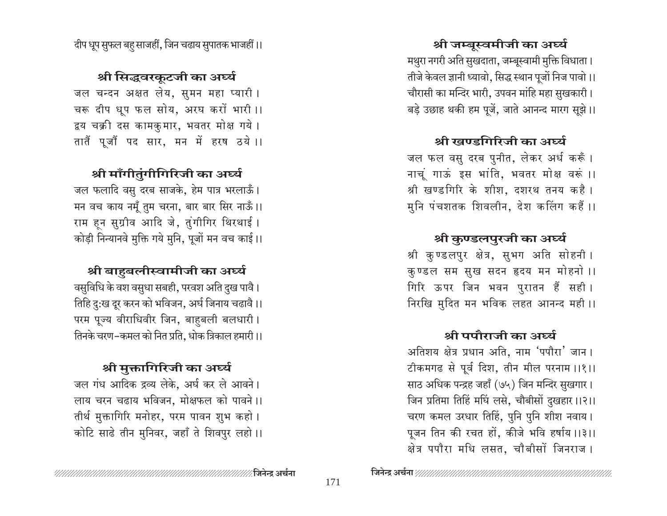श्री जम्बुस्वमीजी का अर्घ्य मथुरा नगरी अति सुखदाता, जम्बूस्वामी मुक्ति विधाता। तीजे केवल ज्ञानी ध्यावो, सिद्ध स्थान पूजों निज पावो।। चौरासी का मन्दिर भारी, उपवन माहि महा सुखकारी। बड़े उछाह थकी हम पूजें, जाते आनन्द मारग सूझे।।

# श्री खण्डगिरिजी का अर्घ्य

जल फल वसु दरब पुनीत, लेकर अर्ध करूँ। नाचूं गाऊं इस भांति, भवतर मोक्ष वरूं ।। श्री खण्डगिरि के शीश, दशरथ तनय कहै। मुनि पंचशतक शिवलीन, देश कलिंग कहैं ।।

# श्री कुण्डलपुरजी का अर्घ्य

श्री कुण्डलपुर क्षेत्र, सुभग अति सोहनी। कुण्डल सम सुख सदन हृदय मन मोहनो ।। गिरि ऊपर जिन भवन पुरातन हैं सही। निरखि मुदित मन भविक लहत आनन्द मही।।

## श्री पपौराजी का अर्घ्य

अतिशय क्षेत्र प्रधान अति, नाम 'पपौरा' जान। टीकमगढ से पूर्व दिश, तीन मील परनाम ।।१।। साठ अधिक पन्द्रह जहाँ (७५) जिन मन्दिर सुखगार। जिन प्रतिमा तिहिं मधिं लसे, चौबीसों दुखहार ।।२।। चरण कमल उरधार तिहिं, पुनि पुनि शीश नवाय। पूजन तिन की रचत हों, कीजे भवि हर्षाय ।।३।। क्षेत्र पपौरा मधि लसत, चौबीसों जिनराज।

# श्री सिद्धवरकूटजी का अर्घ्य

जल चन्दन अक्षत लेय, सूमन महा प्यारी। चरू दीप धूप फल सोय, अरघ करों भारी ।। द्वय चक्री दस कामकुमार, भवतर मोक्ष गये। तातैं पूजौं पद सार, मन में हरष ठये।।

# श्री माँगीतुंगीगिरिजी का अर्घ्य

जल फलादि वसु दरब साजके, हेम पात्र भरलाऊँ। मन वच काय नमूँ तुम चरना, बार बार सिर नाऊँ।। राम हन सुग्रीव आदि जे, तुंगीगिर थिरथाई। कोड़ी निन्यानवे मुक्ति गये मुनि, पूजों मन वच काई।।

# श्री बाहबलीस्वामीजी का अर्घ्य

वसुविधि के वश वसुधा सबही, परवश अति दुख पावै। तिहि दु:ख दूर करन को भविजन, अर्घ जिनाय चढावै।। परम पूज्य वीराधिवीर जिन, बाहबली बलधारी। तिनके चरण-कमल को नित प्रति, धोक त्रिकाल हमारी।।

# श्री मुक्तागिरिजी का अर्घ्य

जल गंध आदिक द्रव्य लेके, अर्घ कर ले आवने। लाय चरन चढाय भविजन, मोक्षफल को पावने ।। तीर्थ मुक्तागिरि मनोहर, परम पावन शुभ कहो। कोटि साढे तीन मुनिवर, जहाँ ते शिवपुर लहो।।